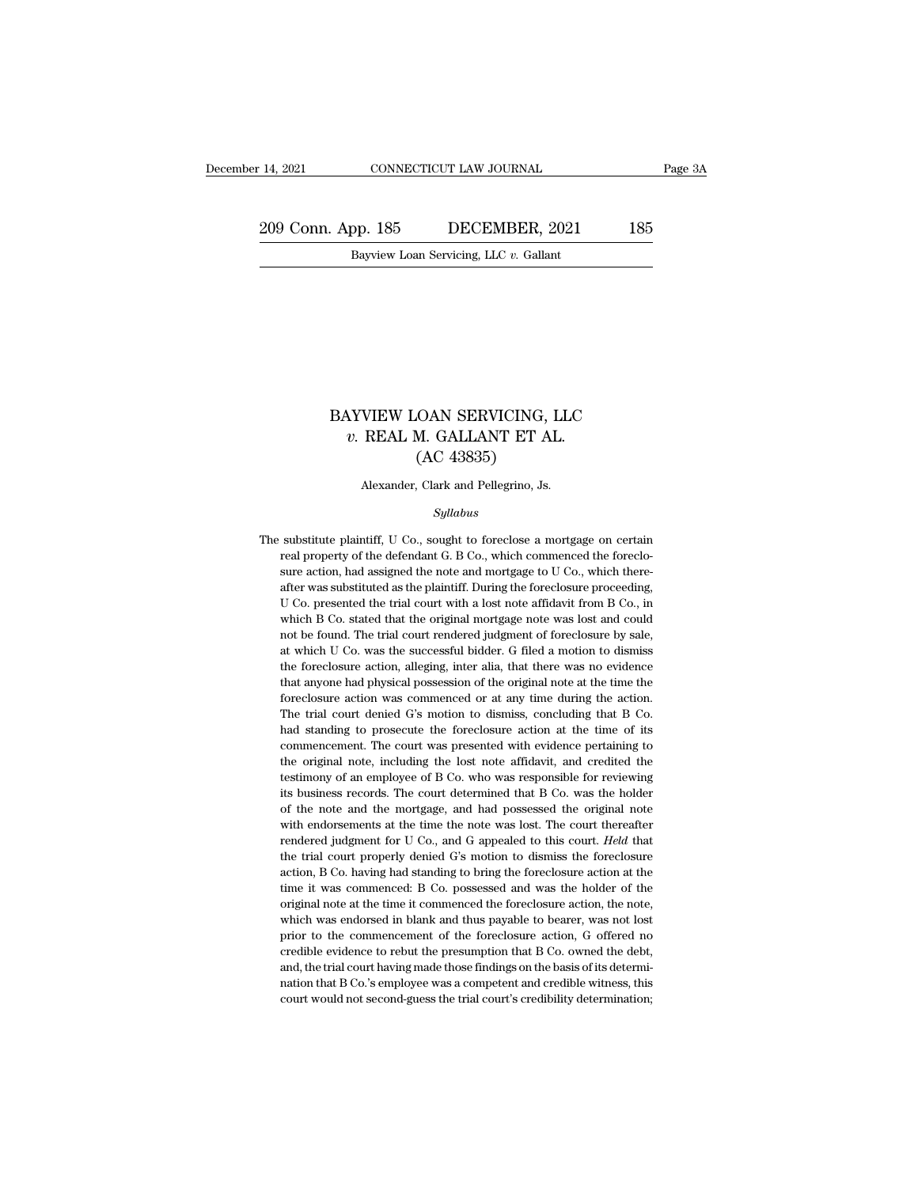14, 2021 CONNECTICUT LAW JOURNAL Page 3A<br>
209 Conn. App. 185 DECEMBER, 2021 185<br>
Bayview Loan Servicing, LLC v. Gallant EXECTICUT LAW JOURNAL<br>Bayview Loan Servicing, LLC *v.* Gallant<br>Bayview Loan Servicing, LLC *v.* Gallant

### $\begin{minipage}{0.5\linewidth} {\bf BAYVIEW LOAN SERVICING, LLC} \end{minipage}$  w. REAL M. GALLANT ET AL. *v.* REAL M. GALLANT ET AL. (AC 43835) CAN SERVICING,<br>M. GALLANT ET A<br>(AC 43835)<br>, Clark and Pellegrino, Js. BAYVIEW LOAN SERVICING, LLC  $v$ . REAL M. GALLANT ET AL. (AC 43835)<br>(AC 43835)<br>Alexander, Clark and Pellegrino, Js.

### *Syllabus*

 $(AC 43835)$ <br>Alexander, Clark and Pellegrino, Js.<br> $Syllabus$ <br>The substitute plaintiff, U Co., sought to foreclose a mortgage on certain<br>real property of the defendant G. B Co., which commenced the foreclo-Alexander, Clark and Pellegrino, Js.<br>
Syllabus<br>
substitute plaintiff, U Co., sought to foreclose a mortgage on certain<br>
real property of the defendant G. B Co., which commenced the foreclo-<br>
sure action, had assigned the n Alexander, Clark and Pellegrino, Js.<br>
Syllabus<br>
substitute plaintiff, U Co., sought to foreclose a mortgage on certain<br>
real property of the defendant G. B Co., which commenced the foreclo-<br>
sure action, had assigned the n *Syllabus*<br>substitute plaintiff, U Co., sought to foreclose a mortgage on certain<br>real property of the defendant G. B Co., which commenced the foreclo-<br>sure action, had assigned the note and mortgage to U Co., which there symmus<br>substitute plaintiff, U Co., sought to foreclose a mortgage on certain<br>real property of the defendant G. B Co., which commenced the foreclo-<br>sure action, had assigned the note and mortgage to U Co., which there-<br>aft substitute plaintiff, U Co., sought to foreclose a mortgage on certain<br>real property of the defendant G. B Co., which commenced the foreclo-<br>sure action, had assigned the note and mortgage to U Co., which there-<br>after was real property of the defendant G. B Co., which commenced the foreclosure action, had assigned the note and mortgage to U Co., which thereafter was substituted as the plaintiff. During the foreclosure proceeding, U Co. pres sure action, had assigned the note and mortgage to U Co., which thereafter was substituted as the plaintiff. During the foreclosure proceeding, U Co. presented the trial court with a lost note affidavit from B Co., in whic after was substituted as the plaintiff. During the foreclosure proceeding, U Co. presented the trial court with a lost note affidavit from B Co., in which B Co. stated that the original mortgage note was lost and could not U Co. presented the trial court with a lost note affidavit from B Co., in which B Co. stated that the original mortgage note was lost and could not be found. The trial court rendered judgment of foreclosure by sale, at wh U Co. presented the trial court with a lost note affidavit from B Co., in which B Co. stated that the original mortgage note was lost and could not be found. The trial court rendered judgment of foreclosure by sale, at whi not be found. The trial court rendered judgment of foreclosure by sale, at which U Co. was the successful bidder. G filed a motion to dismiss the foreclosure action, alleging, inter alia, that there was no evidence that an at which U Co. was the successful bidder. G filed a motion to dismiss<br>the foreclosure action, alleging, inter alia, that there was no evidence<br>that anyone had physical possession of the original note at the time the<br>forecl the foreclosure action, alleging, inter alia, that there was no evidence that anyone had physical possession of the original note at the time the foreclosure action was commenced or at any time during the action. The trial that anyone had physical possession of the original note at the time the foreclosure action was commenced or at any time during the action. The trial court denied G's motion to dismiss, concluding that B Co. had standing t foreclosure action was commenced or at any time during the action.<br>The trial court denied G's motion to dismiss, concluding that B Co.<br>had standing to prosecute the foreclosure action at the time of its<br>commencement. The c The trial court denied G's motion to dismiss, concluding that B Co.<br>had standing to prosecute the foreclosure action at the time of its<br>commencement. The court was presented with evidence pertaining to<br>the original note, i had standing to prosecute the foreclosure action at the time of its commencement. The court was presented with evidence pertaining to the original note, including the lost note affidavit, and credited the testimony of an e commencement. The court was presented with evidence pertaining to the original note, including the lost note affidavit, and credited the testimony of an employee of B Co. who was responsible for reviewing its business reco the original note, including the lost note affidavit, and credited the testimony of an employee of B Co. who was responsible for reviewing its business records. The court determined that B Co. was the holder of the note an testimony of an employee of B Co. who was responsible for reviewing<br>its business records. The court determined that B Co. was the holder<br>of the note and the mortgage, and had possessed the original note<br>with endorsements a its business records. The court determined that B Co. was the holder of the note and the mortgage, and had possessed the original note with endorsements at the time the note was lost. The court thereafter rendered judgment of the note and the mortgage, and had possessed the original note with endorsements at the time the note was lost. The court thereafter rendered judgment for U Co., and G appealed to this court. *Held* that the trial court with endorsements at the time the note was lost. The court thereafter rendered judgment for U Co., and G appealed to this court. *Held* that the trial court properly denied G's motion to dismiss the foreclosure action, B C rendered judgment for U Co., and G appealed to this court. *Held* that the trial court properly denied G's motion to dismiss the foreclosure action, B Co. having had standing to bring the foreclosure action at the time it the trial court properly denied G's motion to dismiss the foreclosure action, B Co. having had standing to bring the foreclosure action at the time it was commenced: B Co. possessed and was the holder of the original note action, B Co. having had standing to bring the foreclosure action at the time it was commenced: B Co. possessed and was the holder of the original note at the time it commenced the foreclosure action, the note, which was e action, B Co. having had standing to bring the foreclosure action at the time it was commenced: B Co. possessed and was the holder of the original note at the time it commenced the foreclosure action, the note, which was e original note at the time it commenced the foreclosure action, the note, which was endorsed in blank and thus payable to bearer, was not lost prior to the commencement of the foreclosure action, G offered no credible evide which was endorsed in blank and thus payable to bearer, was not lost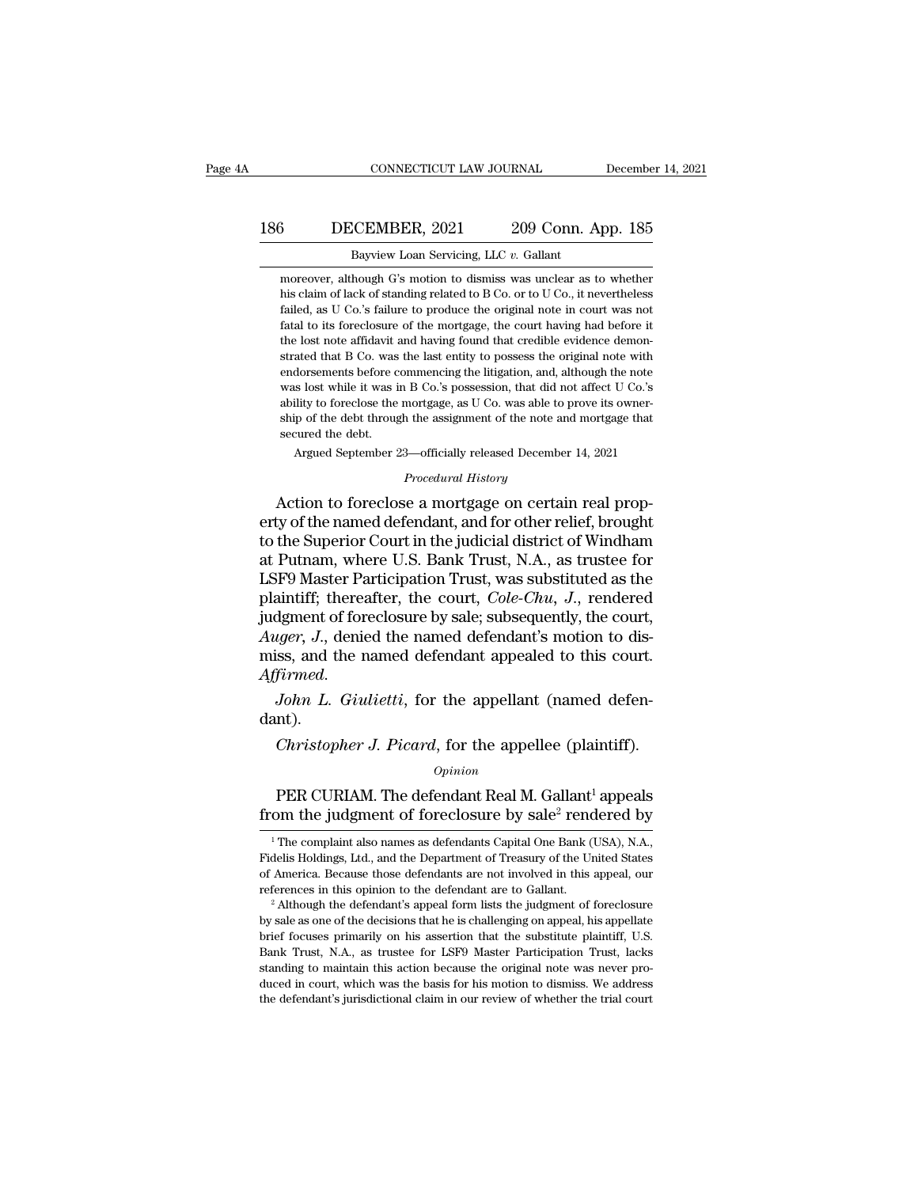### 186 CONNECTICUT LAW JOURNAL December 14, 2021<br>186 DECEMBER, 2021 209 Conn. App. 185<br>Bayview Loan Servicing, LLC v. Gallant CONNECTICUT LAW JOURNAL Decembe<br>Bayview Loan Servicing, LLC *v.* Gallant<br>Bayview Loan Servicing, LLC *v.* Gallant<br>moreover, although G's motion to dismiss was unclear as to whether

3<br>
DECEMBER, 2021 209 Conn. App. 185<br>
Bayview Loan Servicing, LLC v. Gallant<br>
moreover, although G's motion to dismiss was unclear as to whether<br>
his claim of lack of standing related to B Co. or to U Co., it nevertheless **his claim of lack of standing related to B Co.** Or to U Co., it nevertheless failed, as U Co.'s failure to produce the original note in court was not **failed, as U Co.'s failure to produce the original 209 Conn.** App. 185 Bayview Loan Servicing, LLC  $v$ . Gallant moreover, although G's motion to dismiss was unclear as to whether his claim of lack of standing related to Father Hausday Bayview Loan Servicing, LLC  $v$ . Gallant<br>
moreover, although G's motion to dismiss was unclear as to whether<br>
his claim of lack of standing related to B Co. or to U Co., it nevertheless<br>
failed, as U Co.'s Bayview Loan Servicing, LLC v. Gallant<br>moreover, although G's motion to dismiss was unclear as to whether<br>his claim of lack of standing related to B Co. or to U Co., it nevertheless<br>failed, as U Co.'s failure to produce th moreover, although G's motion to dismiss was unclear as to whether<br>his claim of lack of standing related to B Co. or to U Co., it nevertheless<br>failed, as U Co.'s failure to produce the original note in court was not<br>fatal moreover, analog at a model to diameted to B Co. or to U Co., it nevertheless failed, as U Co.'s failure to produce the original note in court was not fatal to its foreclosure of the mortgage, the court having had before mas claim of neck of standing related to  $B$  Co. of to  $C$  Co., it increases failed, as U Co.'s failure to produce the original note in court was not fatal to its foreclosure of the mortgage, the court having had before it fatal to its foreclosure of the mortgage, the court having had before it<br>the lost note affidavit and having found that credible evidence demon-<br>strated that B Co. was the last entity to possess the original note with<br>endor ship of the debt.<br>Ship of the defidavit and having found that credible evidence demonstrated that B Co. was the last entity to possess the original note with<br>endorsements before commencing the litigation, and, although the strated that B Co. was<br>endorsements before c<br>was lost while it was i<br>ability to foreclose the<br>ship of the debt throug<br>secured the debt.<br>Argued September 2 dorsements before commencing the litigation, and, although the note<br>is lost while it was in B Co.'s possession, that did not affect U Co.'s<br>litiy to foreclose the mortgage, as U Co. was able to prove its owner-<br>p of the de ability to foreclose the mortgage, as U Co. was able to prove its owner-<br> *Procedural History* of the debt through the assignment of the note and mortgage that<br> *Procedural History*<br> *Procedural History*<br> **Action to forecl** was lost while it was in B Co.'s possession, that did not affect U Co.'s<br>ability to foreclose the mortgage, as U Co. was able to prove its owner-<br>ship of the debt through the assignment of the note and mortgage that<br>secure

ability to foreclose the mortgage, as U Co. was able to prove its owner-<br>ship of the debt through the assignment of the note and mortgage that<br>secured the debt.<br>Argued September 23—officially released December 14, 2021<br>*Pr* ship of the debt through the assignment of the note and mortgage that<br>secured the debt.<br>Argued September 23—officially released December 14, 2021<br>*Procedural History*<br>Action to foreclose a mortgage on certain real prop-<br>er Argued September 23—officially released December 14, 2021<br>*Procedural History*<br>Action to foreclose a mortgage on certain real prop-<br>erty of the named defendant, and for other relief, brought<br>to the Superior Court in the ju *Procedural History*<br>*Procedural History*<br>Action to foreclose a mortgage on certain real prop-<br>erty of the named defendant, and for other relief, brought<br>to the Superior Court in the judicial district of Windham<br>at Putnam, *Procedural History*<br>Action to foreclose a mortgage on certain real prop-<br>erty of the named defendant, and for other relief, brought<br>to the Superior Court in the judicial district of Windham<br>at Putnam, where U.S. Bank Trus Action to foreclose a mortgage on certain real property of the named defendant, and for other relief, brought to the Superior Court in the judicial district of Windham at Putnam, where U.S. Bank Trust, N.A., as trustee fo erty of the named defendant, and for other relief, brought<br>to the Superior Court in the judicial district of Windham<br>at Putnam, where U.S. Bank Trust, N.A., as trustee for<br>LSF9 Master Participation Trust, was substituted a to the Superior Court in the judicial district of Windham<br>at Putnam, where U.S. Bank Trust, N.A., as trustee for<br>LSF9 Master Participation Trust, was substituted as the<br>plaintiff; thereafter, the court, *Cole-Chu*, J., ren LSF9 Master Participation Trust, was substituted as the plaintiff; thereafter, the court, *Cole-Chu*, *J*., rendered judgment of foreclosure by sale; subsequently, the court, *Auger*, *J.*, denied the named defendant's mot *Christopher J. Picard*, for the appellee (plaintiff).<br>*Christopher J. Picard*, for the appellant (named defendent).<br>*Christopher J. Picard*, for the appellee (plaintiff).<br>*Christopher J. Picard*, for the appellee (plainti

dant). Firmed.<br>
John L. Giulietti, for the appellant (named defen-<br>
nt).<br>
Christopher J. Picard, for the appellee (plaintiff).<br>
opinion<br>
PER CURIAM. The defendant Real M. Gallant<sup>1</sup> appeals<br>
om the judgment of foreclosure by sale *John L. Giulietti*, for the appellant (named defendant).<br> *Christopher J. Picard*, for the appellee (plaintiff).<br> *Opinion*<br>
PER CURIAM. The defendant Real M. Gallant<sup>1</sup> appeals<br>
from the judgment of foreclosure by sale<sup></sup>

### *Opinion*

Opinion<br>
1 The complaint also names as defendant Real M. Gallant<sup>1</sup> appeals<br>
1 The complaint also names as defendants Capital One Bank (USA), N.A.,<br>
1 The complaint also names as defendants Capital One Bank (USA), N.A.,<br>
d

*Opinion*<br>
FER CURIAM. The defendant Real M. Gallant<sup>1</sup> appeals<br>
from the judgment of foreclosure by sale<sup>2</sup> rendered by<br>
<sup>1</sup>The complaint also names as defendants Capital One Bank (USA), N.A.,<br>
Fidelis Holdings, Ltd., an PER CURIAM. The defendant Real M. Gallant<sup>1</sup> appeals<br>from the judgment of foreclosure by sale<sup>2</sup> rendered by<br> $\frac{1}{1}$ The complaint also names as defendants Capital One Bank (USA), N.A.,<br>Fidelis Holdings, Ltd., and the De From the judgment of foreclosure by sale<sup>2</sup> rendered by<br>
<sup>1</sup> The complaint also names as defendants Capital One Bank (USA), N.A.,<br>
Fidelis Holdings, Ltd., and the Department of Treasury of the United States<br>
of America. B <sup>1</sup> The complaint also names as defendants Capital One Bank (USA), N.A., Fidelis Holdings, Ltd., and the Department of Treasury of the United States of America. Because those defendants are not involved in this appeal, ou

<sup>&</sup>lt;sup>1</sup> The complaint also names as defendants Capital One Bank (USA), N.A., Fidelis Holdings, Ltd., and the Department of Treasury of the United States of America. Because those defendants are not involved in this appeal, ou % of America. Because those defendants are not involved in this appeal, our references in this opinion to the defendant are to Gallant.<br>
<sup>2</sup> Although the defendant's appeal form lists the judgment of foreclosure by sale a standing to maintain this action because the distanding the defendant of foreclosure <sup>2</sup> Although the defendant's appeal form lists the judgment of foreclosure by sale as one of the decisions that he is challenging on appe <sup>2</sup> Although the defendant's appeal form lists the judgment of foreclosure by sale as one of the decisions that he is challenging on appeal, his appellate brief focuses primarily on his assertion that the substitute plaint by sale as one of the decisions that he is challenging on appeal, his appellate brief focuses primarily on his assertion that the substitute plaintiff, U.S. Bank Trust, N.A., as trustee for LSF9 Master Participation Trust,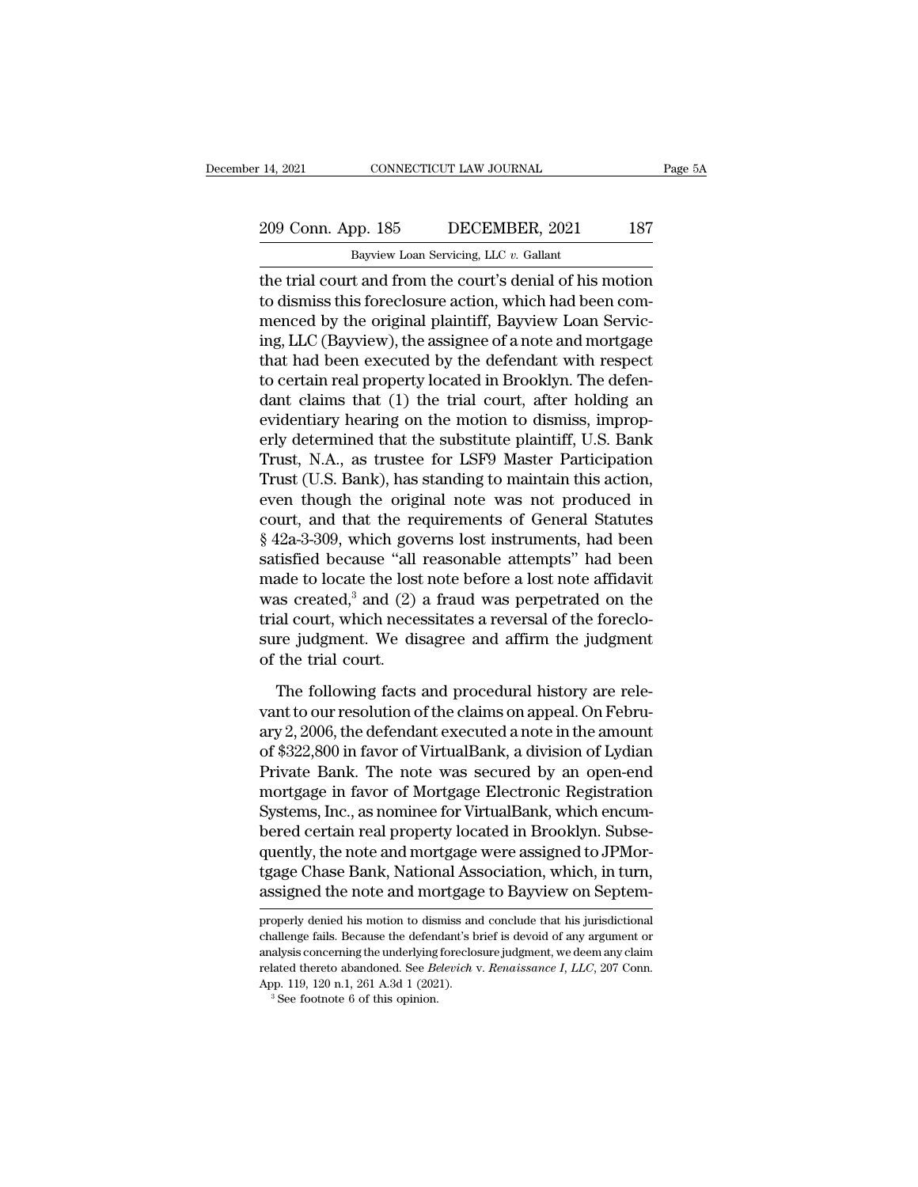# 14, 2021 CONNECTICUT LAW JOURNAL Page 5A<br>209 Conn. App. 185 DECEMBER, 2021 187<br>Bayview Loan Servicing, LLC v. Gallant

Eq. 14, 2021 CONNECTICUT LAW JOURNAL<br>
209 Conn. App. 185 DECEMBER, 2021 187<br>
Bayview Loan Servicing, LLC *v.* Gallant<br>
the trial court and from the court's denial of his motion 14, 2021 CONNECTICUT LAW JOURNAL Page 5A<br>
209 Conn. App. 185 DECEMBER, 2021 187<br>
Bayview Loan Servicing, LLC  $v$ . Gallant<br>
the trial court and from the court's denial of his motion<br>
to dismiss this foreclosure action, whi 209 Conn. App. 185 DECEMBER, 2021 187<br>Bayview Loan Servicing, LLC v. Gallant<br>the trial court and from the court's denial of his motion<br>to dismiss this foreclosure action, which had been com-<br>menced by the original plaintif 209 Conn. App. 185 DECEMBER, 2021 187<br>Bayview Loan Servicing, LLC v. Gallant<br>the trial court and from the court's denial of his motion<br>to dismiss this foreclosure action, which had been com-<br>menced by the original plainti 209 Conn. App. 185 DECEMBER, 2021 187<br>
Bayview Loan Servicing, LLC  $v$ . Gallant<br>
the trial court and from the court's denial of his motion<br>
to dismiss this foreclosure action, which had been com-<br>
menced by the original p Bayview Loan Servicing, LLC  $v$ . Gallant<br>the trial court and from the court's denial of his motion<br>to dismiss this foreclosure action, which had been com-<br>menced by the original plaintiff, Bayview Loan Servic-<br>ing, LLC (B Baywew Loan servicing, LLC v. Ganant<br>the trial court and from the court's denial of his motion<br>to dismiss this foreclosure action, which had been com-<br>menced by the original plaintiff, Bayview Loan Servic-<br>ing, LLC (Bayvie the trial court and from the court's denial of his motion<br>to dismiss this foreclosure action, which had been com-<br>menced by the original plaintiff, Bayview Loan Servic-<br>ing, LLC (Bayview), the assignee of a note and mortga to dismiss this foreclosure action, which had been com-<br>menced by the original plaintiff, Bayview Loan Servic-<br>ing, LLC (Bayview), the assignee of a note and mortgage<br>that had been executed by the defendant with respect<br>to menced by the original plaintiff, Bayview Loan Servic-<br>ing, LLC (Bayview), the assignee of a note and mortgage<br>that had been executed by the defendant with respect<br>to certain real property located in Brooklyn. The defen-<br>d ing, LLC (Bayview), the assignee of a note and mortgage<br>that had been executed by the defendant with respect<br>to certain real property located in Brooklyn. The defen-<br>dant claims that (1) the trial court, after holding an<br>e that had been executed by the defendant with respect<br>to certain real property located in Brooklyn. The defen-<br>dant claims that (1) the trial court, after holding an<br>evidentiary hearing on the motion to dismiss, improp-<br>erl to certain real property located in Brooklyn. The defen-<br>dant claims that (1) the trial court, after holding an<br>evidentiary hearing on the motion to dismiss, improp-<br>erly determined that the substitute plaintiff, U.S. Bank dant claims that (1) the trial court, after holding an<br>evidentiary hearing on the motion to dismiss, improp-<br>erly determined that the substitute plaintiff, U.S. Bank<br>Trust, N.A., as trustee for LSF9 Master Participation<br>Tr evidentiary hearing on the motion to dismiss, improperly determined that the substitute plaintiff, U.S. Bank<br>Trust, N.A., as trustee for LSF9 Master Participation<br>Trust (U.S. Bank), has standing to maintain this action,<br>ev erly determined that the substitute plaintiff, U.S. Bank<br>Trust, N.A., as trustee for LSF9 Master Participation<br>Trust (U.S. Bank), has standing to maintain this action,<br>even though the original note was not produced in<br>cour Trust, N.A., as trustee for LSF9 Master Participation<br>Trust (U.S. Bank), has standing to maintain this action,<br>even though the original note was not produced in<br>court, and that the requirements of General Statutes<br> $\$  42 Trust (U.S. Bank), has standing to maintain this action,<br>even though the original note was not produced in<br>court, and that the requirements of General Statutes<br> $$ 42a-3-309$ , which governs lost instruments, had been<br>satis even though the original note was not produced in<br>court, and that the requirements of General Statutes<br>§ 42a-3-309, which governs lost instruments, had been<br>satisfied because "all reasonable attempts" had been<br>made to loca court, and that the requirements of General Statutes  $§$  42a-3-309, which governs lost instruments, had been satisfied because "all reasonable attempts" had been made to locate the lost note before a lost note affidavit w  $\S$  42a-3-309, which gov<br>satisfied because "all<br>made to locate the lost<br>was created,<sup>3</sup> and (2)<br>trial court, which neces<br>sure judgment. We dis<br>of the trial court.<br>The following facts ade to locate the lost note before a lost note affidavit<br>as created,<sup>3</sup> and (2) a fraud was perpetrated on the<br>al court, which necessitates a reversal of the foreclo-<br>re judgment. We disagree and affirm the judgment<br>the t was created,<sup>3</sup> and (2) a fraud was perpetrated on the<br>trial court, which necessitates a reversal of the foreclo-<br>sure judgment. We disagree and affirm the judgment<br>of the trial court.<br>The following facts and procedural h

trial court, which necessitates a reversal of the foreclo-<br>sure judgment. We disagree and affirm the judgment<br>of the trial court.<br>The following facts and procedural history are rele-<br>vant to our resolution of the claims on sure judgment. We disagree and affirm the judgment<br>of the trial court.<br>The following facts and procedural history are rele-<br>vant to our resolution of the claims on appeal. On Febru-<br>ary 2, 2006, the defendant executed a no of the trial court.<br>The following facts and procedural history are relevant to our resolution of the claims on appeal. On February 2, 2006, the defendant executed a note in the amount<br>of \$322,800 in favor of VirtualBank, a The following facts and procedural history are relevant to our resolution of the claims on appeal. On February 2, 2006, the defendant executed a note in the amount of \$322,800 in favor of VirtualBank, a division of Lydian The following facts and procedural history are rele-<br>vant to our resolution of the claims on appeal. On Febru-<br>ary 2, 2006, the defendant executed a note in the amount<br>of \$322,800 in favor of VirtualBank, a division of Lyd vant to our resolution of the claims on appeal. On February 2, 2006, the defendant executed a note in the amount of \$322,800 in favor of VirtualBank, a division of Lydian Private Bank. The note was secured by an open-end m ary 2, 2006, the defendant executed a note in the amount<br>of \$322,800 in favor of VirtualBank, a division of Lydian<br>Private Bank. The note was secured by an open-end<br>mortgage in favor of Mortgage Electronic Registration<br>Sys of \$322,800 in favor of VirtualBank, a division of Lydian<br>Private Bank. The note was secured by an open-end<br>mortgage in favor of Mortgage Electronic Registration<br>Systems, Inc., as nominee for VirtualBank, which encum-<br>bere Private Bank. The note was secured by an open-end<br>mortgage in favor of Mortgage Electronic Registration<br>Systems, Inc., as nominee for VirtualBank, which encum-<br>bered certain real property located in Brooklyn. Subse-<br>quentl bered certain real property located in Brooklyn. Subsequently, the note and mortgage were assigned to JPMortgage Chase Bank, National Association, which, in turn, assigned the note and mortgage to Bayview on Septemproperly

tgage Chase Bank, National Association, which, in turn,<br>assigned the note and mortgage to Bayview on Septem-<br>properly denied his motion to dismiss and conclude that his jurisdictional<br>challenge fails. Because the defendant tgage Chase Bank, National Association, which, in turn,<br>assigned the note and mortgage to Bayview on Septem-<br>properly denied his motion to dismiss and conclude that his jurisdictional<br>challenge fails. Because the defendant assigned the note and mortgage to Bayview on Septem-<br>properly denied his motion to dismiss and conclude that his jurisdictional<br>challenge fails. Because the defendant's brief is devoid of any argument or<br>analysis concernin Example of the fibre and filomiss and properly denied his motion to dismiss and challenge fails. Because the defendant's b analysis concerning the underlying foreclose related thereto abandoned. See *Belevich* v App. 119,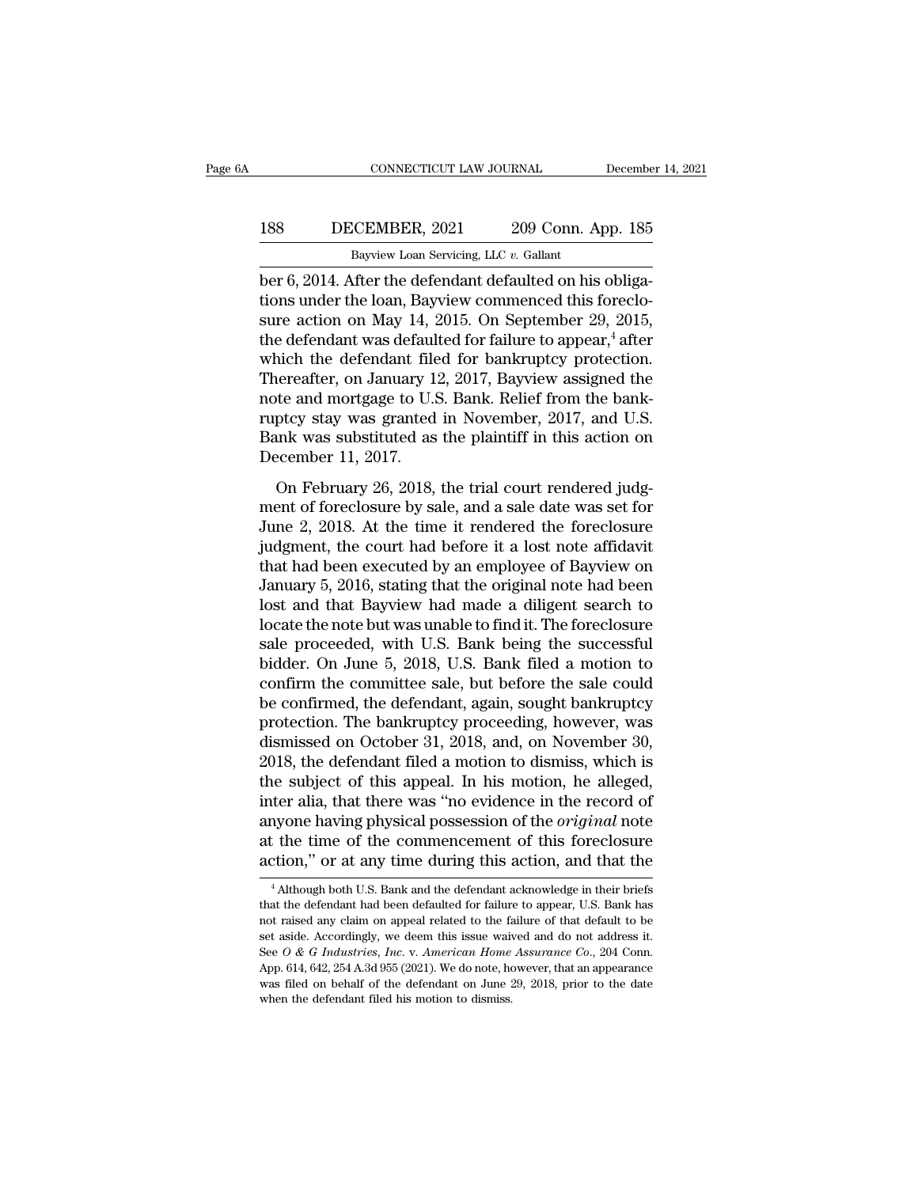### 188 DECEMBER, 2021 209 Conn. App. 185<br>Bayliew Loan Servicing, LLC v. Gallant CONNECTICUT LAW JOURNAL Decembe<br>Bayview Loan Servicing, LLC *v.* Gallant<br>December 6, 2014. After the defendant defaulted on his obliga-

CONNECTICUT LAW JOURNAL December<br>188 DECEMBER, 2021 209 Conn. App. 185<br>Bayview Loan Servicing, LLC v. Gallant<br>Der 6, 2014. After the defendant defaulted on his obliga-<br>tions under the loan, Bayview commenced this foreclo-<br> 188 DECEMBER, 2021 209 Conn. App. 185<br>Bayview Loan Servicing, LLC v. Gallant<br>Der 6, 2014. After the defendant defaulted on his obliga-<br>tions under the loan, Bayview commenced this foreclo-<br>sure action on May 14, 2015. On S 188 DECEMBER, 2021 209 Conn. App. 185<br>Bayview Loan Servicing, LLC  $v$ . Gallant<br>ber 6, 2014. After the defendant defaulted on his obliga-<br>tions under the loan, Bayview commenced this foreclo-<br>sure action on May 14, 2015. O 188 DECEMBER, 2021 209 Conn. App. 185<br>
Bayview Loan Servicing, LLC  $v$ . Gallant<br>
ber 6, 2014. After the defendant defaulted on his obliga-<br>
tions under the loan, Bayview commenced this foreclo-<br>
sure action on May 14, 201 Bayview Loan Servicing, LLC v. Gallant<br>
ber 6, 2014. After the defendant defaulted on his obliga-<br>
tions under the loan, Bayview commenced this foreclo-<br>
sure action on May 14, 2015. On September 29, 2015,<br>
the defendant Bayview Loan Servicing, LLC  $v$ . Gallant<br>ber 6, 2014. After the defendant defaulted on his obliga-<br>tions under the loan, Bayview commenced this foreclo-<br>sure action on May 14, 2015. On September 29, 2015,<br>the defendant wa ber 6, 2014. After the defendant defaulted on his obligations under the loan, Bayview commenced this foreclosure action on May 14, 2015. On September 29, 2015, the defendant was defaulted for failure to appear,<sup>4</sup> after wh tions under the loan, Bayview commenced this foreclo-<br>sure action on May 14, 2015. On September 29, 2015,<br>the defendant was defaulted for failure to appear,<sup>4</sup> after<br>which the defendant filed for bankruptcy protection.<br>The sure action on May 14, 2015. On September 29, 2015,<br>the defendant was defaulted for failure to appear,<sup>4</sup> after<br>which the defendant filed for bankruptcy protection.<br>Thereafter, on January 12, 2017, Bayview assigned the<br>not the defendant was defaul<br>which the defendant file<br>Thereafter, on January 1<br>note and mortgage to U.S<br>ruptcy stay was granted<br>Bank was substituted as<br>December 11, 2017.<br>On February 26, 2018, ereafter, on January 12, 2017, Bayview assigned the<br>te and mortgage to U.S. Bank. Relief from the bank-<br>ptcy stay was granted in November, 2017, and U.S.<br>unk was substituted as the plaintiff in this action on<br>ecember 11, mercuries, on summary 12, 2011, 2017, 2019 and assigned are<br>note and mortgage to U.S. Bank. Relief from the bank-<br>ruptcy stay was granted in November, 2017, and U.S.<br>Bank was substituted as the plaintiff in this action on

France and Intergage to each Edmin Lefter Hom the stand<br>ruptcy stay was granted in November, 2017, and U.S.<br>Bank was substituted as the plaintiff in this action on<br>December 11, 2017.<br>On February 26, 2018, the trial court r Example, back was substituted as the plaintiff in this action on<br>December 11, 2017.<br>On February 26, 2018, the trial court rendered judg-<br>ment of foreclosure by sale, and a sale date was set for<br>June 2, 2018. At the time i December 11, 2017.<br>
On February 26, 2018, the trial court rendered judg-<br>
ment of foreclosure by sale, and a sale date was set for<br>
June 2, 2018. At the time it rendered the foreclosure<br>
judgment, the court had before it a December 11, 2011.<br>
On February 26, 2018, the trial court rendered judg-<br>
ment of foreclosure by sale, and a sale date was set for<br>
June 2, 2018. At the time it rendered the foreclosure<br>
judgment, the court had before it a On February 26, 2018, the trial court rendered judgment of foreclosure by sale, and a sale date was set for June 2, 2018. At the time it rendered the foreclosure judgment, the court had before it a lost note affidavit tha ment of foreclosure by sale, and a sale date was set for<br>June 2, 2018. At the time it rendered the foreclosure<br>judgment, the court had before it a lost note affidavit<br>that had been executed by an employee of Bayview on<br>Jan June 2, 2018. At the time it rendered the foreclosure<br>judgment, the court had before it a lost note affidavit<br>that had been executed by an employee of Bayview on<br>January 5, 2016, stating that the original note had been<br>los judgment, the court had before it a lost note affidavit<br>that had been executed by an employee of Bayview on<br>January 5, 2016, stating that the original note had been<br>lost and that Bayview had made a diligent search to<br>locat that had been executed by an employee of Bayview on<br>January 5, 2016, stating that the original note had been<br>lost and that Bayview had made a diligent search to<br>locate the note but was unable to find it. The foreclosure<br>sa January 5, 2016, stating that the original note had been<br>lost and that Bayview had made a diligent search to<br>locate the note but was unable to find it. The foreclosure<br>sale proceeded, with U.S. Bank being the successful<br>bi lost and that Bayview had made a diligent search to<br>locate the note but was unable to find it. The foreclosure<br>sale proceeded, with U.S. Bank being the successful<br>bidder. On June 5, 2018, U.S. Bank filed a motion to<br>confir locate the note but was unable to find it. The foreclosure<br>sale proceeded, with U.S. Bank being the successful<br>bidder. On June 5, 2018, U.S. Bank filed a motion to<br>confirm the committee sale, but before the sale could<br>be c sale proceeded, with U.S. Bank being the successful<br>bidder. On June 5, 2018, U.S. Bank filed a motion to<br>confirm the committee sale, but before the sale could<br>be confirmed, the defendant, again, sought bankruptcy<br>protectio bidder. On June 5, 2018, U.S. Bank filed a motion to<br>confirm the committee sale, but before the sale could<br>be confirmed, the defendant, again, sought bankruptcy<br>protection. The bankruptcy proceeding, however, was<br>dismissed confirm the committee sale, but before the sale could<br>be confirmed, the defendant, again, sought bankruptcy<br>protection. The bankruptcy proceeding, however, was<br>dismissed on October 31, 2018, and, on November 30,<br>2018, the be confirmed, the defendant, again, sought bankruptcy<br>protection. The bankruptcy proceeding, however, was<br>dismissed on October 31, 2018, and, on November 30,<br>2018, the defendant filed a motion to dismiss, which is<br>the subj protection. The bankruptcy proceeding, however, was<br>dismissed on October 31, 2018, and, on November 30,<br>2018, the defendant filed a motion to dismiss, which is<br>the subject of this appeal. In his motion, he alleged,<br>inter a dismissed on October 31, 2018, and, on November 30,<br>2018, the defendant filed a motion to dismiss, which is<br>the subject of this appeal. In his motion, he alleged,<br>inter alia, that there was "no evidence in the record of<br>an ter ana, that there was "no evidence in the record of<br>nyone having physical possession of the *original* note<br>tion," or at any time during this action, and that the<br><sup>4</sup> Although both U.S. Bank and the defendant acknowledge anyone having physical possession of the *original* note at the time of the commencement of this foreclosure action," or at any time during this action, and that the  $\frac{4 \text{ Although both U.S. Bank and the defendant acknowledge in their briefs}$  that the defendant had been de

at the time of the commencement of this foreclosure<br>action," or at any time during this action, and that the<br><sup>4</sup> Although both U.S. Bank and the defendant acknowledge in their briefs<br>that the defendant had been defaulted f action," or at any time during this action, and that the  $\frac{4 \text{ Although both U.S. Bank and the defendant acknowledge in their briefs that the defendant had been defaudted for failure to appear, U.S. Bank has not raised any claim on appeal related to the failure of that default to be set aside. Accordingly, we seem this issue waited and do not address it. See  $O & G$  Industries, Inc. v. American Home Assume Co., 204 Conn. App. 614, 642, 254 A.3d 955 (2021). We do note, however, that an appearance$ that the defendant had been defaulted for failure to appear, U.S. Bank has not raised any claim on appeal related to the failure of that default to be set aside. Accordingly, we deem this issue waived and do not address i <sup>4</sup> Although both U.S. Bank and the defendant acknowledge in their briefs that the defendant had been defaulted for failure to appear, U.S. Bank has not raised any claim on appeal related to the failure of that default to that the defendant had been defaulted for failure to appear, U.S. Bank has not raised any claim on appeal related to the failure of that default to be set aside. Accordingly, we deem this issue waived and do not address i not raised any claim on appeal related to the failure of that default to be set aside. Accordingly, we deem this issue waived and do not address it. See  $O & G$  Industries, Inc. v. American Home Assurance  $Co$ , 204 Conn. A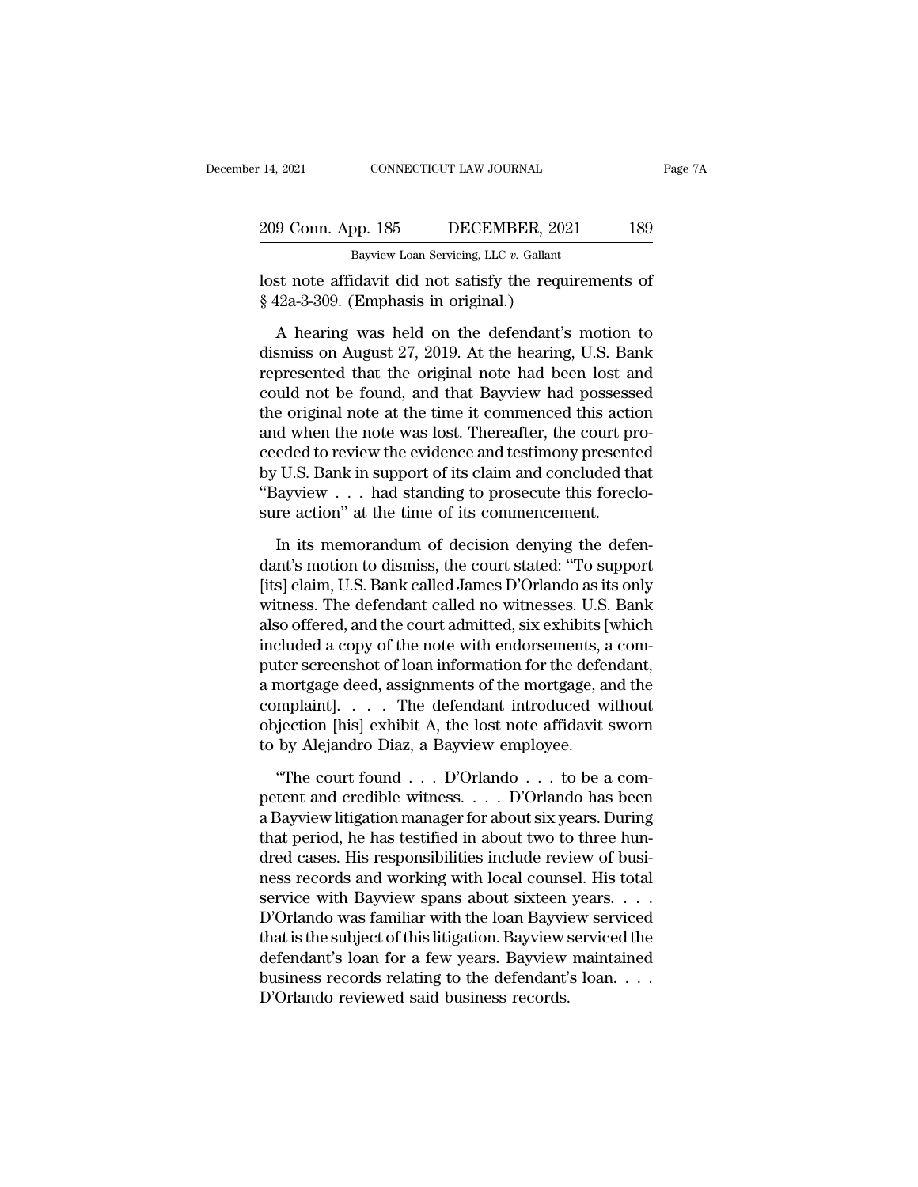| : 14, 2021         | CONNECTICUT LAW JOURNAL                | Page 7A |
|--------------------|----------------------------------------|---------|
| 209 Conn. App. 185 | DECEMBER, 2021                         | 189     |
|                    | Bayview Loan Servicing, LLC v. Gallant |         |

14, 2021 CONNECTICUT LAW JOURNAL<br>
209 Conn. App. 185 DECEMBER, 2021<br>
<sup>Bayview Loan Servicing, LLC *v*. Gallant<br>
lost note affidavit did not satisfy the requiren<br>
§ 42a-3-309. (Emphasis in original.)<br>
A hearing was held on </sup> 14, 2021 CONNECTICUT LAW JOURNAL Page 71<br>
209 Conn. App. 185 DECEMBER, 2021 189<br>
Bayview Loan Servicing, LLC v. Gallant<br>
lost note affidavit did not satisfy the requirements of<br>
§ 42a-3-309. (Emphasis in original.)

9 Conn. App. 185 DECEMBER, 2021 189<br>
Bayview Loan Servicing, LLC v. Gallant<br>
st note affidavit did not satisfy the requirements of<br>
12a-3-309. (Emphasis in original.)<br>
A hearing was held on the defendant's motion to<br>
smis  $\frac{\text{Bayview Loan Servicing, LLC } v. \text{ Gallant}}{\text{Post note affidavit did not satisfy the requirements of}}$ <br>
saywiew Loan Servicing, LLC  $v.$  Gallant<br>
States of the formulation of the hearing was held on the defendant's motion to<br>
dismiss on August 27, 2019. At the hearing, U.S. Bank<br>
re Bayview Loan Servicing, LLC  $v$ . Gallant<br>
lost note affidavit did not satisfy the requirements of<br>
§ 42a-3-309. (Emphasis in original.)<br>
A hearing was held on the defendant's motion to<br>
dismiss on August 27, 2019. At the lost note affidavit did not satisfy the requirements of  $\S$  42a-3-309. (Emphasis in original.)<br>A hearing was held on the defendant's motion to<br>dismiss on August 27, 2019. At the hearing, U.S. Bank<br>represented that the orig  $\S$  42a-3-309. (Emphasis in original.)<br>
A hearing was held on the defendant's motion to<br>
dismiss on August 27, 2019. At the hearing, U.S. Bank<br>
represented that the original note had been lost and<br>
could not be found, and A hearing was held on the defendant's motion to<br>dismiss on August 27, 2019. At the hearing, U.S. Bank<br>represented that the original note had been lost and<br>could not be found, and that Bayview had possessed<br>the original not A hearing was held on the defendant's motion to<br>dismiss on August 27, 2019. At the hearing, U.S. Bank<br>represented that the original note had been lost and<br>could not be found, and that Bayview had possessed<br>the original not dismiss on August 27, 2019. At the hearing, U.S. Bank<br>represented that the original note had been lost and<br>could not be found, and that Bayview had possessed<br>the original note at the time it commenced this action<br>and when represented that the original note had been lost and could not be found, and that Bayview had possessed<br>the original note at the time it commenced this action<br>and when the note was lost. Thereafter, the court pro-<br>ceeded t could not be found, and that Bayview had possesss<br>the original note at the time it commenced this action<br>and when the note was lost. Thereafter, the court pr<br>ceeded to review the evidence and testimony present<br>by U.S. Bank d when the note was lost. Thereafter, the court pro-<br>eded to review the evidence and testimony presented<br>U.S. Bank in support of its claim and concluded that<br>layview . . . had standing to prosecute this foreclo-<br>re action" ceeded to review the evidence and testimony presented<br>by U.S. Bank in support of its claim and concluded that<br>"Bayview . . . had standing to prosecute this foreclo-<br>sure action" at the time of its commencement.<br>In its memo

by U.S. Bank in support of its claim and concluded that "Bayview . . . had standing to prosecute this foreclo-<br>sure action" at the time of its commencement.<br>In its memorandum of decision denying the defen-<br>dant's motion to "Bayview . . . had standing to prosecute this foreclo-<br>sure action" at the time of its commencement.<br>In its memorandum of decision denying the defen-<br>dant's motion to dismiss, the court stated: "To support<br>[its] claim, U.S sure action" at the time of its commencement.<br>
In its memorandum of decision denying the defen-<br>
dant's motion to dismiss, the court stated: "To support<br>
[its] claim, U.S. Bank called James D'Orlando as its only<br>
witness. In its memorandum of decision denying the defendant's motion to dismiss, the court stated: "To support [its] claim, U.S. Bank called James D'Orlando as its only witness. The defendant called no witnesses. U.S. Bank also of In its memorandum of decision denying the defen-<br>dant's motion to dismiss, the court stated: "To support<br>[its] claim, U.S. Bank called James D'Orlando as its only<br>witness. The defendant called no witnesses. U.S. Bank<br>also dant's motion to dismiss, the court stated: "To support<br>[its] claim, U.S. Bank called James D'Orlando as its only<br>witness. The defendant called no witnesses. U.S. Bank<br>also offered, and the court admitted, six exhibits [wh [its] claim, U.S. Bank called James D'Orlando as its only<br>witness. The defendant called no witnesses. U.S. Bank<br>also offered, and the court admitted, six exhibits [which<br>included a copy of the note with endorsements, a com witness. The defendant called no witnesses. U.S. Bank<br>also offered, and the court admitted, six exhibits [which<br>included a copy of the note with endorsements, a com-<br>puter screenshot of loan information for the defendant,<br> also offered, and the court admitted, six exhibits [included a copy of the note with endorsements, a<br>puter screenshot of loan information for the defen<br>a mortgage deed, assignments of the mortgage, a<br>complaint]. . . . . Th the screenshot of loan information for the defendant,<br>
mortgage deed, assignments of the mortgage, and the<br>
mplaint]. . . . . The defendant introduced without<br>
jection [his] exhibit A, the lost note affidavit sworn<br>
by Ale a mortgage deed, assignments of the mortgage, and the<br>complaint]. . . . . The defendant introduced without<br>objection [his] exhibit A, the lost note affidavit sworn<br>to by Alejandro Diaz, a Bayview employee.<br>"The court foun

complaint]. . . . The defendant introduced without<br>objection [his] exhibit A, the lost note affidavit sworn<br>to by Alejandro Diaz, a Bayview employee.<br>"The court found . . . D'Orlando . . . to be a com-<br>petent and credible objection [his] exhibit A, the lost note affidavit sworn<br>to by Alejandro Diaz, a Bayview employee.<br>"The court found . . . D'Orlando . . . to be a com-<br>petent and credible witness. . . . D'Orlando has been<br>a Bayview litigat to by Alejandro Diaz, a Bayview employee.<br>
"The court found . . . D'Orlando . . . to be a competent and credible witness. . . . D'Orlando has been<br>
a Bayview litigation manager for about six years. During<br>
that period, he "The court found . . . D'Orlando . . . to be a competent and credible witness. . . . D'Orlando has been<br>a Bayview litigation manager for about six years. During<br>that period, he has testified in about two to three hun-<br>dre "The court found . . . D'Orlando . . . to be a competent and credible witness. . . . D'Orlando has been<br>a Bayview litigation manager for about six years. During<br>that period, he has testified in about two to three hun-<br>dre petent and credible witness. . . . D'Orlando has been<br>a Bayview litigation manager for about six years. During<br>that period, he has testified in about two to three hun-<br>dred cases. His responsibilities include review of bus a Bayview litigation manager for about six years. During<br>that period, he has testified in about two to three hun-<br>dred cases. His responsibilities include review of busi-<br>ness records and working with local counsel. His to that period, he has testified in about two to three hun-<br>dred cases. His responsibilities include review of busi-<br>ness records and working with local counsel. His total<br>service with Bayview spans about sixteen years. . . . dred cases. His responsibilities include review of business records and working with local counsel. His total<br>service with Bayview spans about sixteen years. . . . D'Orlando was familiar with the loan Bayview serviced<br>that ness records and working with local couns<br>service with Bayview spans about sixteen<br>D'Orlando was familiar with the loan Bayvie<br>that is the subject of this litigation. Bayview<br>defendant's loan for a few years. Bayview<br>busin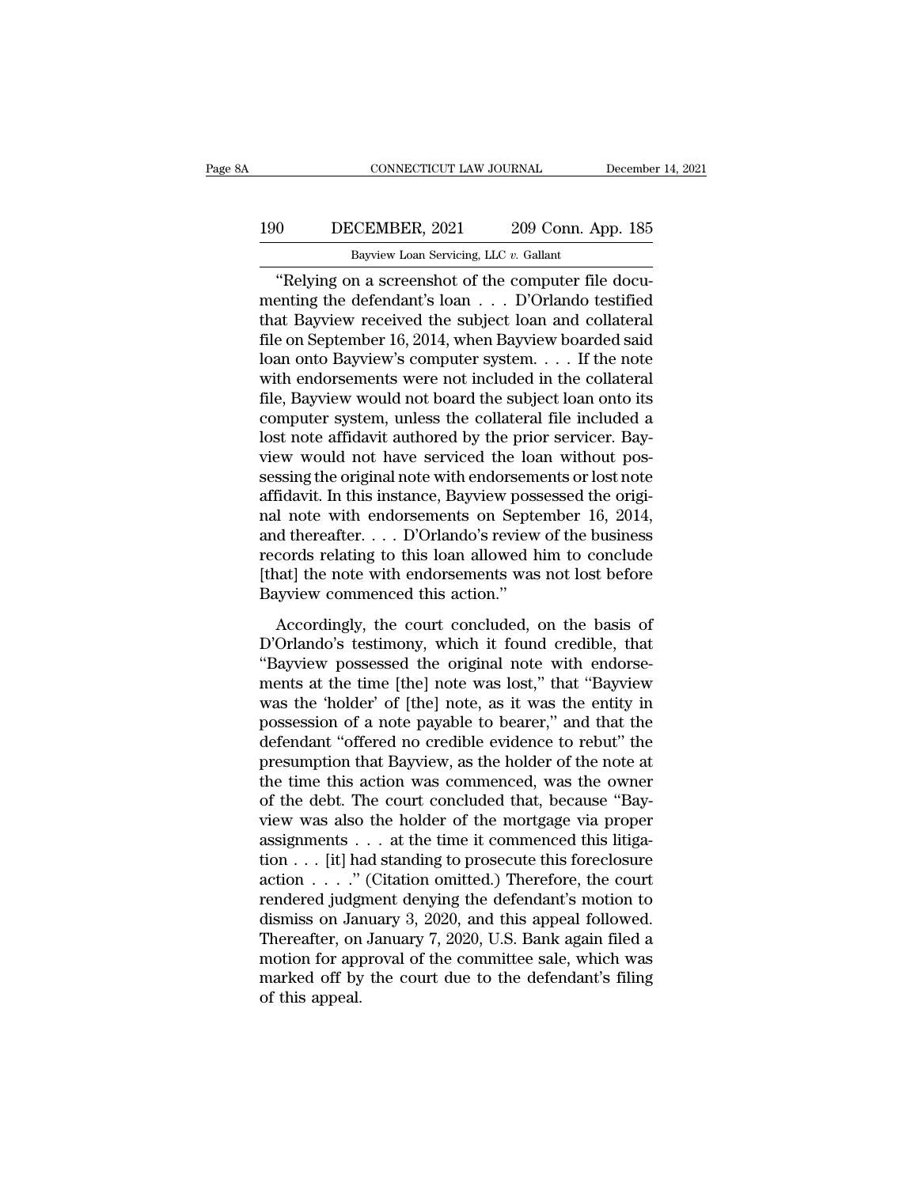### 190 CONNECTICUT LAW JOURNAL December 14, 2021<br>190 DECEMBER, 2021 209 Conn. App. 185<br>Bayview Loan Servicing, LLC v. Gallant CONNECTICUT LAW JOURNAL Decembe<br>Bayview Loan Servicing, LLC *v.* Gallant<br>"Relying on a screenshot of the computer file docu-

CONNECTICUT LAW JOURNAL December<br>
0 DECEMBER, 2021 209 Conn. App. 185<br>
Bayview Loan Servicing, LLC v. Gallant<br>
"Relying on a screenshot of the computer file docu-<br>
enting the defendant's loan . . . D'Orlando testified<br>
at mention of the defendant of the defendant's loan . . . . D'Orlando testified<br>that Bayview received the defendant's loan . . . . D'Orlando testified<br>that Bayview received the subject loan and collateral<br>file on Sontember 16 190 DECEMBER, 2021 209 Conn. App. 185<br>Bayview Loan Servicing, LLC  $v$ . Gallant<br>
"Relying on a screenshot of the computer file documenting the defendant's loan  $\ldots$  D'Orlando testified<br>
that Bayview received the subject l Filter 16, 2021 and 209 Conn. App. 185<br>Bayview Loan Servicing, LLC v. Gallant<br>
"Relying on a screenshot of the computer file documenting the defendant's loan . . . D'Orlando testified<br>
that Bayview received the subject lo Bayview Loan Servicing, LLC v. Gallant<br>
"Relying on a screenshot of the computer file documenting the defendant's loan . . . D'Orlando testified<br>
that Bayview received the subject loan and collateral<br>
file on September 16, Baywew Loan Servicing, LLC  $v$ . Gallant<br>
"Relying on a screenshot of the computer file docu-<br>
menting the defendant's loan  $\ldots$  D'Orlando testified<br>
that Bayview received the subject loan and collateral<br>
file on Septembe "Relying on a screenshot of the computer file documenting the defendant's loan  $\ldots$  D'Orlando testified<br>that Bayview received the subject loan and collateral<br>file on September 16, 2014, when Bayview boarded said<br>loan ont menting the defendant's loan  $\ldots$  D'Orlando testified<br>that Bayview received the subject loan and collateral<br>file on September 16, 2014, when Bayview boarded said<br>loan onto Bayview's computer system.  $\ldots$  If the note<br>wit that Bayview received the subject loan and collateral file on September 16, 2014, when Bayview boarded said loan onto Bayview's computer system.  $\dots$  If the note with endorsements were not included in the collateral file, file on September 16, 2014, when Bayview boarded said<br>loan onto Bayview's computer system. . . . If the note<br>with endorsements were not included in the collateral<br>file, Bayview would not board the subject loan onto its<br>com loan onto Bayview's computer system.  $\dots$  If the note<br>with endorsements were not included in the collateral<br>file, Bayview would not board the subject loan onto its<br>computer system, unless the collateral file included a<br>lo with endorsements were not included in the collateral<br>file, Bayview would not board the subject loan onto its<br>computer system, unless the collateral file included a<br>lost note affidavit authored by the prior servicer. Bay-<br> file, Bayview would not board the subject loan onto its<br>computer system, unless the collateral file included a<br>lost note affidavit authored by the prior servicer. Bay-<br>view would not have serviced the loan without pos-<br>ses computer system, unless the collateral file included a<br>lost note affidavit authored by the prior servicer. Bay-<br>view would not have serviced the loan without pos-<br>sessing the original note with endorsements or lost note<br>af lost note affidavit authored by the prior servicer. Bay-<br>view would not have serviced the loan without pos-<br>sessing the original note with endorsements or lost note<br>affidavit. In this instance, Bayview possessed the origiview would not have serviced the loan without pos-<br>sessing the original note with endorsements or lost note<br>affidavit. In this instance, Bayview possessed the origi-<br>nal note with endorsements on September 16, 2014,<br>and th sessing the original note with endorsem<br>affidavit. In this instance, Bayview poss<br>nal note with endorsements on Septe<br>and thereafter.... D'Orlando's review<br>records relating to this loan allowed h<br>[that] the note with endor Accordingly, the court concluded, on the basis of<br>Orlando's text of the business<br>cords relating to this loan allowed him to conclude<br>aat] the note with endorsements was not lost before<br>tyview commenced this action."<br>Accor and thereafter.  $\ldots$  D'Orlando's review of the business<br>records relating to this loan allowed him to conclude<br>[that] the note with endorsements was not lost before<br>Bayview commenced this action."<br>Accordingly, the court c

Freedom Section 1993 and distributed the original network of the substracts records relating to this loan allowed him to conclude (that) the note with endorsements was not lost before Bayview commenced this action."<br>Accor records reading to and four different and to conclude<br>
[that] the note with endorsements was not lost before<br>
Bayview commenced this action."<br>
Accordingly, the court concluded, on the basis of<br>
D'Orlando's testimony, which Bayview commenced this action."<br>Bayview commenced this action."<br>D'Orlando's testimony, which it found credible, that<br>"Bayview possessed the original note with endorse-<br>ments at the time [the] note was lost," that "Bayview<br> East ich contributed and action.<br>
Accordingly, the court concluded, on the basis of<br>
D'Orlando's testimony, which it found credible, that<br>
"Bayview possessed the original note with endorse-<br>
ments at the time [the] note wa Accordingly, the court concluded, on the basis of<br>D'Orlando's testimony, which it found credible, that<br>"Bayview possessed the original note with endorse-<br>ments at the time [the] note was lost," that "Bayview<br>was the 'holde D'Orlando's testimony, which it found credible, that "Bayview possessed the original note with endorse-<br>ments at the time [the] note was lost," that "Bayview<br>was the 'holder' of [the] note, as it was the entity in<br>possessi "Bayview possessed the original note with endorse-<br>ments at the time [the] note was lost," that "Bayview<br>was the 'holder' of [the] note, as it was the entity in<br>possession of a note payable to bearer," and that the<br>defenda ments at the time [the] note was lost," that "Bayview<br>was the 'holder' of [the] note, as it was the entity in<br>possession of a note payable to bearer," and that the<br>defendant "offered no credible evidence to rebut" the<br>pres was the 'holder' of [the] note, as it was the entity in possession of a note payable to bearer," and that the defendant "offered no credible evidence to rebut" the presumption that Bayview, as the holder of the note at th possession of a note payable to bearer," and that the defendant "offered no credible evidence to rebut" the presumption that Bayview, as the holder of the note at the time this action was commenced, was the owner of the d defendant "offered no credible evidence to rebut" the<br>presumption that Bayview, as the holder of the note at<br>the time this action was commenced, was the owner<br>of the debt. The court concluded that, because "Bay-<br>view was a presumption that Bayview, as the holder of the note at<br>the time this action was commenced, was the owner<br>of the debt. The court concluded that, because "Bay-<br>view was also the holder of the mortgage via proper<br>assignments the time this action was commenced, was the owner<br>of the debt. The court concluded that, because "Bay-<br>view was also the holder of the mortgage via proper<br>assignments . . . at the time it commenced this litiga-<br>tion . . . % of the debt. The court concluded that, because "Bay-<br>view was also the holder of the mortgage via proper<br>assignments . . . at the time it commenced this litiga-<br>tion . . . . . " (Citation omitted.) Therefore, the court<br> view was also the holder of the mortgage via proper<br>assignments . . . at the time it commenced this litiga-<br>tion . . . . ." (Citation omitted.) Therefore, the court<br>rendered judgment denying the defendant's motion to<br>dism assignments  $\ldots$  at the time it commenced this litigation  $\ldots$  [it] had standing to prosecute this foreclosure action  $\ldots$  ." (Citation omitted.) Therefore, the court rendered judgment denying the defendant's motion to tion . . . [it] had standing to prosecute this foreclosure<br>action . . . ." (Citation omitted.) Therefore, the court<br>rendered judgment denying the defendant's motion to<br>dismiss on January 3, 2020, and this appeal followed. action . . . . ."<br>rendered judg<br>dismiss on Jar<br>Thereafter, on<br>motion for app<br>marked off by<br>of this appeal.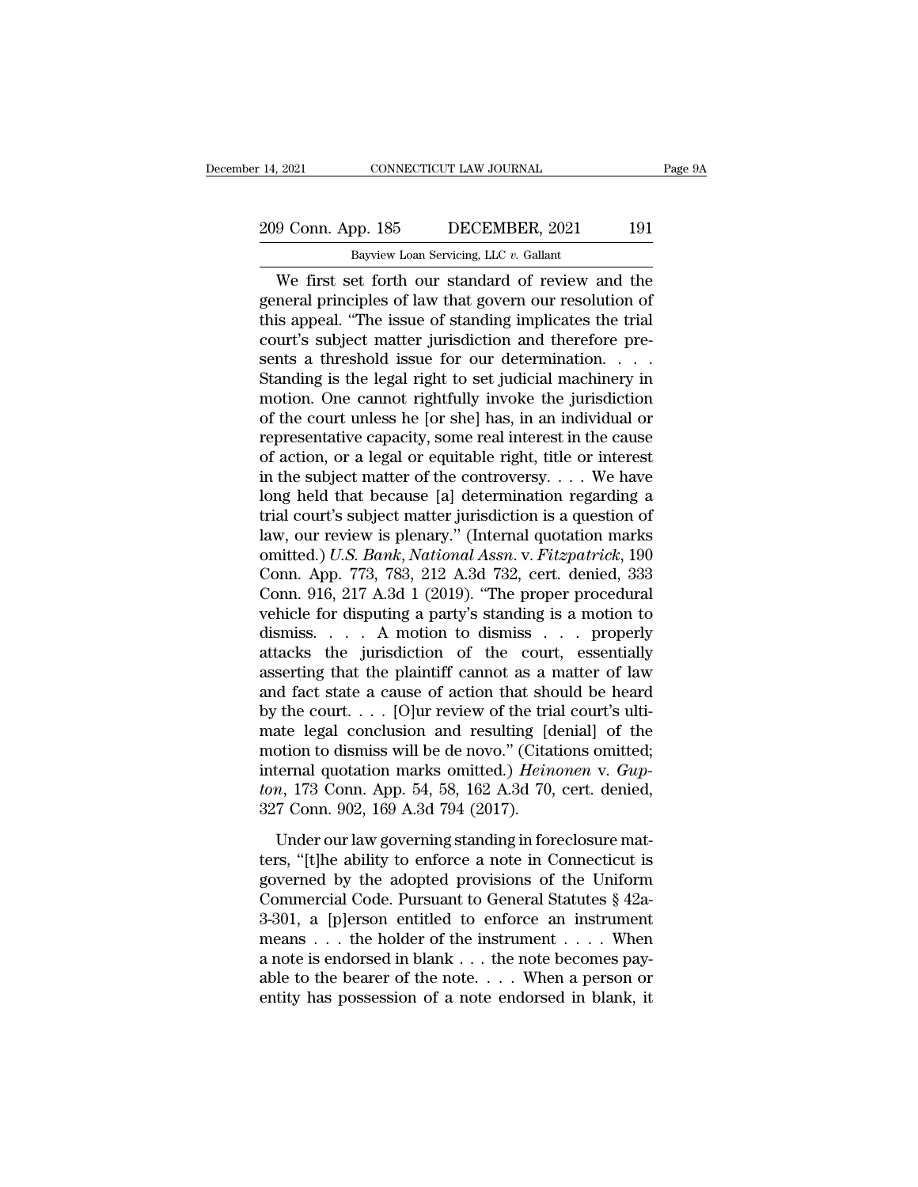# 14, 2021 CONNECTICUT LAW JOURNAL Page 9A<br>
209 Conn. App. 185 DECEMBER, 2021 191<br>
Bayview Loan Servicing, LLC v. Gallant

Eq. 14, 2021 CONNECTICUT LAW JOURNAL<br>
209 Conn. App. 185 DECEMBER, 2021 191<br>
Bayview Loan Servicing, LLC *v.* Gallant<br>
We first set forth our standard of review and the  $\frac{1}{2021}$  CONNECTICUT LAW JOURNAL Page 9A<br>  $\frac{9}{2021}$  Conn. App. 185 DECEMBER, 2021 191<br>
Bayview Loan Servicing, LLC v. Gallant<br>
We first set forth our standard of review and the<br>
neral principles of law that govern 209 Conn. App. 185 DECEMBER, 2021 191<br>Bayview Loan Servicing, LLC v. Gallant<br>We first set forth our standard of review and the<br>general principles of law that govern our resolution of<br>this appeal. "The issue of standing imp 209 Conn. App. 185 DECEMBER, 2021 191<br>
Bayview Loan Servicing, LLC  $v$ . Gallant<br>
We first set forth our standard of review and the<br>
general principles of law that govern our resolution of<br>
this appeal. "The issue of stand 209 Conn. App. 185 DECEMBER, 2021 191<br>Bayview Loan Servicing, LLC v. Gallant<br>We first set forth our standard of review and the<br>general principles of law that govern our resolution of<br>this appeal. "The issue of standing im Bayview Loan Servicing, LLC  $v$ . Gallant<br>
We first set forth our standard of review and the<br>
general principles of law that govern our resolution of<br>
this appeal. "The issue of standing implicates the trial<br>
court's subje Baywew Loan Servieng, LLC  $v$ . Gallant<br>
We first set forth our standard of review and the<br>
general principles of law that govern our resolution of<br>
this appeal. "The issue of standing implicates the trial<br>
court's subject We first set forth our standard of review and the<br>general principles of law that govern our resolution of<br>this appeal. "The issue of standing implicates the trial<br>court's subject matter jurisdiction and therefore pre-<br>sent general principles of law that govern our resolution of<br>this appeal. "The issue of standing implicates the trial<br>court's subject matter jurisdiction and therefore pre-<br>sents a threshold issue for our determination. . . . . this appeal. "The issue of standing implicates the trial<br>court's subject matter jurisdiction and therefore pre-<br>sents a threshold issue for our determination. . . . .<br>Standing is the legal right to set judicial machinery of action, or a legal or equitable right, title or interest in the subject matter of the controversy. . . . We have Standing is the legal right to set judicial machinery in<br>motion. One cannot rightfully invoke the jurisdiction<br>of the court unless he [or she] has, in an individual or<br>representative capacity, some real interest in the ca motion. One cannot rightfully invoke the jurisdiction<br>of the court unless he [or she] has, in an individual or<br>representative capacity, some real interest in the cause<br>of action, or a legal or equitable right, title or in of the court unless he [or she] has, in an individual or<br>representative capacity, some real interest in the cause<br>of action, or a legal or equitable right, title or interest<br>in the subject matter of the controversy.... We representative capacity, some real interest in the cause<br>of action, or a legal or equitable right, title or interest<br>in the subject matter of the controversy. . . . We have<br>long held that because [a] determination regardin of action, or a legal or equitable right, title or interest<br>in the subject matter of the controversy. . . . We have<br>long held that because [a] determination regarding a<br>trial court's subject matter jurisdiction is a quest in the subject matter of the controversy. . . . We have<br>long held that because [a] determination regarding a<br>trial court's subject matter jurisdiction is a question of<br>law, our review is plenary." (Internal quotation mark long held that because [a] determination regarding a<br>trial court's subject matter jurisdiction is a question of<br>law, our review is plenary." (Internal quotation marks<br>omitted.) U.S. Bank, National Assn. v. Fitzpatrick, 19 trial court's subject matter jurisdiction is a question of<br>law, our review is plenary." (Internal quotation marks<br>omitted.) U.S. Bank, National Assn. v. Fitzpatrick, 190<br>Conn. App. 773, 783, 212 A.3d 732, cert. denied, 333 law, our review is plenary." (Internal quotation marks<br>omitted.) U.S. Bank, National Assn. v. Fitzpatrick, 190<br>Conn. App. 773, 783, 212 A.3d 732, cert. denied, 333<br>Conn. 916, 217 A.3d 1 (2019). "The proper procedural<br>vehic omitted.) U.S. Bank, National Assn. v. Fitzpatrick, 190<br>Conn. App. 773, 783, 212 A.3d 732, cert. denied, 333<br>Conn. 916, 217 A.3d 1 (2019). "The proper procedural<br>vehicle for disputing a party's standing is a motion to<br>dism Conn. App. 773, 783, 212 A.3d 732, cert. denied, 333<br>
Conn. 916, 217 A.3d 1 (2019). "The proper procedural<br>
vehicle for disputing a party's standing is a motion to<br>
dismiss.... A motion to dismiss ... properly<br>
attacks th Conn. 916, 217 A.3d 1 (2019). "The proper procedural vehicle for disputing a party's standing is a motion to dismiss.... A motion to dismiss ... properly attacks the jurisdiction of the court, essentially asserting that t vehicle for disputing a party's standing is a motion to<br>dismiss.... A motion to dismiss ... properly<br>attacks the jurisdiction of the court, essentially<br>asserting that the plaintiff cannot as a matter of law<br>and fact state dismiss.... A motion to dismiss ... properly<br>attacks the jurisdiction of the court, essentially<br>asserting that the plaintiff cannot as a matter of law<br>and fact state a cause of action that should be heard<br>by the court.... attacks the jurisdiction of the court, essentially<br>asserting that the plaintiff cannot as a matter of law<br>and fact state a cause of action that should be heard<br>by the court.... [O]ur review of the trial court's ulti-<br>mate asserting that the plaintiff cannot as a matter of law<br>and fact state a cause of action that should be heard<br>by the court.... [O]ur review of the trial court's ulti-<br>mate legal conclusion and resulting [denial] of the<br>moti and fact state a cause of action that show the court. . . . [O]ur review of the tria mate legal conclusion and resulting [d motion to dismiss will be de novo." (Citat internal quotation marks omitted.) *Hein* ton, 173 Con and the solution of the diameters and the distributed in the otion to dismiss will be de novo." (Citations omitted; ternal quotation marks omitted.) *Heinonen* v. *Gupn*, 173 Conn. App. 54, 58, 162 A.3d 70, cert. denied, mate regar concluded and resulting [dental] or are<br>motion to dismiss will be de novo." (Citations omitted;<br>internal quotation marks omitted.) *Heinonen* v. *Gupton*, 173 Conn. App. 54, 58, 162 A.3d 70, cert. denied,<br>327 C

internal quotation marks omitted.) *Heinonen* v. *Gupton*, 173 Conn. App. 54, 58, 162 A.3d 70, cert. denied, 327 Conn. 902, 169 A.3d 794 (2017).<br>Under our law governing standing in foreclosure matters, "[t]he ability to e From, 173 Conn. App. 54, 58, 162 A.3d 70, cert. denied, 327 Conn. 902, 169 A.3d 794 (2017).<br>Under our law governing standing in foreclosure matters, "[t]he ability to enforce a note in Connecticut is governed by the adopt 327 Conn. 902, 169 A.3d 794 (2017).<br>327 Conn. 902, 169 A.3d 794 (2017).<br>Under our law governing standing in foreclosure mat-<br>ters, "[t]he ability to enforce a note in Connecticut is<br>governed by the adopted provisions of t Under our law governing standing in foreclosure matters, "[t]he ability to enforce a note in Connecticut is governed by the adopted provisions of the Uniform Commercial Code. Pursuant to General Statutes  $\S$  42a-3-301, a Under our law governing standing in foreclosure mat-<br>ters, "[t]he ability to enforce a note in Connecticut is<br>governed by the adopted provisions of the Uniform<br>Commercial Code. Pursuant to General Statutes § 42a-<br>3-301, a ters, "[t]he ability to enforce a note in Connecticut is<br>governed by the adopted provisions of the Uniform<br>Commercial Code. Pursuant to General Statutes § 42a-<br>3-301, a [p]erson entitled to enforce an instrument<br>means . . governed by the adopted provisions of the Uniform<br>Commercial Code. Pursuant to General Statutes  $\S$  42a-<br>3-301, a [p]erson entitled to enforce an instrument<br>means . . . the holder of the instrument . . . . When<br>a note is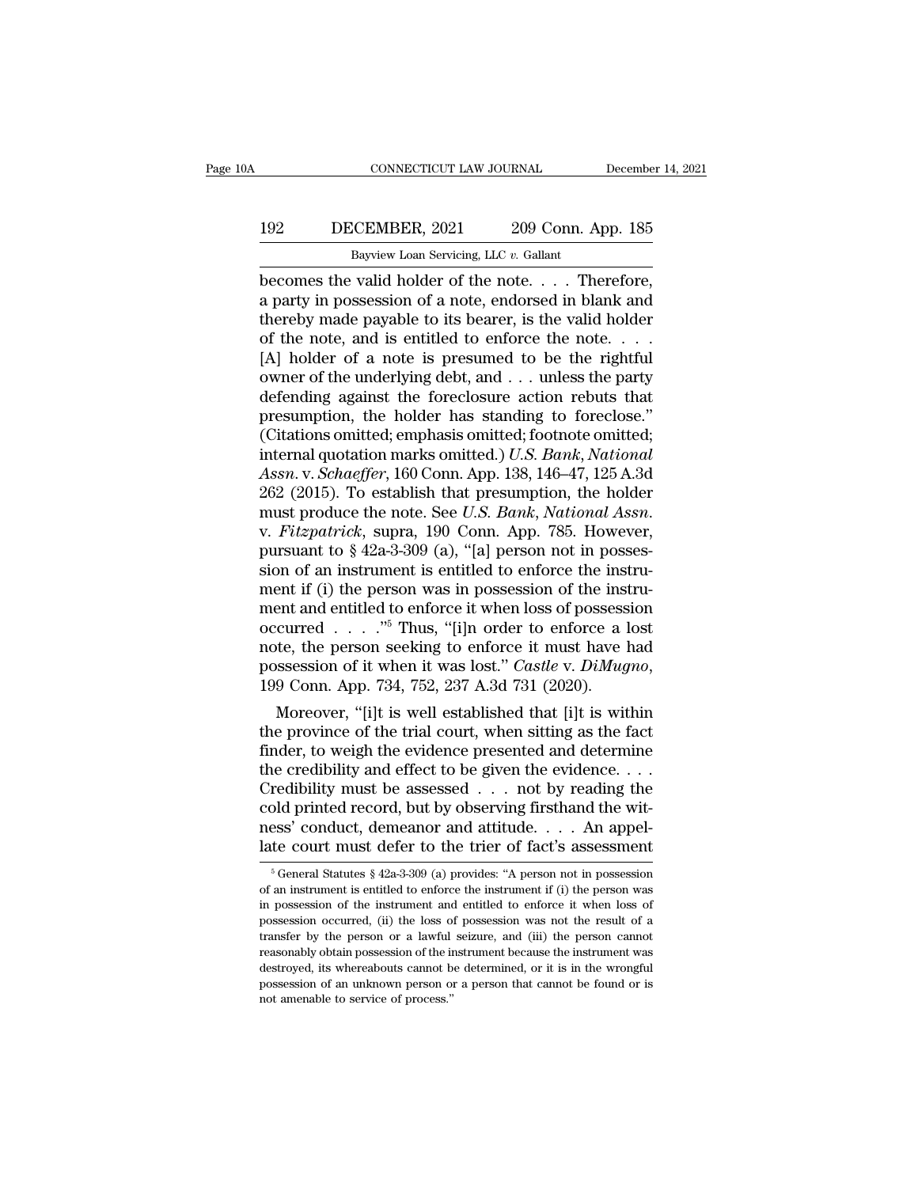### 192 CONNECTICUT LAW JOURNAL December 14, 2021<br>192 DECEMBER, 2021 209 Conn. App. 185<br>192 Bayview Loan Servicing, LLC v. Gallant CONNECTICUT LAW JOURNAL Decembe<br>Bayview Loan Servicing, LLC *v.* Gallant<br>Bayview Loan Servicing, LLC *v.* Gallant<br>Decomes the valid holder of the note.... Therefore,

CONNECTICUT LAW JOURNAL December 14, 2<br>
DECEMBER, 2021 209 Conn. App. 185<br>
Bayview Loan Servicing, LLC v. Gallant<br>
becomes the valid holder of the note. . . . Therefore,<br>
a party in possession of a note, endorsed in blank DECEMBER, 2021 209 Conn. App. 185<br>Bayview Loan Servicing, LLC v. Gallant<br>becomes the valid holder of the note.... Therefore,<br>a party in possession of a note, endorsed in blank and<br>thereby made payable to its bearer, is the 192 DECEMBER, 2021 209 Conn. App. 185<br>Bayview Loan Servicing, LLC  $v$ . Gallant<br>becomes the valid holder of the note.... Therefore,<br>a party in possession of a note, endorsed in blank and<br>thereby made payable to its bearer, DECEMBER, 2021 209 Conn. App. 185<br>Bayview Loan Servicing, LLC  $v$ . Gallant<br>becomes the valid holder of the note. . . . Therefore,<br>a party in possession of a note, endorsed in blank and<br>thereby made payable to its bearer, EXECTINGLEY, 2021 200 001.1. They recently a paytive Loan Servicing, LLC v. Gallant<br>becomes the valid holder of the note.... Therefore, a party in possession of a note, endorsed in blank and thereby made payable to its be Bayview Loan Servicing, LLC  $v$ . Gallant<br>becomes the valid holder of the note.... Therefore,<br>a party in possession of a note, endorsed in blank and<br>thereby made payable to its bearer, is the valid holder<br>of the note, and becomes the valid holder of the note. . . . Therefore,<br>a party in possession of a note, endorsed in blank and<br>thereby made payable to its bearer, is the valid holder<br>of the note, and is entitled to enforce the note. . . . a party in possession of a note, endorsed in blank and<br>thereby made payable to its bearer, is the valid holder<br>of the note, and is entitled to enforce the note....<br>[A] holder of a note is presumed to be the rightful<br>owner thereby made payable to its bearer, is the valid holder<br>of the note, and is entitled to enforce the note. . . .<br>[A] holder of a note is presumed to be the rightful<br>owner of the underlying debt, and . . . unless the party<br> of the note, and is entitled to enforce the note. . . . . [A] holder of a note is presumed to be the rightful<br>owner of the underlying debt, and . . . unless the party<br>defending against the foreclosure action rebuts that<br>p *Assn.* v. *Schaeffer*, 160 Conn. App. *IS Scanis Membershierds* (Assn. *Assn.* v. *Schaefferr*, 160 Conn. App. 138, 146–47, 125 A.3d 262 (2015). To establish that presumption, the holder has standing to foreclose." (Citat owner of the underlying debt, and . . . unless the party<br>defending against the foreclosure action rebuts that<br>presumption, the holder has standing to foreclose."<br>(Citations omitted; emphasis omitted; footnote omitted;<br>int defending against the foreclosure action rebuts that<br>presumption, the holder has standing to foreclose."<br>(Citations omitted; emphasis omitted; footnote omitted;<br>internal quotation marks omitted.) *U.S. Bank*, *National*<br>*A* (Citations omitted; emphasis omitted; footnote omitted;<br>internal quotation marks omitted.) U.S. Bank, National<br>Assn. v. Schaeffer, 160 Conn. App. 138, 146–47, 125 A.3d<br>262 (2015). To establish that presumption, the holder internal quotation marks omitted.) U.S. Bank, National<br>Assn. v. Schaeffer, 160 Conn. App. 138, 146–47, 125 A.3d<br>262 (2015). To establish that presumption, the holder<br>must produce the note. See U.S. Bank, National Assn.<br>v. Assn. v. Schaeffer, 160 Conn. App. 138, 146–47, 125 A.3d 262 (2015). To establish that presumption, the holder must produce the note. See *U.S. Bank*, *National Assn.* v. *Fitzpatrick*, supra, 190 Conn. App. 785. However, 262 (2015). To establish that presumption, the holder<br>must produce the note. See *U.S. Bank*, *National Assn.*<br>v. *Fitzpatrick*, supra, 190 Conn. App. 785. However,<br>pursuant to § 42a-3-309 (a), "[a] person not in posses-<br> must produce the note. See *U.S. Bank*, *National Assn.*<br>v. *Fitzpatrick*, supra, 190 Conn. App. 785. However,<br>pursuant to § 42a-3-309 (a), "[a] person not in posses-<br>sion of an instrument is entitled to enforce the instr v. *Fitzpatrick*, supra, 190 Conn. App. 785. However,<br>pursuant to § 42a-3-309 (a), "[a] person not in posses-<br>sion of an instrument is entitled to enforce the instru-<br>ment if (i) the person was in possession of the instru pursuant to § 42a-3-309 (a), "[a] person not in posses-<br>sion of an instrument is entitled to enforce the instru-<br>ment if (i) the person was in possession of the instru-<br>ment and entitled to enforce it when loss of possessi Moreover, ''[i]t is well established that [i]t is within ment and entitied to enforce it when loss of possession<br>occurred . . . ."<sup>5</sup> Thus, "[i]n order to enforce a lost<br>note, the person seeking to enforce it must have had<br>possession of it when it was lost." *Castle v. DiMugno* 

occurred . . . . . . Thus, "[1]n order to enforce a lost<br>note, the person seeking to enforce it must have had<br>possession of it when it was lost." *Castle v. DiMugno*,<br>199 Conn. App. 734, 752, 237 A.3d 731 (2020).<br>Moreover note, the person seeking to enforce it must have had<br>possession of it when it was lost." *Castle v. DiMugno*,<br>199 Conn. App. 734, 752, 237 A.3d 731 (2020).<br>Moreover, "[i]t is well established that [i]t is within<br>the provi possession of it when it was lost." Castle v. DiMugno,<br>199 Conn. App. 734, 752, 237 A.3d 731 (2020).<br>Moreover, "[i]t is well established that [i]t is within<br>the province of the trial court, when sitting as the fact<br>finder 199 Conn. App. 734, 752, 237 A.3d 731 (2020).<br>
Moreover, "[i]t is well established that [i]t is within<br>
the province of the trial court, when sitting as the fact<br>
finder, to weigh the evidence presented and determine<br>
the Moreover, "[i]t is well established that [i]t is within<br>the province of the trial court, when sitting as the fact<br>finder, to weigh the evidence presented and determine<br>the credibility and effect to be given the evidence. the province of the trial court, when sitting as the fact<br>finder, to weigh the evidence presented and determine<br>the credibility and effect to be given the evidence....<br>Credibility must be assessed ... not by reading the<br>c redibility must be assessed . . . . not by reading the<br>bld printed record, but by observing firsthand the wit-<br>sss' conduct, demeanor and attitude. . . . An appel-<br>te court must defer to the trier of fact's assessment<br> $\frac$ cold printed record, but by observing firsthand the wit-<br>ness' conduct, demeanor and attitude. . . . An appel-<br>late court must defer to the trier of fact's assessment<br> $\frac{1}{6}$  General Statutes § 42a-3-309 (a) provides: "

ness' conduct, demeanor and attitude. . . . An appel-<br>late court must defer to the trier of fact's assessment<br><sup>5</sup> General Statutes § 42a-3-309 (a) provides: "A person not in possession<br>of an instrument is entitled to enfo The set of the trief of the trief of fact's assessment<br>  $\frac{1}{6}$  General Statutes § 42a-3-309 (a) provides: "A person not in possession<br>
of an instrument is entitled to enforce the instrument if (i) the person was<br>
in po Transfer by the person or a lawful seizure, and (iii) the person cannot reasonably obtain possession of the instrument and entitled to enforce it when loss of possession occurred, (ii) the loss of possession was not the r <sup>5</sup> General Statutes § 42a-3-309 (a) provides: "A person not in possession of an instrument is entitled to enforce the instrument if (i) the person was in possession of the instrument and entitled to enforce it when loss of an instrument is entitled to enforce the instrument if (i) the person was in possession of the instrument and entitled to enforce it when loss of possession occurred, (ii) the loss of possession was not the result of a in possession of the instrument and entitled to enforce it when loss of possession occurred, (ii) the loss of possession was not the result of a transfer by the person or a lawful seizure, and (iii) the person cannot reaso m possession occurred, (ii) the loss of transfer by the person or a lawful reasonably obtain possession of the indestroyed, its whereabouts cannot b possession of an unknown person on not amenable to service of process."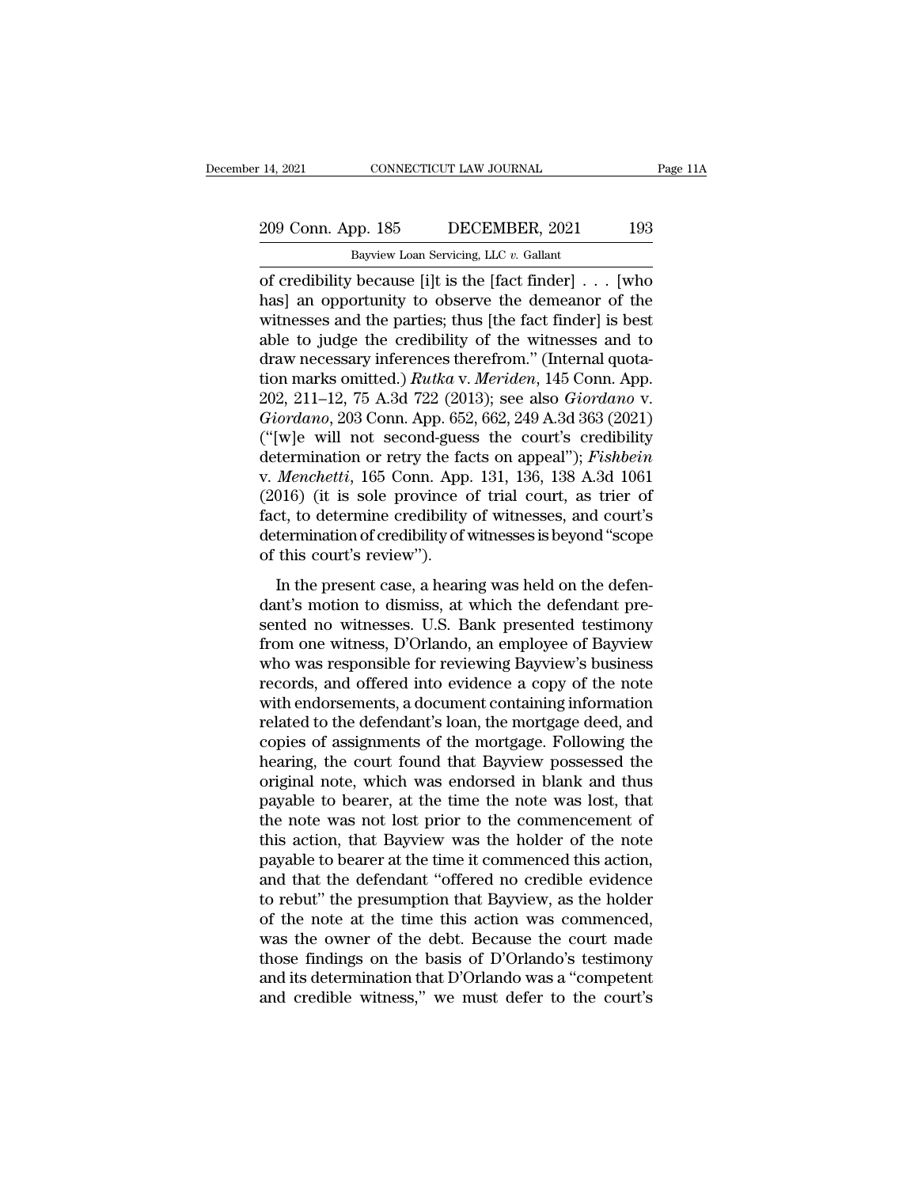### 14, 2021 CONNECTICUT LAW JOURNAL Page 11A<br>209 Conn. App. 185 DECEMBER, 2021 193<br>Bayview Loan Servicing, LLC v. Gallant Eq. 14, 2021 CONNECTICUT LAW JOURNAL<br>
209 Conn. App. 185 DECEMBER, 2021 193<br>
Bayview Loan Servicing, LLC *v.* Gallant<br>
of credibility because [i]t is the [fact finder] . . . [who

14, 2021 CONNECTICUT LAW JOURNAL Page 11A<br>
209 Conn. App. 185 DECEMBER, 2021 193<br>
Bayview Loan Servicing, LLC v. Gallant<br>
of credibility because [i]t is the [fact finder] . . . [who<br>
has] an opportunity to observe the dem 209 Conn. App. 185 DECEMBER, 2021 193<br>Bayview Loan Servicing, LLC v. Gallant<br>of credibility because [i]t is the [fact finder] . . . [who<br>has] an opportunity to observe the demeanor of the<br>witnesses and the parties; thus [t 209 Conn. App. 185 DECEMBER, 2021 193<br>
Bayview Loan Servicing, LLC v. Gallant<br>
of credibility because [i]t is the [fact finder]  $\ldots$  [who<br>
has] an opportunity to observe the demeanor of the<br>
witnesses and the parties; th 209 Conn. App. 185 DECEMBER, 2021 193<br>
Bayview Loan Servicing, LLC v. Gallant<br>
of credibility because [i]t is the [fact finder] . . . [who<br>
has] an opportunity to observe the demeanor of the<br>
witnesses and the parties; th Bayview Loan Servicing, LLC v. Gallant<br>
of credibility because [i]t is the [fact finder] . . . [who<br>
has] an opportunity to observe the demeanor of the<br>
witnesses and the parties; thus [the fact finder] is best<br>
able to j Bayview Loan Servicing, LLC v. Gallant<br>
of credibility because [i]t is the [fact finder] . . . [who<br>
has] an opportunity to observe the demeanor of the<br>
witnesses and the parties; thus [the fact finder] is best<br>
able to ju of credibility because [i]t is the [fact finder] . . . [who<br>has] an opportunity to observe the demeanor of the<br>witnesses and the parties; thus [the fact finder] is best<br>able to judge the credibility of the witnesses and to has] an opportunity to observe the demeanor of the<br>witnesses and the parties; thus [the fact finder] is best<br>able to judge the credibility of the witnesses and to<br>draw necessary inferences therefrom." (Internal quota-<br>tion witnesses and the parties; thus [the fact finder] is best<br>able to judge the credibility of the witnesses and to<br>draw necessary inferences therefrom." (Internal quota-<br>tion marks omitted.) *Rutka* v. *Meriden*, 145 Conn. A able to judge the credibility of the witnesses and to<br>draw necessary inferences therefrom." (Internal quota-<br>tion marks omitted.) *Rutka* v. *Meriden*, 145 Conn. App.<br>202, 211–12, 75 A.3d 722 (2013); see also *Giordano* v. draw necessary inferences therefrom." (Internal quotation marks omitted.) *Rutka v. Meriden*, 145 Conn. App. 202, 211–12, 75 A.3d 722 (2013); see also *Giordano v. Giordano*, 203 Conn. App. 652, 662, 249 A.3d 363 (2021) (" tion marks omitted.)  $Rutka$  v. Meriden, 145 Conn. App.<br>202, 211–12, 75 A.3d 722 (2013); see also *Giordano* v.<br>*Giordano*, 203 Conn. App. 652, 662, 249 A.3d 363 (2021)<br>("[w]e will not second-guess the court's credibility<br>d 202, 211–12, 75 A.3d 722 (2013); see also *Giordano* v.<br> *Giordano*, 203 Conn. App. 652, 662, 249 A.3d 363 (2021)<br>
("[w]e will not second-guess the court's credibility<br>
determination or retry the facts on appeal"); *Fishb* Giordano, 203 Conn. App. 652, 662, 249 A.3d 363 (2021)<br>("[w]e will not second-guess the court's credibility<br>determination or retry the facts on appeal"); *Fishbein*<br>v. Menchetti, 165 Conn. App. 131, 136, 138 A.3d 1061<br>(201 ("[w]e will not second-gues<br>determination or retry the fa<br>v. *Menchetti*, 165 Conn. App<br>(2016) (it is sole province of<br>act, to determine credibility<br>determination of credibility of<br>of this court's review").<br>In the present *Menchetti*, 165 Conn. App. 131, 136, 138 A.3d 1061<br>016) (it is sole province of trial court, as trier of<br>ct, to determine credibility of witnesses, and court's<br>termination of credibility of witnesses is beyond "scope<br>thi (2016) (it is sole province of trial court, as trier of fact, to determine credibility of witnesses, and court's determination of credibility of witnesses is beyond "scope of this court's review").<br>In the present case, a

(2010) (a E soft province of anal court, as aref of<br>fact, to determine credibility of witnesses, and court's<br>determination of credibility of witnesses is beyond "scope<br>of this court's review").<br>In the present case, a heari race, as determination of credibility of witnesses, and estates<br>determination of credibility of witnesses is beyond "scope<br>of this court's review").<br>In the present case, a hearing was held on the defen-<br>dant's motion to di determination of electroning of matesses is segret<br>of this court's review").<br>In the present case, a hearing was held on the defen-<br>dant's motion to dismiss, at which the defendant pre-<br>sented no witnesses. U.S. Bank presen In the present case, a hearing was held on the defendant's motion to dismiss, at which the defendant presented no witnesses. U.S. Bank presented testimony from one witness, D'Orlando, an employee of Bayview who was respons In the present case, a hearing was held on the defen-<br>dant's motion to dismiss, at which the defendant pre-<br>sented no witnesses. U.S. Bank presented testimony<br>from one witness, D'Orlando, an employee of Bayview<br>who was res dant's motion to dismiss, at which the defendant pre-<br>sented no witnesses. U.S. Bank presented testimony<br>from one witness, D'Orlando, an employee of Bayview<br>who was responsible for reviewing Bayview's business<br>records, and sented no witnesses. U.S. Bank presented testimony<br>from one witness, D'Orlando, an employee of Bayview<br>who was responsible for reviewing Bayview's business<br>records, and offered into evidence a copy of the note<br>with endorse from one witness, D'Orlando, an employee of Bayview<br>who was responsible for reviewing Bayview's business<br>records, and offered into evidence a copy of the note<br>with endorsements, a document containing information<br>related to who was responsible for reviewing Bayview's business<br>records, and offered into evidence a copy of the note<br>with endorsements, a document containing information<br>related to the defendant's loan, the mortgage deed, and<br>copies records, and offered into evidence a copy of the note with endorsements, a document containing information related to the defendant's loan, the mortgage deed, and copies of assignments of the mortgage. Following the hearin with endorsements, a document containing information<br>related to the defendant's loan, the mortgage deed, and<br>copies of assignments of the mortgage. Following the<br>hearing, the court found that Bayview possessed the<br>original related to the defendant's loan, the mortgage deed, and<br>copies of assignments of the mortgage. Following the<br>hearing, the court found that Bayview possessed the<br>original note, which was endorsed in blank and thus<br>payable t copies of assignments of the mortgage. Following the<br>hearing, the court found that Bayview possessed the<br>original note, which was endorsed in blank and thus<br>payable to bearer, at the time the note was lost, that<br>the note w hearing, the court found that Bayview possessed the<br>original note, which was endorsed in blank and thus<br>payable to bearer, at the time the note was lost, that<br>the note was not lost prior to the commencement of<br>this action, original note, which was endorsed in blank and thus<br>payable to bearer, at the time the note was lost, that<br>the note was not lost prior to the commencement of<br>this action, that Bayview was the holder of the note<br>payable to payable to bearer, at the time the note was lost, that<br>the note was not lost prior to the commencement of<br>this action, that Bayview was the holder of the note<br>payable to bearer at the time it commenced this action,<br>and tha the note was not lost prior to the commencement of<br>this action, that Bayview was the holder of the note<br>payable to bearer at the time it commenced this action,<br>and that the defendant "offered no credible evidence<br>to rebut" this action, that Bayview was the holder of the note<br>payable to bearer at the time it commenced this action,<br>and that the defendant "offered no credible evidence<br>to rebut" the presumption that Bayview, as the holder<br>of the payable to bearer at the time it commenced this action,<br>and that the defendant "offered no credible evidence<br>to rebut" the presumption that Bayview, as the holder<br>of the note at the time this action was commenced,<br>was the and that the defendant "offered no credible evidence<br>to rebut" the presumption that Bayview, as the holder<br>of the note at the time this action was commenced,<br>was the owner of the debt. Because the court made<br>those findings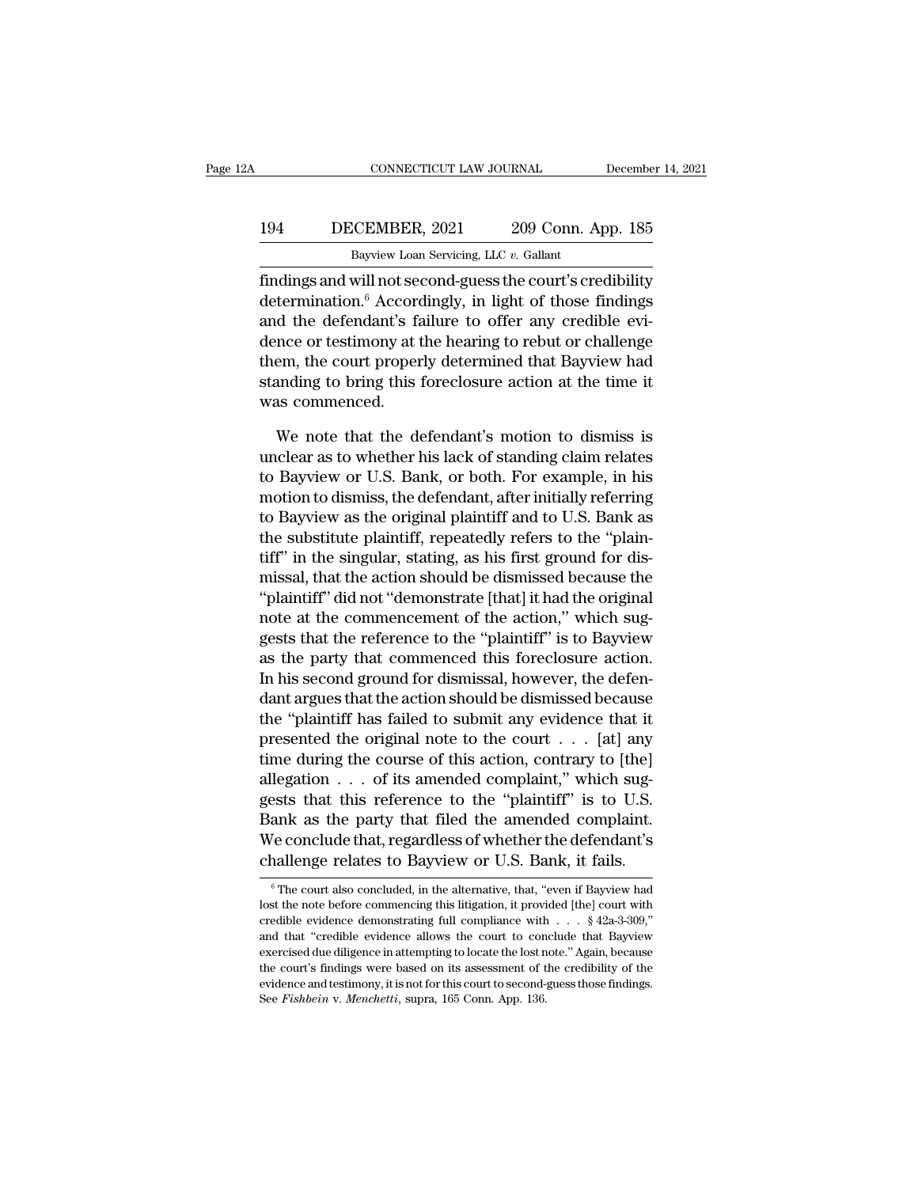### EXECUTE CONNECTICUT LAW JOURNAL December 14, 2021<br>194 DECEMBER, 2021 209 Conn. App. 185<br>Bayview Loan Servicing, LLC v. Gallant CONNECTICUT LAW JOURNAL Decembe<br>Bayview Loan Servicing, LLC *v.* Gallant<br>Bayview Loan Servicing, LLC *v.* Gallant<br>Findings and will not second-guess the court's credibility

FINDING CONNECTICUT LAW JOURNAL December 14, 2021<br>
194 DECEMBER, 2021 209 Conn. App. 185<br>
Bayview Loan Servicing, LLC v. Gallant<br>
findings and will not second-guess the court's credibility<br>
determination.<sup>6</sup> Accordingly, i 194 DECEMBER, 2021 209 Conn. App. 185<br>Bayview Loan Servicing, LLC v. Gallant<br>findings and will not second-guess the court's credibility<br>determination.<sup>6</sup> Accordingly, in light of those findings<br>and the defendant's failure 194 DECEMBER, 2021 209 Conn. App. 185<br>Bayview Loan Servicing, LLC  $v$ . Gallant<br>findings and will not second-guess the court's credibility<br>determination.<sup>6</sup> Accordingly, in light of those findings<br>and the defendant's failu 194 DECEMBER, 2021 209 Conn. App. 185<br>Bayview Loan Servicing, LLC  $v$ . Gallant<br>findings and will not second-guess the court's credibility<br>determination.<sup>6</sup> Accordingly, in light of those findings<br>and the defendant's failu Bayview Loan Servicing, LLC  $v$ . Gallant<br>
findings and will not second-guess the court's credibility<br>
determination.<sup>6</sup> Accordingly, in light of those findings<br>
and the defendant's failure to offer any credible evi-<br>
denc  $\frac{Baynew \, \text{band strength, the } v. \text{ dalam}}{\text{dim} \cdot \text{median}}$  findings and will not second-guess the court's credibility determination.<sup>6</sup> Accordingly, in light of those findings and the defendant's failure to offer any credible evidence or testi findings and will not see<br>determination.<sup>6</sup> Accord<br>and the defendant's fa<br>dence or testimony at t<br>them, the court proper<br>standing to bring this<br>was commenced.<br>We note that the d d the defendant's failure to offer any credible evi-<br>nce or testimony at the hearing to rebut or challenge<br>em, the court properly determined that Bayview had<br>anding to bring this foreclosure action at the time it<br>as commen dence or testimony at the hearing to rebut or challenge<br>them, the court properly determined that Bayview had<br>standing to bring this foreclosure action at the time it<br>was commenced.<br>We note that the defendant's motion to di

them, the court properly determined that Bayview had<br>standing to bring this foreclosure action at the time it<br>was commenced.<br>We note that the defendant's motion to dismiss is<br>unclear as to whether his lack of standing clai standing to bring this foreclosure action at the time it<br>was commenced.<br>We note that the defendant's motion to dismiss is<br>unclear as to whether his lack of standing claim relates<br>to Bayview or U.S. Bank, or both. For examp was commenced.<br>We note that the defendant's motion to dismiss is<br>unclear as to whether his lack of standing claim relates<br>to Bayview or U.S. Bank, or both. For example, in his<br>motion to dismiss, the defendant, after initia We note that the defendant's motion to dismiss is<br>unclear as to whether his lack of standing claim relates<br>to Bayview or U.S. Bank, or both. For example, in his<br>motion to dismiss, the defendant, after initially referring<br>t We note that the defendant's motion to dismiss is<br>unclear as to whether his lack of standing claim relates<br>to Bayview or U.S. Bank, or both. For example, in his<br>motion to dismiss, the defendant, after initially referring<br>t unclear as to whether his lack of standing claim relates<br>to Bayview or U.S. Bank, or both. For example, in his<br>motion to dismiss, the defendant, after initially referring<br>to Bayview as the original plaintiff and to U.S. Ba to Bayview or U.S. Bank, or both. For example, in his<br>
motion to dismiss, the defendant, after initially referring<br>
to Bayview as the original plaintiff and to U.S. Bank as<br>
the substitute plaintiff, repeatedly refers to t motion to dismiss, the defendant, after initially referring<br>to Bayview as the original plaintiff and to U.S. Bank as<br>the substitute plaintiff, repeatedly refers to the "plain-<br>tiff" in the singular, stating, as his first g to Bayview as the original plaintiff and to U.S. Bank as<br>the substitute plaintiff, repeatedly refers to the "plain-<br>tiff" in the singular, stating, as his first ground for dis-<br>missal, that the action should be dismissed b the substitute plaintiff, repeatedly refers to the "plaintiff" in the singular, stating, as his first ground for dismissal, that the action should be dismissed because the "plaintiff" did not "demonstrate [that] it had the tiff" in the singular, stating, as his first ground for dismissal, that the action should be dismissed because the<br>"plaintiff" did not "demonstrate [that] it had the original<br>note at the commencement of the action," which missal, that the action should be dismissed because the<br>"plaintiff" did not "demonstrate [that] it had the original<br>note at the commencement of the action," which sug-<br>gests that the reference to the "plaintiff" is to Bayv "plaintiff" did not "demonstrate [that] it had the original<br>note at the commencement of the action," which sug-<br>gests that the reference to the "plaintiff" is to Bayview<br>as the party that commenced this foreclosure action note at the commencement of the action," which suggests that the reference to the "plaintiff" is to Bayview<br>as the party that commenced this foreclosure action.<br>In his second ground for dismissal, however, the defen-<br>dant gests that the reference to the "plaintiff" is to Bayview<br>as the party that commenced this foreclosure action.<br>In his second ground for dismissal, however, the defen-<br>dant argues that the action should be dismissed because as the party that commenced this foreclosure action.<br>In his second ground for dismissal, however, the defendant argues that the action should be dismissed because<br>the "plaintiff has failed to submit any evidence that it<br>p In his second ground for dismissal, however, the defendant argues that the action should be dismissed because<br>the "plaintiff has failed to submit any evidence that it<br>presented the original note to the court  $\dots$  [at] any dant argues that the action should be dismissed because<br>the "plaintiff has failed to submit any evidence that it<br>presented the original note to the court  $\ldots$  [at] any<br>time during the course of this action, contrary to [ the "plaintiff has failed to submit any evidence that it<br>presented the original note to the court  $\dots$  [at] any<br>time during the course of this action, contrary to [the]<br>allegation  $\dots$  of its amended complaint," which sug presented the original note to the court  $\ldots$  [at] any<br>time during the course of this action, contrary to [the]<br>allegation  $\ldots$  of its amended complaint," which sug-<br>gests that this reference to the "plaintiff" is to U. sum as the party that filed the amended complaint.<br>The conclude that, regardless of whether the defendant's<br>nallenge relates to Bayview or U.S. Bank, it fails.<br><sup>6</sup> The court also concluded, in the alternative, that, "even Bank as the party that filed the amended complaint.<br>We conclude that, regardless of whether the defendant's<br>challenge relates to Bayview or U.S. Bank, it fails.<br> $\frac{1}{\pi}$ <br> $\frac{1}{\pi}$  The court also concluded, in the alter

We conclude that, regardless of whether the defendant's challenge relates to Bayview or U.S. Bank, it fails.<br>  $\circ$ The court also concluded, in the alternative, that, "even if Bayview had lost the note before commencing th challenge relates to Bayview or U.S. Bank, it fails.<br>  $\circ$  The court also concluded, in the alternative, that, "even if Bayview had lost the note before commencing this litigation, it provided [the] court with credible ev Trainerige Terates to Dayview Of U.S. Daffit, it Talis.<br>
<sup>6</sup> The court also concluded, in the alternative, that, "even if Bayview had lost the note before commencing this litigation, it provided [the] court with credible <sup>6</sup> The court also concluded, in the alternative, that, "even if Bayview had lost the note before commencing this litigation, it provided [the] court with credible evidence demonstrating full compliance with  $\ldots$  § 42a-3 lost the note before commencing this litigation, it provided [the] court with credible evidence demonstrating full compliance with  $\ldots$  § 42a-3-309," and that "credible evidence allows the court to conclude that Bayview credible evidence demonstrating full compliance with . . . § 42a-3-309,"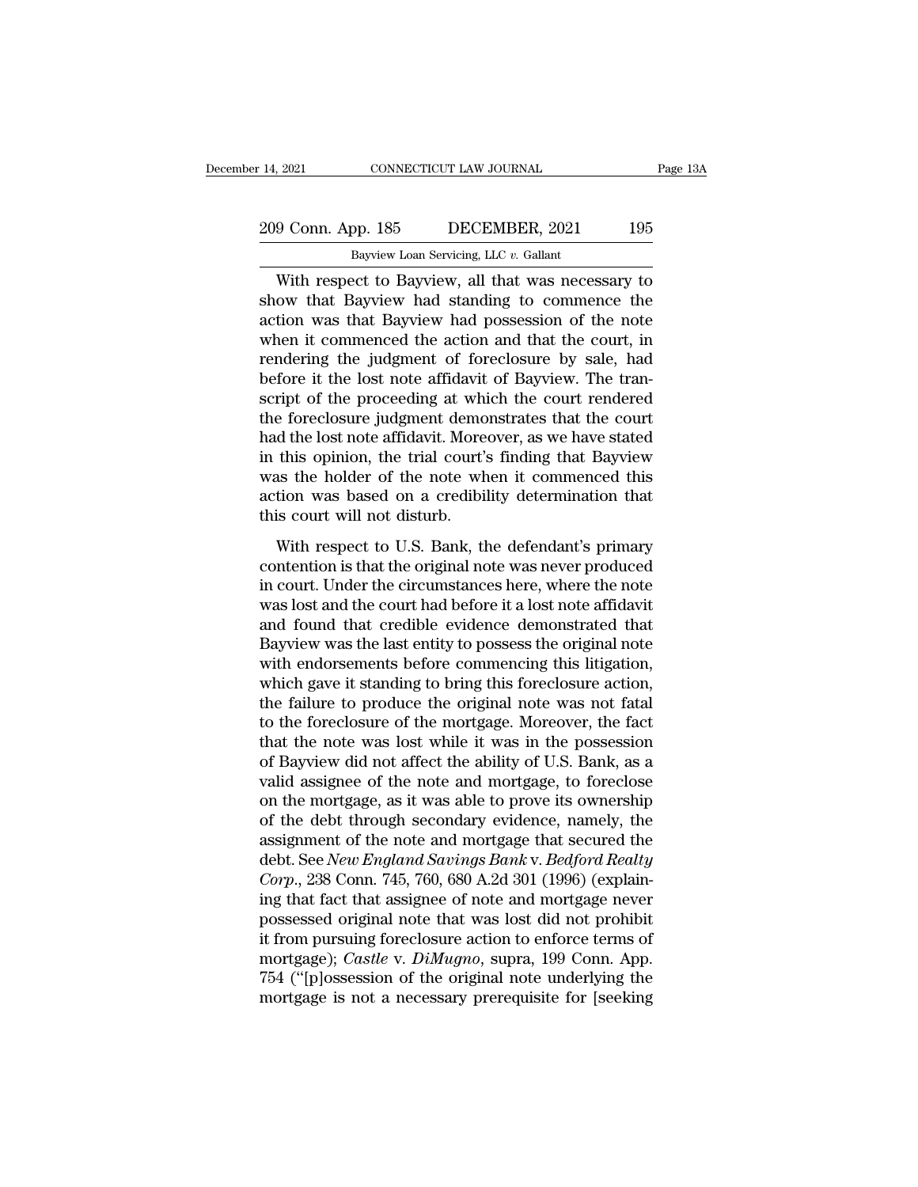### 14, 2021 CONNECTICUT LAW JOURNAL Page 13A<br>209 Conn. App. 185 DECEMBER, 2021 195<br>Bayview Loan Servicing, LLC v. Gallant Eq. 14, 2021 CONNECTICUT LAW JOURNAL<br>
209 Conn. App. 185 DECEMBER, 2021 195<br>
Bayview Loan Servicing, LLC *v.* Gallant<br>
With respect to Bayview, all that was necessary to

9 Conn. App. 185 DECEMBER, 2021 Page 13A<br>
Bayview Loan Servicing, LLC  $v$ . Gallant<br>
With respect to Bayview, all that was necessary to<br>
ow that Bayview had standing to commence the<br>
tion was that Bayview had possession of  $\frac{209 \text{ Conn. App. 185}}{\text{Bayview Loan Service, LLC } v. \text{ Gallant}}$ <br>With respect to Bayview, all that was necessary to show that Bayview had standing to commence the action was that Bayview had possession of the note when it commenced the action and 209 Conn. App. 185 DECEMBER, 2021 195<br>Bayview Loan Servicing, LLC  $v$ . Gallant<br>With respect to Bayview, all that was necessary to<br>show that Bayview had standing to commence the<br>action was that Bayview had possession of th 209 Conn. App. 185 DECEMBER, 2021 195<br>Bayview Loan Servicing, LLC  $v$ . Gallant<br>With respect to Bayview, all that was necessary to<br>show that Bayview had standing to commence the<br>action was that Bayview had possession of th Bayview Loan Servicing, LLC  $v$ . Gallant<br>With respect to Bayview, all that was necessary to<br>show that Bayview had standing to commence the<br>action was that Bayview had possession of the note<br>when it commenced the action an Bayview Loan Servicing, LLC v. Gallant<br>With respect to Bayview, all that was necessary to<br>show that Bayview had standing to commence the<br>action was that Bayview had possession of the note<br>when it commenced the action and t With respect to Bayview, all that was necessary to<br>show that Bayview had standing to commence the<br>action was that Bayview had possession of the note<br>when it commenced the action and that the court, in<br>rendering the judgmen show that Bayview had standing to commence the<br>action was that Bayview had possession of the note<br>when it commenced the action and that the court, in<br>rendering the judgment of foreclosure by sale, had<br>before it the lost no action was that Bayview had possession of the note<br>when it commenced the action and that the court, in<br>rendering the judgment of foreclosure by sale, had<br>before it the lost note affidavit of Bayview. The tran-<br>script of th when it commenced the action and that the court, in<br>rendering the judgment of foreclosure by sale, had<br>before it the lost note affidavit of Bayview. The tran-<br>script of the proceeding at which the court rendered<br>the forecl rendering the judgment of foreclosure by sale, had<br>before it the lost note affidavit of Bayview. The tran-<br>script of the proceeding at which the court rendered<br>the foreclosure judgment demonstrates that the court<br>had the l before it the lost note affidavit of Bayview. The tran-<br>script of the proceeding at which the court rendered<br>the foreclosure judgment demonstrates that the court<br>had the lost note affidavit. Moreover, as we have stated<br>in script of the proceeding at white<br>the foreclosure judgment demo<br>had the lost note affidavit. More<br>in this opinion, the trial court's<br>was the holder of the note wh<br>action was based on a credibil<br>this court will not disturb. d the lost note affidavit. Moreover, as we have stated<br>this opinion, the trial court's finding that Bayview<br>as the holder of the note when it commenced this<br>tion was based on a credibility determination that<br>is court will rad are root note affidable. Indicates in this opinion, the trial court's finding that Bayview<br>was the holder of the note when it commenced this<br>action was based on a credibility determination that<br>this court will not dist

In any opinion, are and courts mainly and Edyview<br>was the holder of the note when it commenced this<br>action was based on a credibility determination that<br>this court will not disturb.<br>With respect to U.S. Bank, the defendant was are notaer of are note when a commenced ans<br>action was based on a credibility determination that<br>this court will not disturb.<br>With respect to U.S. Bank, the defendant's primary<br>contention is that the original note was This court will not disturb.<br>
With respect to U.S. Bank, the defendant's primary<br>
contention is that the original note was never produced<br>
in court. Under the circumstances here, where the note<br>
was lost and the court had With respect to U.S. Bank, the defendant's primary<br>contention is that the original note was never produced<br>in court. Under the circumstances here, where the note<br>was lost and the court had before it a lost note affidavit<br>a With respect to U.S. Bank, the defendant's primary<br>contention is that the original note was never produced<br>in court. Under the circumstances here, where the note<br>was lost and the court had before it a lost note affidavit<br>a contention is that the original note was never produced<br>in court. Under the circumstances here, where the note<br>was lost and the court had before it a lost note affidavit<br>and found that credible evidence demonstrated that<br>B in court. Under the circumstances here, where the note was lost and the court had before it a lost note affidavit and found that credible evidence demonstrated that Bayview was the last entity to possess the original note was lost and the court had before it a lost note affidavit<br>and found that credible evidence demonstrated that<br>Bayview was the last entity to possess the original note<br>with endorsements before commencing this litigation,<br>wh and found that credible evidence demonstrated that<br>Bayview was the last entity to possess the original note<br>with endorsements before commencing this litigation,<br>which gave it standing to bring this foreclosure action,<br>the Bayview was the last entity to possess the original note<br>with endorsements before commencing this litigation,<br>which gave it standing to bring this foreclosure action,<br>the failure to produce the original note was not fatal<br> with endorsements before commencing this litigation,<br>which gave it standing to bring this foreclosure action,<br>the failure to produce the original note was not fatal<br>to the foreclosure of the mortgage. Moreover, the fact<br>th which gave it standing to bring this foreclosure action,<br>the failure to produce the original note was not fatal<br>to the foreclosure of the mortgage. Moreover, the fact<br>that the note was lost while it was in the possession<br>o the failure to produce the original note was not fatal<br>to the foreclosure of the mortgage. Moreover, the fact<br>that the note was lost while it was in the possession<br>of Bayview did not affect the ability of U.S. Bank, as a<br>v to the foreclosure of the mortgage. Moreover, the fact<br>that the note was lost while it was in the possession<br>of Bayview did not affect the ability of U.S. Bank, as a<br>valid assignee of the note and mortgage, to foreclose<br>o that the note was lost while it was in the possession<br>of Bayview did not affect the ability of U.S. Bank, as a<br>valid assignee of the note and mortgage, to foreclose<br>on the mortgage, as it was able to prove its ownership<br>of of Bayview did not affect the ability of U.S. Bank, as a valid assignee of the note and mortgage, to foreclose on the mortgage, as it was able to prove its ownership of the debt through secondary evidence, namely, the assi valid assignee of the note and mortgage, to foreclose<br>on the mortgage, as it was able to prove its ownership<br>of the debt through secondary evidence, namely, the<br>assignment of the note and mortgage that secured the<br>debt. Se on the mortgage, as it was able to prove its ownership<br>of the debt through secondary evidence, namely, the<br>assignment of the note and mortgage that secured the<br>debt. See *New England Savings Bank* v. *Bedford Realty*<br>*Cor* of the debt through secondary evidence, namely, the<br>assignment of the note and mortgage that secured the<br>debt. See *New England Savings Bank v. Bedford Realty*<br>*Corp.*, 238 Conn. 745, 760, 680 A.2d 301 (1996) (explain-<br>ing assignment of the note and mortgage that secured the<br>debt. See *New England Savings Bank* v. *Bedford Realty*<br>*Corp.*, 238 Conn. 745, 760, 680 A.2d 301 (1996) (explain-<br>ing that fact that assignee of note and mortgage neve debt. See New England Savings Bank v. Bedford Realty<br>Corp., 238 Conn. 745, 760, 680 A.2d 301 (1996) (explain-<br>ing that fact that assignee of note and mortgage never<br>possessed original note that was lost did not prohibit<br>it Corp., 238 Conn. 745, 760, 680 A.2d 301 (1996) (explaining that fact that assignee of note and mortgage never possessed original note that was lost did not prohibit it from pursuing foreclosure action to enforce terms of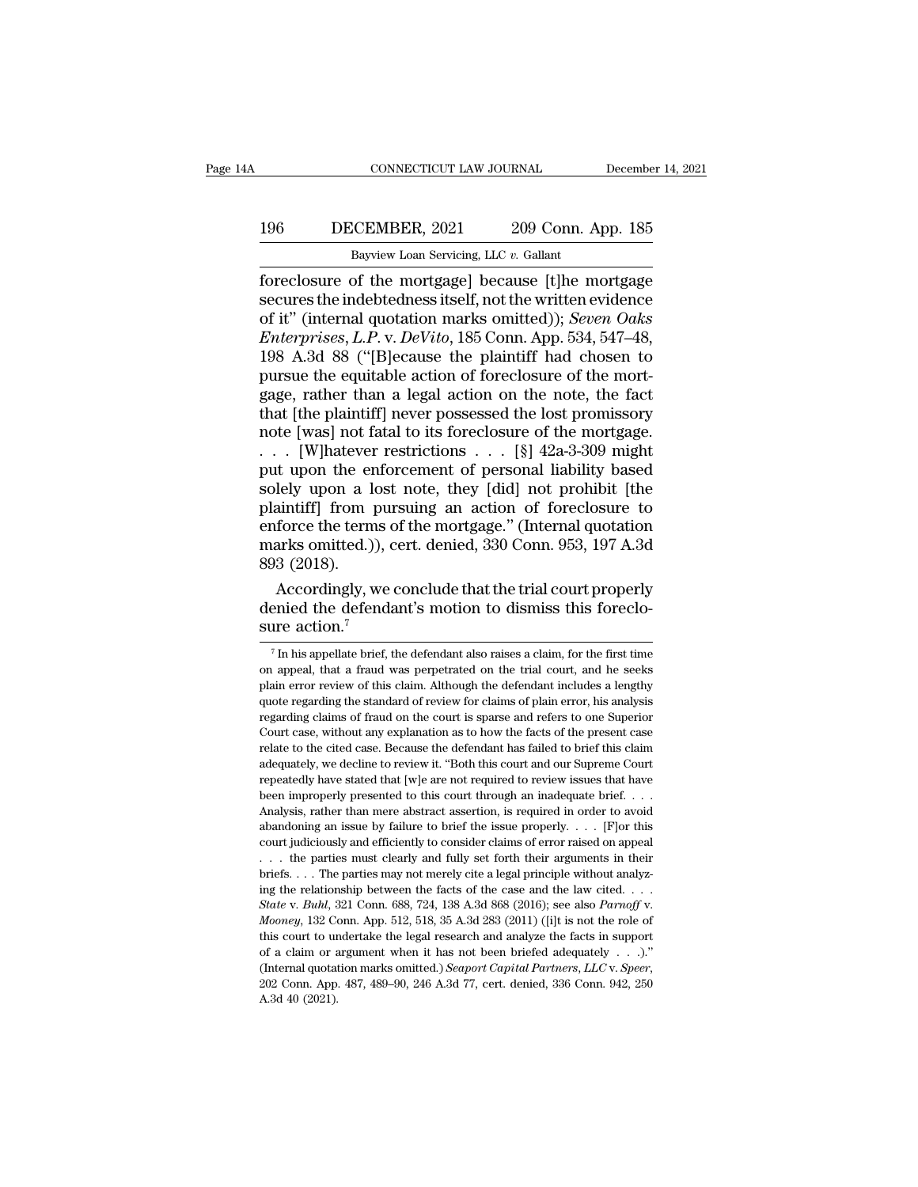### 196 CONNECTICUT LAW JOURNAL December 14, 2021<br>196 DECEMBER, 2021 209 Conn. App. 185<br>Bayview Loan Servicing, LLC v. Gallant CONNECTICUT LAW JOURNAL Decembe<br>Bayview Loan Servicing, LLC *v.* Gallant<br>Bayview Loan Servicing, LLC *v.* Gallant<br>Foreclosure of the mortgage because [t]he mortgage

Foreclosure of the mortgage] connection of the mortgage<br>
foreclosure of the mortgage] because [t]he mortgage<br>
secures the indebtedness itself, not the written evidence<br>
of it" (internal quotation marks omitted)): *Seven Oa* Secures the indebtedness itself, not the written evidence<br>of the indebtedness itself, not the written evidence<br>of it" (internal quotation marks omitted)); Seven Oaks<br>Futernrises L.P. y. DeVite 185 Conn. App. 534, 547–48 **DECEMBER**, 2021 209 Conn. App. 185<br>Bayview Loan Servicing, LLC v. Gallant<br>foreclosure of the mortgage] because [t]he mortgage<br>secures the indebtedness itself, not the written evidence<br>of it" (internal quotation marks omit *ENTER, 2021* 209 Conn. App. 185<br> *Enview Loan Servicing, LLC v. Gallant*<br> *Encelosure of the mortgage* because [t]he mortgage<br>
secures the indebtedness itself, not the written evidence<br>
of it" (internal quotation marks om Bayview Loan Servicing, LLC v. Gallant<br>
foreclosure of the mortgage] because [t]he mortgage<br>
secures the indebtedness itself, not the written evidence<br>
of it" (internal quotation marks omitted)); *Seven Oaks*<br> *Enterprise* Bayview Loan Servicing, LLC v. Gallant<br>foreclosure of the mortgage] because [t]he mortgage<br>secures the indebtedness itself, not the written evidence<br>of it" (internal quotation marks omitted)); *Seven Oaks*<br>*Enterprises, L.* foreclosure of the mortgage] because [t]he mortgage<br>secures the indebtedness itself, not the written evidence<br>of it" (internal quotation marks omitted)); *Seven Oaks*<br>*Enterprises, L.P. v. DeVito*, 185 Conn. App. 534, 547– secures the indebtedness itself, not the written evidence<br>of it" (internal quotation marks omitted)); *Seven Oaks*<br>*Enterprises, L.P. v. DeVito*, 185 Conn. App. 534, 547–48,<br>198 A.3d 88 ("[B]ecause the plaintiff had chose of it" (internal quotation marks omitted)); *Seven Oaks Enterprises, L.P. v. DeVito*, 185 Conn. App. 534, 547–48, 198 A.3d 88 ("[B]ecause the plaintiff had chosen to pursue the equitable action of foreclosure of the mor *Enterprises, L.P. v. DeVito,* 185 Conn. App. 534, 547–48, 198 A.3d 88 ("[B]ecause the plaintiff had chosen to pursue the equitable action of foreclosure of the mortgage, rather than a legal action on the note, the fact t 198 A.3d 88 ("[B]ecause the plaintiff had chosen to<br>pursue the equitable action of foreclosure of the mort-<br>gage, rather than a legal action on the note, the fact<br>that [the plaintiff] never possessed the lost promissory<br>n pursue the equitable action of foreclosure of the mort-<br>gage, rather than a legal action on the note, the fact<br>that [the plaintiff] never possessed the lost promissory<br>note [was] not fatal to its foreclosure of the mortga gage, rather than a legal action on the note, the fact<br>that [the plaintiff] never possessed the lost promissory<br>note [was] not fatal to its foreclosure of the mortgage.<br>. . . [W]<br>hatever restrictions . . . [§] 42a-3-309 m that [the plaintiff] never possessed the lost promissory<br>note [was] not fatal to its foreclosure of the mortgage.<br>. . . . [W]hatever restrictions . . . [§]  $42a-3-309$  might<br>put upon the enforcement of personal liability note [was] not fatal to its foreclosure of the mortgage.<br>  $\dots$  [W]hatever restrictions  $\dots$  [§] 42a-3-309 might<br>
put upon the enforcement of personal liability based<br>
solely upon a lost note, they [did] not prohibit [the<br> . . . [W]hatever<br>put upon the er<br>solely upon a le<br>plaintiff] from 1<br>enforce the term<br>marks omitted.)<br>893 (2018).<br>Accordingly, v it upon the enforcement of personal liability based<br>lely upon a lost note, they [did] not prohibit [the<br>aintiff] from pursuing an action of foreclosure to<br>force the terms of the mortgage." (Internal quotation<br>arks omitted. solely upon a lost note, they [did] not prohibit [the plaintiff] from pursuing an action of foreclosure to enforce the terms of the mortgage." (Internal quotation marks omitted.)), cert. denied, 330 Conn. 953, 197 A.3d 893 plaintiff] from pure<br>enforce the terms of<br>marks omitted.)), or<br>893 (2018).<br>Accordingly, we<br>denied the defenda<br>sure action.<sup>7</sup>

 $\beta$ <sub>2</sub> (2016).<br>Accordingly, we conclude that the trial court properly<br>enied the defendant's motion to dismiss this foreclo-<br>ire action.<sup>7</sup><br>Th his appellate brief, the defendant also raises a claim, for the first time<br>app Accordingly, we conclude that the trial court properly<br>denied the defendant's motion to dismiss this foreclo-<br>sure action.<sup>7</sup><br> $\frac{7}{\text{In his appellate brief, the defendant also raises a claim, for the first time}$ <br>on appeal, that a fraud was perpetrated on the trial court, and h

denied the defendant's motion to dismiss this foreclo-<br>sure action.<sup>7</sup><br>The his appellate brief, the defendant also raises a claim, for the first time<br>on appeal, that a fraud was perpetrated on the trial court, and he seeks sure action.<sup>7</sup><br> $\frac{1}{\pi}$  in his appellate brief, the defendant also raises a claim, for the first time<br>on appeal, that a fraud was perpetrated on the trial court, and he seeks<br>plain error review of this claim. Although The fact of the defendant also raises a claim, for the first time<br>on appeal, that a fraud was perpetrated on the trial court, and he seeks<br>plain error review of this claim. Although the defendant includes a lengthy<br>quote <sup>7</sup> In his appellate brief, the defendant also raises a claim, for the first time on appeal, that a fraud was perpetrated on the trial court, and he seeks plain error review of this claim. Although the defendant includes on appeal, that a fraud was perpetrated on the trial court, and he seeks plain error review of this claim. Although the defendant includes a lengthy quote regarding the standard of review for claims of plain error, his ana and the precise we deter all though the defendant includes a lengthy quote regarding the standard of review for claims of plain error, his analysis regarding claims of fraud on the court is sparse and refers to one Superio pear of repeated in the standard of review for claims of plain error, his analysis regarding claims of fraud on the court is sparse and refers to one Superior Court case, without any explanation as to how the facts of the Frequentially claims of fraud on the court is sparse and refers to one Superior Court case, without any explanation as to how the facts of the present case relate to the cited case. Because the defendant has failed to brie Fourt case, without any explanation as to how the facts of the present case<br>clust case, without any explanation as to how the facts of the present case<br>relate to the cited case. Because the defendant has failed to brief t relate to the cited case. Because the defendant has failed to brief this claim adequately, we decline to review it. "Both this court and our Supreme Court repeatedly have stated that  $[w]$  are not required to review issues court and equately, we decline to review it. "Both this court and our Supreme Court repeatedly have stated that [w]e are not required to review issues that have been improperly presented to this court through an inadequat are<br>peatedly have stated that [w]e are not required to review issues that have<br>been improperly presented to this court through an inadequate brief. . . .<br>Analysis, rather than mere abstract assertion, is required in order briefs. . . . The parties may not merely cite a legal principle without analyz-Analysis, rather than mere abstract assertion, is required in order to avoid abandoning an issue by failure to brief the issue properly. . . . [F] or this court judiciously and efficiently to consider claims of error rais *State v. Buhl*, 321 Conn. 688, 724, 138 A.3d 868 (2016); see also *Parnoff* v. *Buhl*, 321 Conn. 688, 724, 138 A.3d 868 (2016); see also *Parnoff* v. *Mooney*, 132 Conn. App. 512, 518, 35 A.3d 283 (2011) ([i]t is not the the parties must clearly and fully set forth their arguments in their briefs.... The parties may not merely cite a legal principle without analyzing the relationship between the facts of the case and the law cited.... Sta briefs. . . . The parties may not merely cite a legal principle without analyzing the relationship between the facts of the case and the law cited. . . . State v. Buhl, 321 Conn. 688, 724, 138 A.3d 868 (2016); see also *P* (Internal quotation marks omitted.) *Seaport Capital Partners*, *State v. Buhl*, 321 Conn. 688, 724, 138 A.3d 868 (2016); see also *Parnoff v. Mooney*, 132 Conn. App. 512, 518, 35 A.3d 283 (2011) ([i]t is not the role of t *Mooney*, 132 Conn. App. 512, 518, 35 A.3d 283 (2011) ([i]t is not the role of this court to undertake the legal research and analyze the facts in support of a claim or argument when it has not been briefed adequately  $\dots$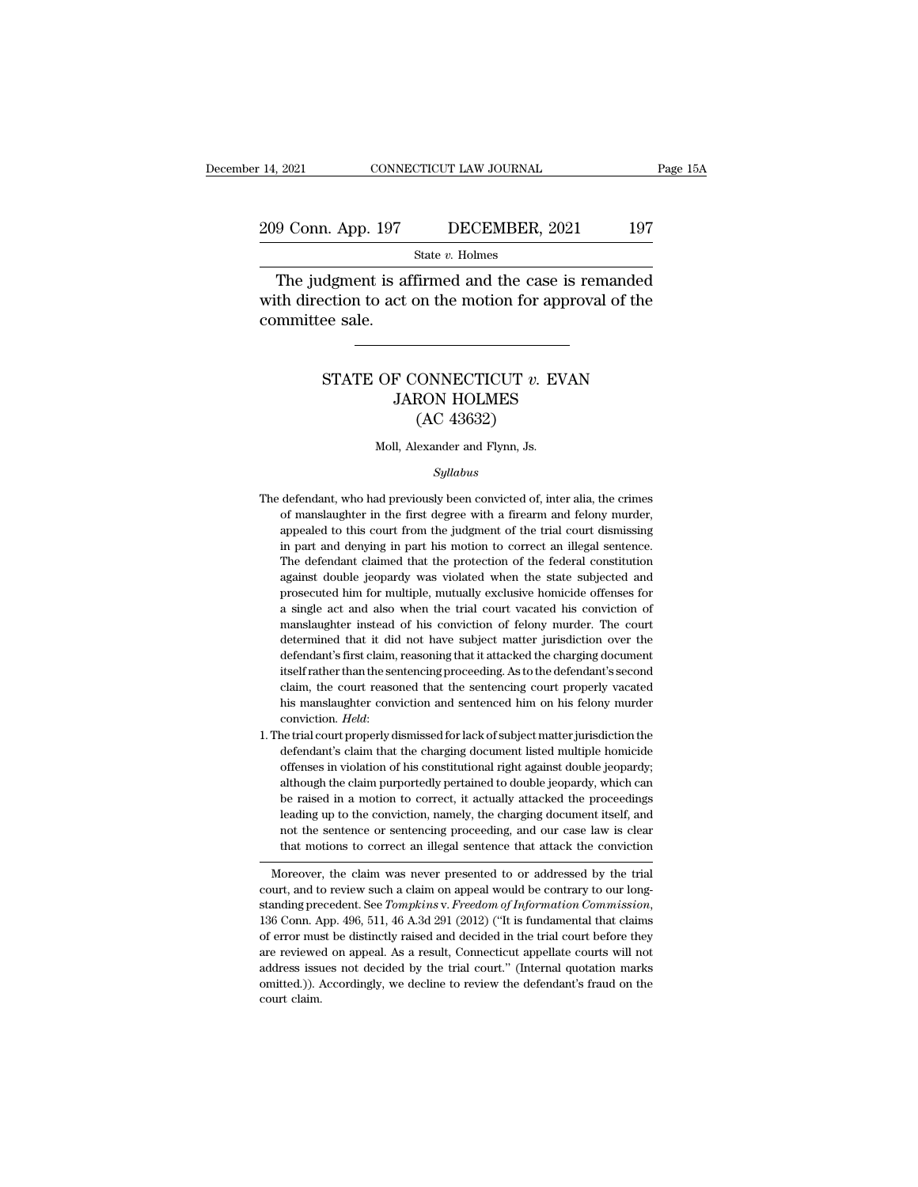# 14, 2021 CONNECTICUT LAW JOURNAL Page 15A<br>209 Conn. App. 197 DECEMBER, 2021 197<br>3tate v. Holmes

State *v.* Holmes

 $\begin{array}{ll}\n & \text{COMRECTICUT LAW JOURNAL} & \text{Page 15A} \\
\hline\n 9 \text{ Conn. App. 197} & \text{DECEMBER, 2021} & \text{197} \\
 \hline\n & \text{State } v. \text{ Holmes} & \text{The judgment is affirmed and the case is remanded} \\
\hline\n\text{th direction to act on the motion for approval of the}\n\end{array}$ 209 Conn. App. 197 DECEMBER, 2021 197<br>
State v. Holmes<br>
The judgment is affirmed and the case is remanded<br>
with direction to act on the motion for approval of the<br>
committee sale. 209 Conn. App. 197<br>The judgment is at<br>with direction to act<br>committee sale. State *v.* Holmes<br>dgment is affirmed and the case is remanded<br>cction to act on the motion for approval of the<br>ee sale.<br>STATE OF CONNECTICUT *v.* EVAN<br>JARON HOLMES JARON HOLMES

### on the motion for ap<br>
(ONNECTICUT v. E<br>
RON HOLMES<br>
(AC 43632)<br>
exander and Flynn, Js. STATE OF CONNECTICUT  $v$ . EVAN<br>JARON HOLMES<br>(AC 43632)<br>Moll, Alexander and Flynn, Js.

### *Syllabus*

- $(AC 43632)$ <br>Moll, Alexander and Flynn, Js.<br> $Syllabus$ <br>The defendant, who had previously been convicted of, inter alia, the crimes<br>of manslaughter in the first degree with a firearm and felony murder, Moll, Alexander and Flynn, Js.<br>
Syllabus<br>
defendant, who had previously been convicted of, inter alia, the crimes<br>
of manslaughter in the first degree with a firearm and felony murder,<br>
appealed to this court from the judg Moll, Alexander and Flynn, Js.<br>
Syllabus<br>
defendant, who had previously been convicted of, inter alia, the crimes<br>
of manslaughter in the first degree with a firearm and felony murder,<br>
appealed to this court from the judg *Syllabus*<br>defendant, who had previously been convicted of, inter alia, the crimes<br>of manslaughter in the first degree with a firearm and felony murder,<br>appealed to this court from the judgment of the trial court dismissin Syllabus<br>defendant, who had previously been convicted of, inter alia, the crimes<br>of manslaughter in the first degree with a firearm and felony murder,<br>appealed to this court from the judgment of the trial court dismissing<br> defendant, who had previously been convicted of, inter alia, the crimes of manslaughter in the first degree with a firearm and felony murder, appealed to this court from the judgment of the trial court dismissing in part a of manslaughter in the first degree with a firearm and felony murder, appealed to this court from the judgment of the trial court dismissing in part and denying in part his motion to correct an illegal sentence. The defend a single act and denying in part his motion of the trial court dismissing<br>in part and denying in part his motion to correct an illegal sentence.<br>The defendant claimed that the protection of the federal constitution<br>against manslaughter instead of his conviction of the federal constitution against double jeopardy was violated when the state subjected and prosecuted him for multiple, mutually exclusive homicide offenses for a single act and al The defendant claimed that the protection of the federal constitution against double jeopardy was violated when the state subjected and prosecuted him for multiple, mutually exclusive homicide offenses for a single act and against double jeopardy was violated when the state subjected and prosecuted him for multiple, mutually exclusive homicide offenses for a single act and also when the trial court vacated his conviction of manslaughter inst is prosecuted him for multiple, mutually exclusive homicide offenses for a single act and also when the trial court vacated his conviction of manslaughter instead of his conviction of felony murder. The court determined th a single act and also when the trial court vacated his conviction of manslaughter instead of his conviction of felony murder. The court determined that it did not have subject matter jurisdiction over the defendant's first manslaughter instead of his conviction of felony murder. The court determined that it did not have subject matter jurisdiction over the defendant's first claim, reasoning that it attacked the charging document itself rath defendant's first claim, reasoning that it attacked the charging document<br>itself rather than the sentencing proceeding. As to the defendant's second<br>claim, the court reasoned that the sentencing court properly vacated<br>his itself rather than the sentencing proceeding. As to the defendant's second<br>claim, the court reasoned that the sentencing court properly vacated<br>his manslaughter conviction and sentenced him on his felony murder<br>conviction.
- 1. The trial court properly dismissed for lack of subject matter jurisdiction the defendant's claim that the charging document listed multiple homicide offenses in violation of his constitutional right against double jeop his manslaughter conviction and sentenced him on his felony murder<br>conviction. *Held*:<br>ne trial court properly dismissed for lack of subject matter jurisdiction the<br>defendant's claim that the charging document listed multi conviction. *Held*:<br>he trial court properly dismissed for lack of subject matter jurisdiction the<br>defendant's claim that the charging document listed multiple homicide<br>offenses in violation of his constitutional right agai he trial court properly dismissed for lack of subject matter jurisdiction the defendant's claim that the charging document listed multiple homicide offenses in violation of his constitutional right against double jeopardy; defendant's claim that the charging document listed multiple homicide offenses in violation of his constitutional right against double jeopardy; although the claim purportedly pertained to double jeopardy, which can be rai offenses in violation of his constitutional right against double jeopardy;<br>although the claim purportedly pertained to double jeopardy, which can<br>be raised in a motion to correct, it actually attacked the proceedings<br>leadi be raised in a modon to correct, it actually attacked the proceedings<br>leading up to the conviction, namely, the charging document itself, and<br>not the sentence or sentencing proceeding, and our case law is clear<br>that motion

Moreover, the claim was never presented to or addressed by the trial court, and to review such a claim on appeal would be contrary to our long-standing precedent. See *Tompkins v. Freedom of Information Commission*, Freedom of Information, Internal proceeding, and our case law is clear<br>that motions to correct an illegal sentence that attack the conviction<br>Moreover, the claim was never presented to or addressed by the trial<br>court, and In the distinct of error must be distinctly raised and decided in the trial court, and to review such a claim on appeal would be contrary to our long-<br>standing precedent. See *Tompkins v. Freedom of Information Commission* Moreover, the claim was never presented to or addressed by the trial<br>court, and to review such a claim on appeal would be contrary to our long-<br>standing precedent. See *Tompkins v. Freedom of Information Commission*,<br>136 court, and to review such a claim on appeal would be contrary to our long-<br>standing precedent. See *Tompkins v. Freedom of Information Commission*,<br>136 Conn. App. 496, 511, 46 A.3d 291 (2012) ("It is fundamental that claim standing precedent. See *Tompkins* v. *Freedom of Information Commission*, 136 Conn. App. 496, 511, 46 A.3d 291 (2012) ("It is fundamental that claims of error must be distinctly raised and decided in the trial court befo 136 Conn. App. 496, 511, 46 A.3d 291 (2012) ("It is fundamental that claims of error must be distinctly raised and decided in the trial court before they are reviewed on appeal. As a result, Connecticut appellate courts w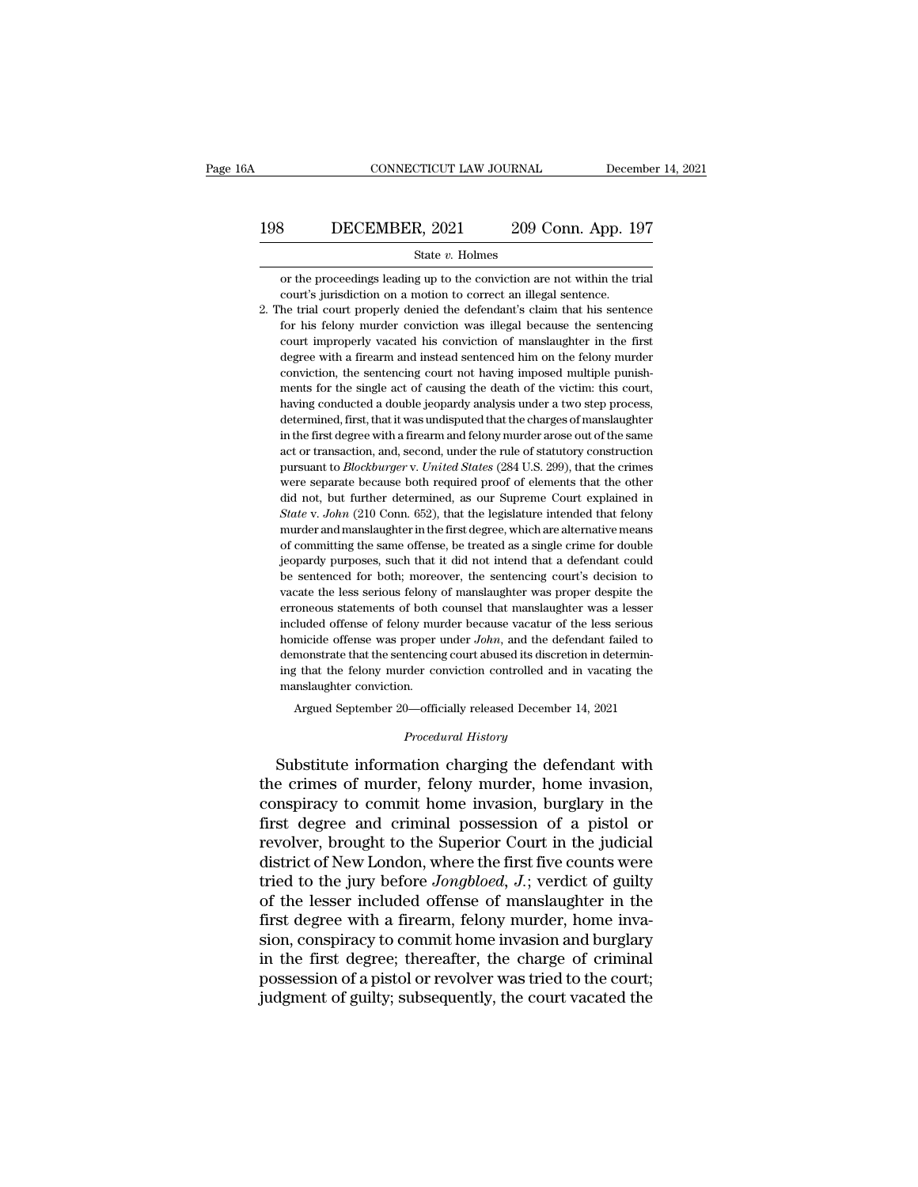# CONNECTICUT LAW JOURNAL December 14, 2021<br>198 DECEMBER, 2021 209 Conn. App. 197<br>5tate v. Holmes

### State *v.* Holmes

**ECEMBER, 2021** 209 Conn. App. 197<br>
State v. Holmes<br>
or the proceedings leading up to the conviction are not within the trial<br>
court's jurisdiction on a motion to correct an illegal sentence. 198 DECEMBER, 2021 209 Conn. App. 197<br>
State v. Holmes<br>
or the proceedings leading up to the conviction are not within the trial<br>
court's jurisdiction on a motion to correct an illegal sentence.<br>
2. The trial court proper

2. The trial court properly denied the defendant's claim that his sentence<br>for the proceedings leading up to the conviction are not within the trial<br>court's jurisdiction on a motion to correct an illegal sentence.<br>2. The State v. Holmes<br>State v. Holmes<br>or the proceedings leading up to the conviction are not within the trial<br>court's jurisdiction on a motion to correct an illegal sentence.<br>the trial court properly denied the defendant's clai State  $v$ . Holmes<br>or the proceedings leading up to the conviction are not within the trial<br>court's jurisdiction on a motion to correct an illegal sentence.<br>he trial court properly denied the defendant's claim that his sen or the proceedings leading up to the conviction are not within the trial court's jurisdiction on a motion to correct an illegal sentence.<br>he trial court properly denied the defendant's claim that his sentence for his felon court improperly vacated his conviction of manslaughter in the first degree with a firearm and instead sentenced him on the felony murder conviction, the sentencing court not having imposed multiple punish-<br>ments for the s be trial court properly denied the defendant's claim that his sentence for his felony murder conviction was illegal because the sentencing court improperly vacated his conviction of manslaughter in the first degree with a for his felony murder conviction was illegal because the sentencing<br>for his felony murder conviction was illegal because the sentencing<br>court improperly vacated his conviction of manslaughter in the first<br>degree with a fir Fourt improperly vacated his conviction of manslaughter in the first degree with a firearm and instead sentenced him on the felony murder conviction, the sentencing court not having imposed multiple punishments for the sin degree with a firearm and instead sentenced him on the felony murder conviction, the sentencing court not having imposed multiple punishments for the single act of causing the death of the victim: this court, having conduc conviction, the sentencing court not having imposed multiple punishments for the single act of causing the death of the victim: this court, having conducted a double jeopardy analysis under a two step process, determined, pursuant for the single act of causing the death of the victim: this court, having conducted a double jeopardy analysis under a two step process, determined, first, that it was undisputed that the charges of manslaughter i having conducted a double jeopardy analysis under a two step process, determined, first, that it was undisputed that the charges of manslaughter in the first degree with a firearm and felony murder arose out of the same ac determined, first, that it was undisputed that the charges of manslaughter in the first degree with a firearm and felony murder arose out of the same act or transaction, and, second, under the rule of statutory constructio in the first degree with a firearm and felony murder arose out of the same<br>act or transaction, and, second, under the rule of statutory construction<br>pursuant to *Blockburger* v. *United States* (284 U.S. 299), that the cri and or transaction, and, second, under the rule of statutory construction<br>pursuant to *Blockburger* v. *United States* (284 U.S. 299), that the crimes<br>were separate because both required proof of elements that the other<br>di pursuant to *Blockburger* v. United States (284 U.S. 299), that the crimes<br>were separate because both required proof of elements that the other<br>did not, but further determined, as our Supreme Court explained in<br>State v. Jo were separate because both required proof of elements that the other did not, but further determined, as our Supreme Court explained in State v. John (210 Conn. 652), that the legislature intended that felony murder and ma did not, but further determined, as our Supreme Court explained in  $State$  v.  $John$  (210 Conn. 652), that the legislature intended that felony murder and manslaughter in the first degree, which are alternative means of committi State v. John (210 Conn. 652), that the legislature intended that felony murder and manslaughter in the first degree, which are alternative means of committing the same offense, be treated as a single crime for double jeop murder and manslaughter in the first degree, which are alternative means<br>of committing the same offense, be treated as a single crime for double<br>jeopardy purposes, such that it did not intend that a defendant could<br>be sent of committing the same offense, be treated as a single crime for double jeopardy purposes, such that it did not intend that a defendant could be sentenced for both; moreover, the sentencing court's decision to vacate the jeopardy purposes, such that it did not intend that a defendant could<br>be sentenced for both; moreover, the sentencing court's decision to<br>vacate the less serious felony of manslaughter was proper despite the<br>erroneous stat be sentenced for both; moreover, the sentencing court's decision to vacate the less serious felony of manslaughter was proper despite the erroneous statements of both counsel that manslaughter was a lesser included offens syncetic the less serious felony of manslaughter was proper despite the erroneous statements of both counsel that manslaughter was a lesser included offense of felony murder because vacatur of the less serious homicide of erroneous statements of both counsel that manslaughter was a lesser Argued September 20—officially released December 14, 2021<br>
Argued September 20—officially released December 14, 2021<br>
Argued September 20—officially released December 14, 2021<br>
December 14, 2021<br>
December 20—officially rel Frontiera e offers was proper under *John*, and the defendant raned to<br>demonstrate that the sentencing court abused its discretion in determin-<br>ing that the felony murder conviction controlled and in vacating the<br>manslaugh

Argued September 20—officially released December 14, 2021<br>*Procedural History*<br>Substitute information charging the defendant with ing that the felony murder conviction controlled and in vacating the<br>manslaughter conviction.<br>Argued September 20—officially released December 14, 2021<br>*Procedural History*<br>Substitute information charging the defendant wit manslaughter conviction.<br>
Argued September 20—officially released December 14, 2021<br>
Procedural History<br>
Substitute information charging the defendant with<br>
the crimes of murder, felony murder, home invasion,<br>
conspiracy t Argued September 20—officially released December 14, 2021<br> *Procedural History*<br>
Substitute information charging the defendant with<br>
the crimes of murder, felony murder, home invasion,<br>
conspiracy to commit home invasion, *Procedural History*<br>Substitute information charging the defendant with<br>the crimes of murder, felony murder, home invasion,<br>conspiracy to commit home invasion, burglary in the<br>first degree and criminal possession of a pist Frocedural History<br>Substitute information charging the defendant with<br>the crimes of murder, felony murder, home invasion,<br>conspiracy to commit home invasion, burglary in the<br>first degree and criminal possession of a pistol Substitute information charging the defendant with<br>the crimes of murder, felony murder, home invasion,<br>conspiracy to commit home invasion, burglary in the<br>first degree and criminal possession of a pistol or<br>revolver, broug the crimes of murder, felony murder, home invasion, conspiracy to commit home invasion, burglary in the first degree and criminal possession of a pistol or revolver, brought to the Superior Court in the judicial district o conspiracy to commit home invasion, burglary in the<br>first degree and criminal possession of a pistol or<br>revolver, brought to the Superior Court in the judicial<br>district of New London, where the first five counts were<br>tried first degree and criminal possession of a pistol or<br>revolver, brought to the Superior Court in the judicial<br>district of New London, where the first five counts were<br>tried to the jury before *Jongbloed*, *J*.; verdict of gu revolver, brought to the Superior Court in the judicial<br>district of New London, where the first five counts were<br>tried to the jury before *Jongbloed*, *J*.; verdict of guilty<br>of the lesser included offense of manslaughter district of New London, where the first five counts were<br>tried to the jury before *Jongbloed*, *J*.; verdict of guilty<br>of the lesser included offense of manslaughter in the<br>first degree with a firearm, felony murder, home tried to the jury before *Jongbloed*, *J*.; verdict of guilty of the lesser included offense of manslaughter in the first degree with a firearm, felony murder, home invasion, conspiracy to commit home invasion and burglary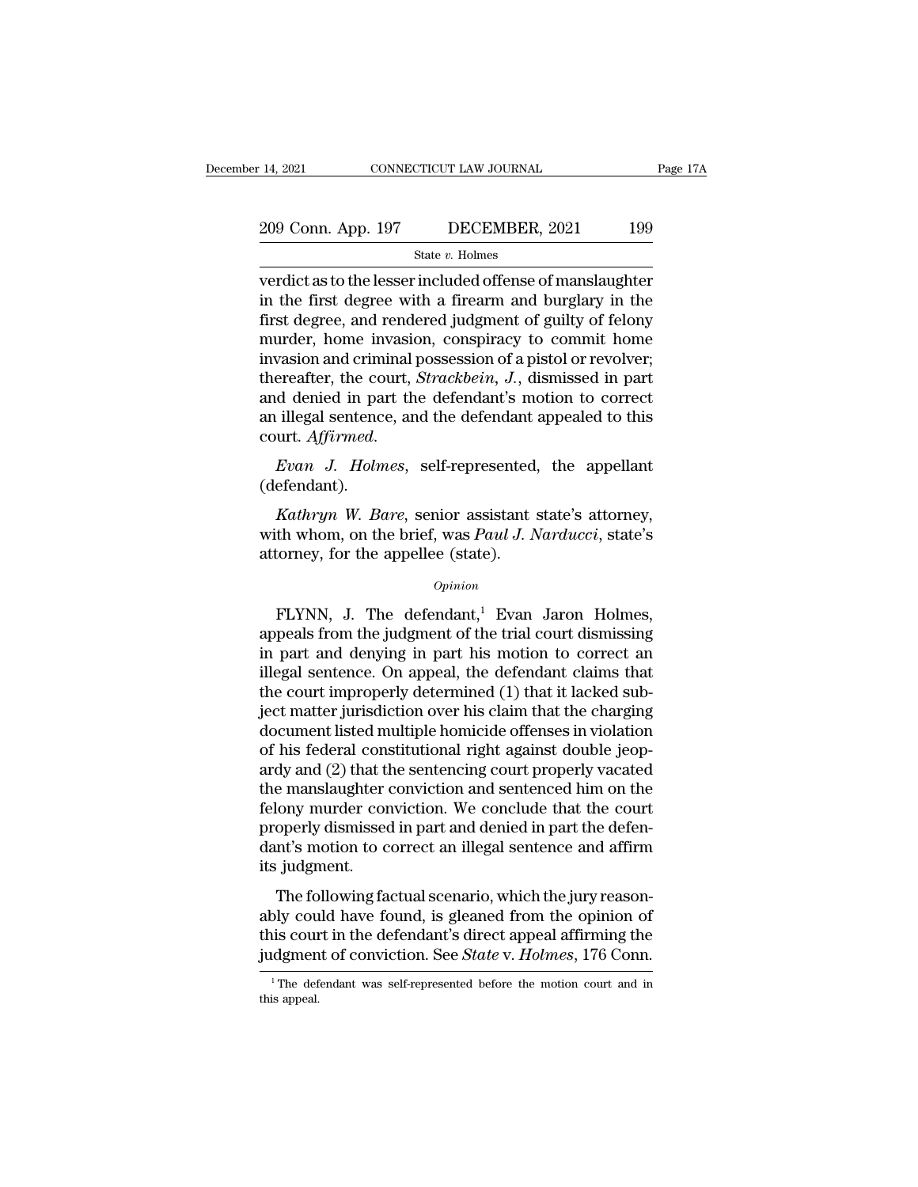# 14, 2021 CONNECTICUT LAW JOURNAL Page 17A<br>209 Conn. App. 197 DECEMBER, 2021 199<br>3tate v. Holmes

### State *v.* Holmes

14, 2021 CONNECTICUT LAW JOURNAL Page 17A<br>
209 Conn. App. 197 DECEMBER, 2021 199<br>
State v. Holmes<br>
verdict as to the lesser included offense of manslaughter<br>
in the first degree with a firearm and burglary in the<br>
first d 209 Conn. App. 197 DECEMBER, 2021 199<br>
State v. Holmes<br>
verdict as to the lesser included offense of manslaughter<br>
in the first degree with a firearm and burglary in the<br>
first degree, and rendered judgment of guilty of fe 209 Conn. App. 197 DECEMBER, 2021 199<br>
State v. Holmes<br>
verdict as to the lesser included offense of manslaughter<br>
in the first degree with a firearm and burglary in the<br>
first degree, and rendered judgment of guilty of f 209 Conn. App. 197 DECEMBER, 2021 199<br>
State v. Holmes<br>
verdict as to the lesser included offense of manslaughter<br>
in the first degree with a firearm and burglary in the<br>
first degree, and rendered judgment of guilty of f State v. Holmes<br>
verdict as to the lesser included offense of manslaughter<br>
in the first degree with a firearm and burglary in the<br>
first degree, and rendered judgment of guilty of felony<br>
murder, home invasion, conspirac state *v*. Holmes<br>verdict as to the lesser included offense of manslaughter<br>in the first degree with a firearm and burglary in the<br>first degree, and rendered judgment of guilty of felony<br>murder, home invasion, conspiracy t verdict as to the lesser included offense of manslaughter<br>in the first degree with a firearm and burglary in the<br>first degree, and rendered judgment of guilty of felony<br>murder, home invasion, conspiracy to commit home<br>inva in the first degree with a firearm and burglary in the<br>first degree, and rendered judgment of guilty of felony<br>murder, home invasion, conspiracy to commit home<br>invasion and criminal possession of a pistol or revolver;<br>ther murder, none invasion, conspiracy to commit none<br>invasion and criminal possession of a pistol or revolver;<br>thereafter, the court, *Strackbein*, *J.*, dismissed in part<br>and denied in part the defendant's motion to correct<br>a *A* denied in part the defendant's motion to correct<br>
illegal sentence, and the defendant appealed to this<br>
urt. *Affirmed.*<br> *Kuthryn W. Bare*, senior assistant state's attorney,<br> *Kathryn W. Bare*, senior assistant state

(defendant).

an illegal sentence, and the defendant appealed to this<br>court. *Affirmed.*<br>Evan J. Holmes, self-represented, the appellant<br>(defendant).<br>Kathryn W. Bare, senior assistant state's attorney,<br>with whom, on the brief, was *Paul* court. Affirmed.<br>
Evan J. Holmes, self-represented.<br>
(defendant).<br>
Kathryn W. Bare, senior assistant swith whom, on the brief, was Paul J. Nattorney, for the appellee (state).<br>  $o_{pinion}$ *Kathryn W. Bare,* senior assistant state's attorney,<br>th whom, on the brief, was *Paul J. Narducci*, state's<br>torney, for the appellee (state).<br> $opinion$ <br>FLYNN, J. The defendant,<sup>1</sup> Evan Jaron Holmes,<br>peals from the judgment of

### *Opinion*

Kathryn W. Bare, senior assistant state's attorney,<br>with whom, on the brief, was Paul J. Narducci, state's<br>attorney, for the appellee (state).<br> $o_{pinion}$ <br>FLYNN, J. The defendant,<sup>1</sup> Evan Jaron Holmes,<br>appeals from the judgme with whom, on the brief, was *Paul J. Narducci*, state's<br>attorney, for the appellee (state).<br> $opinion$ <br> $FLYNN$ , J. The defendant,<sup>1</sup> Evan Jaron Holmes,<br>appeals from the judgment of the trial court dismissing<br>in part and denying opinion<br>
opinion<br>
FLYNN, J. The defendant,<sup>1</sup> Evan Jaron Holmes,<br>
appeals from the judgment of the trial court dismissing<br>
in part and denying in part his motion to correct an<br>
illegal sentence. On appeal, the defendant cl  $\alpha$ <br>FLYNN, J. The defendant,<sup>1</sup> Evan Jaron Holmes,<br>appeals from the judgment of the trial court dismissing<br>in part and denying in part his motion to correct an<br>illegal sentence. On appeal, the defendant claims that<br>the c FLYNN, J. The defendant,<sup>1</sup> Evan Jaron Holmes,<br>appeals from the judgment of the trial court dismissing<br>in part and denying in part his motion to correct an<br>illegal sentence. On appeal, the defendant claims that<br>the court FLYNN, J. The defendant,<sup>1</sup> Evan Jaron Holmes,<br>appeals from the judgment of the trial court dismissing<br>in part and denying in part his motion to correct an<br>illegal sentence. On appeal, the defendant claims that<br>the court appeals from the judgment of the trial court dismissing<br>in part and denying in part his motion to correct an<br>illegal sentence. On appeal, the defendant claims that<br>the court improperly determined (1) that it lacked sub-<br>je in part and denying in part his motion to correct an<br>illegal sentence. On appeal, the defendant claims that<br>the court improperly determined (1) that it lacked sub-<br>ject matter jurisdiction over his claim that the charging<br> illegal sentence. On appeal, the defendant claims that<br>the court improperly determined (1) that it lacked sub-<br>ject matter jurisdiction over his claim that the charging<br>document listed multiple homicide offenses in violati the court improperly determined (1) that it lacked sub-<br>ject matter jurisdiction over his claim that the charging<br>document listed multiple homicide offenses in violation<br>of his federal constitutional right against double j ject matter jurisdiction over his claim that the charging<br>document listed multiple homicide offenses in violation<br>of his federal constitutional right against double jeop-<br>ardy and (2) that the sentencing court properly vac document listed multiple homicide offenses in violation<br>of his federal constitutional right against double jeop-<br>ardy and (2) that the sentencing court properly vacated<br>the manslaughter conviction and sentenced him on the<br> of his federal cons<br>ardy and (2) that the<br>the manslaughter<br>felony murder cor<br>properly dismissed<br>dant's motion to c<br>its judgment.<br>The following fa  $\alpha$ y and  $\alpha$ ) that the sentencing court property vacated<br>e manslaughter conviction. We conclude that the court<br>operly dismissed in part and denied in part the defen-<br>nt's motion to correct an illegal sentence and affirm re manslaaghet conviction and schenced runt of the<br>felony murder conviction. We conclude that the court<br>properly dismissed in part and denied in part the defen-<br>dant's motion to correct an illegal sentence and affirm<br>its j

telony murder conviction. We conclude that the court<br>properly dismissed in part and denied in part the defen-<br>dant's motion to correct an illegal sentence and affirm<br>its judgment.<br>The following factual scenario, which the properly dishissed in part and defice in part the determinant's motion to correct an illegal sentence and affirm<br>its judgment.<br>The following factual scenario, which the jury reason-<br>ably could have found, is gleaned from t The following factual scenario, which the jury reasonably could have found, is gleaned from the opinion of this court in the defendant's direct appeal affirming the judgment of conviction. See *State* v. *Holmes*, 176 Con judgment of conviction. See State v. Holmes, 176 Conn.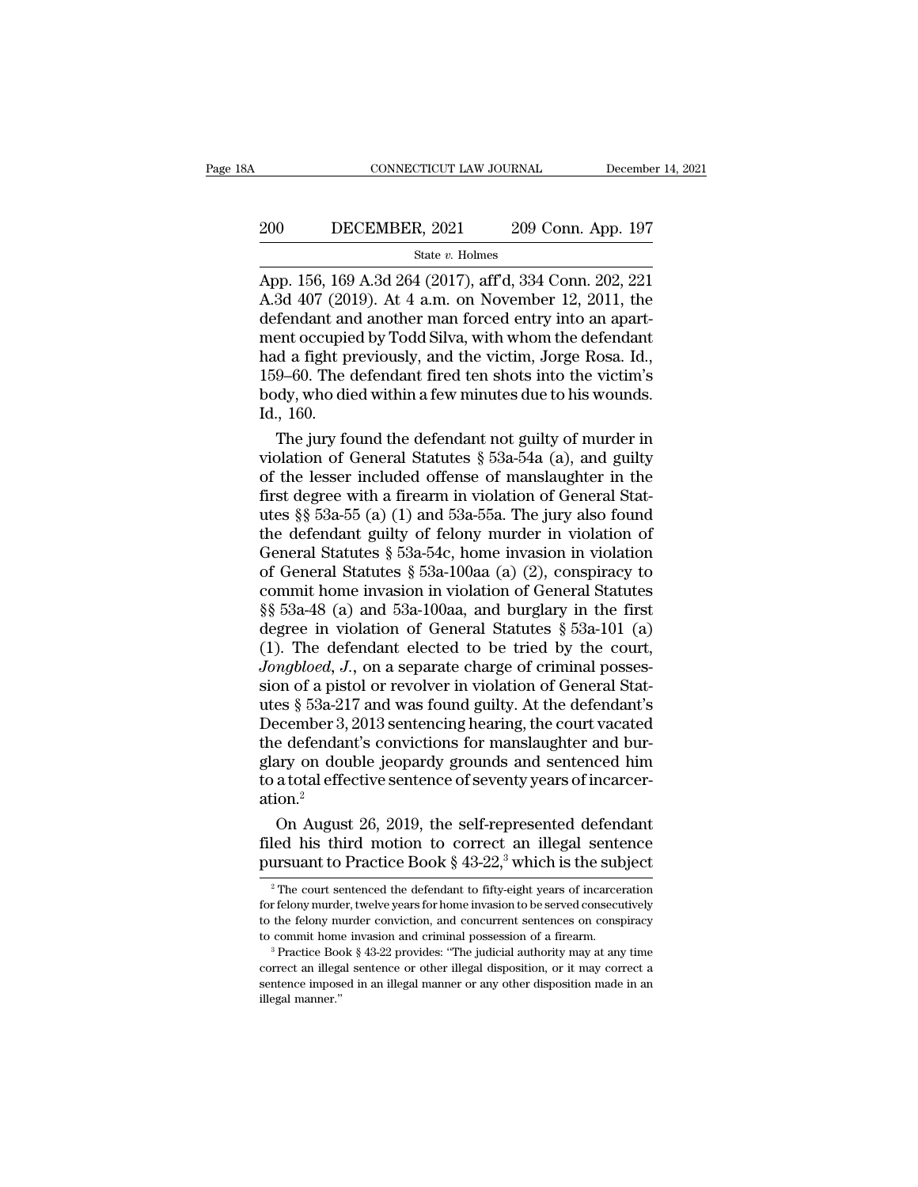# EXECUTE CONNECTICUT LAW JOURNAL December 14, 2021<br>200 DECEMBER, 2021 209 Conn. App. 197<br>3tate v. Holmes

### State *v.* Holmes

CONNECTICUT LAW JOURNAL December 14, 2021<br>
200 DECEMBER, 2021 209 Conn. App. 197<br>
<sup>31</sup> State v. Holmes<br>
App. 156, 169 A.3d 264 (2017), aff'd, 334 Conn. 202, 221<br>
A.3d 407 (2019). At 4 a.m. on November 12, 2011, the<br>
defend 200 DECEMBER, 2021 209 Conn. App. 197<br>  $\frac{\text{State } v. \text{ Holmes}}{204 \cdot 2017}$ <br>
App. 156, 169 A.3d 264 (2017), aff'd, 334 Conn. 202, 221<br>
A.3d 407 (2019). At 4 a.m. on November 12, 2011, the<br>
defendant and another man forced entry i 200 DECEMBER, 2021 209 Conn. App. 197<br>  $\frac{\text{State } v. \text{ Holmes}}{\text{App. 156, 169 A.3d 264 (2017), aff'd, 334 Conn. 202, 221}}$ <br>
A.3d 407 (2019). At 4 a.m. on November 12, 2011, the<br>
defendant and another man forced entry into an apart-<br>
ment oc 200 DECEMBER, 2021 209 Conn. App. 197<br>
State v. Holmes<br>
App. 156, 169 A.3d 264 (2017), aff'd, 334 Conn. 202, 221<br>
A.3d 407 (2019). At 4 a.m. on November 12, 2011, the<br>
defendant and another man forced entry into an apart- $\frac{\text{State } v. \text{ Holmes}}{\text{App. } 156, 169 \text{ A}.3d \, 264 \, (2017), \text{aff } d, 334 \text{ Conn. } 202, 221}$ <br>A.3d 407 (2019). At 4 a.m. on November 12, 2011, the defendant and another man forced entry into an apartment occupied by Todd Silva, with wh State v. Holmes<br>
App. 156, 169 A.3d 264 (2017), aff<sup>7</sup>d, 334 Conn. 202, 221<br>
A.3d 407 (2019). At 4 a.m. on November 12, 2011, the<br>
defendant and another man forced entry into an apart-<br>
ment occupied by Todd Silva, with wh App. 156, 169 A.3d 264 (2017), aff<sup>r</sup>d, 334 Conn. 202, 221<br>A.3d 407 (2019). At 4 a.m. on November 12, 2011, the<br>defendant and another man forced entry into an apart-<br>ment occupied by Todd Silva, with whom the defendant<br>had A.3d 407 (20)<br>defendant an<br>ment occupie<br>had a fight p<br>159–60. The o<br>body, who die<br>Id., 160.<br>The jury fo fendant and another man forced entry into an apart-<br>ent occupied by Todd Silva, with whom the defendant<br>d a fight previously, and the victim, Jorge Rosa. Id.,<br>9–60. The defendant fired ten shots into the victim's<br>dy, who ment occupied by Todd Silva, with whom the defendant<br>had a fight previously, and the victim, Jorge Rosa. Id.,<br>159–60. The defendant fired ten shots into the victim's<br>body, who died within a few minutes due to his wounds.<br>I

had a fight previously, and the victim, Jorge Rosa. Id.,<br>159–60. The defendant fired ten shots into the victim's<br>body, who died within a few minutes due to his wounds.<br>Id., 160.<br>The jury found the defendant not guilty of 159–60. The defendant fired ten shots into the victim's<br>body, who died within a few minutes due to his wounds.<br>Id., 160.<br>The jury found the defendant not guilty of murder in<br>violation of General Statutes  $\S 53a-54a$  (a), body, who died within a few minutes due to his wounds.<br>Id., 160.<br>The jury found the defendant not guilty of murder in<br>violation of General Statutes § 53a-54a (a), and guilty<br>of the lesser included offense of manslaughter Id., 160.<br>The jury found the defendant not guilty of murder in<br>violation of General Statutes § 53a-54a (a), and guilty<br>of the lesser included offense of manslaughter in the<br>first degree with a firearm in violation of Gene The jury found the defendant not guilty of murder in<br>violation of General Statutes § 53a-54a (a), and guilty<br>of the lesser included offense of manslaughter in the<br>first degree with a firearm in violation of General Stat-<br> violation of General Statutes § 53a-54a (a), and guilty<br>of the lesser included offense of manslaughter in the<br>first degree with a firearm in violation of General Stat-<br>utes §§ 53a-55 (a) (1) and 53a-55a. The jury also fou of the lesser included offense of manslaughter in the<br>first degree with a firearm in violation of General Stat-<br>utes §§ 53a-55 (a) (1) and 53a-55a. The jury also found<br>the defendant guilty of felony murder in violation of first degree with a firearm in violation of General Stat-<br>utes §§ 53a-55 (a) (1) and 53a-55a. The jury also found<br>the defendant guilty of felony murder in violation of<br>General Statutes § 53a-54c, home invasion in violatio utes §§ 53a-55 (a) (1) and 53a-55a. The jury also found<br>the defendant guilty of felony murder in violation of<br>General Statutes § 53a-54c, home invasion in violation<br>of General Statutes § 53a-100aa (a) (2), conspiracy to<br>c the defendant guilty of felony murder in violation of<br>General Statutes § 53a-54c, home invasion in violation<br>of General Statutes § 53a-100aa (a) (2), conspiracy to<br>commit home invasion in violation of General Statutes<br>§§ General Statutes § 53a-54c, home invasion in violation<br>of General Statutes § 53a-100aa (a) (2), conspiracy to<br>commit home invasion in violation of General Statutes<br>§§ 53a-48 (a) and 53a-100aa, and burglary in the first<br>de of General Statutes § 53a-100aa (a) (2), conspiracy to<br>commit home invasion in violation of General Statutes<br>§§ 53a-48 (a) and 53a-100aa, and burglary in the first<br>degree in violation of General Statutes § 53a-101 (a)<br>(1) commit home invasion in violation of General Statutes<br>§§ 53a-48 (a) and 53a-100aa, and burglary in the first<br>degree in violation of General Statutes § 53a-101 (a)<br>(1). The defendant elected to be tried by the court,<br>*Jongb*  $\S$ § 53a-48 (a) and 53a-100aa, and burglary in the first<br>degree in violation of General Statutes § 53a-101 (a)<br>(1). The defendant elected to be tried by the court,<br>*Jongbloed*, *J*., on a separate charge of criminal posse degree in violation of General Statutes  $\S$  53a-101 (a) (1). The defendant elected to be tried by the court, *Jongbloed*, *J.*, on a separate charge of criminal possession of a pistol or revolver in violation of General S (1). The defendant elected to be tried by the court,<br>*Jongbloed*, *J.*, on a separate charge of criminal possession of a pistol or revolver in violation of General Stat-<br>utes § 53a-217 and was found guilty. At the defenda *Jongbloed, J.*, on a separate charge of criminal possession of a pistol or revolver in violation of General Statures  $\S$  53a-217 and was found guilty. At the defendant's December 3, 2013 sentencing hearing, the court vac ation.<sup>2</sup> es § 53a-217 and was found guilty. At the defendant's<br>ecember 3, 2013 sentencing hearing, the court vacated<br>e defendant's convictions for manslaughter and bur-<br>ary on double jeopardy grounds and sentenced him<br>a total effec December 3, 2013 sentencing hearing, the court vacated<br>the defendant's convictions for manslaughter and bur-<br>glary on double jeopardy grounds and sentenced him<br>to a total effective sentence of seventy years of incarcer-<br>a the defendant's convictions for manslaughter and burglary on double jeopardy grounds and sentenced him<br>to a total effective sentence of seventy years of incarcer-<br>ation.<sup>2</sup> On August 26, 2019, the self-represented defenda

2 On August 26, 2019, the self-represented defendant<br>led his third motion to correct an illegal sentence<br>ursuant to Practice Book § 43-22,<sup>3</sup> which is the subject<br> $\frac{1}{2}$  The court sentenced the defendant to fifty-eight On August 26, 2019, the self-represented defendant<br>filed his third motion to correct an illegal sentence<br>pursuant to Practice Book § 43-22,<sup>3</sup> which is the subject<br><sup>2</sup> The court sentenced the defendant to fifty-eight year

filed his third motion to correct an illegal sentence<br>pursuant to Practice Book §  $43-22$ ,<sup>3</sup> which is the subject<br> $\frac{1}{2}$ The court sentenced the defendant to fifty-eight years of incarceration<br>for felony murder, twelve the commit to Practice Book § 43-22,<sup>3</sup> which is the subject<br>
<sup>2</sup> The court sentenced the defendant to fifty-eight years of incarceration<br>
for felony murder, twelve years for home invasion to be served consecutively<br>
to t to the felony murder conviction, and concurrent sentences on conspiracy

<sup>&</sup>lt;sup>2</sup> The court sentenced the defendant to fifty-eight years of incarceration for felony murder, twelve years for home invasion to be served consecutively to the felony murder conviction, and concurrent sentences on conspir for felony murder, twelve years for home invasion to be served consecutively<br>for felony murder conviction, and concurrent sentences on conspiracy<br>to commit home invasion and criminal possession of a firearm.<br><sup>3</sup> Practice B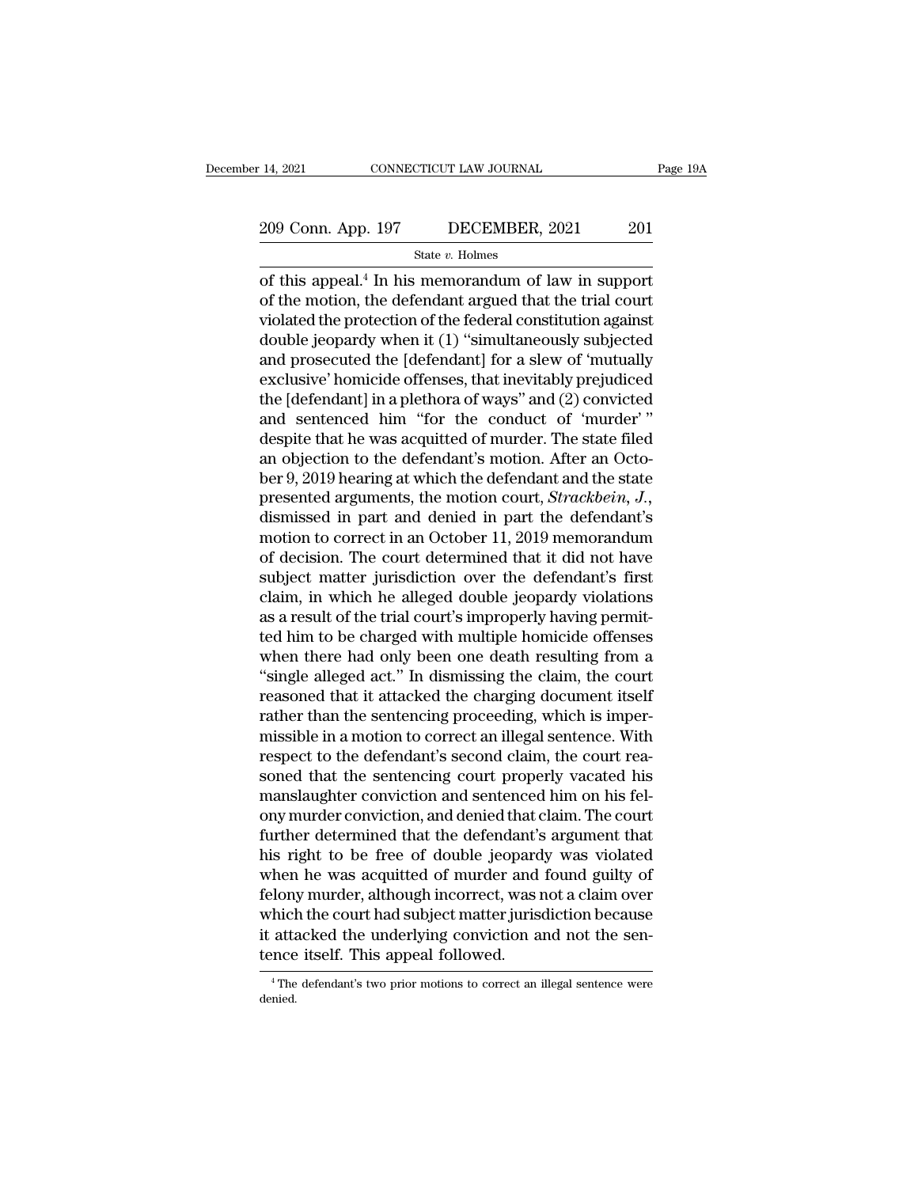# 14, 2021 CONNECTICUT LAW JOURNAL Page 19A<br>209 Conn. App. 197 DECEMBER, 2021 201<br>State v. Holmes

State *v.* Holmes

14, 2021 CONNECTICUT LAW JOURNAL Page  $19/$ <br>
209 Conn. App. 197 DECEMBER, 2021 201<br>
State v. Holmes<br>
of this appeal.<sup>4</sup> In his memorandum of law in support<br>
of the motion, the defendant argued that the trial court 209 Conn. App. 197 DECEMBER, 2021 201<br>
State v. Holmes<br>
of this appeal.<sup>4</sup> In his memorandum of law in support<br>
of the motion, the defendant argued that the trial court<br>
violated the protection of the federal constitution 209 Conn. App. 197 DECEMBER, 2021 201<br>
State v. Holmes<br>
of this appeal.<sup>4</sup> In his memorandum of law in support<br>
of the motion, the defendant argued that the trial court<br>
violated the protection of the federal constitution 209 Conn. App. 197 DECEMBER, 2021 201<br>
State v. Holmes<br>
of this appeal.<sup>4</sup> In his memorandum of law in support<br>
of the motion, the defendant argued that the trial court<br>
violated the protection of the federal constitution State v. Holmes<br>
of this appeal.<sup>4</sup> In his memorandum of law in support<br>
of the motion, the defendant argued that the trial court<br>
violated the protection of the federal constitution against<br>
double jeopardy when it (1) " state v. Homes<br>
of this appeal.<sup>4</sup> In his memorandum of law in support<br>
of the motion, the defendant argued that the trial court<br>
violated the protection of the federal constitution against<br>
double jeopardy when it (1) "s of this appeal.<sup>4</sup> In his memorandum of law in support<br>of the motion, the defendant argued that the trial court<br>violated the protection of the federal constitution against<br>double jeopardy when it (1) "simultaneously subjec of the motion, the defendant argued that the trial court<br>violated the protection of the federal constitution against<br>double jeopardy when it (1) "simultaneously subjected<br>and prosecuted the [defendant] for a slew of 'murda violated the protection of the federal constitution against<br>double jeopardy when it (1) "simultaneously subjected<br>and prosecuted the [defendant] for a slew of 'mutually<br>exclusive' homicide offenses, that inevitably prejudi double jeopardy when it (1) "simultaneously subjected<br>and prosecuted the [defendant] for a slew of 'mutually<br>exclusive' homicide offenses, that inevitably prejudiced<br>the [defendant] in a plethora of ways" and (2) convicted and prosecuted the [defendant] for a slew of 'mutually<br>exclusive' homicide offenses, that inevitably prejudiced<br>the [defendant] in a plethora of ways'' and (2) convicted<br>and sentenced him "for the conduct of 'murder'."<br>des exclusive' homicide offenses, that inevitably prejudiced<br>the [defendant] in a plethora of ways" and (2) convicted<br>and sentenced him "for the conduct of 'murder'"<br>despite that he was acquitted of murder. The state filed<br>an the [defendant] in a plethora of ways" and (2) convicted<br>and sentenced him "for the conduct of 'murder'"<br>despite that he was acquitted of murder. The state filed<br>an objection to the defendant's motion. After an Octo-<br>ber and sentenced him "for the conduct of 'murder'"<br>despite that he was acquitted of murder. The state filed<br>an objection to the defendant's motion. After an Octo-<br>ber 9, 2019 hearing at which the defendant and the state<br>prese despite that he was acquitted of murder. The state filed<br>an objection to the defendant's motion. After an Octo-<br>ber 9, 2019 hearing at which the defendant and the state<br>presented arguments, the motion court, *Strackbein*, an objection to the defendant's motion. After an October 9, 2019 hearing at which the defendant and the state<br>presented arguments, the motion court, *Strackbein*, *J.*,<br>dismissed in part and denied in part the defendant's<br> ber 9, 2019 hearing at which the defendant and the state<br>presented arguments, the motion court, *Strackbein*, *J.*,<br>dismissed in part and denied in part the defendant's<br>motion to correct in an October 11, 2019 memorandum<br>o presented arguments, the motion court, *Strackbein*, J., dismissed in part and denied in part the defendant's motion to correct in an October 11, 2019 memorandum of decision. The court determined that it did not have subje dismissed in part and denied in part the defendant's<br>motion to correct in an October 11, 2019 memorandum<br>of decision. The court determined that it did not have<br>subject matter jurisdiction over the defendant's first<br>claim, motion to correct in an October 11, 2019 memorandum<br>of decision. The court determined that it did not have<br>subject matter jurisdiction over the defendant's first<br>claim, in which he alleged double jeopardy violations<br>as a r of decision. The court determined that it did not have<br>subject matter jurisdiction over the defendant's first<br>claim, in which he alleged double jeopardy violations<br>as a result of the trial court's improperly having permitsubject matter jurisdiction over the defendant's first<br>claim, in which he alleged double jeopardy violations<br>as a result of the trial court's improperly having permit-<br>ted him to be charged with multiple homicide offenses<br> claim, in which he alleged double jeopardy violations<br>as a result of the trial court's improperly having permit-<br>ted him to be charged with multiple homicide offenses<br>when there had only been one death resulting from a<br>"si as a result of the trial court's improperly having permitted him to be charged with multiple homicide offenses<br>when there had only been one death resulting from a<br>"single alleged act." In dismissing the claim, the court<br>re ted him to be charged with multiple homicide offenses<br>when there had only been one death resulting from a<br>"single alleged act." In dismissing the claim, the court<br>reasoned that it attacked the charging document itself<br>rath when there had only been one death resulting from a<br>"single alleged act." In dismissing the claim, the court<br>reasoned that it attacked the charging document itself<br>rather than the sentencing proceeding, which is imper-<br>mis "single alleged act." In dismissing the claim, the court<br>reasoned that it attacked the charging document itself<br>rather than the sentencing proceeding, which is imper-<br>missible in a motion to correct an illegal sentence. Wi reasoned that it attacked the charging document itself<br>rather than the sentencing proceeding, which is imper-<br>missible in a motion to correct an illegal sentence. With<br>respect to the defendant's second claim, the court rea rather than the sentencing proceeding, which is imper-<br>missible in a motion to correct an illegal sentence. With<br>respect to the defendant's second claim, the court rea-<br>soned that the sentencing court properly vacated his<br> missible in a motion to correct an illegal sentence. With<br>respect to the defendant's second claim, the court rea-<br>soned that the sentencing court properly vacated his<br>manslaughter conviction and sentenced him on his fel-<br>o respect to the defendant's second claim, the court reasoned that the sentencing court properly vacated his<br>manslaughter conviction and sentenced him on his fel-<br>ony murder conviction, and denied that claim. The court<br>furth soned that the sentencing court properly vacated his<br>manslaughter conviction and sentenced him on his fel-<br>ony murder conviction, and denied that claim. The court<br>further determined that the defendant's argument that<br>his r manslaughter conviction and sentenced him on his fel-<br>ony murder conviction, and denied that claim. The court<br>further determined that the defendant's argument that<br>his right to be free of double jeopardy was violated<br>when ony murder conviction, and denied that claim. The court<br>further determined that the defendant's argument that<br>his right to be free of double jeopardy was violated<br>when he was acquitted of murder and found guilty of<br>felony further determined that the defendant's<br>his right to be free of double jeopard<br>when he was acquitted of murder and<br>felony murder, although incorrect, was i<br>which the court had subject matter juris<br>it attacked the underlyin felony murder, although incorrect, was not a claim over<br>which the court had subject matter jurisdiction because<br>it attacked the underlying conviction and not the sen-<br>tence itself. This appeal followed.<br>The defendant's two

denied.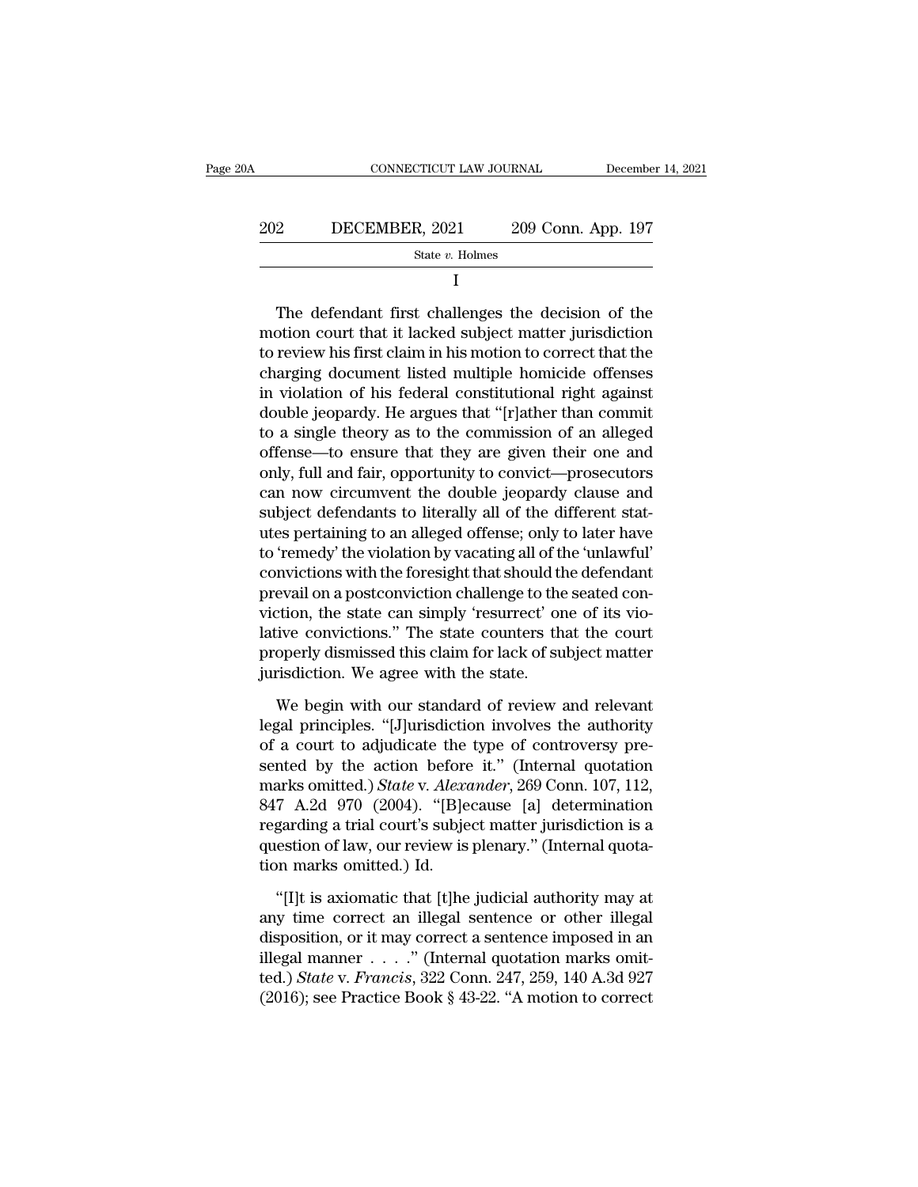| 20A | CONNECTICUT LAW JOURNAL |                    | December 14, 2021 |
|-----|-------------------------|--------------------|-------------------|
| 202 | DECEMBER, 2021          | 209 Conn. App. 197 |                   |
|     | State $v$ . Holmes      |                    |                   |
|     |                         |                    |                   |

202 DECEMBER, 2021 209 Conn. App. 197<br>  $\frac{\text{State } v. \text{ Holmes}}{I}$ <br>
The defendant first challenges the decision of the<br>
motion court that it lacked subject matter jurisdiction<br>
to review his first claim in his motion to correct t The defendant first challenges the decision of the<br>
The defendant first challenges the decision of the<br>
motion court that it lacked subject matter jurisdiction<br>
to review his first claim in his motion to correct that the<br> State v. Holmes<br>
I<br>
The defendant first challenges the decision of the<br>
motion court that it lacked subject matter jurisdiction<br>
to review his first claim in his motion to correct that the<br>
charging document listed multip I<br>
I<br>
The defendant first challenges the decision of the<br>
motion court that it lacked subject matter jurisdiction<br>
to review his first claim in his motion to correct that the<br>
charging document listed multiple homicide off The defendant first challenges the decision of the<br>motion court that it lacked subject matter jurisdiction<br>to review his first claim in his motion to correct that the<br>charging document listed multiple homicide offenses<br>in The defendant first challenges the decision of the<br>motion court that it lacked subject matter jurisdiction<br>to review his first claim in his motion to correct that the<br>charging document listed multiple homicide offenses<br>in motion court that it lacked subject matter jurisdiction<br>to review his first claim in his motion to correct that the<br>charging document listed multiple homicide offenses<br>in violation of his federal constitutional right again to review his first claim in his motion to correct that the<br>charging document listed multiple homicide offenses<br>in violation of his federal constitutional right against<br>double jeopardy. He argues that "[r]ather than commit charging document listed multiple homicide offenses<br>in violation of his federal constitutional right against<br>double jeopardy. He argues that "[r]ather than commit<br>to a single theory as to the commission of an alleged<br>offen in violation of his federal constitutional right against<br>double jeopardy. He argues that "[r]ather than commit<br>to a single theory as to the commission of an alleged<br>offense—to ensure that they are given their one and<br>only, double jeopardy. He argues that "[r]ather than commit<br>to a single theory as to the commission of an alleged<br>offense—to ensure that they are given their one and<br>only, full and fair, opportunity to convict—prosecutors<br>can no to a single theory as to the commission of an alleged<br>offense—to ensure that they are given their one and<br>only, full and fair, opportunity to convict—prosecutors<br>can now circumvent the double jeopardy clause and<br>subject de offense—to ensure that they are given their one and<br>only, full and fair, opportunity to convict—prosecutors<br>can now circumvent the double jeopardy clause and<br>subject defendants to literally all of the different stat-<br>utes only, full and fair, opportunity to convict—prosecutors<br>can now circumvent the double jeopardy clause and<br>subject defendants to literally all of the different stat-<br>utes pertaining to an alleged offense; only to later have can now circumvent the double jeopardy clause and<br>subject defendants to literally all of the different stat-<br>utes pertaining to an alleged offense; only to later have<br>to 'remedy' the violation by vacating all of the 'unlaw subject defendants to literally all of the different stat-<br>utes pertaining to an alleged offense; only to later have<br>to 'remedy' the violation by vacating all of the 'unlawful'<br>convictions with the foresight that should th utes pertaining to an alleged offense; only to later have<br>to 'remedy' the violation by vacating all of the 'unlawful'<br>convictions with the foresight that should the defendant<br>prevail on a postconviction challenge to the se to 'remedy' the violation by vacating all of the convictions with the foresight that should the prevail on a postconviction challenge to the viction, the state can simply 'resurrect' or lative convictions." The state count evail on a postconviction challenge to the seated contrion, the state can simply 'resurrect' one of its violative convictions." The state counters that the court<br>operly dismissed this claim for lack of subject matter<br>risdi viction, the state can simply 'resurrect' one of its violative convictions." The state counters that the court<br>properly dismissed this claim for lack of subject matter<br>jurisdiction. We agree with the state.<br>We begin with o

lative convictions." The state counters that the court<br>properly dismissed this claim for lack of subject matter<br>jurisdiction. We agree with the state.<br>We begin with our standard of review and relevant<br>legal principles. "[ properly dismissed this claim for lack of subject matter<br>jurisdiction. We agree with the state.<br>We begin with our standard of review and relevant<br>legal principles. "[J]urisdiction involves the authority<br>of a court to adjud iurisdiction. We agree with the state.<br>
We begin with our standard of review and relevant<br>
legal principles. "[J]urisdiction involves the authority<br>
of a court to adjudicate the type of controversy pre-<br>
sented by the acti We begin with our standard of review and relevant<br>legal principles. "[J]urisdiction involves the authority<br>of a court to adjudicate the type of controversy pre-<br>sented by the action before it." (Internal quotation<br>marks om We begin with our standard of review and relevant<br>legal principles. "[J]urisdiction involves the authority<br>of a court to adjudicate the type of controversy pre-<br>sented by the action before it." (Internal quotation<br>marks o legal principles. "[J]urisdiction involves the authority<br>of a court to adjudicate the type of controversy pre-<br>sented by the action before it." (Internal quotation<br>marks omitted.) State v. Alexander, 269 Conn. 107, 112,<br>84 of a court to adjudicate the<br>sented by the action before<br>marks omitted.) State v. Alexa<br>847 A.2d 970 (2004). "[B]e<br>regarding a trial court's subje<br>question of law, our review is<br>tion marks omitted.) Id.<br>"[I]t is axiomatic arks omitted.) *State* v. *Alexander*, 269 Conn. 107, 112,<br>
7 A.2d 970 (2004). "[B]ecause [a] determination<br>
garding a trial court's subject matter jurisdiction is a<br>
estion of law, our review is plenary." (Internal quota-847 A.2d 970 (2004). "[B]ecause [a] determination<br>regarding a trial court's subject matter jurisdiction is a<br>question of law, our review is plenary." (Internal quota-<br>tion marks omitted.) Id.<br>"[I]t is axiomatic that [t]he

regarding a trial court's subject matter jurisdiction is a<br>question of law, our review is plenary." (Internal quota-<br>tion marks omitted.) Id.<br>"[I]t is axiomatic that [t]he judicial authority may at<br>any time correct an ill question of law, our review is plenary." (Internal quotation marks omitted.) Id.<br>
"[I]t is axiomatic that [t]he judicial authority may at<br>
any time correct an illegal sentence or other illegal<br>
disposition, or it may corr tion marks omitted.) Id.<br>
"[I]t is axiomatic that [t]he judicial authority may at<br>
any time correct an illegal sentence or other illegal<br>
disposition, or it may correct a sentence imposed in an<br>
illegal manner . . . . ." ( "[I]t is axiomatic that [t]he judicial authority may at any time correct an illegal sentence or other illegal disposition, or it may correct a sentence imposed in an illegal manner  $\ldots$  ." (Internal quotation marks omitt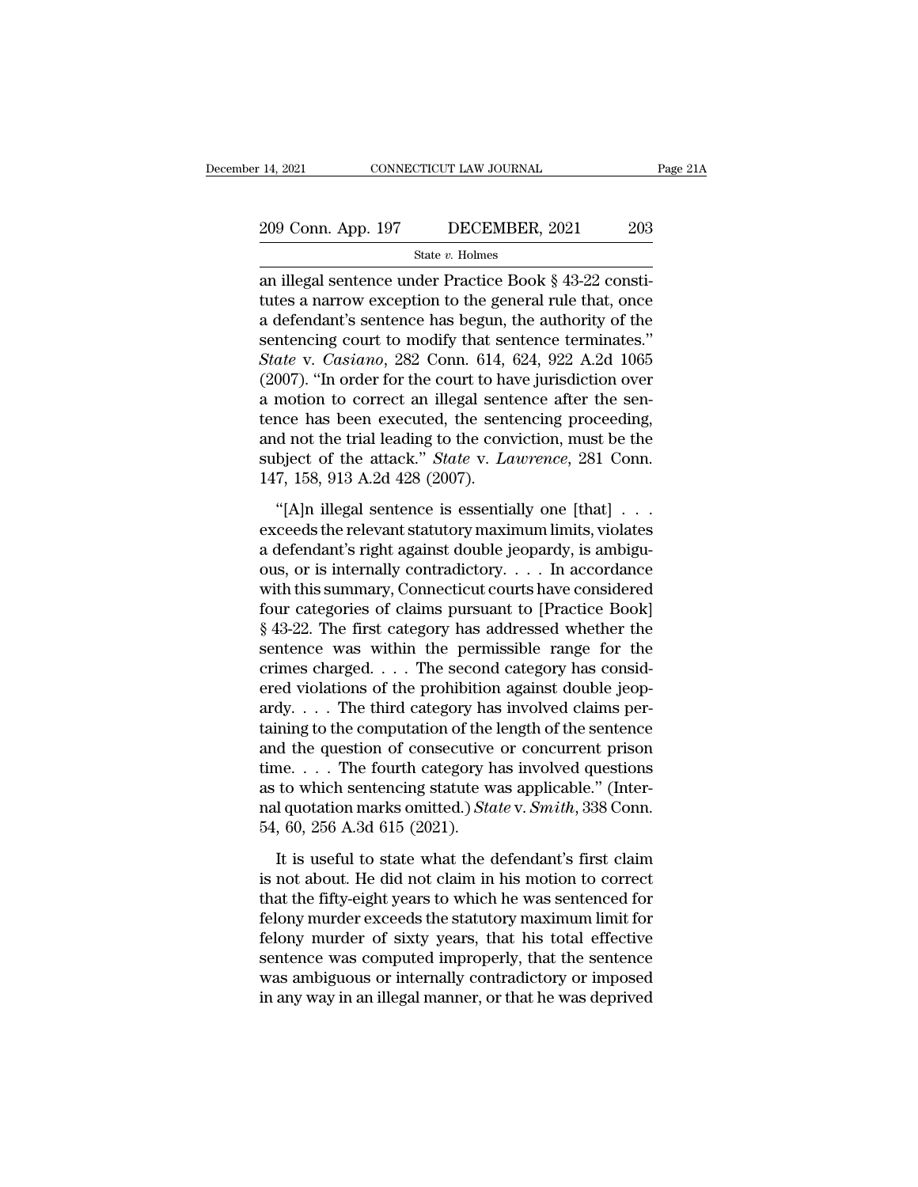# 14, 2021 CONNECTICUT LAW JOURNAL Page 21A<br>209 Conn. App. 197 DECEMBER, 2021 203<br>31 State v. Holmes

State *v.* Holmes

14, 2021 CONNECTICUT LAW JOURNAL<br>
209 Conn. App. 197 DECEMBER, 2021 203<br>
<sup>203</sup> State v. Holmes<br>
an illegal sentence under Practice Book § 43-22 constitutes a narrow exception to the general rule that, once 209 Conn. App. 197 DECEMBER, 2021 203<br>
State v. Holmes<br>
an illegal sentence under Practice Book § 43-22 constitutes a narrow exception to the general rule that, once<br>
a defendant's sentence has begun, the authority of the<br> 209 Conn. App. 197 DECEMBER, 2021 203<br>
State v. Holmes<br>
an illegal sentence under Practice Book § 43-22 constitutes a narrow exception to the general rule that, once<br>
a defendant's sentence has begun, the authority of the 209 Conn. App. 197 DECEMBER, 2021 203<br>
State v. Holmes<br>
an illegal sentence under Practice Book § 43-22 constitutes a narrow exception to the general rule that, once<br>
a defendant's sentence has begun, the authority of the State v. Holmes<br>
an illegal sentence under Practice Book § 43-22 consti-<br>
tutes a narrow exception to the general rule that, once<br>
a defendant's sentence has begun, the authority of the<br>
sentencing court to modify that sen siate v. Holmes<br>
an illegal sentence under Practice Book § 43-22 consti-<br>
tutes a narrow exception to the general rule that, once<br>
a defendant's sentence has begun, the authority of the<br>
sentencing court to modify that se an illegal sentence under Practice Book § 43-22 constitutes a narrow exception to the general rule that, once<br>a defendant's sentence has begun, the authority of the<br>sentencing court to modify that sentence terminates."<br>St tutes a narrow exception to the general rule that, once<br>a defendant's sentence has begun, the authority of the<br>sentencing court to modify that sentence terminates."<br>State v. Casiano, 282 Conn. 614, 624, 922 A.2d 1065<br>(2007 a defendant's sentence has begun, the authority of the<br>sentencing court to modify that sentence terminates."<br>State v. Casiano, 282 Conn. 614, 624, 922 A.2d 1065<br>(2007). "In order for the court to have jurisdiction over<br>a sentencing court to modify that sentence terminates."<br> *State* v. *Casiano*, 282 Conn. 614, 624, 922 A.2d 1065<br>
(2007). "In order for the court to have jurisdiction over<br>
a motion to correct an illegal sentence after the s State v. Casiano, 282 Conn. 614, (2007). "In order for the court to ha<br>a motion to correct an illegal sent<br>tence has been executed, the sent<br>and not the trial leading to the conv<br>subject of the attack." State v. La<br>147, 15 The contract an illegal sentence after the sentencion to correct an illegal sentence after the sentence has been executed, the sentencing proceeding, d not the trial leading to the conviction, must be the bject of the atta relative to the relation of the sentencing proceeding,<br>tence has been executed, the sentencing proceeding,<br>subject of the attack." *State* v. *Lawrence*, 281 Conn.<br>147, 158, 913 A.2d 428 (2007).<br>"[A]n illegal sentence is e

and not the trial leading to the conviction, must be the<br>subject of the attack." *State* v. *Lawrence*, 281 Conn.<br>147, 158, 913 A.2d 428 (2007).<br>"[A]n illegal sentence is essentially one [that] ...<br>exceeds the relevant st subject of the attack." *State* v. *Lawrence*, 281 Conn.<br>147, 158, 913 A.2d 428 (2007).<br>
"[A]n illegal sentence is essentially one [that] . . .<br>
exceeds the relevant statutory maximum limits, violates<br>
a defendant's right 147, 158, 913 A.2d 428 (2007).<br>
"[A]n illegal sentence is essentially one [that]  $\ldots$ <br>
exceeds the relevant statutory maximum limits, violates<br>
a defendant's right against double jeopardy, is ambigu-<br>
ous, or is internal "[A]n illegal sentence is essentially one [that]  $\ldots$  exceeds the relevant statutory maximum limits, violates a defendant's right against double jeopardy, is ambiguous, or is internally contradictory.  $\ldots$  In accordance "[A]n illegal sentence is essentially one [that]  $\ldots$ <br>exceeds the relevant statutory maximum limits, violates<br>a defendant's right against double jeopardy, is ambigu-<br>ous, or is internally contradictory.  $\ldots$  In accordan exceeds the relevant statutory maximum limits, violates<br>a defendant's right against double jeopardy, is ambiguous, or is internally contradictory. . . . In accordance<br>with this summary, Connecticut courts have considered<br> a defendant's right against double jeopardy, is ambiguous, or is internally contradictory. . . . In accordance<br>with this summary, Connecticut courts have considered<br>four categories of claims pursuant to [Practice Book]<br>§ ous, or is internally contradictory. . . . . In accordance<br>with this summary, Connecticut courts have considered<br>four categories of claims pursuant to [Practice Book]<br>§ 43-22. The first category has addressed whether the<br> with this summary, Connecticut courts have considered<br>four categories of claims pursuant to [Practice Book]<br>§ 43-22. The first category has addressed whether the<br>sentence was within the permissible range for the<br>crimes ch four categories of claims pursuant to [Practice Book]<br>
§ 43-22. The first category has addressed whether the<br>
sentence was within the permissible range for the<br>
crimes charged.... The second category has consid-<br>
ered vio  $§$  43-22. The first category has addressed whether the<br>sentence was within the permissible range for the<br>crimes charged. . . . The second category has consid-<br>ered violations of the prohibition against double jeop-<br>ardy. sentence was within the permissible range for the<br>crimes charged.... The second category has consid-<br>ered violations of the prohibition against double jeop-<br>ardy.... The third category has involved claims per-<br>taining to crimes charged.... The second category has considered violations of the prohibition against double jeopardy.... The third category has involved claims pertaining to the computation of the length of the sentence and the qu ered violations of the prohibition against double jeop-<br>ardy. . . . The third category has involved claims per-<br>taining to the computation of the length of the sentence<br>and the question of consecutive or concurrent prison<br> ardy. . . . The third category has<br>taining to the computation of the<br>and the question of consecutive<br>time. . . . The fourth category h<br>as to which sentencing statute w<br>nal quotation marks omitted.) Sta<br>54, 60, 256 A.3d 61 It is useful to state what the defendant's first claim<br>in the figure state was applicable." (Inter-<br>l quotation marks omitted.) *State* v. *Smith*, 338 Conn.<br>60, 256 A.3d 615 (2021).<br>It is useful to state what the defenda time. . . . The fourth category has involved questions<br>as to which sentencing statute was applicable." (Inter-<br>nal quotation marks omitted.) *State* v. *Smith*, 338 Conn.<br>54, 60, 256 A.3d 615 (2021).<br>It is useful to state

as to which sentencing statute was applicable." (Inter-<br>nal quotation marks omitted.) *State* v. *Smith*, 338 Conn.<br>54, 60, 256 A.3d 615 (2021).<br>It is useful to state what the defendant's first claim<br>is not about. He did mal quotation marks omitted.) State v. Smith, 338 Conn.<br>54, 60, 256 A.3d 615 (2021).<br>It is useful to state what the defendant's first claim<br>is not about. He did not claim in his motion to correct<br>that the fifty-eight year 54, 60, 256 A.3d 615 (2021).<br>It is useful to state what the defendant's first claim<br>is not about. He did not claim in his motion to correct<br>that the fifty-eight years to which he was sentenced for<br>felony murder exceeds th It is useful to state what the defendant's first claim<br>is not about. He did not claim in his motion to correct<br>that the fifty-eight years to which he was sentenced for<br>felony murder exceeds the statutory maximum limit for<br> It is useful to state what the defendant's first claim<br>is not about. He did not claim in his motion to correct<br>that the fifty-eight years to which he was sentenced for<br>felony murder exceeds the statutory maximum limit for<br> is not about. He did not claim in his motion to correct<br>that the fifty-eight years to which he was sentenced for<br>felony murder exceeds the statutory maximum limit for<br>felony murder of sixty years, that his total effective<br>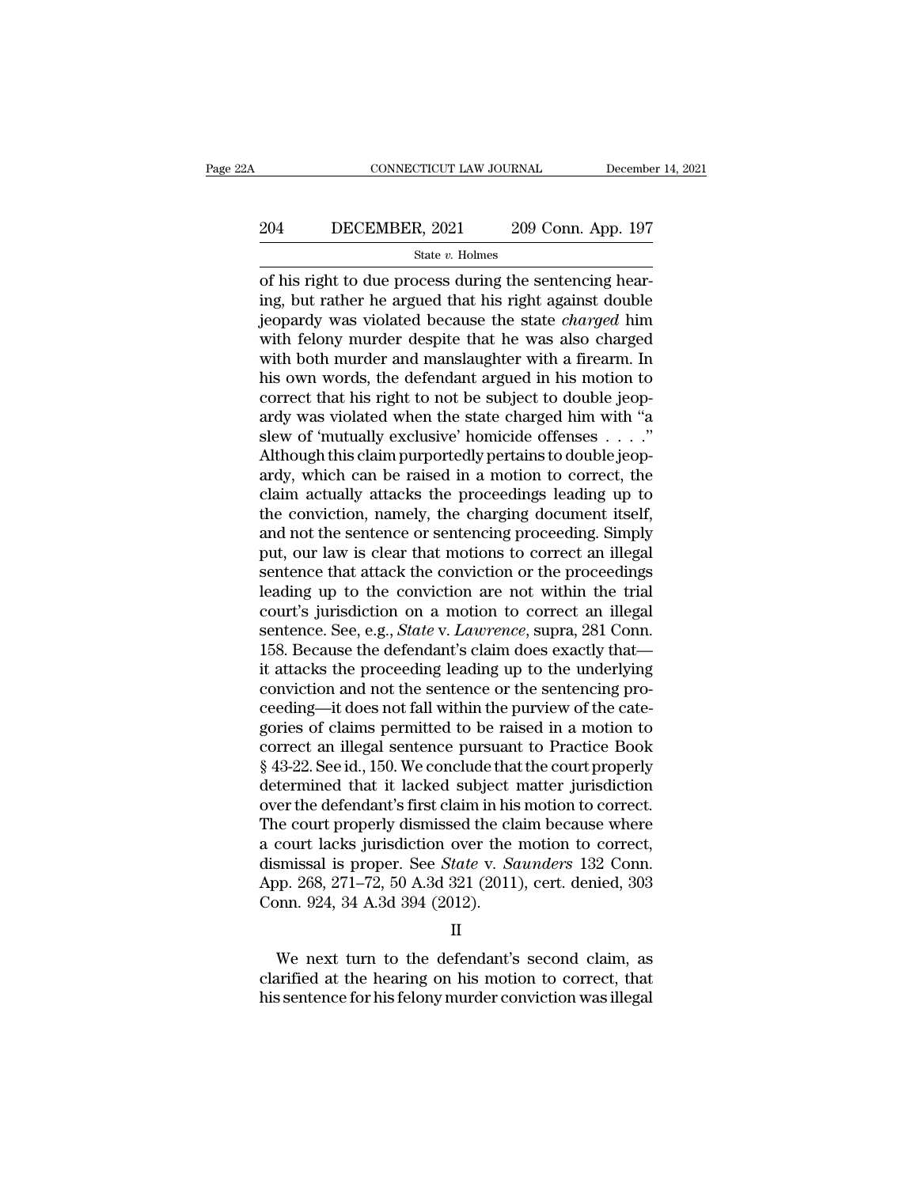# CONNECTICUT LAW JOURNAL December 14, 2021<br>204 DECEMBER, 2021 209 Conn. App. 197<br>3tate v. Holmes

### State *v.* Holmes

CONNECTICUT LAW JOURNAL December<br>
204 DECEMBER, 2021 209 Conn. App. 197<br>
5tate v. Holmes<br>
205 of his right to due process during the sentencing hear-<br>
ing, but rather he argued that his right against double<br>
isomers were v 204 DECEMBER, 2021 209 Conn. App. 197<br>
<sup>State v. Holmes</sup><br>
of his right to due process during the sentencing hear-<br>
ing, but rather he argued that his right against double<br>
jeopardy was violated because the state *charged* 204 DECEMBER, 2021 209 Conn. App. 197<br>
State *v*. Holmes<br>
of his right to due process during the sentencing hear-<br>
ing, but rather he argued that his right against double<br>
jeopardy was violated because the state *charged* 204 DECEMBER, 2021 209 Conn. App. 197<br>
State v. Holmes<br>
of his right to due process during the sentencing hear-<br>
ing, but rather he argued that his right against double<br>
jeopardy was violated because the state *charged* h State v. Holmes<br>
of his right to due process during the sentencing hear-<br>
ing, but rather he argued that his right against double<br>
jeopardy was violated because the state *charged* him<br>
with felony murder despite that he state v. Holmes<br>
of his right to due process during the sentencing hear-<br>
ing, but rather he argued that his right against double<br>
jeopardy was violated because the state *charged* him<br>
with felony murder despite that he of his right to due process during the sentencing hear-<br>ing, but rather he argued that his right against double<br>jeopardy was violated because the state *charged* him<br>with felony murder despite that he was also charged<br>with ing, but rather he argued that his right against double<br>jeopardy was violated because the state *charged* him<br>with felony murder despite that he was also charged<br>with both murder and manslaughter with a firearm. In<br>his ow jeopardy was violated because the state *charged* him<br>with felony murder despite that he was also charged<br>with both murder and manslaughter with a firearm. In<br>his own words, the defendant argued in his motion to<br>correct t with felony murder despite that he was also charged<br>with both murder and manslaughter with a firearm. In<br>his own words, the defendant argued in his motion to<br>correct that his right to not be subject to double jeop-<br>ardy wa with both murder and manslaughter with a firearm. In<br>his own words, the defendant argued in his motion to<br>correct that his right to not be subject to double jeop-<br>ardy was violated when the state charged him with "a<br>slew his own words, the defendant argued in his motion to<br>correct that his right to not be subject to double jeop-<br>ardy was violated when the state charged him with "a<br>slew of 'mutually exclusive' homicide offenses  $\ldots$ ."<br>Alt correct that his right to not be subject to double jeopardy was violated when the state charged him with "a slew of 'mutually exclusive' homicide offenses  $\ldots$ ."<br>Although this claim purportedly pertains to double jeopard ardy was violated when the state charged him with "a<br>slew of 'mutually exclusive' homicide offenses  $\dots$ ."<br>Although this claim purportedly pertains to double jeop-<br>ardy, which can be raised in a motion to correct, the<br>cla slew of 'mutually exclusive' homicide offenses  $\ldots$ ."<br>Although this claim purportedly pertains to double jeopardy, which can be raised in a motion to correct, the<br>claim actually attacks the proceedings leading up to<br>the Although this claim purportedly pertains to double jeopardy, which can be raised in a motion to correct, the claim actually attacks the proceedings leading up to the conviction, namely, the charging document itself, and no ardy, which can be raised in a motion to correct, the claim actually attacks the proceedings leading up to the conviction, namely, the charging document itself, and not the sentence or sentencing proceeding. Simply put, ou claim actually attacks the proceedings leading up to<br>the conviction, namely, the charging document itself,<br>and not the sentence or sentencing proceeding. Simply<br>put, our law is clear that motions to correct an illegal<br>sent the conviction, namely, the charging document itself,<br>and not the sentence or sentencing proceeding. Simply<br>put, our law is clear that motions to correct an illegal<br>sentence that attack the conviction or the proceedings<br>le and not the sentence or sentencing proceeding. Simply<br>put, our law is clear that motions to correct an illegal<br>sentence that attack the conviction or the proceedings<br>leading up to the conviction are not within the trial<br>co put, our law is clear that motions to correct an illegal<br>sentence that attack the conviction or the proceedings<br>leading up to the conviction are not within the trial<br>court's jurisdiction on a motion to correct an illegal<br>s sentence that attack the conviction or the proceedings<br>leading up to the conviction are not within the trial<br>court's jurisdiction on a motion to correct an illegal<br>sentence. See, e.g., *State* v. *Lawrence*, supra, 281 Con leading up to the conviction are not within the trial court's jurisdiction on a motion to correct an illegal sentence. See, e.g., *State* v. *Lawrence*, supra, 281 Conn. 158. Because the defendant's claim does exactly that court's jurisdiction on a motion to correct an illegal<br>sentence. See, e.g., *State* v. *Lawrence*, supra, 281 Conn.<br>158. Because the defendant's claim does exactly that—<br>it attacks the proceeding leading up to the underlyi sentence. See, e.g., *State* v. *Lawrence*, supra, 281 Conn.<br>158. Because the defendant's claim does exactly that—<br>it attacks the proceeding leading up to the underlying<br>conviction and not the sentence or the sentencing pr 158. Because the defendant's claim does exactly that—<br>it attacks the proceeding leading up to the underlying<br>conviction and not the sentence or the sentencing pro-<br>ceeding—it does not fall within the purview of the cate-<br>g it attacks the proceeding leading up to the underlying<br>conviction and not the sentence or the sentencing pro-<br>ceeding—it does not fall within the purview of the cate-<br>gories of claims permitted to be raised in a motion to<br> conviction and not the sentence or the sentencing proceeding—it does not fall within the purview of the categories of claims permitted to be raised in a motion to correct an illegal sentence pursuant to Practice Book § 43ceeding—it does not fall within the purview of the categories of claims permitted to be raised in a motion to correct an illegal sentence pursuant to Practice Book § 43-22. See id., 150. We conclude that the court properly gories of claims permitted to be raised in a motion to correct an illegal sentence pursuant to Practice Book § 43-22. See id., 150. We conclude that the court properly determined that it lacked subject matter jurisdiction correct an illegal sentence pursuant to Practice Book § 43-22. See id., 150. We conclude that the court properly determined that it lacked subject matter jurisdiction over the defendant's first claim in his motion to corre § 43-22. See id., 150. We conclude that the court properly<br>determined that it lacked subject matter jurisdiction<br>over the defendant's first claim in his motion to correct.<br>The court properly dismissed the claim because whe determined that it lacked subject i<br>over the defendant's first claim in his<br>The court properly dismissed the cla<br>a court lacks jurisdiction over the<br>dismissal is proper. See *State* v. *Sc*<br>App. 268, 271–72, 50 A.3d 321 (2 court lacks jurisdiction over the motion to correct,<br>smissal is proper. See *State* v. *Saunders* 132 Conn.<br>pp. 268, 271–72, 50 A.3d 321 (2011), cert. denied, 303<br>pnn. 924, 34 A.3d 394 (2012).<br>II<br>We next turn to the defend dismissal is proper. See *State* v. *Saunders* 132 Conn.<br>App. 268, 271–72, 50 A.3d 321 (2011), cert. denied, 303<br>Conn. 924, 34 A.3d 394 (2012).<br>II<br>We next turn to the defendant's second claim, as<br>clarified at the hearing o

### II

App. 268, 271–72, 50 A.3d 321 (2011), cert. denied, 303<br>Conn. 924, 34 A.3d 394 (2012).<br>II<br>We next turn to the defendant's second claim, as<br>clarified at the hearing on his motion to correct, that<br>his sentence for his felony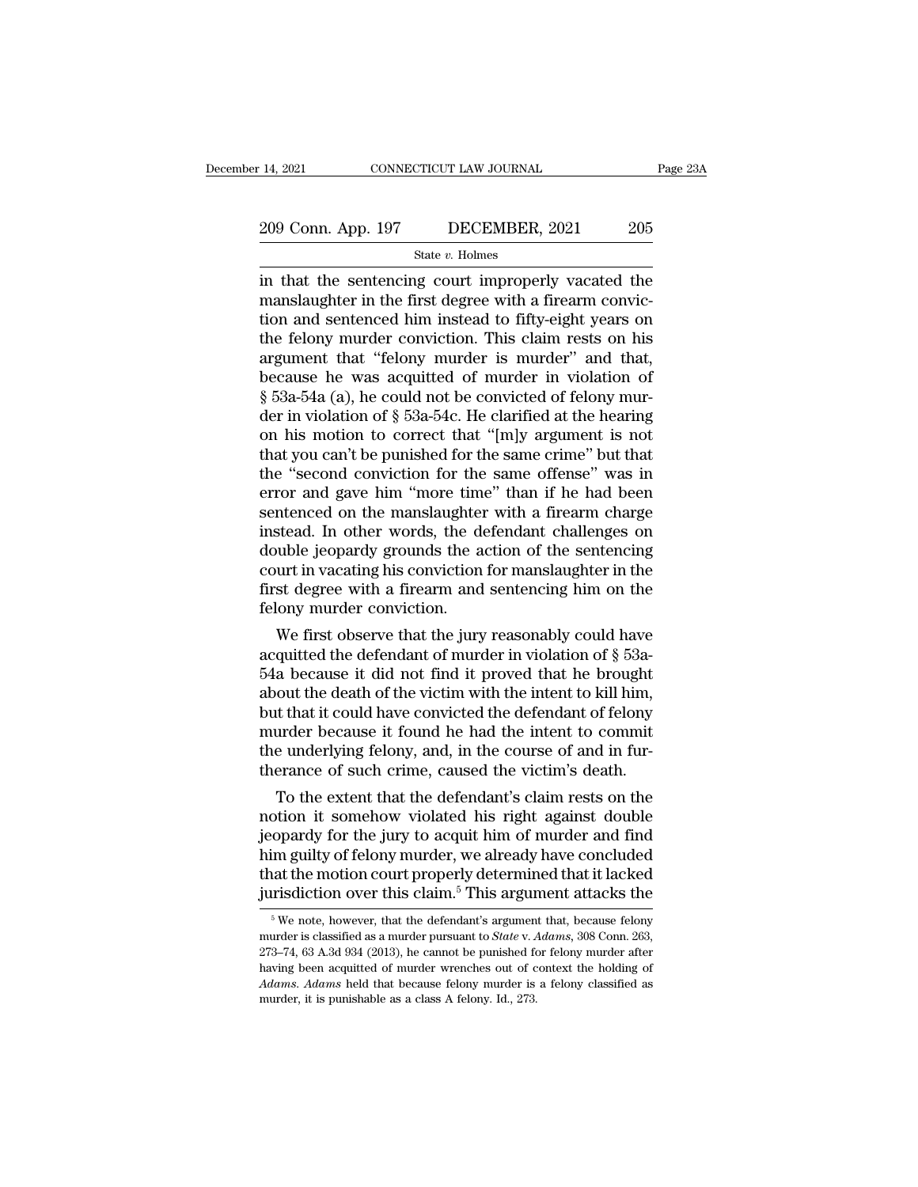### State *v.* Holmes

<sup>14, 2021</sup> CONNECTICUT LAW JOURNAL Page 23A<br>
209 Conn. App. 197 DECEMBER, 2021 205<br>
<sup>31</sup> State v. Holmes<br>
in that the sentencing court improperly vacated the<br>
manslaughter in the first degree with a firearm conviction<br>
an 209 Conn. App. 197 DECEMBER, 2021 205<br>State v. Holmes<br>in that the sentencing court improperly vacated the<br>manslaughter in the first degree with a firearm convic-<br>tion and sentenced him instead to fifty-eight years on<br>the f 209 Conn. App. 197 DECEMBER, 2021 205<br>
State v. Holmes<br>
in that the sentencing court improperly vacated the<br>
manslaughter in the first degree with a firearm conviction<br>
and sentenced him instead to fifty-eight years on<br>
t 209 Conn. App. 197 DECEMBER, 2021 205<br>
State v. Holmes<br>
in that the sentencing court improperly vacated the<br>
manslaughter in the first degree with a firearm convic-<br>
tion and sentenced him instead to fifty-eight years on<br> Solution of the sentencing court improperly vacated the<br>
in that the sentencing court improperly vacated the<br>
manslaughter in the first degree with a firearm convic-<br>
tion and sentenced him instead to fifty-eight years on state v. Holmes<br>in that the sentencing court improperly vacated the<br>manslaughter in the first degree with a firearm convic-<br>tion and sentenced him instead to fifty-eight years on<br>the felony murder conviction. This claim r in that the sentencing court improperly vacated the<br>manslaughter in the first degree with a firearm convic-<br>tion and sentenced him instead to fifty-eight years on<br>the felony murder conviction. This claim rests on his<br>argu manslaughter in the first degree with a firearm conviction and sentenced him instead to fifty-eight years on the felony murder conviction. This claim rests on his argument that "felony murder is murder" and that, because h tion and sentenced him instead to fifty-eight years on<br>the felony murder conviction. This claim rests on his<br>argument that "felony murder is murder" and that,<br>because he was acquitted of murder in violation of<br> $\S$  53a-54a the felony murder conviction. This claim rests on his<br>argument that "felony murder is murder" and that,<br>because he was acquitted of murder in violation of<br> $\S$  53a-54a (a), he could not be convicted of felony mur-<br>der in v argument that "felony murder is murder" and that,<br>because he was acquitted of murder in violation of<br> $\S$  53a-54a (a), he could not be convicted of felony mur-<br>der in violation of  $\S$  53a-54c. He clarified at the hearing<br>o because he was acquitted of murder in violation of  $\S$  53a-54a (a), he could not be convicted of felony murder in violation of  $\S$  53a-54c. He clarified at the hearing on his motion to correct that "[m]y argument is not t  $\S$  53a-54a (a), he could not be convicted of felony murder in violation of  $\S$  53a-54c. He clarified at the hearing<br>on his motion to correct that "[m]y argument is not<br>that you can't be punished for the same crime" but t der in violation of § 53a-54c. He clarified at the hearing<br>on his motion to correct that "[m]y argument is not<br>that you can't be punished for the same crime" but that<br>the "second conviction for the same offense" was in<br>err on his motion to correct that "[m]y argument is not<br>that you can't be punished for the same crime" but that<br>the "second conviction for the same offense" was in<br>error and gave him "more time" than if he had been<br>sentenced o that you can't be punished for the same crime" but that<br>the "second conviction for the same offense" was in<br>error and gave him "more time" than if he had been<br>sentenced on the manslaughter with a firearm charge<br>instead. In the "second conviction for the same offense" was in<br>error and gave him "more time" than if he had been<br>sentenced on the manslaughter with a firearm charge<br>instead. In other words, the defendant challenges on<br>double jeopard error and gave him "more tim<br>sentenced on the manslaughter<br>instead. In other words, the double jeopardy grounds the a<br>court in vacating his conviction<br>first degree with a firearm and<br>felony murder conviction.<br>We first obse menced on the manslaughter with a firearm charge<br>stead. In other words, the defendant challenges on<br>while jeopardy grounds the action of the sentencing<br>wrt in vacating his conviction for manslaughter in the<br>st degree with mstead. In other words, the defendant challenges on<br>double jeopardy grounds the action of the sentencing<br>court in vacating his conviction for manslaughter in the<br>first degree with a firearm and sentencing him on the<br>felon

From the sentencing count in vacating his conviction for manslaughter in the first degree with a firearm and sentencing him on the felony murder conviction.<br>We first observe that the jury reasonably could have acquitted t court in vacating his conviction for manistatighter in the first degree with a firearm and sentencing him on the felony murder conviction.<br>We first observe that the jury reasonably could have acquitted the defendant of mu first degree with a firearm and sentencing film on the<br>felony murder conviction.<br>We first observe that the jury reasonably could have<br>acquitted the defendant of murder in violation of  $\S$  53a-<br>54a because it did not find From murder conviction.<br>We first observe that the jury reasonably could have<br>acquitted the defendant of murder in violation of  $\S$  53a-<br>54a because it did not find it proved that he brought<br>about the death of the victim w We first observe that the jury reasonably could have acquitted the defendant of murder in violation of  $\S$  53a-54a because it did not find it proved that he brought about the death of the victim with the intent to kill hi acquitted the defendant of murder in violation of  $\S$  53a-54a because it did not find it proved that he brought about the death of the victim with the intent to kill him, but that it could have convicted the defendant of a because it did not find it proved that he brought<br>out the death of the victim with the intent to kill him,<br>it that it could have convicted the defendant of felony<br>urder because it found he had the intent to commit<br>e unde about the death of the victim with the intent to kill him,<br>but that it could have convicted the defendant of felony<br>murder because it found he had the intent to commit<br>the underlying felony, and, in the course of and in fu

but that it could have convicted the defendant of relony<br>murder because it found he had the intent to commit<br>the underlying felony, and, in the course of and in fur-<br>therance of such crime, caused the victim's death.<br>To th murder because it round ne nad the intent to commit<br>the underlying felony, and, in the course of and in fur-<br>therance of such crime, caused the victim's death.<br>To the extent that the defendant's claim rests on the<br>notion the underlying relony, and, in the course of and in fur-<br>therance of such crime, caused the victim's death.<br>To the extent that the defendant's claim rests on the<br>notion it somehow violated his right against double<br>jeopardy To the extent that the defendant's claim rests on the notion it somehow violated his right against double jeopardy for the jury to acquit him of murder and find him guilty of felony murder, we already have concluded that opardy for the jury to acquit him of murder and find<br>im guilty of felony murder, we already have concluded<br>at the motion court properly determined that it lacked<br>risdiction over this claim.<sup>5</sup> This argument attacks the<br> $\$ him guilty of felony murder, we already have concluded<br>that the motion court properly determined that it lacked<br>jurisdiction over this claim.<sup>5</sup> This argument attacks the<br><sup>5</sup>We note, however, that the defendant's argument

that the motion court properly determined that it lacked<br>jurisdiction over this claim.<sup>5</sup> This argument attacks the<br><sup>5</sup>We note, however, that the defendant's argument that, because felony<br>murder is classified as a murder jurisdiction over this claim.<sup>5</sup> This argument attacks the<br>
<sup>5</sup> We note, however, that the defendant's argument that, because felony<br>
murder is classified as a murder pursuant to *State* v. *Adams*, 308 Conn. 263,<br>
273–74 <sup>6</sup> We note, however, that the defendant's argument that, because felony murder is classified as a murder pursuant to *State* v. *Adams*, 308 Conn. 263, 273–74, 63 A.3d 934 (2013), he cannot be punished for felony murder a  $^5$  We note, however, that the defendant's argument that, because felony murder is classified as a murder pursuant to *State* v. Adams, 308 Conn. 263, 273–74, 63 A.3d 934 (2013), he cannot be punished for felony murder a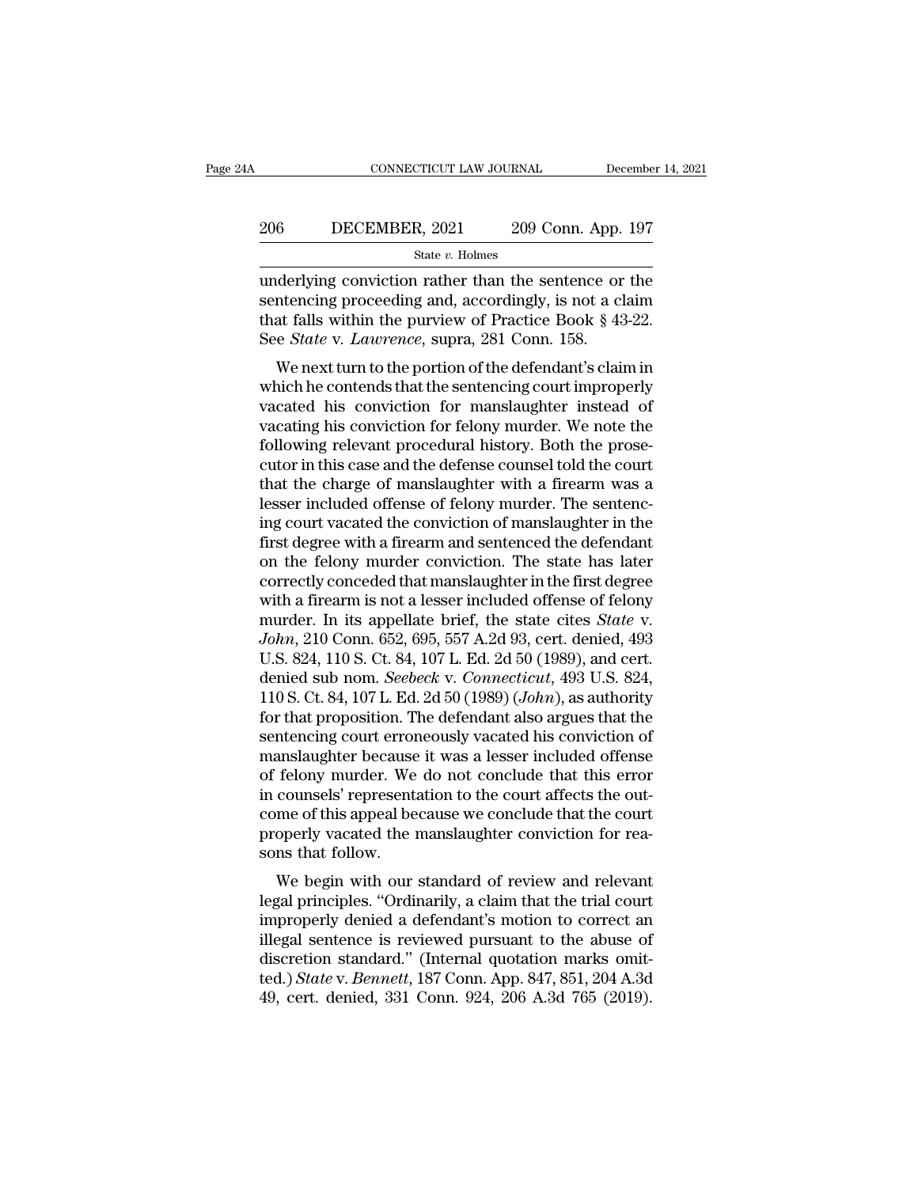### EXECUTE CONNECTICUT LAW JOURNAL December 14, 2021<br>206 DECEMBER, 2021 209 Conn. App. 197<br>3tate v. Holmes State *v.* Holmes

CONNECTICUT LAW JOURNAL December 14, 2021<br>
2006 DECEMBER, 2021 209 Conn. App. 197<br>
31 State v. Holmes<br>
2009 Conn. App. 197<br>
2009 Conn. App. 197<br>
2011 State v. Holmes<br>
2011 The sentence or the sentencing proceeding and, ac Sentencing proceeding and, accordingly, is not a claim<br>state v. Holmes<br>sentencing proceeding and, accordingly, is not a claim<br>that falls within the purview of Practice Book § 43-22.<br>See State v. Lawrence, supra 281 Conn. 1 206 DECEMBER, 2021 209 Conn. App. 197<br>
State v. Holmes<br>
underlying conviction rather than the sentence or the<br>
sentencing proceeding and, accordingly, is not a claim<br>
that falls within the purview of Practice Book § 43-22 **EXEMBER, 2021** 209 Conn. App.<br>
State *v*. Holmes<br>
underlying conviction rather than the sentence or<br>
sentencing proceeding and, accordingly, is not a cl<br>
that falls within the purview of Practice Book § 43<br>
See *State* v. State v. Holmes<br>
derlying conviction rather than the sentence or the<br>
intencing proceeding and, accordingly, is not a claim<br>
at falls within the purview of Practice Book § 43-22.<br>
e *State* v. *Lawrence*, supra, 281 Conn. underlying conviction rather than the sentence or the<br>sentencing proceeding and, accordingly, is not a claim<br>that falls within the purview of Practice Book § 43-22.<br>See *State* v. *Lawrence*, supra, 281 Conn. 158.<br>We next

underlying conviction rather than the sentence of the<br>sentencing proceeding and, accordingly, is not a claim<br>that falls within the purview of Practice Book § 43-22.<br>See *State* v. *Lawrence*, supra, 281 Conn. 158.<br>We next sentencing proceeding and, accordingly, is not a claim<br>that falls within the purview of Practice Book § 43-22.<br>See *State* v. *Lawrence*, supra, 281 Conn. 158.<br>We next turn to the portion of the defendant's claim in<br>which from the purvey of Fractice Book § 45-22.<br>See *State v. Lawrence*, supra, 281 Conn. 158.<br>We next turn to the portion of the defendant's claim in<br>which he contends that the sentencing court improperly<br>vacated his conviction See *State v. Lawrence*, supra, 251 Conn. 156.<br>We next turn to the portion of the defendant's claim in<br>which he contends that the sentencing court improperly<br>vacated his conviction for manslaughter instead of<br>vacating his We next turn to the portion of the defendant's claim in<br>which he contends that the sentencing court improperly<br>vacated his conviction for manslaughter instead of<br>vacating his conviction for felony murder. We note the<br>follo which he contends that the sentencing court improperly vacated his conviction for manslaughter instead of vacating his conviction for felony murder. We note the following relevant procedural history. Both the prosecutor in vacated his conviction for manslaughter instead of<br>vacating his conviction for felony murder. We note the<br>following relevant procedural history. Both the prose-<br>cutor in this case and the defense counsel told the court<br>tha vacating his conviction for felony murder. We note the following relevant procedural history. Both the prosecutor in this case and the defense counsel told the court that the charge of manslaughter with a firearm was a les following relevant procedural history. Both the prose-<br>cutor in this case and the defense counsel told the court<br>that the charge of manslaughter with a firearm was a<br>lesser included offense of felony murder. The sentenc-<br>i cutor in this case and the defense counsel told the court<br>that the charge of manslaughter with a firearm was a<br>lesser included offense of felony murder. The sentenc-<br>ing court vacated the conviction of manslaughter in the<br> that the charge of manslaughter with a firearm was a<br>lesser included offense of felony murder. The sentenc-<br>ing court vacated the conviction of manslaughter in the<br>first degree with a firearm and sentenced the defendant<br>o lesser included offense of felony murder. The sentencing court vacated the conviction of manslaughter in the first degree with a firearm and sentenced the defendant on the felony murder conviction. The state has later corr ing court vacated the conviction of manslaughter in the<br>first degree with a firearm and sentenced the defendant<br>on the felony murder conviction. The state has later<br>correctly conceded that manslaughter in the first degree<br> first degree with a firearm and sentenced the defendant<br>on the felony murder conviction. The state has later<br>correctly conceded that manslaughter in the first degree<br>with a firearm is not a lesser included offense of felon on the felony murder conviction. The state has later<br>correctly conceded that manslaughter in the first degree<br>with a firearm is not a lesser included offense of felony<br>murder. In its appellate brief, the state cites *State* correctly conceded that manslaughter in the first degree<br>with a firearm is not a lesser included offense of felony<br>murder. In its appellate brief, the state cites *State* v.<br>*John*, 210 Conn. 652, 695, 557 A.2d 93, cert. d with a firearm is not a lesser included offense of felony<br>murder. In its appellate brief, the state cites *State* v.<br>John, 210 Conn. 652, 695, 557 A.2d 93, cert. denied, 493<br>U.S. 824, 110 S. Ct. 84, 107 L. Ed. 2d 50 (1989) murder. In its appellate brief, the state cites *State* v.<br>John, 210 Conn. 652, 695, 557 A.2d 93, cert. denied, 493<br>U.S. 824, 110 S. Ct. 84, 107 L. Ed. 2d 50 (1989), and cert.<br>denied sub nom. *Seebeck* v. *Connecticut*, 49 John, 210 Conn. 652, 695, 557 A.2d 93, cert. denied, 493<br>U.S. 824, 110 S. Ct. 84, 107 L. Ed. 2d 50 (1989), and cert.<br>denied sub nom. *Seebeck v. Connecticut*, 493 U.S. 824,<br>110 S. Ct. 84, 107 L. Ed. 2d 50 (1989) (John), as U.S. 824, 110 S. Ct. 84, 107 L. Ed. 2d 50 (1989), and cert.<br>denied sub nom. *Seebeck v. Connecticut*, 493 U.S. 824,<br>110 S. Ct. 84, 107 L. Ed. 2d 50 (1989) (*John*), as authority<br>for that proposition. The defendant also arg denied sub nom. *Seebeck* v. *Connecticut*, 493 U.S. 824, 110 S. Ct. 84, 107 L. Ed. 2d 50 (1989) (*John*), as authority for that proposition. The defendant also argues that the sentencing court erroneously vacated his conv 110 S. Ct. 84, 107 L. Ed. 2d 50 (1989) (*John*), as authority<br>for that proposition. The defendant also argues that the<br>sentencing court erroneously vacated his conviction of<br>manslaughter because it was a lesser included o for that proposition. The defendant also argues that the sentencing court erroneously vacated his conviction of manslaughter because it was a lesser included offense of felony murder. We do not conclude that this error in sentencing court error<br>manslaughter because<br>of felony murder. We<br>in counsels' represent:<br>come of this appeal be<br>properly vacated the 1<br>sons that follow.<br>We begin with our anslaughter because it was a lesser included offerise<br>felony murder. We do not conclude that this error<br>counsels' representation to the court affects the out-<br>me of this appeal because we conclude that the court<br>operly vac of reforty findicer. We do not conclude that this error<br>in counsels' representation to the court affects the out-<br>come of this appeal because we conclude that the court<br>properly vacated the manslaughter conviction for rea-

In counsels representation to the court ariects the our-<br>come of this appeal because we conclude that the court<br>properly vacated the manslaughter conviction for rea-<br>sons that follow.<br>We begin with our standard of review a From the sum of the manifolder and the court<br>properly vacated the manifolder conviction for reasons that follow.<br>We begin with our standard of review and relevant<br>legal principles. "Ordinarily, a claim that the trial court properly vacated the manslaughter conviction for reasons that follow.<br>We begin with our standard of review and relevant<br>legal principles. "Ordinarily, a claim that the trial court<br>improperly denied a defendant's motion to We begin with our standard of review and relevant<br>legal principles. "Ordinarily, a claim that the trial court<br>improperly denied a defendant's motion to correct an<br>illegal sentence is reviewed pursuant to the abuse of<br>discr We begin with our standard of review and relevant<br>legal principles. "Ordinarily, a claim that the trial court<br>improperly denied a defendant's motion to correct an<br>illegal sentence is reviewed pursuant to the abuse of<br>discr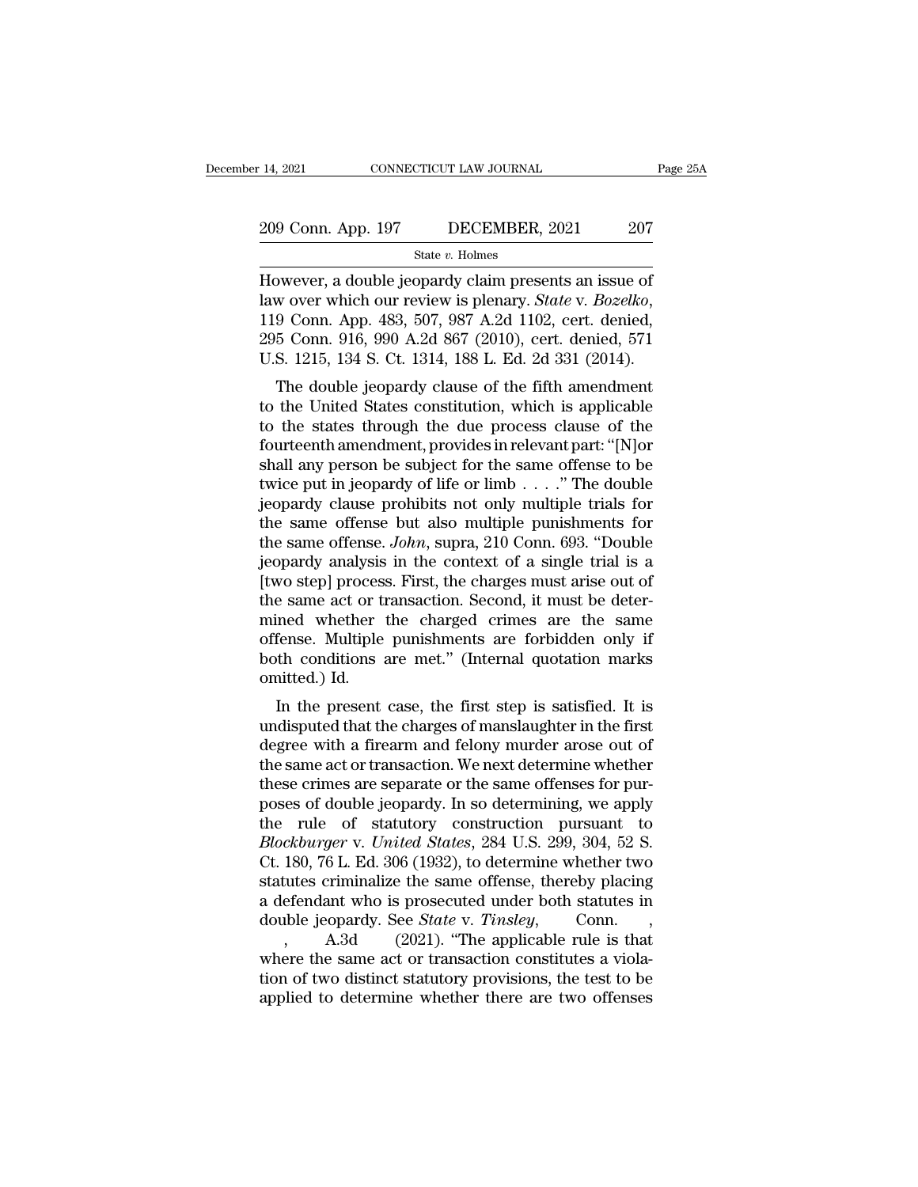State *v.* Holmes

14, 2021 CONNECTICUT LAW JOURNAL Page 25,<br>
209 Conn. App. 197 DECEMBER, 2021 207<br>
State v. Holmes<br>
However, a double jeopardy claim presents an issue of<br>
law over which our review is plenary. *State* v. *Bozelko*,<br>
110 Con 209 Conn. App. 197 DECEMBER, 2021 207<br>
<sup>State v</sup>. Holmes<br>
However, a double jeopardy claim presents an issue of<br>
law over which our review is plenary. *State* v. *Bozelko*,<br>
119 Conn. App. 483, 507, 987 A.2d 1102, cert. de 209 Conn. App. 197 DECEMBER, 2021 207<br>
State v. Holmes<br>
However, a double jeopardy claim presents an issue of<br>
law over which our review is plenary. *State* v. *Bozelko*,<br>
119 Conn. App. 483, 507, 987 A.2d 1102, cert. den State v. Holmes<br>
However, a double jeopardy claim presents an issue of<br>
law over which our review is plenary. *State v. Bozelko*,<br>
119 Conn. App. 483, 507, 987 A.2d 1102, cert. denied,<br>
295 Conn. 916, 990 A.2d 867 (2010), by over which our review is plenary. State v. Bozelko,<br>
9 Conn. App. 483, 507, 987 A.2d 1102, cert. denied,<br>
5 Conn. 916, 990 A.2d 867 (2010), cert. denied, 571<br>
S. 1215, 134 S. Ct. 1314, 188 L. Ed. 2d 331 (2014).<br>
The dou Thowever, a double Jeopardy claim presents an issue of<br>law over which our review is plenary. *State v. Bozelko*,<br>119 Conn. App. 483, 507, 987 A.2d 1102, cert. denied,<br>295 Conn. 916, 990 A.2d 867 (2010), cert. denied, 571<br>U

the states through the states in relevant part. The double jeopardy clause of the fifth amendment<br>to the United States constitution, which is applicable<br>to the United States constitution, which is applicable<br>to the states F19 Conit. App. 483, 507, 987 A.2d Ti02, Cert. denied,<br>295 Conn. 916, 990 A.2d 867 (2010), cert. denied, 571<br>U.S. 1215, 134 S. Ct. 1314, 188 L. Ed. 2d 331 (2014).<br>The double jeopardy clause of the fifth amendment<br>to the U U.S. 1215, 134 S. Ct. 1314, 188 L. Ed. 2d 331 (2014).<br>
The double jeopardy clause of the fifth amendment<br>
to the United States constitution, which is applicable<br>
to the states through the due process clause of the<br>
fourte The double jeopardy clause of the fifth amendment<br>to the United States constitution, which is applicable<br>to the states through the due process clause of the<br>fourteenth amendment, provides in relevant part: "[N]or<br>shall an The double jeopardy clause of the fifth amendment<br>to the United States constitution, which is applicable<br>to the states through the due process clause of the<br>fourteenth amendment, provides in relevant part: "[N]or<br>shall an to the United States constitution, which is applicable<br>to the states through the due process clause of the<br>fourteenth amendment, provides in relevant part: "[N]or<br>shall any person be subject for the same offense to be<br>twi to the states through the due process clause of the<br>fourteenth amendment, provides in relevant part: "[N]or<br>shall any person be subject for the same offense to be<br>twice put in jeopardy of life or limb  $\ldots$ ." The double<br>j fourteenth amendment, provides in relevant part: "[N]or<br>shall any person be subject for the same offense to be<br>twice put in jeopardy of life or limb . . . . ." The double<br>jeopardy clause prohibits not only multiple trials shall any person be subject for the same offense to be<br>twice put in jeopardy of life or limb . . . ." The double<br>jeopardy clause prohibits not only multiple trials for<br>the same offense but also multiple punishments for<br>th twice put in jeopardy of life or limb  $\ldots$ ." The double<br>jeopardy clause prohibits not only multiple trials for<br>the same offense but also multiple punishments for<br>the same offense. John, supra, 210 Conn. 693. "Double<br>jeop jeopardy clause prohibits not only multiple trials for<br>the same offense but also multiple punishments for<br>the same offense. John, supra, 210 Conn. 693. "Double<br>jeopardy analysis in the context of a single trial is a<br>[two s the same offense but also multiple punishments for<br>the same offense. John, supra, 210 Conn. 693. "Double<br>jeopardy analysis in the context of a single trial is a<br>[two step] process. First, the charges must arise out of<br>the the same offense. John, supra, 210 Conn. 693. "Double<br>jeopardy analysis in the context of a single trial is a<br>[two step] process. First, the charges must arise out of<br>the same act or transaction. Second, it must be deter-<br> % jeopardy analysis in the context of a single trial is a<br>[two step] process. First, the charges must arise out of<br>the same act or transaction. Second, it must be deter-<br>mined whether the charged crimes are the same<br>offen First, the charges must arise out of<br>e same act or transaction. Second, it must be deter-<br>ined whether the charged crimes are the same<br>fense. Multiple punishments are forbidden only if<br>th conditions are met." (Internal quo the same act of transaction. Second, it must be deter-<br>mined whether the charged crimes are the same<br>offense. Multiple punishments are forbidden only if<br>both conditions are met." (Internal quotation marks<br>omitted.) Id.<br>In

mined whether the charged crimes are the same<br>offense. Multiple punishments are forbidden only if<br>both conditions are met." (Internal quotation marks<br>omitted.) Id.<br>In the present case, the first step is satisfied. It is<br>un onense. Multiple punishments are forbidden only if<br>both conditions are met." (Internal quotation marks<br>omitted.) Id.<br>In the present case, the first step is satisfied. It is<br>undisputed that the charges of manslaughter in th from the present case, the first step is satisfied. It is<br>undisputed that the charges of manslaughter in the first<br>degree with a firearm and felony murder arose out of<br>the same act or transaction. We next determine whether In the present case, the first step is satisfied. It is<br>undisputed that the charges of manslaughter in the first<br>degree with a firearm and felony murder arose out of<br>the same act or transaction. We next determine whether<br> In the present case, the first step is satisfied. It is<br>undisputed that the charges of manslaughter in the first<br>degree with a firearm and felony murder arose out of<br>the same act or transaction. We next determine whether<br> undisputed that the charges of manslaughter in the first<br>degree with a firearm and felony murder arose out of<br>the same act or transaction. We next determine whether<br>these crimes are separate or the same offenses for pur-<br>p degree with a firearm and felony murder arose out of<br>the same act or transaction. We next determine whether<br>these crimes are separate or the same offenses for pur-<br>poses of double jeopardy. In so determining, we apply<br>the the same act or transaction. We next determine whether<br>these crimes are separate or the same offenses for pur-<br>poses of double jeopardy. In so determining, we apply<br>the rule of statutory construction pursuant to<br>*Blockburg* these crimes are separate or the same offenses for pur-<br>poses of double jeopardy. In so determining, we apply<br>the rule of statutory construction pursuant to<br>Blockburger v. United States, 284 U.S. 299, 304, 52 S.<br>Ct. 180, poses of double jeopardy. In so determining, we apply<br>the rule of statutory construction pursuant to<br>*Blockburger* v. *United States*, 284 U.S. 299, 304, 52 S.<br>Ct. 180, 76 L. Ed. 306 (1932), to determine whether two<br>statut rule of statutory construction pursuant to<br>ckburger v. United States, 284 U.S. 299, 304, 52 S.<br>180, 76 L. Ed. 306 (1932), to determine whether two<br>cutes criminalize the same offense, thereby placing<br>efendant who is prosecu Blockburger v. United States, 284 U.S. 299, 304, 52 S.<br>Ct. 180, 76 L. Ed. 306 (1932), to determine whether two<br>statutes criminalize the same offense, thereby placing<br>a defendant who is prosecuted under both statutes in<br>dou Ct. 180, 76 L. Ed. 306 (1932), to determine whether two<br>statutes criminalize the same offense, thereby placing<br>a defendant who is prosecuted under both statutes in<br>double jeopardy. See *State* v. *Tinsley*, Conn.,<br>, A.3d statutes criminalize the same offense, thereby placing<br>a defendant who is prosecuted under both statutes in<br>double jeopardy. See *State* v. *Tinsley*, Conn.,<br>, A.3d (2021). "The applicable rule is that<br>where the same act o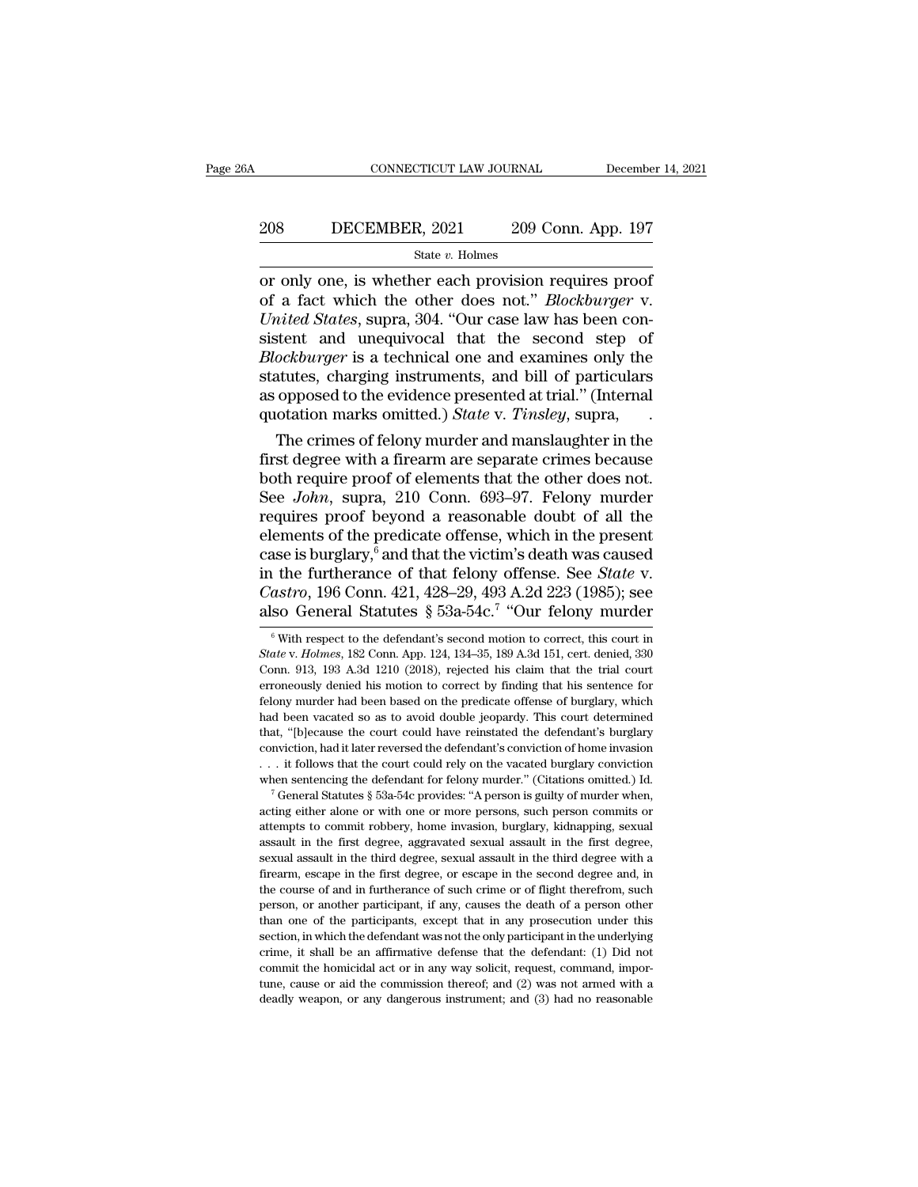# EXECUTE CONNECTICUT LAW JOURNAL December 14, 2021<br>208 DECEMBER, 2021 209 Conn. App. 197<br>3tate v. Holmes

### State *v.* Holmes

CONNECTICUT LAW JOURNAL December 14, 202<br>
208 DECEMBER, 2021 209 Conn. App. 197<br>
31 State v. Holmes<br>
207 Only one, is whether each provision requires proof<br>
206 of a fact which the other does not." *Blockburger* v.<br>
204 "O DECEMBER, 2021 209 Conn. App. 197<br>
<sup>State v.</sup> Holmes<br>
or only one, is whether each provision requires proof<br>
of a fact which the other does not.'' *Blockburger* v.<br>
United States, supra, 304. "Our case law has been con-<br>
s *UNITED DECEMBER, 2021* 209 Conn. App. 197<br> *State v. Holmes*<br>
or only one, is whether each provision requires proof<br>
of a fact which the other does not." *Blockburger* v.<br> *United States*, supra, 304. "Our case law has be Simple 1978<br>
State v. Holmes<br>
State v. Holmes<br>
or only one, is whether each provision requires proof<br>
of a fact which the other does not." *Blockburger* v.<br>
United States, supra, 304. "Our case law has been con-<br>
sistent *Blockburger* is whether each provision requires proof<br>of a fact which the other does not." *Blockburger* v.<br>*United States*, supra, 304. "Our case law has been con-<br>sistent and unequivocal that the second step of<br>*Blockbu* state *v*. Holmes<br>or only one, is whether each provision requires proof<br>of a fact which the other does not." *Blockburger* v.<br>*United States*, supra, 304. "Our case law has been con-<br>sistent and unequivocal that the secon or only one, is whether each provision requires proof<br>of a fact which the other does not." *Blockburger* v.<br>*United States*, supra, 304. "Our case law has been con-<br>sistent and unequivocal that the second step of<br>*Blockbur* of a fact which the other does not." *Blockburger* v.<br> *United States*, supra, 304. "Our case law has been consistent and unequivocal that the second step of<br> *Blockburger* is a technical one and examines only the<br>
statute inted States, supra, 304. "Our case law has been constent and unequivocal that the second step of ockburger is a technical one and examines only the atutes, charging instruments, and bill of particulars opposed to the evid sistent and unequivocal that the second step of<br>*Blockburger* is a technical one and examines only the<br>statutes, charging instruments, and bill of particulars<br>as opposed to the evidence presented at trial." (Internal<br>quot

*Blockburger* is a technical one and examines only the<br>statutes, charging instruments, and bill of particulars<br>as opposed to the evidence presented at trial." (Internal<br>quotation marks omitted.) *State* v. *Tinsley*, supra statutes, charging instruments, and bill of particulars<br>as opposed to the evidence presented at trial." (Internal<br>quotation marks omitted.) *State* v. *Tinsley*, supra,<br>The crimes of felony murder and manslaughter in the<br>f as opposed to the evidence presented at trial." (Internal<br>quotation marks omitted.) *State* v. *Tinsley*, supra,<br>The crimes of felony murder and manslaughter in the<br>first degree with a firearm are separate crimes because<br> quotation marks omitted.) *State v. Tinsley*, supra,<br>The crimes of felony murder and manslaughter in the<br>first degree with a firearm are separate crimes because<br>both require proof of elements that the other does not.<br>See The crimes of felony murder and manslaughter in the<br>first degree with a firearm are separate crimes because<br>both require proof of elements that the other does not.<br>See *John*, supra, 210 Conn. 693–97. Felony murder<br>requir first degree with a firearm are separate crimes because<br>both require proof of elements that the other does not.<br>See *John*, supra, 210 Conn. 693–97. Felony murder<br>requires proof beyond a reasonable doubt of all the<br>element both require proof of elements that the other does not.<br>See *John*, supra, 210 Conn. 693–97. Felony murder<br>requires proof beyond a reasonable doubt of all the<br>elements of the predicate offense, which in the present<br>case is See *John*, supra, 210 Conn. 693–97. I<br>requires proof beyond a reasonable delements of the predicate offense, which<br>case is burglary, <sup>6</sup> and that the victim's de<br>in the furtherance of that felony offens<br>*Castro*, 196 Con -97. Felony murder<br>ble doubt of all the<br>which in the present<br>n's death was caused<br>offense. See *State* v.<br>A.2d 223 (1985); see<br>"Our felony murder<br>ion to correct, this court in ase is burglary,<sup>6</sup> and that the victim's death was caused<br>
1 the furtherance of that felony offense. See *State* v.<br> *astro*, 196 Conn. 421, 428–29, 493 A.2d 223 (1985); see<br>
so General Statutes § 53a-54c.<sup>7</sup> "Our felony in the furtherance of that felony offense. See *State* v. *Castro*, 196 Conn. 421, 428–29, 493 A.2d 223 (1985); see also General Statutes § 53a-54c.<sup>7</sup> "Our felony murder <sup>6</sup> With respect to the defendant's second motion t

that, "[b]ecause the court could have reinstated the defendant's burglary conviction, had it later reversed the defendant's conviction of home invasion  $\ldots$  it follows that the court could rely on the vacated burglary co conviction, had it later reversed the defendant's conviction of home invasion  $\dots$  it follows that the court could rely on the vacated burglary conviction when sentencing the defendant for felony murder." (Citations omitt assumed the first degree out could rely on the vacated burglary conviction when sentencing the defendant for felony murder." (Citations omitted.) Id.  $\frac{1}{2}$  General Statutes  $\frac{1}{2}$  53a-54c provides: "A person is gui when sentencing the defendant for felony murder." (Citations omitted.) Id.<br>
<sup>7</sup> General Statutes § 53a-54c provides: "A person is guilty of murder when,<br>
acting either alone or with one or more persons, such person commits <sup>7</sup> General Statutes § 53a-54c provides: "A person is guilty of murder when,<br><sup>7</sup> General Statutes § 53a-54c provides: "A person is guilty of murder when,<br>acting either alone or with one or more persons, such person commits acting either alone or with one or more persons, such person commits or attempts to commit robbery, home invasion, burglary, kidnapping, sexual assault in the first degree, aggravated sexual assault in the first degree, se attempts to commit robbery, home invasion, burglary, kidnapping, sexual assault in the first degree, aggravated sexual assault in the first degree, sexual assault in the first degree, sexual assault in the third degree wit assault in the first degree, aggravated sexual assault in the first degree, sexual assault in the first degree, sexual assault in the third degree with a firearm, escape in the third degree, or escape in the second degree sexual assault in the third degree, sexual assault in the third degree with a firearm, escape in the first degree, or escape in the second degree and, in the course of and in furtherance of such crime or of flight therefro Example in the defendant was not the order of flight therefrom, such the course of and in furtherance of such crime or of flight therefrom, such person, or another participant, if any, causes the death of a person other th commit the commit of and in furtherance of such crime or of flight therefrom, such person, or another participant, if any, causes the death of a person other than one of the participants, except that in any prosecution und the person, or another participant, if any, causes the death of a person other than one of the participants, except that in any prosecution under this section, in which the defendant was not the only participant in the und person, or another participant, if any, causes the death of a person other than one of the participants, except that in any prosecution under this section, in which the defendant was not the only participant in the underly

Castro, 196 Conn. 421, 428–29, 493 A.2d 223 (1985); see<br>also General Statutes § 53a-54c.<sup>7</sup> "Our felony murder<br><sup>®</sup> With respect to the defendant's second motion to correct, this court in<br>*State* v. *Holmes*, 182 Conn. App error, 100 Corne. 121, 120 20, 100 1.2d 220 (1000), Secaration (1000), Secaration to Correct of With respect to the defendant's second motion to correct, this court in State v. Holmes, 182 Conn. App. 124, 134–35, 189 A.3d Felony murder of With respect to the defendant's second motion to correct, this court in  $State$  v.  $Holmes$ , 182 Conn. App. 124, 134–35, 189 A.3d 151, cert. denied, 330 Conn. 913, 193 A.3d 1210 (2018), rejected his claim that th <sup>6</sup> With respect to the defendant's second motion to correct, this court in *State* v. *Holmes*, 182 Conn. App. 124, 134–35, 189 A.3d 151, cert. denied, 330 Conn. 913, 193 A.3d 1210 (2018), rejected his claim that the tri State v. Holmes, 182 Conn. App. 124, 134–35, 189 A.3d 151, cert. denied, 330 Conn. 913, 193 A.3d 1210 (2018), rejected his claim that the trial court erroneously denied his motion to correct by finding that his sentence fo Conn. 913, 193 A.3d 1210 (2018), rejected his claim that the trial court<br>erroneously denied his motion to correct by finding that his sentence for<br>felony murder had been based on the predicate offense of burglary, which<br>ha erroneously denied his motion to correct by finding that his sentence for felony murder had been based on the predicate offense of burglary, which had been vacated so as to avoid double jeopardy. This court determined tha felony murder had been based on the predicate offense of burglary, which had been vacated so as to avoid double jeopardy. This court determined that, "[b]ecause the court could have reinstated the defendant's burglary con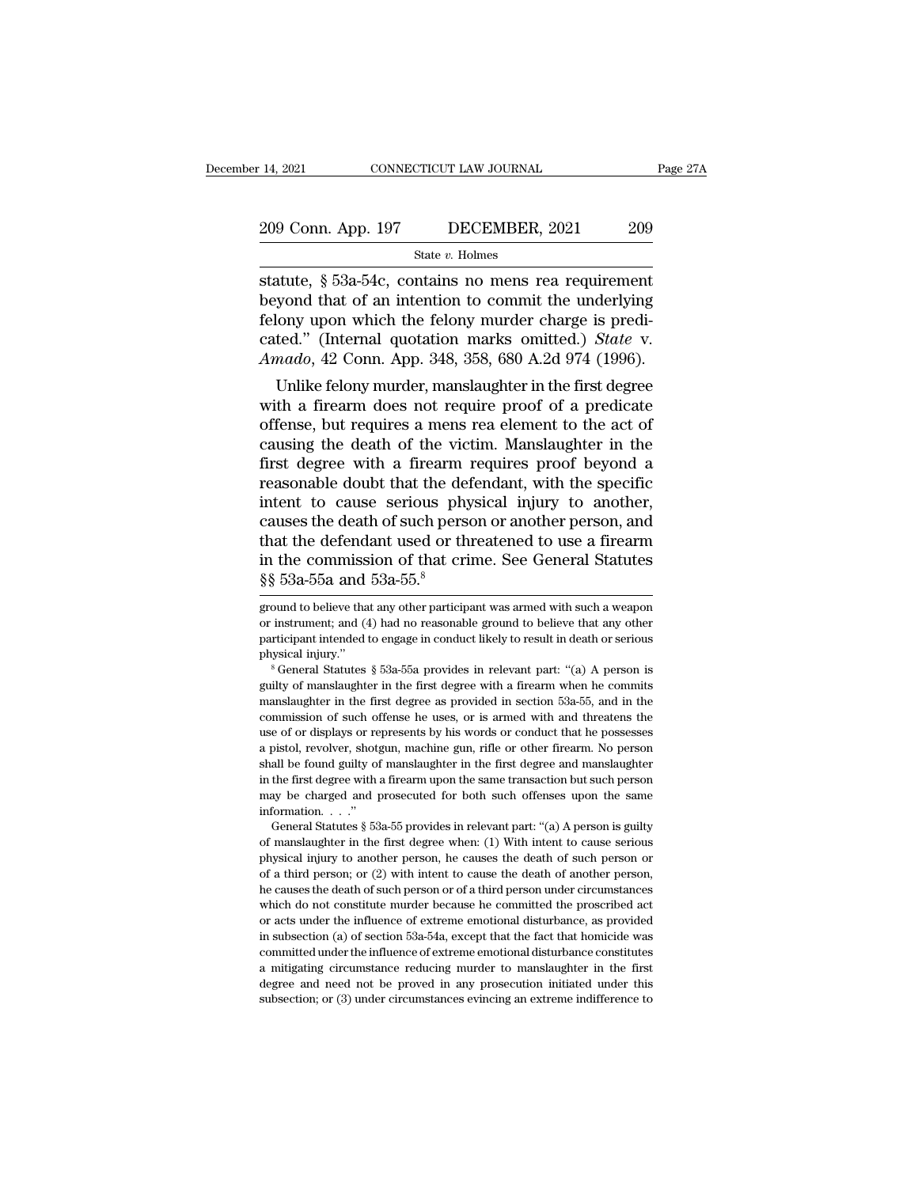State *v.* Holmes

14, 2021 CONNECTICUT LAW JOURNAL Page 271<br>
209 Conn. App. 197 DECEMBER, 2021 209<br>
State v. Holmes<br>
Statute, § 53a-54c, contains no mens rea requirement<br>
beyond that of an intention to commit the underlying<br>
folony won whi 209 Conn. App. 197 DECEMBER, 2021 209<br>
State v. Holmes<br>
Statute, § 53a-54c, contains no mens rea requirement<br>
beyond that of an intention to commit the underlying<br>
felony upon which the felony murder charge is predi-<br>
cate 209 Conn. App. 197 DECEMBER, 2021 209<br>
State v. Holmes<br>
statute, § 53a-54c, contains no mens rea requirement<br>
beyond that of an intention to commit the underlying<br>
felony upon which the felony murder charge is predi-<br>
cat 209 Conn. App. 197 DECEMBER, 2021 209<br>
State *v*. Holmes<br>
statute, § 53a-54c, contains no mens rea requirement<br>
beyond that of an intention to commit the underlying<br>
felony upon which the felony murder charge is predi-<br>
ca *State v. Holmes*<br>*Amado, §* 53a-54c, contains no mens rea requirement<br>beyond that of an intention to commit the underlying<br>felony upon which the felony murder charge is predi-<br>cated." (Internal quotation marks omitted.) atute, § 53a-54c, contains no mens rea requirement<br>yond that of an intention to commit the underlying<br>lony upon which the felony murder charge is predi-<br>ted." (Internal quotation marks omitted.) *State* v.<br>*nado*, 42 Conn. stature,  $\S$  35a-54c, contains no mens rea requirement<br>beyond that of an intention to commit the underlying<br>felony upon which the felony murder charge is predi-<br>cated." (Internal quotation marks omitted.) *State* v.<br>*Amad* 

beyond that of an intention to continut the underlying<br>felony upon which the felony murder charge is predi-<br>cated." (Internal quotation marks omitted.) *State* v.<br>*Amado*, 42 Conn. App. 348, 358, 680 A.2d 974 (1996).<br>Unlik reform upon which the felony intrider charge is predicated." (Internal quotation marks omitted.) *State v.*<br>Amado, 42 Conn. App. 348, 358, 680 A.2d 974 (1996).<br>Unlike felony murder, manslaughter in the first degree<br>with a cated. (Internal quotation marks ontited.) *State V.*<br> *Amado*, 42 Conn. App. 348, 358, 680 A.2d 974 (1996).<br>
Unlike felony murder, manslaughter in the first degree<br>
with a firearm does not require proof of a predicate<br>
of *Amado*, 42 Conn. App. 348, 358, 080 A.2d 974 (1990).<br>
Unlike felony murder, manslaughter in the first degree<br>
with a firearm does not require proof of a predicate<br>
offense, but requires a mens rea element to the act of<br>
c Unlike felony murder, manslaughter in the first degree<br>with a firearm does not require proof of a predicate<br>offense, but requires a mens rea element to the act of<br>causing the death of the victim. Manslaughter in the<br>first with a firearm does not require proof of a predicate<br>offense, but requires a mens rea element to the act of<br>causing the death of the victim. Manslaughter in the<br>first degree with a firearm requires proof beyond a<br>reasonabl offense, but requires a mens rea element to the act of<br>causing the death of the victim. Manslaughter in the<br>first degree with a firearm requires proof beyond a<br>reasonable doubt that the defendant, with the specific<br>intent causing the death of the victim. Manslaughter in the<br>first degree with a firearm requires proof beyond a<br>reasonable doubt that the defendant, with the specific<br>intent to cause serious physical injury to another,<br>causes th first degree with a firearm<br>reasonable doubt that the definitent to cause serious phy<br>causes the death of such pers<br>that the defendant used or th<br>in the commission of that cri<br> $\S$   $\S$   $53a-55a$  and  $53a-55.<sup>8</sup>$ <br>ground causes the death of such person or another person, and<br>that the defendant used or threatened to use a firearm<br>in the commission of that crime. See General Statutes<br> $\frac{8}{5}53a-55a$  and  $53a-55.$ <sup>8</sup><br>ground to believe that that the defendant used or threatened to use a firearm<br>in the commission of that crime. See General Statutes<br> $\S\S$  53a-55a and 53a-55.<sup>8</sup><br>ground to believe that any other participant was armed with such a weapon<br>or instrume

or instrument; and (4) had no reasonable ground to believe that any other participant intended to engage in conduct likely to result in death or serious physical injury."<br>
<sup>8</sup> General Statutes § 53a-55a provides in releva participant intended to engage in conduct likely to result in death or serious physical injury."<br>
<sup>8</sup> General Statutes § 53a-55a provides in relevant part: "(a) A person is guilty of manslaughter in the first degree with physical injury."<br>
<sup>8</sup> General Statutes § 53a-55a provides in relevant part: "(a) A person is<br>
guilty of manslaughter in the first degree with a firearm when he commits<br>
manslaughter in the first degree as provided in sect <sup>a</sup> General Statutes § 53a-55a provides in relevant part: "(a) A person is guilty of manslaughter in the first degree with a firearm when he commits manslaughter in the first degree as provided in section 53a-55, and in t guilty of manslaughter in the first degree with a firearm when he commits manslaughter in the first degree as provided in section 53a-55, and in the commission of such offense he uses, or is armed with and threatens the us manslaughter in the first degree as provided in section 53a-55, and in the commission of such offense he uses, or is armed with and threatens the use of or displays or represents by his words or conduct that he possesses a commission of such offense he uses, or is armed with and threatens the commission of such offense he uses, or is armed with and threatens the use of or displays or represents by his words or conduct that he possesses a pis use of or displays or represents by his words or conduct that he possesses<br>a pistol, revolver, shotgun, machine gun, rifle or other firearm. No person<br>shall be found guilty of manslaughter in the first degree and manslaug bistol, revolver, shotgun, machine gun, rifle or other firearm. No person all be found guilty of manslaughter in the first degree and manslaughter the first degree with a firearm upon the same transaction but such person a pactor of manslaughter in the first degree and manslaughter in the first degree with a firearm upon the same transaction but such person may be charged and prosecuted for both such offenses upon the same information. . .

physical injury of manimal person, he causes the death of such person, the first degree with a firearm upon the same transaction but such person may be charged and prosecuted for both such offenses upon the same informati may be charged and prosecuted for both such offenses upon the same<br>information. . . ."<br>General Statutes § 53a-55 provides in relevant part: "(a) A person is guilty<br>of manslaughter in the first degree when: (1) With intent information.  $\ldots$ "<br>
General Statutes § 53a-55 provides in relevant part: "(a) A person is guilty<br>
of manslaughter in the first degree when: (1) With intent to cause serious<br>
physical injury to another person, he causes t General Statutes  $\S$  53a-55 provides in relevant part: "(a) A person is guilty of manslaughter in the first degree when: (1) With intent to cause serious physical injury to another person, he causes the death of such pers or acts under the first degree when: (1) With intent to cause serious<br>physical injury to another person, he causes the death of such person or<br>of a third person; or (2) with intent to cause the death of another person,<br>he in subsection (a) of section 53a-54a, except that the fact that homicide was committed under the factor of a third person, he causes the death of such person, he causes the death of such person or of a third person under c From a funder person; or (2) with intent to cause the death of another person, he causes the death of such person or of a third person under circumstances which do not constitute murder because he committed the proscribed he causes the death of such person or of a third person under circumstances<br>which do not constitute murder because he committed the proscribed act<br>or acts under the influence of extreme emotional disturbance, as provided<br> which do not constitute murder because he committed the proscribed act in subsection (a) of section 53a-54a, except that the fact that homicide was

in the commission of that crime. See General Statutes  $\S\S 53a-55a$  and  $53a-55.8$ <br>ground to believe that any other participant was armed with such a weapon<br>or instrument; and (4) had no reasonable ground to believe that a  $\frac{8}{8}$  53a-55a and 53a-55.<sup>8</sup><br>ground to believe that any other participant was armed with such a weapon<br>or instrument; and (4) had no reasonable ground to believe that any other<br>participant intended to engage in conduc ground to believe that any other participant was armed with such a weapon<br>or instrument; and (4) had no reasonable ground to believe that any other<br>participant intended to engage in conduct likely to result in death or se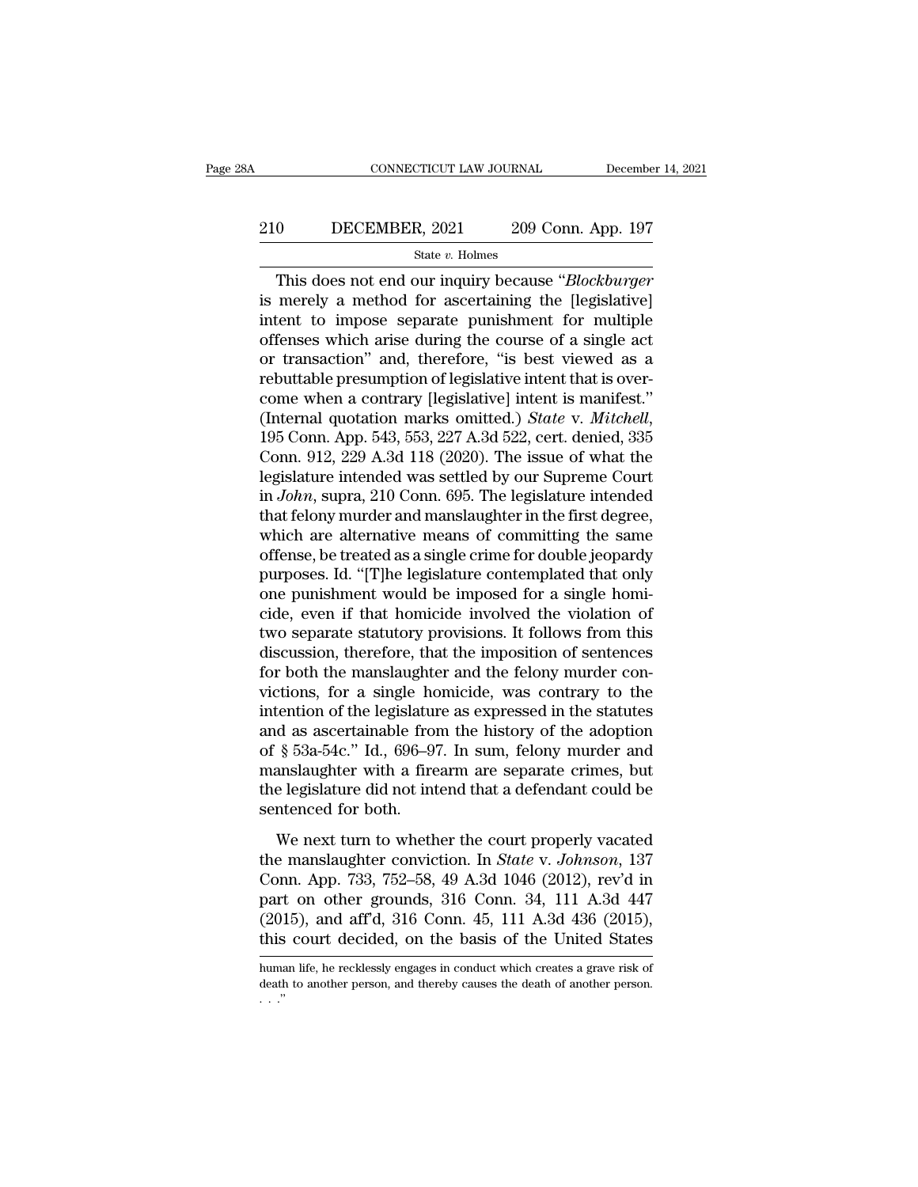# CONNECTICUT LAW JOURNAL December 14, 2021<br>210 DECEMBER, 2021 209 Conn. App. 197<br>3tate v. Holmes

### State *v.* Holmes

CONNECTICUT LAW JOURNAL December 14, 2021<br>
0 DECEMBER, 2021 209 Conn. App. 197<br>
<sup>3</sup> State *v*. Holmes<br>
This does not end our inquiry because "*Blockburger*<br>
merely a method for ascertaining the [legislative]<br>
tont to impos 210 DECEMBER, 2021 209 Conn. App. 197<br>
State v. Holmes<br>
This does not end our inquiry because "Blockburger"<br>
is merely a method for ascertaining the [legislative]<br>
intent to impose separate punishment for multiple<br>
offens 210 DECEMBER, 2021 209 Conn. App. 197<br>
State v. Holmes<br>
This does not end our inquiry because "*Blockburger*<br>
is merely a method for ascertaining the [legislative]<br>
intent to impose separate punishment for multiple<br>
offen 210 DECEMBER, 2021 209 Conn. App. 197<br>
State v. Holmes<br>
This does not end our inquiry because "Blockburger<br>
is merely a method for ascertaining the [legislative]<br>
intent to impose separate punishment for multiple<br>
offense This does not end our inquiry because "*Blockburger*<br>is merely a method for ascertaining the [legislative]<br>intent to impose separate punishment for multiple<br>offenses which arise during the course of a single act<br>or transa This does not end our inquiry because "*Blockburger*<br>is merely a method for ascertaining the [legislative]<br>intent to impose separate punishment for multiple<br>offenses which arise during the course of a single act<br>or transa This does not end our inquiry because "*Blockburger*<br>is merely a method for ascertaining the [legislative]<br>intent to impose separate punishment for multiple<br>offenses which arise during the course of a single act<br>or transa is merely a method for ascertaining the [legislative]<br>intent to impose separate punishment for multiple<br>offenses which arise during the course of a single act<br>or transaction" and, therefore, "is best viewed as a<br>rebuttable offenses which arise during the course of a single act<br>or transaction" and, therefore, "is best viewed as a<br>rebuttable presumption of legislative intent that is over-<br>come when a contrary [legislative] intent is manifest." or transaction" and, therefore, "is best viewed as a rebuttable presumption of legislative intent that is over-<br>come when a contrary [legislative] intent is manifest."<br>(Internal quotation marks omitted.) *State v. Mitchell* rebuttable presumption of legislative intent that is over-<br>come when a contrary [legislative] intent is manifest."<br>(Internal quotation marks omitted.) *State* v. *Mitchell*,<br>195 Conn. App. 543, 553, 227 A.3d 522, cert. den come when a contrary [legislative] intent is manifest."<br>(Internal quotation marks omitted.) *State* v. *Mitchell*,<br>195 Conn. App. 543, 553, 227 A.3d 522, cert. denied, 335<br>Conn. 912, 229 A.3d 118 (2020). The issue of what (Internal quotation marks omitted.) *State v. Mitchell*, 195 Conn. App. 543, 553, 227 A.3d 522, cert. denied, 335 Conn. 912, 229 A.3d 118 (2020). The issue of what the legislature intended was settled by our Supreme Court 195 Conn. App. 543, 553, 227 A.3d 522, cert. denied, 335<br>Conn. 912, 229 A.3d 118 (2020). The issue of what the<br>legislature intended was settled by our Supreme Court<br>in *John*, supra, 210 Conn. 695. The legislature intende Conn. 912, 229 A.3d 118 (2020). The issue of what the<br>legislature intended was settled by our Supreme Court<br>in *John*, supra, 210 Conn. 695. The legislature intended<br>that felony murder and manslaughter in the first degree, legislature intended was settled by our Supreme Court<br>in *John*, supra, 210 Conn. 695. The legislature intended<br>that felony murder and manslaughter in the first degree,<br>which are alternative means of committing the same<br>of in *John*, supra, 210 Conn. 695. The legislature intended<br>that felony murder and manslaughter in the first degree,<br>which are alternative means of committing the same<br>offense, be treated as a single crime for double jeopard that felony murder and manslaughter in the first degree,<br>which are alternative means of committing the same<br>offense, be treated as a single crime for double jeopardy<br>purposes. Id. "[T]he legislature contemplated that only<br> which are alternative means of committing the same<br>offense, be treated as a single crime for double jeopardy<br>purposes. Id. "[T]he legislature contemplated that only<br>one punishment would be imposed for a single homi-<br>cide, offense, be treated as a single crime for double jeopardy<br>purposes. Id. "[T]he legislature contemplated that only<br>one punishment would be imposed for a single homi-<br>cide, even if that homicide involved the violation of<br>two purposes. Id. "[T]he legislature contemplated that only<br>one punishment would be imposed for a single homi-<br>cide, even if that homicide involved the violation of<br>two separate statutory provisions. It follows from this<br>discu one punishment would be imposed for a single homicide, even if that homicide involved the violation of two separate statutory provisions. It follows from this discussion, therefore, that the imposition of sentences for bo cide, even if that homicide involved the violation of<br>two separate statutory provisions. It follows from this<br>discussion, therefore, that the imposition of sentences<br>for both the manslaughter and the felony murder con-<br>vic two separate statutory provisions. It follows from this<br>discussion, therefore, that the imposition of sentences<br>for both the manslaughter and the felony murder con-<br>victions, for a single homicide, was contrary to the<br>inte discussion, therefore, that the imposition of sentences<br>for both the manslaughter and the felony murder con-<br>victions, for a single homicide, was contrary to the<br>intention of the legislature as expressed in the statutes<br>an for both the manslaughter and the felony murder convictions, for a single homicide, was contrary to the intention of the legislature as expressed in the statutes and as ascertainable from the history of the adoption of  $\S$ victions, for a single home<br>intention of the legislature and as ascertainable from<br>of § 53a-54c." Id., 696–9'<br>manslaughter with a fire<br>the legislature did not int<br>sentenced for both.<br>We next turn to wheth d as ascertainable from the history of the adoption<br>
§ 53a-54c." Id., 696–97. In sum, felony murder and<br>
anslaughter with a firearm are separate crimes, but<br>
e legislature did not intend that a defendant could be<br>
ntenced of § 53a-54c." Id., 696–97. In sum, felony murder and<br>manslaughter with a firearm are separate crimes, but<br>the legislature did not intend that a defendant could be<br>sentenced for both.<br>We next turn to whether the court prop

manslaughter with a firearm are separate crimes, but<br>the legislature did not intend that a defendant could be<br>sentenced for both.<br>We next turn to whether the court properly vacated<br>the manslaughter conviction. In *State v* manistangulated when a motal in all supported since the legislature did not intend that a defendant could be<br>sentenced for both.<br>We next turn to whether the court properly vacated<br>the manislaughter conviction. In *State* v (2015), and aff'd, 316 Conn. 45, 111 A.3d 436 (2015), this court decided, on the basis of the United States We next turn to whether the court properly vacated<br>the manslaughter conviction. In *State* v. *Johnson*, 137<br>Conn. App. 733, 752–58, 49 A.3d 1046 (2012), rev'd in<br>part on other grounds, 316 Conn. 34, 111 A.3d 447<br>(2015), a Conn. App. 733, 752–58, 49 A.3d 1046 (2012), rev d in<br>part on other grounds, 316 Conn. 34, 111 A.3d 447<br>(2015), and aff'd, 316 Conn. 45, 111 A.3d 436 (2015),<br>this court decided, on the basis of the United States<br>human life part on other grounds, 316 Conn. 34, 111 A.3d 447 (2015), and aff'd, 316 Conn. 45, 111 A.3d 436 (2015), this court decided, on the basis of the United States human life, he recklessly engages in conduct which creates a gra  $(20)$ <br>this<br>huma<br>death<br> $\ldots$ .''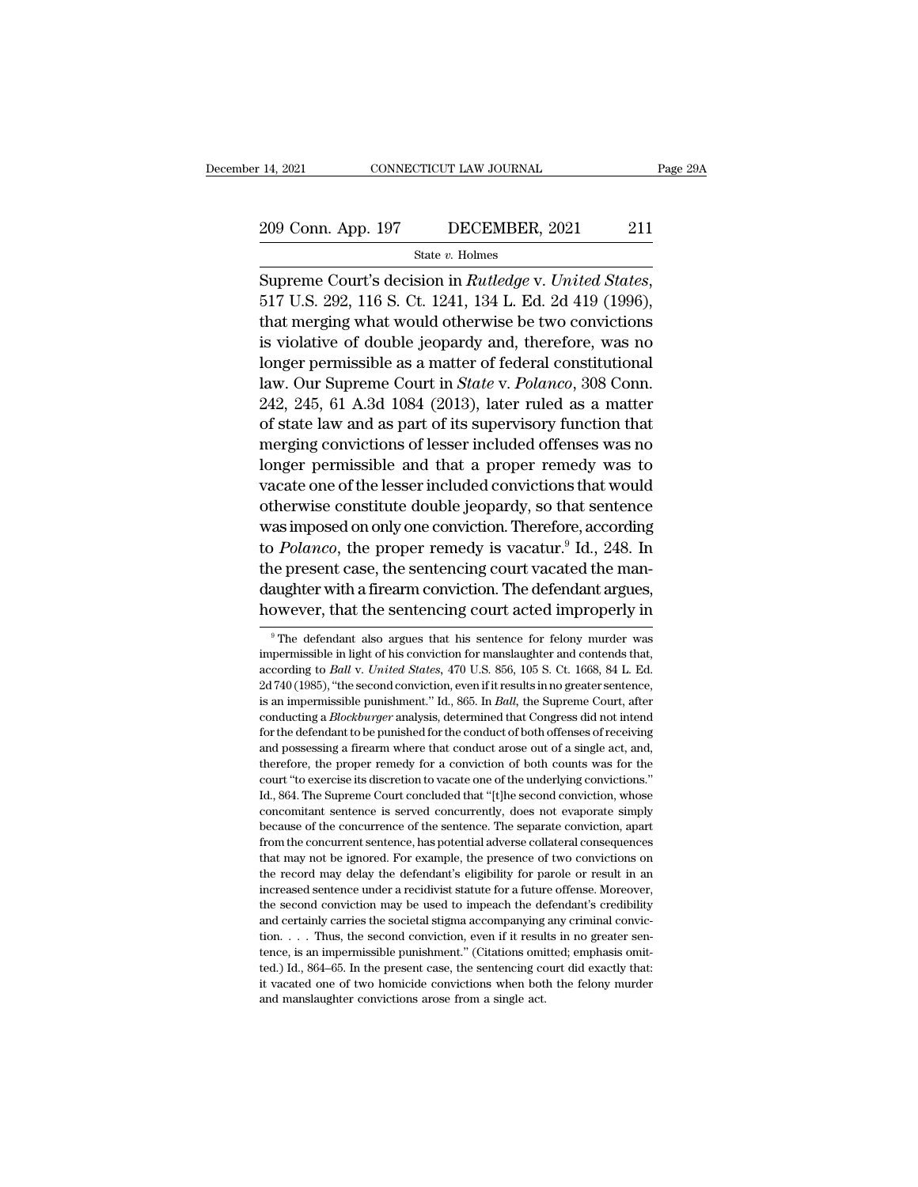# 14, 2021 CONNECTICUT LAW JOURNAL Page 29A<br>209 Conn. App. 197 DECEMBER, 2021 211<br>State v. Holmes

State *v.* Holmes

Supreme Court's decision in *Rutledge* v. *United States*, 517 U.S. 292, 116 S. Ct. 1241, 134 L. Ed. 2d 419 (1996), that merging what would otherwise be two convictions 209 Conn. App. 197 DECEMBER, 2021 211<br>
State v. Holmes<br>
Supreme Court's decision in *Rutledge* v. *United States*,<br>
517 U.S. 292, 116 S. Ct. 1241, 134 L. Ed. 2d 419 (1996),<br>
that merging what would otherwise be two convic 209 Conn. App. 197 DECEMBER, 2021 211<br>
State v. Holmes<br>
Supreme Court's decision in *Rutledge* v. *United States*,<br>
517 U.S. 292, 116 S. Ct. 1241, 134 L. Ed. 2d 419 (1996),<br>
that merging what would otherwise be two convic Supreme Court's decision in *Rutledge* v. *United States*,<br>517 U.S. 292, 116 S. Ct. 1241, 134 L. Ed. 2d 419 (1996),<br>that merging what would otherwise be two convictions<br>is violative of double jeopardy and, therefore, was Supreme Court's decision in *Rutledge* v. *United States*,<br>517 U.S. 292, 116 S. Ct. 1241, 134 L. Ed. 2d 419 (1996),<br>that merging what would otherwise be two convictions<br>is violative of double jeopardy and, therefore, was n Supreme Court's decision in *Rutleage v. United States*,<br>517 U.S. 292, 116 S. Ct. 1241, 134 L. Ed. 2d 419 (1996),<br>that merging what would otherwise be two convictions<br>is violative of double jeopardy and, therefore, was no<br>  $6517$  U.S. 292, 116 S. Ct. 1241, 134 L. Ed. 2d 419 (1996),<br>that merging what would otherwise be two convictions<br>is violative of double jeopardy and, therefore, was no<br>longer permissible as a matter of federal constitutio that merging what would otherwise be two convictions<br>is violative of double jeopardy and, therefore, was no<br>longer permissible as a matter of federal constitutional<br>law. Our Supreme Court in *State* v. *Polanco*, 308 Conn. longer permissible as a matter of federal constitutional<br>law. Our Supreme Court in *State* v. *Polanco*, 308 Conn.<br>242, 245, 61 A.3d 1084 (2013), later ruled as a matter<br>of state law and as part of its supervisory function onger permissible as a matter of rederal constitutional<br>law. Our Supreme Court in *State* v. *Polanco*, 308 Conn.<br>242, 245, 61 A.3d 1084 (2013), later ruled as a matter<br>of state law and as part of its supervisory function haw. Our supreme Court in *state v. Potanco*, 308 Conn.<br>242, 245, 61 A.3d 1084 (2013), later ruled as a matter<br>of state law and as part of its supervisory function that<br>merging convictions of lesser included offenses was n 242, 245, 01 A.3d 1084 (2013), later ruled as a matter<br>of state law and as part of its supervisory function that<br>merging convictions of lesser included offenses was no<br>longer permissible and that a proper remedy was to<br>va or state raw and as part or its supervisory function that<br>merging convictions of lesser included offenses was no<br>longer permissible and that a proper remedy was to<br>vacate one of the lesser included convictions that would<br>o merging convictions of lesser included offenses was no<br>longer permissible and that a proper remedy was to<br>vacate one of the lesser included convictions that would<br>otherwise constitute double jeopardy, so that sentence<br>was degree permissible and that a proper remedy was to<br>vacate one of the lesser included convictions that would<br>otherwise constitute double jeopardy, so that sentence<br>was imposed on only one conviction. Therefore, according<br>to vacate one of the lesser included convictions that would<br>otherwise constitute double jeopardy, so that sentence<br>was imposed on only one conviction. Therefore, according<br>to  $Polanco$ , the proper remedy is vacatur.<sup>9</sup> Id., 248. to *Polanco*, the proper remedy is vacatur.<sup>9</sup> Id., 248. In the present case, the sentencing court vacated the mandaughter with a firearm conviction. The defendant argues, however, that the sentencing court acted improper the present case, the sentencing court vacated the mandaughter with a firearm conviction. The defendant argues, however, that the sentencing court acted improperly in  $\overline{ }$  <sup>9</sup> The defendant also argues that his sentenc

daughter with a firearm conviction. The defendant argues,<br>however, that the sentencing court acted improperly in<br><sup>9</sup>The defendant also argues that his sentence for felony murder was<br>impermissible in light of his conviction however, that the sentencing court acted improperly in<br>
<sup>9</sup> The defendant also argues that his sentence for felony murder was<br>
impermissible in light of his conviction for manslaughter and contends that,<br>
according to *Bal* <sup>9</sup> The defendant also argues that his sentence for felony murder was impermissible in light of his conviction for manslaughter and contends that, according to *Ball v. United States*, 470 U.S. 856, 105 S. Ct. 1668, 84 L. <sup>9</sup> The defendant also argues that his sentence for felony murder was impermissible in light of his conviction for manslaughter and contends that, according to *Ball* v. *United States*, 470 U.S. 856, 105 S. Ct. 1668, 84 L impermissible in light of his conviction for manslaughter and contends that, according to *Ball v. United States*, 470 U.S. 856, 105 S. Ct. 1668, 84 L. Ed. 2d 740 (1985), "the second conviction, even if it results in no gr according to *Ball v. United States*, 470 U.S. 856, 105 S. Ct. 1668, 84 L. Ed. 2d 740 (1985), "the second conviction, even if it results in no greater sentence, is an impermissible punishment." Id., 865. In *Ball*, the Sup 2d 740 (1985), "the second conviction, even if it results in no greater sentence, is an impermissible punishment." Id., 865. In *Ball*, the Supreme Court, after conducting a *Blockburger* analysis, determined that Congres Example purishment." Id., 865. In *Ball*, the Supreme Court, after conducting a *Blockburger* analysis, determined that Congress did not intend for the defendant to be punished for the conduct of both offenses of receiving Conducting a *Blockburger* analysis, determined that Congress did not intend<br>for the defendant to be punished for the conduct of both offenses of receiving<br>and possessing a firearm where that conduct arose out of a single for the defendant to be punished for the conduct of both offenses of receiving and possessing a firearm where that conduct arose out of a single act, and, therefore, the proper remedy for a conviction of both counts was f because of the proper remedy for a conviction of the conduct arose of a single act, and, therefore, the proper remedy for a conviction of both counts was for the court "to exercise its discretion to vacate one of the under therefore, the proper remedy for a conviction of both counts was for the court "to exercise its discretion to vacate one of the underlying convictions."<br>Id., 864. The Supreme Court concluded that "[t]he second conviction, court "to exercise its discretion to vacate one of the underlying convictions."<br>Id., 864. The Supreme Court concluded that "[t]he second conviction, whose<br>concomitant sentence is served concurrently, does not evaporate sim Id., 864. The Supreme Court concluded that "(t) the second conviction, whose concomitant sentence is served concurrently, does not evaporate simply because of the concurrence of the sentence. The separate conviction, apart concomitant sentence is served concurrently, does not evaporate simply because of the concurrence of the sentence. The separate conviction, apart from the concurrent sentence, has potential adverse collateral consequences because of the concurrence of the sentence. The separate conviction, apart from the concurrence of the sentence. The separate conviction, apart from the concurrent sentence, has potential adverse collateral consequences th From the concurrent sentence, has potential adverse collateral consequences<br>that may not be ignored. For example, the presence of two convictions on<br>the record may delay the defendant's eligibility for parole or result in that may not be ignored. For example, the presence of two convictions on the record may delay the defendant's eligibility for parole or result in an increased sentence under a recidivist statute for a future offense. More the record may delay the defendant's eligibility for parole or result in an increased sentence under a recidivist statute for a future offense. Moreover, the second conviction may be used to impeach the defendant's credib increased sentence under a recidivist statute for a future offense. Moreover, the second conviction may be used to impeach the defendant's credibility and certainly carries the societal stigma accompanying any criminal co the second conviction may be used to impeach the defendant's credibility and certainly carries the societal stigma accompanying any criminal convic-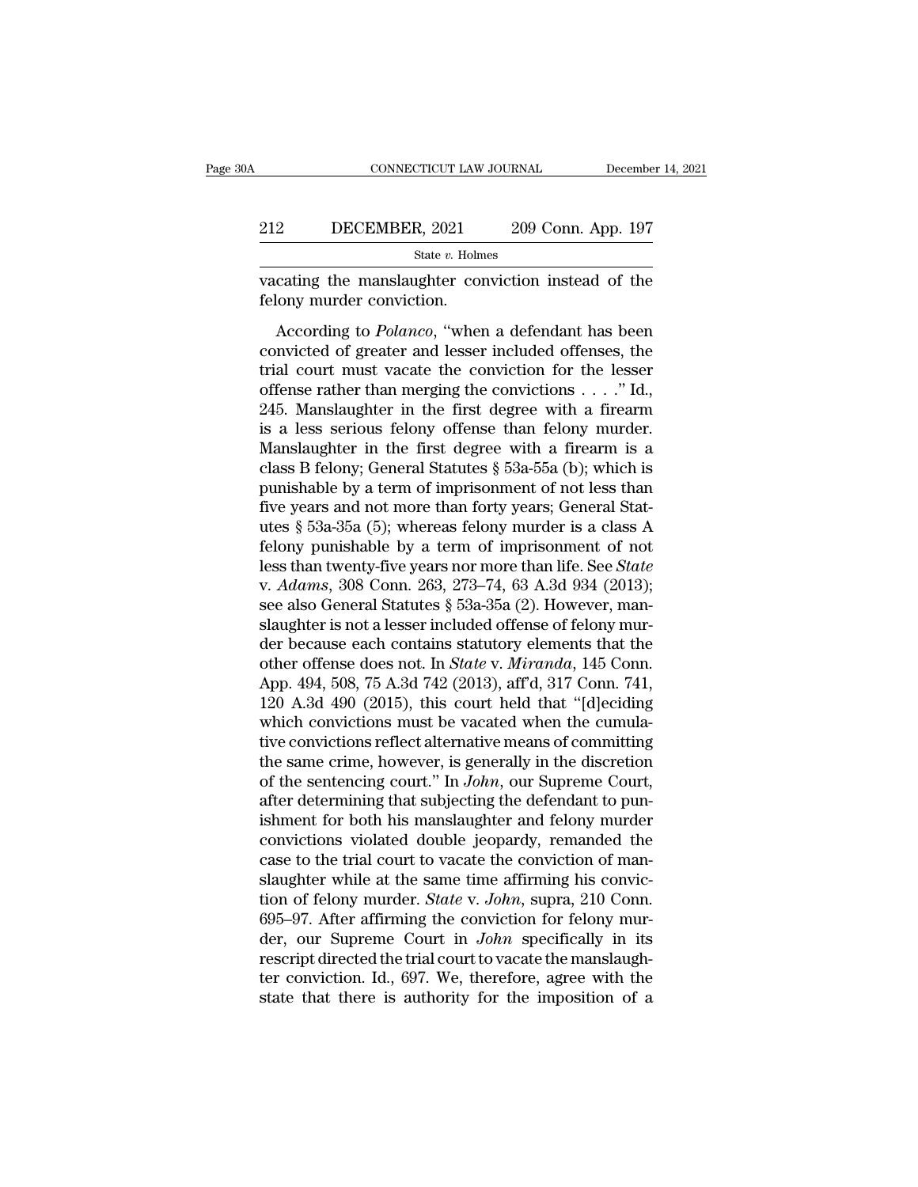### CONNECTICUT LAW JOURNAL December 14, 2021<br>212 DECEMBER, 2021 209 Conn. App. 197<br>3tate v. Holmes State *v.* Holmes CONNECTICUT LAW JOURNAL December 14, 2021<br>
212 DECEMBER, 2021 209 Conn. App. 197<br>
312 State v. Holmes<br>
209 Conn. App. 197<br>
209 Conn. App. 197<br>
209 Conn. App. 197<br>
209 Conn. App. 197<br>
209 Conn. App. 197<br>
209 Conn. App. 197<br> 212 DECEMBER, 2021<br>
State v. Holm<br>
vacating the manslaughter conviction.<br>
felony murder conviction.<br>
According to *Polanco*, "where

DECEMBER, 2021 209 Conn. App. 197<br>
State *v*. Holmes<br>
cating the manslaughter conviction instead of the<br>
lony murder conviction.<br>
According to *Polanco*, "when a defendant has been<br>
mvicted of greater and lesser included o ECEMBER, 2021 209 Conn. App. 197<br>
State v. Holmes<br>
vacating the manslaughter conviction instead of the<br>
felony murder conviction.<br>
According to *Polanco*, "when a defendant has been<br>
convicted of greater and lesser includ State v. Holmes<br>
vacating the manslaughter conviction instead of the<br>
felony murder conviction.<br>
According to *Polanco*, "when a defendant has been<br>
convicted of greater and lesser included offenses, the<br>
trial court must vacating the manslaughter conviction instead of the<br>felony murder conviction.<br>According to *Polanco*, "when a defendant has been<br>convicted of greater and lesser included offenses, the<br>trial court must vacate the convictio Evaluating the manisinal<br>giner conviction instead of the filony murder conviction.<br>According to *Polanco*, "when a defendant has been<br>convicted of greater and lesser included offenses, the<br>trial court must vacate the conv According to *Polanco*, "when a defendant has been<br>convicted of greater and lesser included offenses, the<br>trial court must vacate the conviction for the lesser<br>offense rather than merging the convictions . . . ." Id.,<br>245 According to *Polanco*, "when a defendant has been<br>convicted of greater and lesser included offenses, the<br>trial court must vacate the conviction for the lesser<br>offense rather than merging the convictions . . . . " Id.,<br>24 convicted of greater and lesser included offenses, the<br>trial court must vacate the conviction for the lesser<br>offense rather than merging the convictions  $\dots$ ." Id.,<br>245. Manslaughter in the first degree with a firearm<br>is trial court must vacate the conviction for the lesser<br>offense rather than merging the convictions . . . ." Id.,<br>245. Manslaughter in the first degree with a firearm<br>is a less serious felony offense than felony murder.<br>Man % offense rather than merging the convictions . . . ." Id., 245. Manslaughter in the first degree with a firearm is a less serious felony offense than felony murder. Manslaughter in the first degree with a firearm is a cl 245. Manslaughter in the first degree with a firearm<br>is a less serious felony offense than felony murder.<br>Manslaughter in the first degree with a firearm is a<br>class B felony; General Statutes  $\S$  53a-55a (b); which is<br>pun is a less serious felony offense than felony murder.<br>Manslaughter in the first degree with a firearm is a<br>class B felony; General Statutes  $\S$  53a-55a (b); which is<br>punishable by a term of imprisonment of not less than<br>fi Manslaughter in the first degree with a firearm is a<br>class B felony; General Statutes § 53a-55a (b); which is<br>punishable by a term of imprisonment of not less than<br>five years and not more than forty years; General Stat-<br>ut class B felony; General Statutes § 53a-55a (b); which is<br>punishable by a term of imprisonment of not less than<br>five years and not more than forty years; General Stat-<br>utes § 53a-35a (5); whereas felony murder is a class A<br> punishable by a term of imprisonment of not less than<br>five years and not more than forty years; General Stat-<br>utes § 53a-35a (5); whereas felony murder is a class A<br>felony punishable by a term of imprisonment of not<br>less t five years and not more than forty years; General Statutes § 53a-35a (5); whereas felony murder is a class A felony punishable by a term of imprisonment of not less than twenty-five years nor more than life. See *State* v. utes § 53a-35a (5); whereas felony murder is a class A<br>felony punishable by a term of imprisonment of not<br>less than twenty-five years nor more than life. See *State*<br>v. Adams, 308 Conn. 263, 273–74, 63 A.3d 934 (2013);<br>se felony punishable by a term of imprisonment of not<br>less than twenty-five years nor more than life. See *State*<br>v. *Adams*, 308 Conn. 263, 273–74, 63 A.3d 934 (2013);<br>see also General Statutes § 53a-35a (2). However, man-<br>s less than twenty-five years nor more than life. See *State* v. *Adams*, 308 Conn. 263, 273–74, 63 A.3d 934 (2013); see also General Statutes § 53a-35a (2). However, man-slaughter is not a lesser included offense of felony v. Adams, 308 Conn. 263, 273–74, 63 A.3d 934 (2013);<br>see also General Statutes § 53a-35a (2). However, man-<br>slaughter is not a lesser included offense of felony mur-<br>der because each contains statutory elements that the<br>ot see also General Statutes § 53a-35a (2). However, man-<br>slaughter is not a lesser included offense of felony mur-<br>der because each contains statutory elements that the<br>other offense does not. In *State v. Miranda*, 145 Con slaughter is not a lesser included offense of felony mur-<br>der because each contains statutory elements that the<br>other offense does not. In *State* v. *Miranda*, 145 Conn.<br>App. 494, 508, 75 A.3d 742 (2013), aff'd, 317 Conn der because each contains statutory elements that the<br>other offense does not. In *State* v. *Miranda*, 145 Conn.<br>App. 494, 508, 75 A.3d 742 (2013), aff'd, 317 Conn. 741,<br>120 A.3d 490 (2015), this court held that "[d]ecidin other offense does not. In *State* v. *Miranda*, 145 Conn.<br>App. 494, 508, 75 A.3d 742 (2013), aff'd, 317 Conn. 741,<br>120 A.3d 490 (2015), this court held that "[d]eciding<br>which convictions must be vacated when the cumula-<br>t App. 494, 508, 75 A.3d 742 (2013), aff'd, 317 Conn. 741, 120 A.3d 490 (2015), this court held that "[d]eciding which convictions must be vacated when the cumulative convictions reflect alternative means of committing the 120 A.3d 490 (2015), this court held that "[d]eciding<br>which convictions must be vacated when the cumula-<br>tive convictions reflect alternative means of committing<br>the same crime, however, is generally in the discretion<br>of which convictions must be vacated when the cumulative convictions reflect alternative means of committing<br>the same crime, however, is generally in the discretion<br>of the sentencing court." In *John*, our Supreme Court,<br>afte tive convictions reflect alternative means of committing<br>the same crime, however, is generally in the discretion<br>of the sentencing court." In John, our Supreme Court,<br>after determining that subjecting the defendant to punthe same crime, however, is generally in the discretion<br>of the sentencing court." In *John*, our Supreme Court,<br>after determining that subjecting the defendant to pun-<br>ishment for both his manslaughter and felony murder<br>c of the sentencing court." In *John*, our Supreme Court,<br>after determining that subjecting the defendant to pun-<br>ishment for both his manslaughter and felony murder<br>convictions violated double jeopardy, remanded the<br>case to after determining that subjecting the defendant to pun-<br>ishment for both his manslaughter and felony murder<br>convictions violated double jeopardy, remanded the<br>case to the trial court to vacate the conviction of man-<br>slaugh ishment for both his manslaughter and felony murder<br>convictions violated double jeopardy, remanded the<br>case to the trial court to vacate the conviction of man-<br>slaughter while at the same time affirming his convic-<br>tion of convictions violated double jeopardy, remanded the case to the trial court to vacate the conviction of manslaughter while at the same time affirming his conviction of felony murder. *State v. John*, supra, 210 Conn. 695–9 case to the trial court to vacate the conviction of man-<br>slaughter while at the same time affirming his convic-<br>tion of felony murder. *State* v. *John*, supra, 210 Conn.<br>695–97. After affirming the conviction for felony m slaughter while at the same time affirming his conviction of felony murder. *State* v. *John*, supra, 210 Conn. 695–97. After affirming the conviction for felony murder, our Supreme Court in *John* specifically in its res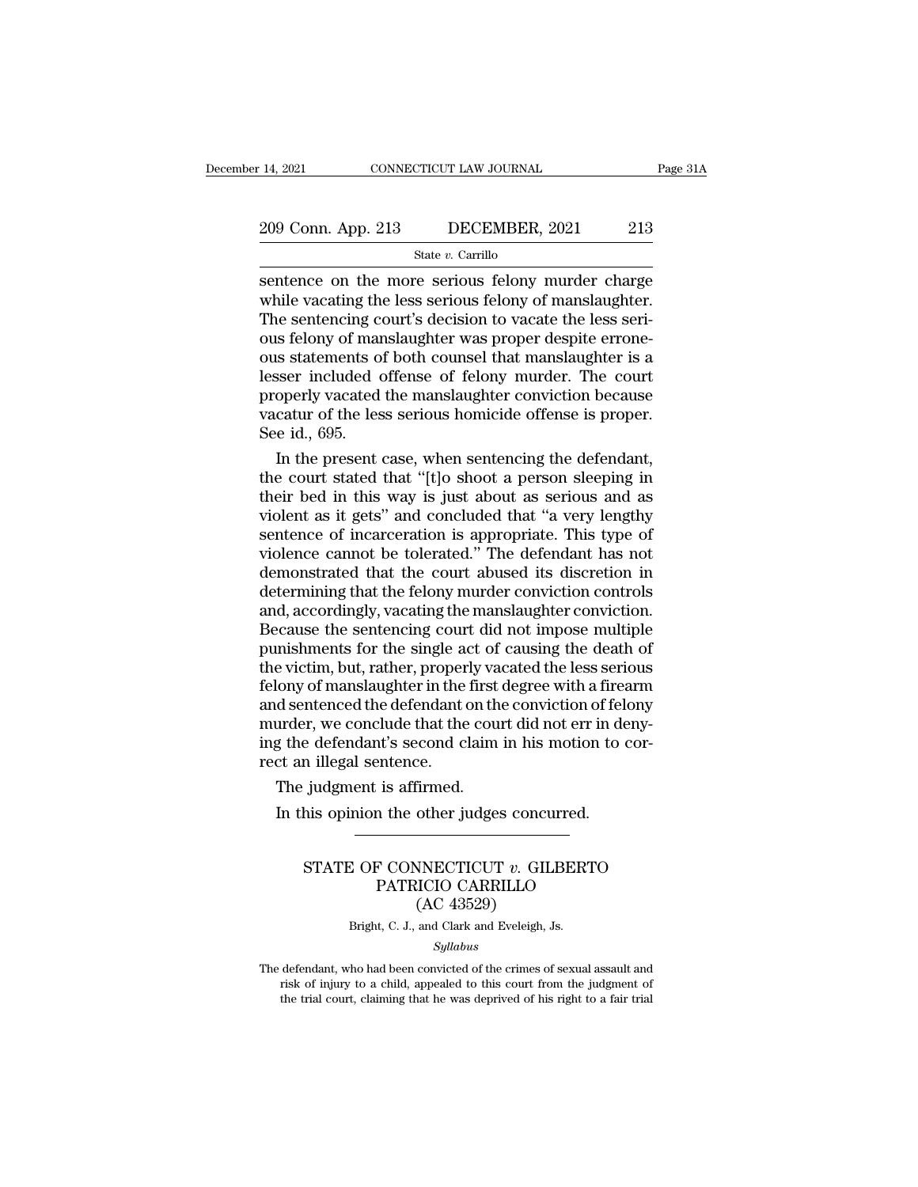# 14, 2021 CONNECTICUT LAW JOURNAL Page 31A<br>209 Conn. App. 213 DECEMBER, 2021 213<br>314 State v. Carrillo

### State *v.* Carrillo

14, 2021 CONNECTICUT LAW JOURNAL Page 31A<br>
209 Conn. App. 213 DECEMBER, 2021 213<br>
State v. Carrillo<br>
Sentence on the more serious felony murder charge<br>
while vacating the less serious felony of manslaughter.<br>
The sentenci 209 Conn. App. 213 DECEMBER, 2021 213<br>
State v. Carrillo<br>
Sentence on the more serious felony murder charge<br>
while vacating the less serious felony of manslaughter.<br>
The sentencing court's decision to vacate the less seri 209 Conn. App. 213 DECEMBER, 2021 213<br>
State v. Carrillo<br>
Sentence on the more serious felony murder charge<br>
while vacating the less serious felony of manslaughter.<br>
The sentencing court's decision to vacate the less seri 209 Conn. App. 213 DECEMBER, 2021 213<br>
State v. Carrillo<br>
Sentence on the more serious felony murder charge<br>
while vacating the less serious felony of manslaughter.<br>
The sentencing court's decision to vacate the less seri Sous South Experiment, 2021<br>
State v. Carrillo<br>
Sentence on the more serious felony murder charge<br>
while vacating the less serious felony of manslaughter.<br>
The sentencing court's decision to vacate the less seri-<br>
ous fel State *v*. Carrillo<br>
sentence on the more serious felony murder charge<br>
while vacating the less serious felony of manslaughter.<br>
The sentencing court's decision to vacate the less seri-<br>
ous felony of manslaughter was pro sentence on the more serious felony murder charge<br>while vacating the less serious felony of manslaughter.<br>The sentencing court's decision to vacate the less seri-<br>ous felony of manslaughter was proper despite errone-<br>ous s while vacating the less serious felony of manslaughter.<br>The sentencing court's decision to vacate the less serious felony of manslaughter was proper despite errone-<br>ous statements of both counsel that manslaughter is a<br>les The sentencing cous felony of mar<br>ous statements of<br>lesser included corpoperly vacated<br>vacatur of the lessee id., 695.<br>In the present In the presents of both counsel that manslaughter is a<br>sser included offense of felony murder. The court<br>operly vacated the manslaughter conviction because<br>catur of the less serious homicide offense is proper.<br>e id., 695.<br> ous statements of both counsel that manslaughter is a<br>lesser included offense of felony murder. The court<br>properly vacated the manslaughter conviction because<br>vacatur of the less serious homicide offense is proper.<br>See id.

lesser included offense of felony murder. The court<br>properly vacated the manslaughter conviction because<br>vacatur of the less serious homicide offense is proper.<br>See id., 695.<br>In the present case, when sentencing the defend properly vacated the manslaughter conviction because<br>vacatur of the less serious homicide offense is proper.<br>See id., 695.<br>In the present case, when sentencing the defendant,<br>the court stated that "[t]o shoot a person slee vacatur of the less serious homicide offense is proper.<br>See id., 695.<br>In the present case, when sentencing the defendant,<br>the court stated that "[t]o shoot a person sleeping in<br>their bed in this way is just about as seriou See id., 695.<br>In the present case, when sentencing the defendant,<br>the court stated that "[t]o shoot a person sleeping in<br>their bed in this way is just about as serious and as<br>violent as it gets" and concluded that "a very In the present case, when sentencing the defendant,<br>the court stated that "[t]o shoot a person sleeping in<br>their bed in this way is just about as serious and as<br>violent as it gets" and concluded that "a very lengthy<br>senten the court stated that "[t]o shoot a person sleeping in<br>their bed in this way is just about as serious and as<br>violent as it gets" and concluded that "a very lengthy<br>sentence of incarceration is appropriate. This type of<br>vio their bed in this way is just about as serious and as<br>violent as it gets" and concluded that "a very lengthy<br>sentence of incarceration is appropriate. This type of<br>violence cannot be tolerated." The defendant has not<br>demon violent as it gets" and concluded that "a very lengthy<br>sentence of incarceration is appropriate. This type of<br>violence cannot be tolerated." The defendant has not<br>demonstrated that the court abused its discretion in<br>determ sentence of incarceration is appropriate. This type of<br>violence cannot be tolerated." The defendant has not<br>demonstrated that the court abused its discretion in<br>determining that the felony murder conviction controls<br>and, a violence cannot be tolerated." The defendant has not<br>demonstrated that the court abused its discretion in<br>determining that the felony murder conviction controls<br>and, accordingly, vacating the manslaughter conviction.<br>Becau demonstrated that the court abused its discretion in<br>determining that the felony murder conviction controls<br>and, accordingly, vacating the manslaughter conviction.<br>Because the sentencing court did not impose multiple<br>punis determining that the felony murder conviction controls<br>and, accordingly, vacating the manslaughter conviction.<br>Because the sentencing court did not impose multiple<br>punishments for the single act of causing the death of<br>the and, accordingly, vacating the manslaughter conviction.<br>Because the sentencing court did not impose multiple<br>punishments for the single act of causing the death of<br>the victim, but, rather, properly vacated the less serious Because the sentencing court did not impose multiple<br>punishments for the single act of causing the death of<br>the victim, but, rather, properly vacated the less serious<br>felony of manslaughter in the first degree with a firea punishments for the single at<br>the victim, but, rather, proper<br>felony of manslaughter in the<br>and sentenced the defendant of<br>murder, we conclude that the<br>ing the defendant's second cl<br>rect an illegal sentence.<br>The judgment i e victim, but, rather, properly valony of manslaughter in the first<br>d sentenced the defendant on th<br>urder, we conclude that the cou<br>g the defendant's second claim<br>ct an illegal sentence.<br>The judgment is affirmed.<br>In this o In this opinion the distribution of fellurder, we conclude that the court did not err in degree when of fellurder, we conclude that the court did not err in deg the defendant's second claim in his motion to the star illega

### e detendant s second claim in his motion to cor-<br>
n illegal sentence.<br>
judgment is affirmed.<br>
his opinion the other judges concurred.<br>
STATE OF CONNECTICUT *v*. GILBERTO<br>
PATRICIO CARRILLO<br>
(AC 43529) FRIERRICHT ISLAMIC ISLAMIC CONNECTICUT *v*. GILBERTO<br>PATRICIO CARRILLO<br>(AC 43529)<br>ALC J, and Clark and Evaluate Islamic Connection Firmed.<br>
other judges concu<br>
WINECTICUT v. GIL<br>
IICIO CARRILLO<br>
(AC 43529)<br>
and Clark and Eveleigh, J STATE OF CONNECTICUT  $v$ . GILBERTO<br>PATRICIO CARRILLO<br>(AC 43529)<br>Bright, C. J., and Clark and Eveleigh, Js.

### *Syllabus*

PATRICIO CARRILLO<br>
(AC 43529)<br>
Bright, C. J., and Clark and Eveleigh, Js.<br> *Syllabus*<br>
The defendant, who had been convicted of the crimes of sexual assault and<br>
risk of injury to a child, appealed to this court from the j  $(AC 43529)$ <br>Bright, C. J., and Clark and Eveleigh, Js.<br>Syllabus<br>defendant, who had been convicted of the crimes of sexual assault and<br>risk of injury to a child, appealed to this court from the judgment of<br>the trial court, Bright, C. J., and Clark and Eveleigh, Js.<br>Syllabus<br>defendant, who had been convicted of the crimes of sexual assault and<br>risk of injury to a child, appealed to this court from the judgment of<br>the trial court, claiming tha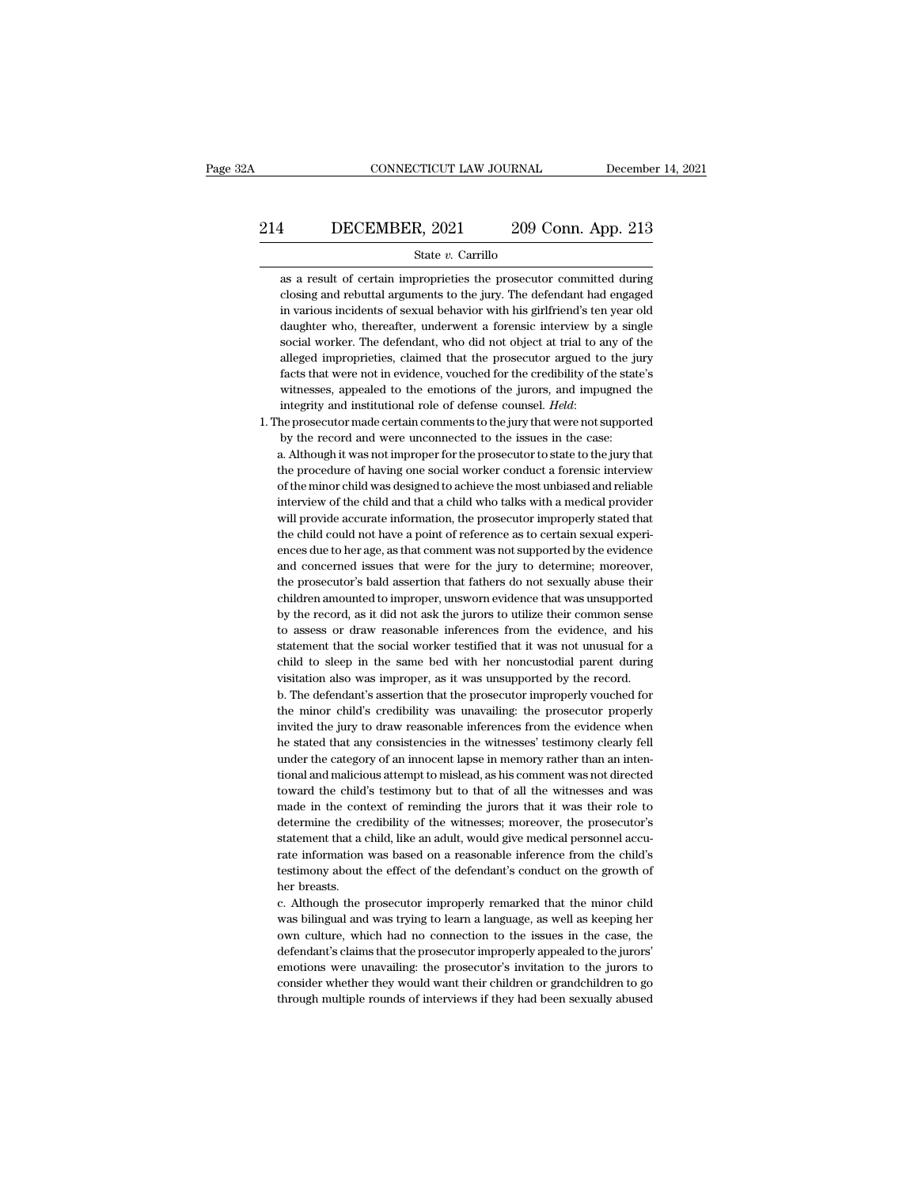# CONNECTICUT LAW JOURNAL December 14, 2021<br>214 DECEMBER, 2021 209 Conn. App. 213<br>5tate v. Carrillo

### State *v.* Carrillo

1 DECEMBER, 2021 209 Conn. App. 213<br>
State v. Carrillo<br>
as a result of certain improprieties the prosecutor committed during<br>
closing and rebuttal arguments to the jury. The defendant had engaged closing and rebuttal arguments to the jury. The defendant had engaged **in Various incidents of sexual behavior incidents of sexual behavior of sexual behavior with his girlfriend's ten year old daughter who, thereafter, underwent a forensic interview by a single of sexual behavior with his g** State  $v$ . Carrillo<br>as a result of certain improprieties the prosecutor committed during<br>closing and rebuttal arguments to the jury. The defendant had engaged<br>in various incidents of sexual behavior with his girlfriend's State v. Carrillo<br>sas a result of certain improprieties the prosecutor committed during<br>closing and rebuttal arguments to the jury. The defendant had engaged<br>in various incidents of sexual behavior with his girlfriend's te as a result of certain improprieties the prosecutor committed during<br>closing and rebuttal arguments to the jury. The defendant had engaged<br>in various incidents of sexual behavior with his girlfriend's ten year old<br>daughter closing and rebuttal arguments to the jury. The defendant had engaged<br>in various incidents of sexual behavior with his girlfriend's ten year old<br>daughter who, thereafter, underwent a forensic interview by a single<br>social w in various incidents of sexual behavior with his girlfriend's ten year old daughter who, thereafter, underwent a forensic interview by a single social worker. The defendant, who did not object at trial to any of the allege daughter who, thereafter, underwent a forensic interview by a single social worker. The defendant, who did not object at trial to any of the alleged improprieties, claimed that the prosecutor argued to the jury facts that alleged improprieties, claimed that the prosecutor argued to the ju<br>facts that were not in evidence, vouched for the credibility of the stat<br>witnesses, appealed to the emotions of the jurors, and impugned t<br>integrity and i facts that were not in evidence, vouched for the credibility of the state's witnesses, appealed to the emotions of the jury that implyied the integrity and institutional role of defense counsel. *Held*: the prosecutor mad

witnesses, appealed to the emotions of the jurors, and impugned the integrity and institutional role of defense counsel. *Held*:<br>the prosecutor made certain comments to the jury that were not supported by the record and we integrity and institutional role of defense counsel. *Held*:<br>the prosecutor made certain comments to the jury that were not supported<br>by the record and were unconnected to the issues in the case:<br>a. Although it was not imp he prosecutor made certain comments to the jury that were not supported<br>by the record and were unconnected to the issues in the case:<br>a. Although it was not improper for the prosecutor to state to the jury that<br>the procedu by the record and were unconnected to the issues in the case:<br>a. Although it was not improper for the prosecutor to state to the jury that<br>the procedure of having one social worker conduct a forensic interview<br>of the minor a. Although it was not improper for the prosecutor to state to the jury that the procedure of having one social worker conduct a forensic interview<br>of the minor child was designed to achieve the most unbiased and reliable<br> the procedure of having one social worker conduct a forensic interview<br>of the minor child was designed to achieve the most unbiased and reliable<br>interview of the child and that a child who talks with a medical provider<br>wil of the minor child was designed to achieve the most unbiased and reliable interview of the child and that a child who talks with a medical provider will provide accurate information, the prosecutor improperly stated that t interview of the child and that a child who talks with a medical provider will provide accurate information, the prosecutor improperly stated that the child could not have a point of reference as to certain sexual experien will provide accurate information, the prosecutor improperly stated that<br>the child could not have a point of reference as to certain sexual experi-<br>ences due to her age, as that comment was not supported by the evidence<br>an the child could not have a point of reference as to certain sexual experiences due to her age, as that comment was not supported by the evidence and concerned issues that were for the jury to determine; moreover, the prose ences due to her age, as that comment was not supported by the evidence and concerned issues that were for the jury to determine; moreover, the prosecutor's bald assertion that fathers do not sexually abuse their children and concerned issues that were for the jury to determine; moreover,<br>the prosecutor's bald assertion that fathers do not sexually abuse their<br>children amounted to improper, unsworn evidence that was unsupported<br>by the recor the prosecutor's bald assertion that fathers do not sexually abuse their children amounted to improper, unsworn evidence that was unsupported by the record, as it did not ask the jurors to utilize their common sense to ass children amounted to improper, unsworn evidence that was unsupported<br>by the record, as it did not ask the jurors to utilize their common sense<br>to assess or draw reasonable inferences from the evidence, and his<br>statement th by the record, as it did not ask the jurors to utilize their common sense<br>to assess or draw reasonable inferences from the evidence, and his<br>statement that the social worker testified that it was not unusual for a<br>child to to assess or draw reasonable inferences from the evidence, and his statement that the social worker testified that it was not unusual for a child to sleep in the same bed with her noncustodial parent during visitation also

statement that the social worker testified that it was not unusual for a<br>child to sleep in the same bed with her noncustodial parent during<br>visitation also was improper, as it was unsupported by the record.<br>b. The defendan child to sleep in the same bed with her noncustodial parent during<br>visitation also was improper, as it was unsupported by the record.<br>b. The defendant's assertion that the prosecutor improperly vouched for<br>the minor child' visitation also was improper, as it was unsupported by the record.<br>
b. The defendant's assertion that the prosecutor improperly vouched for<br>
the minor child's credibility was unavailing: the prosecutor properly<br>
invited th b. The defendant's assertion that the prosecutor improperly vouched for the minor child's credibility was unavailing: the prosecutor properly invited the jury to draw reasonable inferences from the evidence when he stated the minor child's credibility was unavailing: the prosecutor properly<br>invited the jury to draw reasonable inferences from the evidence when<br>he stated that any consistencies in the witnesses' testimony clearly fell<br>under th invited the jury to draw reasonable inferences from the evidence when<br>he stated that any consistencies in the witnesses' testimony clearly fell<br>under the category of an innocent lapse in memory rather than an inten-<br>tional he stated that any consistencies in the witnesses' testimony clearly fell under the category of an innocent lapse in memory rather than an intentional and malicious attempt to mislead, as his comment was not directed towar under the category of an innocent lapse in memory rather than an intentional and malicious attempt to mislead, as his comment was not directed toward the child's testimony but to that of all the witnesses and was made in t tional and malicious attempt to mislead, as his comment was not directed toward the child's testimony but to that of all the witnesses and was made in the context of reminding the jurors that it was their role to determine toward the child's testimony but to that of all the witnesses and was<br>made in the context of reminding the jurors that it was their role to<br>determine the credibility of the witnesses; moreover, the prosecutor's<br>statement t made in the context of reminding the jurors that it was their role to determine the credibility of the witnesses; moreover, the prosecutor's statement that a child, like an adult, would give medical personnel accurate inf determine the credibility of the witnesses; moreover, the prosecutor's statement that a child, like an adult, would give medical personnel accurate information was based on a reasonable inference from the child's testimony statement that a child, like an adult, would give medical personnel accurate information was based on a reasonable inference from the child's testimony about the effect of the defendant's conduct on the growth of her breas

rate information was based on a reasonable inference from the child's<br>testimony about the effect of the defendant's conduct on the growth of<br>her breasts.<br>c. Although the prosecutor improperly remarked that the minor child<br> testimony about the effect of the defendant's conduct on the growth of<br>her breasts.<br>c. Although the prosecutor improperly remarked that the minor child<br>was bilingual and was trying to learn a language, as well as keeping h her breasts.<br>
c. Although the prosecutor improperly remarked that the minor child<br>
was bilingual and was trying to learn a language, as well as keeping her<br>
own culture, which had no connection to the issues in the case, t c. Although the prosecutor improperly remarked that the minor child was bilingual and was trying to learn a language, as well as keeping her own culture, which had no connection to the issues in the case, the defendant's c own culture, which had no connection to the issues in the case, the defendant's claims that the prosecutor improperly appealed to the jurors' emotions were unavailing: the prosecutor's invitation to the jurors to consider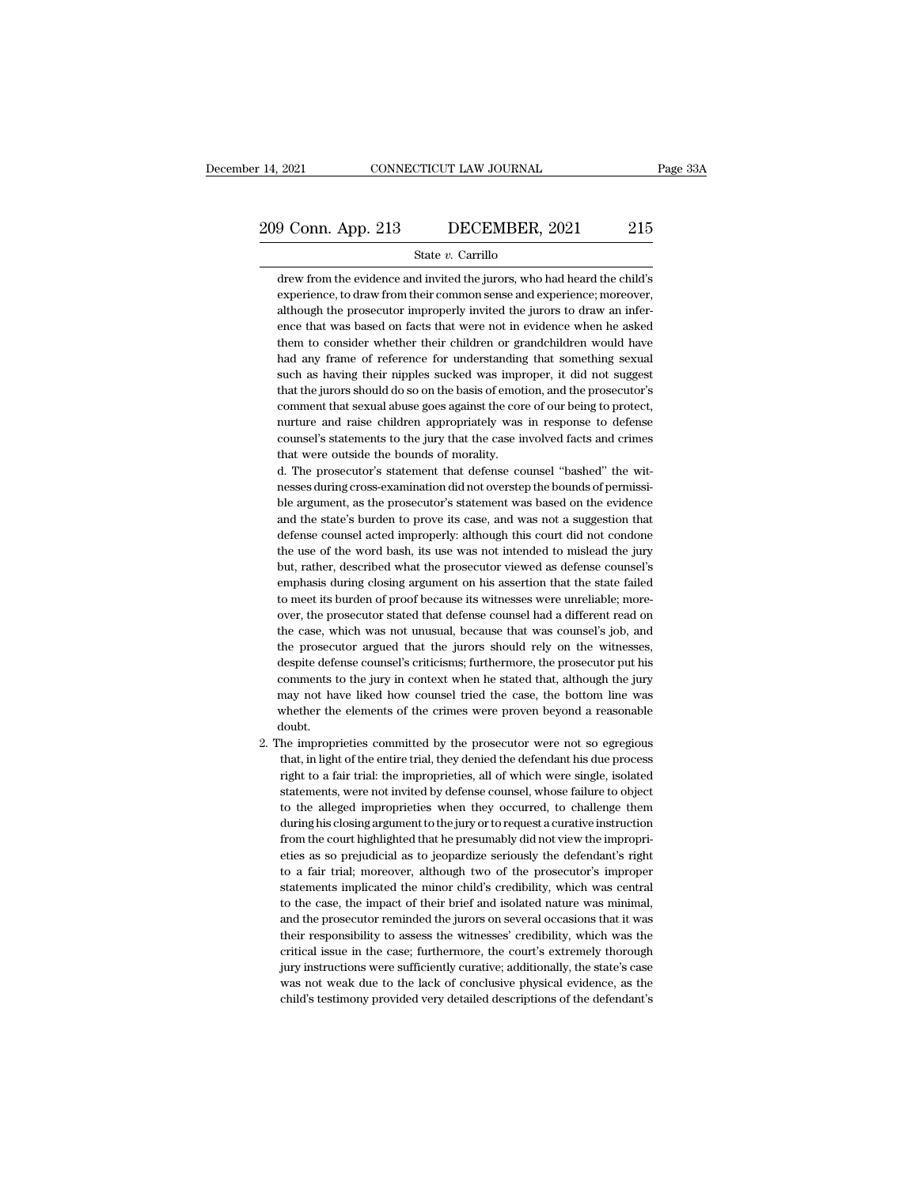# 14, 2021 CONNECTICUT LAW JOURNAL Page 33A<br>209 Conn. App. 213 DECEMBER, 2021 215<br>3tate v. Carrillo

### State *v.* Carrillo

 $\frac{1}{9}$  Conn. App. 213 DECEMBER, 2021 215<br>State v. Carrillo<br>drew from the evidence and invited the jurors, who had heard the child's<br>experience, to draw from their common sense and experience; moreover, experience, to draw from their common sense and experience; moreover, although the prosecutor improperly invited the jurors to draw an infer-<br>although the prosecutor improperly invited the jurors to draw an infer- $\frac{9 \text{ Conn. App. 213}}{\text{State } v. \text{ Carrillo}}$ <br>  $\frac{215}{\text{State } v. \text{ Carrillo}}$ <br>  $\frac{13}{\text{draw from the evidence and invited the juross, who had heard the child's experience, to draw from their common sense and experience; moreover, although the processor importantly invited the juross to draw an inference that was based on facts that were not in evidence when he asked$ State v. Carrillo<br>drew from the evidence and invited the jurors, who had heard the child's<br>experience, to draw from their common sense and experience; moreover,<br>although the prosecutor improperly invited the jurors to draw State v. Carrillo<br>drew from the evidence and invited the jurors, who had heard the child's<br>experience, to draw from their common sense and experience; moreover,<br>although the prosecutor improperly invited the jurors to draw drew from the evidence and invited the jurors, who had heard the child's<br>experience, to draw from their common sense and experience; moreover,<br>although the prosecutor improperly invited the jurors to draw an infer-<br>ence th experience, to draw from their common sense and experience; moreover, although the prosecutor improperly invited the jurors to draw an inference that was based on facts that were not in evidence when he asked them to consi although the prosecutor improperly invited the jurors to draw an inference that was based on facts that were not in evidence when he asked them to consider whether their children or grandchildren would have had any frame o ence that was based on facts that were not in evidence when he asked them to consider whether their children or grandchildren would have had any frame of reference for understanding that something sexual such as having the them to consider whether their children or grandchildren would have<br>had any frame of reference for understanding that something sexual<br>such as having their nipples sucked was improper, it did not suggest<br>that the jurors sh had any frame of reference for understanding that something sexual such as having their nipples sucked was improper, it did not suggest that the jurors should do so on the basis of emotion, and the prosecutor's comment tha such as having their nipples sucked was imprement that sexual do so on the basis of emot<br>comment that sexual abuse goes against the cor-<br>nurture and raise children appropriately was<br>counsel's statements to the jury that th that the jurors should do so on the basis of emotion, and the prosecutor's comment that sexual abuse goes against the core of our being to protect, nurture and raise children appropriately was in response to defense counse comment that sexual abuse goes against the core of our being to protect, nurture and raise children appropriately was in response to defense counsel's statements to the jury that the case involved facts and crimes that wer

nuture and raise children appropriately was in response to defense<br>counsel's statements to the jury that the case involved facts and crimes<br>that were outside the bounds of morality.<br>d. The prosecutor's statement that defen counsel's statements to the jury that the case involved facts and crimes<br>that were outside the bounds of morality.<br>d. The prosecutor's statement that defense counsel "bashed" the wit-<br>nesses during cross-examination did no that were outside the bounds of morality.<br>
d. The prosecutor's statement that defense counsel "bashed" the wit-<br>
nesses during cross-examination did not overstep the bounds of permissi-<br>
ble argument, as the prosecutor's s d. The prosecutor's statement that defense counsel "bashed" the witnesses during cross-examination did not overstep the bounds of permissible argument, as the prosecutor's statement was based on the evidence and the state' nesses during cross-examination did not overstep the bounds of permissi-<br>ble argument, as the prosecutor's statement was based on the evidence<br>and the state's burden to prove its case, and was not a suggestion that<br>defense ble argument, as the prosecutor's statement was based on the evidence and the state's burden to prove its case, and was not a suggestion that defense counsel acted improperly: although this court did not condone the use of and the state's burden to prove its case, and was not a suggestion that defense counsel acted improperly: although this court did not condone the use of the word bash, its use was not intended to mislead the jury but, rath defense counsel acted improperly: although this court did not condone<br>the use of the word bash, its use was not intended to mislead the jury<br>but, rather, described what the prosecutor viewed as defense counsel's<br>emphasis d the use of the word bash, its use was not intended to mislead the jury<br>but, rather, described what the prosecutor viewed as defense counsel's<br>emphasis during closing argument on his assertion that the state failed<br>to meet but, rather, described what the prosecutor viewed as defense counsel's emphasis during closing argument on his assertion that the state failed to meet its burden of proof because its witnesses were unreliable; moreover, th emphasis during closing argument on his assertion that the state failed to meet its burden of proof because its witnesses were unreliable; moreover, the prosecutor stated that defense counsel had a different read on the ca to meet its burden of proof because its witnesses were unreliable; more-<br>over, the prosecutor stated that defense counsel had a different read on<br>the case, which was not unusual, because that was counsel's job, and<br>the pro over, the prosecutor stated that defense counsel had a different read on<br>the case, which was not unusual, because that was counsel's job, and<br>the prosecutor argued that the jurors should rely on the witnesses,<br>despite defe the case, which was not unusual, because that was counsel's job, and<br>the prosecutor argued that the jurors should rely on the witnesses,<br>despite defense counsel's criticisms; furthermore, the prosecutor put his<br>comments to doubt. despite defense counsel's criticisms; furthermore, the prosecutor put his comments to the jury in context when he stated that, although the jury may not have liked how counsel tried the case, the bottom line was whether th comments to the jury in context when he stated that, although the jury<br>may not have liked how counsel tried the case, the bottom line was<br>whether the elements of the crimes were proven beyond a reasonable<br>loubt.<br>he impropr

right to a fair trial: the case, the bottom line was whether the elements of the crimes were proven beyond a reasonable loubt.<br>he improprieties committed by the prosecutor were not so egregious that, in light of the entire whether the elements of the crimes were proven beyond a reasonable<br>loubt.<br>he improprieties committed by the prosecutor were not so egregious<br>that, in light of the entire trial, they denied the defendant his due process<br>rig to the improprieties committed by the prosecutor were not so egregious<br>that, in light of the entire trial, they denied the defendant his due process<br>right to a fair trial: the improprieties, all of which were single, isola he improprieties committed by the prosecutor were not so egregious<br>that, in light of the entire trial, they denied the defendant his due process<br>right to a fair trial: the improprieties, all of which were single, isolated<br> that, in light of the entire trial, they denied the defendant his due process right to a fair trial: the improprieties, all of which were single, isolated statements, were not invited by defense counsel, whose failure to o right to a fair trial: the improprieties, all of which were single, isolated statements, were not invited by defense counsel, whose failure to object to the alleged improprieties when they occurred, to challenge them durin statements, were not invited by defense counsel, whose failure to object<br>to the alleged improprieties when they occurred, to challenge them<br>during his closing argument to the jury or to request a curative instruction<br>from to the alleged improprieties when they occurred, to challenge them<br>during his closing argument to the jury or to request a curative instruction<br>from the court highlighted that he presumably did not view the impropri-<br>eties during his closing argument to the jury or to request a curative instruction<br>from the court highlighted that he presumably did not view the impropri-<br>eties as so prejudicial as to jeopardize seriously the defendant's right from the court highlighted that he presumably did not view the improprieties as so prejudicial as to jeopardize seriously the defendant's right to a fair trial; moreover, although two of the prosecutor's improper statement eties as so prejudicial as to jeopardize seriously the defendant's right<br>to a fair trial; moreover, although two of the prosecutor's improper<br>statements implicated the minor child's credibility, which was central<br>to the ca to a fair trial; moreover, although two of the prosecutor's improper statements implicated the minor child's credibility, which was central to the case, the impact of their brief and isolated nature was minimal, and the pr statements implicated the minor child's credibility, which was central<br>to the case, the impact of their brief and isolated nature was minimal,<br>and the prosecutor reminded the jurors on several occasions that it was<br>their r to the case, the impact of their brief and isolated nature was minimal, and the prosecutor reminded the jurors on several occasions that it was their responsibility to assess the witnesses' credibility, which was the criti and the prosecutor reminded the jurors on several occasions that it was<br>their responsibility to assess the witnesses' credibility, which was the<br>critical issue in the case; furthermore, the court's extremely thorough<br>jury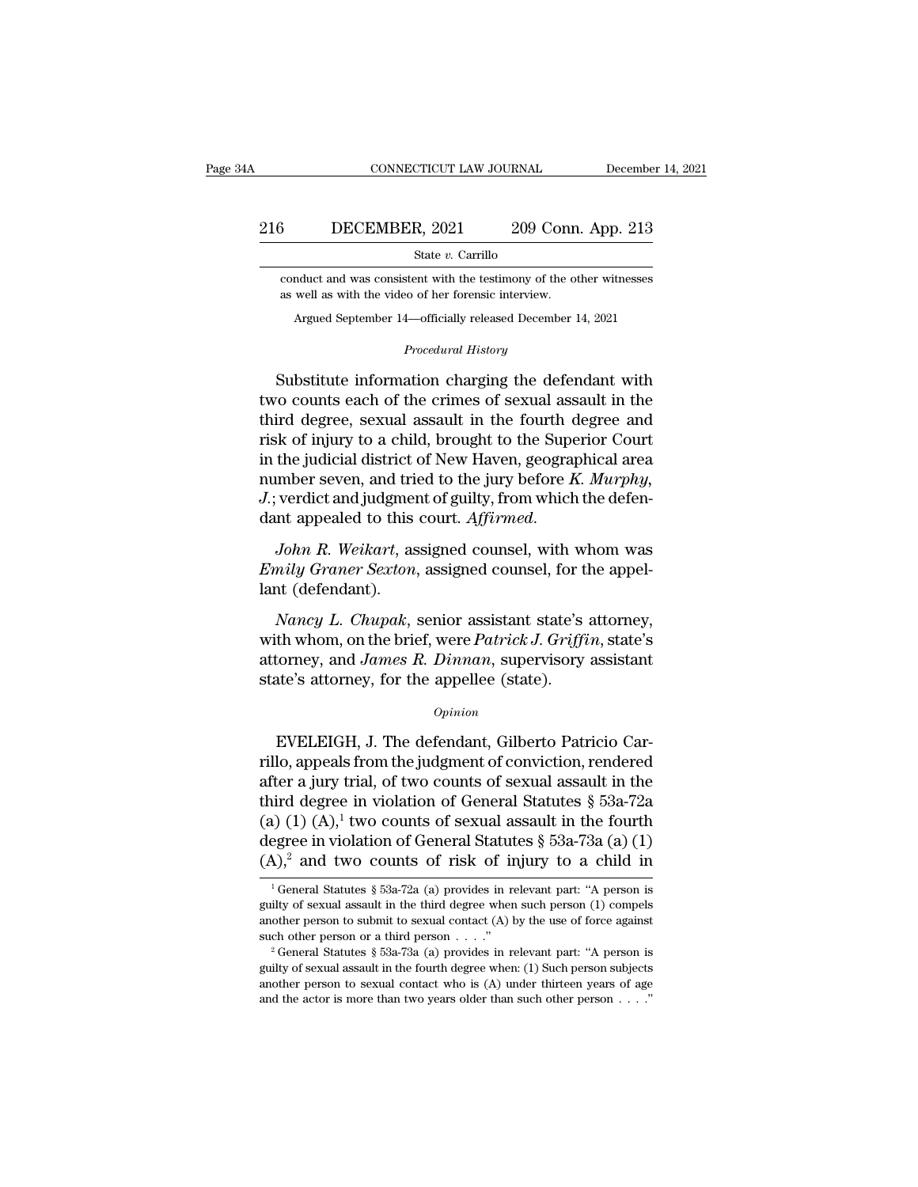# EXECUTE CONNECTICUT LAW JOURNAL December 14, 2021<br>216 DECEMBER, 2021 209 Conn. App. 213<br>314 State v. Carrillo

State *v.* Carrillo

COCONDER, 2021 209 Conn. App. 213<br>
State v. Carrillo<br>
conduct and was consistent with the testimony of the other witnesses<br>
as well as with the video of her forensic interview. 3 DECEMBER,  $2021$   $209$  Conn<br>  $\frac{8\textrm{rate }v}{209}$  Conn<br>
conduct and was consistent with the testimony of the of<br>
as well as with the video of her forensic interview.<br>
Argued September 14—officially released December 1 DECEMBER, 2021 209 COIII. App. 213<br>State v. Carrillo<br>mduct and was consistent with the testimony of the other witnesses<br>well as with the video of her forensic interview.<br>Argued September 14—officially released December 14 % conduct and was consistent with the testimony of the other witnesses<br>as well as with the video of her forensic interview.<br>Argued September 14—officially released December 14, 2021<br>*Procedural History*<br>Substitute informat

State *v*. Carrino<br>
conduct and was consistent with the testimony of the other witnesses<br>
as well as with the video of her forensic interview.<br>
Argued September 14—officially released December 14, 2021<br> *Procedural History* conduct and was consistent with the testimony of the other witnesses<br>as well as with the video of her forensic interview.<br>Argued September 14—officially released December 14, 2021<br>*Procedural History*<br>Substitute informatio Argued September 14—officially released December 14, 2021<br> *Procedural History*<br>
Substitute information charging the defendant with<br>
two counts each of the crimes of sexual assault in the<br>
third degree, sexual assault in t Argued September 14—officially released December 14, 2021<br> *Procedural History*<br>
Substitute information charging the defendant with<br>
two counts each of the crimes of sexual assault in the<br>
third degree, sexual assault in t *Procedural History*<br>
Substitute information charging the defendant with<br>
two counts each of the crimes of sexual assault in the<br>
third degree, sexual assault in the fourth degree and<br>
risk of injury to a child, brought to Substitute information charging the defendant with<br>two counts each of the crimes of sexual assault in the<br>third degree, sexual assault in the fourth degree and<br>risk of injury to a child, brought to the Superior Court<br>in th Substitute information charging the defendant with<br>two counts each of the crimes of sexual assault in the<br>third degree, sexual assault in the fourth degree and<br>risk of injury to a child, brought to the Superior Court<br>in th two counts each of the crimes of sexual assault in the<br>third degree, sexual assault in the fourth degree and<br>risk of injury to a child, brought to the Superior Court<br>in the judicial district of New Haven, geographical area *Emily Graner Sexton, and tried to the superior counts* in the judicial district of New Haven, geographical area number seven, and tried to the jury before *K. Murphy,* J.; verdict and judgment of guilty, from which the de mumber seven, and tries.<br>
J.; verdict and judgment<br>
dant appealed to this<br>
John R. Weikart, as<br>
Emily Graner Sexton,<br>
lant (defendant).<br>
Nancy L. Chupak,

*Nancy L. Chupak, senior assistant state's atomay*<br>*Nohn R. Weikart, assigned counsel, with whom was nily Graner Sexton, assigned counsel, for the appel-<br><i>Nancy L. Chupak*, senior assistant state's attorney, th whom, on th

dant appealed to this court. *Affirmed.*<br>
John R. Weikart, assigned counsel, with whom was<br> *Emily Graner Sexton*, assigned counsel, for the appel-<br>
lant (defendant).<br> *Nancy L. Chupak*, senior assistant state's attorney,<br> John R. Weikart, assigned counsel, with whom was <br>Emily Graner Sexton, assigned counsel, for the appel-<br>lant (defendant).<br>Nancy L. Chupak, senior assistant state's attorney,<br>with whom, on the brief, were Patrick J. Griffin Finily Graner Sexton, assigned counsel, for the appellent (defendant).<br>
Nancy L. Chupak, senior assistant state's<br>
with whom, on the brief, were Patrick J. Griffi<br>
attorney, and James R. Dinnan, supervisory<br>
state's attorn Nancy L. Chupak, senior assistant state's attorney,<br>th whom, on the brief, were Patrick J. Griffin, state's<br>torney, and James R. Dinnan, supervisory assistant<br>te's attorney, for the appellee (state).<br> $opinion$ <br>EVELEIGH, J. The

### *Opinion*

with whom, on the brief, were *Patrick J. Griffin*, state's<br>attorney, and *James R. Dinnan*, supervisory assistant<br>state's attorney, for the appellee (state).<br> $o_{pinion}$ <br>EVELEIGH, J. The defendant, Gilberto Patricio Car-<br>ril attorney, and *James R. Dinnan*, supervisory assistant<br>state's attorney, for the appellee (state).<br> $\frac{opinion}{D}$ <br>EVELEIGH, J. The defendant, Gilberto Patricio Car-<br>rillo, appeals from the judgment of conviction, rendered<br>aft state's attorney, for the appellee (state).<br>  $\phi_{pinion}$ <br>
EVELEIGH, J. The defendant, Gilberto Patricio Carrillo, appeals from the judgment of conviction, rendered<br>
after a jury trial, of two counts of sexual assault in the<br> <sup>Opinion</sup><br>
EVELEIGH, J. The defendant, Gilberto Patricio Car-<br>
rillo, appeals from the judgment of conviction, rendered<br>
after a jury trial, of two counts of sexual assault in the<br>
third degree in violation of General Sta EVELEIGH, J. The defendant, Gilberto Patricio Carrillo, appeals from the judgment of conviction, rendered after a jury trial, of two counts of sexual assault in the third degree in violation of General Statutes § 53a-72a EVELEIGH, J. The defendant, Gilberto Patricio Carrillo, appeals from the judgment of conviction, rendered after a jury trial, of two counts of sexual assault in the third degree in violation of General Statutes § 53a-72a (1) (1) (A),<sup>1</sup> two counts of sexual assault in the fourth egree in violation of General Statutes § 53a-73a (a) (1) (A),<sup>2</sup> and two counts of risk of injury to a child in  $\frac{1}{3}$  General Statutes § 53a-72a (a) provides (a) (1) (A),<sup>1</sup> two counts of sexual assault in the fourth degree in violation of General Statutes § 53a-73a (a) (1) (A),<sup>2</sup> and two counts of risk of injury to a child in  $\frac{1}{1}$  General Statutes § 53a-72a (a) provides

degree in violation of General Statutes § 53a-73a (a) (1) (A),<sup>2</sup> and two counts of risk of injury to a child in  $\frac{1}{1}$  General Statutes § 53a-72a (a) provides in relevant part: "A person is guilty of sexual assault in (A),<sup>2</sup> and two counts of risk of injury to a child in<br>
<sup>1</sup> General Statutes § 53a-72a (a) provides in relevant part: "A person is guilty of sexual assault in the third degree when such person (1) compels another person t another person to submit to sexual contact  $(A)$  by the use of force against

<sup>&</sup>lt;sup>1</sup> General Statutes § 53a-72a (a) provides in relevant part: "A person is guilty of sexual assault in the third degree when such person (1) compels another person to submit to sexual contact (A) by the use of force again guilty of sexual assault in the third degree when such person (1) compels another person to submit to sexual contact (A) by the use of force against such other person or a third person . . . ."<br><sup>2</sup> General Statutes § 53a-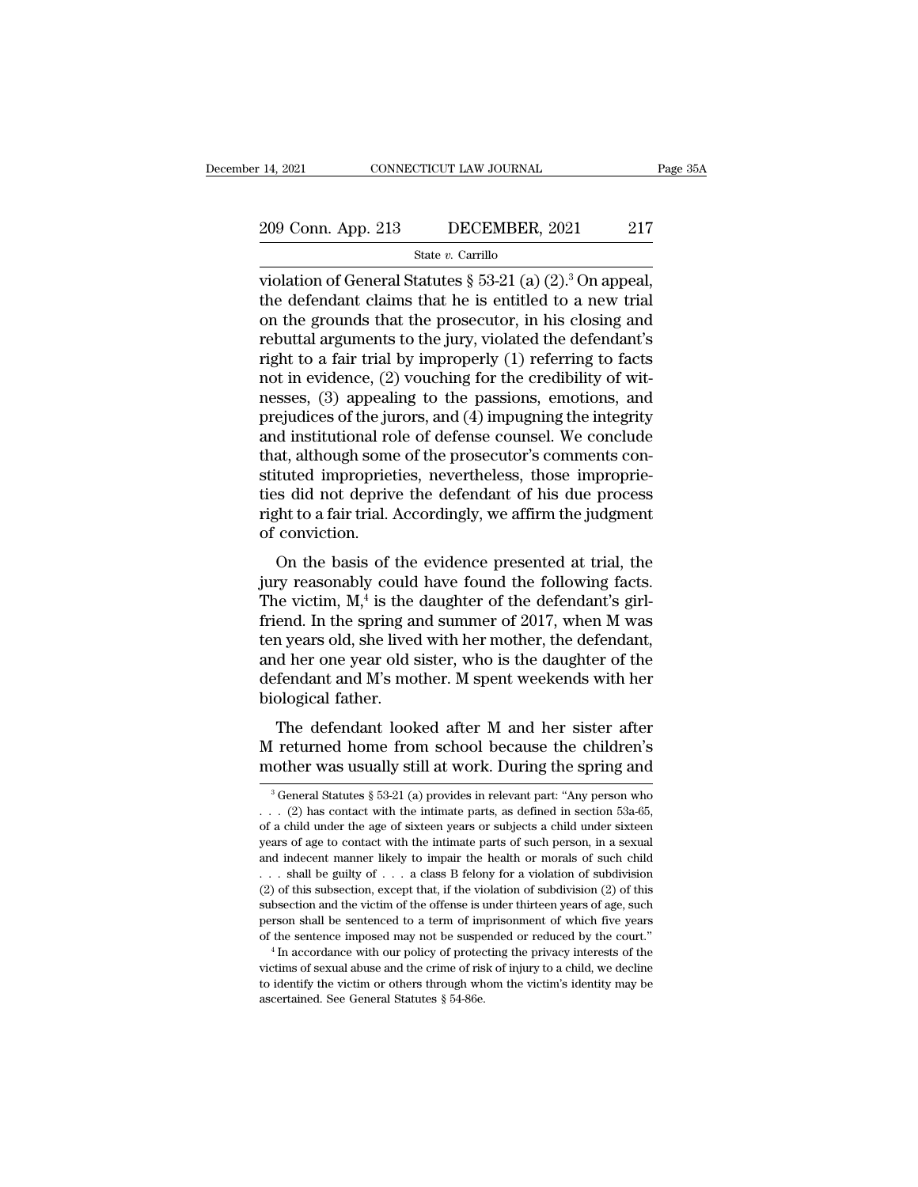# 14, 2021 CONNECTICUT LAW JOURNAL Page 35A<br>209 Conn. App. 213 DECEMBER, 2021 217<br>3tate v. Carrillo

State *v.* Carrillo

violation of General Statutes § 53-21 (a) (2).<sup>3</sup> On appeal,<br>the defendant claims that he is entitled to a new trial<br>on the grounds that the prosecutor in his closing and 209 Conn. App. 213 DECEMBER, 2021 217<br>
State v. Carrillo<br>
violation of General Statutes § 53-21 (a) (2).<sup>3</sup> On appeal,<br>
the defendant claims that he is entitled to a new trial<br>
on the grounds that the prosecutor, in his c 209 Conn. App. 213 DECEMBER, 2021 217<br>
State v. Carrillo<br>
violation of General Statutes § 53-21 (a) (2).<sup>3</sup> On appeal,<br>
the defendant claims that he is entitled to a new trial<br>
on the grounds that the prosecutor, in his c 209 Conn. App. 213 DECEMBER, 2021 217<br>
State v. Carrillo<br>
violation of General Statutes § 53-21 (a) (2).<sup>3</sup> On appeal,<br>
the defendant claims that he is entitled to a new trial<br>
on the grounds that the prosecutor, in his c State v. Carrillo<br>
violation of General Statutes § 53-21 (a) (2).<sup>3</sup> On appeal,<br>
the defendant claims that he is entitled to a new trial<br>
on the grounds that the prosecutor, in his closing and<br>
rebuttal arguments to the j violation of General Statutes § 53-21 (a) (2).<sup>3</sup> On appeal, the defendant claims that he is entitled to a new trial on the grounds that the prosecutor, in his closing and rebuttal arguments to the jury, violated the defe violation of General Statutes § 53-21 (a) (2).<sup>3</sup> On appeal,<br>the defendant claims that he is entitled to a new trial<br>on the grounds that the prosecutor, in his closing and<br>rebuttal arguments to the jury, violated the defe the defendant claims that he is entitled to a new trial<br>on the grounds that the prosecutor, in his closing and<br>rebuttal arguments to the jury, violated the defendant's<br>right to a fair trial by improperly (1) referring to f on the grounds that the prosecutor, in his closing and<br>rebuttal arguments to the jury, violated the defendant's<br>right to a fair trial by improperly (1) referring to facts<br>not in evidence, (2) vouching for the credibility o rebuttal arguments to the jury, violated the defendant's<br>right to a fair trial by improperly (1) referring to facts<br>not in evidence, (2) vouching for the credibility of wit-<br>nesses, (3) appealing to the passions, emotions, right to a fair trial by improperly (1) referring to facts<br>not in evidence, (2) vouching for the credibility of wit-<br>nesses, (3) appealing to the passions, emotions, and<br>prejudices of the jurors, and (4) impugning the inte not in evidence, (2) vouching for the credibility of witnesses, (3) appealing to the passions, emotions, and prejudices of the jurors, and (4) impugning the integrity and institutional role of defense counsel. We conclude nesses, (3) appealing to the passions, emotions, and<br>prejudices of the jurors, and (4) impugning the integrity<br>and institutional role of defense counsel. We conclude<br>that, although some of the prosecutor's comments con-<br>st prejudices of the ju<br>and institutional ro<br>that, although some<br>stituted impropriet<br>ties did not depriv<br>right to a fair trial. *l*<br>of conviction.<br>On the basis of at, although some of the prosecutor's comments contuted improprieties, nevertheless, those improprieties did not deprive the defendant of his due process ght to a fair trial. Accordingly, we affirm the judgment conviction filtrata, antiough some of the prosecutor s comments constituted improprieties, nevertheless, those improprie-<br>ties did not deprive the defendant of his due process<br>right to a fair trial. Accordingly, we affirm the judgme

 $\mu$  is did not deprive the victim of the victim, M,<sup>4</sup> is the friend. In the spring at the victim, M,<sup>4</sup> is the friend. In the spring at the victim, M,<sup>4</sup> is the friend. In the spring at the victim of the victim of the v rive the defendant of his due process<br>al. Accordingly, we affirm the judgment<br>of the evidence presented at trial, the<br>could have found the following facts.<br>is the daughter of the defendant's girl-<br>ring and summer of 2017, friend. In the spring and summer of conviction.<br>
On the basis of the evidence presented at trial, the<br>
jury reasonably could have found the following facts.<br>
The victim,  $M$ <sup>4</sup> is the daughter of the defendant's girl-<br>
fr Tight to a rain trial. Accordingly, we arrifled the judgment<br>of conviction.<br>On the basis of the evidence presented at trial, the<br>jury reasonably could have found the following facts.<br>The victim,  $M$ <sup>4</sup> is the daughter of On the basis of the evidence presented at trial, the<br>jury reasonably could have found the following facts.<br>The victim,  $M$ <sup>4</sup> is the daughter of the defendant's girl-<br>friend. In the spring and summer of 2017, when M was<br>t On the basis of the evidence presented at trial, the<br>jury reasonably could have found the following facts.<br>The victim,  $M$ , <sup>4</sup> is the daughter of the defendant's girl-<br>friend. In the spring and summer of 2017, when M was jury reasonably could<br>The victim, M,<sup>4</sup> is the<br>friend. In the spring an<br>ten years old, she lived<br>and her one year old s<br>defendant and M's mo<br>biological father.<br>The defendant look For the spring and summer of 2017, when M was<br>a years old, she lived with her mother, the defendant,<br>d her one year old sister, who is the daughter of the<br>fendant and M's mother. M spent weekends with her<br>ological father.<br> mend. In the spring and summer of 2017, when M was<br>ten years old, she lived with her mother, the defendant,<br>and her one year old sister, who is the daughter of the<br>defendant and M's mother. M spent weekends with her<br>biolog and her one year old sister, who is the daughter of the defendant and M's mother. M spent weekends with her biological father.<br>The defendant looked after M and her sister after M returned home from school because the chil

The defendant looked after M and her sister after<br>
I returned home from school because the children's<br>
other was usually still at work. During the spring and<br>
<sup>3</sup> General Statutes § 53-21 (a) provides in relevant part: "A The defendant looked after M and her sister after M returned home from school because the children's mother was usually still at work. During the spring and  $\frac{3}{3}$  General Statutes § 53-21 (a) provides in relevant part

M returned home from school because the children's mother was usually still at work. During the spring and  $\frac{3}{6}$  General Statutes  $\frac{5}{6}$  53-21 (a) provides in relevant part: "Any person who . . . (2) has contact wi mother was usually still at work. During the spring and<br>
<sup>3</sup> General Statutes § 53-21 (a) provides in relevant part: "Any person who<br>  $\ldots$  (2) has contact with the intimate parts, as defined in section 53a-65,<br>
of a chil Filociter was usually still at work. During the spring and<br>
<sup>3</sup> General Statutes § 53-21 (a) provides in relevant part: "Any person who<br>
. . . (2) has contact with the intimate parts, as defined in section 53a-65,<br>
of a c <sup>3</sup> General Statutes § 53-21 (a) provides in relevant part: "Any person who . . . (2) has contact with the intimate parts, as defined in section 53a-65, of a child under the age of sixteen years or subjects a child under (2) has contact with the intimate parts, as defined in section 53a-65, of a child under the age of sixteen years or subjects a child under sixteen years of age to contact with the intimate parts of such person, in a sexua of a child under the age of sixteen years or subjects a child under sixteen<br>years of age to contact with the intimate parts of such person, in a sexual<br>and indecent manner likely to impair the health or morals of such chi be shall be sentenced to a term of imprisonment of which five sentence in the sentence of age to contact with the intimate parts of such person, in a sexual and indecent manner likely to impair the health or morals of suc sented manner likely to impair the health or morals of such child<br>  $\dots$  shall be guilty of  $\dots$  a class B felony for a violation of subdivision<br>
(2) of this subsection, except that, if the violation of subdivision (2) of victims of this subsection, except that, if the violation of subdivision (2) of this subsection and the victim of the offense is under thirteen years of age, such person shall be sentenced to a term of imprisonment of whi

to identify the victim of the offense is under thirteen years of age, such person shall be sentenced to a term of imprisonment of which five years of the sentence imposed may not be suspended or reduced by the court."<br> $4 \$ subsection and the victim of the offense is under thirteen years of age, such person shall be sentenced to a term of imprisonment of which five years of the sentence imposed may not be suspended or reduced by the court."<br>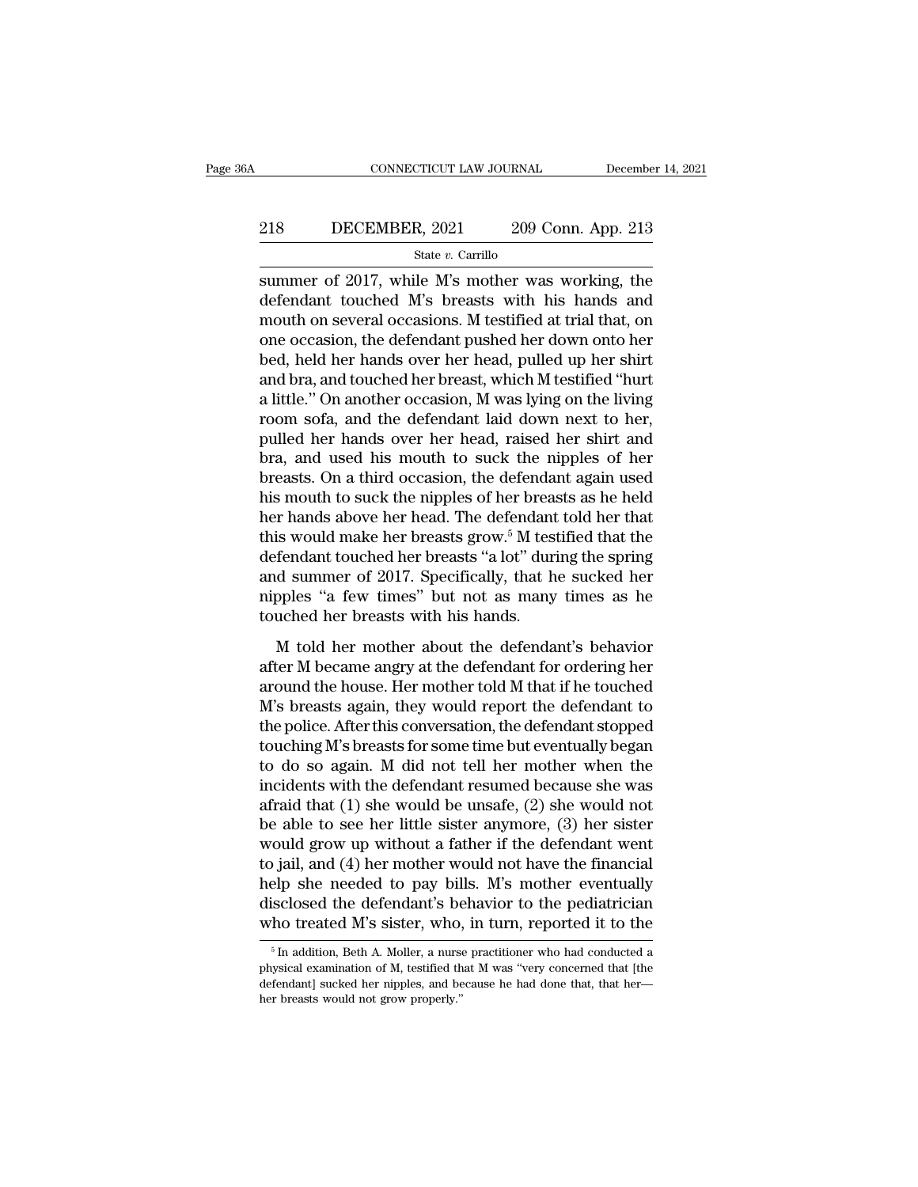# EXECUTE CONNECTICUT LAW JOURNAL December 14, 2021<br>218 DECEMBER, 2021 209 Conn. App. 213<br>218 State v. Carrillo

State *v.* Carrillo

CONNECTICUT LAW JOURNAL December 14, 2021<br>
218 DECEMBER, 2021 209 Conn. App. 213<br>
<sup>State v</sup>. Carrillo<br>
Summer of 2017, while M's mother was working, the<br>
defendant touched M's breasts with his hands and<br>
mouth on coveral o 218 DECEMBER, 2021 209 Conn. App. 213<br>
State v. Carrillo<br>
Summer of 2017, while M's mother was working, the<br>
defendant touched M's breasts with his hands and<br>
mouth on several occasions. M testified at trial that, on 218 DECEMBER, 2021 209 Conn. App. 213<br>
State v. Carrillo<br>
Summer of 2017, while M's mother was working, the<br>
defendant touched M's breasts with his hands and<br>
mouth on several occasions. M testified at trial that, on<br>
one 218 DECEMBER, 2021 209 Conn. App. 213<br>
State v. Carrillo<br>
Summer of 2017, while M's mother was working, the<br>
defendant touched M's breasts with his hands and<br>
mouth on several occasions. M testified at trial that, on<br>
one State v. Carrillo<br>
summer of 2017, while M's mother was working, the<br>
defendant touched M's breasts with his hands and<br>
mouth on several occasions. M testified at trial that, on<br>
one occasion, the defendant pushed her dow state *v*. Carnilo<br>summer of 2017, while M's mother was working, the<br>defendant touched M's breasts with his hands and<br>mouth on several occasions. M testified at trial that, on<br>one occasion, the defendant pushed her down on summer of 2017, while M's mother was working, the<br>defendant touched M's breasts with his hands and<br>mouth on several occasions. M testified at trial that, on<br>one occasion, the defendant pushed her down onto her<br>bed, held he defendant touched M's breasts with his hands and<br>mouth on several occasions. M testified at trial that, on<br>one occasion, the defendant pushed her down onto her<br>bed, held her hands over her head, pulled up her shirt<br>and bra mouth on several occasions. M testified at trial that, on<br>one occasion, the defendant pushed her down onto her<br>bed, held her hands over her head, pulled up her shirt<br>and bra, and touched her breast, which M testified "hurt one occasion, the defendant pushed her down onto her<br>bed, held her hands over her head, pulled up her shirt<br>and bra, and touched her breast, which M testified "hurt<br>a little." On another occasion, M was lying on the living bed, held her hands over her head, pulled up her shirt<br>and bra, and touched her breast, which M testified "hurt<br>a little." On another occasion, M was lying on the living<br>room sofa, and the defendant laid down next to her,<br> and bra, and touched her breast, which M testified "hurt<br>a little." On another occasion, M was lying on the living<br>room sofa, and the defendant laid down next to her,<br>pulled her hands over her head, raised her shirt and<br>br a little." On another occasion, M was lying on the living<br>room sofa, and the defendant laid down next to her,<br>pulled her hands over her head, raised her shirt and<br>bra, and used his mouth to suck the nipples of her<br>breasts. room sofa, and the defendant laid down next to her,<br>pulled her hands over her head, raised her shirt and<br>bra, and used his mouth to suck the nipples of her<br>breasts. On a third occasion, the defendant again used<br>his mouth pulled her hands over her head, raised her shirt and<br>bra, and used his mouth to suck the nipples of her<br>breasts. On a third occasion, the defendant again used<br>his mouth to suck the nipples of her breasts as he held<br>her han bra, and used his mouth to suck the nipples of her<br>breasts. On a third occasion, the defendant again used<br>his mouth to suck the nipples of her breasts as he held<br>her hands above her head. The defendant told her that<br>this w breasts. On a third occasion, the defendant again used<br>his mouth to suck the nipples of her breasts as he held<br>her hands above her head. The defendant told her that<br>this would make her breasts grow.<sup>5</sup> M testified that th his mouth to suck the nipples of her breasts as he held<br>her hands above her head. The defendant told her that<br>this would make her breasts grow.<sup>5</sup> M testified that the<br>defendant touched her breasts "a lot" during the sprin Find the defendant touched her breasts grow.<sup>5</sup> M testified that the fendant touched her breasts "a lot" during the spring d summer of 2017. Specifically, that he sucked her pples "a few times" but not as many times as he defendant touched her breasts "a lot" during the spring<br>and summer of 2017. Specifically, that he sucked her<br>nipples "a few times" but not as many times as he<br>touched her breasts with his hands.<br>M told her mother about the

and summer of 2017. Specifically, that he sucked her nipples "a few times" but not as many times as he touched her breasts with his hands.<br>
M told her mother about the defendant's behavior after M became angry at the defen mipples "a few times" but not as many times as he<br>touched her breasts with his hands.<br>M told her mother about the defendant's behavior<br>after M became angry at the defendant for ordering her<br>around the house. Her mother tol touched her breasts with his hands.<br>  $M$  told her mother about the defendant's behavior<br>
after  $M$  became angry at the defendant for ordering her<br>
around the house. Her mother told  $M$  that if he touched<br>  $M$ 's breasts ag M told her mother about the defendant's behavior<br>after M became angry at the defendant for ordering her<br>around the house. Her mother told M that if he touched<br>M's breasts again, they would report the defendant to<br>the polic M told her mother about the defendant's behavior<br>after M became angry at the defendant for ordering her<br>around the house. Her mother told M that if he touched<br>M's breasts again, they would report the defendant to<br>the poli after M became angry at the defendant for ordering her<br>around the house. Her mother told M that if he touched<br>M's breasts again, they would report the defendant to<br>the police. After this conversation, the defendant stopped around the house. Her mother told M that if he touched<br>M's breasts again, they would report the defendant to<br>the police. After this conversation, the defendant stopped<br>touching M's breasts for some time but eventually bega M's breasts again, they would report the defendant to<br>the police. After this conversation, the defendant stopped<br>touching M's breasts for some time but eventually began<br>to do so again. M did not tell her mother when the<br>in the police. After this conversation, the defendant stopped<br>touching M's breasts for some time but eventually began<br>to do so again. M did not tell her mother when the<br>incidents with the defendant resumed because she was<br>afr touching M's breasts for some time but eventually began<br>to do so again. M did not tell her mother when the<br>incidents with the defendant resumed because she was<br>afraid that (1) she would be unsafe, (2) she would not<br>be able to do so again. M did not tell her mother when the<br>incidents with the defendant resumed because she was<br>afraid that (1) she would be unsafe, (2) she would not<br>be able to see her little sister anymore, (3) her sister<br>would incidents with the defendant resumed because she was<br>afraid that (1) she would be unsafe, (2) she would not<br>be able to see her little sister anymore, (3) her sister<br>would grow up without a father if the defendant went<br>to j afraid that (1) she would be unsafe, (2) she would not<br>be able to see her little sister anymore, (3) her sister<br>would grow up without a father if the defendant went<br>to jail, and (4) her mother would not have the financial Figure 1 In and (4) her mother would not have the financial<br>elp she needed to pay bills. M's mother eventually<br>isclosed the defendant's behavior to the pediatrician<br>ho treated M's sister, who, in turn, reported it to the<br> help she needed to pay bills. M's mother eventually disclosed the defendant's behavior to the pediatrician who treated M's sister, who, in turn, reported it to the  $\frac{1}{\pi}$  in addition, Beth A. Moller, a nurse practition

disclosed the defendant's behavior to the pediatrician<br>who treated M's sister, who, in turn, reported it to the<br><sup>5</sup>In addition, Beth A. Moller, a nurse practitioner who had conducted a<br>physical examination of M, testified who treated M's sister, who,<br> $\frac{1}{100}$  in addition, Beth A. Moller, a nurse<br>physical examination of M, testified the<br>defendant] sucked her nipples, and be<br>her breasts would not grow properly."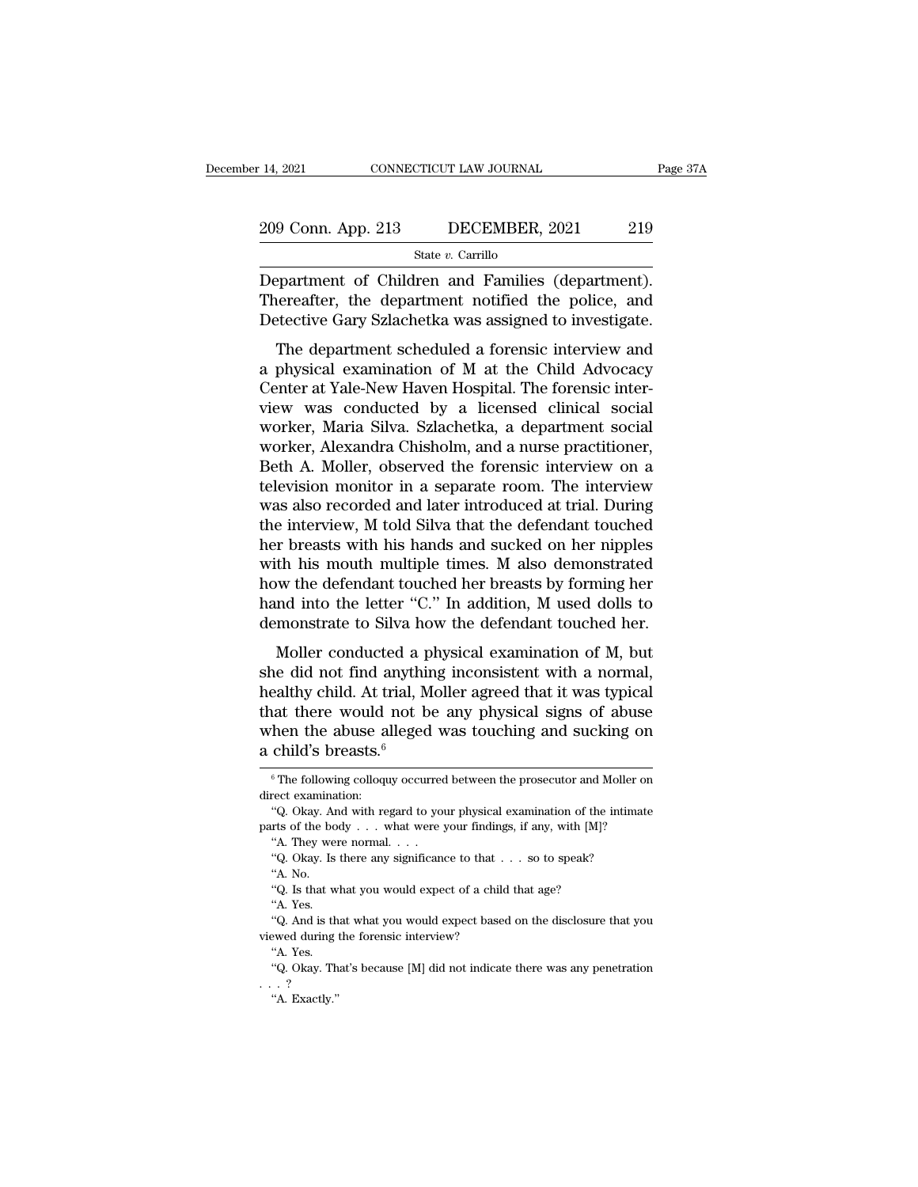State *v.* Carrillo

14, 2021 CONNECTICUT LAW JOURNAL Page 3<br>
209 Conn. App. 213 DECEMBER, 2021 219<br>
State v. Carrillo<br>
Department of Children and Families (department).<br>
Thereafter, the department notified the police, and<br>
Detective Gary Szl 209 Conn. App. 213 DECEMBER, 2021 219<br>
State v. Carrillo<br>
Department of Children and Families (department).<br>
Thereafter, the department notified the police, and<br>
Detective Gary Szlachetka was assigned to investigate. 209 Conn. App. 213 DECEMBER, 2021 219<br>
State v. Carrillo<br>
Department of Children and Families (department).<br>
Thereafter, the department notified the police, and<br>
Detective Gary Szlachetka was assigned to investigate.<br>
The 9 Conn. App. 213 DECEMBER, 2021 219<br>
State v. Carrillo<br>
Expartment of Children and Families (department).<br>
Interactive Gary Szlachetka was assigned to investigate.<br>
The department scheduled a forensic interview and<br>
physi

State v. Carrillo<br>
Department of Children and Families (department).<br>
Thereafter, the department notified the police, and<br>
Detective Gary Szlachetka was assigned to investigate.<br>
The department scheduled a forensic interv Department of Children and Families (department).<br>Thereafter, the department notified the police, and<br>Detective Gary Szlachetka was assigned to investigate.<br>The department scheduled a forensic interview and<br>a physical exam Department of Children and Families (department).<br>Thereafter, the department notified the police, and<br>Detective Gary Szlachetka was assigned to investigate.<br>The department scheduled a forensic interview and<br>a physical exam Detective Gary Szlachetka was assigned to investigate.<br>The department scheduled a forensic interview and<br>a physical examination of M at the Child Advocacy<br>Center at Yale-New Haven Hospital. The forensic inter-<br>view was con Detective dary balacticka was assigned to investigate.<br>The department scheduled a forensic interview and<br>a physical examination of M at the Child Advocacy<br>Center at Yale-New Haven Hospital. The forensic inter-<br>view was con The department scheduled a forensic interview and<br>a physical examination of M at the Child Advocacy<br>Center at Yale-New Haven Hospital. The forensic inter-<br>view was conducted by a licensed clinical social<br>worker, Maria Silv a physical examination of M at the Child Advocacy<br>Center at Yale-New Haven Hospital. The forensic inter-<br>view was conducted by a licensed clinical social<br>worker, Maria Silva. Szlachetka, a department social<br>worker, Alexand Center at Yale-New Haven Hospital. The forensic inter-<br>view was conducted by a licensed clinical social<br>worker, Maria Silva. Szlachetka, a department social<br>worker, Alexandra Chisholm, and a nurse practitioner,<br>Beth A. Mol view was conducted by a licensed clinical social<br>worker, Maria Silva. Szlachetka, a department social<br>worker, Alexandra Chisholm, and a nurse practitioner,<br>Beth A. Moller, observed the forensic interview on a<br>television mo worker, Maria Silva. Szlachetka, a department social<br>worker, Alexandra Chisholm, and a nurse practitioner,<br>Beth A. Moller, observed the forensic interview on a<br>television monitor in a separate room. The interview<br>was also worker, Alexandra Chisholm, and a nurse practitioner,<br>Beth A. Moller, observed the forensic interview on a<br>television monitor in a separate room. The interview<br>was also recorded and later introduced at trial. During<br>the in Beth A. Moller, observed the forensic interview on a television monitor in a separate room. The interview was also recorded and later introduced at trial. During the interview, M told Silva that the defendant touched her b television monitor in a separate room. The interview<br>was also recorded and later introduced at trial. During<br>the interview, M told Silva that the defendant touched<br>her breasts with his hands and sucked on her nipples<br>with was also recorded and later introduced at trial. During<br>the interview, M told Silva that the defendant touched<br>her breasts with his hands and sucked on her nipples<br>with his mouth multiple times. M also demonstrated<br>how the r breasts with his hands and sucked on her nipples<br>th his mouth multiple times. M also demonstrated<br>w the defendant touched her breasts by forming her<br>nd into the letter "C." In addition, M used dolls to<br>monstrate to Silva she did not have have been and states of the applies<br>with his mouth multiple times. M also demonstrated<br>how the defendant touched her breasts by forming her<br>hand into the letter "C." In addition, M used dolls to<br>demonstrat

which its model mataple antes. *In also demonstrated*<br>how the defendant touched her breasts by forming her<br>hand into the letter "C." In addition, M used dolls to<br>demonstrate to Silva how the defendant touched her.<br>Moller c hand into the letter "C." In addition, M used dolls to<br>demonstrate to Silva how the defendant touched her.<br>Moller conducted a physical examination of M, but<br>she did not find anything inconsistent with a normal,<br>healthy ch demonstrate to Silva how the defendant touched her.<br>
Moller conducted a physical examination of M, but<br>
she did not find anything inconsistent with a normal,<br>
healthy child. At trial, Moller agreed that it was typical<br>
th Moller conducted a p<br>she did not find anythin<br>healthy child. At trial, M<br>that there would not b<br>when the abuse alleged<br>a child's breasts.<sup>6</sup><br> $\frac{1}{\pi}$  The following colloquy occur ealthy child. At trial, Moller agreed that it was typical<br>tat there would not be any physical signs of abuse<br>then the abuse alleged was touching and sucking on<br>child's breasts.<sup>6</sup><br> $\frac{6}{T}$ The following colloquy occurred that there would not be any physical signs of abuse<br>when the abuse alleged was touching and sucking on<br>a child's breasts.<sup>6</sup><br> $\frac{1}{6}$ The following colloquy occurred between the prosecutor and Moller on<br>direct examination then the abuse alleged was touching and sucking on<br>
child's breasts.<sup>6</sup><br>
<sup>6</sup>The following colloquy occurred between the prosecutor and Moller on<br>
rect examination:<br>
"Q. Okay. And with regard to your physical examination o

<sup>&#</sup>x27;'A. They were normal. . . . % The following colloquy occurred between the prosecutor and Moller erect examination:<br>"Q. Okay. And with regard to your physical examination of the intima<br>rts of the body . . . what were your findings, if any, with [M]?<br>

a child's breasts.<sup>6</sup><br>
<sup>6</sup> The following colloquy occurred between the prosecutor and Moller on direct examination:<br>
"Q. Okay. And with regard to your physical examination of the intimate parts of the body . . . what were rice texamina<br>"Q. Okay. An<br>"A. They we<br>"Q. Okay. Is<br>"A. No.<br>"Q. Is that w "Q. Okay. And with regard to your physical examination of the tris of the body . . . what were your findings, if any, with [M]? "A. They were normal. . . .<br>"Q. Okay. Is there any significance to that . . . so to speak? "A.

The of the book of the book of the book of the book of the book of the color of the color of the color of the color of the color of the color of the color of the color of the color of the color of the color of the color of "A. They were normal. . . .<br>"Q. Okay. Is there any significance to that . . . so to speak?<br>"A. No.<br>"Q. Is that what you would expect of a child that age?<br>"A. Yes.<br>"Q. And is that what you would expect based on the disclos viewed during was interviewed during the forensic interview?<br>
"Q. Okay. Is there any significance to that . "A. No.<br>
"Q. Is that what you would expect of a child<br>
"A. Yes.<br>
"Q. And is that what you would expect based<br>
view "A. No.<br>"A. No.<br>"Q. Is that w."<br>"A. Yes.<br>"Q. And is the wed during that we during that we during the "A. Yes. "Q. Is that what you would expect of a child that age?<br>"A. Yes.<br>"Q. And is that what you would expect based on the disclosure that you<br>wed during the forensic interview?<br>"A. Yes.<br>"Q. Okay. That's because [M] did not indica "A. Yes.<br>
"Q. And is that what you would expect based on the disclosure that you<br>
viewed during the forensic interview?<br>
"A. Yes.<br>
"Q. Okay. That's because [M] did not indicate there was any penetration<br>
...?<br>
"A. Exactly "Q. And is that what you would expect based on the disclosure that you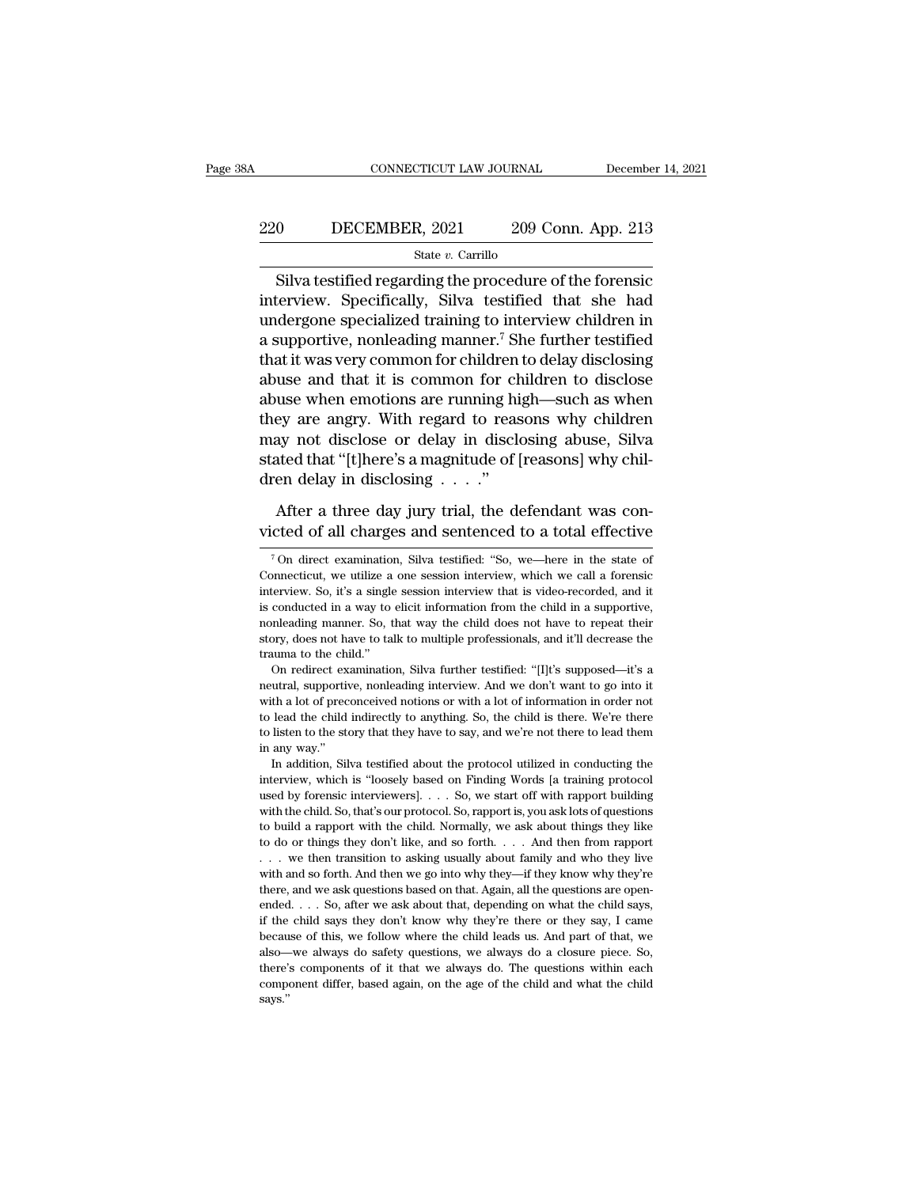# EXECUTE CONNECTICUT LAW JOURNAL December 14, 2021<br>220 DECEMBER, 2021 209 Conn. App. 213<br>5tate v. Carrillo

### State *v.* Carrillo

 $\begin{tabular}{ll} \multicolumn{1}{l}{{\small \textbf{COMNETICUT LAW JOURNAL}}} & \multicolumn{1}{l}{\small \textbf{December 14, 2021}}\\ \hline \multicolumn{1}{l}{\small \textbf{8}} & \multicolumn{1}{l}{\small \textbf{S}} & \multicolumn{1}{l}{\small \textbf{State $v$.} } \textbf{Carrillo}\\ \hline \multicolumn{1}{l}{\textbf{Silva testified regarding the procedure of the forensic}\\ \textbf{terview. Specifically, Silva testified that she had decrease one  
negulated training to introducing children in\\ \end{tabular}$ 220 DECEMBER, 2021 209 Conn. App. 213<br>
Silva testified regarding the procedure of the forensic<br>
interview. Specifically, Silva testified that she had<br>
undergone specialized training to interview children in<br>
a supportive 220 DECEMBER, 2021 209 Conn. App. 213<br>
Silva testified regarding the procedure of the forensic<br>
interview. Specifically, Silva testified that she had<br>
undergone specialized training to interview children in<br>
a supportive, 220 DECEMBER, 2021 209 Conn. App. 213<br>
State v. Carrillo<br>
Silva testified regarding the procedure of the forensic<br>
interview. Specifically, Silva testified that she had<br>
undergone specialized training to interview childre Silva testified regarding the procedure of the forensic<br>interview. Specifically, Silva testified that she had<br>undergone specialized training to interview children in<br>a supportive, nonleading manner.<sup>7</sup> She further testifi slate  $\overline{v}$ . Carms state  $\overline{v}$ . Carms state  $\overline{v}$ . Carms state  $\overline{v}$ . Silva testified that she had undergone specialized training to interview children in a supportive, nonleading manner.<sup>7</sup> She further testif Silva testified regarding the procedure of the forensic<br>interview. Specifically, Silva testified that she had<br>undergone specialized training to interview children in<br>a supportive, nonleading manner.<sup>7</sup> She further testifie interview. Specifically, Silva testified that she had<br>undergone specialized training to interview children in<br>a supportive, nonleading manner.<sup>7</sup> She further testified<br>that it was very common for children to delay disclosi undergone specialized training to interview children in<br>a supportive, nonleading manner.<sup>7</sup> She further testified<br>that it was very common for children to delay disclosing<br>abuse and that it is common for children to disclos a supportive, nonleading manner.' She further testified<br>that it was very common for children to delay disclosing<br>abuse and that it is common for children to disclose<br>abuse when emotions are running high—such as when<br>they that it was very common for children<br>abuse and that it is common for ch<br>abuse when emotions are running hi<br>they are angry. With regard to reas<br>may not disclose or delay in disclo<br>stated that "[t]here's a magnitude of [<br>dre use when emotions are running high—such as when<br>ey are angry. With regard to reasons why children<br>ay not disclose or delay in disclosing abuse, Silva<br>ated that "[t]here's a magnitude of [reasons] why chil-<br>en delay in dis they are angry. With regard to reasons why children<br>may not disclose or delay in disclosing abuse, Silva<br>stated that "[t]here's a magnitude of [reasons] why chil-<br>dren delay in disclosing . . . ."<br>After a three day jury t

ren delay in disclosing . . . ."<br>After a three day jury trial, the defendant was concreted of all charges and sentenced to a total effective<br> $\frac{7}{10}$  On direct examination, Silva testified: "So, we—here in the state of<br>

After a three day jury trial, the defendant was convicted of all charges and sentenced to a total effective  $\frac{7}{100}$  direct examination, Silva testified: "So, we—here in the state of Connecticut, we utilize a one sessi After a three day jury trial, the defendant was convicted of all charges and sentenced to a total effective  $\frac{1}{100}$  of direct examination, Silva testified: "So, we—here in the state of Connecticut, we utilize a one se victed of all charges and sentenced to a total effective  $\overline{ }$ <sup>7</sup> On direct examination, Silva testified: "So, we—here in the state of Connecticut, we utilize a one session interview, which we call a forensic interview. The manner of all charges and sentenced to a total effective<br>The mate of<br>Connecticut, we utilize a one session interview, which we call a forensic<br>interview. So, it's a single session interview that is video-recorded, and <sup>7</sup> On direct examination, Silva testified: "So, we—here in the state of Connecticut, we utilize a one session interview, which we call a forensic interview. So, it's a single session interview that is video-recorded, and Connecticut, we utilize a one session interview, which we call a forensic interview. So, it's a single session interview that is video-recorded, and it is conducted in a way to elicit information from the child in a suppo Example 1. So, it's a single session interview that is video-recorded, and it conducted in a way to elicit information from the child in a supportive, onleading manner. So, that way the child does not have to repeat their is conducted in a way to elicit information from the child in a supportive, nonleading manner. So, that way the child does not have to repeat their story, does not have to talk to multiple professionals, and it'll decrease

monleading manner. So, that way the child does not have to repeat their story, does not have to talk to multiple professionals, and it'll decrease the trauma to the child."<br>On redirect examination, Silva further testified: to the child indirectly to anything. So, the child is there are the child.<br>
"On redirect examination, Silva further testified: "[I]t's supposed—it's a neutral, supportive, nonleading interview. And we don't want to go into trauma to the child."<br>
On redirect examination, Silva further testified: "[I]t's supposed—it's a<br>
neutral, supportive, nonleading interview. And we don't want to go into it<br>
with a lot of preconceived notions or with a lot neutral, supportive, nonleading interview. And we don't want to go into it with a lot of preconceived notions or with a lot of information in order not to lead the child indirectly to anything. So, the child is there. We'r In addition, Silva testified about the protocol utilized in conducting the protocol utilized in a lot of preconceived notions or with a lot of information in order not lead the child indirectly to anything. So, the child i interview, which is ''loosely based on Finding Words [a training words to lead the child indirectly to anything. So, the child is there. We're there to listen to the story that they have to say, and we're not there to lea

to lead the child indirectly to anything. So, the child is there. We're there to listen to the story that they have to say, and we're not there to lead them in any way."<br>In addition, Silva testified about the protocol uti to listen to the story that they have to say, and we're not there to lead them<br>in any way."<br>In addition, Silva testified about the protocol utilized in conducting the<br>interview, which is "loosely based on Finding Words [a in any way."<br>In addition, Silva testified about the protocol utilized in conducting the<br>interview, which is "loosely based on Finding Words [a training protocol<br>used by forensic interviewers].... So, we start off with rap In addition, Silva testified about the protocol utilized in conducting the interview, which is "loosely based on Finding Words [a training protocol used by forensic interviewers]. . . . So, we start off with rapport build interview, which is "loosely based on Finding Words [a training protocol<br>used by forensic interviewers]. . . . So, we start off with rapport building<br>with the child. So, that's our protocol. So, rapport is, you ask lots of with and so forms in terviewers].  $\ldots$  So, we start off with rapport building with the child. So, that's our protocol. So, rapport is, you ask lots of questions to build a rapport with the child. Normally, we ask about t with the child. So, that's our protocol. So, rapport is, you ask lots of questions to build a rapport with the child. Normally, we ask about things they like to do or things they don't like, and so forth.  $\ldots$  And then f to build a rapport with the child. Normally, we ask about things they like to do or things they don't like, and so forth. . . . And then from rapport . . . we then transition to asking usually about family and who they li to do or things they don't like, and so forth. . . . And then from rapport . . . we then transition to asking usually about family and who they live with and so forth. And then we go into why they—if they know why they're because of this, we follow when the child leads us. And part of the cause of this, we find so forth. And then we go into why they—if they know why they're there, and we ask questions based on that. Again, all the question with and so forth. And then we go into why they—if they know why they're there, and we ask questions based on that. Again, all the questions are openended. . . . So, after we ask about that, depending on what the child sa there, and we ask questions based on that. Again, all the questions are openended.  $\ldots$  So, after we ask about that, depending on what the child says, if the child says they don't know why they're there or they say, I ca component differ, based again, on the age of the child and what the child says, if the child says they don't know why they're there or they say, I came because of this, we follow where the child leads us. And part of that says.''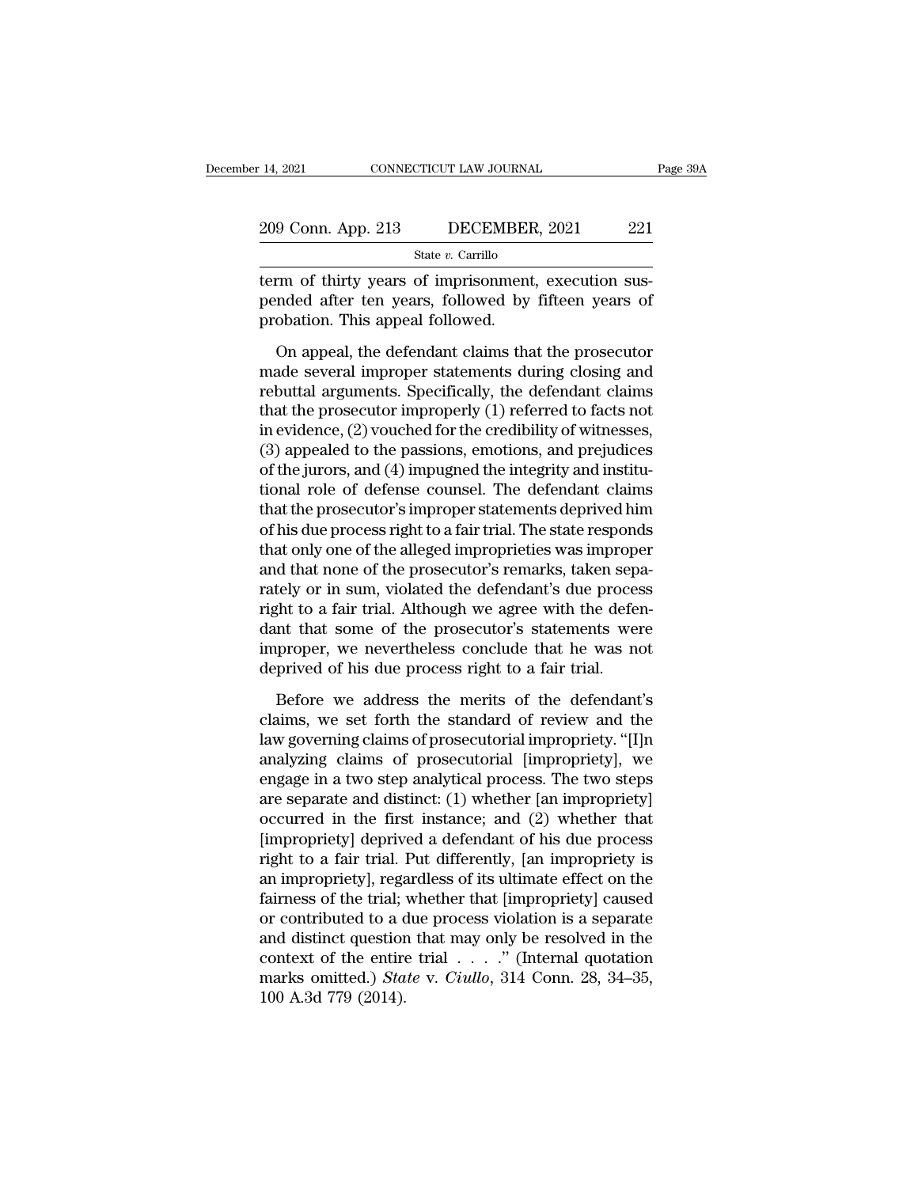| : 14, 2021         | CONNECTICUT LAW JOURNAL | Page 39A |
|--------------------|-------------------------|----------|
| 209 Conn. App. 213 | DECEMBER, 2021          | 221      |
|                    | State $v$ . Carrillo    |          |

14, 2021 CONNECTICUT LAW JOURNAL<br>
209 Conn. App. 213 DECEMBER, 2021 221<br>
<sup>State v. Carrillo</sup><br>
term of thirty years of imprisonment, execution sus-<br>
pended after ten years, followed by fifteen years of 209 Conn. App. 213 DECEMBER, 2021 221<br>
State v. Carrillo<br>
term of thirty years of imprisonment, execution sus-<br>
pended after ten years, followed by fifteen years of<br>
probation. This appeal followed.  $\frac{209 \text{ Conn. App. 213} \qquad \text{DECEMBE}}{\text{State } v. \text{ Carrillo}}$ <br>
term of thirty years of imprisonment<br>
pended after ten years, followed by<br>
probation. This appeal followed.<br>
On appeal, the defendant claims that  $\frac{9 \text{ Conn. App. 213}}{\text{State } v. \text{ Carrillo}}$ <br>
The of thirty years of imprisonment, execution sus-<br>
and the defendant claims that the prosecutor<br>
obation. This appeal followed.<br>
On appeal, the defendant claims that the prosecutor<br>
ade

State  $v$ . Carrillo<br>
term of thirty years of imprisonment, execution sus-<br>
pended after ten years, followed by fifteen years of<br>
probation. This appeal followed.<br>
On appeal, the defendant claims that the prosecutor<br>
made term of thirty years of imprisonment, execution sus-<br>pended after ten years, followed by fifteen years of<br>probation. This appeal followed.<br>On appeal, the defendant claims that the prosecutor<br>made several improper statement From Francy years of inprinsically, encourage pended after ten years, followed by fifteen years of<br>probation. This appeal followed.<br>On appeal, the defendant claims that the prosecutor<br>made several improper statements durin probation. This appeal followed.<br>
On appeal, the defendant claims that the prosecutor<br>
made several improper statements during closing and<br>
rebuttal arguments. Specifically, the defendant claims<br>
that the prosecutor impro (3) on appeal, the defendant claims that the prosecutor<br>made several improper statements during closing and<br>rebuttal arguments. Specifically, the defendant claims<br>that the prosecutor improperly (1) referred to facts not<br>in On appeal, the defendant claims that the prosecutor<br>made several improper statements during closing and<br>rebuttal arguments. Specifically, the defendant claims<br>that the prosecutor improperly (1) referred to facts not<br>in evi made several improper statements during closing and<br>rebuttal arguments. Specifically, the defendant claims<br>that the prosecutor improperly (1) referred to facts not<br>in evidence, (2) vouched for the credibility of witnesses, rebuttal arguments. Specifically, the defendant claims<br>that the prosecutor improperly (1) referred to facts not<br>in evidence, (2) vouched for the credibility of witnesses,<br>(3) appealed to the passions, emotions, and prejudi that the prosecutor improperly (1) referred to facts not<br>in evidence, (2) vouched for the credibility of witnesses,<br>(3) appealed to the passions, emotions, and prejudices<br>of the jurors, and (4) impugned the integrity and i in evidence, (2) vouched for the credibility of witnesses,<br>(3) appealed to the passions, emotions, and prejudices<br>of the jurors, and (4) impugned the integrity and institu-<br>tional role of defense counsel. The defendant cla (3) appealed to the passions, emotions, and prejudices<br>of the jurors, and (4) impugned the integrity and institu-<br>tional role of defense counsel. The defendant claims<br>that the prosecutor's improper statements deprived him of the jurors, and (4) impugned the integrity and institutional role of defense counsel. The defendant claims<br>that the prosecutor's improper statements deprived him<br>of his due process right to a fair trial. The state respo tional role of defense counsel. The defendant claims<br>that the prosecutor's improper statements deprived him<br>of his due process right to a fair trial. The state responds<br>that only one of the alleged improprieties was improp that the prosecutor's improper statements deprived him<br>of his due process right to a fair trial. The state responds<br>that only one of the alleged improprieties was improper<br>and that none of the prosecutor's remarks, taken s of his due process right to a fair trial. The state responds<br>that only one of the alleged improprieties was improper<br>and that none of the prosecutor's remarks, taken sepa-<br>rately or in sum, violated the defendant's due pro that only one of the alleged improprieties was imprope<br>and that none of the prosecutor's remarks, taken sep<br>rately or in sum, violated the defendant's due proces<br>right to a fair trial. Although we agree with the defet<br>dant tely or in sum, violated the defendant's due process<br>ght to a fair trial. Although we agree with the defen-<br>nt that some of the prosecutor's statements were<br>proper, we nevertheless conclude that he was not<br>prived of his du right to a fair trial. Although we agree with the defendant that some of the prosecutor's statements were improper, we nevertheless conclude that he was not deprived of his due process right to a fair trial.<br>Before we addr

dant that some of the prosecutor's statements were<br>improper, we nevertheless conclude that he was not<br>deprived of his due process right to a fair trial.<br>Before we address the merits of the defendant's<br>claims, we set forth improper, we nevertheless conclude that he was not<br>deprived of his due process right to a fair trial.<br>Before we address the merits of the defendant's<br>claims, we set forth the standard of review and the<br>law governing claims deprived of his due process right to a fair trial.<br>Before we address the merits of the defendant's<br>claims, we set forth the standard of review and the<br>law governing claims of prosecutorial impropriety. "[I]n<br>analyzing cla Before we address the merits of the defendant's<br>claims, we set forth the standard of review and the<br>law governing claims of prosecutorial impropriety. "[I]n<br>analyzing claims of prosecutorial [impropriety], we<br>engage in a t Before we address the merits of the defendant's<br>claims, we set forth the standard of review and the<br>law governing claims of prosecutorial impropriety. "[I]n<br>analyzing claims of prosecutorial [impropriety], we<br>engage in a t claims, we set forth the standard of review and the<br>law governing claims of prosecutorial impropriety. "[I]n<br>analyzing claims of prosecutorial [impropriety], we<br>engage in a two step analytical process. The two steps<br>are se law governing claims of prosecutorial impropriety. "[I]n<br>analyzing claims of prosecutorial [impropriety], we<br>engage in a two step analytical process. The two steps<br>are separate and distinct: (1) whether [an impropriety]<br>oc analyzing claims of prosecutorial [impropriety], we<br>engage in a two step analytical process. The two steps<br>are separate and distinct: (1) whether [an impropriety]<br>occurred in the first instance; and (2) whether that<br>[impro engage in a two step analytical process. The two steps<br>are separate and distinct: (1) whether [an impropriety]<br>occurred in the first instance; and (2) whether that<br>[impropriety] deprived a defendant of his due process<br>righ are separate and distinct: (1) whether [an impropriety]<br>occurred in the first instance; and (2) whether that<br>[impropriety] deprived a defendant of his due process<br>right to a fair trial. Put differently, [an impropriety is<br> occurred in the first instance; and (2) whether that<br>[impropriety] deprived a defendant of his due process<br>right to a fair trial. Put differently, [an impropriety is<br>an impropriety], regardless of its ultimate effect on t [impropriety] deprived a defendant of his due process<br>right to a fair trial. Put differently, [an impropriety is<br>an impropriety], regardless of its ultimate effect on the<br>fairness of the trial; whether that [impropriety] right to a fair trial. Put differently, [an impropriety is<br>an impropriety], regardless of its ultimate effect on the<br>fairness of the trial; whether that [impropriety] caused<br>or contributed to a due process violation is a s an impropriety], regation<br>fairness of the trial;<br>or contributed to a d<br>and distinct question<br>context of the entire<br>marks omitted.) *Sta*<br>100 A.3d 779 (2014).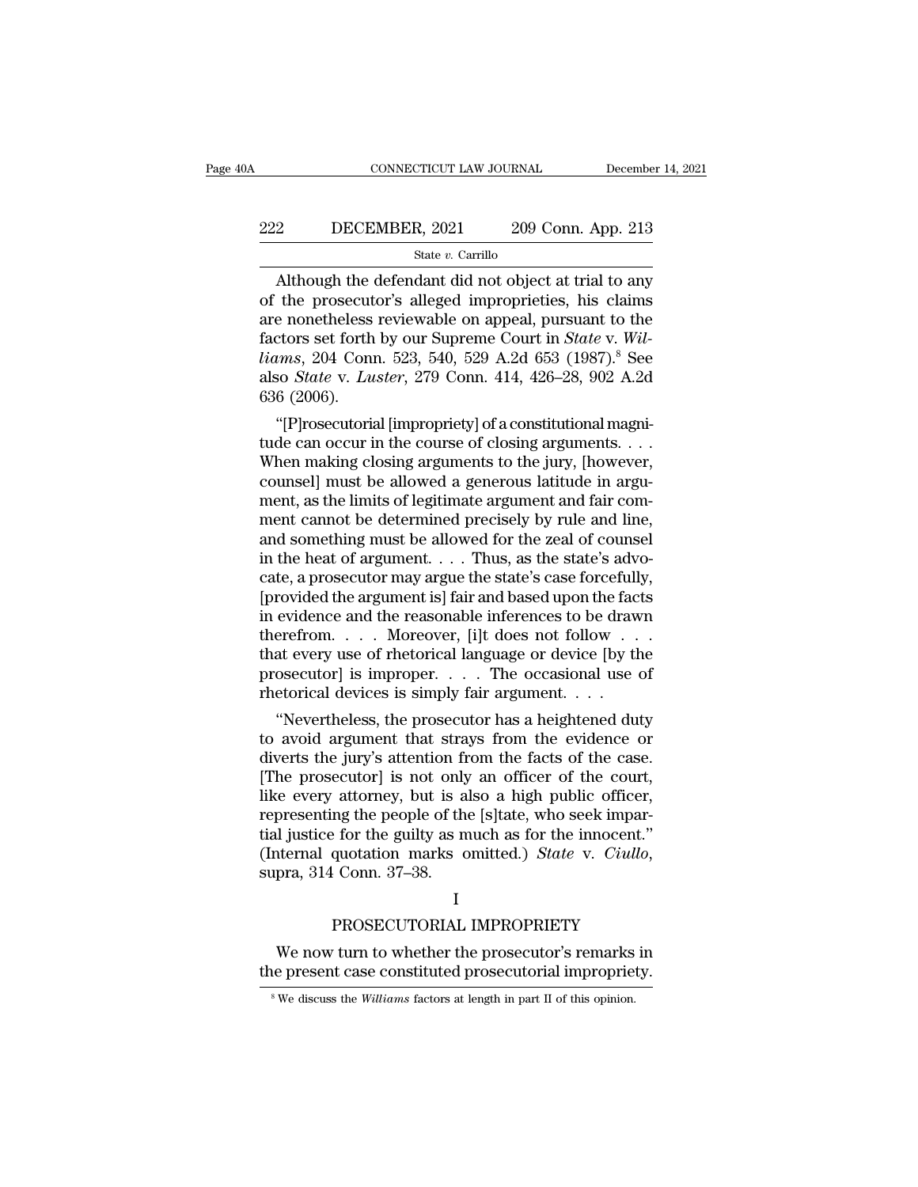# EXECUTE CONNECTICUT LAW JOURNAL December 14, 2021<br>222 DECEMBER, 2021 209 Conn. App. 213<br>31 State v. Carrillo

### State *v.* Carrillo

 $\begin{array}{r|l} \text{CONNECTICUT LAW JOURNAL} & \text{December 14, 2021} \ \end{array}$ <br>
209 Conn. App. 213<br>  $\begin{array}{r|l} \text{State } v. \text{ Carrillo} \ \end{array}$ <br>
Although the defendant did not object at trial to any<br>
the prosecutor's alleged improprieties, his claims<br>
a nonothologs 222 DECEMBER, 2021 209 Conn. App. 213<br>  $\frac{\text{State } v. \text{ Carrillo}}{\text{Although the defendant did not object at trial to any}}$ <br>
of the prosecutor's alleged improprieties, his claims<br>
are nonetheless reviewable on appeal, pursuant to the<br>
factors set forth by our Suprame Court 222 DECEMBER, 2021 209 Conn. App. 213<br>
State v. Carrillo<br>
Although the defendant did not object at trial to any<br>
of the prosecutor's alleged improprieties, his claims<br>
are nonetheless reviewable on appeal, pursuant to the ECEMBER, 2021 209 Conn. App. 213<br>
State *v*. Carrillo<br>
Although the defendant did not object at trial to any<br>
of the prosecutor's alleged improprieties, his claims<br>
are nonetheless reviewable on appeal, pursuant to the<br>
fa *liams*, 2011 200 Conn. 11<sub>PP</sub>. 213<br> *State v. Carrillo*<br> *lifthough the defendant did not object at trial to any*<br>
of the prosecutor's alleged improprieties, his claims<br>
are nonetheless reviewable on appeal, pursuant to t state *v*. Carrillo<br>Although the defendant did not object at trial to any<br>of the prosecutor's alleged improprieties, his claims<br>are nonetheless reviewable on appeal, pursuant to the<br>factors set forth by our Supreme Court i Although the of the prosecut<br>are nonetheless<br>factors set forth<br>*liams*, 204 Conu<br>also *State* v. Lu<br>636 (2006).<br>"[P]rosecutoria the prosecutor's aneged improprieties, his claims<br>
e nonetheless reviewable on appeal, pursuant to the<br>
ctors set forth by our Supreme Court in *State* v. Wil-<br> *ems*, 204 Conn. 523, 540, 529 A.2d 653 (1987).<sup>8</sup> See<br>
so are nonetneless reviewable on appeal, pursuant to the<br>factors set forth by our Supreme Court in *State v. Wil-<br>liams*, 204 Conn. 523, 540, 529 A.2d 653 (1987).<sup>8</sup> See<br>also *State v. Luster*, 279 Conn. 414, 426–28, 902 A.2d

ractors set forth by our supreme Court in *state v. Wu-<br>liams*, 204 Conn. 523, 540, 529 A.2d 653 (1987).<sup>8</sup> See<br>also *State v. Luster*, 279 Conn. 414, 426–28, 902 A.2d<br>636 (2006).<br>"[P]rosecutorial [impropriety] of a const counsel also State v. Luster, 279 Conn. 414, 426–28, 902 A.2d<br>also State v. Luster, 279 Conn. 414, 426–28, 902 A.2d<br>636 (2006).<br>"[P]rosecutorial [impropriety] of a constitutional magni-<br>tude can occur in the course of clo as the V. *Luster*, 279 Conn. 414, 426–28, 902 A.2d<br>636 (2006).<br>"[P]rosecutorial [impropriety] of a constitutional magni-<br>tude can occur in the course of closing arguments...<br>When making closing arguments to the jury, [how ment cannot be determined precisely by rule and line, "[P]rosecutorial [impropriety] of a constitutional magnitude can occur in the course of closing arguments. . . . When making closing arguments to the jury, [however, counsel] must be allowed a generous latitude in argumen tude can occur in the course of closing arguments. . . . When making closing arguments to the jury, [however, counsel] must be allowed a generous latitude in argument, as the limits of legitimate argument and fair comment When making closing arguments to the jury, [however, counsel] must be allowed a generous latitude in argument, as the limits of legitimate argument and fair comment cannot be determined precisely by rule and line, and some counsel] must be allowed a generous latitude in argument, as the limits of legitimate argument and fair comment cannot be determined precisely by rule and line, and something must be allowed for the zeal of counsel<br>in the ment, as the limits of legitimate argument and fair comment cannot be determined precisely by rule and line,<br>and something must be allowed for the zeal of counsel<br>in the heat of argument. . . . . Thus, as the state's advoment cannot be determined precisely by rule and line,<br>and something must be allowed for the zeal of counsel<br>in the heat of argument. . . . Thus, as the state's advo-<br>cate, a prosecutor may argue the state's case forcefully and something must be allowed for the zeal of counsel<br>in the heat of argument. . . . Thus, as the state's advo-<br>cate, a prosecutor may argue the state's case forcefully,<br>[provided the argument is] fair and based upon the in the heat of argument. . . . Thus, as the state's advocate, a prosecutor may argue the state's case forcefully, [provided the argument is] fair and based upon the facts in evidence and the reasonable inferences to be dr cate, a prosecutor may argue the state's case forcefull<br>[provided the argument is] fair and based upon the fac<br>in evidence and the reasonable inferences to be draw<br>therefrom....Moreover, [i]t does not follow...<br>that every rovided the argument is] fair and based upon the facts<br>
evidence and the reasonable inferences to be drawn<br>
erefrom.... Moreover, [i]t does not follow...<br>
at every use of rhetorical language or device [by the<br>
osecutor] i In evidence and the reasonable interences to be drawn<br>therefrom  $\dots$  . Moreover, [i]t does not follow  $\dots$ <br>that every use of rhetorical language or device [by the<br>prosecutor] is improper.  $\dots$  The occasional use of<br>rhetor

therefrom. . . . . Moreover, [1]t does not follow . . . .<br>that every use of rhetorical language or device [by the<br>prosecutor] is improper. . . . The occasional use of<br>thetorical devices is simply fair argument. . . .<br>"Nev that every use of rhetorical language or device [by the<br>prosecutor] is improper. . . . . The occasional use of<br>rhetorical devices is simply fair argument. . . .<br>"Nevertheless, the prosecutor has a heightened duty<br>to avoid prosecutor] is improper.  $\ldots$  The occasional use of<br>rhetorical devices is simply fair argument.  $\ldots$ <br>"Nevertheless, the prosecutor has a heightened duty<br>to avoid argument that strays from the evidence or<br>diverts the jur rnetorical devices is simply fair argument. . . .<br>
"Nevertheless, the prosecutor has a heightened duty<br>
to avoid argument that strays from the evidence or<br>
diverts the jury's attention from the facts of the case.<br>
[The pr "Nevertheless, the prosecutor has a heightened duty<br>to avoid argument that strays from the evidence or<br>diverts the jury's attention from the facts of the case.<br>[The prosecutor] is not only an officer of the court,<br>like ev to avoid argument that strays from the evidence or<br>diverts the jury's attention from the facts of the case.<br>[The prosecutor] is not only an officer of the court,<br>like every attorney, but is also a high public officer,<br>repr mg the people of the [s]tate, who seek impar-<br>
profit the guilty as much as for the innocent."<br>
quotation marks omitted.) *State* v. *Ciullo*,<br>
Conn. 37–38.<br>
I<br>
PROSECUTORIAL IMPROPRIETY<br>
turn to whether the prosecutor's r I justice for the guilty as much as for the innocent."<br>
iternal quotation marks omitted.) *State* v. *Ciullo*,<br>
pra, 314 Conn. 37–38.<br>
I<br>
PROSECUTORIAL IMPROPRIETY<br>
We now turn to whether the prosecutor's remarks in<br>
e pre (Internal quotation marks omitted.) *State* v. *Ciullo*,<br>supra, 314 Conn. 37–38.<br>I<br>PROSECUTORIAL IMPROPRIETY<br>We now turn to whether the prosecutor's remarks in<br>the present case constituted prosecutorial impropriety.<br><sup>8</sup>We

### I

**8 PROSECUTORIAL IMPROPRIETY**<br>We now turn to whether the prosecutor's remarks in<br>the present case constituted prosecutorial impropriety.<br><sup>8</sup> We discuss the *Williams* factors at length in part II of this opinion.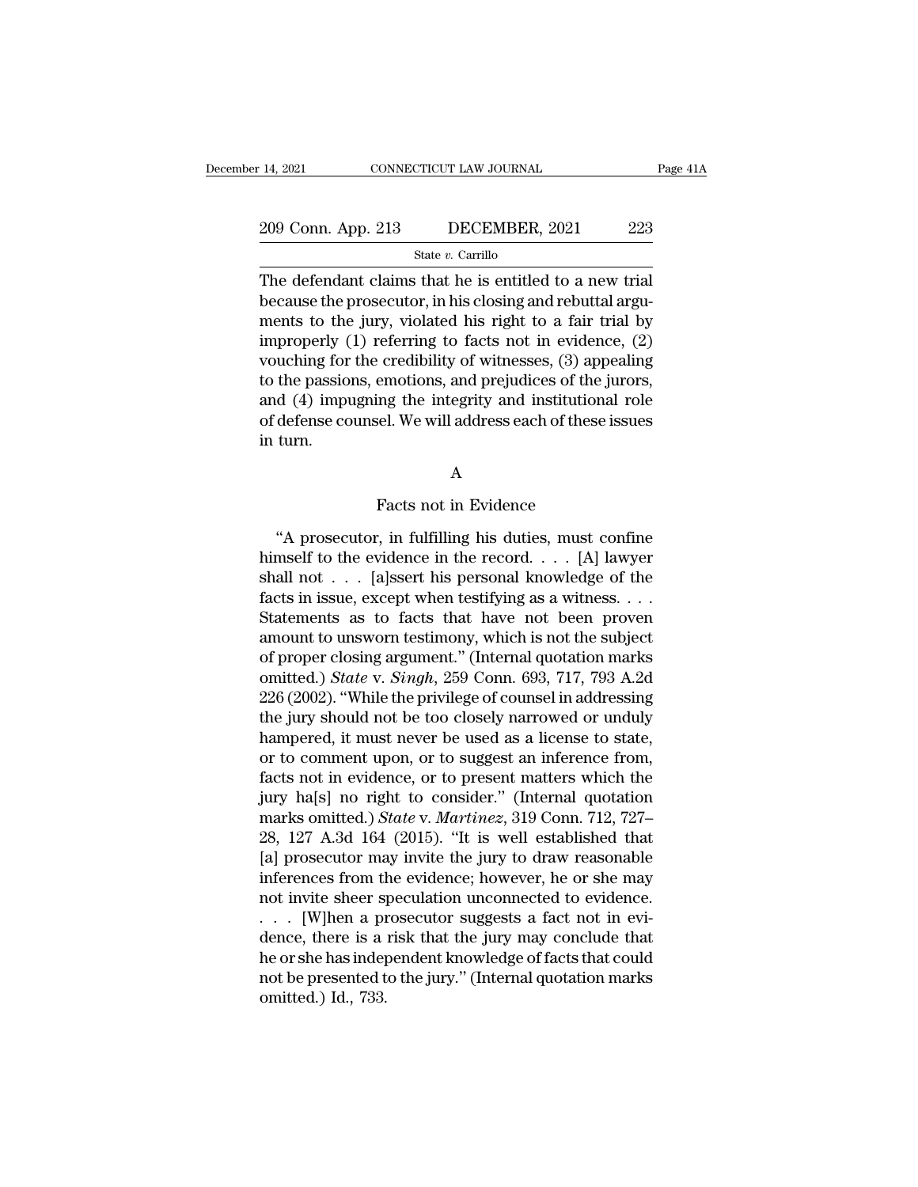### State *v.* Carrillo

The defendant claims that he is entitled to a new trial<br>because the prosecutor, in his closing and rebuttal arguments to the innu violated big right to a fair trial by 209 Conn. App. 213 DECEMBER, 2021 223<br>
State v. Carrillo<br>
The defendant claims that he is entitled to a new trial<br>
because the prosecutor, in his closing and rebuttal argu-<br>
ments to the jury, violated his right to a fair 209 Conn. App. 213 DECEMBER, 2021 223<br>
State v. Carrillo<br>
The defendant claims that he is entitled to a new trial<br>
because the prosecutor, in his closing and rebuttal argu-<br>
ments to the jury, violated his right to a fair 209 Conn. App. 213 DECEMBER, 2021 223<br>
State v. Carrillo<br>
The defendant claims that he is entitled to a new trial<br>
because the prosecutor, in his closing and rebuttal argu-<br>
ments to the jury, violated his right to a fair State v. Carrillo<br>The defendant claims that he is entitled to a new trial<br>because the prosecutor, in his closing and rebuttal argu-<br>ments to the jury, violated his right to a fair trial by<br>improperly (1) referring to fact state v. Carino<br>The defendant claims that he is entitled to a new trial<br>because the prosecutor, in his closing and rebuttal argu-<br>ments to the jury, violated his right to a fair trial by<br>improperly (1) referring to facts The defendant claims that he is entitled to a new trial<br>because the prosecutor, in his closing and rebuttal argu-<br>ments to the jury, violated his right to a fair trial by<br>improperly (1) referring to facts not in evidence, because the prosecutor, in his closing and rebuttal arguments to the jury, violated his right to a fair trial by improperly (1) referring to facts not in evidence, (2) vouching for the credibility of witnesses, (3) appeali ments to the<br>improperly (<br>vouching for<br>to the passio<br>and (4) impl<br>of defense co<br>in turn. emotions, and prejudices of the j<br>ing the integrity and institutions<br>sel. We will address each of these<br>A<br>Facts not in Evidence<br>; in fulfilling his duties, must co

A

defense counsel. We will address each of these issues<br>
turn.<br>
A<br>
Facts not in Evidence<br>
"A prosecutor, in fulfilling his duties, must confine<br>
mself to the evidence in the record. . . . [A] lawyer<br>
all not hender the evidence the evidence in the record. . . . . [A] lawyer when the record. . . . . [A] lawyer when the recorder the recorder the record in the record . . . . [A] lawyer shall not . . . . [a]ssert his personal know A<br>
Facts not in Evidence<br>
"A prosecutor, in fulfilling his duties, must confine<br>
himself to the evidence in the record. . . . [A] lawyer<br>
shall not . . . [a]ssert his personal knowledge of the<br>
facts in issue, except when Facts not in Evidence<br>
"A prosecutor, in fulfilling his duties, must confine<br>
himself to the evidence in the record. . . . [A] lawyer<br>
shall not . . . [a]ssert his personal knowledge of the<br>
facts in issue, except when tes Facts not in Evidence<br>
"A prosecutor, in fulfilling his duties, must confine<br>
himself to the evidence in the record. . . . [A] lawyer<br>
shall not . . . [a]ssert his personal knowledge of the<br>
facts in issue, except when te "A prosecutor, in fulfilling his duties, must confine<br>himself to the evidence in the record. . . . [A] lawyer<br>shall not . . . [a]ssert his personal knowledge of the<br>facts in issue, except when testifying as a witness. . . "A prosecutor, in fulfilling his duties, must confine<br>himself to the evidence in the record.... [A] lawyer<br>shall not ... [a]ssert his personal knowledge of the<br>facts in issue, except when testifying as a witness....<br>State himself to the evidence in the record. . . . [A] lawyer<br>shall not . . . [a]ssert his personal knowledge of the<br>facts in issue, except when testifying as a witness. . . .<br>Statements as to facts that have not been proven<br>amo shall not . . . . [a]ssert his personal knowledge of the<br>facts in issue, except when testifying as a witness. . . .<br>Statements as to facts that have not been proven<br>amount to unsworn testimony, which is not the subject<br>of facts in issue, except when testifying as a witness. . . .<br>Statements as to facts that have not been proven<br>amount to unsworn testimony, which is not the subject<br>of proper closing argument." (Internal quotation marks<br>omit Statements as to facts that have not been proven<br>amount to unsworn testimony, which is not the subject<br>of proper closing argument." (Internal quotation marks<br>omitted.) *State* v. *Singh*, 259 Conn. 693, 717, 793 A.2d<br>226 ( amount to unsworn testimony, which is not the subject<br>of proper closing argument." (Internal quotation marks<br>omitted.) *State v. Singh*, 259 Conn. 693, 717, 793 A.2d<br>226 (2002). "While the privilege of counsel in addressin of proper closing argument." (Internal quotation marks<br>omitted.) *State* v. *Singh*, 259 Conn. 693, 717, 793 A.2d<br>226 (2002). "While the privilege of counsel in addressing<br>the jury should not be too closely narrowed or und omitted.) *State v. Singh*, 259 Conn. 693, 717, 793 A.2d<br>226 (2002). "While the privilege of counsel in addressing<br>the jury should not be too closely narrowed or unduly<br>hampered, it must never be used as a license to state 226 (2002). "While the privilege of counsel in addressing<br>the jury should not be too closely narrowed or unduly<br>hampered, it must never be used as a license to state,<br>or to comment upon, or to suggest an inference from,<br>fa the jury should not be too closely narrowed or unduly<br>hampered, it must never be used as a license to state,<br>or to comment upon, or to suggest an inference from,<br>facts not in evidence, or to present matters which the<br>jury hampered, it must never be used as a license to state,<br>or to comment upon, or to suggest an inference from,<br>facts not in evidence, or to present matters which the<br>jury ha[s] no right to consider." (Internal quotation<br>marks or to comment upon, or to suggest an inference from,<br>facts not in evidence, or to present matters which the<br>jury ha[s] no right to consider." (Internal quotation<br>marks omitted.) *State v. Martinez*, 319 Conn. 712, 727–<br>28, facts not in evidence, or to present matters which the<br>jury ha[s] no right to consider." (Internal quotation<br>marks omitted.) *State* v. *Martinez*, 319 Conn. 712, 727–<br>28, 127 A.3d 164 (2015). "It is well established that jury ha[s] no right to consider." (Internal quotation<br>marks omitted.) *State v. Martinez*, 319 Conn. 712, 727–<br>28, 127 A.3d 164 (2015). "It is well established that<br>[a] prosecutor may invite the jury to draw reasonable<br>in marks omitted.) State v. Martinez, 319 Conn. 712, 727–28, 127 A.3d 164 (2015). "It is well established that [a] prosecutor may invite the jury to draw reasonable inferences from the evidence; however, he or she may not in 28, 127 A.3d 164 (2015). "It is well established that<br>[a] prosecutor may invite the jury to draw reasonable<br>inferences from the evidence; however, he or she may<br>not invite sheer speculation unconnected to evidence.<br> $\dots$  [ [a] prosecutor may invite the jury to draw reasonable<br>inferences from the evidence; however, he or she may<br>not invite sheer speculation unconnected to evidence.<br> $\ldots$  [W]hen a prosecutor suggests a fact not in evi-<br>dence, inferences from the<br>not invite sheer sp<br>. . . . [W]hen a pidence, there is a<br>he or she has indep<br>not be presented t<br>omitted.) Id., 733.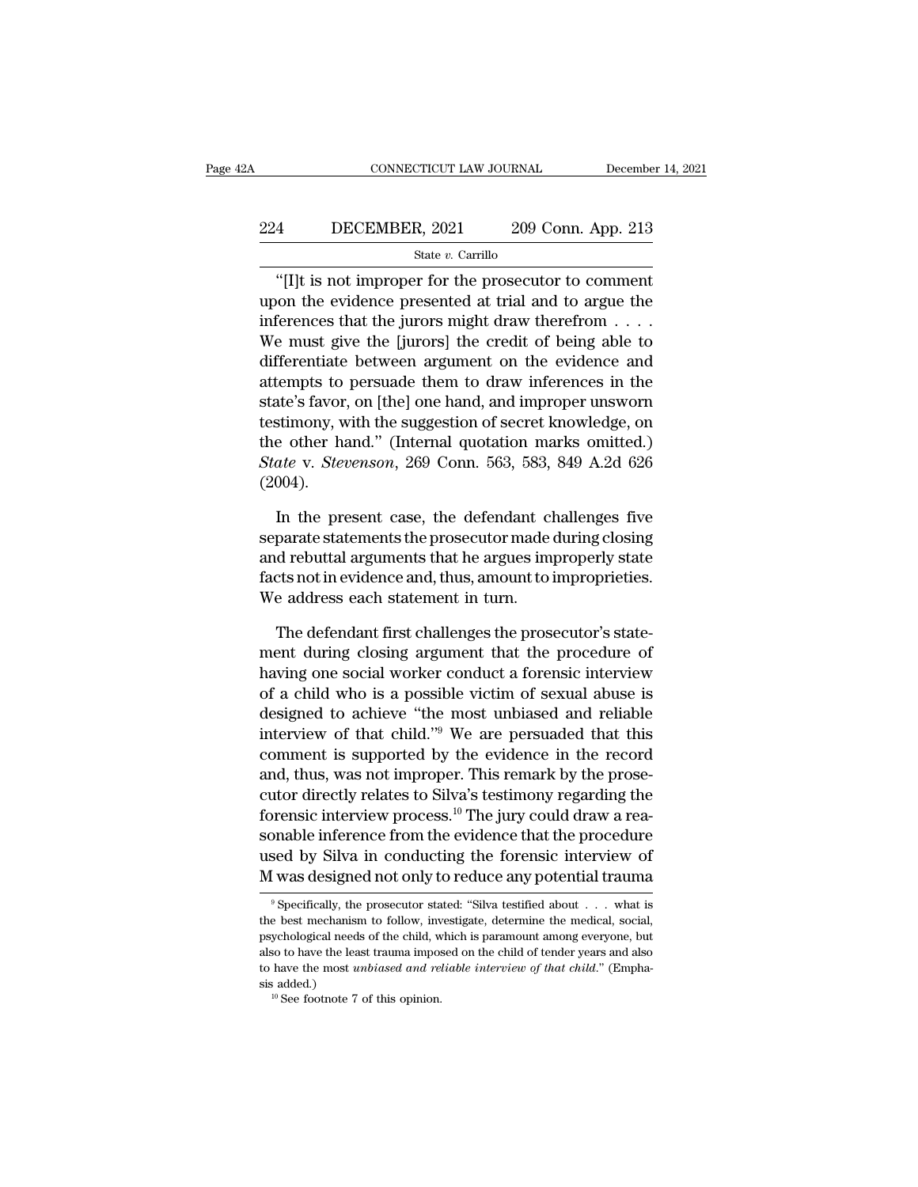### EXECUTE CONNECTICUT LAW JOURNAL December 14, 2021<br>224 DECEMBER, 2021 209 Conn. App. 213<br>5tate v. Carrillo State *v.* Carrillo

### CONNECTICUT LAW JOURNAL December 14, 202<br>
4 DECEMBER, 2021 209 Conn. App. 213<br>
5tate v. Carrillo<br>
"[I]t is not improper for the prosecutor to comment<br>
on the evidence presented at trial and to argue the 224 DECEMBER, 2021 209 Conn. App. 213<br>
<sup>State v. Carrillo</sup><br>
"[I]t is not improper for the prosecutor to comment<br>
upon the evidence presented at trial and to argue the<br>
inferences that the jurors might draw therefrom . . . 224 DECEMBER, 2021 209 Conn. App. 213<br>
State v. Carrillo<br>
"[I]t is not improper for the prosecutor to comment<br>
upon the evidence presented at trial and to argue the<br>
inferences that the jurors might draw therefrom . . . . 224 DECEMBER, 2021 209 Conn. App. 213<br>  $\frac{\text{State } v. \text{ Carrillo}}{\text{#[I]t is not improper for the processor to comment}}$ <br>
"[I]t is not improper for the prosecutor to comment<br>
upon the evidence presented at trial and to argue the<br>
inferences that the jurors] the credi State v. Carrillo<br>
"[I]t is not improper for the prosecutor to comment<br>
upon the evidence presented at trial and to argue the<br>
inferences that the jurors might draw therefrom . . . .<br>
We must give the [jurors] the credit Fig. 2. Cannot "<br>
"[I]t is not improper for the prosecutor to comment<br>
upon the evidence presented at trial and to argue the<br>
inferences that the jurors might draw therefrom  $\dots$ <br>
We must give the [jurors] the credit of b "[I]t is not improper for the prosecutor to comment<br>upon the evidence presented at trial and to argue the<br>inferences that the jurors might draw therefrom  $\dots$ <br>We must give the [jurors] the credit of being able to<br>differen upon the evidence presented at trial and to argue the<br>inferences that the jurors might draw therefrom . . . .<br>We must give the [jurors] the credit of being able to<br>differentiate between argument on the evidence and<br>attemp inferences that the jurors might draw therefrom  $\ldots$ .<br>We must give the [jurors] the credit of being able to<br>differentiate between argument on the evidence and<br>attempts to persuade them to draw inferences in the<br>state's f We must give the [*jurors]* the credit of being able to differentiate between argument on the evidence and attempts to persuade them to draw inferences in the state's favor, on [the] one hand, and improper unsworn testimon (2004). it at e's favor, on [the] one hand, and improper unsworn<br>stimony, with the suggestion of secret knowledge, on<br>e other hand." (Internal quotation marks omitted.)<br>ate v. *Stevenson*, 269 Conn. 563, 583, 849 A.2d 626<br>004).<br>In testimony, with the suggestion of secret knowledge, on<br>the other hand." (Internal quotation marks omitted.)<br>State v. Stevenson, 269 Conn. 563, 583, 849 A.2d 626<br>(2004).<br>In the present case, the defendant challenges five<br>se

the other hand." (Internal quotation marks omitted.)<br> *State* v. *Stevenson*, 269 Conn. 563, 583, 849 A.2d 626<br>
(2004).<br>
In the present case, the defendant challenges five<br>
separate statements the prosecutor made during cl State v. Stevenson, 269 Conn. 563, 583, 849 A.2d 626 (2004).<br>
In the present case, the defendant challenges five<br>
separate statements the prosecutor made during closing<br>
and rebuttal arguments that he argues improperly sta (2004).<br>In the present case, the defendant cl<br>separate statements the prosecutor made<br>and rebuttal arguments that he argues imp<br>facts not in evidence and, thus, amount to i<br>We address each statement in turn.<br>The defendant In the present case, the defendant challenges five<br>parate statements the prosecutor made during closing<br>d rebuttal arguments that he argues improperly state-<br>cts not in evidence and, thus, amount to improprieties.<br>e addres separate statements the prosecutor made during closing<br>and rebuttal arguments that he argues improperly state<br>facts not in evidence and, thus, amount to improprieties.<br>We address each statement in turn.<br>The defendant first

and rebuttal arguments that he argues improperly state<br>facts not in evidence and, thus, amount to improprieties.<br>We address each statement in turn.<br>The defendant first challenges the prosecutor's statement during closing a facts not in evidence and, thus, amount to improprieties.<br>We address each statement in turn.<br>The defendant first challenges the prosecutor's statement during closing argument that the procedure of<br>having one social worker We address each statement in turn.<br>The defendant first challenges the prosecutor's statement during closing argument that the procedure of<br>having one social worker conduct a forensic interview<br>of a child who is a possible The defendant first challenges the prosecutor's statement during closing argument that the procedure of having one social worker conduct a forensic interview of a child who is a possible victim of sexual abuse is designed The detendant first challenges the prosecutor's statement during closing argument that the procedure of having one social worker conduct a forensic interview of a child who is a possible victim of sexual abuse is designed ment during closing argument that the procedure of<br>having one social worker conduct a forensic interview<br>of a child who is a possible victim of sexual abuse is<br>designed to achieve "the most unbiased and reliable<br>interview having one social worker conduct a forensic interview<br>of a child who is a possible victim of sexual abuse is<br>designed to achieve "the most unbiased and reliable<br>interview of that child."<sup>9</sup> We are persuaded that this<br>comm of a child who is a possible victim of sexual abuse is<br>designed to achieve "the most unbiased and reliable<br>interview of that child."<sup>9</sup> We are persuaded that this<br>comment is supported by the evidence in the record<br>and, th designed to achieve "the most unbiased and reliable<br>interview of that child."<sup>9</sup> We are persuaded that this<br>comment is supported by the evidence in the record<br>and, thus, was not improper. This remark by the prose-<br>cutor d Interview of that child."" We are persuaded that this<br>comment is supported by the evidence in the record<br>and, thus, was not improper. This remark by the prose-<br>cutor directly relates to Silva's testimony regarding the<br>fore comment is supported by the evidence in the record<br>and, thus, was not improper. This remark by the prose-<br>cutor directly relates to Silva's testimony regarding the<br>forensic interview process.<sup>10</sup> The jury could draw a rea being the process." The jury could draw a reasonable inference from the evidence that the procedure sed by Silva in conducting the forensic interview of l was designed not only to reduce any potential trauma  $\frac{9}{9}$  Spec sonable inference from the evidence that the procedure<br>used by Silva in conducting the forensic interview of<br>M was designed not only to reduce any potential trauma<br> $\frac{1}{\sqrt{2}}$ <br>Specifically, the prosecutor stated: "Silva

used by Silva in conducting the forensic interview of M was designed not only to reduce any potential trauma<br>  $\frac{9}{2}$  Specifically, the prosecutor stated: "Silva testified about . . . what is the best mechanism to follo M was designed not only to reduce any potential trauma<br>  $\frac{1}{\sqrt{2}}$  Specifically, the prosecutor stated: "Silva testified about . . . what is<br>
the best mechanism to follow, investigate, determine the medical, social,<br>
ps <sup>9</sup> Specifically, the prosecutor stated: "Silva testified about . . . what is the best mechanism to follow, investigate, determine the medical, social, sychological needs of the child, which is paramount among everyone, b <sup>9</sup> Specifically, the best mechanisipy<br>psychological need also to have the leads to have the most *u* sis added.)<br><sup>10</sup> See footnote 7 **Exercisely, the postmention of the best mechanism to follow, investor-**<br>10 september 10 september 7 of the child, where the least trauma impose<br>the most *unbiased and readed*.)<br>10 See footnote 7 of this opinion.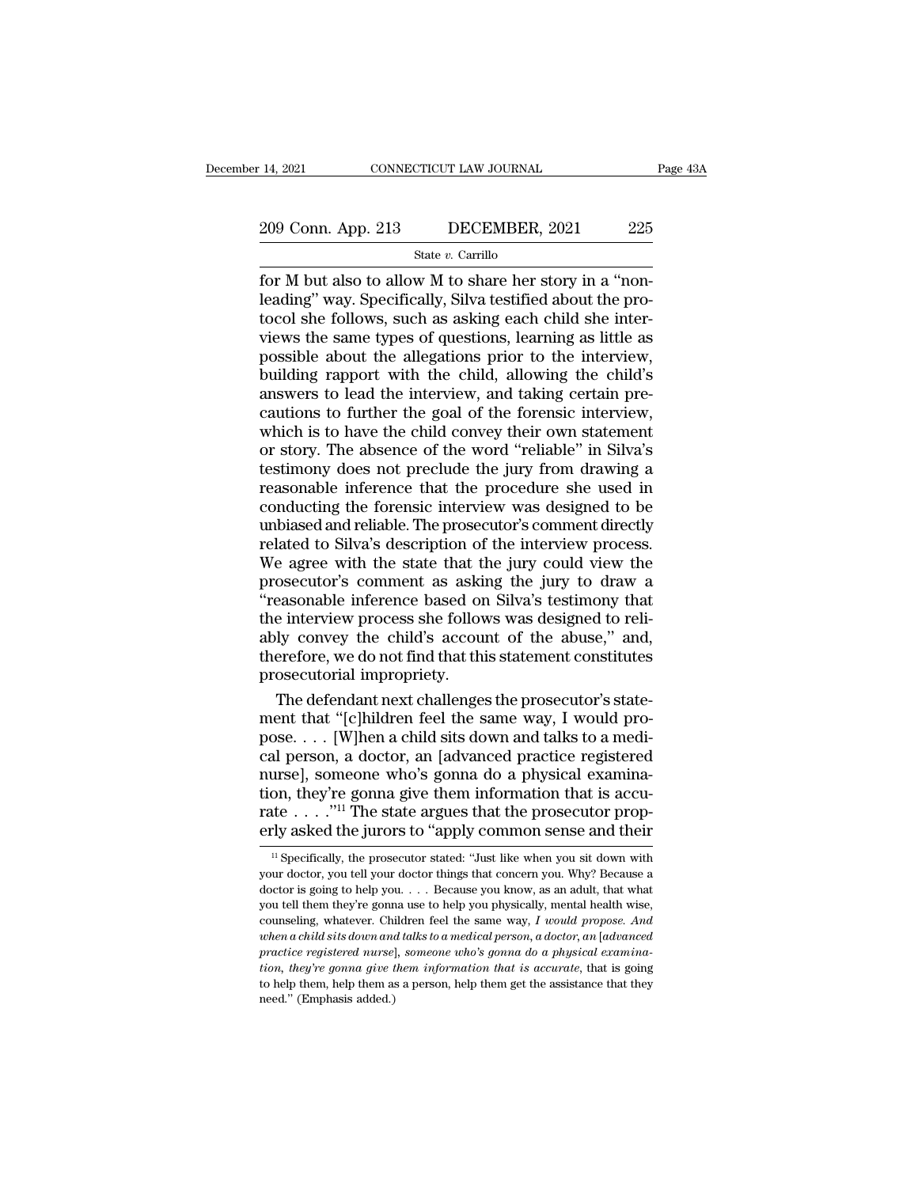# 14, 2021 CONNECTICUT LAW JOURNAL Page 43A<br>209 Conn. App. 213 DECEMBER, 2021 225<br>State v. Carrillo

State *v.* Carrillo

For M but also to allow M to share her story in a ''non-<br>
for M but also to allow M to share her story in a ''non-<br>
leading'' way. Specifically, Silva testified about the pro-<br>
tocol she follows, such as asking each child 209 Conn. App. 213 DECEMBER, 2021 225<br>State v. Carrillo<br>for M but also to allow M to share her story in a "non-<br>leading" way. Specifically, Silva testified about the pro-<br>tocol she follows, such as asking each child she in 209 Conn. App. 213 DECEMBER, 2021 225<br>
State v. Carrillo<br>
for M but also to allow M to share her story in a "non-<br>
leading" way. Specifically, Silva testified about the pro-<br>
tocol she follows, such as asking each child s 209 Conn. App. 213 DECEMBER, 2021 225<br>
State v. Carrillo<br>
for M but also to allow M to share her story in a "non-<br>
leading" way. Specifically, Silva testified about the pro-<br>
tocol she follows, such as asking each child s Solution about the allegations prior to the interview and taking and the interviews to lead the interviews to lead the interviews to lead the interview, and taking each child she interview, building rapport with the child State v. Carrillo<br>for M but also to allow M to share her story in a "non-<br>leading" way. Specifically, Silva testified about the pro-<br>tocol she follows, such as asking each child she inter-<br>views the same types of question for M but also to allow M to share her story in a "non-<br>leading" way. Specifically, Silva testified about the pro-<br>tocol she follows, such as asking each child she inter-<br>views the same types of questions, learning as litt leading" way. Specifically, Silva testified about the protocol she follows, such as asking each child she interviews the same types of questions, learning as little as possible about the allegations prior to the interview, tocol she follows, such as asking each child she inter-<br>views the same types of questions, learning as little as<br>possible about the allegations prior to the interview,<br>building rapport with the child, allowing the child's<br> views the same types of questions, learning as little as<br>possible about the allegations prior to the interview,<br>building rapport with the child, allowing the child's<br>answers to lead the interview, and taking certain pre-<br>c possible about the allegations prior to the interview,<br>building rapport with the child, allowing the child's<br>answers to lead the interview, and taking certain pre-<br>cautions to further the goal of the forensic interview,<br>wh building rapport with the child, allowing the child's<br>answers to lead the interview, and taking certain pre-<br>cautions to further the goal of the forensic interview,<br>which is to have the child convey their own statement<br>or answers to lead the interview, and taking certain pre-<br>cautions to further the goal of the forensic interview,<br>which is to have the child convey their own statement<br>or story. The absence of the word "reliable" in Silva's<br>t cautions to further the goal of the forensic interview,<br>which is to have the child convey their own statement<br>or story. The absence of the word "reliable" in Silva's<br>testimony does not preclude the jury from drawing a<br>reas which is to have the child convey their own statement<br>or story. The absence of the word "reliable" in Silva's<br>testimony does not preclude the jury from drawing a<br>reasonable inference that the procedure she used in<br>conducti or story. The absence of the word "reliable" in Silva's<br>testimony does not preclude the jury from drawing a<br>reasonable inference that the procedure she used in<br>conducting the forensic interview was designed to be<br>unbiased testimony does not preclude the jury from drawing a<br>reasonable inference that the procedure she used in<br>conducting the forensic interview was designed to be<br>unbiased and reliable. The prosecutor's comment directly<br>related reasonable inference that the procedure she used in<br>conducting the forensic interview was designed to be<br>unbiased and reliable. The prosecutor's comment directly<br>related to Silva's description of the interview process.<br>We conducting the forensic interview was designed to be unbiased and reliable. The prosecutor's comment directly related to Silva's description of the interview process. We agree with the state that the jury could view the pr unbiased and reliable. The prosecutor's comment directly related to Silva's description of the interview process. We agree with the state that the jury could view the prosecutor's comment as asking the jury to draw a "reas related to Silva's description of the interview process.<br>We agree with the state that the jury could view the<br>prosecutor's comment as asking the jury to draw a<br>"reasonable inference based on Silva's testimony that<br>the inte We agree with the state that the<br>prosecutor's comment as aski<br>"reasonable inference based or<br>the interview process she follow<br>ably convey the child's accour<br>therefore, we do not find that thi<br>prosecutorial impropriety.<br>The osecutor's comment as asking the jury to draw a<br>easonable inference based on Silva's testimony that<br>e interview process she follows was designed to reli-<br>ly convey the child's account of the abuse," and,<br>erefore, we do not "reasonable inference based on Silva's testimony that<br>the interview process she follows was designed to reli-<br>ably convey the child's account of the abuse," and,<br>therefore, we do not find that this statement constitutes<br>pr

the interview process she follows was designed to reliably convey the child's account of the abuse," and, therefore, we do not find that this statement constitutes prosecutorial impropriety.<br>The defendant next challenges t ably convey the child's account of the abuse," and,<br>therefore, we do not find that this statement constitutes<br>prosecutorial impropriety.<br>The defendant next challenges the prosecutor's state-<br>ment that "[c]hildren feel the therefore, we do not find that this statement constitutes<br>prosecutorial impropriety.<br>The defendant next challenges the prosecutor's state-<br>ment that "[c]hildren feel the same way, I would pro-<br>pose. . . . [W]hen a child si prosecutorial impropriety.<br>
The defendant next challenges the prosecutor's statement that "[c]hildren feel the same way, I would pro-<br>
pose. . . . [W]hen a child sits down and talks to a medi-<br>
cal person, a doctor, an [a The defendant next challenges the prosecutor's statement that "[c]hildren feel the same way, I would propose. . . . [W]hen a child sits down and talks to a medical person, a doctor, an [advanced practice registered nurse] ment that "[c]hildren feel the same way, I would pro-<br>pose. . . . [W]hen a child sits down and talks to a medi-<br>cal person, a doctor, an [advanced practice registered<br>nurse], someone who's gonna do a physical examina-<br>tio urse], someone who's gonna do a physical examina-<br>on, they're gonna give them information that is accu-<br>tte . . . .''<sup>11</sup> The state argues that the prosecutor prop-<br>rly asked the jurors to "apply common sense and their<br><sup>1</sup> tion, they're gonna give them information that is accurate . . . . ."<sup>11</sup> The state argues that the prosecutor properly asked the jurors to "apply common sense and their  $\frac{1}{1}$  Specifically, the prosecutor stated: "Jus

rate . . . . ."<sup>11</sup> The state argues that the prosecutor properly asked the jurors to "apply common sense and their  $\frac{1}{12}$  specifically, the prosecutor stated: "Just like when you sit down with your doctor, you tell y erly asked the jurors to "apply common sense and their  $\frac{1}{12}$  is specifically, the prosecutor stated: "Just like when you sit down with your doctor, you tell your doctor things that concern you. Why? Because a doctor erry asked the Jurors to apply continuon sense and their<br><sup>11</sup> Specifically, the prosecutor stated: "Just like when you sit down with<br>your doctor, you tell your doctor things that concern you. Why? Because a<br>doctor is going <sup>*w*</sup> Specifically, the prosecutor stated: "Just like when you sit down with your doctor, you tell your doctor things that concern you. Why? Because a doctor is going to help you . . . . Because you know, as an adult, that *praction pour doctor hings* that concern you. Why? Because a doctor is going to help you . . . . Because you know, as an adult, that what you tell them they're gonna use to help you physically, mental health wise, cou *four doctor, you certy of a certy and doctor angle and concertry of them* doctor is going to help you . . . Because you know, as an adult, that what you tell them they're gonna use to help you physically, mental health wi you tell them they're gonna use to help you physically, mental health wise,<br>counseling, whatever. Children feel the same way, I would propose. And<br>when a child sits down and talks to a medical person, a doctor, an [advance counseling, whatever. Children feel the same way,  $I$  would propose. And when a child sits down and talks to a medical person, a doctor, an [advanced practice registered nurse], someone who's gonna do a physical examinati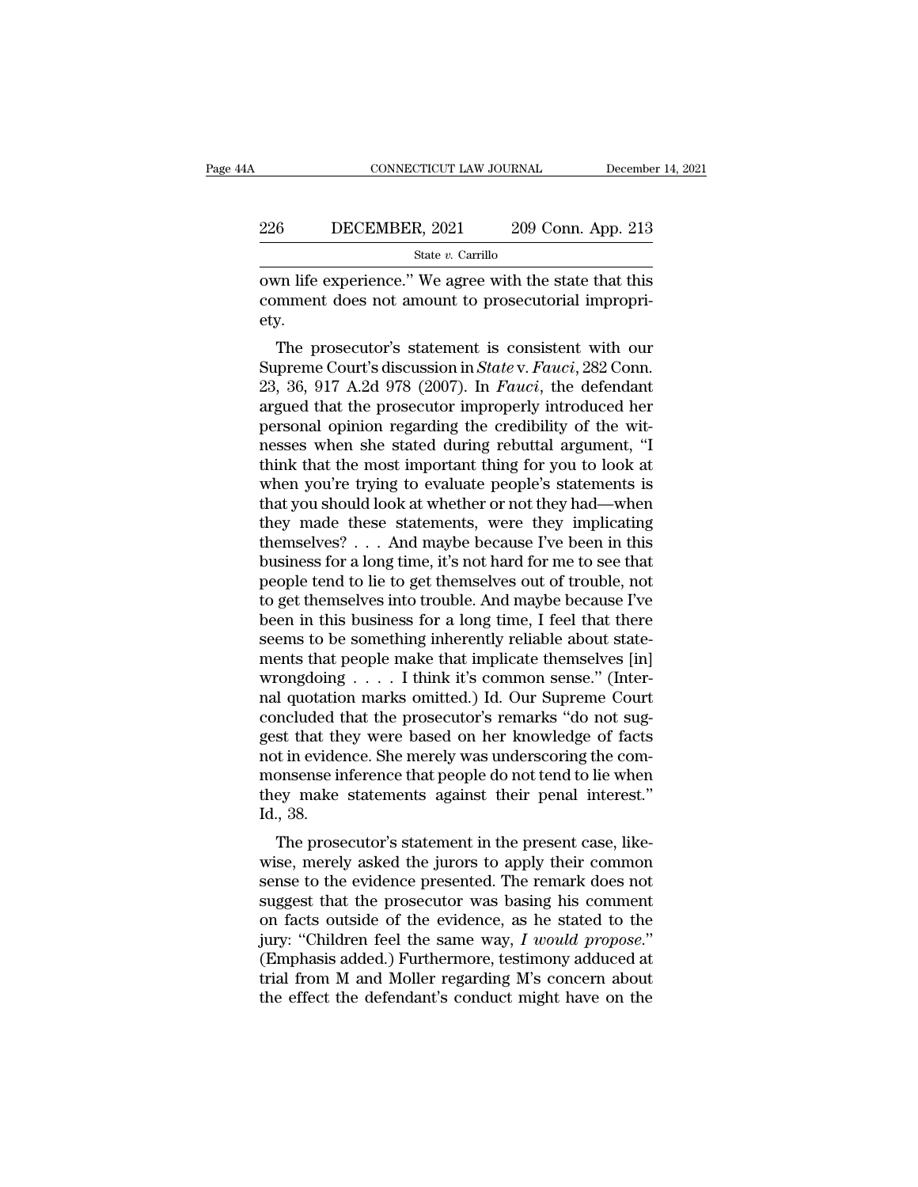### EXECUTE CONNECTICUT LAW JOURNAL December 14, 2021<br>226 DECEMBER, 2021 209 Conn. App. 213<br>5tate v. Carrillo State *v.* Carrillo

CONNECTICUT LAW JOURNAL December 14, 2021<br>
226 DECEMBER, 2021 209 Conn. App. 213<br>
3tate v. Carrillo<br>
209 Conn. App. 213<br>
209 Conn. App. 213<br>
209 Conn. App. 213<br>
209 Conn. App. 213<br>
200 Conn. App. 213<br>
2011<br>
2011<br>
2011<br>
201 226 DECEMBER, 2021 209 Conn. App. 213<br>
State v. Carrillo<br>
own life experience." We agree with the state that this<br>
comment does not amount to prosecutorial impropri-<br>
ety. ety. 56 DECEMBER, 2021 209 Conn. App. 213<br>  $\frac{\text{State } v. \text{ Carrillo}}{\text{true } v. \text{ Carrillo}}$ <br>
For life experience." We agree with the state that this<br>
mment does not amount to prosecutorial impropri-<br>
y.<br>
The prosecutor's statement is consiste

State *v*. Carrillo<br>
State *v*. Carrillo<br>
Superience." We agree with the state that this<br>
comment does not amount to prosecutorial impropri-<br>
ety.<br>
The prosecutor's statement is consistent with our<br>
Supreme Court's discuss own life experience." We agree with the state that this<br>comment does not amount to prosecutorial impropri-<br>ety.<br>The prosecutor's statement is consistent with our<br>Supreme Court's discussion in *State* v. *Fauci*, 282 Conn.<br> bown the experience. We agree with the state that this comment does not amount to prosecutorial impropriety.<br>The prosecutor's statement is consistent with our Supreme Court's discussion in *State* v. *Fauci*, 282 Conn.<br>23, comment does not amount to prosecutorial impropriety.<br>The prosecutor's statement is consistent with our Supreme Court's discussion in *State* v. *Fauci*, 282 Conn.<br>23, 36, 917 A.2d 978 (2007). In *Fauci*, the defendant arg ety.<br>
The prosecutor's statement is consistent with our<br>
Supreme Court's discussion in *State* v. *Fauci*, 282 Conn.<br>
23, 36, 917 A.2d 978 (2007). In *Fauci*, the defendant<br>
argued that the prosecutor improperly introduced The prosecutor's statement is consistent with our<br>Supreme Court's discussion in *State* v. *Fauci*, 282 Conn.<br>23, 36, 917 A.2d 978 (2007). In *Fauci*, the defendant<br>argued that the prosecutor improperly introduced her<br>pers Supreme Court's discussion in *State* v. *Fauci*, 282 Conn.<br>23, 36, 917 A.2d 978 (2007). In *Fauci*, the defendant<br>argued that the prosecutor improperly introduced her<br>personal opinion regarding the credibility of the wit 23, 36, 917 A.2d 978 (2007). In *Fauci*, the defendant<br>argued that the prosecutor improperly introduced her<br>personal opinion regarding the credibility of the wit-<br>nesses when she stated during rebuttal argument, "I<br>think argued that the prosecutor improperly introduced her<br>personal opinion regarding the credibility of the wit-<br>nesses when she stated during rebuttal argument, "I<br>think that the most important thing for you to look at<br>when yo personal opinion regarding the credibility of the wit-<br>nesses when she stated during rebuttal argument, "I<br>think that the most important thing for you to look at<br>when you're trying to evaluate people's statements is<br>that y nesses when she stated during rebuttal argument, "I<br>think that the most important thing for you to look at<br>when you're trying to evaluate people's statements is<br>that you should look at whether or not they had—when<br>they mad think that the most important thing for you to look at when you're trying to evaluate people's statements is that you should look at whether or not they had—when they made these statements, were they implicating themselves when you're trying to evaluate people's statements is<br>that you should look at whether or not they had—when<br>they made these statements, were they implicating<br>themselves?... And maybe because I've been in this<br>business for a that you should look at whether or not they had—when<br>they made these statements, were they implicating<br>themselves? . . . And maybe because I've been in this<br>business for a long time, it's not hard for me to see that<br>people they made these statements, were they implicating<br>themselves? . . . And maybe because I've been in this<br>business for a long time, it's not hard for me to see that<br>people tend to lie to get themselves out of trouble, not<br>t themselves? . . . And maybe because I've been in this<br>business for a long time, it's not hard for me to see that<br>people tend to lie to get themselves out of trouble, not<br>to get themselves into trouble. And maybe because I business for a long time, it's not hard for me to see that<br>people tend to lie to get themselves out of trouble, not<br>to get themselves into trouble. And maybe because I've<br>been in this business for a long time, I feel that people tend to lie to get themselves out of trouble, not<br>to get themselves into trouble. And maybe because I've<br>been in this business for a long time, I feel that there<br>seems to be something inherently reliable about state to get themselves into trouble. And maybe because I've<br>been in this business for a long time, I feel that there<br>seems to be something inherently reliable about state-<br>ments that people make that implicate themselves [in]<br>w been in this business for a long time, I feel that there<br>seems to be something inherently reliable about state-<br>ments that people make that implicate themselves [in]<br>wrongdoing . . . . I think it's common sense." (Inter-<br>n seems to be something inherently reliable about statements that people make that implicate themselves [in] wrongdoing  $\ldots$ . I think it's common sense." (Internal quotation marks omitted.) Id. Our Supreme Court concluded ments that people make that implicate themselves [in]<br>wrongdoing  $\ldots$ . I think it's common sense." (Inter-<br>nal quotation marks omitted.) Id. Our Supreme Court<br>concluded that the prosecutor's remarks "do not sug-<br>gest tha wrongdoing  $\ldots$  I think it's common sense." (Internal quotation marks omitted.) Id. Our Supreme Court concluded that the prosecutor's remarks "do not suggest that they were based on her knowledge of facts not in evidence nal quotatio<br>concluded t<br>gest that th<br>not in eviden<br>monsense ir<br>they make<br>Id., 38.<br>The prose Included that the prosecutor's remarks' do not sug-<br>st that they were based on her knowledge of facts<br>t in evidence. She merely was underscoring the com-<br>onsense inference that people do not tend to lie when<br>ey make statem gest that they were based on her knowledge of facts<br>not in evidence. She merely was underscoring the com-<br>monsense inference that people do not tend to lie when<br>they make statements against their penal interest."<br>Id., 38.<br>

not in evidence. She merely was underscoring the com-<br>monsense inference that people do not tend to lie when<br>they make statements against their penal interest."<br>Id., 38.<br>The prosecutor's statement in the present case, like superior in they make statements against their penal interest."<br>Id., 38.<br>The prosecutor's statement in the present case, like-<br>wise, merely asked the jurors to apply their common<br>sense to the evidence presented. The remar Id., 38.<br>
The prosecutor's statement in the present case, likewise, merely asked the jurors to apply their common<br>
sense to the evidence presented. The remark does not<br>
suggest that the prosecutor was basing his comment<br> id., 58.<br>The prosecutor's statement in the present case, like-<br>wise, merely asked the jurors to apply their common<br>sense to the evidence presented. The remark does not<br>suggest that the prosecutor was basing his comment<br>on The prosecutor's statement in the present case, likewise, merely asked the jurors to apply their common<br>sense to the evidence presented. The remark does not<br>suggest that the prosecutor was basing his comment<br>on facts outs wise, merely asked the jurors to apply their common<br>sense to the evidence presented. The remark does not<br>suggest that the prosecutor was basing his comment<br>on facts outside of the evidence, as he stated to the<br>jury: "Chil sense to the evidence presented. The remark does not suggest that the prosecutor was basing his comment on facts outside of the evidence, as he stated to the jury: "Children feel the same way,  $I$  would propose." (Emphasi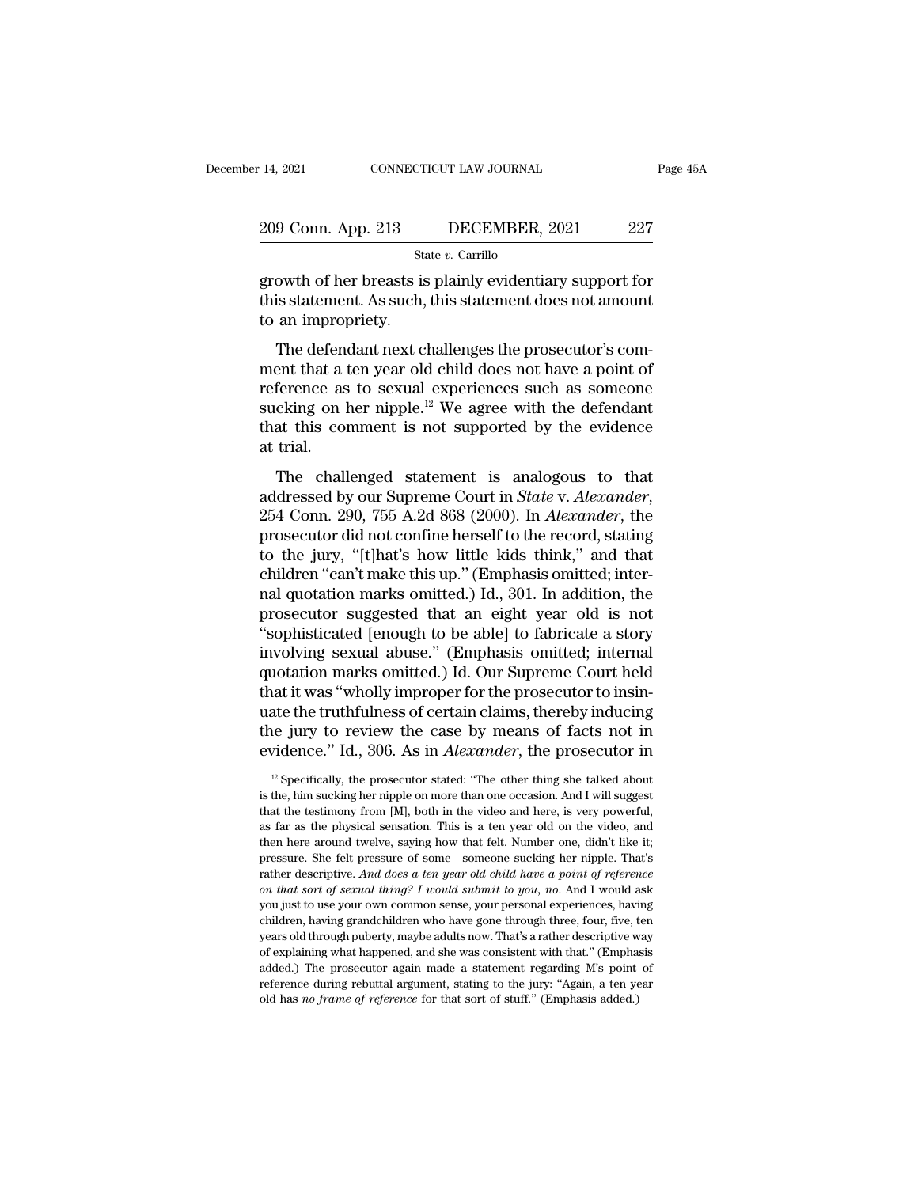| r 14, 2021         | CONNECTICUT LAW JOURNAL | Page 45A |
|--------------------|-------------------------|----------|
| 209 Conn. App. 213 | DECEMBER, 2021          | 227      |
|                    | State $v$ . Carrillo    |          |

14, 2021 CONNECTICUT LAW JOURNAL Page 45A<br>
209 Conn. App. 213 DECEMBER, 2021 227<br>
State v. Carrillo<br>
growth of her breasts is plainly evidentiary support for<br>
this statement. As such, this statement does not amount<br>
to an 209 Conn. App. 213 DECEMBER, 2021 227<br>
State v. Carrillo<br>
growth of her breasts is plainly evidentiary support for<br>
this statement. As such, this statement does not amount<br>
to an impropriety. 209 Conn. App. 213<br>
statement. As such,<br>
to an impropriety.<br>
The defendant next cl 9 Conn. App. 213 DECEMBER, 2021 227<br>
State v. Carrillo<br>
owth of her breasts is plainly evidentiary support for<br>
is statement. As such, this statement does not amount<br>
an impropriety.<br>
The defendant next challenges the pro

State v. Carrillo<br>growth of her breasts is plainly evidentiary support for<br>this statement. As such, this statement does not amount<br>to an impropriety.<br>The defendant next challenges the prosecutor's com-<br>ment that a ten yea growth of her breasts is plainly evidentiary support for<br>this statement. As such, this statement does not amount<br>to an impropriety.<br>The defendant next challenges the prosecutor's com-<br>ment that a ten year old child does n growth of her breasts is plainly evidentiary support for<br>this statement. As such, this statement does not amount<br>to an impropriety.<br>The defendant next challenges the prosecutor's com-<br>ment that a ten year old child does no that the defendant next challenges the prosecutor's comment that a ten year old child does not have a point of reference as to sexual experiences such as someone sucking on her nipple.<sup>12</sup> We agree with the defendant that to an improp<br>The defendent that a treference as<br>sucking on I<br>that this conditional trial.<br>The chall The decidual rext enancinges are prosecutor scont-<br>ent that a ten year old child does not have a point of<br>ference as to sexual experiences such as someone<br>cking on her nipple.<sup>12</sup> We agree with the defendant<br>at this comme

addressed by our Superiores such as someone<br>at trial.<br>The challenged statement is analogous to that<br>addressed by our Supreme Court in *State* v. *Alexander*,<br>254 Conn. 290, 755 A.2d 868 (2000). In *Alexander*, the<br>prosecut that this comment is not supported by the evidence<br>at trial.<br>The challenged statement is analogous to that<br>addressed by our Supreme Court in *State* v. Alexander,<br>254 Conn. 290, 755 A.2d 868 (2000). In *Alexander*, the<br>pr at trial.<br>
The challenged statement is analogous to that<br>
addressed by our Supreme Court in *State v. Alexander*,<br>
254 Conn. 290, 755 A.2d 868 (2000). In *Alexander*, the<br>
prosecutor did not confine herself to the record, The challenged statement is analogous to that<br>addressed by our Supreme Court in *State v. Alexander*,<br>254 Conn. 290, 755 A.2d 868 (2000). In *Alexander*, the<br>prosecutor did not confine herself to the record, stating<br>to the The challenged statement is analogous to that<br>addressed by our Supreme Court in *State* v. Alexander,<br>254 Conn. 290, 755 A.2d 868 (2000). In *Alexander*, the<br>prosecutor did not confine herself to the record, stating<br>to the addressed by our Supreme Court in *State v. Alexander*,<br>254 Conn. 290, 755 A.2d 868 (2000). In *Alexander*, the<br>prosecutor did not confine herself to the record, stating<br>to the jury, "[t]hat's how little kids think," and t 254 Conn. 290, 755 A.2d 868 (2000). In *Alexander*, the prosecutor did not confine herself to the record, stating to the jury, "[t]hat's how little kids think," and that children "can't make this up." (Emphasis omitted; i prosecutor did not confine herself to the record, stating<br>to the jury, "[t]hat's how little kids think," and that<br>children "can't make this up." (Emphasis omitted; inter-<br>nal quotation marks omitted.) Id., 301. In addition to the jury, "[t]hat's how little kids think," and that<br>children "can't make this up." (Emphasis omitted; inter-<br>nal quotation marks omitted.) Id., 301. In addition, the<br>prosecutor suggested that an eight year old is not<br>" children "can't make this up." (Emphasis omitted; internal quotation marks omitted.) Id., 301. In addition, the prosecutor suggested that an eight year old is not "sophisticated [enough to be able] to fabricate a story inv nal quotation marks omitted.) Id., 301. In addition, the<br>prosecutor suggested that an eight year old is not<br>"sophisticated [enough to be able] to fabricate a story<br>involving sexual abuse." (Emphasis omitted; internal<br>quota prosecutor suggested that an eight year old is not<br>"sophisticated [enough to be able] to fabricate a story<br>involving sexual abuse." (Emphasis omitted; internal<br>quotation marks omitted.) Id. Our Supreme Court held<br>that it w "sophisticated [enough to be able] to fabricate a story<br>involving sexual abuse." (Emphasis omitted; internal<br>quotation marks omitted.) Id. Our Supreme Court held<br>that it was "wholly improper for the prosecutor to insin-<br>ua at it was "wholly improper for the prosecutor to insinate the truthfulness of certain claims, thereby inducing<br>le jury to review the case by means of facts not in<br>vidence." Id., 306. As in *Alexander*, the prosecutor in<br><sup>1</sup> uate the truthfulness of certain claims, thereby inducing<br>the jury to review the case by means of facts not in<br>evidence." Id., 306. As in *Alexander*, the prosecutor in<br> $\frac{12}{}$  Specifically, the prosecutor stated: "The

the jury to review the case by means of facts not in evidence." Id., 306. As in *Alexander*, the prosecutor in  $\frac{12}{10}$  Specifically, the prosecutor stated: "The other thing she talked about is the, him sucking her nip evidence." Id., 306. As in *Alexander*, the prosecutor in<br>
<sup>12</sup> Specifically, the prosecutor stated: "The other thing she talked about<br>
is the, him sucking her nipple on more than one occasion. And I will suggest<br>
that th EVIDENCE. TO, 5000. AS IT *Atextural*, the prosection in  $\mu$  are prosection in  $\mu$  specifically, the prosection stated: "The other thing she talked about is the, him sucking her nipple on more than one occasion. And I w <sup>12</sup> Specifically, the prosecutor stated: "The other thing she talked about is the, him sucking her nipple on more than one occasion. And I will suggest that the testimony from [M], both in the video and here, is very pow Fraction States. The back of the docation. And I will suggest<br>that the testimony from [M], both in the video and here, is very powerful,<br>as far as the physical sensation. This is a ten year old on the video, and<br>then here *b* and the testimony from [M], both in the video and here, is very powerful, as far as the physical sensation. This is a ten year old on the video, and then here around twelve, saying how that felt. Number one, didn't lik as far as the physical sensation. This is a ten year old on the video, and then here around twelve, saying how that felt. Number one, didn't like it; pressure. She felt pressure of some—someone sucking her nipple. That's then here around twelve, saying how that felt. Number one, didn't like it;<br>pressure. She felt pressure of some—someone sucking her nipple. That's<br>rather descriptive. And does a ten year old child have a point of reference<br> pressure. She felt pressure of some—someone sucking her nipple. That's rather descriptive. And does a ten year old child have a point of reference on that sort of sexual thing? I would submit to you, no. And I would ask yo Frather descriptive. And does a ten year old child have a point of reference<br>on that sort of sexual thing? I would submit to you, no. And I would ask<br>you just to use your own common sense, your personal experiences, havin on that sort of sexual thing? I would submit to you, no. And I would ask you just to use your own common sense, your personal experiences, having children, having grandchildren who have gone through three, four, five, ten you just to use your own common sense, your personal experiences, having children, having grandchildren who have gone through three, four, five, ten years old through puberty, maybe adults now. That's a rather descriptive old has *no* frame of *reference* for that some through three, four, five, the years old through puberty, maybe adults now. That's a rather descriptive word explaining what happened, and she was consistent with that." (Emp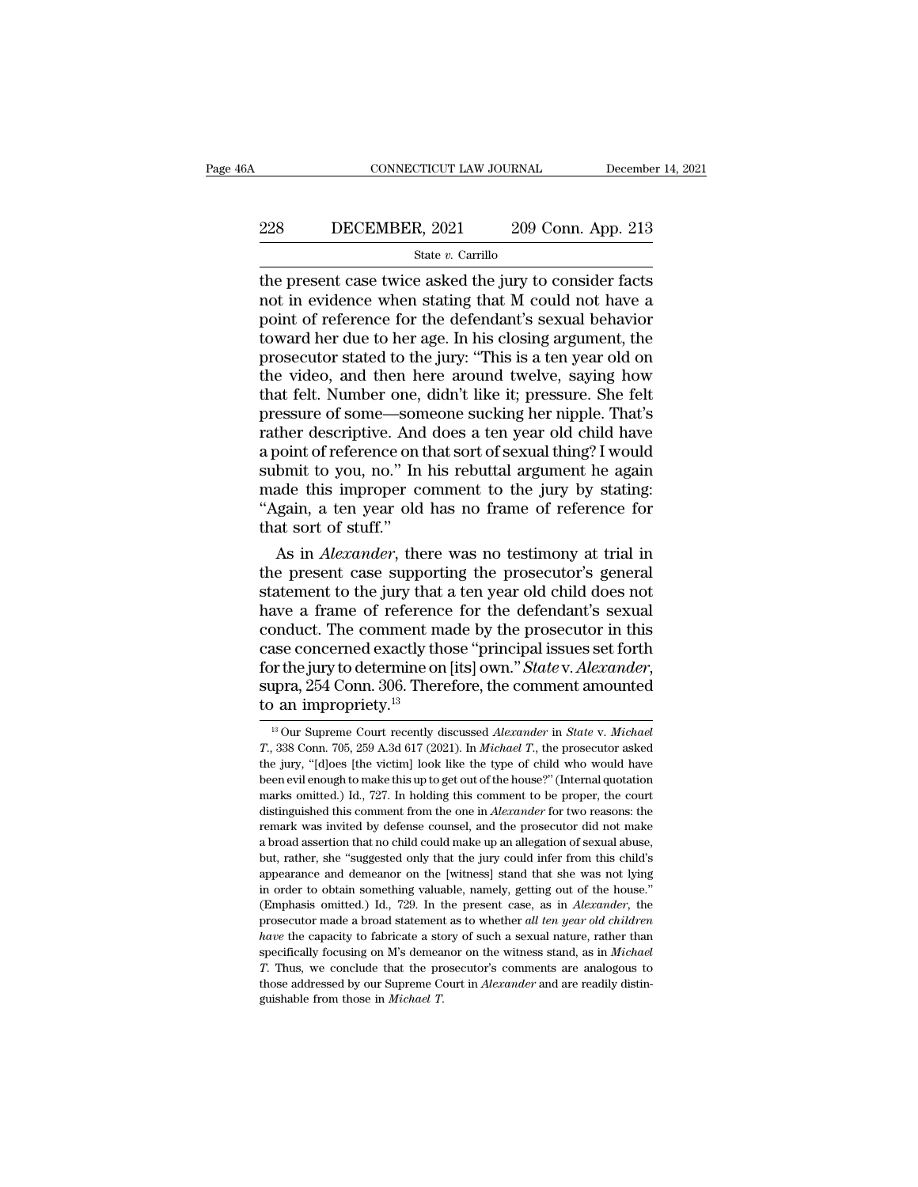# EXECUTE CONNECTICUT LAW JOURNAL December 14, 2021<br>228 DECEMBER, 2021 209 Conn. App. 213<br>234 State v. Carrillo

### State *v.* Carrillo

CONNECTICUT LAW JOURNAL December 14, 2021<br>
228 DECEMBER, 2021 209 Conn. App. 213<br>  $\frac{\text{State } v. \text{ Carrillo}}{\text{the present case twice asked the jury to consider facts}}$ <br>
not in evidence when stating that M could not have a<br>
noint of reference for the defendant's sexual behav DECEMBER, 2021 209 Conn. App. 213<br>  $\frac{\text{State } v. \text{ Carrillo}}{\text{the present case twice asked the jury to consider facts}}$ <br>
not in evidence when stating that M could not have a<br>
point of reference for the defendant's sexual behavior<br>
toward her due to her age. In his closing Point of reference for the defendant's sexual behavior<br>present case twice asked the jury to consider facts<br>not in evidence when stating that M could not have a<br>point of reference for the defendant's sexual behavior<br>toward 228 DECEMBER, 2021 209 Conn. App. 213<br>  $\frac{\text{State } v. \text{ Carrillo}}{\text{the present case twice asked the jury to consider facts}}$ <br>
not in evidence when stating that M could not have a<br>
point of reference for the defendant's sexual behavior<br>
toward her due to her age. In his clos **EXECUTE THE SET THE SET SET THE SET SET SET SET SET SET SET SET SET ON STATE OF SET AND AND A THE SET ON THE SET ON THE SET ON THE SET ON THE PROSECUTE SET ON THE PROSECUTOR SET ON THE PROSECUTOR STATE STATE STATE STATE** State v. Carrillo<br>the present case twice asked the jury to consider facts<br>not in evidence when stating that M could not have a<br>point of reference for the defendant's sexual behavior<br>toward her due to her age. In his closi the present case twice asked the jury to consider facts<br>not in evidence when stating that M could not have a<br>point of reference for the defendant's sexual behavior<br>toward her due to her age. In his closing argument, the<br>pr not in evidence when stating that M could not have a<br>point of reference for the defendant's sexual behavior<br>toward her due to her age. In his closing argument, the<br>prosecutor stated to the jury: "This is a ten year old on<br> point of reference for the defendant's sexual behavior<br>toward her due to her age. In his closing argument, the<br>prosecutor stated to the jury: "This is a ten year old on<br>the video, and then here around twelve, saying how<br>th toward her due to her age. In his closing argument, the<br>prosecutor stated to the jury: "This is a ten year old on<br>the video, and then here around twelve, saying how<br>that felt. Number one, didn't like it; pressure. She felt prosecutor stated to the jury: "This is a ten year old on<br>the video, and then here around twelve, saying how<br>that felt. Number one, didn't like it; pressure. She felt<br>pressure of some—someone sucking her nipple. That's<br>rat the video, and then here around twelve, saying how<br>that felt. Number one, didn't like it; pressure. She felt<br>pressure of some—someone sucking her nipple. That's<br>rather descriptive. And does a ten year old child have<br>a poin that felt. Number one, didn't like it; pressure. She felt<br>pressure of some—someone sucking her nipple. That's<br>rather descriptive. And does a ten year old child have<br>a point of reference on that sort of sexual thing? I woul pressure of some—son<br>rather descriptive. And<br>a point of reference on a<br>submit to you, no." In<br>made this improper contains in the solution of stuff."<br>As in *Alexander*, the ther descriptive. And does a ten year old child have<br>point of reference on that sort of sexual thing? I would<br>bmit to you, no." In his rebuttal argument he again<br>ade this improper comment to the jury by stating:<br>gain, a te a point of reference on that sort of sexual thing? I would<br>submit to you, no." In his rebuttal argument he again<br>made this improper comment to the jury by stating:<br>"Again, a ten year old has no frame of reference for<br>that

submit to you, no." In his rebuttal argument he again<br>made this improper comment to the jury by stating:<br>"Again, a ten year old has no frame of reference for<br>that sort of stuff."<br>As in *Alexander*, there was no testimony a made this improper comment to the jury by stating:<br>
"Again, a ten year old has no frame of reference for<br>
that sort of stuff."<br>
As in *Alexander*, there was no testimony at trial in<br>
the present case supporting the prosec "Again, a ten year old has no frame of reference for<br>that sort of stuff."<br>As in *Alexander*, there was no testimony at trial in<br>the present case supporting the prosecutor's general<br>statement to the jury that a ten year ol that sort of stuff."<br>As in *Alexander*, there was no testimony at trial in<br>the present case supporting the prosecutor's general<br>statement to the jury that a ten year old child does not<br>have a frame of reference for the def As in *Alexander*, there was no testimony at trial in<br>the present case supporting the prosecutor's general<br>statement to the jury that a ten year old child does not<br>have a frame of reference for the defendant's sexual<br>condu statement to the jury that a ten year old child does not<br>have a frame of reference for the defendant's sexual<br>conduct. The comment made by the prosecutor in this<br>case concerned exactly those "principal issues set forth<br>fo ase concerned exactly those "principal issues set forth<br>or the jury to determine on [its] own." *State* v. *Alexander*,<br>pra, 254 Conn. 306. Therefore, the comment amounted<br>an impropriety.<sup>13</sup><br><sup>13</sup> Our Supreme Court recentl **For the jury to determine on [its] own."** *State* **v. Alexander, supra, 254 Conn. 306. Therefore, the comment amounted to an impropriety.<sup>13</sup><br>
<sup>13</sup> Our Supreme Court recently discussed Alexander in** *State* **v. Michael** *T.***,** 

supra, 254 Conn. 306. Therefore, the comment amounted<br>to an impropriety.<sup>13</sup><br> $\frac{13}{13}$  Our Supreme Court recently discussed *Alexander* in *State* v. *Michael*<br> $T$ , 338 Conn. 705, 259 A.3d 617 (2021). In *Michael*  $T$ , to an impropriety.<sup>13</sup><br>
<sup>13</sup> Our Supreme Court recently discussed *Alexander* in *State* v. *Michael*<br> *T.*, 338 Com. 705, 259 A.3d 617 (2021). In *Michael T.*, the prosecutor asked<br>
the jury, "[d]oes [the victim] look li <sup>13</sup> Our Supreme Court recently discussed *Alexander* in *State* v. *Michael T.*, 338 Conn. 705, 259 A.3d 617 (2021). In *Michael T.*, the prosecutor asked the jury, "[d]oes [the victim] look like the type of child who <sup>13</sup> Our Supreme Court recently discussed *Alexander* in *State* v. *Michael T.*, 338 Conn. 705, 259 A.3d 617 (2021). In *Michael T.*, the prosecutor asked the jury, "[d]oes [the victim] look like the type of child wh T, 338 Conn. 705, 259 A.3d 617 (2021). In *Michael T*, the prosecutor asked the jury, "[d]oes [the victim] look like the type of child who would have been evil enough to make this up to get out of the house?" (Internal qu a broad assertion that no child could make up an allegation of sexual abuse, are yary, [eigest each live of the most of the house?" (Internal quotation bene evil enough to make this up to get out of the house?" (Internal quotation marks omitted.) Id., 727. In holding this comment to be proper, the marks omitted.) Id., 727. In holding this comment to be proper, the court distinguished this comment from the one in *Alexander* for two reasons: the remark was invited by defense counsel, and the prosecutor did not make a distinguished this comment from the one in *Alexander* for two reasons: the remark was invited by defense counsel, and the prosecutor did not make a broad assertion that no child could make up an allegation of sexual abuse remark was invited by defense counsel, and the prosecutor did not make a broad assertion that no child could make up an allegation of sexual abuse, but, rather, she "suggested only that the jury could infer from this child a broad assertion that no child could make up an allegation of sexual abuse, but, rather, she "suggested only that the jury could infer from this child" appearance and demeanor on the [witness] stand that she was not lying **but, rather, she "suggested only that the jury could infer from this child's appearance and demeanor on the [witness] stand that she was not lying in order to obtain something valuable, namely, getting out of the house."** suppearance and demeanor on the [witness] stand that she was not lying<br>in order to obtain something valuable, namely, getting out of the house."<br>(Emphasis omitted.) Id., 729. In the present case, as in *Alexander*, the<br>pro *The concertion of the hosten in order to obtain something valuable, namely, getting out of the hoste."*<br>
(Emphasis omitted.) Id., 729. In the present case, as in *Alexander*, the prosecutor made a broad statement as to wh in order to obtain something valuable, namely, getting out of the house." (Emphasis omitted.) Id., 729. In the present case, as in *Alexander*, the prosecutor made a broad statement as to whether *all ten year old childre* have the capacity to fabricate a story of such a sexual nature, rather than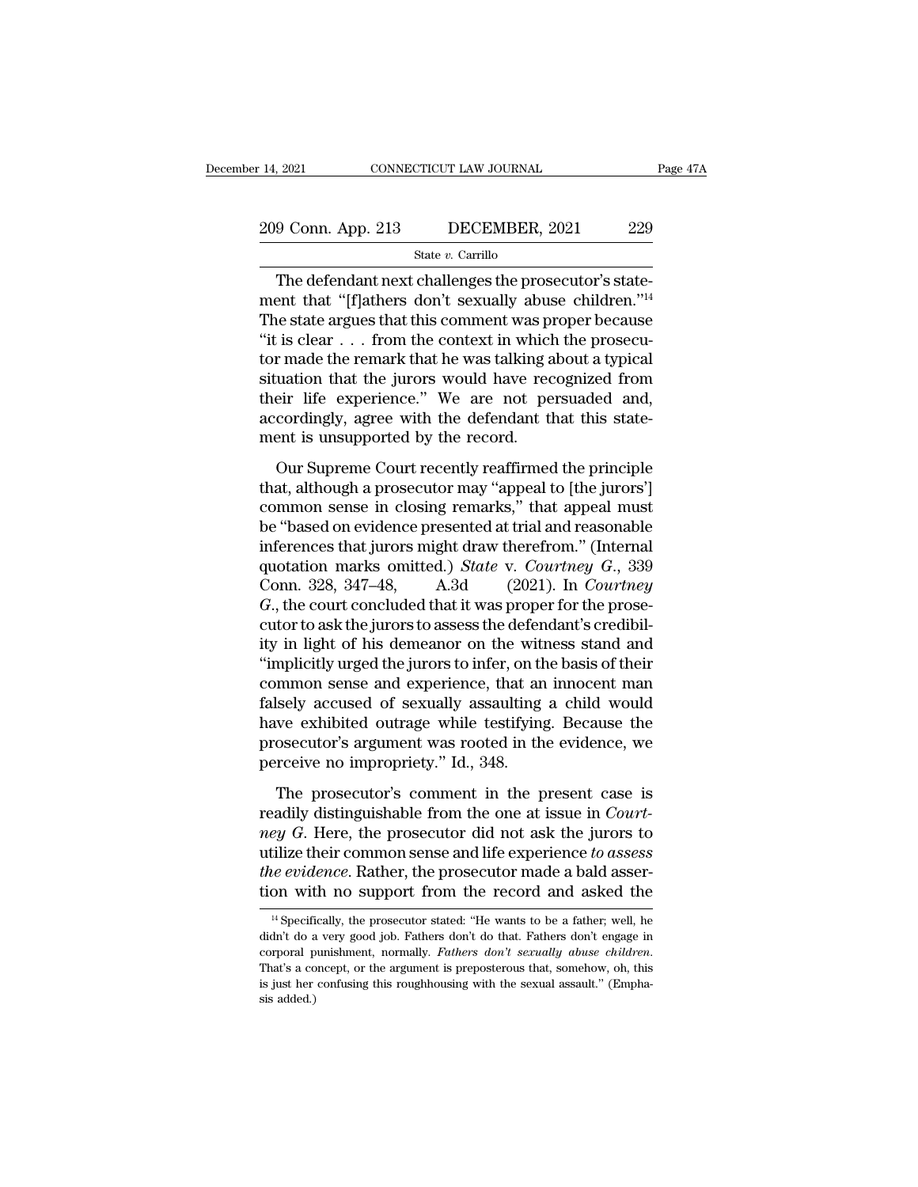# 14, 2021 CONNECTICUT LAW JOURNAL Page 47A<br>209 Conn. App. 213 DECEMBER, 2021 229<br>State v. Carrillo

### State *v.* Carrillo

9 Conn. App. 213 DECEMBER, 2021 229<br>State v. Carrillo<br>The defendant next challenges the prosecutor's state-<br>ent that "[f]athers don't sexually abuse children."<sup>14</sup><br>the state profiles that this commont was proper because 209 Conn. App. 213 DECEMBER, 2021 229<br>
State v. Carrillo<br>
The defendant next challenges the prosecutor's statement that "[f]athers don't sexually abuse children."<sup>14</sup><br>
The state argues that this comment was proper because 209 Conn. App. 213 DECEMBER, 2021 229<br>
State v. Carrillo<br>
The defendant next challenges the prosecutor's statement that "[f]athers don't sexually abuse children."<sup>14</sup><br>
The state argues that this comment was proper because <sup>209</sup> Conn. App. 213 DECEMBER, 2021 229<br>
<sup>State v. Carrillo<br>
The defendant next challenges the prosecutor's state-<br>
ment that "[f]athers don't sexually abuse children."<sup>14</sup><br>
The state argues that this comment was proper b</sup> The defendant next challenges the prosecutor's statement that "[f]athers don't sexually abuse children."<sup>14</sup><br>The state argues that this comment was proper because<br>"it is clear . . . from the context in which the prosecu-<br> state v. Carrillo<br>
The defendant next challenges the prosecutor's state-<br>
ment that "[f]athers don't sexually abuse children."<sup>14</sup><br>
The state argues that this comment was proper because<br>
"it is clear . . . from the contex The defendant next challenges the prosecutor's statement that "[f]athers don't sexually abuse children."<sup>14</sup><br>The state argues that this comment was proper because<br>"it is clear  $\dots$  from the context in which the prosecu-<br>t ment that "[f]athers don't sexually abuse children."<sup>14</sup><br>The state argues that this comment was proper because<br>"it is clear  $\dots$  from the context in which the prosecu-<br>tor made the remark that he was talking about a typic The state argues that this comment was positivity it is clear . . . from the context in which tor made the remark that he was talking a situation that the jurors would have recordingly, agree with the defendant the ment is The court is creament in the contracted in which are prosecuted in the protocol.<br>
The remark that he was talking about a typical<br>
uation that the jurors would have recognized from<br>
eir life experience." We are not persuad or mate are remark and ite was daning about a syptem<br>situation that the jurors would have recognized from<br>their life experience." We are not persuaded and,<br>accordingly, agree with the defendant that this state-<br>ment is uns

Example in their life experience." We are not persuaded and, accordingly, agree with the defendant that this statement is unsupported by the record.<br>Our Supreme Court recently reaffirmed the principle that, although a pros accordingly, agree with the defendant that this statement is unsupported by the record.<br>
Our Supreme Court recently reaffirmed the principle<br>
that, although a prosecutor may "appeal to [the jurors"]<br>
common sense in closi ment is unsupported by the record.<br>
Our Supreme Court recently reaffirmed the principle<br>
that, although a prosecutor may "appeal to [the jurors"]<br>
common sense in closing remarks," that appeal must<br>
be "based on evidence our Supereme Court recently reaffirmed the principle<br>that, although a prosecutor may "appeal to [the jurors"]<br>common sense in closing remarks," that appeal must<br>be "based on evidence presented at trial and reasonable<br>infer Our Supreme Court recently reaffirmed the principle<br>that, although a prosecutor may "appeal to [the jurors']<br>common sense in closing remarks," that appeal must<br>be "based on evidence presented at trial and reasonable<br>infere that, although a prosecutor may "appeal to [the jurors']<br>common sense in closing remarks," that appeal must<br>be "based on evidence presented at trial and reasonable<br>inferences that jurors might draw therefrom." (Internal<br>qu common sense in closing remarks," that appeal must<br>be "based on evidence presented at trial and reasonable<br>inferences that jurors might draw therefrom." (Internal<br>quotation marks omitted.) *State* v. *Courtney*  $G$ , 339<br>C be "based on evidence presented at trial and reasonable<br>inferences that jurors might draw therefrom." (Internal<br>quotation marks omitted.) *State* v. *Courtney G.*, 339<br>Conn. 328, 347–48, A.3d (2021). In *Courtney<br>G.*, the inferences that jurors might draw therefrom." (Internal<br>quotation marks omitted.) *State* v. *Courtney G.*, 339<br>Conn. 328, 347–48, A.3d (2021). In *Courtney*<br>*G.*, the court concluded that it was proper for the prose-<br>cut quotation marks omitted.) State v. Courtney G., 339<br>Conn. 328, 347–48, A.3d (2021). In Courtney<br>G., the court concluded that it was proper for the prose-<br>cutor to ask the jurors to assess the defendant's credibil-<br>ity in Conn. 328, 347–48, A.3d (2021). In *Courtney*<br>  $G$ ., the court concluded that it was proper for the prose-<br>
cutor to ask the jurors to assess the defendant's credibil-<br>
ity in light of his demeanor on the witness stand an *G*., the court concluded that it was proper for the prosecutor to ask the jurors to assess the defendant's credibility in light of his demeanor on the witness stand and "implicitly urged the jurors to infer, on the basis cutor to ask the jurors to assess the defendant's credibil-<br>ity in light of his demeanor on the witness stand and<br>"implicitly urged the jurors to infer, on the basis of their<br>common sense and experience, that an innocent m ity in light of his demeanor on the wit<br>"implicitly urged the jurors to infer, on the<br>common sense and experience, that an<br>falsely accused of sexually assaulting<br>have exhibited outrage while testifying<br>prosecutor's argumen mmon sense and experience, that an innocent man<br>sely accused of sexually assaulting a child would<br>we exhibited outrage while testifying. Because the<br>osecutor's argument was rooted in the evidence, we<br>receive no impropriet reading a child would<br>falsely accused of sexually assaulting a child would<br>have exhibited outrage while testifying. Because the<br>prosecutor's argument was rooted in the evidence, we<br>perceive no impropriety." Id., 348.<br>The p

*networp* discussed of borndary discussioning a critic would<br>have exhibited outrage while testifying. Because the<br>prosecutor's argument was rooted in the evidence, we<br>perceive no impropriety." Id., 348.<br>The prosecutor's co prosecutor's argument was rooted in the evidence, we<br>perceive no impropriety." Id., 348.<br>The prosecutor's comment in the present case is<br>readily distinguishable from the one at issue in *Court-*<br>ney G. Here, the prosecutor perosecutor's argament was rooted in the evidence, we<br>perceive no impropriety." Id., 348.<br>The prosecutor's comment in the present case is<br>readily distinguishable from the one at issue in *Court-*<br>*ney G*. Here, the prosecu The prosecutor's comment in the present case is<br>readily distinguishable from the one at issue in *Court-*<br>*ney G*. Here, the prosecutor did not ask the jurors to<br>utilize their common sense and life experience to assess<br>th ey G. Here, the prosecutor did not ask the jurors to tilize their common sense and life experience to assess the evidence. Rather, the prosecutor made a bald assersion with no support from the record and asked the  $\frac{14}{$ utilize their common sense and life experience *to assess*<br>the evidence. Rather, the prosecutor made a bald asser-<br>tion with no support from the record and asked the<br><sup>14</sup> Specifically, the prosecutor stated: "He wants to b

the evidence. Rather, the prosecutor made a bald assertion with no support from the record and asked the  $\frac{14}{1}$  Specifically, the prosecutor stated: "He wants to be a father; well, he didn't do a very good job. Fathers <sup>14</sup> Specifically, the prosecutor stated: "He wants to be a father; well, he didn't do a very good job. Fathers don't do that. Fathers don't engage in corporal punishment, normally. *Fathers don't sexually abuse children*. <sup>14</sup> Specifi<br>didn't do a<br>corporal p<br>That's a co<br>is just her<br>sis added.)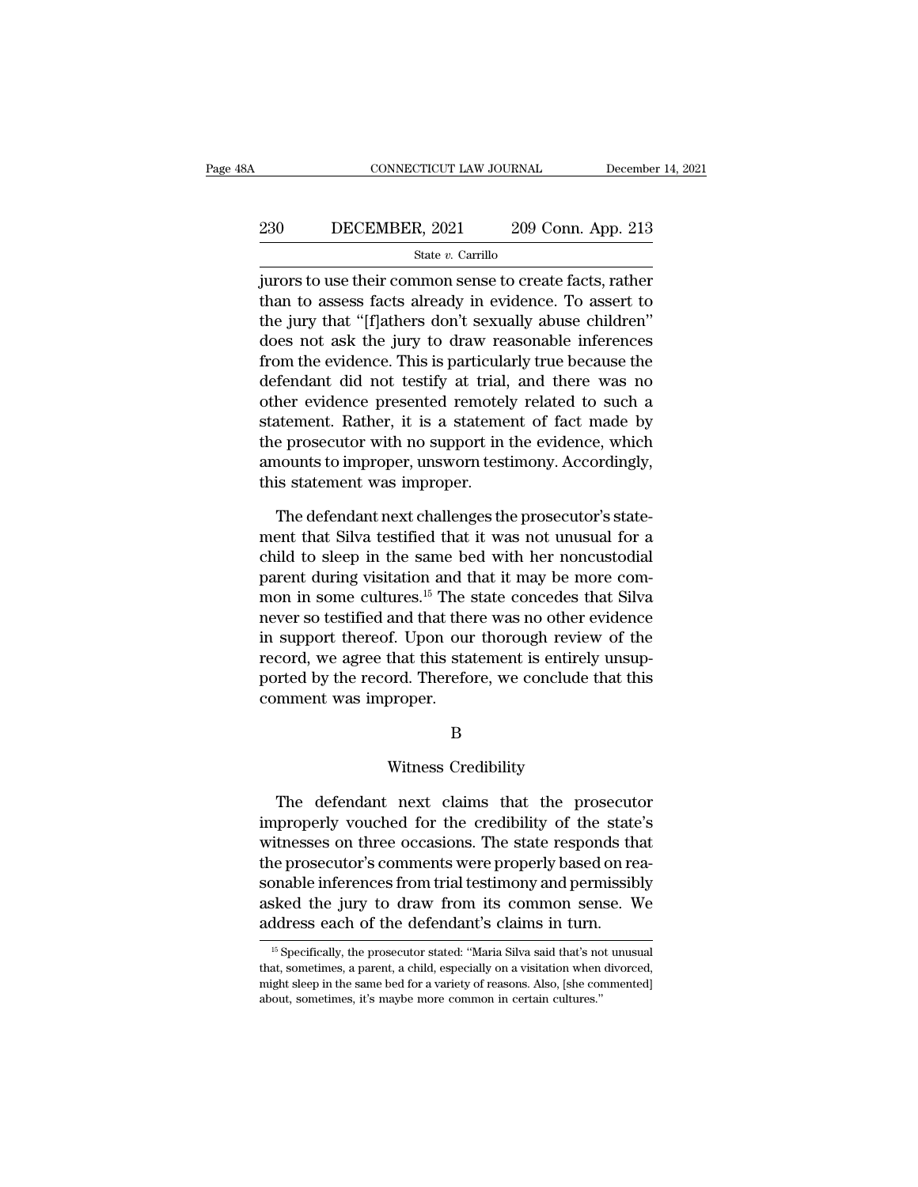# EXECUTE CONNECTICUT LAW JOURNAL December 14, 2021<br>230 DECEMBER, 2021 209 Conn. App. 213<br>24 State v. Carrillo

State *v.* Carrillo

CONNECTICUT LAW JOURNAL December 14, 2021<br>
230 DECEMBER, 2021 209 Conn. App. 213<br>  $\frac{\text{State } v. \text{ Carrillo}}{\text{fures to use their common sense to create facts, rather}}$ <br>
than to assess facts already in evidence. To assert to 230 DECEMBER, 2021 209 Conn. App. 213<br>  $\frac{\text{State } v. \text{ Carrillo}}{\text{juvors to use their common sense to create facts, rather}}$ <br>
than to assess facts already in evidence. To assert to<br>
the jury that "[f]athers don't sexually abuse children"<br>
does not sek the jury to draw re 230 DECEMBER, 2021 209 Conn. App. 213<br>
State v. Carrillo<br>
jurors to use their common sense to create facts, rather<br>
than to assess facts already in evidence. To assert to<br>
the jury that "[f]athers don't sexually abuse chi 230 DECEMBER, 2021 209 Conn. App. 213<br>  $\frac{\text{State } v. \text{ Carrillo}}{\text{Jurors to use their common sense to create facts, rather}}$ <br>
than to assess facts already in evidence. To assert to<br>
the jury that "[f]athers don't sexually abuse children"<br>
does not ask the jury to draw re State v. Carrillo<br>
state v. Carrillo<br>
jurors to use their common sense to create facts, rather<br>
than to assess facts already in evidence. To assert to<br>
the jury that "[f]athers don't sexually abuse children"<br>
does not ask black *b*. Cannot did not create facts, rather<br>than to assess facts already in evidence. To assert to<br>the jury that "[f]athers don't sexually abuse children"<br>does not ask the jury to draw reasonable inferences<br>from the ev jurors to use their common sense to create facts, rather<br>than to assess facts already in evidence. To assert to<br>the jury that "[f]athers don't sexually abuse children"<br>does not ask the jury to draw reasonable inferences<br>fr than to assess facts already in evidence. To assert to<br>the jury that "[f]athers don't sexually abuse children"<br>does not ask the jury to draw reasonable inferences<br>from the evidence. This is particularly true because the<br>de the jury that "[f]athers don't sexually abuse children"<br>does not ask the jury to draw reasonable inferences<br>from the evidence. This is particularly true because the<br>defendant did not testify at trial, and there was no<br>othe does not ask the jury to draw reasonable inferences<br>from the evidence. This is particularly true because the<br>defendant did not testify at trial, and there was no<br>other evidence presented remotely related to such a<br>statemen from the evidence. This is particula<br>defendant did not testify at trial,<br>other evidence presented remotel<br>statement. Rather, it is a stateme<br>the prosecutor with no support in<br>amounts to improper, unsworn test<br>this statemen the evidence presented remotely related to such a<br>attement. Rather, it is a statement of fact made by<br>e prosecutor with no support in the evidence, which<br>nounts to improper, unsworn testimony. Accordingly,<br>is statement was statement. Rather, it is a statement of fact made by<br>the prosecutor with no support in the evidence, which<br>amounts to improper, unsworn testimony. Accordingly,<br>this statement was improper.<br>The defendant next challenges the

the prosecutor with no support in the evidence, which<br>amounts to improper, unsworn testimony. Accordingly,<br>this statement was improper.<br>The defendant next challenges the prosecutor's state-<br>ment that Silva testified that i amounts to improper, unsworn testimony. Accordingly,<br>this statement was improper.<br>The defendant next challenges the prosecutor's state-<br>ment that Silva testified that it was not unusual for a<br>child to sleep in the same bed this statement was improper.<br>The defendant next challenges the prosecutor's statement that Silva testified that it was not unusual for a<br>child to sleep in the same bed with her noncustodial<br>parent during visitation and tha The defendant next challenges the prosecutor's statement that Silva testified that it was not unusual for a child to sleep in the same bed with her noncustodial parent during visitation and that it may be more common in so The defendant next challenges the prosecutor's statement that Silva testified that it was not unusual for a child to sleep in the same bed with her noncustodial parent during visitation and that it may be more common in so ment that Silva testified that it was not unusual for a<br>child to sleep in the same bed with her noncustodial<br>parent during visitation and that it may be more com-<br>mon in some cultures.<sup>15</sup> The state concedes that Silva<br>nev child to sleep in the same bed with her noncustodial<br>parent during visitation and that it may be more com-<br>mon in some cultures.<sup>15</sup> The state concedes that Silva<br>never so testified and that there was no other evidence<br>in parent during visitation and t<br>mon in some cultures.<sup>15</sup> The s<br>never so testified and that the<br>in support thereof. Upon our<br>record, we agree that this star<br>ported by the record. Therefo<br>comment was improper.<br>B That this statement is entirely<br>ord. Therefore, we conclude to<br>proper.<br>B<br>Witness Credibility<br>next\_claims\_that\_the\_pro

### B

The defendant next claims that the prosecutor<br>the defendant next claims that the prosecutor<br>properly vouched for the credibility of the state's<br>theses on three essessions. The state next properly to B<br>
B<br>
Witness Credibility<br>
The defendant next claims that the prosecutor<br>
improperly vouched for the credibility of the state's<br>
witnesses on three occasions. The state responds that<br>
the presecutor's comments were properl B<br>Witness Credibility<br>The defendant next claims that the prosecutor<br>improperly vouched for the credibility of the state's<br>witnesses on three occasions. The state responds that<br>the prosecutor's comments were properly based Witness Credibility<br>The defendant next claims that the prosecutor<br>improperly vouched for the credibility of the state's<br>witnesses on three occasions. The state responds that<br>the prosecutor's comments were properly based on Witness Credibility<br>The defendant next claims that the prosecutor<br>improperly vouched for the credibility of the state's<br>witnesses on three occasions. The state responds that<br>the prosecutor's comments were properly based on The defendant next claims that the prosecutor<br>improperly vouched for the credibility of the state's<br>witnesses on three occasions. The state responds that<br>the prosecutor's comments were properly based on rea-<br>sonable infere The defendant next claims that the prosecut<br>improperly vouched for the credibility of the state<br>witnesses on three occasions. The state responds the<br>the prosecutor's comments were properly based on re<br>sonable inferences f the prosecutor's comments were properly based on reasonable inferences from trial testimony and permissibly asked the jury to draw from its common sense. We address each of the defendant's claims in turn.<br>
<sup>15</sup> Specificall sonable inferences from trial testimony and permissibly<br>asked the jury to draw from its common sense. We<br>address each of the defendant's claims in turn.<br><sup>15</sup> Specifically, the prosecutor stated: "Maria Silva said that's no

asked the jury to draw from its common sense. We<br>address each of the defendant's claims in turn.<br><sup>15</sup> Specifically, the prosecutor stated: "Maria Silva said that's not unusual<br>that, sometimes, a parent, a child, especially address each of the defendant's claims in turn.<br>
<sup>15</sup> Specifically, the prosecutor stated: "Maria Silva said that's no that, sometimes, a parent, a child, especially on a visitation when might sleep in the same bed for a v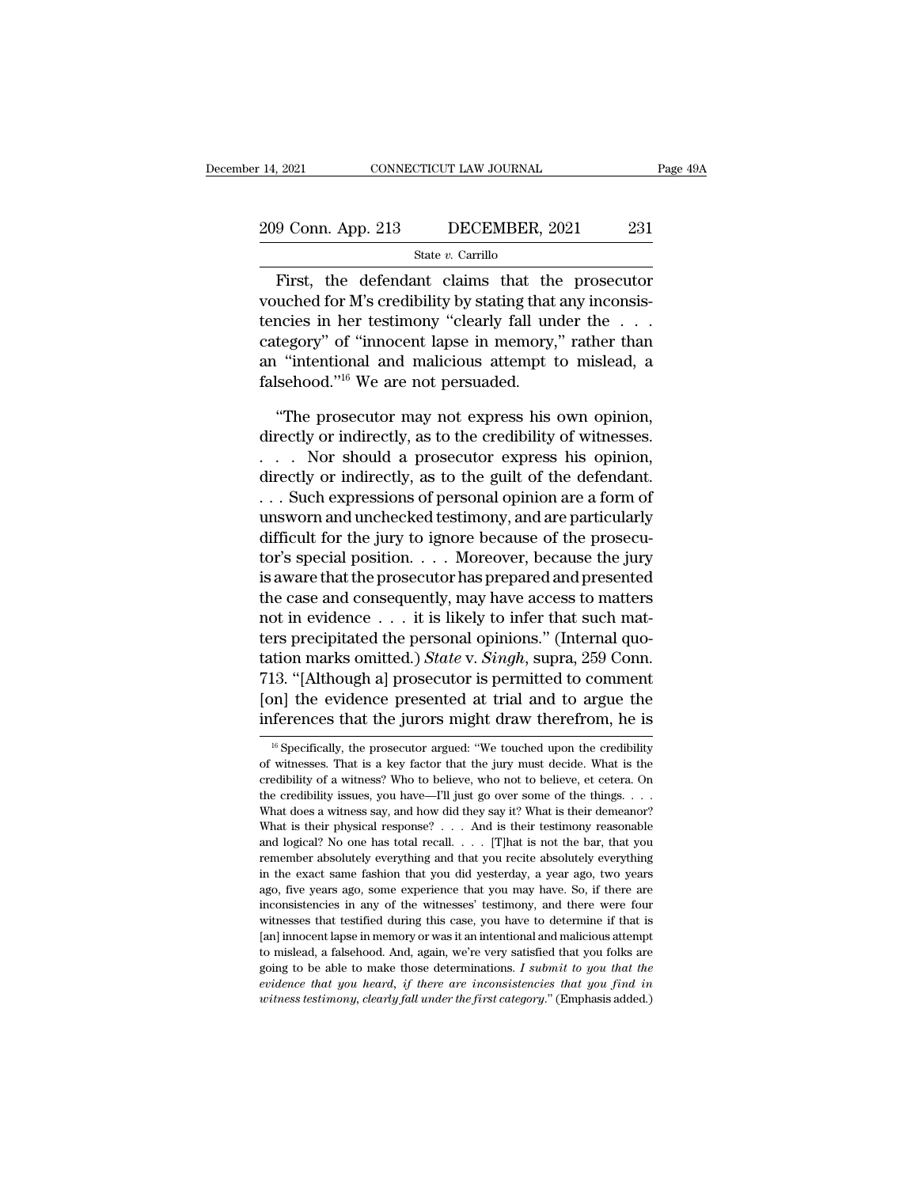# 14, 2021 CONNECTICUT LAW JOURNAL Page 49A<br>209 Conn. App. 213 DECEMBER, 2021 231<br>State v. Carrillo

### State *v.* Carrillo

First, the defendant claims that the prosecutor<br>
State v. Carrillo<br>
First, the defendant claims that the prosecutor<br>
uched for M's credibility by stating that any inconsis-209 Conn. App. 213 DECEMBER, 2021 231<br>
State v. Carrillo<br>
First, the defendant claims that the prosecutor<br>
vouched for M's credibility by stating that any inconsistencies in her testimony "clearly fall under the ... 209 Conn. App. 213 DECEMBER, 2021 231<br>
State v. Carrillo<br>
First, the defendant claims that the prosecutor<br>
vouched for M's credibility by stating that any inconsis-<br>
tencies in her testimony "clearly fall under the . . .<br> 209 Conn. App. 213 DECEMBER, 2021 231<br>
State v. Carrillo<br>
First, the defendant claims that the prosecutor<br>
vouched for M's credibility by stating that any inconsis-<br>
tencies in her testimony "clearly fall under the . . .<br> State v. Carrillo<br>
First, the defendant claims that the prosecutor<br>
vouched for M's credibility by stating that any inconsis-<br>
tencies in her testimony "clearly fall under the . . .<br>
category" of "innocent lapse in memory First, the defendant claims that the<br>vouched for M's credibility by stating that<br>tencies in her testimony "clearly fall un<br>category" of "innocent lapse in memory,<br>an "intentional and malicious attempt t<br>falsehood."<sup>16</sup> We uched for M's credibility by stating that any inconsistories in her testimony "clearly fall under the . . . . tegory" of "innocent lapse in memory," rather than "intentional and malicious attempt to mislead, a sechood."<sup>16</sup> tencies in her testimony "clearly fall under the . . . . category" of "innocent lapse in memory," rather than<br>an "intentional and malicious attempt to mislead, a<br>falsehood."<sup>16</sup> We are not persuaded.<br>"The prosecutor may no

category" of "innocent lapse in memory," rather than<br>an "intentional and malicious attempt to mislead, a<br>falsehood."<sup>16</sup> We are not persuaded.<br>"The prosecutor may not express his own opinion,<br>directly or indirectly, as to an "intentional and malicious attempt to mislead, a<br>falsehood."<sup>16</sup> We are not persuaded.<br>"The prosecutor may not express his own opinion,<br>directly or indirectly, as to the credibility of witnesses.<br>... Nor should a prosec falsehood."<sup>16</sup> We are not persuaded.<br>
"The prosecutor may not express his own opinion,<br>
directly or indirectly, as to the credibility of witnesses.<br>  $\dots$  Nor should a prosecutor express his opinion,<br>
directly or indirect "The prosecutor may not express his own opinion,<br>directly or indirectly, as to the credibility of witnesses.<br>. . . . Nor should a prosecutor express his opinion,<br>directly or indirectly, as to the guilt of the defendant.<br>. "The prosecutor may not express his own opinion,<br>directly or indirectly, as to the credibility of witnesses.<br>... Nor should a prosecutor express his opinion,<br>directly or indirectly, as to the guilt of the defendant.<br>... S directly or indirectly, as to the credibility of witnesses.<br>
. . . . Nor should a prosecutor express his opinion,<br>
directly or indirectly, as to the guilt of the defendant.<br>
. . . Such expressions of personal opinion are a ... Nor should a prosecutor express his opinion,<br>directly or indirectly, as to the guilt of the defendant.<br>... Such expressions of personal opinion are a form of<br>unsworn and unchecked testimony, and are particularly<br>diffi directly or indirectly, as to the guilt of the defendant.<br>
... Such expressions of personal opinion are a form of<br>
unsworn and unchecked testimony, and are particularly<br>
difficult for the jury to ignore because of the pros . . . Such expressions of personal opinion are a form of<br>unsworn and unchecked testimony, and are particularly<br>difficult for the jury to ignore because of the prosecu-<br>tor's special position. . . . . Moreover, because the unsworn and unchecked testimony, and are particularly<br>difficult for the jury to ignore because of the prosecu-<br>tor's special position.... Moreover, because the jury<br>is aware that the prosecutor has prepared and presented<br> difficult for the jury to ignore because of the prosecutor's special position. . . . Moreover, because the jury is aware that the prosecutor has prepared and presented the case and consequently, may have access to matters for's special position. . . . . Moreover, because the jury<br>is aware that the prosecutor has prepared and presented<br>the case and consequently, may have access to matters<br>not in evidence . . . it is likely to infer that suc is aware that the prosecutor has prepared and presented<br>the case and consequently, may have access to matters<br>not in evidence  $\ldots$  it is likely to infer that such mat-<br>ters precipitated the personal opinions." (Internal the case and consequently, may have access to matters<br>not in evidence . . . it is likely to infer that such mat-<br>ters precipitated the personal opinions." (Internal quo-<br>tation marks omitted.) *State* v. *Singh*, supra, 2 16 Specifically, the prosecutor argued: "We touched upon the credibility witnesses. That is a key factor that the jury must decide. What is the vertexs set. That is a key factor that the jury must decide. What is the vert 713. "[Although a] prosecutor is permitted to comment<br>[on] the evidence presented at trial and to argue the<br>inferences that the jurors might draw therefrom, he is<br> $\frac{16}{10}$  Specifically, the prosecutor argued: "We touch

<sup>[</sup>on] the evidence presented at trial and to argue the inferences that the jurors might draw therefrom, he is  $\frac{16}{16}$  Specifically, the prosecutor argued: "We touched upon the credibility of witnesses. That is a key fa inferences that the jurors might draw therefrom, he is<br>
<sup>16</sup> Specifically, the prosecutor argued: "We touched upon the credibility<br>
of witnesses. That is a key factor that the jury must decide. What is the<br>
credibility of The error is that the Jurors might draw therefrom, he is<br>
<sup>16</sup> Specifically, the prosecutor argued: "We touched upon the credibility<br>
of witnesses. That is a key factor that the jury must decide. What is the<br>
credibility <sup>16</sup> Specifically, the prosecutor argued: "We touched upon the credibility of witnesses. That is a key factor that the jury must decide. What is the credibility of a witness? Who to believe, who not to believe, et cetera. and logical? No one has total recall. . . . [T]hat is not the bar, that you credibility of a witness? Who to believe, who not to believe, et cetera. On the credibility issues, you have—I'll just go over some of the things. . . . What does a witness say, and how did they say it? What is their deme the credibility issues, you have—I'll just go over some of the things....<br>What does a witness say, and how did they say it? What is their demeanor?<br>What is their physical response?... And is their testimony reasonable<br>and What does a witness say, and how did they say it? What is their demeanor?<br>What is their physical response? . . . And is their testimony reasonable<br>and logical? No one has total recall. . . . [T]hat is not the bar, that yo What is their physical response? . . . And is their testimony reasonable and logical? No one has total recall. . . . [T]hat is not the bar, that you remember absolutely everything and that you recite absolutely everything what bigical? No one has total recall.  $\ldots$  [T]hat is not the bar, that you and logical? No one has total recall.  $\ldots$  [T]hat is not the bar, that you remember absolutely everything and that you recite absolutely everyt remember absolutely everything and that you recite absolutely everything<br>in the exact same fashion that you did yesterday, a year ago, two years<br>ago, five years ago, some experience that you may have. So, if there are<br>inc The exact same fashion that you did yesterday, a year ago, two years ago, five years ago, some experience that you may have. So, if there are inconsistencies in any of the witnesses' testimony, and there were four witness ago, five years ago, some experience that you may have. So, if there are inconsistencies in any of the witnesses' testimony, and there were four witnesses that testified during this case, you have to determine if that is [ deless, the years ugo, some experience that you hay have. So, if there are inconsistencies in any of the witnesses' testimony, and there were four witnesses that testified during this case, you have to determine if that is witnesses that testified during this case, you have to determine if that is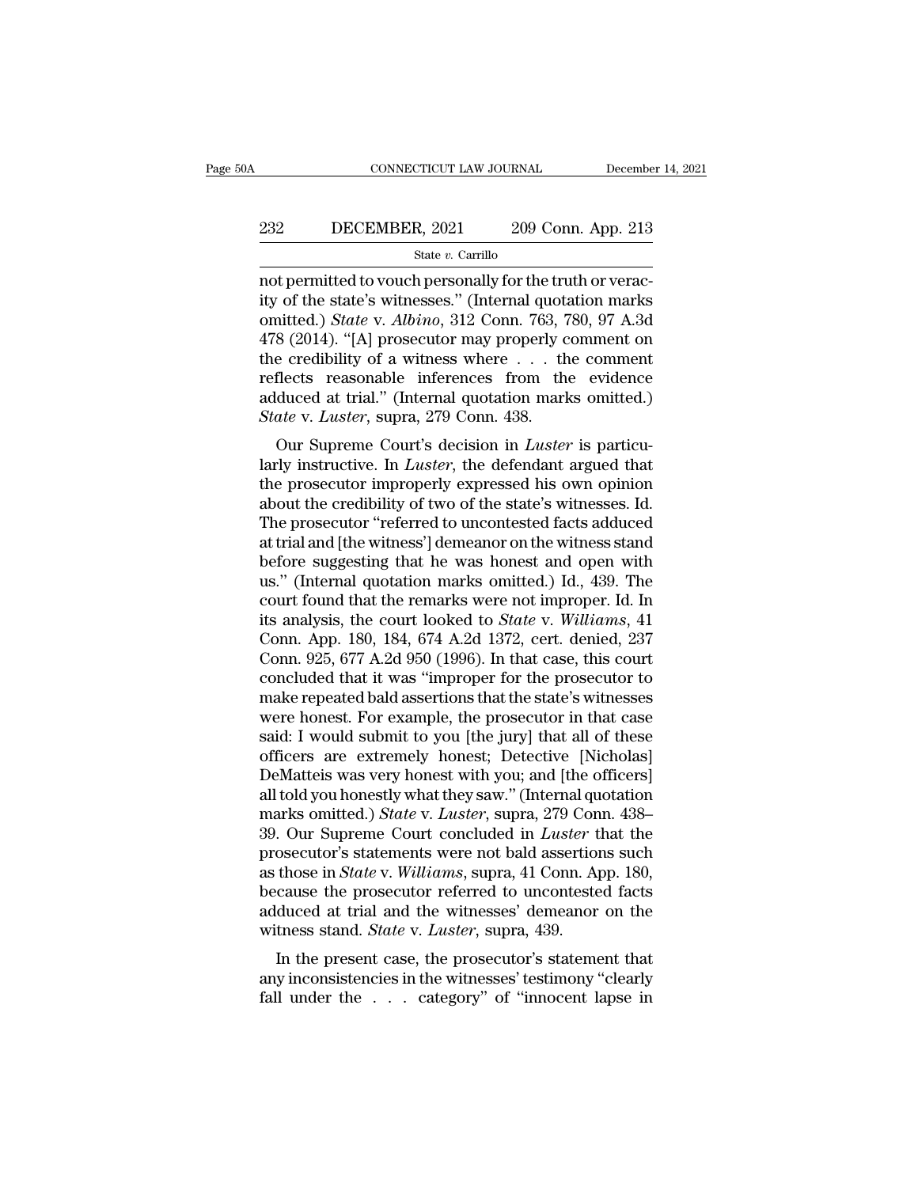# EXECUTE CONNECTICUT LAW JOURNAL December 14, 2021<br>232 DECEMBER, 2021 209 Conn. App. 213<br>234 State v. Carrillo

### State *v.* Carrillo

CONNECTICUT LAW JOURNAL December<br>
232 DECEMBER, 2021 209 Conn. App. 213<br>
5tate v. Carrillo<br>
209 Conn. App. 213<br>
209 Conn. App. 213<br>
209 Conn. App. 213<br>
209 Conn. App. 213<br>
200 Conn. The truth or verac-<br>
212 Conn. 763, 780, 232 DECEMBER, 2021 209 Conn. App. 213<br>
state v. Carrillo<br>
not permitted to vouch personally for the truth or veracity<br>
of the state's witnesses." (Internal quotation marks<br>
omitted.) *State* v. *Albino*, 312 Conn. 763, 78 DECEMBER, 2021 209 Conn. App. 213<br>
State v. Carrillo<br>
not permitted to vouch personally for the truth or verac-<br>
ity of the state's witnesses." (Internal quotation marks<br>
omitted.) *State* v. *Albino*, 312 Conn. 763, 780, 232 DECEMBER, 2021 209 Conn. App. 213<br>  $\frac{\text{State } v. \text{ Carrillo}}{\text{not permitted to vouch personally for the truth or verac-}$ <br>
ity of the state's witnesses." (Internal quotation marks<br>
omitted.) *State* v. *Albino*, 312 Conn. 763, 780, 97 A.3d<br>
478 (2014). "[A] prosecutor State v. Carrillo<br>
not permitted to vouch personally for the truth or verac-<br>
ity of the state's witnesses." (Internal quotation marks<br>
omitted.) *State* v. *Albino*, 312 Conn. 763, 780, 97 A.3d<br>
478 (2014). "[A] prosecut state v. Carrillo<br>
into permitted to vouch personally for the truth or verac-<br>
ity of the state's witnesses." (Internal quotation marks<br>
omitted.) *State* v. *Albino*, 312 Conn. 763, 780, 97 A.3d<br>
478 (2014). "[A] prosecu not permitted to vouch personally for the truth or veracity of the state's witnesses." (Internal quotation marks omitted.) *State* v. *Albino*, 312 Conn. 763, 780, 97 A.3d 478 (2014). "[A] prosecutor may properly comment o *State's* witnesses." (Internal quotarrowitted.) *State* v. *Albino*, 312 Conn. 763, 7478 (2014). "[A] prosecutor may properly come credibility of a witness where ... the reflects reasonable inferences from the adduced at our Supervison in 105, 105, 106, 97 A.5d<br>8 (2014). "[A] prosecutor may properly comment on<br>e credibility of a witness where . . . the comment<br>flects reasonable inferences from the evidence<br>duced at trial." (Internal quotat Fro (2014). [A] prosecutor may properly comment on<br>the credibility of a witness where . . . the comment<br>reflects reasonable inferences from the evidence<br>adduced at trial." (Internal quotation marks omitted.)<br>State v. *Lust* 

the credibility of a whitess where  $\cdot$ .  $\cdot$  the confirent reflects reasonable inferences from the evidence adduced at trial." (Internal quotation marks omitted.) State v. Luster, supra, 279 Conn. 438. Our Supreme Court's reflects reasonable interences from the evidence<br>adduced at trial." (Internal quotation marks omitted.)<br>State v. Luster, supra, 279 Conn. 438.<br>Our Supreme Court's decision in Luster is particu-<br>larly instructive. In Luster State v. Luster, supra, 279 Conn. 438.<br>
Our Supreme Court's decision in Luster is particularly instructive. In Luster, the defendant argued that<br>
the prosecutor improperly expressed his own opinion<br>
about the credibility o But the W. Euster, supra, 279 Conn. 456.<br>
Our Supreme Court's decision in *Luster* is particularly instructive. In *Luster*, the defendant argued that<br>
the prosecutor improperly expressed his own opinion<br>
about the credib Our Supreme Court's decision in *Luster* is particularly instructive. In *Luster*, the defendant argued that<br>the prosecutor improperly expressed his own opinion<br>about the credibility of two of the state's witnesses. Id.<br>Th larly instructive. In *Luster*, the defendant argued that<br>the prosecutor improperly expressed his own opinion<br>about the credibility of two of the state's witnesses. Id.<br>The prosecutor "referred to uncontested facts adduced the prosecutor improperly expressed his own opinion<br>about the credibility of two of the state's witnesses. Id.<br>The prosecutor "referred to uncontested facts adduced<br>at trial and [the witness'] demeanor on the witness stand about the credibility of two of the state's witnesses. Id.<br>The prosecutor "referred to uncontested facts adduced<br>at trial and [the witness'] demeanor on the witness stand<br>before suggesting that he was honest and open with<br> The prosecutor "referred to uncontested facts adduced<br>at trial and [the witness'] demeanor on the witness stand<br>before suggesting that he was honest and open with<br>us." (Internal quotation marks omitted.) Id., 439. The<br>cour at trial and [the witness'] demeanor on the witness stand<br>before suggesting that he was honest and open with<br>us." (Internal quotation marks omitted.) Id., 439. The<br>court found that the remarks were not improper. Id. In<br>its before suggesting that he was honest and open with<br>us." (Internal quotation marks omitted.) Id., 439. The<br>court found that the remarks were not improper. Id. In<br>its analysis, the court looked to *State* v. Williams, 41<br>Con us." (Internal quotation marks omitted.) Id., 439. The<br>court found that the remarks were not improper. Id. In<br>its analysis, the court looked to *State* v. Williams, 41<br>Conn. App. 180, 184, 674 A.2d 1372, cert. denied, 237<br> court found that the remarks were not improper. Id. In<br>its analysis, the court looked to *State* v. Williams, 41<br>Conn. App. 180, 184, 674 A.2d 1372, cert. denied, 237<br>Conn. 925, 677 A.2d 950 (1996). In that case, this cour its analysis, the court looked to *State* v. Williams, 41<br>Conn. App. 180, 184, 674 A.2d 1372, cert. denied, 237<br>Conn. 925, 677 A.2d 950 (1996). In that case, this court<br>concluded that it was "improper for the prosecutor to Conn. App. 180, 184, 674 A.2d 1372, cert. denied, 237<br>Conn. 925, 677 A.2d 950 (1996). In that case, this court<br>concluded that it was "improper for the prosecutor to<br>make repeated bald assertions that the state's witnesses<br> Conn. 925, 677 A.2d 950 (1996). In that case, this court<br>concluded that it was "improper for the prosecutor to<br>make repeated bald assertions that the state's witnesses<br>were honest. For example, the prosecutor in that case concluded that it was "improper for the prosecutor to<br>make repeated bald assertions that the state's witnesses<br>were honest. For example, the prosecutor in that case<br>said: I would submit to you [the jury] that all of these<br> make repeated bald assertions that the state's witnesses<br>were honest. For example, the prosecutor in that case<br>said: I would submit to you [the jury] that all of these<br>officers are extremely honest; Detective [Nicholas]<br>De were honest. For example, the prosecutor in that case<br>said: I would submit to you [the jury] that all of these<br>officers are extremely honest; Detective [Nicholas]<br>DeMatteis was very honest with you; and [the officers]<br>all said: I would submit to you [the jury] that all of these<br>officers are extremely honest; Detective [Nicholas]<br>DeMatteis was very honest with you; and [the officers]<br>all told you honestly what they saw." (Internal quotation<br> officers are extremely honest; Detective [Nicholas]<br>DeMatteis was very honest with you; and [the officers]<br>all told you honestly what they saw." (Internal quotation<br>marks omitted.) *State* v. *Luster*, supra, 279 Conn. 438 DeMatteis was very honest with you; and [the officers]<br>all told you honestly what they saw." (Internal quotation<br>marks omitted.) *State* v. *Luster*, supra, 279 Conn. 438–<br>39. Our Supreme Court concluded in *Luster* that t all told you honestly what they saw." (Internal quotation<br>marks omitted.) *State* v. *Luster*, supra, 279 Conn. 438–<br>39. Our Supreme Court concluded in *Luster* that the<br>prosecutor's statements were not bald assertions suc marks omitted.) *State* v. *Luster*, supra, 279 Con<br>39. Our Supreme Court concluded in *Luster* t<br>prosecutor's statements were not bald assertion<br>as those in *State* v. *Williams*, supra, 41 Conn. A<br>because the prosecutor In the present case, the prosecutor's statements were not bald assertions such those in *State* v. *Williams*, supra, 41 Conn. App. 180, cause the prosecutor referred to uncontested facts duced at trial and the witnesses' prosection's statements were not baid assertions such<br>as those in *State* v. *Williams*, supra, 41 Conn. App. 180,<br>because the prosecutor referred to uncontested facts<br>adduced at trial and the witnesses' demeanor on the<br>wi as those in *state* v. *wattams*, supra, 41 Cofil. App. 160, because the prosecutor referred to uncontested facts adduced at trial and the witnesses' demeanor on the witness stand. *State* v. *Luster*, supra, 439. In the p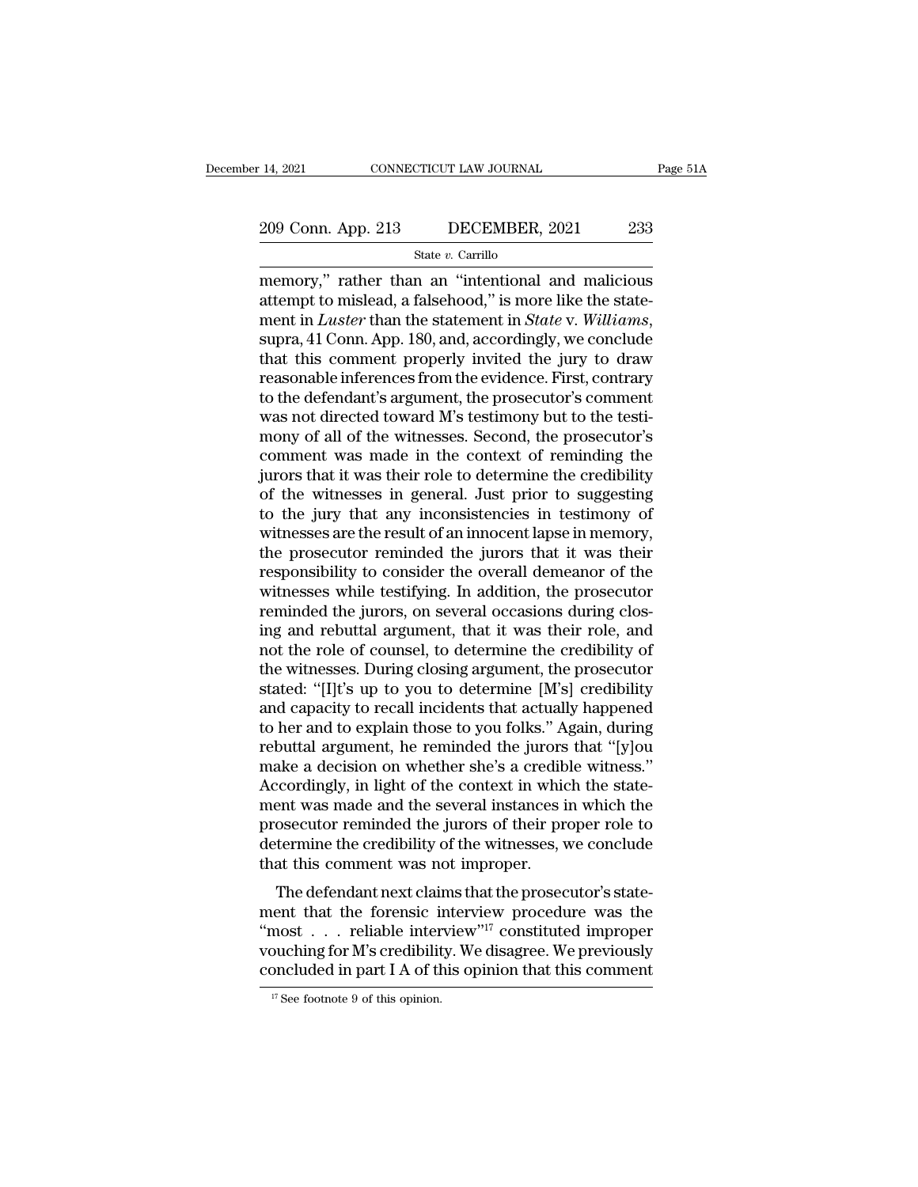# 14, 2021 CONNECTICUT LAW JOURNAL Page 51A<br>209 Conn. App. 213 DECEMBER, 2021 233<br>State v. Carrillo

State *v.* Carrillo

14, 2021 CONNECTICUT LAW JOURNAL Page 51A<br>
209 Conn. App. 213 DECEMBER, 2021 233<br>
State v. Carrillo<br>
memory,'' rather than an "intentional and malicious<br>
attempt to mislead, a falsehood,'' is more like the state-209 Conn. App. 213 DECEMBER, 2021 233<br>
State v. Carrillo<br>
memory," rather than an "intentional and malicious<br>
attempt to mislead, a falsehood," is more like the state-<br>
ment in *Luster* than the statement in *State* v. *W* 209 Conn. App. 213 DECEMBER, 2021 233<br>
State v. Carrillo<br>
memory," rather than an "intentional and malicious<br>
attempt to mislead, a falsehood," is more like the state-<br>
ment in *Luster* than the statement in *State* v. *Wi* State v. Carrillo<br>
memory," rather than an "intentional and malicious<br>
attempt to mislead, a falsehood," is more like the state-<br>
ment in *Luster* than the statement in *State* v. *Williams*,<br>
supra, 41 Conn. App. 180, an state v. Carrillo<br>memory," rather than an "intentional and malicious<br>attempt to mislead, a falsehood," is more like the state-<br>ment in *Luster* than the statement in *State* v. Williams,<br>supra, 41 Conn. App. 180, and, acc memory," rather than an "intentional and malicious<br>attempt to mislead, a falsehood," is more like the state-<br>ment in *Luster* than the statement in *State* v. *Williams*,<br>supra, 41 Conn. App. 180, and, accordingly, we conc attempt to mislead, a falsehood," is more like the statement in *Luster* than the statement in *State* v. *Williams*, supra, 41 Conn. App. 180, and, accordingly, we conclude that this comment properly invited the jury to d ment in *Luster* than the statement in *State* v. *Williams*, supra, 41 Conn. App. 180, and, accordingly, we conclude that this comment properly invited the jury to draw reasonable inferences from the evidence. First, cont supra, 41 Conn. App. 180, and, accordingly, we conclude<br>that this comment properly invited the jury to draw<br>reasonable inferences from the evidence. First, contrary<br>to the defendant's argument, the prosecutor's comment<br>was that this comment properly invited the jury to draw<br>reasonable inferences from the evidence. First, contrary<br>to the defendant's argument, the prosecutor's comment<br>was not directed toward M's testimony but to the testi-<br>mon reasonable inferences from the evidence. First, contrary<br>to the defendant's argument, the prosecutor's comment<br>was not directed toward M's testimony but to the testi-<br>mony of all of the witnesses. Second, the prosecutor's<br> to the defendant's argument, the prosecutor's comment<br>was not directed toward M's testimony but to the testi-<br>mony of all of the witnesses. Second, the prosecutor's<br>comment was made in the context of reminding the<br>jurors t was not directed toward M's testimony but to the testimony of all of the witnesses. Second, the prosecutor's comment was made in the context of reminding the jurors that it was their role to determine the credibility of th mony of all of the witnesses. Second, the prosecutor's<br>comment was made in the context of reminding the<br>jurors that it was their role to determine the credibility<br>of the witnesses in general. Just prior to suggesting<br>to th comment was made in the context of reminding the<br>jurors that it was their role to determine the credibility<br>of the witnesses in general. Just prior to suggesting<br>to the jury that any inconsistencies in testimony of<br>witness jurors that it was their role to determine the credibility<br>of the witnesses in general. Just prior to suggesting<br>to the jury that any inconsistencies in testimony of<br>witnesses are the result of an innocent lapse in memory, of the witnesses in general. Just prior to suggesting<br>to the jury that any inconsistencies in testimony of<br>witnesses are the result of an innocent lapse in memory,<br>the prosecutor reminded the jurors that it was their<br>respo to the jury that any inconsistencies in testimony of<br>witnesses are the result of an innocent lapse in memory,<br>the prosecutor reminded the jurors that it was their<br>responsibility to consider the overall demeanor of the<br>witn witnesses are the result of an innocent lapse in memory,<br>the prosecutor reminded the jurors that it was their<br>responsibility to consider the overall demeanor of the<br>witnesses while testifying. In addition, the prosecutor<br>r the prosecutor reminded the jurors that it was their<br>responsibility to consider the overall demeanor of the<br>witnesses while testifying. In addition, the prosecutor<br>reminded the jurors, on several occasions during clos-<br>ing responsibility to consider the overall demeanor of the<br>witnesses while testifying. In addition, the prosecutor<br>reminded the jurors, on several occasions during clos-<br>ing and rebuttal argument, that it was their role, and<br>n witnesses while testifying. In addition, the prosecutor<br>reminded the jurors, on several occasions during clos-<br>ing and rebuttal argument, that it was their role, and<br>not the role of counsel, to determine the credibility of reminded the jurors, on several occasions during closing and rebuttal argument, that it was their role, and<br>not the role of counsel, to determine the credibility of<br>the witnesses. During closing argument, the prosecutor<br>st ing and rebuttal argument, that it was their role, and<br>not the role of counsel, to determine the credibility of<br>the witnesses. During closing argument, the prosecutor<br>stated: "[I]t's up to you to determine [M's] credibilit not the role of counsel, to determine the credibility of<br>the witnesses. During closing argument, the prosecutor<br>stated: "[I]t's up to you to determine [M's] credibility<br>and capacity to recall incidents that actually happen the witnesses. During closing argument, the prosecutor stated: "[I]t's up to you to determine [M's] credibility and capacity to recall incidents that actually happened to her and to explain those to you folks." Again, duri stated: "[I]t's up to you to determine [M's] credibility<br>and capacity to recall incidents that actually happened<br>to her and to explain those to you folks." Again, during<br>rebuttal argument, he reminded the jurors that "[y]o and capacity to recall incidents that actually happened<br>to her and to explain those to you folks." Again, during<br>rebuttal argument, he reminded the jurors that "[y]ou<br>make a decision on whether she's a credible witness."<br>A to her and to explain those to you folks." Again, during<br>rebuttal argument, he reminded the jurors that "[y]ou<br>make a decision on whether she's a credible witness."<br>Accordingly, in light of the context in which the state-<br> rebuttal argument, he reminded the jurors<br>make a decision on whether she's a credib<br>Accordingly, in light of the context in whic<br>ment was made and the several instances i<br>prosecutor reminded the jurors of their pro<br>determi Exercise a decision of whether she's a credible whitess.<br>
Coordingly, in light of the context in which the state-<br>
ent was made and the several instances in which the<br>
osecutor reminded the jurors of their proper role to<br> recordingly, in fight of the context in which the statement was made and the several instances in which the prosecutor reminded the jurors of their proper role to determine the credibility of the witnesses, we conclude th

Then was made and the several instances in which the<br>prosecutor reminded the jurors of their proper role to<br>determine the credibility of the witnesses, we conclude<br>that this comment was not improper.<br>The defendant next cl prosection reminded the jurors of their proper fole to<br>determine the credibility of the witnesses, we conclude<br>that this comment was not improper.<br>The defendant next claims that the prosecutor's state-<br>ment that the forens that this comment was not improper.<br>The defendant next claims that the prosecutor's statement that the forensic interview procedure was the<br>"most... reliable interview"<sup>17</sup> constituted improper<br>vouching for M's credibilit ment that the forensic interview procedure was the "most . . . reliable interview"<sup>17</sup> constituted improper vouching for M's credibility. We disagree. We previously concluded in part I A of this opinion that this comment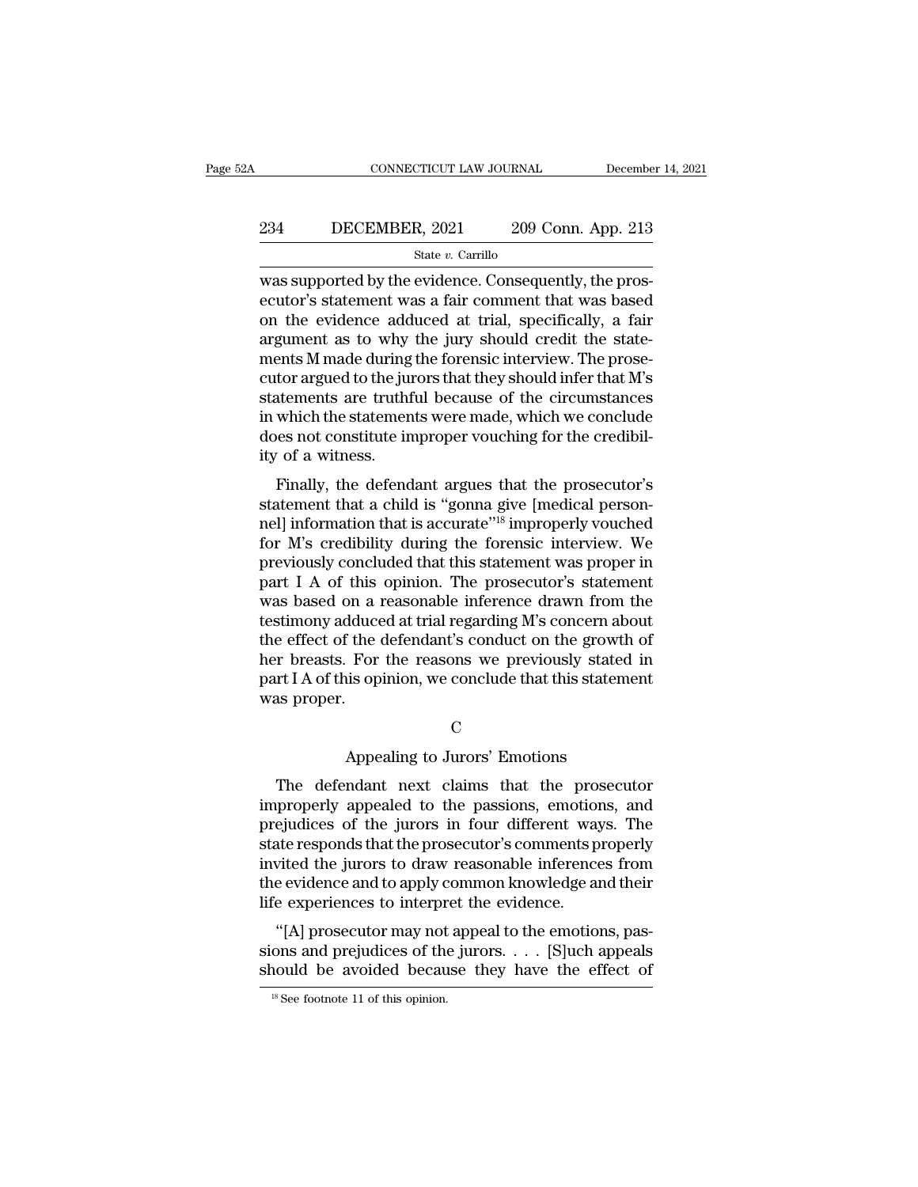# CONNECTICUT LAW JOURNAL December 14, 2021<br>234 DECEMBER, 2021 209 Conn. App. 213<br>5tate v. Carrillo

### State *v.* Carrillo

CONNECTICUT LAW JOURNAL December<br>
234 DECEMBER, 2021 209 Conn. App. 213<br>
31 State v. Carrillo<br>
209 Conn. App. 213<br>
209 Conn. App. 213<br>
213 State v. Carrillo<br>
213 State v. Consequently, the pros-<br>
213 State v. Consequently, 234 DECEMBER, 2021 209 Conn. App. 213<br>  $\frac{\text{State } v. \text{ Carrillo}}{\text{Was supported by the evidence. Consequently, the pros-  
ecutor's statement was a fair comment that was based  
on the evidence adduced at trial, specifically, a fair  
argument as to why the jury should credit the state$ 234 DECEMBER, 2021 209 Conn. App. 213<br>
State v. Carrillo<br>
was supported by the evidence. Consequently, the prosecutor's statement was a fair comment that was based<br>
on the evidence adduced at trial, specifically, a fair<br> 234 DECEMBER, 2021 209 Conn. App. 213<br>  $\frac{\text{State } v. \text{ Carrillo}}{\text{was supported by the evidence. Consequently, the pros-  
eccutor's statement was a fair comment that was based  
on the evidence adduced at trial, specifically, a fair  
argument as to why the jury should credit the state-  
ments M made during the forensic interview. The prose-  
cutor argued to the inverse that they should infer that M's$ State v. Carrillo<br>State v. Carrillo<br>was supported by the evidence. Consequently, the pros-<br>ecutor's statement was a fair comment that was based<br>on the evidence adduced at trial, specifically, a fair<br>argument as to why the state  $v$ . Carnilo<br>was supported by the evidence. Consequently, the pros-<br>ecutor's statement was a fair comment that was based<br>on the evidence adduced at trial, specifically, a fair<br>argument as to why the jury should cred was supported by the evidence. Consequently, the prosecutor's statement was a fair comment that was based<br>on the evidence adduced at trial, specifically, a fair<br>argument as to why the jury should credit the state-<br>ments M ecutor's statement was a fair comment that was based<br>on the evidence adduced at trial, specifically, a fair<br>argument as to why the jury should credit the state-<br>ments M made during the forensic interview. The prose-<br>cutor on the evidence adduced at trial, specifically, a fair argument as to why the jury should credit the statements M made during the forensic interview. The prosecutor argued to the jurors that they should infer that M's stat argument as to why<br>ments M made during<br>cutor argued to the jui<br>statements are truth<br>in which the statemen<br>does not constitute in<br>ity of a witness.<br>Finally, the defend Finally, the defendant argues that the prosecutor's attements are truthful because of the circumstances<br>which the statements were made, which we conclude<br>es not constitute improper vouching for the credibil-<br>of a witness.<br> cator argued to the jurors that they should inter that  $M$  is statements are truthful because of the circumstances<br>in which the statements were made, which we conclude<br>does not constitute improper vouching for the credibil

statements are truth because of the chromistances<br>in which the statements were made, which we conclude<br>does not constitute improper vouching for the credibil-<br>ity of a witness.<br>Finally, the defendant argues that the prosec for M's credibility of a witness.<br>
Finally, the defendant argues that the prosecutor's<br>
statement that a child is "gonna give [medical person-<br>
nel] information that is accurate"<sup>18</sup> improperly vouched<br>
for M's credibilit ity of a witness.<br>
Finally, the defendant argues that the prosecutor's<br>
statement that a child is "gonna give [medical person-<br>
nel] information that is accurate"<sup>18</sup> improperly vouched<br>
for M's credibility during the fore Finally, the defendant argues that the prosecutor's<br>statement that a child is "gonna give [medical person-<br>nel] information that is accurate"<sup>18</sup> improperly vouched<br>for M's credibility during the forensic interview. We<br>pr Finally, the defendant argues that the prosecutor's<br>statement that a child is "gonna give [medical person-<br>nel] information that is accurate"<sup>18</sup> improperly vouched<br>for M's credibility during the forensic interview. We<br>pre statement that a child is "gonna give [medical person-<br>nel] information that is accurate"<sup>18</sup> improperly vouched<br>for M's credibility during the forensic interview. We<br>previously concluded that this statement was proper in<br> nell information that is accurate"<sup>18</sup> improperly vouched<br>for M's credibility during the forensic interview. We<br>previously concluded that this statement was proper in<br>part I A of this opinion. The prosecutor's statement<br>wa for M's credibility during the forensic interview. We<br>previously concluded that this statement was proper in<br>part I A of this opinion. The prosecutor's statement<br>was based on a reasonable inference drawn from the<br>testimony previously concluded that this statement was proper in<br>part I A of this opinion. The prosecutor's statement<br>was based on a reasonable inference drawn from the<br>testimony adduced at trial regarding M's concern about<br>the effe part I A of this<br>was based on a i<br>testimony adduce<br>the effect of the<br>her breasts. For<br>part I A of this op<br>was proper. For the reasons we previously stated<br>For the reasons we previously stated<br>is opinion, we conclude that this statement<br>C<br>Appealing to Jurors' Emotions<br>ndant next claims that the prosecu

C<sub>c</sub>

The defendant next claims that this statement<br>The defendant next claims that the prosecutor<br>properly appealed to the passions, emotions, and<br>oudices of the jurors in four different ways. The part I A of this opinion, we conclude that this statement<br>was proper.<br>C<br>The defendant next claims that the prosecutor<br>improperly appealed to the passions, emotions, and<br>prejudices of the jurors in four different ways. The<br> C<br>
Appealing to Jurors' Emotions<br>
The defendant next claims that the prosecutor<br>
improperly appealed to the passions, emotions, and<br>
prejudices of the jurors in four different ways. The<br>
state responds that the prosecutor' C<br>
State of the property appealing to Jurors' Emotions<br>
The defendant next claims that the prosecutor<br>
improperly appealed to the passions, emotions, and<br>
prejudices of the jurors in four different ways. The<br>
state respond Appealing to Jurors' Emotions<br>
The defendant next claims that the prosecutor<br>
improperly appealed to the passions, emotions, and<br>
prejudices of the jurors in four different ways. The<br>
state responds that the prosecutor's c Appeamig to Jurors Emotions<br>The defendant next claims that the prosecutor<br>improperly appealed to the passions, emotions, and<br>prejudices of the jurors in four different ways. The<br>state responds that the prosecutor's comment The defendant next claims that the prosimproperly appealed to the passions, emotion<br>prejudices of the jurors in four different way<br>state responds that the prosecutor's comments p<br>invited the jurors to draw reasonable infer ejudices of the jurors in four different ways. The<br>ejudices of the jurors in four different ways. The<br>ate responds that the prosecutor's comments properly<br>vited the jurors to draw reasonable inferences from<br>e evidence and prejudices of the jurors in four different ways. The<br>state responds that the prosecutor's comments properly<br>invited the jurors to draw reasonable inferences from<br>the evidence and to apply common knowledge and their<br>life ex state responds that the prosecutor's comments property<br>invited the jurors to draw reasonable inferences from<br>the evidence and to apply common knowledge and their<br>life experiences to interpret the evidence.<br>"[A] prosecutor

life experiences to interpret the evidence.<br>
"[A] prosecutor may not appeal to the emotions, passions and prejudices of the jurors. . . . [S]uch appeals should be avoided because they have the effect of  $\frac{18 \text{ See footnote } 11 \text{$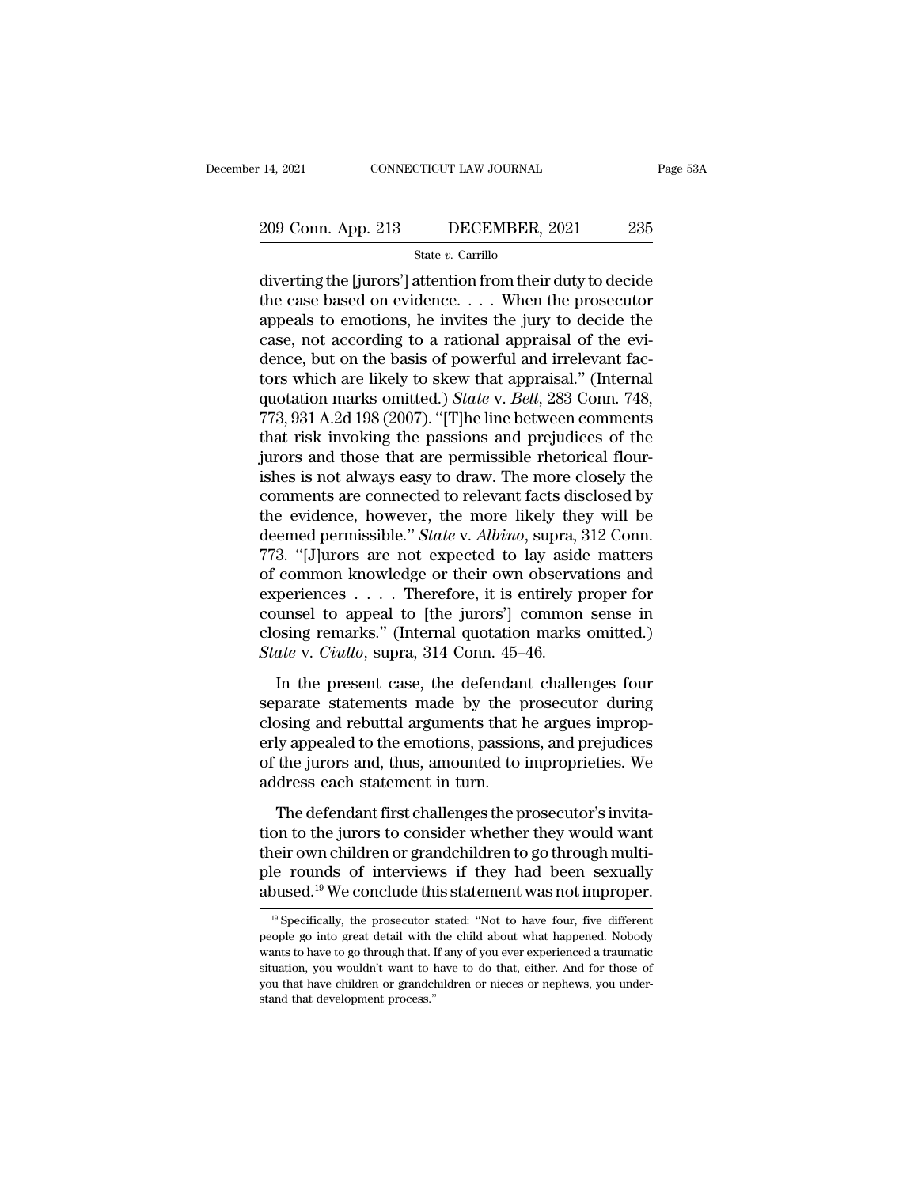# 14, 2021 CONNECTICUT LAW JOURNAL Page 53A<br>209 Conn. App. 213 DECEMBER, 2021 235<br>State v. Carrillo

State *v.* Carrillo

14, 2021 CONNECTICUT LAW JOURNAL Page 53A<br>
209 Conn. App. 213 DECEMBER, 2021 235<br>  $\frac{\text{State } v. \text{ Carrillo}}{\text{diverting the [juros'] attention from their duty to decide}}$ the case based on evidence.... When the prosecutor 209 Conn. App. 213 DECEMBER, 2021 235<br>
State v. Carrillo<br>
diverting the [jurors'] attention from their duty to decide<br>
the case based on evidence. . . . When the prosecutor<br>
appeals to emotions, he invites the jury to deci 209 Conn. App. 213 DECEMBER, 2021 235<br>
State v. Carrillo<br>
diverting the [jurors'] attention from their duty to decide<br>
the case based on evidence. . . . When the prosecutor<br>
appeals to emotions, he invites the jury to dec 209 Conn. App. 213 DECEMBER, 2021 235<br>
State v. Carrillo<br>
diverting the [jurors'] attention from their duty to decide<br>
the case based on evidence. . . . When the prosecutor<br>
appeals to emotions, he invites the jury to dec State v. Carrillo<br>State v. Carrillo<br>diverting the [jurors'] attention from their duty to decide<br>the case based on evidence. . . . When the prosecutor<br>appeals to emotions, he invites the jury to decide the<br>case, not accord state v. Carrillo<br>diverting the [jurors'] attention from their duty to decide<br>the case based on evidence. . . . When the prosecutor<br>appeals to emotions, he invites the jury to decide the<br>case, not according to a rational diverting the [jurors'] attention from their duty to decide<br>the case based on evidence. . . . When the prosecutor<br>appeals to emotions, he invites the jury to decide the<br>case, not according to a rational appraisal of the ev the case based on evidence. . . . . When the prosecutor appeals to emotions, he invites the jury to decide the case, not according to a rational appraisal of the evidence, but on the basis of powerful and irrelevant facto appeals to emotions, he invites the jury to decide the case, not according to a rational appraisal of the evidence, but on the basis of powerful and irrelevant factors which are likely to skew that appraisal." (Internal q case, not according to a rational appraisal of the evidence, but on the basis of powerful and irrelevant factors which are likely to skew that appraisal." (Internal quotation marks omitted.) *State* v. *Bell*, 283 Conn. 74 dence, but on the basis of powerful and irrelevant factors which are likely to skew that appraisal." (Internal<br>quotation marks omitted.) *State* v. *Bell*, 283 Conn. 748,<br>773, 931 A.2d 198 (2007). "[T]he line between comme tors which are likely to skew that appraisal." (Internal quotation marks omitted.) *State* v. *Bell*, 283 Conn. 748, 773, 931 A.2d 198 (2007). "[T]he line between comments that risk invoking the passions and prejudices of quotation marks omitted.) *State* v. *Bell*, 283 Conn. 748,<br>773, 931 A.2d 198 (2007). "[T]he line between comments<br>that risk invoking the passions and prejudices of the<br>jurors and those that are permissible rhetorical flou 773, 931 A.2d 198 (2007). "[T]he line between comments<br>that risk invoking the passions and prejudices of the<br>jurors and those that are permissible rhetorical flour-<br>ishes is not always easy to draw. The more closely the<br>co that risk invoking the passions and prejudices of the<br>jurors and those that are permissible rhetorical flour-<br>ishes is not always easy to draw. The more closely the<br>comments are connected to relevant facts disclosed by<br>the jurors and those that are permissible rhetorical flourishes is not always easy to draw. The more closely the comments are connected to relevant facts disclosed by the evidence, however, the more likely they will be deemed ishes is not always easy to draw. The more closely the comments are connected to relevant facts disclosed by the evidence, however, the more likely they will be deemed permissible." *State* v. *Albino*, supra, 312 Conn. 7 comments are connected to relevant facts disclosed by<br>the evidence, however, the more likely they will be<br>deemed permissible." *State* v. *Albino*, supra, 312 Conn.<br>773. "[J]urors are not expected to lay aside matters<br>of c the evidence, however, the more likely they will be<br>deemed permissible." *State* v. *Albino*, supra, 312 Conn.<br>773. "[J]urors are not expected to lay aside matters<br>of common knowledge or their own observations and<br>experien deemed permissible." *State* v. *Albino*, supra, 312 Conn. 773. "[J]urors are not expected to lay aside matters of common knowledge or their own observations and experiences . . . . Therefore, it is entirely proper for cou For express the rest englested to they distribute common knowledge or their own observations and periences  $\ldots$ . Therefore, it is entirely proper for unsel to appeal to [the jurors'] common sense in posing remarks." (Int experiences  $\dots$ . Therefore, it is entirely proper for<br>counsel to appeal to [the jurors'] common sense in<br>closing remarks." (Internal quotation marks omitted.)<br>*State* v. *Ciullo*, supra, 314 Conn. 45–46.<br>In the present c

closing remarks." (Internal quotation marks omitted.)<br> *State* v. *Ciullo*, supra, 314 Conn. 45–46.<br>
In the present case, the defendant challenges four<br>
separate statements made by the prosecutor during<br>
closing and rebutt eraliser to appeal to the galactic prominent sense in<br>closing remarks." (Internal quotation marks omitted.)<br>State v. Ciullo, supra, 314 Conn. 45–46.<br>In the present case, the defendant challenges four<br>separate statements ma State v. *Ciullo*, supra, 314 Conn. 45–46.<br>In the present case, the defendant challenges four separate statements made by the prosecutor during closing and rebuttal arguments that he argues improperly appealed to the emot In the present case, the defendan<br>separate statements made by the p<br>closing and rebuttal arguments that h<br>erly appealed to the emotions, passion<br>of the jurors and, thus, amounted to i<br>address each statement in turn.<br>The de The defendant first challenges the prosecutor during<br>parate statements made by the prosecutor during<br>osing and rebuttal arguments that he argues improp-<br>ly appealed to the emotions, passions, and prejudices<br>the jurors and, the gradient state when the procedure anti-g<br>closing and rebuttal arguments that he argues improp-<br>erly appealed to the emotions, passions, and prejudices<br>of the jurors and, thus, amounted to improprieties. We<br>address eac

the intervalse and the setting and the setting and the sugare inproperty appealed to the emotions, passions, and prejudices of the jurors and, thus, amounted to improprieties. We address each statement in turn.<br>The defend ple for the jurors and, thus, amounted to improprieties. We address each statement in turn.<br>The defendant first challenges the prosecutor's invitation to the jurors to consider whether they would want their own children or address each statement in turn.<br>The defendant first challenges the prosecutor's invita-<br>tion to the jurors to consider whether they would want<br>their own children or grandchildren to go through multi-<br>ple rounds of intervi on to the jurors to consider whether they would want<br>leir own children or grandchildren to go through multi-<br>le rounds of interviews if they had been sexually<br>pused.<sup>19</sup> We conclude this statement was not improper.<br><sup>19</sup> Sp their own children or grandchildren to go through multi-<br>ple rounds of interviews if they had been sexually<br>abused.<sup>19</sup> We conclude this statement was not improper.<br> $\frac{19}{19}$  Specifically, the prosecutor stated: "Not to

ple rounds of interviews if they had been sexually abused.<sup>19</sup> We conclude this statement was not improper.<br><sup>19</sup> Specifically, the prosecutor stated: "Not to have four, five different people go into great detail with the c shtmare. The conclude this statement was not improper.<br>
<sup>19</sup> Specifically, the prosecutor stated: "Not to have four, five different<br>
people go into great detail with the child about what happened. Nobody<br>
wants to have to <sup>19</sup> Specifically, the prosecutor stated: "Not to have four, five different people go into great detail with the child about what happened. Nobody wants to have to go through that. If any of you ever experienced a traumati  $\degree$  Specifically, the prosecutor speople go into great detail with vants to have to go through that. I situation, you wouldn't want to lyou that have children or grandch stand that development process."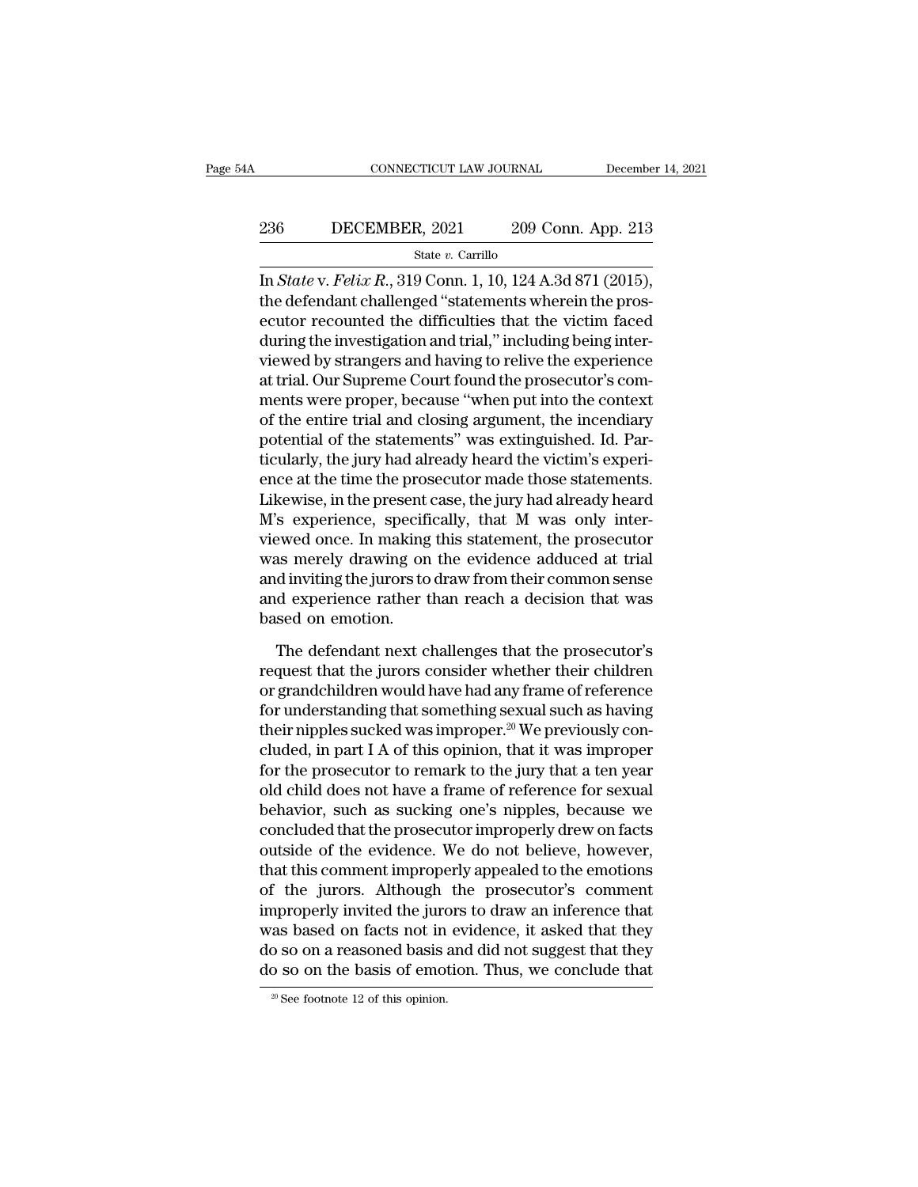# EXECUTE CONNECTICUT LAW JOURNAL December 14, 2021<br>236 DECEMBER, 2021 209 Conn. App. 213<br>236 State v. Carrillo

State *v.* Carrillo

CONNECTICUT LAW JOURNAL December 14, 2<br>
236 DECEMBER, 2021 209 Conn. App. 213<br>
<sup>31</sup> State *v*. Carrillo<br>
In *State* v. *Felix R*., 319 Conn. 1, 10, 124 A.3d 871 (2015),<br>
the defendant challenged "statements wherein the pro 236 DECEMBER, 2021 209 Conn. App. 213<br>
State v. Carrillo<br>
In *State* v. *Felix R.*, 319 Conn. 1, 10, 124 A.3d 871 (2015),<br>
the defendant challenged "statements wherein the pros-<br>
ecutor recounted the difficulties that the 236 DECEMBER, 2021 209 Conn. App. 213<br>
State v. Carrillo<br>
In *State* v. *Felix R.*, 319 Conn. 1, 10, 124 A.3d 871 (2015),<br>
the defendant challenged "statements wherein the prosecutor recounted the difficulties that the vi 236 DECEMBER, 2021 209 Conn. App. 213<br>  $\frac{\text{State } v. \text{ Carrillo}}{\ln State \text{ v.} Felix R., 319 \text{ Conn. } 1, 10, 124 \text{ A.}3d 871 (2015),}$ <br>
the defendant challenged "statements wherein the prosecutor recounted the difficulties that the victim faced<br> State v. Carrillo<br>In State v. Felix R., 319 Conn. 1, 10, 124 A.3d 871 (2015),<br>the defendant challenged "statements wherein the pros-<br>ecutor recounted the difficulties that the victim faced<br>during the investigation and tri siate v. Eelix R., 319 Conn. 1, 10, 124 A.3d 871 (2015),<br>the defendant challenged "statements wherein the pros-<br>ecutor recounted the difficulties that the victim faced<br>during the investigation and trial," including being In *State* v. *Felix R.*, 319 Conn. 1, 10, 124 A.3d 871 (2015),<br>the defendant challenged "statements wherein the pros-<br>ecutor recounted the difficulties that the victim faced<br>during the investigation and trial," including the defendant challenged "statements wherein the prosecutor recounted the difficulties that the victim faced<br>during the investigation and trial," including being inter-<br>viewed by strangers and having to relive the experien ecutor recounted the difficulties that the victim faced<br>during the investigation and trial," including being inter-<br>viewed by strangers and having to relive the experience<br>at trial. Our Supreme Court found the prosecutor's during the investigation and trial," including being inter-<br>viewed by strangers and having to relive the experience<br>at trial. Our Supreme Court found the prosecutor's com-<br>ments were proper, because "when put into the cont viewed by strangers and having to relive the experience<br>at trial. Our Supreme Court found the prosecutor's com-<br>ments were proper, because "when put into the context<br>of the entire trial and closing argument, the incendiary at trial. Our Supreme Court found the prosecutor's comments were proper, because "when put into the context<br>of the entire trial and closing argument, the incendiary<br>potential of the statements" was extinguished. Id. Par-<br>t ments were proper, because "when put into the context<br>of the entire trial and closing argument, the incendiary<br>potential of the statements" was extinguished. Id. Par-<br>ticularly, the jury had already heard the victim's expe of the entire trial and closing argument, the incendiary<br>potential of the statements" was extinguished. Id. Par-<br>ticularly, the jury had already heard the victim's experi-<br>ence at the time the prosecutor made those stateme potential of the statements" was extinguished. Id. Particularly, the jury had already heard the victim's experience at the time the prosecutor made those statements.<br>Likewise, in the present case, the jury had already hear ticularly, the jury had already heard the victim's experi-<br>ence at the time the prosecutor made those statements.<br>Likewise, in the present case, the jury had already heard<br>M's experience, specifically, that M was only inte ence at the time the prosecutor made those statements.<br>Likewise, in the present case, the jury had already heard M's experience, specifically, that M was only inter-<br>viewed once. In making this statement, the prosecutor<br>wa Likewise, in the present<br>M's experience, specifi<br>viewed once. In making<br>was merely drawing on<br>and inviting the jurors to<br>and experience rather t<br>based on emotion.<br>The defendant next c Example 18 and the procedure and the prosecutor<br>the prosecutor as merely drawing on the evidence adduced at trial<br>d inviting the jurors to draw from their common sense<br>d experience rather than reach a decision that was<br>sed was merely drawing on the evidence adduced at trial<br>and inviting the jurors to draw from their common sense<br>and experience rather than reach a decision that was<br>based on emotion.<br>The defendant next challenges that the pros

and inviting the jurors to draw from their common sense<br>and experience rather than reach a decision that was<br>based on emotion.<br>The defendant next challenges that the prosecutor's<br>request that the jurors consider whether th and experience rather than reach a decision that was<br>based on emotion.<br>The defendant next challenges that the prosecutor's<br>request that the jurors consider whether their children<br>or grandchildren would have had any frame based on emotion.<br>The defendant next challenges that the prosecutor's<br>request that the jurors consider whether their children<br>or grandchildren would have had any frame of reference<br>for understanding that something sexual The defendant next challenges that the prosecutor's<br>request that the jurors consider whether their children<br>or grandchildren would have had any frame of reference<br>for understanding that something sexual such as having<br>thei The defendant next challenges that the prosecutor's<br>request that the jurors consider whether their children<br>or grandchildren would have had any frame of reference<br>for understanding that something sexual such as having<br>thei request that the jurors consider whether their children<br>or grandchildren would have had any frame of reference<br>for understanding that something sexual such as having<br>their nipples sucked was improper.<sup>20</sup> We previously con or grandchildren would have had any frame of reference<br>for understanding that something sexual such as having<br>their nipples sucked was improper.<sup>20</sup> We previously con-<br>cluded, in part I A of this opinion, that it was impro for understanding that something sexual such as having<br>their nipples sucked was improper.<sup>20</sup> We previously con-<br>cluded, in part I A of this opinion, that it was improper<br>for the prosecutor to remark to the jury that a ten their nipples sucked was improper.<sup>20</sup> We previously concluded, in part I A of this opinion, that it was improper<br>for the prosecutor to remark to the jury that a ten year<br>old child does not have a frame of reference for se cluded, in part I A of this opinion, that it was improper<br>for the prosecutor to remark to the jury that a ten year<br>old child does not have a frame of reference for sexual<br>behavior, such as sucking one's nipples, because we for the prosecutor to remark to the jury that a ten year<br>old child does not have a frame of reference for sexual<br>behavior, such as sucking one's nipples, because we<br>concluded that the prosecutor improperly drew on facts<br>ou old child does not have a frame of reference for sexual<br>behavior, such as sucking one's nipples, because we<br>concluded that the prosecutor improperly drew on facts<br>outside of the evidence. We do not believe, however,<br>that t behavior, such as sucking one's nipples, because we<br>concluded that the prosecutor improperly drew on facts<br>outside of the evidence. We do not believe, however,<br>that this comment improperly appealed to the emotions<br>of the j concluded that the prosecutor improperly drew on facts<br>outside of the evidence. We do not believe, however,<br>that this comment improperly appealed to the emotions<br>of the jurors. Although the prosecutor's comment<br>improperly outside of the evidence. We do not believe, however,<br>that this comment improperly appealed to the emotions<br>of the jurors. Although the prosecutor's comment<br>improperly invited the jurors to draw an inference that<br>was based improperly invited the jurors to draw an inference that<br>was based on facts not in evidence, it asked that they<br>do so on a reasoned basis and did not suggest that they<br>do so on the basis of emotion. Thus, we conclude that<br>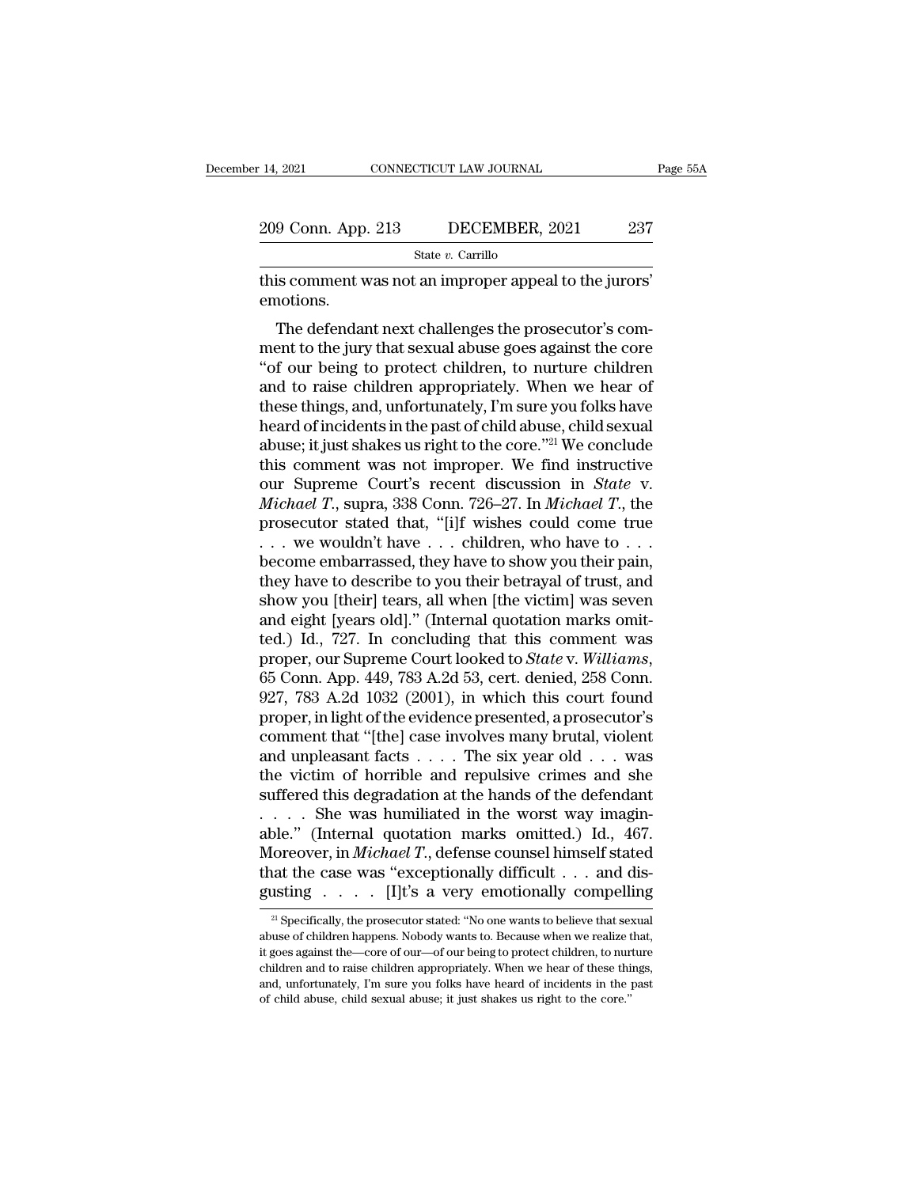| : 14, 2021         | CONNECTICUT LAW JOURNAL | Page 55A |
|--------------------|-------------------------|----------|
| 209 Conn. App. 213 | DECEMBER, 2021          | 237      |
|                    | State $v$ . Carrillo    |          |

14, 2021 CONNECTICUT LAW JOURNAL Page<br>
209 Conn. App. 213 DECEMBER, 2021 237<br>
State v. Carrillo<br>
this comment was not an improper appeal to the jurors'<br>
emotions. emotions.

 $\frac{9 \text{ Conn. App. 213}}{\text{State } v. \text{ Carillo}}$ <br>State  $v. \text{Carillo}}$ <br>State  $v. \text{Carillo}}$ <br>State  $v. \text{Carillo}}$ <br>State  $v. \text{Carillo}}$ <br>The defendant next challenges the prosecutor's com-<br>ent to the jury that sexual abuse goes against the core<br>of our boing 209 Conn. App. 213 DECEMBER, 2021 237<br>
State v. Carrillo<br>
this comment was not an improper appeal to the jurors'<br>
emotions.<br>
The defendant next challenges the prosecutor's comment to the jury that sexual abuse goes agains State  $v$ . Carrillo<br>
this comment was not an improper appeal to the jurors'<br>
emotions.<br>
The defendant next challenges the prosecutor's com-<br>
ment to the jury that sexual abuse goes against the core<br>
"of our being to prote this comment was not an improper appeal to the jurors'<br>emotions.<br>The defendant next challenges the prosecutor's comment to the jury that sexual abuse goes against the core<br>"of our being to protect children, to nurture chil these things, and, and the past of child abuse, thild sexual abuse for the jury that sexual abuse goes against the core "of our being to protect children, to nurture children and to raise children appropriately. When we he The defendant next challenges the prosecutor's comment to the jury that sexual abuse goes against the core "of our being to protect children, to nurture children and to raise children appropriately. When we hear of these The defendant next challenges the prosecutor's comment to the jury that sexual abuse goes against the core "of our being to protect children, to nurture children and to raise children appropriately. When we hear of these t ment to the jury that sexual abuse goes against the core<br>
"of our being to protect children, to nurture children<br>
and to raise children appropriately. When we hear of<br>
these things, and, unfortunately, I'm sure you folks "of our being to protect children, to nurture children<br>and to raise children appropriately. When we hear of<br>these things, and, unfortunately, I'm sure you folks have<br>heard of incidents in the past of child abuse, child sex and to raise children appropriately. When we hear of<br>these things, and, unfortunately, I'm sure you folks have<br>heard of incidents in the past of child abuse, child sexual<br>abuse; it just shakes us right to the core."<sup>21</sup> We these things, and, unfortunately, I'm sure you folks have<br>heard of incidents in the past of child abuse, child sexual<br>abuse; it just shakes us right to the core."<sup>21</sup> We conclude<br>this comment was not improper. We find ins heard of incidents in the past of child abuse, child sexual<br>abuse; it just shakes us right to the core."<sup>21</sup> We conclude<br>this comment was not improper. We find instructive<br>our Supreme Court's recent discussion in *State* abuse; it just shakes us right to the core."<sup>21</sup> We conclude<br>this comment was not improper. We find instructive<br>our Supreme Court's recent discussion in *State* v.<br>*Michael T.*, supra, 338 Conn. 726–27. In *Michael T.*, t this comment was not improper. We find instructive<br>our Supreme Court's recent discussion in *State* v.<br>*Michael T.*, supra, 338 Conn. 726–27. In *Michael T.*, the<br>prosecutor stated that, "[i]f wishes could come true<br> $\ldots$ our Supreme Court's recent discussion in *State* v.<br> *Michael T.*, supra, 338 Conn. 726–27. In *Michael T.*, the<br>
prosecutor stated that, "[i]f wishes could come true<br>  $\ldots$  we wouldn't have  $\ldots$  children, who have to  $\$ Michael T., supra, 338 Conn. 726–27. In Michael T., the prosecutor stated that, "[i]f wishes could come true . . . we wouldn't have . . . children, who have to . . . become embarrassed, they have to show you their pain, t prosecutor stated that, "[i]f wishes could come true<br>  $\ldots$  we wouldn't have  $\ldots$  children, who have to  $\ldots$ <br>
become embarrassed, they have to show you their pain,<br>
they have to describe to you their betrayal of trust, proper, our Supreme Court looked to *State* v. *Statemarra sed, they have to show you their pain,* they have to describe to you their betrayal of trust, and show you [their] tears, all when [the victim] was seven and eight they have to describe to you their betrayal of trust, and<br>show you [their] tears, all when [the victim] was seven<br>and eight [years old]." (Internal quotation marks omit-<br>ted.) Id., 727. In concluding that this comment was<br> show you [their] tears, all when [the victim] was seven<br>and eight [years old]." (Internal quotation marks omit-<br>ted.) Id., 727. In concluding that this comment was<br>proper, our Supreme Court looked to *State* v. Williams,<br>6 and eight [years old]." (Internal quotation marks omitted.) Id., 727. In concluding that this comment was<br>proper, our Supreme Court looked to *State* v. *Williams*,<br>65 Conn. App. 449, 783 A.2d 53, cert. denied, 258 Conn.<br>9 ted.) Id., 727. In concluding that this comment was<br>proper, our Supreme Court looked to *State* v. *Williams*,<br>65 Conn. App. 449, 783 A.2d 53, cert. denied, 258 Conn.<br>927, 783 A.2d 1032 (2001), in which this court found<br>pr proper, our Supreme Court looked to *State* v. *Williams*,<br>65 Conn. App. 449, 783 A.2d 53, cert. denied, 258 Conn.<br>927, 783 A.2d 1032 (2001), in which this court found<br>proper, in light of the evidence presented, a prosecu 65 Conn. App. 449, 783 A.2d 53, cert. denied, 258 Conn.<br>927, 783 A.2d 1032 (2001), in which this court found<br>proper, in light of the evidence presented, a prosecutor's<br>comment that "[the] case involves many brutal, violen 927, 783 A.2d 1032 (2001), in which this court found<br>proper, in light of the evidence presented, a prosecutor's<br>comment that "[the] case involves many brutal, violent<br>and unpleasant facts . . . . The six year old . . . wa proper, in light of the evidence presented, a prosecutor's<br>comment that "[the] case involves many brutal, violent<br>and unpleasant facts  $\dots$ . The six year old  $\dots$  was<br>the victim of horrible and repulsive crimes and she<br>su comment that "[the] case involves many brutal, violent<br>and unpleasant facts . . . . The six year old . . . was<br>the victim of horrible and repulsive crimes and she<br>suffered this degradation at the hands of the defendant<br>. . and unpleasant facts . . . . The six year old . . . was<br>the victim of horrible and repulsive crimes and she<br>suffered this degradation at the hands of the defendant<br>. . . . She was humiliated in the worst way imagin-<br>able. the victim of horrible and repulsive crimes and she<br>suffered this degradation at the hands of the defendant<br>......She was humiliated in the worst way imagin-<br>able." (Internal quotation marks omitted.) Id., 467.<br>Moreover, 21 Specifically, the prosecutor stated: ''No one wants to believe that sexual at the case was "exceptionally difficult . . . and dissisting . . . . . [I]t's a very emotionally compelling  $2^{21}$  Specifically, the prosecut Moreover, in *Michael T*., defense counsel himself stated<br>that the case was "exceptionally difficult . . . and disgusting . . . . . [I]t's a very emotionally compelling<br> $\frac{1}{2}$  Specifically, the prosecutor stated: "No o

that the case was "exceptionally difficult . . . and disgusting . . . . . [I]t's a very emotionally compelling  $\frac{1}{2}$  Specifically, the prosecutor stated: "No one wants to believe that sexual abuse of children happens. gusting  $\cdot \cdot \cdot \cdot$  [I]t's a very emotionally compelling  $\overline{a}$  and  $\overline{b}$  specifically, the prosecutor stated: "No one wants to believe that sexual abuse of children happens. Nobody wants to. Because when we realize t Example and  $\frac{1}{1!}$  is a very entiodionally compleming<br>
<sup>21</sup> Specifically, the prosecutor stated: "No one wants to believe that sexual<br>
abuse of children happens. Nobody wants to. Because when we realize that,<br>
it goes <sup>21</sup> Specifically, the prosecutor stated: "No one wants to believe that seabuse of children happens. Nobody wants to. Because when we realize it goes against the—core of our—of our being to protect children, to nur childr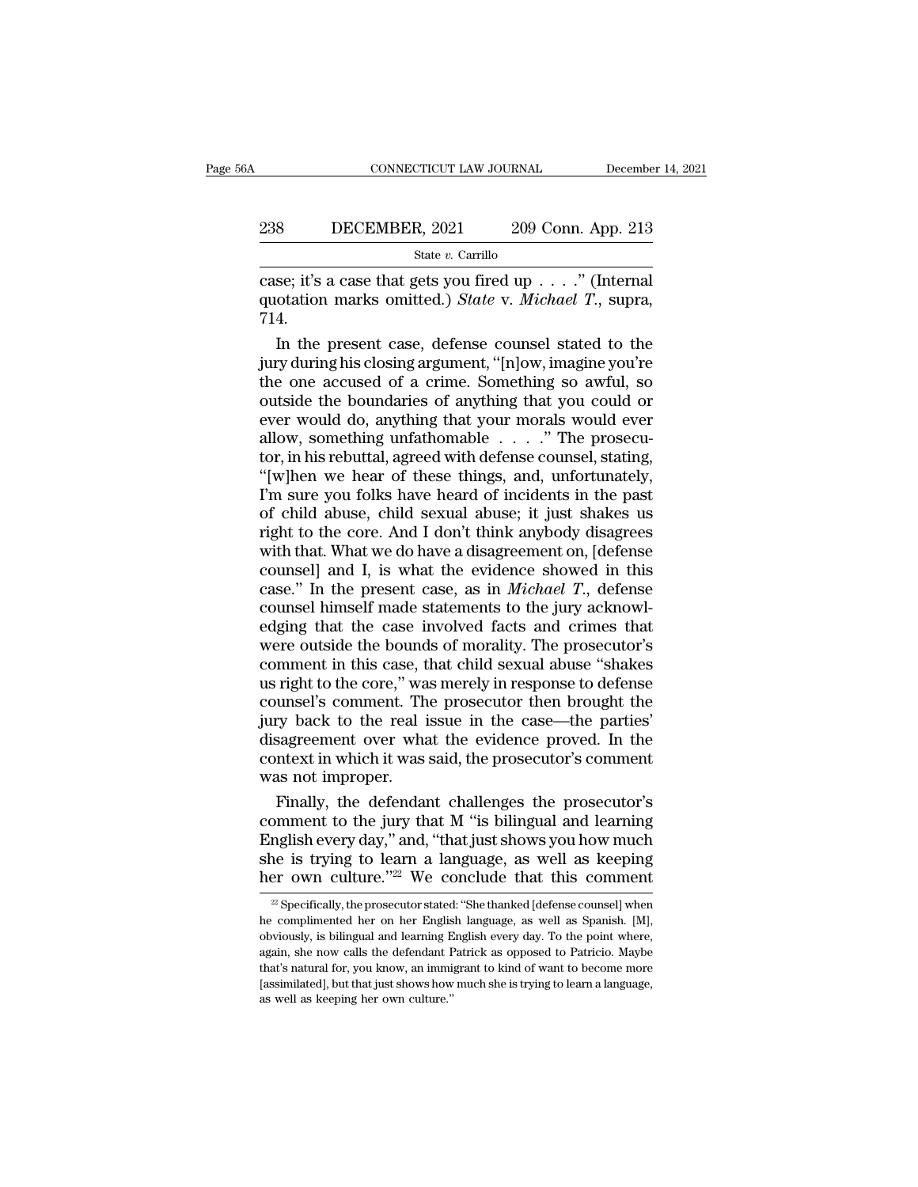# EXECUTE CONNECTICUT LAW JOURNAL December 14, 2021<br>238 DECEMBER, 2021 209 Conn. App. 213<br>238 State v. Carrillo

State *v.* Carrillo

CONNECTICUT LAW JOURNAL December 14, 20<br>
238 DECEMBER, 2021 209 Conn. App. 213<br>
<sup>313</sup><br>
<sup>213</sup><br>
209 Conn. App. 213<br>
209 Conn. App. 213<br>
213<br>
213<br>
213<br>
213<br>
214<br>
214<br>
214 238 DECEMBER, 2021 209 Conn. App. 213<br>
<sup>State v. Carrillo</sup><br>
case; it's a case that gets you fired up . . . ." (Internal<br>
quotation marks omitted.) *State* v. *Michael T.*, supra,<br>
714. 714. BECEMBER, 2021 209 Conn. App. 213<br>
State v. Carrillo<br>
Se; it's a case that gets you fired up . . . ." (Internal<br>
otation marks omitted.) *State* v. *Michael T.*, supra,<br>
4.<br>
In the present case, defense counsel stated to

State v. Carrillo<br>
State v. Carrillo<br>
case; it's a case that gets you fired up . . . ." (Internal<br>
quotation marks omitted.) *State* v. *Michael T.*, supra,<br>
714.<br>
In the present case, defense counsel stated to the<br>
jury Example 19 and the case; it's a case that gets you fired up  $\ldots$ ." (Internal quotation marks omitted.) *State v. Michael T.*, supra, 714.<br>In the present case, defense counsel stated to the jury during his closing argumen case; it's a case that gets you fired up . . . ." (Internal<br>quotation marks omitted.) *State* v. *Michael T.*, supra,<br>714.<br>In the present case, defense counsel stated to the<br>jury during his closing argument, "[n]ow, imagi quotation marks omitted.) *State* v. *Michael T.*, supra,<br>714.<br>In the present case, defense counsel stated to the<br>jury during his closing argument, "[n]ow, imagine you're<br>the one accused of a crime. Something so awful, so In the present case, defense counsel stated to the jury during his closing argument, "[n]ow, imagine you're the one accused of a crime. Something so awful, so outside the boundaries of anything that you could or ever woul In the present case, defense counsel stated to the<br>jury during his closing argument, "[n]ow, imagine you're<br>the one accused of a crime. Something so awful, so<br>outside the boundaries of anything that you could or<br>ever woul jury during his closing argument, "[n]ow, imagine you're<br>the one accused of a crime. Something so awful, so<br>outside the boundaries of anything that you could or<br>ever would do, anything that your morals would ever<br>allow, so the one accused of a crime. Something so awful, so<br>outside the boundaries of anything that you could or<br>ever would do, anything that your morals would ever<br>allow, something unfathomable . . . . " The prosecu-<br>tor, in his r outside the boundaries of anything that you could or<br>ever would do, anything that your morals would ever<br>allow, something unfathomable . . . . " The prosecu-<br>tor, in his rebuttal, agreed with defense counsel, stating,<br>"[w] ever would do, anything that your morals would ever<br>allow, something unfathomable  $\ldots$ ." The prosecu-<br>tor, in his rebuttal, agreed with defense counsel, stating,<br>"[w]hen we hear of these things, and, unfortunately,<br>I'm s allow, something unfathomable  $\ldots$  ." The prosecutor, in his rebuttal, agreed with defense counsel, stating, "[w]hen we hear of these things, and, unfortunately, I'm sure you folks have heard of incidents in the past of tor, in his rebuttal, agreed with defense counsel, stating,<br>"[w]hen we hear of these things, and, unfortunately,<br>I'm sure you folks have heard of incidents in the past<br>of child abuse, child sexual abuse; it just shakes us<br> "[w]hen we hear of these things, and, unfortunately,<br>I'm sure you folks have heard of incidents in the past<br>of child abuse, child sexual abuse; it just shakes us<br>right to the core. And I don't think anybody disagrees<br>with I'm sure you folks have heard of incidents in the past<br>of child abuse, child sexual abuse; it just shakes us<br>right to the core. And I don't think anybody disagrees<br>with that. What we do have a disagreement on, [defense<br>co of child abuse, child sexual abuse; it just shakes us<br>right to the core. And I don't think anybody disagrees<br>with that. What we do have a disagreement on, [defense<br>counsel] and I, is what the evidence showed in this<br>case. right to the core. And I don't think anybody disagrees<br>with that. What we do have a disagreement on, [defense<br>counsel] and I, is what the evidence showed in this<br>case." In the present case, as in *Michael T*., defense<br>coun with that. What we do have a disagreement on, [defense counsel] and I, is what the evidence showed in this case." In the present case, as in *Michael T*., defense counsel himself made statements to the jury acknowledging counsel] and I, is what the evidence showed in this<br>case." In the present case, as in *Michael T*., defense<br>counsel himself made statements to the jury acknowl-<br>edging that the case involved facts and crimes that<br>were outs case." In the present case, as in *Michael T*., defense<br>counsel himself made statements to the jury acknowl-<br>edging that the case involved facts and crimes that<br>were outside the bounds of morality. The prosecutor's<br>commen counsel himself made statements to the jury acknowledging that the case involved facts and crimes that were outside the bounds of morality. The prosecutor's comment in this case, that child sexual abuse "shakes us right to edging that the case involved facts and crimes that<br>were outside the bounds of morality. The prosecutor's<br>comment in this case, that child sexual abuse "shakes<br>us right to the core," was merely in response to defense<br>couns were outside the bounds of morality. The prosecutor's comment in this case, that child sexual abuse "shakes us right to the core," was merely in response to defense counsel's comment. The prosecutor then brought the jury b comment in this case, t<br>us right to the core," wa<br>counsel's comment. Th<br>jury back to the real i<br>disagreement over wha<br>context in which it was<br>was not improper.<br>Finally, the defendan right to the core," was merely in response to defense<br>unsel's comment. The prosecutor then brought the<br>ry back to the real issue in the case—the parties'<br>sagreement over what the evidence proved. In the<br>ntext in which it w counsel's comment. The prosecutor then brought the<br>jury back to the real issue in the case—the parties'<br>disagreement over what the evidence proved. In the<br>context in which it was said, the prosecutor's comment<br>was not impr

jury back to the real issue in the case—the parties'<br>disagreement over what the evidence proved. In the<br>context in which it was said, the prosecutor's comment<br>was not improper.<br>Finally, the defendant challenges the prosecu disagreement over what the evidence proved. In the<br>context in which it was said, the prosecutor's comment<br>was not improper.<br>Finally, the defendant challenges the prosecutor's<br>comment to the jury that M "is bilingual and le context in which it was said, the prosecutor's comment<br>was not improper.<br>Finally, the defendant challenges the prosecutor's<br>comment to the jury that M "is bilingual and learning<br>English every day," and, "that just shows y promment to the jury that M "is bilingual and learning<br>nglish every day," and, "that just shows you how much<br>ne is trying to learn a language, as well as keeping<br>er own culture."<sup>22</sup> We conclude that this comment<br><sup>22</sup> Spec English every day," and, "that just shows you how much she is trying to learn a language, as well as keeping her own culture."<sup>22</sup> We conclude that this comment  $\frac{1}{2}$  Specifically, the prosecutor stated: "She thanked

she is trying to learn a language, as well as keeping<br>her own culture."<sup>22</sup> We conclude that this comment<br> $\frac{1}{2}$  Specifically, the prosecutor stated: "She thanked [defense counsel] when<br>he complimented her on her Engli her own culture."<sup>22</sup> We conclude that this comment  $\frac{2}{2}$  Specifically, the prosecutor stated: "She thanked [defense counsel] when he complimented her on her English language, as well as Spanish. [M], obviously, is bi The CONCITE CONCITE TOWERT THE CONCITED THE TREE SERVICE THE SERVICE THE COMPLIMENT ARE complimented her on her English language, as well as Spanish. [M], obviously, is bilingual and learning English every day. To the poin  $\approx$  Specifically, the prosecutor stated: "She thanked [defense counsel] when<br>he complimented her on her English language, as well as Spanish. [M],<br>obviously, is bilingual and learning English every day. To the point wher he complimented her on her English language, as well as Spanish. [M], obviously, is bilingual and learning English every day. To the point where, again, she now calls the defendant Patrick as opposed to Patricio. Maybe tha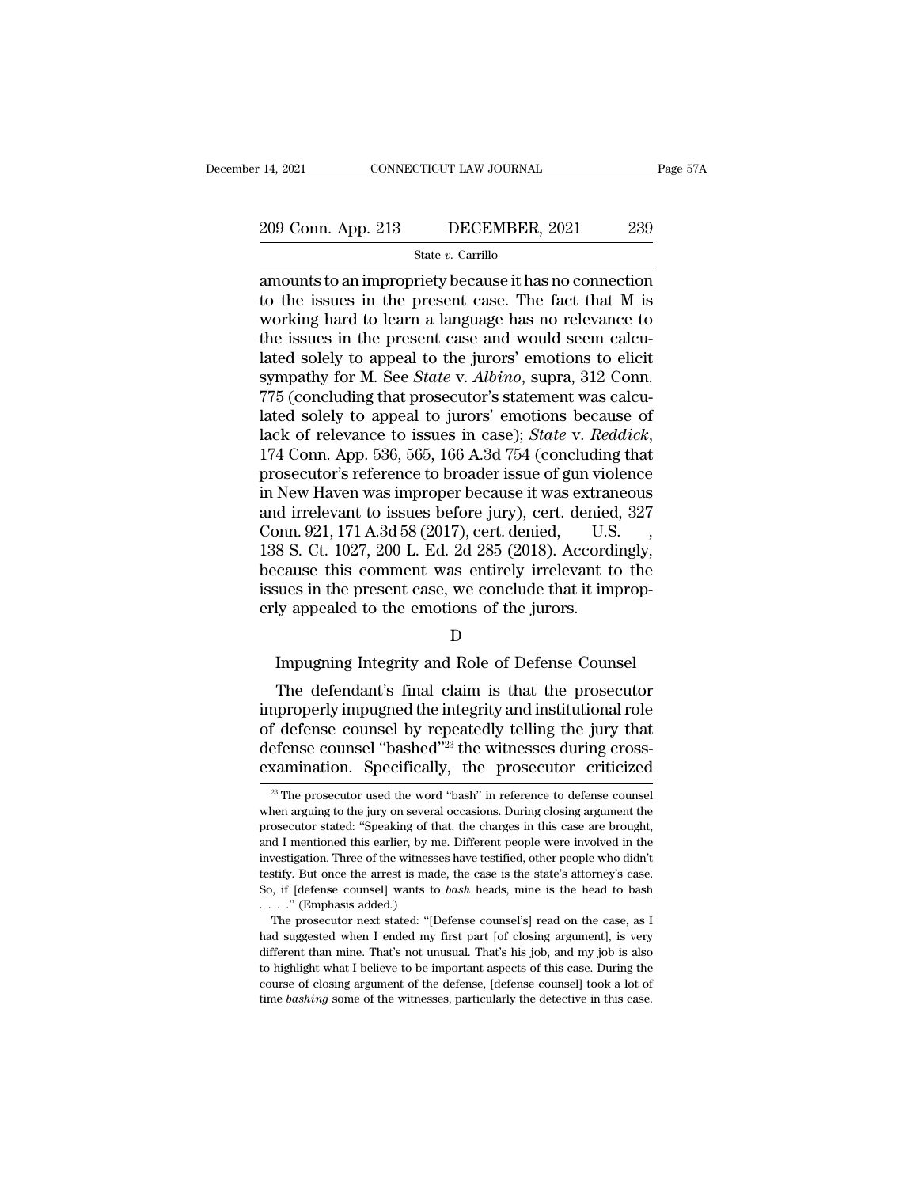# 14, 2021 CONNECTICUT LAW JOURNAL Page 57A<br>209 Conn. App. 213 DECEMBER, 2021 239<br>31 State v. Carrillo

### State *v.* Carrillo

209 Conn. App. 213 DECEMBER, 2021 239<br>
State v. Carrillo<br>
amounts to an impropriety because it has no connection<br>
to the issues in the present case. The fact that M is<br>
working bard to loar a language bas no relevance to 209 Conn. App. 213 DECEMBER, 2021 239<br>
State v. Carrillo<br>
amounts to an impropriety because it has no connection<br>
to the issues in the present case. The fact that M is<br>
working hard to learn a language has no relevance to 209 Conn. App. 213 DECEMBER, 2021 239<br>
State v. Carrillo<br>
amounts to an impropriety because it has no connection<br>
to the issues in the present case. The fact that M is<br>
working hard to learn a language has no relevance to 209 Conn. App. 213 DECEMBER, 2021 239<br>
State v. Carrillo<br>
amounts to an impropriety because it has no connection<br>
to the issues in the present case. The fact that M is<br>
working hard to learn a language has no relevance to Solely to an impropriety because it has no connection<br>amounts to an impropriety because it has no connection<br>to the issues in the present case. The fact that M is<br>working hard to learn a language has no relevance to<br>the i state *v*. Carrillo<br>amounts to an impropriety because it has no connection<br>to the issues in the present case. The fact that M is<br>working hard to learn a language has no relevance to<br>the issues in the present case and would amounts to an impropriety because it has no connection<br>to the issues in the present case. The fact that M is<br>working hard to learn a language has no relevance to<br>the issues in the present case and would seem calcu-<br>lated s to the issues in the present case. The fact that M is<br>working hard to learn a language has no relevance to<br>the issues in the present case and would seem calcu-<br>lated solely to appeal to the jurors' emotions to elicit<br>symp working hard to learn a language has no relevance to<br>the issues in the present case and would seem calcu-<br>lated solely to appeal to the jurors' emotions to elicit<br>sympathy for M. See *State* v. *Albino*, supra, 312 Conn.<br>7 lated solely to appeal to the jurors' emotions to elicit<br>sympathy for M. See *State* v. *Albino*, supra, 312 Conn.<br>775 (concluding that prosecutor's statement was calcu-<br>lated solely to appeal to jurors' emotions because o sympathy for M. See *State* v. *Albino*, supra, 312 Conn.<br>775 (concluding that prosecutor's statement was calculated solely to appeal to jurors' emotions because of<br>lack of relevance to issues in case); *State* v. *Reddick* 775 (concluding that prosecutor's statement was calculated solely to appeal to jurors' emotions because of lack of relevance to issues in case); *State* v. *Reddick*, 174 Conn. App. 536, 565, 166 A.3d 754 (concluding that lated solely to appeal to jurors' emotions because of<br>lack of relevance to issues in case); *State v. Reddick*,<br>174 Conn. App. 536, 565, 166 A.3d 754 (concluding that<br>prosecutor's reference to broader issue of gun violence lack of relevance to issues in case); *State v. Reddick*, 174 Conn. App. 536, 565, 166 A.3d 754 (concluding that prosecutor's reference to broader issue of gun violence in New Haven was improper because it was extraneous a 174 Conn. App. 536, 565, 166 A.3d 754 (concluding that<br>prosecutor's reference to broader issue of gun violence<br>in New Haven was improper because it was extraneous<br>and irrelevant to issues before jury), cert. denied,  $327$ prosecutor's reference to broader issue of gun violence<br>in New Haven was improper because it was extraneous<br>and irrelevant to issues before jury), cert. denied, 327<br>Conn. 921, 171 A.3d 58 (2017), cert. denied, U.S.<br>138 S. in New Haven was improper because it was extrar<br>and irrelevant to issues before jury), cert. denied<br>Conn. 921, 171 A.3d 58 (2017), cert. denied, U.S<br>138 S. Ct. 1027, 200 L. Ed. 2d 285 (2018). Accord<br>because this comment wa 8 S. Ct. 1027, 200 L. Ed. 2d 285 (2018). Accordingly,<br>cause this comment was entirely irrelevant to the<br>sues in the present case, we conclude that it improp-<br>ly appealed to the emotions of the jurors.<br>D<br>Impugning Integrit cause this comment was entirely irrelevant to the<br>sues in the present case, we conclude that it improp-<br>ly appealed to the emotions of the jurors.<br>D<br>Impugning Integrity and Role of Defense Counsel<br>The defendant's final cla

### D<sub>a</sub>

issues in the present case, we conclude that it improperly appealed to the emotions of the jurors.<br>
D<br>
Impugning Integrity and Role of Defense Counsel<br>
The defendant's final claim is that the prosecutor<br>
improperly impugn erly appealed to the emotions of the jurors.<br>
D<br>
Impugning Integrity and Role of Defense Counsel<br>
The defendant's final claim is that the prosecutor<br>
improperly impugned the integrity and institutional role<br>
of defense cou D<br>Impugning Integrity and Role of Defense Counsel<br>The defendant's final claim is that the prosecutor<br>improperly impugned the integrity and institutional role<br>of defense counsel by repeatedly telling the jury that<br>defense c Impugning Integrity and Role of Defense Counsel<br>The defendant's final claim is that the prosecutor<br>improperly impugned the integrity and institutional role<br>of defense counsel by repeatedly telling the jury that<br>defense cou nproperly impugned the integrity and institutional role<br>f defense counsel by repeatedly telling the jury that<br>efense counsel "bashed"<sup>23</sup> the witnesses during cross-<br>xamination. Specifically, the prosecutor criticized<br><sup>23</sup> of defense counsel by repeatedly telling the jury that<br>defense counsel "bashed"<sup>23</sup> the witnesses during cross-<br>examination. Specifically, the prosecutor criticized<br><sup>23</sup> The prosecutor used the word "bash" in reference to

defense counsel "bashed"<sup>23</sup> the witnesses during cross-<br>examination. Specifically, the prosecutor criticized<br><sup>28</sup> The prosecutor used the word "bash" in reference to defense counsel<br>when arguing to the jury on several occ **examination.** Specifically, the prosecutor criticized  $\overline{a}$  The prosecutor used the word "bash" in reference to defense counsel when arguing to the jury on several occasions. During closing argument the prosecutor sta EXAMILITALION. Specifically, the prosecutor criticized<br>
<sup>23</sup> The prosecutor used the word "bash" in reference to defense counsel<br>
when arguing to the jury on several occasions. During closing argument the<br>
prosecutor stat <sup>23</sup> The prosecutor used the word "bash" in reference to defense counsel<br>when arguing to the jury on several occasions. During closing argument the<br>prosecutor stated: "Speaking of that, the charges in this case are brough when arguing to the jury on several occasions. During closing argument the prosecutor stated: "Speaking of that, the charges in this case are brought, and I mentioned this earlier, by me. Different people were involved in prosecutor stated: "Speaking of the and I mentioned this earlier, by m<br>investigation. Three of the witness<br>testify. But once the arrest is mad<br>So, if [defense counsel] wants to<br>...." (Emphasis added.)<br>The prosecutor next s of I mentioned this earlier, by me. Different people were involved in the vestigation. Three of the witnesses have testified, other people who didn't stify. But once the arrest is made, the case is the state's attorney's investigation. Three of the witnesses have testified, other people who didn't testify. But once the arrest is made, the case is the state's attorney's case.<br>So, if [defense counsel] wants to *bash* heads, mine is the head

different than mine. That's not unusual. That's his job, and my job is also to highlight what I believe to be important aspects of this case. That is the prosecutor next stated: "[Defense counsel's] read on the case, as I So, if [defense counsel] wants to *bash* heads, mine is the base of all bash . . . ." (Emphasis added.) The prosecutor next stated: "[Defense counsel's] read on the case, as I had suggested when I ended my first part [of course of Chaplasis added.) The prosecutor next stated: "[Defense counsel's] read on the case, as I had suggested when I ended my first part [of closing argument], is very different than mine. That's not unusual. That's h The prosecutor next stated: "[Defense counsel's] read on the case, as I<br>had suggested when I ended my first part [of closing argument], is very<br>different than mine. That's not unusual. That's his job, and my job is also<br>to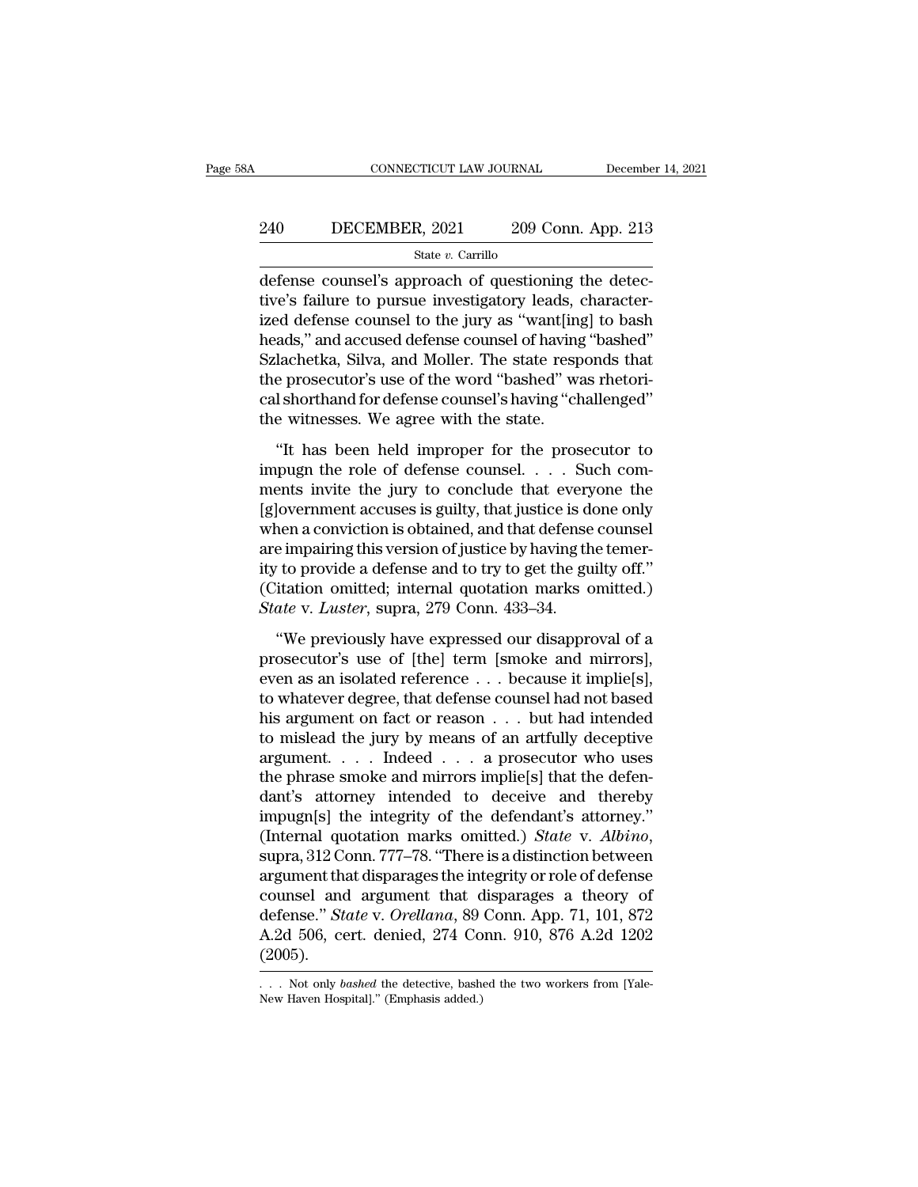# EXECUTE CONNECTICUT LAW JOURNAL December 14, 2021<br>240 DECEMBER, 2021 209 Conn. App. 213<br>31 State v. Carrillo

### State *v.* Carrillo

CONNECTICUT LAW JOURNAL December<br>
240 DECEMBER, 2021 209 Conn. App. 213<br>
5tate v. Carrillo<br>
defense counsel's approach of questioning the detec-<br>
tive's failure to pursue investigatory leads, character-<br>
ired defense couns 240 DECEMBER, 2021 209 Conn. App. 213<br>  $\frac{\text{State } v. \text{ Carrillo}}{\text{defense} \text{ course}! \text{'s approach of questioning the defective's failure to pursue investigating the defective's failure to pursue investigating a "want[ing] to bash  
heads," and caused defense, caused of hours of having "hashed"$ 240 DECEMBER, 2021 209 Conn. App. 213<br>  $\frac{\text{State } v. \text{ Carrillo}}{\text{defense} \text{ course}! \text{'s approach of questioning the defective's failure to pursue investigating the device}$ <br>
ized defense counsel to the jury as "want[ing] to bash<br>
heads," and accused defense counsel of having "bashed"<br>
Salachetics Silve and 240 DECEMBER, 2021 209 Conn. App. 213<br>  $\frac{\text{State } v. \text{ Carrillo}}{\text{defense} \text{ course}}$ <br>
defense counsel's approach of questioning the detec-<br>
tive's failure to pursue investigatory leads, character-<br>
ized defense counsel to the jury as "wa State *v*. Carrillo<br>
defense counsel's approach of questioning the detec-<br>
tive's failure to pursue investigatory leads, character-<br>
ized defense counsel to the jury as "want[ing] to bash<br>
heads," and accused defense coun state *v*. Carnilo<br>defense counsel's approach of questioning the detec-<br>tive's failure to pursue investigatory leads, character-<br>ized defense counsel to the jury as "want[ing] to bash<br>heads," and accused defense counsel o defense counsel's approach of questioning the detective's failure to pursue investigatory leads, characterized defense counsel to the jury as "want[ing] to bash heads," and accused defense counsel of having "bashed" Szlach tive's failure to pursue investigatory leads, ized defense counsel to the jury as "want[ing heads," and accused defense counsel of having Szlachetka, Silva, and Moller. The state resp the prosecutor's use of the word "bash Example 2021.821 to the jury as "Cample go Samed<br>
ads," and accused defense counsel of having "bashed"<br>
lachetka, Silva, and Moller. The state responds that<br>
e prosecutor's use of the word "bashed" was rhetori-<br>
I shorthan Szlachetka, Silva, and Moller. The state responds that<br>the prosecutor's use of the word "bashed" was rhetori-<br>cal shorthand for defense counsel's having "challenged"<br>the witnesses. We agree with the state.<br>"It has been hel

mentally, series, and month. The state response into<br>the prosecutor's use of the word "bashed" was rhetori-<br>cal shorthand for defense counsel's having "challenged"<br>the witnesses. We agree with the state.<br>"It has been held responses is guide to the total station that interest<br>cal shorthand for defense counsel's having "challenged"<br>the witnesses. We agree with the state.<br>"It has been held improper for the prosecutor to<br>impugn the role of defe when witnesses. We agree with the state.<br>
"It has been held improper for the prosecutor to<br>
impugn the role of defense counsel.... Such com-<br>
ments invite the jury to conclude that everyone the<br>
[g]overnment accuses is gui The interaction of the prosecutor to impugn the role of defense counsel.  $\ldots$  Such comments invite the jury to conclude that everyone the [g]overnment accuses is guilty, that justice is done only when a conviction is obt "It has been held improper for the prosecutor to<br>impugn the role of defense counsel.... Such com-<br>ments invite the jury to conclude that everyone the<br>[g]overnment accuses is guilty, that justice is done only<br>when a convic impugn the role of defense counsel. . . . Such comments invite the jury to conclude that everyone the [g]overnment accuses is guilty, that justice is done only when a conviction is obtained, and that defense counsel are i ments invite the jury to conclude that every<br>[g]overnment accuses is guilty, that justice is do<br>when a conviction is obtained, and that defense<br>are impairing this version of justice by having th<br>ity to provide a defense an The contribution is obtained, and that defense counsel<br>
in a conviction is obtained, and that defense counsel<br>
is preparing this version of justice by having the temer-<br>
itation omitted; internal quotation marks omitted.)<br> are impairing this version of justice by having the temer-<br>ity to provide a defense and to try to get the guilty off."<br>(Citation omitted; internal quotation marks omitted.)<br> $State$  v. *Luster*, supra, 279 Conn. 433–34.<br>"We pr

For the provide a defense and to try to get the guilty off."<br>
(Citation omitted; internal quotation marks omitted.)<br>
State v. Luster, supra, 279 Conn. 433–34.<br>
"We previously have expressed our disapproval of a<br>
prosecuto to previously internal quotation marks omitted.)<br>State v. Luster, supra, 279 Conn. 433–34.<br>
"We previously have expressed our disapproval of a<br>
prosecutor's use of [the] term [smoke and mirrors],<br>
even as an isolated refe State v. Luster, supra, 279 Conn. 433–34.<br>
"We previously have expressed our disapproval of a<br>
prosecutor's use of [the] term [smoke and mirrors],<br>
even as an isolated reference . . . because it implie[s],<br>
to whatever de "We previously have expressed our disapproval of a<br>prosecutor's use of [the] term [smoke and mirrors],<br>even as an isolated reference . . . because it implie[s],<br>to whatever degree, that defense counsel had not based<br>his a "We previously have expressed our disapproval of a<br>prosecutor's use of [the] term [smoke and mirrors],<br>even as an isolated reference . . . because it implie[s],<br>to whatever degree, that defense counsel had not based<br>his a prosecutor's use of [the] term [smoke and mirrors],<br>even as an isolated reference . . . because it implie[s],<br>to whatever degree, that defense counsel had not based<br>his argument on fact or reason . . . but had intended<br>to even as an isolated reference  $\dots$  because it implie[s],<br>to whatever degree, that defense counsel had not based<br>his argument on fact or reason  $\dots$  but had intended<br>to mislead the jury by means of an artfully deceptive<br>ar to whatever degree, that defense counsel had not based<br>his argument on fact or reason . . . but had intended<br>to mislead the jury by means of an artfully deceptive<br>argument. . . . . Indeed . . . a prosecutor who uses<br>the p his argument on fact or reason . . . but had intended<br>to mislead the jury by means of an artfully deceptive<br>argument. . . . Indeed . . . a prosecutor who uses<br>the phrase smoke and mirrors implie[s] that the defen-<br>dant's a argument. . . . Indeed . . . a prosecutor who uses<br>the phrase smoke and mirrors implie[s] that the defen-<br>dant's attorney intended to deceive and thereby<br>impugn[s] the integrity of the defendant's attorney."<br>(Internal quo the phrase smoke and mirrors implie[s] that the defendant's attorney intended to deceive and thereby<br>impugn[s] the integrity of the defendant's attorney."<br>(Internal quotation marks omitted.) *State* v. *Albino*,<br>supra, 31 dant's attorney intended to deceive and thereby<br>
impugn[s] the integrity of the defendant's attorney."<br>
(Internal quotation marks omitted.) *State* v. *Albino*,<br>
supra, 312 Conn. 777–78. "There is a distinction between<br>
ar impugn[s] the integrity of the defendant's attorney."<br>(Internal quotation marks omitted.) *State* v. *Albino*,<br>supra, 312 Conn. 777–78. "There is a distinction between<br>argument that disparages the integrity or role of defe (2005). counsel and argument that disparages a theory of defense." *State* v. *Orellana*, 89 Conn. App. 71, 101, 872 A.2d 506, cert. denied, 274 Conn. 910, 876 A.2d 1202 (2005).<br>... Not only *bashed* the detective, bashed the two A.2d 506, cert. denied, 274 Conn. 910, 876 A.2d 1202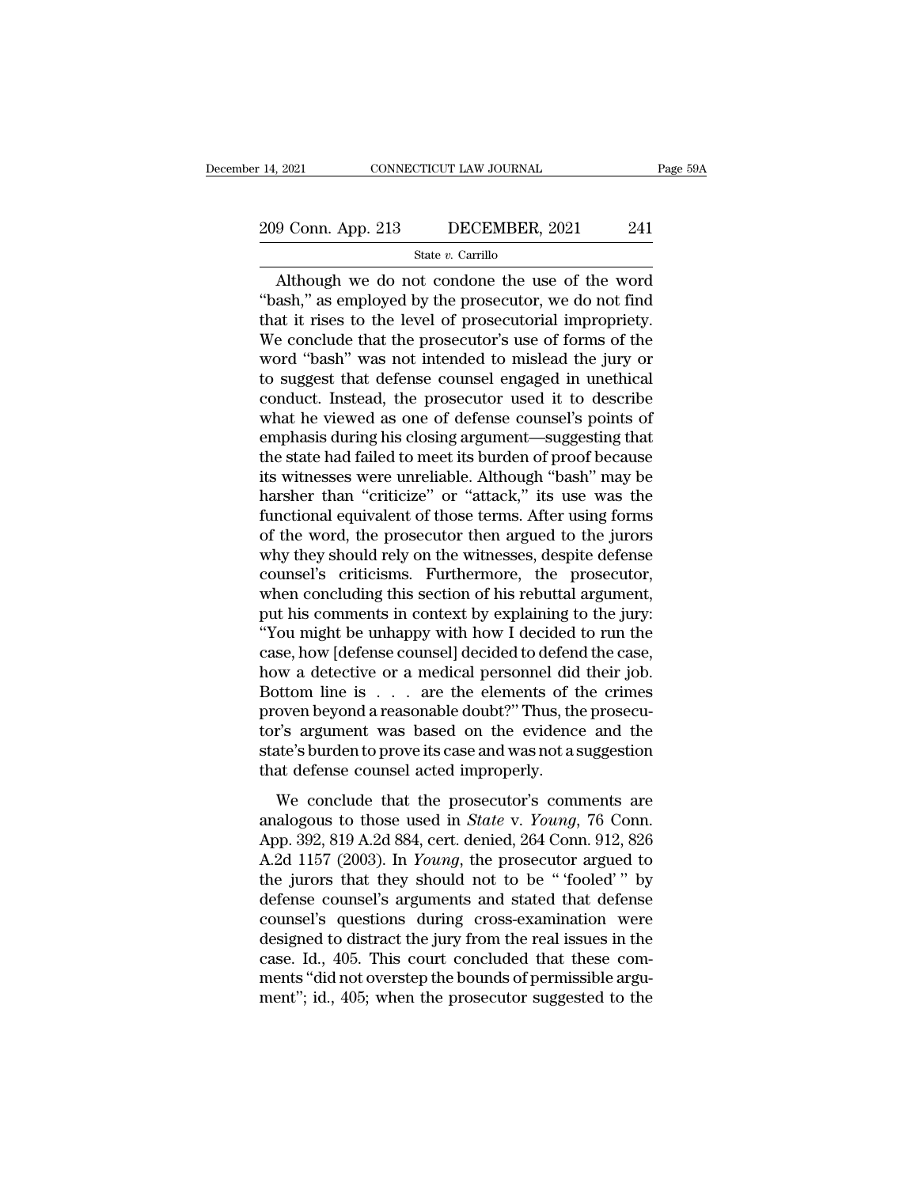# 14, 2021 CONNECTICUT LAW JOURNAL Page 59A<br>
209 Conn. App. 213 DECEMBER, 2021 241<br>
State v. Carrillo

### State *v.* Carrillo

 $\begin{array}{r|l}\n & \text{COMRECTICUT LAW JOURNAL} & \text{Page 59A} \\
\hline\n 9 \text{Conn. App. 213} & \text{DECEMBER, 2021} & \text{241} \\
 \hline\n \text{State } v. \text{Carrillo} & \text{Although we do not condone the use of the word} \n\text{ash," as employed by the processor, we do not find} \n at it rises to the level of presecutorial impronity. \n$ <sup>209</sup> Conn. App. 213 DECEMBER, 2021 241<br>
<sup>State v. Carrillo<br>
Although we do not condone the use of the word<br>
"bash," as employed by the prosecutor, we do not find<br>
that it rises to the level of prosecutorial impropriety.<br></sup> 209 Conn. App. 213 DECEMBER, 2021 241<br>
State v. Carrillo<br>
Although we do not condone the use of the word<br>
"bash," as employed by the prosecutor, we do not find<br>
that it rises to the level of prosecutorial impropriety.<br>
We 209 Conn. App. 213 DECEMBER, 2021 241<br>
State v. Carrillo<br>
Although we do not condone the use of the word<br>
"bash," as employed by the prosecutor, we do not find<br>
that it rises to the level of prosecutorial impropriety.<br>
We State v. Carrillo<br>State v. Carrillo<br>"bash," as employed by the prosecutor, we do not find<br>that it rises to the level of prosecutorial impropriety.<br>We conclude that the prosecutor's use of forms of the<br>word "bash" was not State v. Carrillo<br>
State v. Carrillo<br>
"bash," as employed by the prosecutor, we do not find<br>
that it rises to the level of prosecutorial impropriety.<br>
We conclude that the prosecutor's use of forms of the<br>
word "bash" was Although we do not condone the use of the word<br>"bash," as employed by the prosecutor, we do not find<br>that it rises to the level of prosecutorial impropriety.<br>We conclude that the prosecutor's use of forms of the<br>word "bash "bash," as employed by the prosecutor, we do not find<br>that it rises to the level of prosecutorial impropriety.<br>We conclude that the prosecutor's use of forms of the<br>word "bash" was not intended to mislead the jury or<br>to su that it rises to the level of prosecutorial impropriety.<br>We conclude that the prosecutor's use of forms of the<br>word "bash" was not intended to mislead the jury or<br>to suggest that defense counsel engaged in unethical<br>conduc We conclude that the prosecutor's use of forms of the<br>word "bash" was not intended to mislead the jury or<br>to suggest that defense counsel engaged in unethical<br>conduct. Instead, the prosecutor used it to describe<br>what he vi word "bash" was not intended to mislead the jury or<br>to suggest that defense counsel engaged in unethical<br>conduct. Instead, the prosecutor used it to describe<br>what he viewed as one of defense counsel's points of<br>emphasis du to suggest that defense counsel engaged in unethical<br>conduct. Instead, the prosecutor used it to describe<br>what he viewed as one of defense counsel's points of<br>emphasis during his closing argument—suggesting that<br>the state conduct. Instead, the prosecutor used it to describe<br>what he viewed as one of defense counsel's points of<br>emphasis during his closing argument—suggesting that<br>the state had failed to meet its burden of proof because<br>its wi what he viewed as one of defense counsel's points of<br>emphasis during his closing argument—suggesting that<br>the state had failed to meet its burden of proof because<br>its witnesses were unreliable. Although "bash" may be<br>harsh emphasis during his closing argument—suggesting that<br>the state had failed to meet its burden of proof because<br>its witnesses were unreliable. Although "bash" may be<br>harsher than "criticize" or "attack," its use was the<br>func the state had failed to meet its burden of proof because<br>its witnesses were unreliable. Although "bash" may be<br>harsher than "criticize" or "attack," its use was the<br>functional equivalent of those terms. After using forms<br>o its witnesses were unreliable. Although "bash" may be harsher than "criticize" or "attack," its use was the functional equivalent of those terms. After using forms of the word, the prosecutor then argued to the jurors why harsher than "criticize" or "attack," its use was the functional equivalent of those terms. After using forms of the word, the prosecutor then argued to the jurors why they should rely on the witnesses, despite defense cou functional equivalent of those terms. After using forms<br>of the word, the prosecutor then argued to the jurors<br>why they should rely on the witnesses, despite defense<br>counsel's criticisms. Furthermore, the prosecutor,<br>when c of the word, the prosecutor then argued to the jurors<br>why they should rely on the witnesses, despite defense<br>counsel's criticisms. Furthermore, the prosecutor,<br>when concluding this section of his rebuttal argument,<br>put his why they should rely on the witnesses, despite defense<br>counsel's criticisms. Furthermore, the prosecutor,<br>when concluding this section of his rebuttal argument,<br>put his comments in context by explaining to the jury:<br>"You m counsel's criticisms. Furthermore, the prosecutor,<br>when concluding this section of his rebuttal argument,<br>put his comments in context by explaining to the jury:<br>"You might be unhappy with how I decided to run the<br>case, how when concluding this section of his rebuttal argument,<br>put his comments in context by explaining to the jury:<br>"You might be unhappy with how I decided to run the<br>case, how [defense counsel] decided to defend the case,<br>how put his comments in context by explaining to the jury:<br>"You might be unhappy with how I decided to run the<br>case, how [defense counsel] decided to defend the case,<br>how a detective or a medical personnel did their job.<br>Botto "You might be unhappy with how I decided to run the case, how [defense counsel] decided to defend the case, how a detective or a medical personnel did their job.<br>Bottom line is  $\dots$  are the elements of the crimes proven b case, how [defense counsel] decided to defend<br>how a detective or a medical personnel did<br>Bottom line is  $\dots$  are the elements of t<br>proven beyond a reasonable doubt?" Thus, th<br>tor's argument was based on the evidence<br>state We different that the elements of the crimes<br>oven beyond a reasonable doubt?" Thus, the prosecu-<br>r's argument was based on the evidence and the<br>atte's burden to prove its case and was not a suggestion<br>at defense counsel a **Example 19 19 19 2012** Consider the state is three proven beyond a reasonable doubt?" Thus, the prosecutor's argument was based on the evidence and the state's burden to prove its case and was not a suggestion that defens

From stypen a reasonable doctor. Thus, are prosecutor's argument was based on the evidence and the state's burden to prove its case and was not a suggestion that defense counsel acted improperly.<br>We conclude that the prose state's burden to prove its case and was not a suggestion<br>that defense counsel acted improperly.<br>We conclude that the prosecutor's comments are<br>analogous to those used in *State* v. *Young*, 76 Conn.<br>App. 392, 819 A.2d 884 that defense counsel acted improperly.<br>
We conclude that the prosecutor's comments are<br>
analogous to those used in *State* v. *Young*, 76 Conn.<br>
App. 392, 819 A.2d 884, cert. denied, 264 Conn. 912, 826<br>
A.2d 1157 (2003). We conclude that the prosecutor's comments are<br>analogous to those used in *State* v. *Young*, 76 Conn.<br>App. 392, 819 A.2d 884, cert. denied, 264 Conn. 912, 826<br>A.2d 1157 (2003). In *Young*, the prosecutor argued to<br>the jur We conclude that the prosecutor's comments are<br>analogous to those used in *State* v. *Young*, 76 Conn.<br>App. 392, 819 A.2d 884, cert. denied, 264 Conn. 912, 826<br>A.2d 1157 (2003). In *Young*, the prosecutor argued to<br>the ju analogous to those used in *State* v. *Young*, 76 Conn.<br>App. 392, 819 A.2d 884, cert. denied, 264 Conn. 912, 826<br>A.2d 1157 (2003). In *Young*, the prosecutor argued to<br>the jurors that they should not to be " 'fooled' " by<br> App. 392, 819 A.2d 884, cert. denied, 264 Conn. 912, 826<br>A.2d 1157 (2003). In *Young*, the prosecutor argued to<br>the jurors that they should not to be "fooled" by<br>defense counsel's arguments and stated that defense<br>counsel A.2d 1157 (2003). In *Young*, the prosecutor argued to the jurors that they should not to be "fooled" by defense counsel's arguments and stated that defense counsel's questions during cross-examination were designed to dis the jurors that they should not to be "fooled"" by<br>defense counsel's arguments and stated that defense<br>counsel's questions during cross-examination were<br>designed to distract the jury from the real issues in the<br>case. Id.,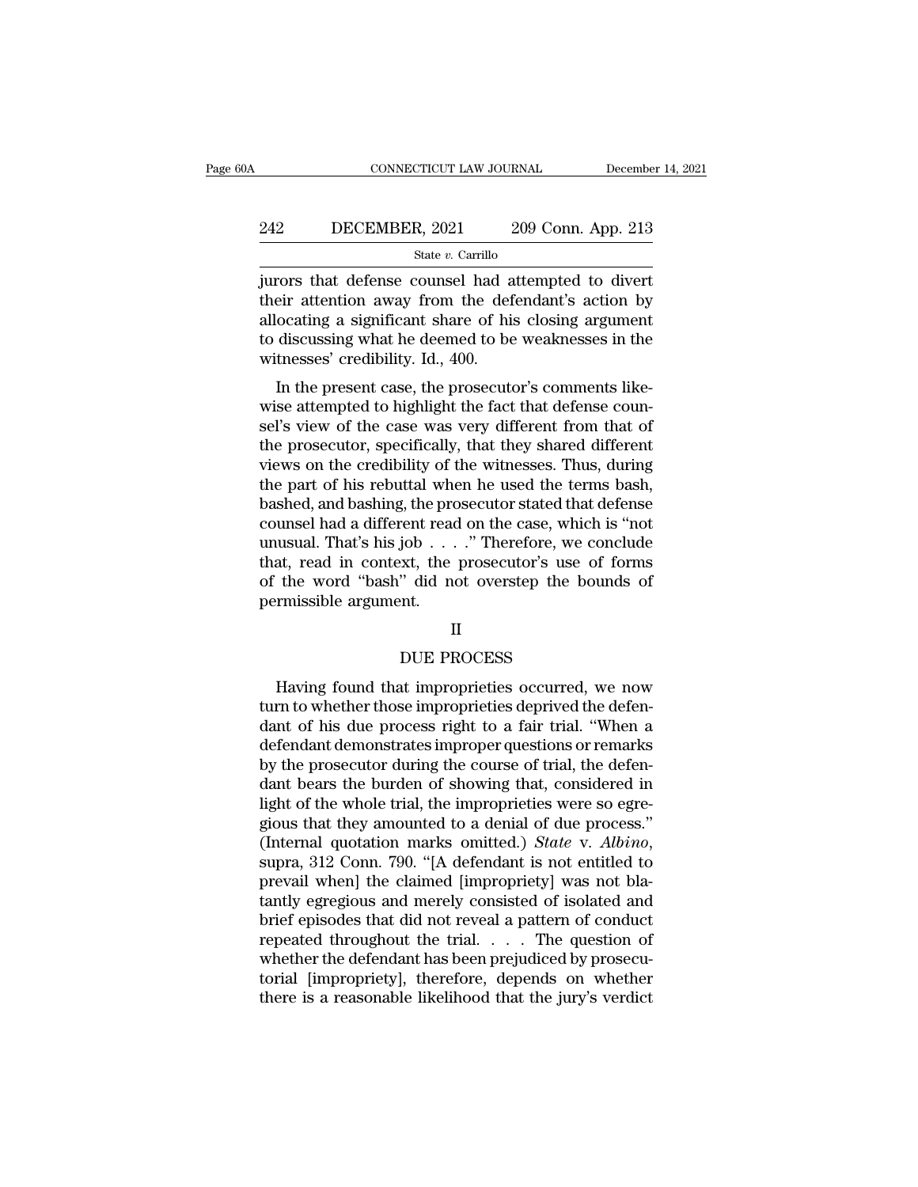# CONNECTICUT LAW JOURNAL December 14, 2021<br>242 DECEMBER, 2021 209 Conn. App. 213<br>3tate v. Carrillo

### State *v.* Carrillo

CONNECTICUT LAW JOURNAL December 14, 202<br>
242 DECEMBER, 2021 209 Conn. App. 213<br>
3tate v. Carrillo<br>
3tate v. Carrillo<br>
209 Conn. App. 213<br>
209 Conn. App. 213<br>
209 Conn. App. 213<br>
209 Conn. App. 213<br>
2010 Connect Merric App 242 DECEMBER, 2021 209 Conn. App. 213<br>  $\frac{\text{State } v. \text{ Carrillo}}{\text{fures that defense counds had attempted to divert}}$ <br>
their attention away from the defendant's action by<br>
allocating a significant share of his closing argument<br>
to discussing what he deemed to be wea 242 DECEMBER, 2021 209 Conn. App. 213<br>  $\frac{\text{State } v. \text{ Carrillo}}{\text{juvors that defense counds had attempted to divert}}$ <br>
their attention away from the defendant's action by<br>
allocating a significant share of his closing argument<br>
to discussing what he deemed to be we 242 DECEMBER, 2021 209 Conn. App. 213<br>  $\frac{\text{State } v. \text{ Carrillo}}{\text{juros that defense counds had attempted to divert}}$ <br>
their attention away from the defendant's action by<br>
allocating a significant share of his closing argument<br>
to discussing what he deemed to be wea State *v*. Carrillo<br>
state *v*. Carrillo<br>
jurors that defense counsel had a<br>
their attention away from the def<br>
allocating a significant share of his<br>
to discussing what he deemed to be<br>
witnesses' credibility. Id., 400.<br> From that defense counsel had attempted to divert<br>eir attention away from the defendant's action by<br>ocating a significant share of his closing argument<br>discussing what he deemed to be weaknesses in the<br>tnesses' credibility fully that their attention away from the defendant's action by<br>allocating a significant share of his closing argument<br>to discussing what he deemed to be weaknesses in the<br>witnesses' credibility. Id., 400.<br>In the present ca

selling a significant share of his closing argument<br>to discussing what he deemed to be weaknesses in the<br>witnesses' credibility. Id., 400.<br>In the present case, the prosecutor's comments like-<br>wise attempted to highlight th anocating a significant share of his closing argument<br>to discussing what he deemed to be weaknesses in the<br>witnesses' credibility. Id., 400.<br>In the present case, the prosecutor's comments like-<br>wise attempted to highlight to uscussing what he deelifed to be weaknesses in the<br>witnesses' credibility. Id., 400.<br>In the present case, the prosecutor's comments like-<br>wise attempted to highlight the fact that defense coun-<br>sel's view of the case wa In the present case, the prosecutor's comments like-<br>wise attempted to highlight the fact that defense coun-<br>sel's view of the case was very different from that of<br>the prosecutor, specifically, that they shared different<br>v In the present case, the prosecutor's comments like-<br>wise attempted to highlight the fact that defense coun-<br>sel's view of the case was very different from that of<br>the prosecutor, specifically, that they shared different<br>v wise attempted to highlight the fact that defense counsel's view of the case was very different from that of the prosecutor, specifically, that they shared different views on the credibility of the witnesses. Thus, during sel's view of the case was very different from that of<br>the prosecutor, specifically, that they shared different<br>views on the credibility of the witnesses. Thus, during<br>the part of his rebuttal when he used the terms bash,<br> the prosecutor, specifically, that they shared different<br>views on the credibility of the witnesses. Thus, during<br>the part of his rebuttal when he used the terms bash,<br>bashed, and bashing, the prosecutor stated that defense views on the credibility of the witnesses. Thus, during<br>the part of his rebuttal when he used the terms bash,<br>bashed, and bashing, the prosecutor stated that defense<br>counsel had a different read on the case, which is "not the part of his rebuttal who<br>bashed, and bashing, the pro<br>counsel had a different read<br>unusual. That's his job . . .<br>that, read in context, the<br>of the word "bash" did no<br>permissible argument. job . . . ." Therefore, we c<br>xxt, the prosecutor's use c<br>" did not overstep the bo<br>nt. II<br>DUE PROCESS<br>at improprieties occurred,

### II

at, read in context, the prosecutor's use of forms<br>the word "bash" did not overstep the bounds of<br>rmissible argument.<br>II<br>DUE PROCESS<br>Having found that improprieties occurred, we now<br>rn to whether those improprieties depriv of the word-basic did not overstep the bounds of<br>permissible argument.<br>II<br>DUE PROCESS<br>Having found that improprieties occurred, we now<br>turn to whether those improprieties deprived the defen-<br>dant of his due process right t DUE PROCESS<br>
Having found that improprieties occurred, we now<br>
turn to whether those improprieties deprived the defen-<br>
dant of his due process right to a fair trial. "When a<br>
defendant demonstrates improper questions or r II<br>DUE PROCESS<br>Having found that improprieties occurred, we now<br>turn to whether those improprieties deprived the defen-<br>dant of his due process right to a fair trial. "When a<br>defendant demonstrates improper questions or re by DUE PROCESS<br>
Having found that improprieties occurred, we now<br>
turn to whether those improprieties deprived the defen-<br>
dant of his due process right to a fair trial. "When a<br>
defendant demonstrates improper questions o BOLTTROCESS<br>
Having found that improprieties occurred, we now<br>
turn to whether those improprieties deprived the defen-<br>
dant of his due process right to a fair trial. "When a<br>
defendant demonstrates improper questions or r Having found that improprieties occurred, we now<br>turn to whether those improprieties deprived the defen-<br>dant of his due process right to a fair trial. "When a<br>defendant demonstrates improper questions or remarks<br>by the p turn to whether those improprieties deprived the defendant of his due process right to a fair trial. "When a defendant demonstrates improper questions or remarks by the prosecutor during the course of trial, the defendant dant of his due process right to a fair trial. "When a<br>defendant demonstrates improper questions or remarks<br>by the prosecutor during the course of trial, the defen-<br>dant bears the burden of showing that, considered in<br>ligh by the prosecutor during the course of trial, the defendant bears the burden of showing that, considered in light of the whole trial, the improprieties were so egregious that they amounted to a denial of due process." (Int dant bears the burden of showing that, considered in<br>light of the whole trial, the improprieties were so egre-<br>gious that they amounted to a denial of due process."<br>(Internal quotation marks omitted.) *State* v. *Albino*,<br> light of the whole trial, the improprieties were so egregious that they amounted to a denial of due process."<br>(Internal quotation marks omitted.) *State* v. *Albino*, supra, 312 Conn. 790. "[A defendant is not entitled to gious that they amounted to a denial of due process."<br>(Internal quotation marks omitted.) *State* v. *Albino*,<br>supra, 312 Conn. 790. "[A defendant is not entitled to<br>prevail when] the claimed [impropriety] was not bla-<br>tan (Internal quotation marks omitted.) *State v. Albino*, supra, 312 Conn. 790. "[A defendant is not entitled to prevail when] the claimed [impropriety] was not blatantly egregious and merely consisted of isolated and brief supra, 312 Conn. 790. "[A defendant is not entitled to<br>prevail when] the claimed [impropriety] was not bla-<br>tantly egregious and merely consisted of isolated and<br>brief episodes that did not reveal a pattern of conduct<br>repe prevail when] the claimed [impropriety] was not blatantly egregious and merely consisted of isolated and brief episodes that did not reveal a pattern of conduct repeated throughout the trial. . . . The question of whether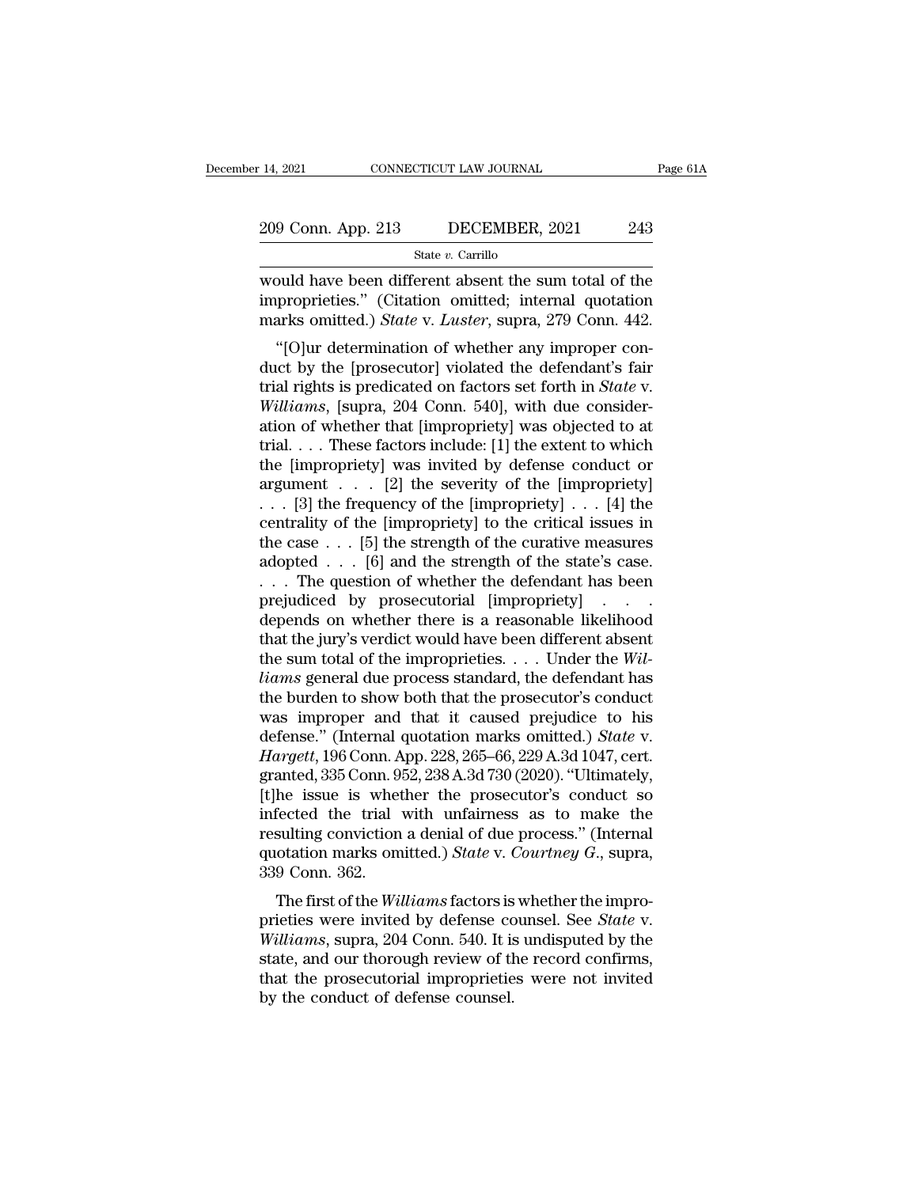State *v.* Carrillo

14, 2021 CONNECTICUT LAW JOURNAL Page 61A<br>
209 Conn. App. 213 DECEMBER, 2021 243<br>
State v. Carrillo<br>
would have been different absent the sum total of the<br>
improprieties." (Citation omitted; internal quotation<br>
marks omit 209 Conn. App. 213 DECEMBER, 2021 243<br>
State v. Carrillo<br>
would have been different absent the sum total of the<br>
improprieties.'' (Citation omitted; internal quotation<br>
marks omitted.) *State v. Luster*, supra, 279 Conn. 209 Conn. App. 213 DECEMBER, 2021 243<br>
State v. Carrillo<br>
would have been different absent the sum total of the<br>
improprieties." (Citation omitted; internal quotation<br>
marks omitted.) *State* v. *Luster*, supra, 279 Conn. 9 Conn. App. 213 DECEMBER, 2021 243<br>
State v. Carrillo<br>
Duld have been different absent the sum total of the<br>
proprieties." (Citation omitted; internal quotation<br>
arks omitted.) *State v. Luster*, supra, 279 Conn. 442.<br>"[

State v. Carrillo<br>
would have been different absent the sum total of the<br>
improprieties." (Citation omitted; internal quotation<br>
marks omitted.) *State* v. *Luster*, supra, 279 Conn. 442.<br>
"[O]ur determination of whether would have been different absent the sum total of the<br>improprieties." (Citation omitted; internal quotation<br>marks omitted.) *State* v. *Luster*, supra, 279 Conn. 442.<br>"[O]ur determination of whether any improper con-<br>duct *Would have been different absent the suiff total of the improprieties."* (Citation omitted; internal quotation marks omitted.) *State v. Luster*, supra, 279 Conn. 442.<br>"[O]ur determination of whether any improper conduct miproprieties. (Criation of intited, internal quotation<br>marks omitted.) *State v. Luster*, supra, 279 Conn. 442.<br>"[O]ur determination of whether any improper con-<br>duct by the [prosecutor] violated the defendant's fair<br>tri trial. . . . These factors include: [1] the extent to which "[O]ur determination of whether any improper conduct by the [prosecutor] violated the defendant's fair trial rights is predicated on factors set forth in *State* v. *Williams*, [supra, 204 Conn. 540], with due considerati duct by the [prosecutor] violated the defendant's fair<br>trial rights is predicated on factors set forth in *State* v.<br>Williams, [supra, 204 Conn. 540], with due consider-<br>ation of whether that [impropriety] was objected to trial rights is predicated on factors set forth in *State* v.<br> *Williams*, [supra, 204 Conn. 540], with due consideration of whether that [impropriety] was objected to at<br>
trial....These factors include: [1] the extent to *Williams*, [supra, 204 Conn. 540], with due consideration of whether that [impropriety] was objected to at trial.... These factors include: [1] the extent to which the [impropriety] was invited by defense conduct or argu ation of whether that [impropriety] was objected to at<br>trial.... These factors include: [1] the extent to which<br>the [impropriety] was invited by defense conduct or<br>argument .... [2] the severity of the [impropriety]<br>...[3 trial.... These factors include: [1] the extent to which<br>the [impropriety] was invited by defense conduct or<br>argument .... [2] the severity of the [impropriety]<br>... [3] the frequency of the [impropriety] ... [4] the<br>centr the [impropriety] was invited by defense conduct or<br>argument . . . [2] the severity of the [impropriety]<br>. . . [3] the frequency of the [impropriety] . . . [4] the<br>centrality of the [impropriety] to the critical issues in argument . . . [2] the severity of the [impropriety]<br>
. . . [3] the frequency of the [impropriety] . . . [4] the<br>
centrality of the [impropriety] to the critical issues in<br>
the case . . . [5] the strength of the curative ... [3] the frequency of the [impropriety] ... [4] the centrality of the [impropriety] to the critical issues in the case ... [5] the strength of the curative measures adopted ... [6] and the strength of the state's case. centrality of the [impropriety] to the critical issues in<br>the case . . . [5] the strength of the curative measures<br>adopted . . . [6] and the strength of the state's case.<br>. . . The question of whether the defendant has be the case . . . [5] the strength of the curative measures<br>adopted . . . [6] and the strength of the state's case.<br>. . . The question of whether the defendant has been<br>prejudiced by prosecutorial [impropriety] . . . .<br>depend adopted . . . [6] and the strength of the state's case.<br>
. . . The question of whether the defendant has been<br>
prejudiced by prosecutorial [impropriety] . . . .<br>
depends on whether there is a reasonable likelihood<br>
that th ... The question of whether the defendant has been<br>prejudiced by prosecutorial [impropriety] ....<br>depends on whether there is a reasonable likelihood<br>that the jury's verdict would have been different absent<br>the sum total prejudiced by prosecutorial [impropriety] . . . .<br>depends on whether there is a reasonable likelihood<br>that the jury's verdict would have been different absent<br>the sum total of the improprieties. . . . Under the Wil-<br>liams depends on whether there is a reasonable likelihood<br>that the jury's verdict would have been different absent<br>the sum total of the improprieties. . . . Under the *Wil-<br>liams* general due process standard, the defendant has<br> that the jury's verdict would have been different absent<br>the sum total of the improprieties. . . . Under the *Wil-<br>liams* general due process standard, the defendant has<br>the burden to show both that the prosecutor's conduc the sum total of the improprieties. . . . Under the Will-<br>liams general due process standard, the defendant has<br>the burden to show both that the prosecutor's conduct<br>was improper and that it caused prejudice to his<br>defens *liams* general due process standard, the defendant has<br>the burden to show both that the prosecutor's conduct<br>was improper and that it caused prejudice to his<br>defense." (Internal quotation marks omitted.) *State* v.<br>*Harg* the burden to show both that the prosecutor's conduct<br>was improper and that it caused prejudice to his<br>defense." (Internal quotation marks omitted.) *State* v.<br>*Hargett*, 196 Conn. App. 228, 265–66, 229 A.3d 1047, cert.<br>g was improper and that it caused prejudice to his<br>defense." (Internal quotation marks omitted.) *State* v.<br>*Hargett*, 196 Conn. App. 228, 265–66, 229 A.3d 1047, cert.<br>granted, 335 Conn. 952, 238 A.3d 730 (2020). "Ultimatel defense." (Internal quotation marks omitted.) *State* v. *Hargett*, 196 Conn. App. 228, 265–66, 229 A.3d 1047, cert. granted, 335 Conn. 952, 238 A.3d 730 (2020). "Ultimately, [t]he issue is whether the prosecutor's conduct Hargett, 196 Conn. A<br>granted, 335 Conn. 9<br>[t]he issue is whet<br>infected the trial<br>resulting conviction<br>quotation marks om<br>339 Conn. 362.<br>The first of the Wii anted, 355 Confi. 352, 256 A.5d 750 (2020). Unifidately,<br>the issue is whether the prosecutor's conduct so<br>fected the trial with unfairness as to make the<br>sulting conviction a denial of due process." (Internal<br>otation marks pricial the trial with unfairness as to make the<br>resulting conviction a denial of due process." (Internal<br>quotation marks omitted.) *State* v. *Courtney G.*, supra,<br>339 Conn. 362.<br>The first of the *Williams* factors is whe

resulting conviction a denial of due process." (Internal<br>quotation marks omitted.) *State v. Courtney G.*, supra,<br>339 Conn. 362.<br>The first of the *Williams* factors is whether the impro-<br>prieties were invited by defense co resulting conviction a definal of due process. (Internat quotation marks omitted.) State v. Courtney G., supra, 339 Conn. 362.<br>The first of the *Williams* factors is whether the improprieties were invited by defense couns quotation marks onlitted.) *State v. Courtney G.*, supra,<br>339 Conn. 362.<br>The first of the *Williams* factors is whether the impro-<br>prieties were invited by defense counsel. See *State v.*<br>*Williams*, supra, 204 Conn. 540. The first of the *Williams* factors is<br>prieties were invited by defense co<br>*Williams*, supra, 204 Conn. 540. It is<br>state, and our thorough review of th<br>that the prosecutorial improprietie<br>by the conduct of defense counsel.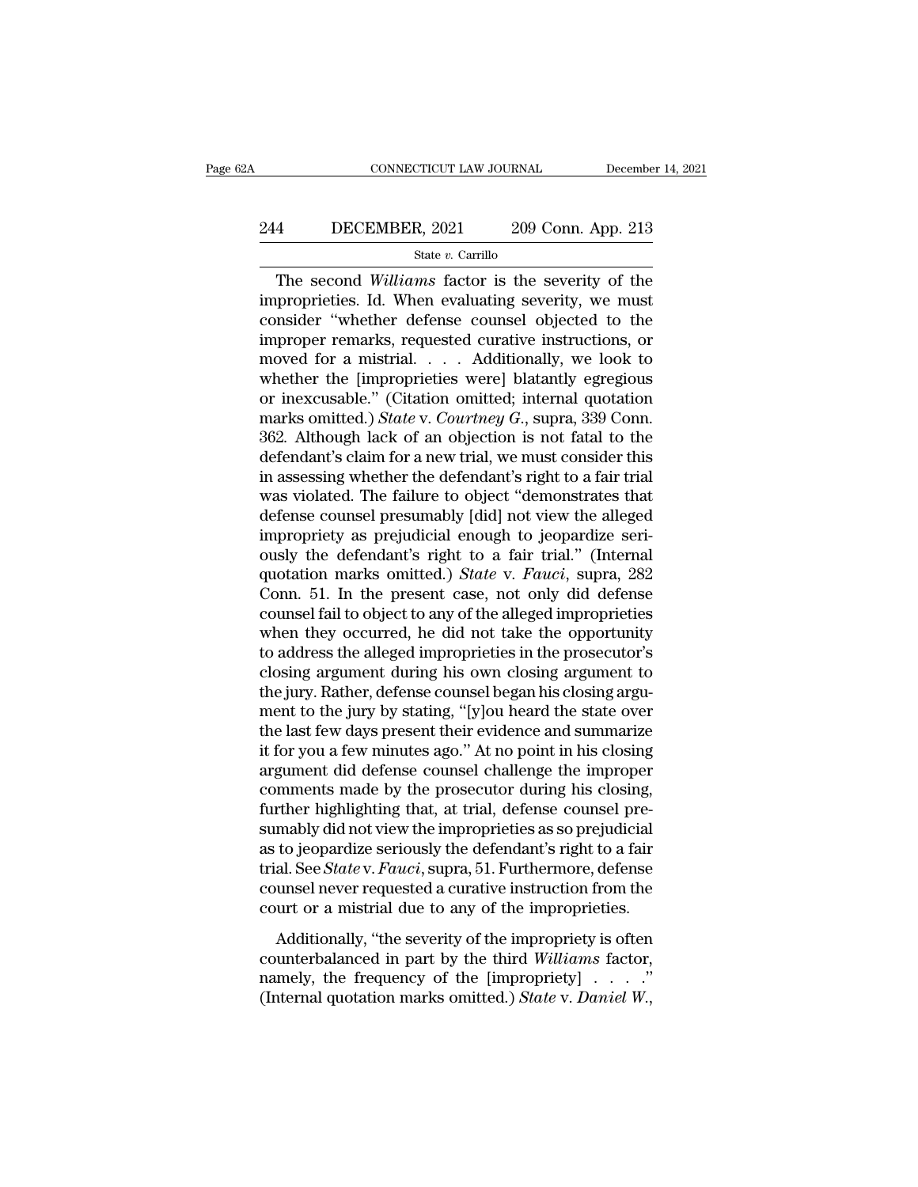# CONNECTICUT LAW JOURNAL December 14, 2021<br>244 DECEMBER, 2021 209 Conn. App. 213<br>3tate v. Carrillo

### State *v.* Carrillo

CONNECTICUT LAW JOURNAL December 14, 2021<br> **The Second Williams factor is the severity of the second Williams factor is the severity of the proprieties. Id. When evaluating severity, we must project the severity of the sev** 244 DECEMBER, 2021 209 Conn. App. 213<br>  $\frac{\text{State } v. \text{ Carrillo}}{\text{The second } Williams \text{ factor is the severity of the}}$ The second *Williams* factor is the severity of the<br>
improprieties. Id. When evaluating severity, we must<br>
consider "whether defense counsel objec 244 DECEMBER, 2021 209 Conn. App. 213<br>
<sup>State v. Carrillo<br>
The second *Williams* factor is the severity of the<br>
improprieties. Id. When evaluating severity, we must<br>
consider "whether defense counsel objected to the<br>
impr</sup> 244 DECEMBER, 2021 209 Conn. App. 213<br>  $\frac{\text{State } v.\text{ Carrillo}}{\text{The second Williams factor is the severity of the}}$ The second *Williams* factor is the severity of the<br>
improprieties. Id. When evaluating severity, we must<br>
consider "whether defense counsel objected t The second Williams factor is the severity of the<br>improprieties. Id. When evaluating severity, we must<br>consider "whether defense counsel objected to the<br>improper remarks, requested curative instructions, or<br>moved for a mi state *v*. Carnilo<br>
The second *Williams* factor is the severity of the<br>
improprieties. Id. When evaluating severity, we must<br>
consider "whether defense counsel objected to the<br>
improper remarks, requested curative instru The second Williams factor is the severity of the<br>improprieties. Id. When evaluating severity, we must<br>consider "whether defense counsel objected to the<br>improper remarks, requested curative instructions, or<br>moved for a mi improprieties. Id. When evaluating severity, we must<br>consider "whether defense counsel objected to the<br>improper remarks, requested curative instructions, or<br>moved for a mistrial. . . . Additionally, we look to<br>whether the consider "whether defense counsel objected to the<br>improper remarks, requested curative instructions, or<br>moved for a mistrial. . . . Additionally, we look to<br>whether the [improprieties were] blatantly egregious<br>or inexcusab improper remarks, requested curative instructions, or<br>moved for a mistrial. . . . Additionally, we look to<br>whether the [improprieties were] blatantly egregious<br>or inexcusable." (Citation omitted; internal quotation<br>marks moved for a mistrial. . . . Additionally, we look to<br>whether the [improprieties were] blatantly egregious<br>or inexcusable." (Citation omitted; internal quotation<br>marks omitted.) *State* v. *Courtney G*., supra, 339 Conn.<br>3 whether the [improprieties were] blatantly egregious<br>or inexcusable." (Citation omitted; internal quotation<br>marks omitted.) *State* v. *Courtney*  $G$ ., supra, 339 Conn.<br>362. Although lack of an objection is not fatal to t or inexcusable." (Citation omitted; internal quotation<br>marks omitted.) *State* v. *Courtney G.*, supra, 339 Conn.<br>362. Although lack of an objection is not fatal to the<br>defendant's claim for a new trial, we must consider marks omitted.) *State* v. *Courtney G.*, supra, 339 Conn.<br>362. Although lack of an objection is not fatal to the<br>defendant's claim for a new trial, we must consider this<br>in assessing whether the defendant's right to a fa 362. Although lack of an objection is not fatal to the defendant's claim for a new trial, we must consider this<br>in assessing whether the defendant's right to a fair trial<br>was violated. The failure to object "demonstrates defendant's claim for a new trial, we must consider this<br>in assessing whether the defendant's right to a fair trial<br>was violated. The failure to object "demonstrates that<br>defense counsel presumably [did] not view the alleg in assessing whether the defendant's right to a fair trial<br>was violated. The failure to object "demonstrates that<br>defense counsel presumably [did] not view the alleged<br>impropriety as prejudicial enough to jeopardize seri-<br> was violated. The failure to object "demonstrates that<br>defense counsel presumably [did] not view the alleged<br>impropriety as prejudicial enough to jeopardize seri-<br>ously the defendant's right to a fair trial." (Internal<br>quo defense counsel presumably [did] not view the alleged<br>impropriety as prejudicial enough to jeopardize seri-<br>ously the defendant's right to a fair trial." (Internal<br>quotation marks omitted.) *State* v. *Fauci*, supra, 282<br>C impropriety as prejudicial enough to jeopardize seri-<br>ously the defendant's right to a fair trial." (Internal<br>quotation marks omitted.) *State* v. *Fauci*, supra, 282<br>Conn. 51. In the present case, not only did defense<br>cou ously the defendant's right to a fair trial." (Internal<br>quotation marks omitted.) *State* v. *Fauci*, supra, 282<br>Conn. 51. In the present case, not only did defense<br>counsel fail to object to any of the alleged improprietie quotation marks omitted.) *State* v. *Fauci*, supra, 282<br>Conn. 51. In the present case, not only did defense<br>counsel fail to object to any of the alleged improprieties<br>when they occurred, he did not take the opportunity<br>to Conn. 51. In the present case, not only did defense<br>counsel fail to object to any of the alleged improprieties<br>when they occurred, he did not take the opportunity<br>to address the alleged improprieties in the prosecutor's<br>cl counsel fail to object to any of the alleged improprieties<br>when they occurred, he did not take the opportunity<br>to address the alleged improprieties in the prosecutor's<br>closing argument during his own closing argument to<br>th when they occurred, he did not take the opportunity<br>to address the alleged improprieties in the prosecutor's<br>closing argument during his own closing argument to<br>the jury. Rather, defense counsel began his closing argu-<br>men to address the alleged improprieties in the prosecutor's<br>closing argument during his own closing argument to<br>the jury. Rather, defense counsel began his closing argu-<br>ment to the jury by stating, "[y]ou heard the state ove closing argument during his own closing argument to<br>the jury. Rather, defense counsel began his closing argu-<br>ment to the jury by stating, "[y]ou heard the state over<br>the last few days present their evidence and summarize<br> the jury. Rather, defense counsel began his closing argument to the jury by stating, "[y]ou heard the state over<br>the last few days present their evidence and summarize<br>it for you a few minutes ago." At no point in his clos ment to the jury by stating, "[y]ou heard the state over<br>the last few days present their evidence and summarize<br>it for you a few minutes ago." At no point in his closing<br>argument did defense counsel challenge the improper<br> the last few days present their evidence and summarize<br>it for you a few minutes ago." At no point in his closing<br>argument did defense counsel challenge the improper<br>comments made by the prosecutor during his closing,<br>furth it for you a few minutes ago." At no point in his closing<br>argument did defense counsel challenge the improper<br>comments made by the prosecutor during his closing,<br>further highlighting that, at trial, defense counsel pre-<br>su argument did defense counsel challenge the improper<br>comments made by the prosecutor during his closing,<br>further highlighting that, at trial, defense counsel pre-<br>sumably did not view the improprieties as so prejudicial<br>as comments made by the prosecutor during his closing,<br>further highlighting that, at trial, defense counsel pre-<br>sumably did not view the improprieties as so prejudicial<br>as to jeopardize seriously the defendant's right to a f mably did not view the improprieties as so prejudicial<br>to jeopardize seriously the defendant's right to a fair<br>al. See *State* v. *Fauci*, supra, 51. Furthermore, defense<br>unsel never requested a curative instruction from as to jeopardize seriously the defendant's right to a fair<br>trial. See *State* v. *Fauci*, supra, 51. Furthermore, defense<br>counsel never requested a curative instruction from the<br>court or a mistrial due to any of the impro

as to yooperating streamly are absoluted burght of a ratio trial. See *State* v. *Fauci*, supra, 51. Furthermore, defense counsel never requested a curative instruction from the court or a mistrial due to any of the impro counsel never requested a curative instruction from the court or a mistrial due to any of the improprieties.<br>Additionally, "the severity of the impropriety is often counterbalanced in part by the third *Williams* factor, n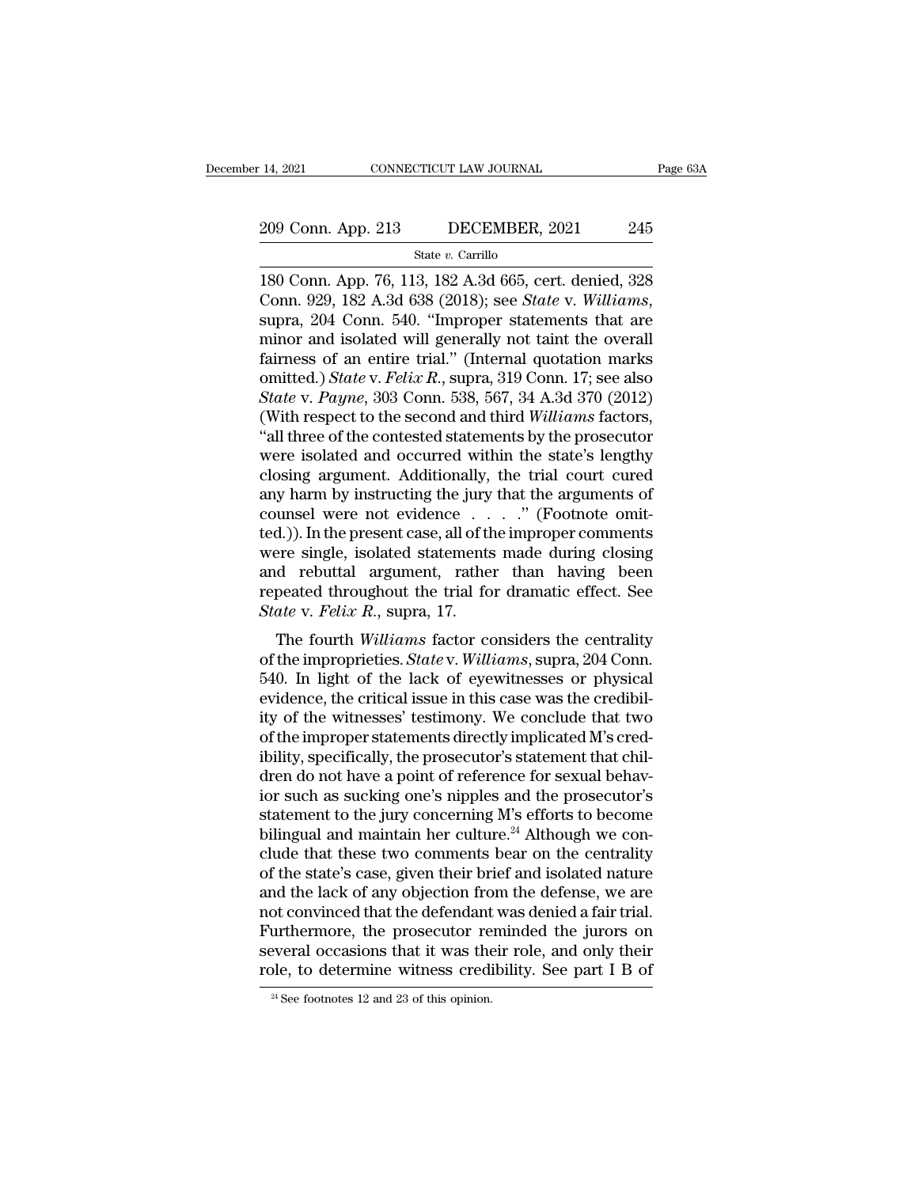# 14, 2021 CONNECTICUT LAW JOURNAL Page 63A<br>209 Conn. App. 213 DECEMBER, 2021 245<br>State v. Carrillo

State *v.* Carrillo

14, 2021 CONNECTICUT LAW JOURNAL Page 63A<br>
209 Conn. App. 213 DECEMBER, 2021 245<br>
<sup>31</sup> State v. Carrillo<br>
180 Conn. App. 76, 113, 182 A.3d 665, cert. denied, 328<br>
Conn. 929, 182 A.3d 638 (2018); see *State* v. *Williams*, 209 Conn. App. 213 DECEMBER, 2021 245<br>
<sup>State v. Carrillo</sup><br>
180 Conn. App. 76, 113, 182 A.3d 665, cert. denied, 328<br>
Conn. 929, 182 A.3d 638 (2018); see *State* v. *Williams*,<br>
supra, 204 Conn. 540. "Improper statements th 209 Conn. App. 213 DECEMBER, 2021 245<br>
State v. Carrillo<br>
180 Conn. App. 76, 113, 182 A.3d 665, cert. denied, 328<br>
Conn. 929, 182 A.3d 638 (2018); see *State* v. *Williams*,<br>
supra, 204 Conn. 540. "Improper statements tha State v. Carrillo<br>
180 Conn. App. 76, 113, 182 A.3d 665, cert. denied, 328<br>
Conn. 929, 182 A.3d 638 (2018); see *State* v. *Williams*,<br>
supra, 204 Conn. 540. "Improper statements that are<br>
minor and isolated will generall state v. Carrillo<br>180 Conn. App. 76, 113, 182 A.3d 665, cert. denied, 328<br>Conn. 929, 182 A.3d 638 (2018); see *State* v. *Williams*,<br>supra, 204 Conn. 540. "Improper statements that are<br>minor and isolated will generally not 180 Conn. App. 76, 113, 182 A.3d 665, cert. denied, 328<br>*Conn. 929, 182 A.3d 638 (2018); see <i>State* v. *Williams*,<br>supra, 204 Conn. 540. "Improper statements that are<br>minor and isolated will generally not taint the overal Conn. 929, 182 A.3d 638 (2018); see *State* v. *Williams*, supra, 204 Conn. 540. "Improper statements that are minor and isolated will generally not taint the overall fairness of an entire trial." (Internal quotation marks supra, 204 Conn. 540. "Improper statements that are<br>
minor and isolated will generally not taint the overall<br>
fairness of an entire trial." (Internal quotation marks<br>
omitted.) *State* v. *Felix R.*, supra, 319 Conn. 17; s minor and isolated will generally not taint the overall<br>fairness of an entire trial." (Internal quotation marks<br>omitted.) *State* v. *Felix R.*, supra, 319 Conn. 17; see also<br>*State* v. *Payne*, 303 Conn. 538, 567, 34 A.3d fairness of an entire trial." (Internal quotation marks<br>omitted.) *State* v. *Felix R.*, supra, 319 Conn. 17; see also<br>*State* v. *Payne*, 303 Conn. 538, 567, 34 A.3d 370 (2012)<br>(With respect to the second and third *Will* omitted.) *State* v. *Felix R.*, supra, 319 Conn. 17; see also *State* v. *Payne*, 303 Conn. 538, 567, 34 A.3d 370 (2012) (With respect to the second and third *Williams* factors, "all three of the contested statements by State v. Payne, 303 Conn. 538, 567, 34 A.3d 370 (2012)<br>(With respect to the second and third Williams factors,<br>"all three of the contested statements by the prosecutor<br>were isolated and occurred within the state's lengthy (With respect to the second and third *Williams* factors,<br>
"all three of the contested statements by the prosecutor<br>
were isolated and occurred within the state's lengthy<br>
closing argument. Additionally, the trial court c "all three of the contested statements by the prosecutor<br>were isolated and occurred within the state's lengthy<br>closing argument. Additionally, the trial court cured<br>any harm by instructing the jury that the arguments of<br>c were isolated and occurred within the state's lengthy<br>closing argument. Additionally, the trial court cured<br>any harm by instructing the jury that the arguments of<br>counsel were not evidence  $\ldots$ ." (Footnote omit-<br>ted.)). closing argument. Additionally, the trial court cured<br>any harm by instructing the jury that the arguments of<br>counsel were not evidence  $\dots$ . " (Footnote omit-<br>ted.)). In the present case, all of the improper comments<br>were any harm by instructing the jury<br>counsel were not evidence . . .<br>*fed.*)). In the present case, all of th<br>were single, isolated statements<br>and rebuttal argument, rather<br>repeated throughout the trial fo<br>*State* v. *Felix R.* d.)). In the present case, all of the improper comments<br>are single, isolated statements made during closing<br>d rebuttal argument, rather than having been<br>peated throughout the trial for dramatic effect. See<br>ate v. *Felix R.* bed. *J.* In the present case, an of the improper continents<br>were single, isolated statements made during closing<br>and rebuttal argument, rather than having been<br>repeated throughout the trial for dramatic effect. See<br>*State* 

were single, isolated statements made during closing<br>and rebuttal argument, rather than having been<br>repeated throughout the trial for dramatic effect. See<br> $State$  v. Felix R., supra, 17.<br>The fourth Williams factor considers t and Tebuttar argument, Tatrier than Taving been<br>repeated throughout the trial for dramatic effect. See<br>State v. Felix R., supra, 17.<br>The fourth Williams factor considers the centrality<br>of the improprieties. State v. Willi Fepeated throughout the that for dramatic effect. See<br>State v. Felix R., supra, 17.<br>The fourth Williams factor considers the centrality<br>of the improprieties. State v. Williams, supra, 204 Conn.<br>540. In light of the lack of State v. Feta. 1., supra, 11.<br>The fourth *Williams* factor considers the centrality<br>of the improprieties. *State* v. *Williams*, supra, 204 Conn.<br>540. In light of the lack of eyewitnesses or physical<br>evidence, the critical The fourth *Williams* factor considers the centrality<br>of the improprieties. *State* v. *Williams*, supra, 204 Conn.<br>540. In light of the lack of eyewitnesses or physical<br>evidence, the critical issue in this case was the cr of the improprieties. *State* v. *Williams*, supra, 204 Conn.<br>540. In light of the lack of eyewitnesses or physical<br>evidence, the critical issue in this case was the credibil-<br>ity of the witnesses' testimony. We conclude 540. In light of the lack of eyewitnesses or physical<br>evidence, the critical issue in this case was the credibil-<br>ity of the witnesses' testimony. We conclude that two<br>of the improper statements directly implicated M's cre evidence, the critical issue in this case was the credibil-<br>ity of the witnesses' testimony. We conclude that two<br>of the improper statements directly implicated M's cred-<br>ibility, specifically, the prosecutor's statement t ity of the witnesses' testimony. We conclude that two<br>of the improper statements directly implicated M's cred-<br>ibility, specifically, the prosecutor's statement that chil-<br>dren do not have a point of reference for sexual b of the improper statements directly implicated M's cred-<br>ibility, specifically, the prosecutor's statement that chil-<br>dren do not have a point of reference for sexual behav-<br>ior such as sucking one's nipples and the prosec ibility, specifically, the prosecutor's statement that children do not have a point of reference for sexual behavior such as sucking one's nipples and the prosecutor's statement to the jury concerning M's efforts to become dren do not have a point of reference for sexual behav-<br>ior such as sucking one's nipples and the prosecutor's<br>statement to the jury concerning M's efforts to become<br>bilingual and maintain her culture.<sup>24</sup> Although we conior such as sucking one's nipples and the prosecutor's<br>statement to the jury concerning M's efforts to become<br>bilingual and maintain her culture.<sup>24</sup> Although we con-<br>clude that these two comments bear on the centrality<br>of statement to the jury concerning M's efforts to become<br>bilingual and maintain her culture.<sup>24</sup> Although we con-<br>clude that these two comments bear on the centrality<br>of the state's case, given their brief and isolated natur bilingual and maintain her culture.<sup>24</sup> Although we conclude that these two comments bear on the centrality of the state's case, given their brief and isolated nature and the lack of any objection from the defense, we are clude that these two comments bear on the centrality<br>of the state's case, given their brief and isolated nature<br>and the lack of any objection from the defense, we are<br>not convinced that the defendant was denied a fair tria not convinced that the defendant was denied a fair trial.<br>Furthermore, the prosecutor reminded the jurors on several occasions that it was their role, and only their<br>role, to determine witness credibility. See part I B of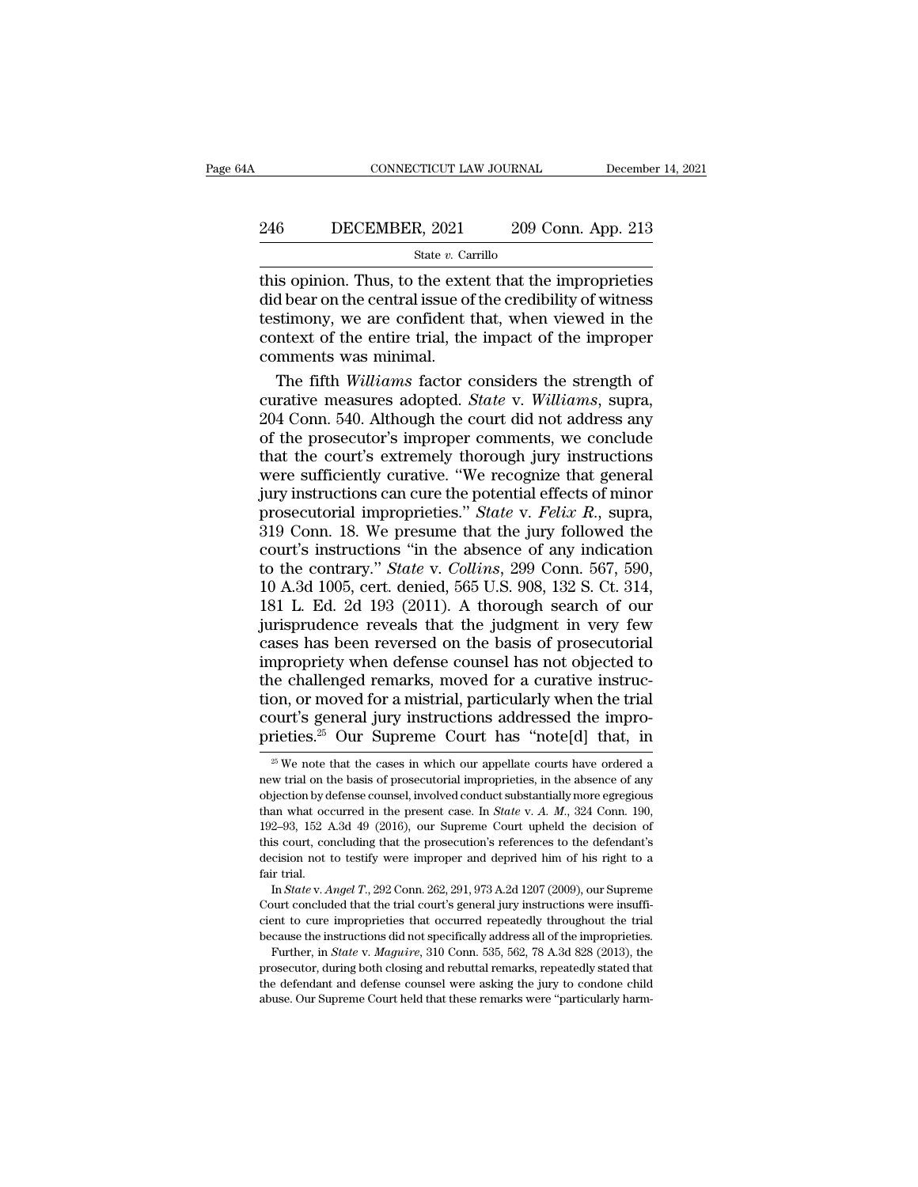# CONNECTICUT LAW JOURNAL December 14, 2021<br>246 DECEMBER, 2021 209 Conn. App. 213<br>3tate v. Carrillo

### State *v.* Carrillo

CONNECTICUT LAW JOURNAL December 14, 2021<br>
246 DECEMBER, 2021 209 Conn. App. 213<br>  $\frac{\text{State } v. \text{ Carrillo}}{\text{this opinion. Thus, to the extent that the improperties}}$ <br>
did bear on the central issue of the credibility of witness 246 DECEMBER, 2021 209 Conn. App. 213<br>  $\frac{\text{State } v. \text{ Carrillo}}{\text{this opinion. Thus, to the extent that the improperties}}$ <br>
did bear on the central issue of the credibility of witness<br>
testimony, we are confident that, when viewed in the<br>
context of the entire trial the 246 DECEMBER, 2021 209 Conn. App. 213<br>  $\frac{\text{State } v. \text{ Carrillo}}{\text{this opinion. Thus, to the extent that the improperties}}$ <br>
did bear on the central issue of the credibility of witness<br>
testimony, we are confident that, when viewed in the<br>
context of the entire trial, th 246 DECEMBER, 2021 209 Conn. App. 213<br>
State v. Carrillo<br>
this opinion. Thus, to the extent that the improprieties<br>
did bear on the central issue of the credibility of witness<br>
testimony, we are confident that, when viewe  $\begin{array}{c}\n\hline\n\text{State } v. \text{ Ca} \\
\hline\n\text{This opinion. Thus, to the extedid bear on the central issue of\n\text{testimony, we are confident to\n\text{context of the entire trial, the\n\text{comments was minimal.}\n\end{array}$ State *t*. Cannot is opinion. Thus, to the extent that the improprieties<br>d bear on the central issue of the credibility of witness<br>stimony, we are confident that, when viewed in the<br>ntext of the entire trial, the impact of this opinion. Thus, to the extent that the improprieties<br>did bear on the central issue of the credibility of witness<br>testimony, we are confident that, when viewed in the<br>context of the entire trial, the impact of the impro

did bear on the central issue of the credibility of witness<br>testimony, we are confident that, when viewed in the<br>context of the entire trial, the impact of the improper<br>comments was minimal.<br>The fifth *Williams* factor con testimony, we are confident that, when viewed in the<br>context of the entire trial, the impact of the improper<br>comments was minimal.<br>The fifth Williams factor considers the strength of<br>curative measures adopted. *State* v. W context of the entire trial, the impact of the improper<br>comments was minimal.<br>The fifth *Williams* factor considers the strength of<br>curative measures adopted. *State v. Williams*, supra,<br>204 Conn. 540. Although the court d comments was minimal.<br>
The fifth *Williams* factor considers the strength of<br>
curative measures adopted. *State* v. *Williams*, supra,<br>
204 Conn. 540. Although the court did not address any<br>
of the prosecutor's improper The fifth *Williams* factor considers the strength of curative measures adopted. *State* v. *Williams*, supra, 204 Conn. 540. Although the court did not address any of the prosecutor's improper comments, we conclude that curative measures adopted. *State* v. *Williams*, supra, 204 Conn. 540. Although the court did not address any of the prosecutor's improper comments, we conclude that the court's extremely thorough jury instructions were 204 Conn. 540. Although the court did not address any<br>of the prosecutor's improper comments, we conclude<br>that the court's extremely thorough jury instructions<br>were sufficiently curative. "We recognize that general<br>jury in of the prosecutor's improper comments, we conclude<br>that the court's extremely thorough jury instructions<br>were sufficiently curative. "We recognize that general<br>jury instructions can cure the potential effects of minor<br>pro that the court's extremely thorough jury instructions<br>were sufficiently curative. "We recognize that general<br>jury instructions can cure the potential effects of minor<br>prosecutorial improprieties." *State* v. *Felix R.*, su were sufficiently curative. "We recognize that general<br>jury instructions can cure the potential effects of minor<br>prosecutorial improprieties." *State* v. *Felix R.*, supra,<br>319 Conn. 18. We presume that the jury followed t jury instructions can cure the potential effects of minor<br>prosecutorial improprieties." *State* v. *Felix R.*, supra,<br>319 Conn. 18. We presume that the jury followed the<br>court's instructions "in the absence of any indicati prosecutorial improprieties." *State v. Felix R.*, supra, 319 Conn. 18. We presume that the jury followed the court's instructions "in the absence of any indication to the contrary." *State v. Collins*, 299 Conn. 567, 590 319 Conn. 18. We presume that the jury followed the court's instructions "in the absence of any indication to the contrary." *State* v. *Collins*, 299 Conn. 567, 590, 10 A.3d 1005, cert. denied, 565 U.S. 908, 132 S. Ct. 3 court's instructions "in the absence of any indication<br>to the contrary." *State* v. *Collins*, 299 Conn. 567, 590,<br>10 A.3d 1005, cert. denied, 565 U.S. 908, 132 S. Ct. 314,<br>181 L. Ed. 2d 193 (2011). A thorough search of ou to the contrary." *State* v. *Collins*, 299 Conn. 567, 590, 10 A.3d 1005, cert. denied, 565 U.S. 908, 132 S. Ct. 314, 181 L. Ed. 2d 193 (2011). A thorough search of our jurisprudence reveals that the judgment in very few 10 A.3d 1005, cert. denied, 565 U.S. 908, 132 S. Ct. 314, 181 L. Ed. 2d 193 (2011). A thorough search of our jurisprudence reveals that the judgment in very few cases has been reversed on the basis of prosecutorial improp 181 L. Ed. 2d 193 (2011). A thorough search of our jurisprudence reveals that the judgment in very few cases has been reversed on the basis of prosecutorial impropriety when defense counsel has not objected to the challen jurisprudence reveals that the judgment in very few cases has been reversed on the basis of prosecutorial impropriety when defense counsel has not objected to the challenged remarks, moved for a curative instruction, or m is challenged remarks, moved for a curative instruction, or moved for a mistrial, particularly when the trial burt's general jury instructions addressed the improprieties.<sup>25</sup> Our Supreme Court has "note[d] that, in  $\frac{2$ tion, or moved for a mistrial, particularly when the trial court's general jury instructions addressed the improprieties.<sup>25</sup> Our Supreme Court has "note[d] that, in  $\frac{1}{25}$  We note that the cases in which our appellat

checient to cure improprieties that occurred repeatedly throughout the instant's decision not to testify were improper and deprived him of his right to a fair trial.<br>In State v. Angel T., 292 Conn. 262, 291, 973 A.2d 1207 decision not to testify were improper and deprived him of his right to a fair trial.<br>In *State* v. *Angel T*., 292 Conn. 262, 291, 973 A.2d 1207 (2009), our Supreme Court concluded that the trial court's general jury inst Further, in *State* v. *Angel T*, 292 Conn. 262, 291, 973 A.2d 1207 (2009), our Supremeteurt concluded that the trial court's general jury instructions were insuffi-<br>ent to cure improprieties that occurred repeatedly throu fair trial.<br>In *State* v. *Angel T.*, 292 Conn. 262, 291, 973 A.2d 1207 (2009), our Supreme<br>Court concluded that the trial court's general jury instructions were insuffi-<br>cient to cure improprieties that occurred repeated cient to cure improprieties that occurred repeatedly throughout the trial

Court concluded that the trial court's general jury instructions were insufficient to cure improprieties that occurred repeatedly throughout the trial because the instructions did not specifically address all of the improp

court's general jury instructions addressed the improprieties.<sup>25</sup> Our Supreme Court has "note[d] that, in  $\frac{1}{20}$  we note that the cases in which our appellate courts have ordered a new trial on the basis of prosecuto prieties.<sup>25</sup> Our Supreme Court has "note[d] that, in<br><sup>25</sup> We note that the cases in which our appellate courts have ordered a<br>new trial on the basis of prosecutorial improprieties, in the absence of any<br>objection by defen prieties.<sup>--</sup> Our Supreme Court has note[u] that, in  $\frac{25}{5}$  We note that the cases in which our appellate courts have ordered a new trial on the basis of prosecutorial improprieties, in the absence of any objection by <sup>25</sup> We note that the cases in which our appellate courts have ordered a new trial on the basis of prosecutorial improprieties, in the absence of any objection by defense counsel, involved conduct substantially more egreg new trial on the basis of prosecutorial improprieties, in the absence of any<br>objection by defense counsel, involved conduct substantially more egregious<br>than what occurred in the present case. In *State* v. A. M., 324 Conn not what order is the objection by d<br>than what occurs 192-93, 152 f<br>this court, condecision not t<br>fair trial.<br>In *State* v. A In an what occurred in the present case. In *State* v. *A. M.*, 324 Conn. 190, 2–93, 152 A.3d 49 (2016), our Supreme Court upheld the decision of is court, concluding that the prosecution's references to the defendant's ec 192–93, 152 A.3d 49 (2016), our Supreme Court upheld the decision of this court, concluding that the prosecution's references to the defendant's decision not to testify were improper and deprived him of his right to a fai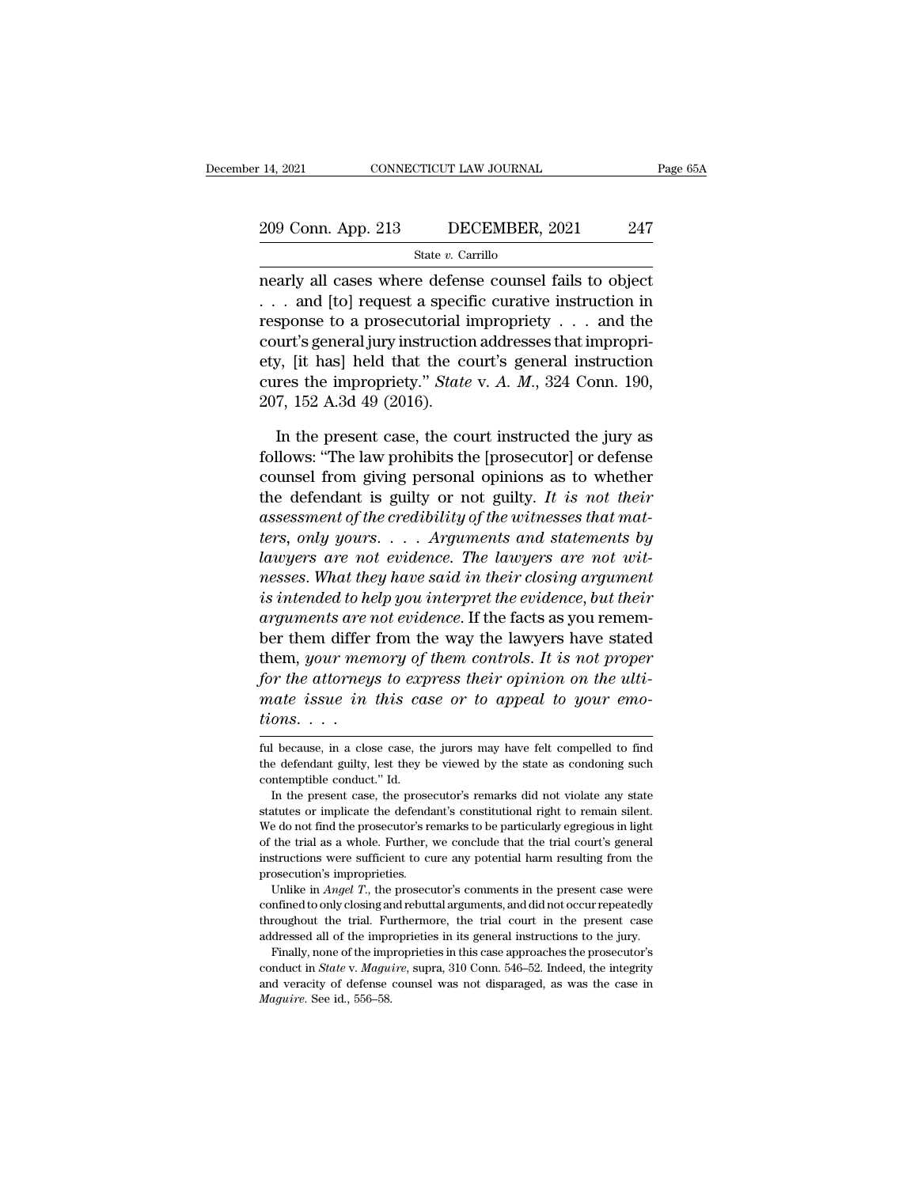# 14, 2021 CONNECTICUT LAW JOURNAL Page 65A<br>
209 Conn. App. 213 DECEMBER, 2021 247<br>
State v. Carrillo

State *v.* Carrillo

14, 2021 CONNECTICUT LAW JOURNAL Page 65.<br>
209 Conn. App. 213 DECEMBER, 2021 247<br>
State v. Carrillo<br>
nearly all cases where defense counsel fails to object<br>
... and [to] request a specific curative instruction in 209 Conn. App. 213 DECEMBER, 2021 247<br>
State v. Carrillo<br>
nearly all cases where defense counsel fails to object<br>
. . . and [to] request a specific curative instruction in<br>
response to a prosecutorial impropriety . . . an 209 Conn. App. 213 DECEMBER, 2021 247<br>
State v. Carrillo<br>
mearly all cases where defense counsel fails to object<br>
. . . and [to] request a specific curative instruction in<br>
response to a prosecutorial impropriety . . . an 209 Conn. App. 213 DECEMBER, 2021 247<br>
State v. Carrillo<br>
nearly all cases where defense counsel fails to object<br>
... and [to] request a specific curative instruction in<br>
response to a prosecutorial impropriety ... and th State v. Carrillo<br>
mearly all cases where defense counsel fails to object<br>
... and [to] request a specific curative instruction in<br>
response to a prosecutorial impropriety ... and the<br>
court's general jury instruction add state *v*. Cannot mearly all cases where defense counsel fails to object . . . and [to] request a specific curative instruction in response to a prosecutorial impropriety . . . and the court's general jury instruction addr nearly all cases where defen:<br>
. . . and [to] request a speciing<br>
response to a prosecutorial if<br>
court's general jury instruction<br>
ety, [it has] held that the contraction<br>
cures the impropriety." *State*<br>
207, 152 A.3d 49 sponse to a prosecutorial impropriety  $\ldots$  and the urt's general jury instruction addresses that impropri-<br>y, [it has] held that the court's general instruction<br>res the impropriety." *State* v. A. M., 324 Conn. 190,<br>7, 1 court's general jury instruction addresses that impropri-<br>ety, [it has] held that the court's general instruction<br>cures the impropriety." *State* v. A. M., 324 Conn. 190,<br>207, 152 A.3d 49 (2016).<br>In the present case, the c

ety, [it has] held that the court's general instruction<br>cures the impropriety." *State* v. A. M., 324 Conn. 190,<br>207, 152 A.3d 49 (2016).<br>In the present case, the court instructed the jury as<br>follows: "The law prohibits th cures the impropriety." *State* v. *A. M.*, 324 Conn. 190,<br>207, 152 A.3d 49 (2016).<br>In the present case, the court instructed the jury as<br>follows: "The law prohibits the [prosecutor] or defense<br>counsel from giving personal 207, 152 A.3d 49 (2016).<br>
In the present case, the court instructed the jury as<br>
follows: "The law prohibits the [prosecutor] or defense<br>
counsel from giving personal opinions as to whether<br>
the defendant is guilty or not In the present case, the court instructed the jury as<br>follows: "The law prohibits the [prosecutor] or defense<br>counsel from giving personal opinions as to whether<br>the defendant is guilty or not guilty. It is not their<br>asses In the present case, the court instructed the jury as<br>follows: "The law prohibits the [prosecutor] or defense<br>counsel from giving personal opinions as to whether<br>the defendant is guilty or not guilty. It is not their<br>asses *nesses.* "The law prohibits the [prosecutor] or defense counsel from giving personal opinions as to whether the defendant is guilty or not guilty. It is not their assessment of the credibility of the witnesses that matter *counsel from giving personal opinions as to whether*<br>the defendant is guilty or not guilty. It is not their<br>assessment of the credibility of the witnesses that mat-<br>ters, only yours.... Arguments and statements by<br>lawyers the defendant is guilty or not guilty. It is not their<br>assessment of the credibility of the witnesses that mat-<br>ters, only yours. . . . Arguments and statements by<br>lawyers are not evidence. The lawyers are not wit-<br>nesses. assessment of the credibility of the witnesses that mat-<br>ters, only yours. . . . . Arguments and statements by<br>lawyers are not evidence. The lawyers are not wit-<br>nesses. What they have said in their closing argument<br>is in ters, only yours. . . . . Arguments and statements by<br>lawyers are not evidence. The lawyers are not wit-<br>nesses. What they have said in their closing argument<br>is intended to help you interpret the evidence, but their<br>argum *for the form in the attorneys are not withnesses. What they have said in their closing argument* is intended to help you interpret the evidence, but their arguments are not evidence. If the facts as you remember them diff reasses. What they have said in their closing argument<br>is intended to help you interpret the evidence, but their<br>arguments are not evidence. If the facts as you remem-<br>ber them differ from the way the lawyers have stated<br>t *ts intended to he*<br>*arguments are r*<br>*ber them differ<br>them, your men<br><i>for the attorney*<br>*mate issue in*<br>*tions....*<br>ful because, in a clos thent, your memory of them controls. It is not proper<br>for the attorneys to express their opinion on the ulti-<br>mate issue in this case or to appeal to your emo-<br>tions....<br>ful because, in a close case, the jurors may have f for the attorneys to express their opinion on the ulti-<br>mate issue in this case or to appeal to your emo-<br>tions....<br>ful because, in a close case, the jurors may have felt compelled to find<br>the defendant guilty, lest they

mate issue in this ca<br>
tions....<br>
ful because, in a close case, the<br>
the defendant guilty, lest they l<br>
contemptible conduct." Id.<br>
In the present case, the pros  $\begin{array}{l} \text{On} \textbf{8.} \text{ } \cdot \cdot \cdot \text{} \end{array}$ <br>I because, in a close case, the jurors may have felt compelled to find<br>edefendant guilty, lest they be viewed by the state as condoning such<br>netmptible conduct." Id.<br>In the present

to the defendant guilty, lest the jurors may have felt compelled to find the defendant guilty, lest they be viewed by the state as condoning such contemptible conduct." Id.<br>In the present case, the prosecutor's remarks did ful because, in a close case, the jurors may have felt compelled to find<br>the defendant guilty, lest they be viewed by the state as condoning such<br>contemptible conduct." Id.<br>In the present case, the prosecutor's remarks did of the defendant guilty, lest they be viewed by the state as condoning such contemptible conduct." Id.<br>In the present case, the prosecutor's remarks did not violate any state statutes or implicate the defendant's constitut incontemptible conduct." Id.<br>
In the present case, the prosecutor's remarks did not violate any state<br>
statutes or implicate the defendant's constitutional right to remain silent.<br>
We do not find the prosecutor's remarks t In the present case, the prose<br>statutes or implicate the defendative do not find the prosecutor's read<br>of the trial as a whole. Further, instructions were sufficient to cu<br>prosecution's improprieties.<br>Unlike in *Angel T.* In the present case were different in the prosecutor's constitutional right to remain silent.<br>
Europe do not find the prosecutor's remarks to be particularly egregious in light<br>
the trial as a whole. Further, we conclude t We do not find the prosecutor's remarks to be particularly egregious in light of the trial as a whole. Further, we conclude that the trial court's general instructions were sufficient to cure any potential harm resulting

of the trial as a whole. Further, we conclude that the trial court's general instructions were sufficient to cure any potential harm resulting from the prosecution's improprieties.<br>Unlike in *Angel T*, the prosecutor's co instructions were sufficient to cure any potential harm resulting from the prosecution's improprieties.<br>
Unlike in *Angel T*., the prosecutor's comments in the present case were confined to only closing and rebuttal argum Unlike in *Angel T.*, the prosecutor's comments in the present case were confined to only closing and rebuttal arguments, and did not occur repeatedly throughout the trial. Furthermore, the trial court in the present case Unlike in *Angel T*, the prosecutor's comments in the present case were confined to only closing and rebuttal arguments, and did not occur repeatedly throughout the trial. Furthermore, the trial court in the present case a

confined to only closing and rebuttal arguments, and did not occur repeatedly throughout the trial. Furthermore, the trial court in the present case addressed all of the improprieties in its general instructions to the ju throughout the trial. Furthermore, the trial court in the present case addressed all of the improprieties in its general instructions to the jury. Finally, none of the improprieties in this case approaches the prosecutor's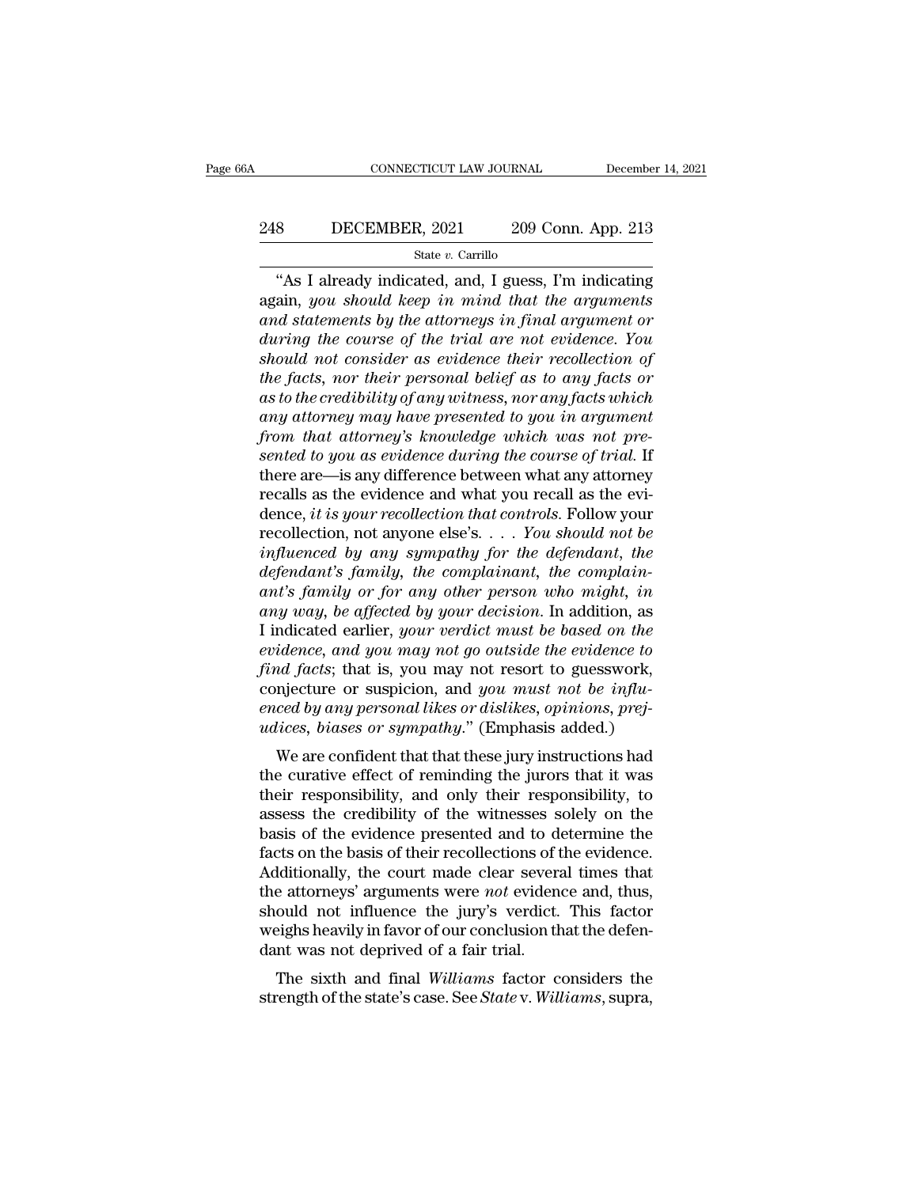# EXECUTE CONNECTICUT LAW JOURNAL December 14, 2021<br>248 DECEMBER, 2021 209 Conn. App. 213<br>2148 State v. Carrillo

### State *v.* Carrillo

CONNECTICUT LAW JOURNAL December 14, 2021<br>
8 DECEMBER, 2021 209 Conn. App. 213<br>
<sup>3</sup> State v. Carrillo<br>
"As I already indicated, and, I guess, I'm indicating<br>
ain, you should keep in mind that the arguments 248 DECEMBER, 2021 209 Conn. App. 213<br>
<sup>State v. Carrillo<br>
"As I already indicated, and, I guess, I'm indicating<br>
again, *you should keep in mind that the arguments*<br>
and statements by the attorneys in final argument or<br>
d</sup> *and BECEMBER, 2021 and 209 Conn. App. 213*<br>*and state v. Carrillo*<br>**and in and arguments by the attorneys in final argument or during the course of the trial are not evidence. You should not consider as evidence their r** *during the course of the facts nor their encycle of the facts nor the facts nor the facts nor the facts nor the facts nor the facts nor the facts nor their encycle of the facts nor their encycle of the facts nor their enc showledge in the considers* and the consideration of the gradient consider as evidence their recollection of the facts, nor their personal belief as to any facts or as to the considering the considering the considered bel <sup>the *v*. Carrillo<br>
"As I already indicated, and, I guess, I'm indicating<br>
again, *you should keep in mind that the argument or*<br>
during the course of the trial are not evidence. You<br>
should not consider as evidence their </sup> "As I already indicated, and, I guess, I'm indicating<br>again, *you should keep in mind that the arguments*<br>and statements by the attorneys in final argument or<br>during the course of the trial are not evidence. You<br>should not *again, you should keep in mind that the arguments*<br>and statements by the attorneys in final argument or<br>during the course of the trial are not evidence. You<br>should not consider as evidence their recollection of<br>the facts, *f* and statements by the attorneys in final argument or during the course of the trial are not evidence. You should not consider as evidence their recollection of the facts, nor their personal belief as to any facts or as *during the course of the trial are not evidence. You should not consider as evidence their recollection of the facts, nor their personal belief as to any facts or as to the credibility of any witness, nor any facts which* should not consider as evidence their recollection of<br>the facts, nor their personal belief as to any facts or<br>as to the credibility of any witness, nor any facts which<br>any attorney may have presented to you in argument<br>fro the facts, nor their personal belief as to any facts or<br>as to the credibility of any witness, nor any facts which<br>any attorney may have presented to you in argument<br>from that attorney's knowledge which was not pre-<br>sented as to the credibility of any witness, nor any facts which<br>any attorney may have presented to you in argument<br>from that attorney's knowledge which was not pre-<br>sented to you as evidence during the course of trial. If<br>there any attorney may have presented to you in argument<br>from that attorney's knowledge which was not pre-<br>sented to you as evidence during the course of trial. If<br>there are—is any difference between what any attorney<br>recalls as *from that attorney's knowledge which was not presented to you as evidence during the course of trial.* If there are—is any difference between what any attorney recalls as the evidence and what you recall as the evidence, *defendant defendant defendant defendant defendant defendant defendant defendant defendant defendant s family, the complainant, the defendant s family, the complainant, the complain-ant's family or fo and there are—is any difference between what any attorney*<br> *recalls as the evidence and what you recall as the evidence, it is your recollection that controls. Follow your*<br> *recollection, not anyone else's.... You shoul* recalls as the evidence and what you recall as the evidence, *it is your recollection that controls*. Follow your recollection, not anyone else's. . . . *You should not be influenced by any sympathy for the defendant, the* dence, *it is your recollection that controls.* Follow your recollection, not anyone else's. . . . You should not be influenced by any sympathy for the defendant, the defendant's family, the complainant, the complain-<br>ant' recollection, not anyone else's.  $\ldots$  *You should not be*<br>*influenced by any sympathy for the defendant, the*<br>*defendant's family, the complainant, the complain-*<br>*ant's family or for any other person who might, in*<br>*any influenced by any sympathy for the defendant, the defendant's family, the complainant, the complainant's family or for any other person who might, in any way, be affected by your decision. In addition, as I indicated earl* defendant's family, the complainant, the complain-<br>ant's family or for any other person who might, in<br>any way, be affected by your decision. In addition, as<br>I indicated earlier, your verdict must be based on the<br>evidence, *ent's family or for any other person who might, in*<br>*eny way, be affected by your decision*. In addition, as<br>I indicated earlier, your verdict must be based on the<br>evidence, and you may not go outside the evidence to<br>find *udity* way, be affected by your decision. In addition, as<br>I indicated earlier, your verdict must be based on the<br>evidence, and you may not go outside the evidence to<br>find facts; that is, you may not resort to guesswork,<br>c marcated earlier, your vertuct mast be based on the<br>idence, and you may not go outside the evidence to<br>id facts; that is, you may not resort to guesswork,<br>njecture or suspicion, and you must not be influ-<br>ced by any person Find facts; that is, you may not yo bassue the evidence to<br>find facts; that is, you may not resort to guesswork,<br>conjecture or suspicion, and you must not be influ-<br>enced by any personal likes or dislikes, opinions, prej-<br>

find facts, that is, you hay not resort to guesswork,<br>conjecture or suspicion, and you must not be influ-<br>enced by any personal likes or dislikes, opinions, prej-<br>udices, biases or sympathy." (Emphasis added.)<br>We are confi conjecture or suspicion, and *you* must not be inju-<br>enced by any personal likes or dislikes, opinions, prej-<br>udices, biases or sympathy." (Emphasis added.)<br>We are confident that that these jury instructions had<br>the curat encea by any personal thes or distines, optitions, prejudices, biases or sympathy." (Emphasis added.)<br>We are confident that that these jury instructions had<br>the curative effect of reminding the jurors that it was<br>their res mattes, *buses* or *sympany*. (Eniphasis added.)<br>We are confident that that these jury instructions had<br>the curative effect of reminding the jurors that it was<br>their responsibility, and only their responsibility, to<br>assess We are confident that that these jury instructions had<br>the curative effect of reminding the jurors that it was<br>their responsibility, and only their responsibility, to<br>assess the credibility of the witnesses solely on the<br> the curative effect of reminding the jurors that it was<br>their responsibility, and only their responsibility, to<br>assess the credibility of the witnesses solely on the<br>basis of the evidence presented and to determine the<br>fac their responsibility, and only their responsibility, to<br>assess the credibility of the witnesses solely on the<br>basis of the evidence presented and to determine the<br>facts on the basis of their recollections of the evidence.<br> assess the credibility of the witnesses solely on the basis of the evidence presented and to determine the facts on the basis of their recollections of the evidence. Additionally, the court made clear several times that th basis of the evidence presented and to d<br>facts on the basis of their recollections of t<br>Additionally, the court made clear severathe attorneys' arguments were *not* eviden<br>should not influence the jury's verdict.<br>weighs he It is on the basis of their reconections of the evidence.<br>Iditionally, the court made clear several times that<br>e attorneys' arguments were *not* evidence and, thus,<br>ould not influence the jury's verdict. This factor<br>eighs Examinonally, the court made clear several times that<br>the attorneys' arguments were *not* evidence and, thus,<br>should not influence the jury's verdict. This factor<br>weighs heavily in favor of our conclusion that the defen-<br>d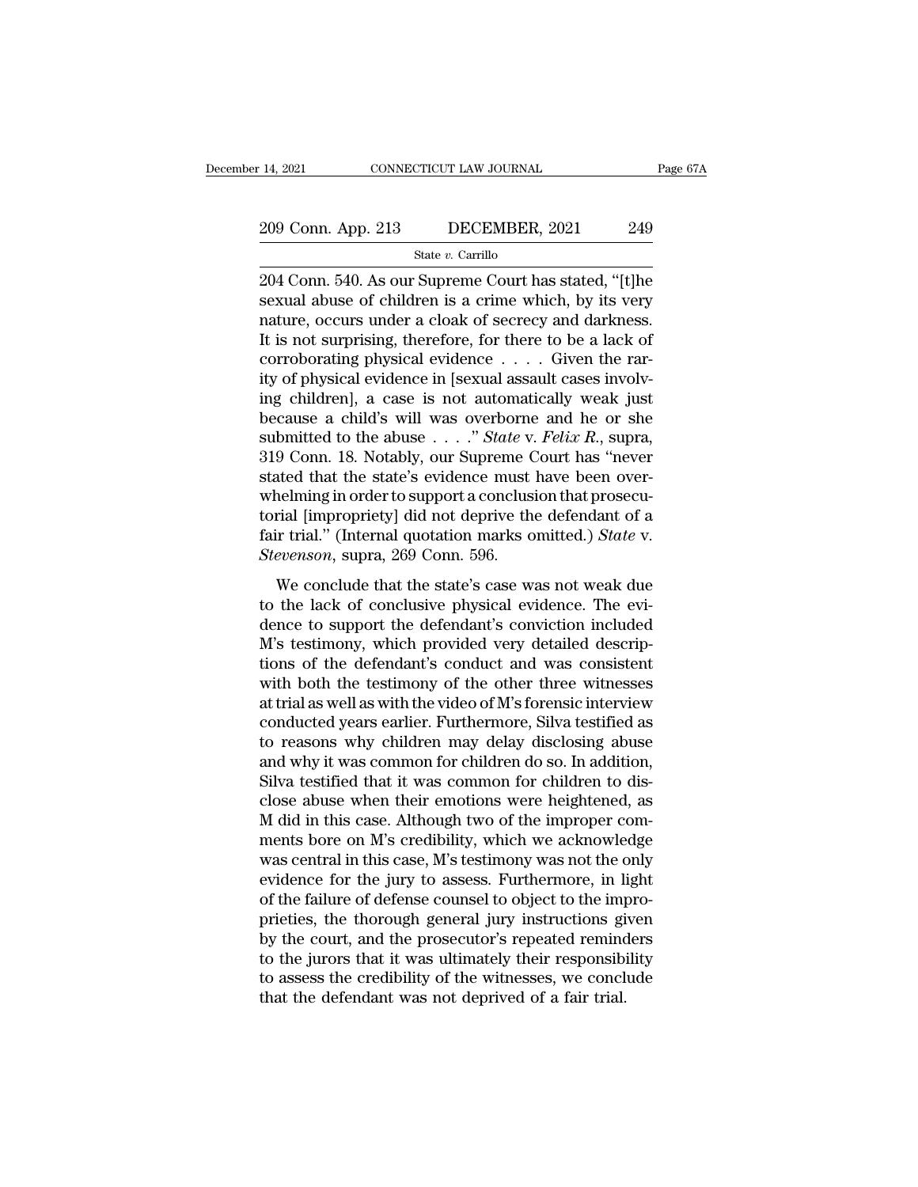State *v.* Carrillo

209 Conn. App. 213 DECEMBER, 2021 249<br>209 Conn. App. 213 DECEMBER, 2021 249<br>314 State v. Carrillo<br>204 Conn. 540. As our Supreme Court has stated, "[t]he<br>sexual abuse of children is a crime which, by its very 209 Conn. App. 213 DECEMBER, 2021 249<br>
State v. Carrillo<br>
204 Conn. 540. As our Supreme Court has stated, "[t]he<br>
sexual abuse of children is a crime which, by its very<br>
nature, occurs under a cloak of secrecy and darkness 209 Conn. App. 213 DECEMBER, 2021 249<br>
State v. Carrillo<br>
204 Conn. 540. As our Supreme Court has stated, "[t]he<br>
sexual abuse of children is a crime which, by its very<br>
nature, occurs under a cloak of secrecy and darknes 209 Conn. App. 213 DECEMBER, 2021 249<br>
State v. Carrillo<br>
204 Conn. 540. As our Supreme Court has stated, "[t]he<br>
sexual abuse of children is a crime which, by its very<br>
nature, occurs under a cloak of secrecy and darknes State v. Carrillo<br>
204 Conn. 540. As our Supreme Court has stated, "[t]he<br>
sexual abuse of children is a crime which, by its very<br>
nature, occurs under a cloak of secrecy and darkness.<br>
It is not surprising, therefore, fo state v. Carnilo<br>
204 Conn. 540. As our Supreme Court has stated, "[t]he<br>
sexual abuse of children is a crime which, by its very<br>
nature, occurs under a cloak of secrecy and darkness.<br>
It is not surprising, therefore, for 204 Conn. 540. As our Supreme Court has stated, "[t]he<br>sexual abuse of children is a crime which, by its very<br>nature, occurs under a cloak of secrecy and darkness.<br>It is not surprising, therefore, for there to be a lack o sexual abuse of children is a crime which, by its very<br>nature, occurs under a cloak of secrecy and darkness.<br>It is not surprising, therefore, for there to be a lack of<br>corroborating physical evidence  $\dots$ . Given the rar-<br> nature, occurs under a cloak of secrecy and darkness.<br>It is not surprising, therefore, for there to be a lack of<br>corroborating physical evidence . . . . . Given the rar-<br>ity of physical evidence in [sexual assault cases in It is not surprising, therefore, for there to be a lack of corroborating physical evidence . . . . Given the rarity of physical evidence in [sexual assault cases involving children], a case is not automatically weak just corroborating physical evidence  $\dots$  Given the rarity of physical evidence in [sexual assault cases involving children], a case is not automatically weak just because a child's will was overborne and he or she submitted t ity of physical evidence in [sexual assault cases involving children], a case is not automatically weak just<br>because a child's will was overborne and he or she<br>submitted to the abuse  $\ldots$ ." State v. Felix R., supra,<br>319 ing children], a case is not automatically weak just<br>because a child's will was overborne and he or she<br>submitted to the abuse  $\ldots$ ." *State* v. *Felix R.*, supra,<br>319 Conn. 18. Notably, our Supreme Court has "never<br>stat because a child's will was overborne and he or she<br>submitted to the abuse  $\ldots$ ." *State* v. *Felix R.*, supra,<br>319 Conn. 18. Notably, our Supreme Court has "never<br>stated that the state's evidence must have been over-<br>whe submitted to the abuse . . . ." *State* v.<br>319 Conn. 18. Notably, our Supreme C<br>stated that the state's evidence must<br>whelming in order to support a conclus<br>torial [impropriety] did not deprive th<br>fair trial." (Internal qu Example 12 is a suppreme courring in the state's evidence must have been over-<br>nelming in order to support a conclusion that prosecu-<br>rial [impropriety] did not deprive the defendant of a<br>ir trial." (Internal quotation mar stated that the state's evidence mast have seen over<br>whelming in order to support a conclusion that prosecu-<br>torial [impropriety] did not deprive the defendant of a<br>fair trial." (Internal quotation marks omitted.) *State*

whening in order to support dence<br>also take for the defendant of a<br>fair trial." (Internal quotation marks omitted.) *State* v.<br>*Stevenson*, supra, 269 Conn. 596.<br>We conclude that the state's case was not weak due<br>to the l Example in the definite and according to the definition of the very distributed.) State v.<br>Stevenson, supra, 269 Conn. 596.<br>We conclude that the state's case was not weak due<br>to the lack of conclusive physical evidence. Th Stevenson, supra, 269 Conn. 596.<br>We conclude that the state's case was not weak due<br>to the lack of conclusive physical evidence. The evi-<br>dence to support the defendant's conviction included<br>M's testimony, which provided We conclude that the state's case was not weak due<br>to the lack of conclusive physical evidence. The evi-<br>dence to support the defendant's conviction included<br>M's testimony, which provided very detailed descrip-<br>tions of th We conclude that the state's case was not weak due<br>to the lack of conclusive physical evidence. The evi-<br>dence to support the defendant's conviction included<br>M's testimony, which provided very detailed descrip-<br>tions of th to the lack of conclusive physical evidence. The evidence to support the defendant's conviction included M's testimony, which provided very detailed descriptions of the defendant's conduct and was consistent with both the dence to support the defendant's conviction included<br>M's testimony, which provided very detailed descrip-<br>tions of the defendant's conduct and was consistent<br>with both the testimony of the other three witnesses<br>at trial as M's testimony, which provided very detailed descrip-<br>tions of the defendant's conduct and was consistent<br>with both the testimony of the other three witnesses<br>at trial as well as with the video of M's forensic interview<br>con tions of the defendant's conduct and was consistent<br>with both the testimony of the other three witnesses<br>at trial as well as with the video of M's forensic interview<br>conducted years earlier. Furthermore, Silva testified as with both the testimony of the other three witnesses<br>at trial as well as with the video of M's forensic interview<br>conducted years earlier. Furthermore, Silva testified as<br>to reasons why children may delay disclosing abuse<br> at trial as well as with the video of M's forensic interview<br>conducted years earlier. Furthermore, Silva testified as<br>to reasons why children may delay disclosing abuse<br>and why it was common for children do so. In addition conducted years earlier. Furthermore, Silva testified as<br>to reasons why children may delay disclosing abuse<br>and why it was common for children do so. In addition,<br>Silva testified that it was common for children to dis-<br>clo to reasons why children may delay disclosing abuse<br>and why it was common for children do so. In addition,<br>Silva testified that it was common for children to dis-<br>close abuse when their emotions were heightened, as<br>M did in and why it was common for children do so. In addition,<br>Silva testified that it was common for children to dis-<br>close abuse when their emotions were heightened, as<br>M did in this case. Although two of the improper com-<br>ments Silva testified that it was common for children to disclose abuse when their emotions were heightened, as M did in this case. Although two of the improper comments bore on M's credibility, which we acknowledge was central close abuse when their emotions were heightened, as<br>M did in this case. Although two of the improper com-<br>ments bore on M's credibility, which we acknowledge<br>was central in this case, M's testimony was not the only<br>evidenc M did in this case. Although two of the improper comments bore on M's credibility, which we acknowledge was central in this case, M's testimony was not the only evidence for the jury to assess. Furthermore, in light of the ments bore on M's credibility, which we acknowledge<br>was central in this case, M's testimony was not the only<br>evidence for the jury to assess. Furthermore, in light<br>of the failure of defense counsel to object to the impro-<br> was central in this case, M's testimony was not the only<br>evidence for the jury to assess. Furthermore, in light<br>of the failure of defense counsel to object to the impro-<br>prieties, the thorough general jury instructions giv evidence for the jury to assess. Furthermore, in liven of the failure of defense counsel to object to the imprieties, the thorough general jury instructions gives the court, and the prosecutor's repeated remino to the juro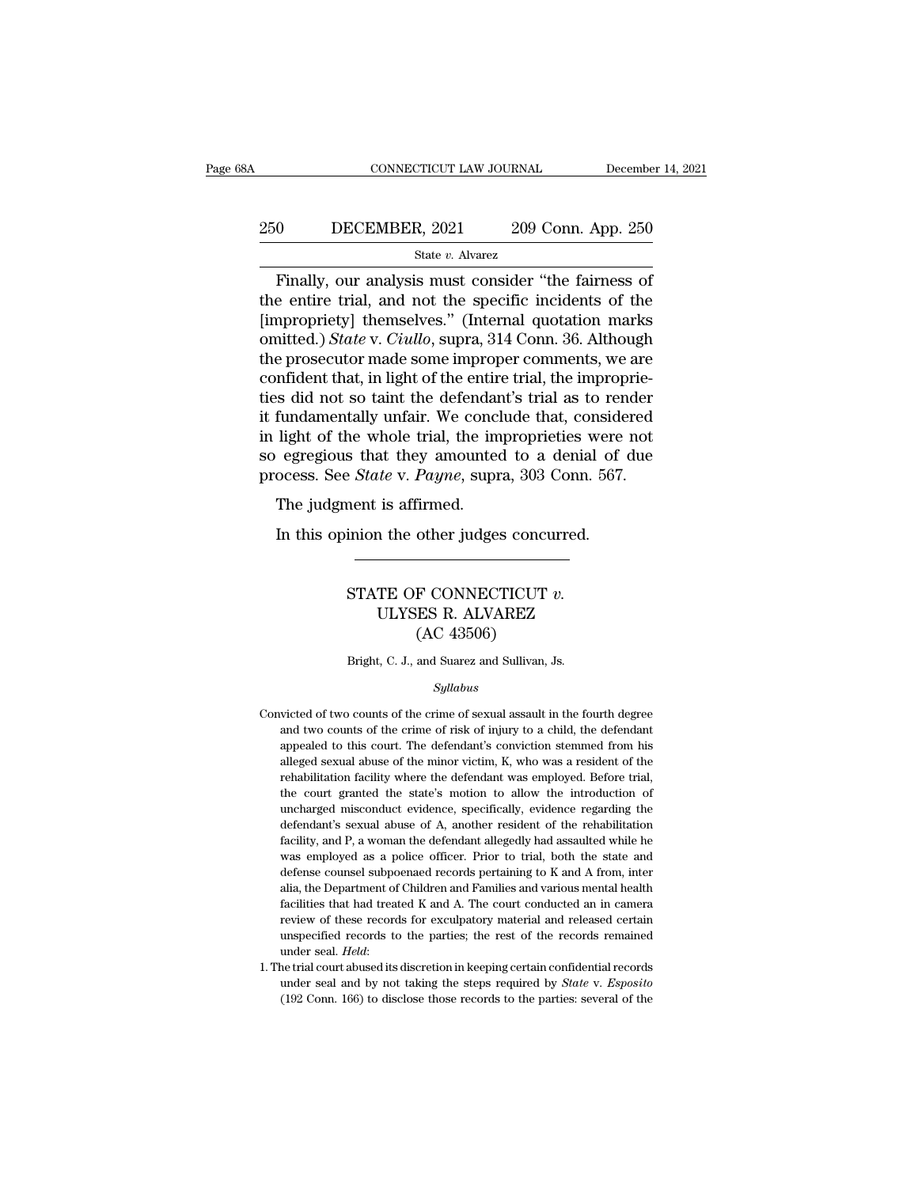# EXECUTE CONNECTICUT LAW JOURNAL December 14, 2021<br>250 DECEMBER, 2021 209 Conn. App. 250<br>31 State v. Alvarez

### State *v.* Alvarez

CONNECTICUT LAW JOURNAL December 14, 202<br>
O DECEMBER, 2021 209 Conn. App. 250<br>
State v. Alvarez<br>
Finally, our analysis must consider "the fairness of<br>
e entire trial, and not the specific incidents of the The entire trial, and not the specific incidents of the entire trial, and not the specific incidents of the entire trial, and not the specific incidents of the entire trial, and not the specific incidents of the entired) S 250 DECEMBER, 2021 209 Conn. App. 250<br>  $\frac{\text{State } v. \text{ Average}}{\text{Finally, our analysis must consider "the fairness of the entire trial, and not the specific incidents of the [impropriety] themselves." (Internal quotation marks omitted.) *State v. Ciullo*, supra, 314 Conn. 36. Although the crossover made some improvement, we are$ **EXEMBER, 2021** 209 Conn. App. 250<br>
State *v*. Alvarez<br>
Finally, our analysis must consider "the fairness of<br>
the entire trial, and not the specific incidents of the<br>
[impropriety] themselves." (Internal quotation marks<br>
o State v. Alvarez<br>
State v. Alvarez<br>
Finally, our analysis must consider "the fairness of<br>
the entire trial, and not the specific incidents of the<br>
[impropriety] themselves." (Internal quotation marks<br>
omitted.) State v. C State v. Alvarez<br>
Finally, our analysis must consider "the fairness of<br>
the entire trial, and not the specific incidents of the<br>
[impropriety] themselves." (Internal quotation marks<br>
omitted.) State v. Ciullo, supra, 314 Finally, our analysis must consider "the fairness of<br>the entire trial, and not the specific incidents of the<br>[impropriety] themselves." (Internal quotation marks<br>omitted.) *State* v. *Ciullo*, supra, 314 Conn. 36. Although the entire trial, and not the specific incidents of the [impropriety] themselves." (Internal quotation marks omitted.) *State* v. *Ciullo*, supra, 314 Conn. 36. Although the prosecutor made some improper comments, we are c [impropriety] themselves." (Internal quotation marks<br>omitted.) *State* v. *Ciullo*, supra, 314 Conn. 36. Although<br>the prosecutor made some improper comments, we are<br>confident that, in light of the entire trial, the improp omitted.) *State* v. *Ciullo*, supra, 314 Conn. 36. Although<br>the prosecutor made some improper comments, we are<br>confident that, in light of the entire trial, the improprie-<br>ties did not so taint the defendant's trial as to the prosecutor made some improper comments, we are<br>confident that, in light of the entire trial, the improprie-<br>ties did not so taint the defendant's trial as to render<br>it fundamentally unfair. We conclude that, considered Findent that, in fight of the entired.<br>It is did not so taint the defendar<br>fundamentally unfair. We concl<br>light of the whole trial, the im<br>egregious that they amounted<br>ocess. See *State* v. Payne, supr<br>The judgment is affi fundamentally unfair. We conclude that, conside light of the whole trial, the improprieties were egregious that they amounted to a denial of ocess. See *State* v.  $Payne$ , supra, 303 Conn. 567. The judgment is affirmed. In t

### Extate v. Payne, supra, 303 Conn. 567.<br>
nent is affirmed.<br>
inion the other judges concurred.<br>
STATE OF CONNECTICUT *v.*<br>
ULYSES R. ALVAREZ<br>
(AC 42506) is affirmed.<br>
a the other judges concurred.<br>
TE OF CONNECTICUT  $v$ .<br>
ULYSES R. ALVAREZ (AC 43506) other judges concu<br>
F CONNECTICUT<br>
ES R. ALVAREZ<br>
(AC 43506)<br>
and Suarez and Sullivan, J STATE OF CONNECTICUT  $v$ .<br>ULYSES R. ALVAREZ<br>(AC 43506)<br>Bright, C. J., and Suarez and Sullivan, Js.

### *Syllabus*

- $(AC 43506)$ <br>Bright, C. J., and Suarez and Sullivan, Js.<br> $Syllabus$ <br>Convicted of two counts of the crime of sexual assault in the fourth degree<br>and two counts of the crime of risk of injury to a child, the defendant Bright, C. J., and Suarez and Sullivan, Js.<br>Syllabus<br>victed of two counts of the crime of sexual assault in the fourth degree<br>and two counts of the crime of risk of injury to a child, the defendant<br>appealed to this court. Bright, C. J., and Suarez and Sullivan, Js.<br>Syllabus<br>victed of two counts of the crime of sexual assault in the fourth degree<br>and two counts of the crime of risk of injury to a child, the defendant<br>appealed to this court. *Syllabus*<br>size of two counts of the crime of sexual assault in the fourth degree<br>and two counts of the crime of risk of injury to a child, the defendant<br>appealed to this court. The defendant's conviction stemmed from his<br> sytuables<br>since the defendant wo counts of the crime of risk of injury to a child, the defendant<br>appealed to this court. The defendant's conviction stemmed from his<br>alleged sexual abuse of the minor victim, K, who was a re victed of two counts of the crime of sexual assault in the fourth degree and two counts of the crime of risk of injury to a child, the defendant appealed to this court. The defendant's conviction stemmed from his alleged s and two counts of the crime of risk of injury to a child, the defendant appealed to this court. The defendant's conviction stemmed from his alleged sexual abuse of the minor victim, K, who was a resident of the rehabilitat appealed to this court. The defendant's conviction stemmed from his alleged sexual abuse of the minor victim, K, who was a resident of the rehabilitation facility where the defendant was employed. Before trial, the court g alleged sexual abuse of the minor victim, K, who was a resident of the rehabilitation facility where the defendant was employed. Before trial, the court granted the state's motion to allow the introduction of uncharged mis rehabilitation facility where the defendant was employed. Before trial, the court granted the state's motion to allow the introduction of uncharged misconduct evidence, specifically, evidence regarding the defendant's sexu rehabilitation facility where the defendant was employed. Before trial, the court granted the state's motion to allow the introduction of uncharged misconduct evidence, specifically, evidence regarding the defendant's sexu uncharged misconduct evidence, specifically, evidence regarding the defendant's sexual abuse of A, another resident of the rehabilitation facility, and P, a woman the defendant allegedly had assaulted while he was employed defendant's sexual abuse of A, another resident of the rehabilitation facility, and P, a woman the defendant allegedly had assaulted while he was employed as a police officer. Prior to trial, both the state and defense cou facility, and P, a woman the defendant allegedly had assaulted while he was employed as a police officer. Prior to trial, both the state and defense counsel subpoenaed records pertaining to K and A from, inter alia, the De was employed as a police officer. Prior to trial, both the state and defense counsel subpoenaed records pertaining to K and A from, inter alia, the Department of Children and Families and various mental health facilities t defense counsel subpoenaed records pertaining to K and A from, inter<br>alia, the Department of Children and Families and various mental health<br>facilities that had treated K and A. The court conducted an in camera<br>review of t facilities that had treated K and A. The court conducted an in camera<br>review of these records for exculpatory material and released certain<br>unspecified records to the parties; the rest of the records remained<br>under seal.
- review of these records for exculpatory material and released certain unspecified records to the parties; the rest of the records remained under seal. *Held*:<br>1. The trial court abused its discretion in keeping certain con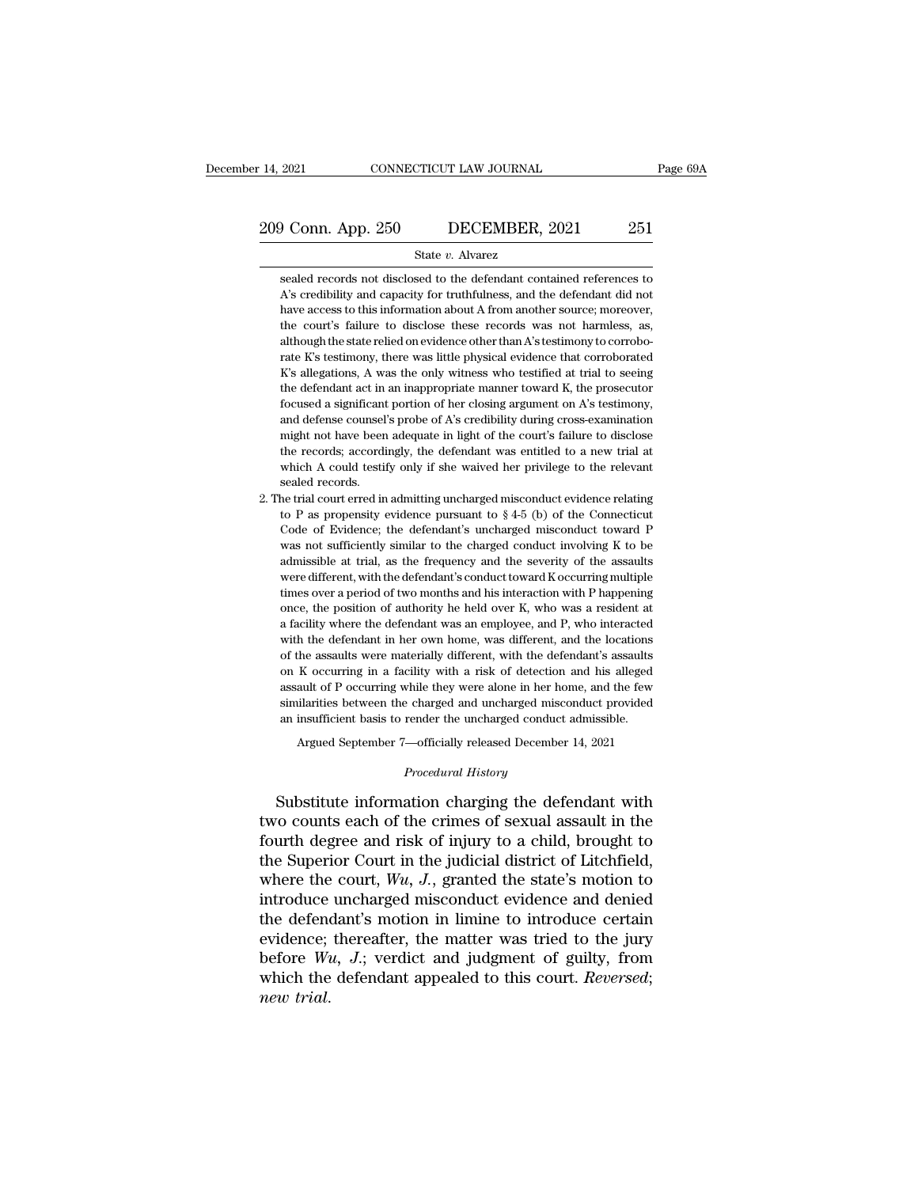# 14, 2021 CONNECTICUT LAW JOURNAL Page 69A<br>209 Conn. App. 250 DECEMBER, 2021 251<br>State v. Alvarez

### State *v.* Alvarez

o Conn. App. 250 DECEMBER, 2021 251<br>State v. Alvarez<br>Sealed records not disclosed to the defendant contained references to<br>As credibility and capacity for truthfulness, and the defendant did not  $\begin{array}{r|l} \textbf{1} & \textbf{1} & \textbf{1} & \textbf{1} \\ \textbf{251} & \textbf{352} & \textbf{363} & \textbf{1} \\ \textbf{353} & \textbf{184} & \textbf{185} & \textbf{186} & \textbf{187} \\ \textbf{364} & \textbf{185} & \textbf{186} & \textbf{187} & \textbf{188} \\ \textbf{47} & \textbf{187} & \textbf{188} & \textbf{188} & \textbf{188} \\ \textbf{58} & \textbf{188$ have access to this information about A from another source; moreover, the court's failure to disclose these records was not harmless, as, as, all the court's failure to disclose these records was not harmless, as, State v. Alvarez<br>
State v. Alvarez<br>
State v. Alvarez<br>
A's credibility and capacity for truthfulness, and the defendant did not<br>
have access to this information about A from another source; moreover,<br>
the court's failure to State  $v$ . Alvarez<br>
sealed records not disclosed to the defendant contained references to<br>
A's credibility and capacity for truthfulness, and the defendant did not<br>
have access to this information about A from another sou sealed records not disclosed to the defendant contained references to A's credibility and capacity for truthfulness, and the defendant did not have access to this information about A from another source; moreover, the cour A's credibility and capacity for truthfulness, and the defendant did not have access to this information about A from another source; moreover, the court's failure to disclose these records was not harmless, as, although The defendant act in an inappropriate manner source; moreover, the court's failure to disclose these records was not harmless, as, although the state relied on evidence other than A's testimony to corroborate K's testimony for example a significant portion of here is exampled a significant portion of the court's failure to disclose these records was not harmless, as, although the state relied on evidence other than A's testimony to corrobor and be state relied on evidence other than A's testimony to corroborate K's testimony, there was little physical evidence that corroborated K's allegations, A was the only witness who testified at trial to seeing the defen rate K's testimony, there was little physical evidence that corroborated K's allegations, A was the only witness who testified at trial to seeing the defendant act in an inappropriate manner toward K, the prosecutor focus  $K$ 's allegations, A was the only witness who testified at trial to seeing the defendant act in an inappropriate manner toward  $K$ , the prosecutor focused a significant portion of her closing argument on  $A$ 's testimony, the defendant act in an inappropriate manner toward K, the prosecutor focused a significant portion of her closing argument on A's testimony, and defense counsel's probe of A's credibility during cross-examination might no the defendant act in an inappropriate manner toward K, the prosecutor focused a significant portion of her closing argument on A's testimony, and defense counsel's probe of A's credibility during cross-examination might n and defense coursel's probe of A's credibility during cross-examination<br>might not have been adequate in light of the court's failure to disclose<br>the records; accordingly, the defendant was entitled to a new trial at<br>which might not have been adequate in light of the court's failure to disclose<br>the records; accordingly, the defendant was entitled to a new trial at<br>which A could testify only if she waived her privilege to the relevant<br>sealed

the records; accordingly, the defendant was entitled to a new trial at which A could testify only if she waived her privilege to the relevant sealed records.<br>Sealed records.<br>the trial court erred in admitting uncharged mi which A could testify only if she waived her privilege to the relevant<br>sealed records.<br>he trial court erred in admitting uncharged misconduct evidence relating<br>to P as propensity evidence pursuant to  $\S 4-5$  (b) of the Co sealed records.<br>he trial court erred in admitting uncharged misconduct evidence relating<br>to P as propensity evidence pursuant to  $\S 4-5$  (b) of the Connecticut<br>Code of Evidence; the defendant's uncharged misconduct toward the trial court erred in admitting uncharged misconduct evidence relating to P as propensity evidence pursuant to  $\S 4-5$  (b) of the Connecticut Code of Evidence; the defendant's uncharged misconduct toward P was not suff to P as propensity evidence pursuant to § 4-5 (b) of the Connecticut Code of Evidence; the defendant's uncharged misconduct toward P was not sufficiently similar to the charged conduct involving K to be admissible at tria Code of Evidence; the defendant's uncharged misconduct toward P was not sufficiently similar to the charged conduct involving K to be admissible at trial, as the frequency and the severity of the assaults were different, was not sufficiently similar to the charged conduct involving K to be admissible at trial, as the frequency and the severity of the assaults were different, with the defendant's conduct toward K occurring multiple times ov admissible at trial, as the frequency and the severity of the assaults were different, with the defendant's conduct toward K occurring multiple times over a period of two months and his interaction with P happening once, t were different, with the defendant's conduct toward K occurring multiple times over a period of two months and his interaction with P happening once, the position of authority he held over K, who was a resident at a facil times over a period of two months and his interaction with P happening<br>once, the position of authority he held over K, who was a resident at<br>a facility where the defendant was an employee, and P, who interacted<br>with the de once, the position of authority he held over  $K$ , who was a resident at a facility where the defendant was an employee, and  $P$ , who interacted with the defendant in her own home, was different, and the locations of the a a facility where the defendant was an employee, and P, who interacted with the defendant in her own home, was different, and the locations of the assaults were materially different, with the defendant's assaults on K occur with the defendant in her own home, was different, and the locations of the assaults were materially different, with the defendant's assaults on K occurring in a facility with a risk of detection and his alleged assault o the assaults were materially different, with the defendant's assaults K occurring in a facility with a risk of detection and his alleged ault of P occurring while they were alone in her home, and the few illarities between an insufficient basis to render the uncharged conduct admissible.<br> *Procedural History*<br> *Procedural History*<br> *Procedural History*<br> **Procedural History**<br> **Procedural History** assault of P occurring while they were alone in her home, and the few<br>similarities between the charged and uncharged misconduct provided<br>an insufficient basis to render the uncharged conduct admissible.<br>Argued September 7—

similarities between the charged and uncharged misconduct provided<br>an insufficient basis to render the uncharged conduct admissible.<br>Argued September 7—officially released December 14, 2021<br>*Procedural History*<br>Substitute an insufficient basis to render the uncharged conduct admissible.<br>
Argued September 7—officially released December 14, 2021<br>  $Proceedural History$ <br>
Substitute information charging the defendant with<br>
two counts each of the crimes of sexu Argued September 7—officially released December 14, 2021<br>
Procedural History<br>
Substitute information charging the defendant with<br>
two counts each of the crimes of sexual assault in the<br>
fourth degree and risk of injury to *Procedural History*<br>Substitute information charging the defendant with<br>two counts each of the crimes of sexual assault in the<br>fourth degree and risk of injury to a child, brought to<br>the Superior Court in the judicial dist Substitute information charging the defendant with<br>two counts each of the crimes of sexual assault in the<br>fourth degree and risk of injury to a child, brought to<br>the Superior Court in the judicial district of Litchfield,<br> Substitute information charging the defendant with<br>two counts each of the crimes of sexual assault in the<br>fourth degree and risk of injury to a child, brought to<br>the Superior Court in the judicial district of Litchfield,<br> two counts each of the crimes of sexual assault in the<br>fourth degree and risk of injury to a child, brought to<br>the Superior Court in the judicial district of Litchfield,<br>where the court,  $Wu$ ,  $J$ , granted the state's mot fourth degree and risk of injury to a child, brought to<br>the Superior Court in the judicial district of Litchfield,<br>where the court,  $W_u$ ,  $J$ ., granted the state's motion to<br>introduce uncharged misconduct evidence and den the Superior Court in the judicial district of Litchfield, where the court,  $Wu$ ,  $J$ , granted the state's motion to introduce uncharged misconduct evidence and denied the defendant's motion in limine to introduce certain where the<br>introduce<br>the defence<br>evidence;<br>before *Wi*<br>which the<br>*new trial*.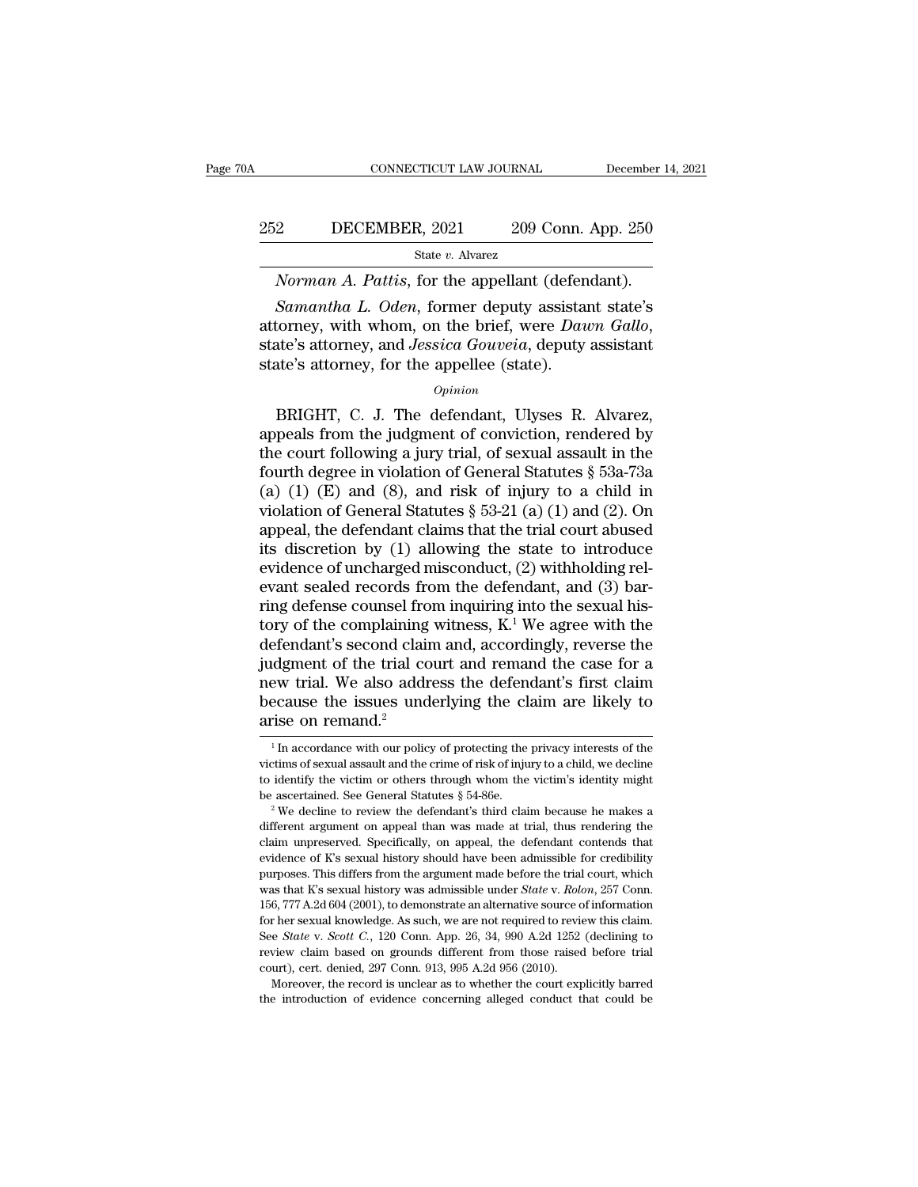### EXECUTE CONNECTICUT LAW JOURNAL December 14, 2021<br>252 DECEMBER, 2021 209 Conn. App. 250<br>31 State v. Alvarez State *v.* Alvarez *CONNECTICUT LAW JOURNAL* December 1<br>
209 Conn. App. 250<br> *State v. Alvarez*<br> *Norman A. Pattis*, for the appellant (defendant).<br> *Samantha L. Oden*, former deputy assistant state's

*Samantha L. Oden*, for the appellant (defendant).<br> *Samantha L. Oden*, former deputy assistant state's torney, with whom, on the brief, were *Dawn Gallo*, the's atterney and *Issaica Gouveia* deputy assistant 252 DECEMBER, 2021 209 Conn. App. 250<br>
<sup>State v</sup>. Alvarez<br> *Norman A. Pattis*, for the appellant (defendant).<br> *Samantha L. Oden*, former deputy assistant state's<br>
attorney, with whom, on the brief, were *Dawn Gallo*,<br>
sta State v. Alvarez<br>Norman A. Pattis, for the appellant (defen<br>Samantha L. Oden, former deputy assistant<br>attorney, with whom, on the brief, were Dau<br>state's attorney, and Jessica Gouveia, deputy<br>state's attorney, for the app Samantha L. Oden, former deputy assistant state's<br>torney, with whom, on the brief, were Dawn Gallo,<br>ate's attorney, and Jessica Gouveia, deputy assistant<br>te's attorney, for the appellee (state).<br>Opinion<br>BRIGHT, C. J. The d

### *Opinion*

Bandman E. Oden, former deputy assistant state 3<br>attorney, with whom, on the brief, were *Dawn Gallo*,<br>state's attorney, and *Jessica Gouveia*, deputy assistant<br>state's attorney, for the appellee (state).<br> $opinion$ <br>BRIGHT, C. state's attorney, and *Jessica Gouveia*, deputy assistant<br>state's attorney, and *Jessica Gouveia*, deputy assistant<br>state's attorney, for the appellee (state).<br> $o_{pinion}$ <br>BRIGHT, C. J. The defendant, Ulyses R. Alvarez,<br>appea state's attorney, and *bessied dotterd*, depaty assistant<br>state's attorney, for the appellee (state).<br> $opinion$ <br>BRIGHT, C. J. The defendant, Ulyses R. Alvarez,<br>appeals from the judgment of conviction, rendered by<br>the court fol  $o$ <sub>pinion</sub><br>
BRIGHT, C. J. The defendant, Ulyses R. Alvarez,<br>
appeals from the judgment of conviction, rendered by<br>
the court following a jury trial, of sexual assault in the<br>
fourth degree in violation of General Statute *Opinion*<br>BRIGHT, C. J. The defendant, Ulyses R. Alvarez,<br>appeals from the judgment of conviction, rendered by<br>the court following a jury trial, of sexual assault in the<br>fourth degree in violation of General Statutes § 53 BRIGHT, C. J. The defendant, Ulyses R. Alvarez,<br>appeals from the judgment of conviction, rendered by<br>the court following a jury trial, of sexual assault in the<br>fourth degree in violation of General Statutes § 53a-73a<br>(a) appeals from the judgment of conviction, rendered by<br>the court following a jury trial, of sexual assault in the<br>fourth degree in violation of General Statutes  $\S$  53a-73a<br>(a) (1) (E) and (8), and risk of injury to a child the court following a jury trial, of sexual assault in the<br>fourth degree in violation of General Statutes § 53a-73a<br>(a) (1) (E) and (8), and risk of injury to a child in<br>violation of General Statutes § 53-21 (a) (1) and ( fourth degree in violation of General Statutes § 53a-73a (a) (1) (E) and (8), and risk of injury to a child in violation of General Statutes § 53-21 (a) (1) and (2). On appeal, the defendant claims that the trial court ab (a) (1) (E) and (8), and risk of injury to a child in violation of General Statutes  $\S$  53-21 (a) (1) and (2). On appeal, the defendant claims that the trial court abused its discretion by (1) allowing the state to introd violation of General Statutes § 53-21 (a) (1) and (2). On<br>appeal, the defendant claims that the trial court abused<br>its discretion by (1) allowing the state to introduce<br>evidence of uncharged misconduct, (2) withholding re appeal, the defendant claims that the trial court abused<br>its discretion by (1) allowing the state to introduce<br>evidence of uncharged misconduct, (2) withholding rel-<br>evant sealed records from the defendant, and (3) bar-<br>ri its discretion by (1) allowing the state to introduce<br>evidence of uncharged misconduct, (2) withholding rel-<br>evant sealed records from the defendant, and (3) bar-<br>ring defense counsel from inquiring into the sexual his-<br>t evidence of uncharged misconduct, (2) withholding relevant sealed records from the defendant, and (3) bar-<br>ring defense counsel from inquiring into the sexual his-<br>tory of the complaining witness,  $K^1$  We agree with the<br> evant sealed records from the defendant, and  $(3)$  bar-<br>ring defense counsel from inquiring into the sexual his-<br>tory of the complaining witness,  $K^1$  We agree with the<br>defendant's second claim and, accordingly, reverse ring defense counsel fro<br>tory of the complaining<br>defendant's second clain<br>judgment of the trial co<br>new trial. We also addr<br>because the issues und<br>arise on remand.<sup>2</sup> dgment of the trial court and remand the case for a<br>ew trial. We also address the defendant's first claim<br>ecause the issues underlying the claim are likely to<br>rise on remand.<sup>2</sup><br> $\frac{1}{1}$  In accordance with our policy of mew trial. We also address the defendant's first claim<br>because the issues underlying the claim are likely to<br>arise on remand.<sup>2</sup><br><sup>1</sup> In accordance with our policy of protecting the privacy interests of the<br>victims of sexua

because the issues underlying the claim are likely to arise on remand.<sup>2</sup><br> $\frac{1}{1}$  In accordance with our policy of protecting the privacy interests of the victims of sexual assault and the crime of risk of injury to a c arise on remand.<sup>2</sup><br>
<sup>1</sup> In accordance with our policy of protecting the privacy interests of the victims of sexual assault and the crime of risk of injury to a child, we decline to identify the victim or others through w <sup>1</sup> In accordance with our policy of protecting the privacy interests of the victims of sexual assault and the crime of risk of injury to a child, we decline to identify the victim or others through whom the victim's iden

victims of sexual assault and the crime of risk of injury to a child, we decline<br>to identify the victim or others through whom the victim's identity might<br>be ascertained. See General Statutes  $\S 54-86e$ .<br><sup>2</sup> We decline to to identify the victim or others through whom the victim's identity might be ascertained. See General Statutes  $§$  54-86e.<br>
<sup>2</sup> We decline to review the defendant's third claim because he makes a different argument on app be ascertained. See General Statutes § 54-86e.<br>
<sup>2</sup> We decline to review the defendant's third claim because he makes a different argument on appeal than was made at trial, thus rendering the claim unpreserved. Specifical <sup>2</sup> We decline to review the defendant's third claim because he makes a different argument on appeal than was made at trial, thus rendering the claim unpreserved. Specifically, on appeal, the defendant contends that eviden different argument on appeal than was made at trial, thus rendering the claim unpreserved. Specifically, on appeal, the defendant contends that evidence of K's sexual history should have been admissible for credibility pur claim unpreserved. Specifically, on appeal, the defendant contends that evidence of K's sexual history should have been admissible for credibility purposes. This differs from the argument made before the trial court, whic evidence of K's sexual history should have been admissible for credibility<br>purposes. This differs from the argument made before the trial court, which<br>was that K's sexual history was admissible under *State* v. *Rolon*, 25 purposes. This differs from the argument made before the trial court, which was that K's sexual history was admissible under *State* v. *Rolon*, 257 Conn. 156, 777 A.2d 604 (2001), to demonstrate an alternative source of parties that K's sexual history was admissible under *State* v. *Rolo*<br>156, 777 A.2d 604 (2001), to demonstrate an alternative source of<br>or her sexual knowledge. As such, we are not required to revie<br>See *State* v. *Scott* 6, 777 A.2d 604 (2001), to demonstrate an alternative source of information ther sexual knowledge. As such, we are not required to review this claim.<br>
e *State v. Scott C.*, 120 Conn. App. 26, 34, 990 A.2d 1252 (declining 156, 777 A.2d 604 (2001), to demonstrate an alternative source of information for her sexual knowledge. As such, we are not required to review this claim. See *State v. Scott C.*, 120 Conn. App. 26, 34, 990 A.2d 1252 (dec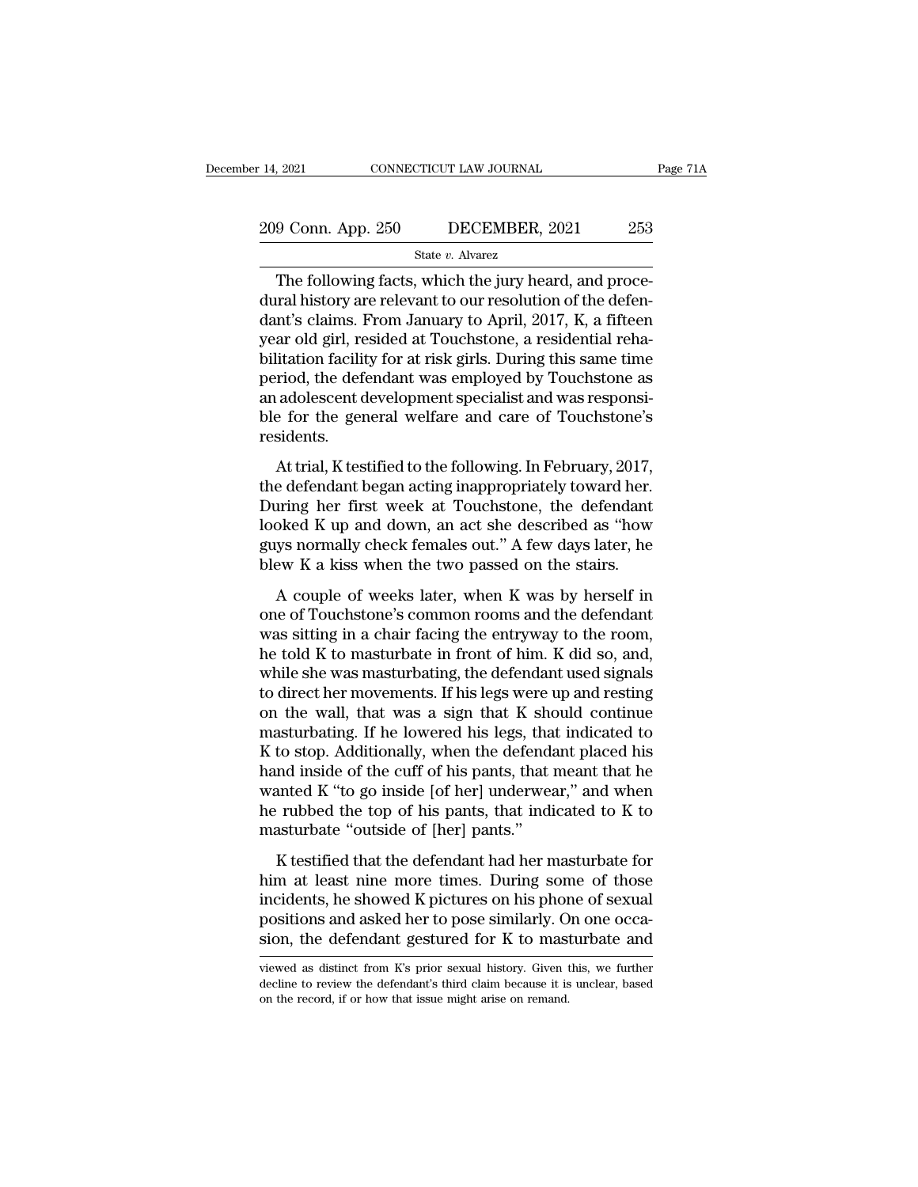# 14, 2021 CONNECTICUT LAW JOURNAL Page 71A<br>209 Conn. App. 250 DECEMBER, 2021 253<br>State v. Alvarez

### State *v.* Alvarez

The following facts, which the jury heard, and proce- $\frac{209}{253}$  Conn. App. 250 DECEMBER, 2021 253<br>
State v. Alvarez<br>
The following facts, which the jury heard, and procedural history are relevant to our resolution of the defen-<br>
dant's claims. From January to April, 2017 209 Conn. App. 250 DECEMBER, 2021 253<br>
State v. Alvarez<br>
The following facts, which the jury heard, and procedural history are relevant to our resolution of the defendant's claims. From January to April, 2017, K, a fiftee 209 Conn. App. 250 DECEMBER, 2021 253<br>
State v. Alvarez<br>
The following facts, which the jury heard, and proce-<br>
dural history are relevant to our resolution of the defen-<br>
dant's claims. From January to April, 2017, K, a For Bolton Fight 200<br>State v. Alvarez<br>The following facts, which the jury heard, and proce-<br>dural history are relevant to our resolution of the defen-<br>dant's claims. From January to April, 2017, K, a fifteen<br>year old girl state v. Alvarez<br>The following facts, which the jury heard, and proce-<br>dural history are relevant to our resolution of the defen-<br>dant's claims. From January to April, 2017, K, a fifteen<br>year old girl, resided at Touchsto The following facts, which the jury heard, and proce-<br>dural history are relevant to our resolution of the defen-<br>dant's claims. From January to April, 2017, K, a fifteen<br>year old girl, resided at Touchstone, a residential dural history are relevant to our resolution of the defendant's claims. From January to April, 2017, K, a fifteen year old girl, resided at Touchstone, a residential rehabilitation facility for at risk girls. During this s residents. at old girl, resided at Todenstone, a residential renailitation facility for at risk girls. During this same time<br>riod, the defendant was employed by Touchstone as<br>adolescent development specialist and was responsi-<br>e for bination facing for at fisk gifts. During ans same ante<br>period, the defendant was employed by Touchstone as<br>an adolescent development specialist and was responsi-<br>ble for the general welfare and care of Touchstone's<br>reside

period, the determinit was employed by Todensione as<br>an adolescent development specialist and was responsi-<br>ble for the general welfare and care of Touchstone's<br>residents.<br>At trial, K testified to the following. In Februar an adocsect a development specialist and was responsed<br>the for the general welfare and care of Touchstone's<br>residents.<br>At trial, K testified to the following. In February, 2017,<br>the defendant began acting inappropriately t gues for the general wendre and eare of Todenstone 5<br>residents.<br>At trial, K testified to the following. In February, 2017,<br>the defendant began acting inappropriately toward her.<br>During her first week at Touchstone, the def At trial, K testified to the following. In February, 2017,<br>the defendant began acting inappropriately toward her.<br>During her first week at Touchstone, the defendant<br>looked K up and down, an act she described as "how<br>guys n A couple of weeks later, when K was by herself in<br>a couple of Trumateur and a couple are first week at Touchstone, the defendant<br>oked K up and down, an act she described as "how<br>ys normally check females out." A few days l one determinate segan deling imapproprimely foward fiel.<br>During her first week at Touchstone, the defendant<br>looked K up and down, an act she described as "how<br>guys normally check females out." A few days later, he<br>blew K a

Buring iter instructure at Touchstone, are detendant<br>looked K up and down, an act she described as "how<br>guys normally check females out." A few days later, he<br>blew K a kiss when the two passed on the stairs.<br>A couple of we he told K to masturbating, the defendant use increases the solution of the solution of the solution of Touchstone's common rooms and the defendant was sitting in a chair facing the entryway to the room, the told K to mastu We K a kiss when the two passed on the stairs.<br>A couple of weeks later, when K was by herself in<br>one of Touchstone's common rooms and the defendant<br>was sitting in a chair facing the entryway to the room,<br>he told K to mast A couple of weeks later, when K was by herself in<br>one of Touchstone's common rooms and the defendant<br>was sitting in a chair facing the entryway to the room,<br>he told K to masturbate in front of him. K did so, and,<br>while she A couple of weeks later, when K was by herself in<br>one of Touchstone's common rooms and the defendant<br>was sitting in a chair facing the entryway to the room,<br>he told K to masturbate in front of him. K did so, and,<br>while sh one of Touchstone's common rooms and the defendant<br>was sitting in a chair facing the entryway to the room,<br>he told K to masturbate in front of him. K did so, and,<br>while she was masturbating, the defendant used signals<br>to d was sitting in a chair facing the entryway to the room,<br>he told K to masturbate in front of him. K did so, and,<br>while she was masturbating, the defendant used signals<br>to direct her movements. If his legs were up and resti he told K to masturbate in front of him. K did so, and,<br>while she was masturbating, the defendant used signals<br>to direct her movements. If his legs were up and resting<br>on the wall, that was a sign that K should continue<br>m while she was masturbating, the defendant used signals<br>to direct her movements. If his legs were up and resting<br>on the wall, that was a sign that K should continue<br>masturbating. If he lowered his legs, that indicated to<br>K to direct her movements. If his legs were up and resting<br>on the wall, that was a sign that K should continue<br>masturbating. If he lowered his legs, that indicated to<br>K to stop. Additionally, when the defendant placed his<br>ha on the wall, that was a sign that K shomasturbating. If he lowered his legs, tha<br>K to stop. Additionally, when the defenda<br>hand inside of the cuff of his pants, that i<br>wanted K "to go inside [of her] underwea<br>he rubbed the to stop. Additionally, when the defendant placed his<br>nd inside of the cuff of his pants, that meant that he<br>anted K "to go inside [of her] underwear," and when<br>rubbed the top of his pants, that indicated to K to<br>asturbate hand inside of the cuff of his pants, that meant that he<br>wanted K "to go inside [of her] underwear," and when<br>he rubbed the top of his pants, that indicated to K to<br>masturbate "outside of [her] pants."<br>K testified that the

mand fission of the carr of the pants, that include that he wanted K "to go inside [of her] underwear," and when<br>he rubbed the top of his pants, that indicated to K to<br>masturbate "outside of [her] pants."<br>K testified that manted it as go inside [or her] ander wear, and when<br>he rubbed the top of his pants, that indicated to K to<br>masturbate "outside of [her] pants."<br>K testified that the defendant had her masturbate for<br>him at least nine more In the ratio of the defendant had her masturbate for<br>
K testified that the defendant had her masturbate for<br>
him at least nine more times. During some of those<br>
incidents, he showed K pictures on his phone of sexual<br>
posit him at least nine more times. During some of those incidents, he showed K pictures on his phone of sexual positions and asked her to pose similarly. On one occasion, the defendant gestured for K to masturbate and viewed as incidents, he showed K pictures on his phone of sexual positions and asked her to pose similarly. On one occasion, the defendant gestured for K to masturbate and viewed as distinct from K's prior sexual history. Given this

positions and asked her to pose similarly. O<br>sion, the defendant gestured for K to mase<br>viewed as distinct from K's prior sexual history. Given t<br>decline to review the defendant's third claim because it is<br>on the record, i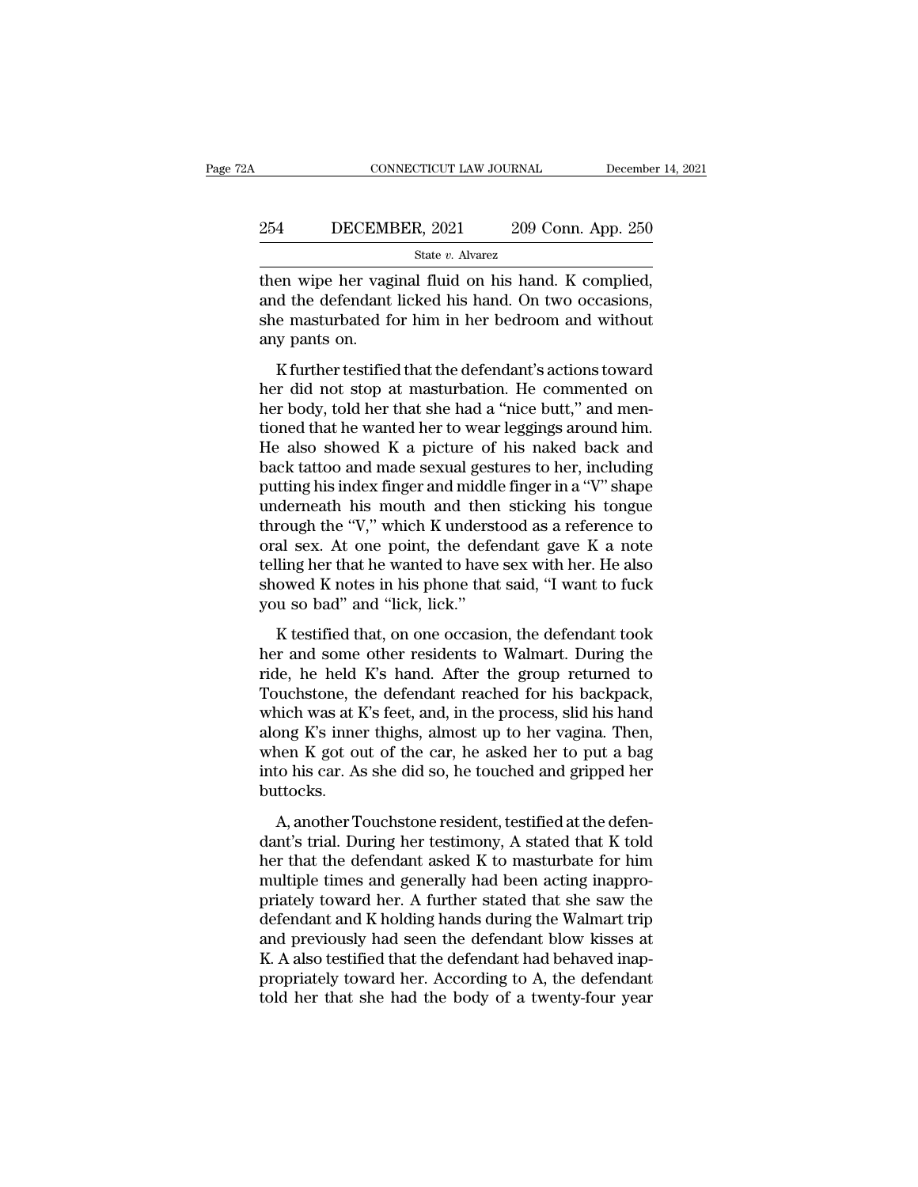# EXECUTE CONNECTICUT LAW JOURNAL December 14, 2021<br>254 DECEMBER, 2021 209 Conn. App. 250<br>31 State v. Alvarez

State *v.* Alvarez

CONNECTICUT LAW JOURNAL December 14, 2<br>
254 DECEMBER, 2021 209 Conn. App. 250<br>
3tate v. Alvarez<br>
209 Conn. App. 250<br>
209 Conn. App. 250<br>
209 Conn. App. 250<br>
209 Conn. App. 250<br>
209 Conn. App. 250<br>
209 Conn. App. 250<br>
209 C 254 DECEMBER, 2021 209 Conn. App. 250<br>  $\frac{\text{State } v. \text{ Average}}{\text{then wipe her vaginal fluid on his hand. K compiled,}}$ <br>
and the defendant licked his hand. On two occasions,<br>
she masturbated for him in her bedroom and without  $\begin{tabular}{ll} \multicolumn{1}{l}{{\bf 254}} & DECEMBER, 2021 & 209 Conn. App. 250 \\ & \multicolumn{1}{l}{\bf 844} & 209 Conn. App. 250 \\ \hline & \multicolumn{1}{l}{\bf 844} & 209 Conn. App. 250 \\ & \multicolumn{1}{l}{\bf 844} & 209 Conn. App. 250 \\ & \multicolumn{1}{l}{\bf 844} & 209 Conn. App. 250 \\ & \multicolumn{1}{l}{\bf 844} & 209 Conn. App. 250 \\ & \multicolumn{1}{l}{\bf$ 254 DECEME<br>
then wipe her vag<br>
and the defendant<br>
she masturbated for<br>
any pants on.<br>
K further testified State  $v$ . Alvarez<br>
State  $v$ . Alvarez<br>
en wipe her vaginal fluid on his hand. K complied,<br>
d the defendant licked his hand. On two occasions,<br>
enasturbated for him in her bedroom and without<br>
y pants on.<br>
K further testi then wipe her vaginal fluid on his hand. K complied,<br>and the defendant licked his hand. On two occasions,<br>she masturbated for him in her bedroom and without<br>any pants on.<br>K further testified that the defendant's actions to

and the defendant licked his hand. On two occasions,<br>she masturbated for him in her bedroom and without<br>any pants on.<br>K further testified that the defendant's actions toward<br>her did not stop at masturbation. He commented and the decentrative friest ins hand. On two occasions,<br>she masturbated for him in her bedroom and without<br>any pants on.<br>K further testified that the defendant's actions toward<br>her did not stop at masturbation. He commente Showed K a picture of his naked back and which any pants on.<br>
K further testified that the defendant's actions toward<br>
her did not stop at masturbation. He commented on<br>
her body, told her that she had a "nice butt," and m K further testified that the defendant's actions toward<br>her did not stop at masturbation. He commented on<br>her body, told her that she had a "nice butt," and men-<br>tioned that he wanted her to wear leggings around him.<br>He a K further testified that the defendant's actions toward<br>her did not stop at masturbation. He commented on<br>her body, told her that she had a "nice butt," and men-<br>tioned that he wanted her to wear leggings around him.<br>He a her did not stop at masturbation. He commented on<br>her body, told her that she had a "nice butt," and men-<br>tioned that he wanted her to wear leggings around him.<br>He also showed K a picture of his naked back and<br>back tattoo her body, told her that she had a "nice butt," and mentioned that he wanted her to wear leggings around him.<br>He also showed K a picture of his naked back and back tattoo and made sexual gestures to her, including<br>putting h tioned that he wanted her to wear leggings around him.<br>He also showed K a picture of his naked back and<br>back tattoo and made sexual gestures to her, including<br>putting his index finger and middle finger in a "V" shape<br>unde He also showed K a picture of his naked back and<br>back tattoo and made sexual gestures to her, including<br>putting his index finger and middle finger in a "V" shape<br>underneath his mouth and then sticking his tongue<br>through th back tattoo and made sexual gestures to her, including<br>putting his index finger and middle finger in a "V" shape<br>underneath his mouth and then sticking his tongue<br>through the "V," which K understood as a reference to<br>oral putting his index finger and middle underneath his mouth and then<br>through the "V," which K underst<br>oral sex. At one point, the defe<br>telling her that he wanted to have<br>showed K notes in his phone that<br>you so bad" and "lick, rough the "V," which K understood as a reference to<br>al sex. At one point, the defendant gave K a note<br>lling her that he wanted to have sex with her. He also<br>owed K notes in his phone that said, "I want to fuck<br>u so bad" a an odg. The F<sub>1</sub>, which is dialocated as a reference to<br>oral sex. At one point, the defendant gave K a note<br>telling her that he wanted to have sex with her. He also<br>showed K notes in his phone that said, "I want to fuck<br>yo

Figure 1.1 The bind of the search of the search of the search of the showed K notes in his phone that said, "I want to fuck you so bad" and "lick, lick."<br>K testified that, on one occasion, the defendant took her and some o showed K notes in his phone that said, "I want to fuck<br>you so bad" and "lick, lick."<br>K testified that, on one occasion, the defendant took<br>her and some other residents to Walmart. During the<br>ride, he held K's hand. After t you so bad" and "lick, lick."<br>
K testified that, on one occasion, the defendant took<br>
her and some other residents to Walmart. During the<br>
ride, he held K's hand. After the group returned to<br>
Touchstone, the defendant rea K testified that, on one occasion, the defendant took<br>her and some other residents to Walmart. During the<br>ride, he held K's hand. After the group returned to<br>Touchstone, the defendant reached for his backpack,<br>which was a K testified that, on one occasion, the defendant took<br>her and some other residents to Walmart. During the<br>ride, he held K's hand. After the group returned to<br>Touchstone, the defendant reached for his backpack,<br>which was at her and some other residents to Walmart. During the ride, he held K's hand. After the group returned to Touchstone, the defendant reached for his backpack, which was at K's feet, and, in the process, slid his hand along K' buttocks. Musch was at K's feet, and, in the process, slid his hand<br>ong K's inner thighs, almost up to her vagina. Then,<br>nen K got out of the car, he asked her to put a bag<br>to his car. As she did so, he touched and gripped her<br>ttoc ment was at H s reet, and, in the process, she has hand<br>along K's inner thighs, almost up to her vagina. Then,<br>when K got out of the car, he asked her to put a bag<br>into his car. As she did so, he touched and gripped her<br>bu

when K got out of the car, he asked her to put a bag<br>into his car. As she did so, he touched and gripped her<br>buttocks.<br>A, another Touchstone resident, testified at the defen-<br>dant's trial. During her testimony, A stated t multiple times and solution is carried that the defendant's scale. A, another Touchstone resident, testified at the defendant's trial. During her testimony, A stated that K told her that the defendant asked K to masturbat mos has ear. As she are so, he coached and gripped her<br>buttocks.<br>A, another Touchstone resident, testified at the defen-<br>dant's trial. During her testimony, A stated that K told<br>her that the defendant asked K to masturbate A, another Touchstone resident, testified at the defendant's trial. During her testimony, A stated that K told<br>her that the defendant asked K to masturbate for him<br>multiple times and generally had been acting inappro-<br>pri A, another Touchstone resident, testified at the defendant's trial. During her testimony, A stated that K told<br>her that the defendant asked K to masturbate for him<br>multiple times and generally had been acting inappro-<br>pri dant's trial. During her testimony, A stated that K told<br>her that the defendant asked K to masturbate for him<br>multiple times and generally had been acting inappro-<br>priately toward her. A further stated that she saw the<br>def her that the defendant asked K to masturbate for him<br>multiple times and generally had been acting inappro-<br>priately toward her. A further stated that she saw the<br>defendant and K holding hands during the Walmart trip<br>and pr multiple times and generally had been acting inappro-<br>priately toward her. A further stated that she saw the<br>defendant and K holding hands during the Walmart trip<br>and previously had seen the defendant blow kisses at<br>K. A a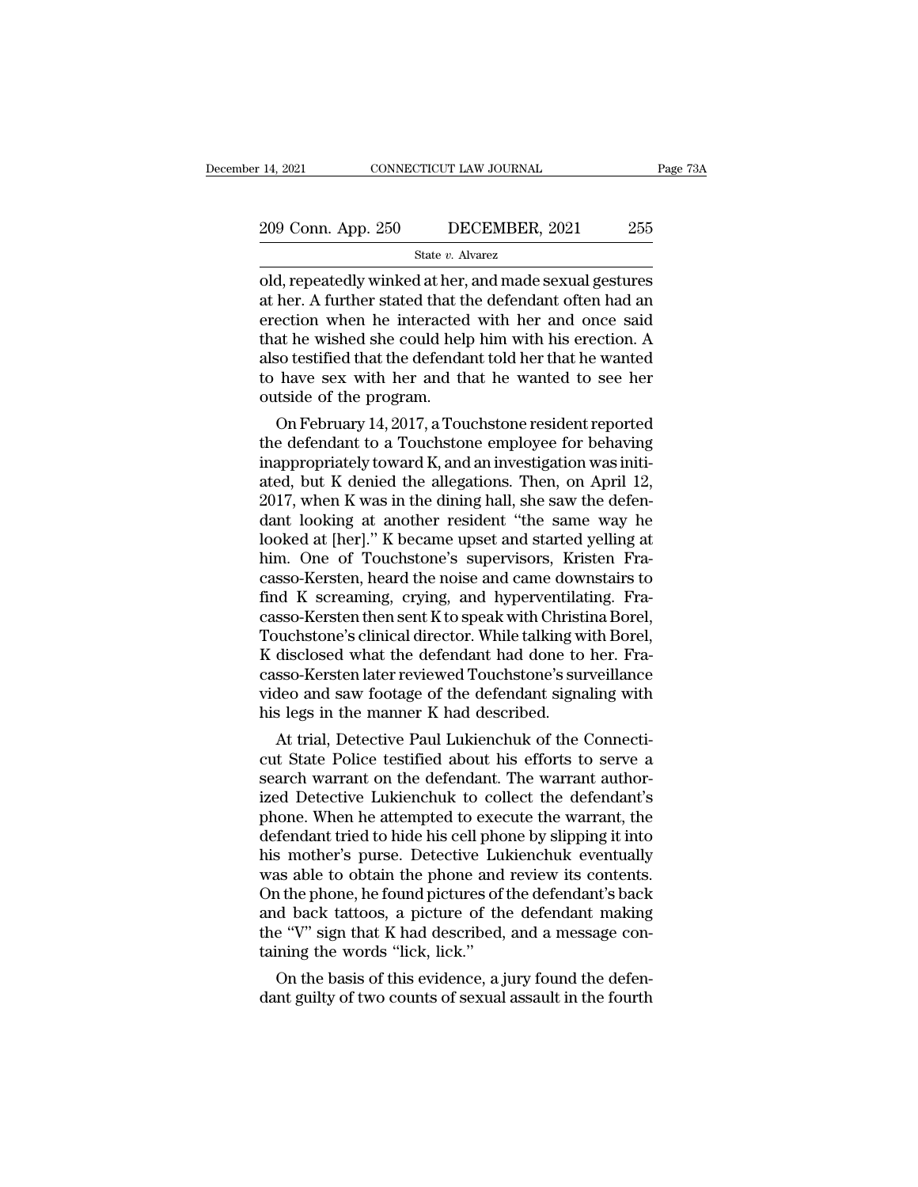# 14, 2021 CONNECTICUT LAW JOURNAL Page 73A<br>209 Conn. App. 250 DECEMBER, 2021 255<br>State v. Alvarez

### State *v.* Alvarez

14, 2021 CONNECTICUT LAW JOURNAL Page 73A<br>
209 Conn. App. 250 DECEMBER, 2021 255<br>
State v. Alvarez<br>
old, repeatedly winked at her, and made sexual gestures<br>
at her. A further stated that the defendant often had an 209 Conn. App. 250 DECEMBER, 2021 255<br>
State v. Alvarez<br>
old, repeatedly winked at her, and made sexual gestures<br>
at her. A further stated that the defendant often had an<br>
erection when he interacted with her and once sai 209 Conn. App. 250 DECEMBER, 2021 255<br>
State v. Alvarez<br>
old, repeatedly winked at her, and made sexual gestures<br>
at her. A further stated that the defendant often had an<br>
erection when he interacted with her and once sai 209 Conn. App. 250 DECEMBER, 2021 255<br>
State v. Alvarez<br>
old, repeatedly winked at her, and made sexual gestures<br>
at her. A further stated that the defendant often had an<br>
erection when he interacted with her and once sai State v. Alvarez<br>
also testing to the defendant often had an<br>
also testified that the defendant often had an<br>
defendant often had an<br>
defendant told her that he wanted<br>
to have sex with her and that he wanted to see her<br> state *v*. Alvarez<br>old, repeatedly winked at her, and made sexual gestures<br>at her. A further stated that the defendant often had an<br>erection when he interacted with her and once said<br>that he wished she could help him with old, repeatedly winked at her,<br>at her. A further stated that tl<br>erection when he interacted<br>that he wished she could helj<br>also testified that the defenda<br>to have sex with her and tr<br>outside of the program.<br>On February 14, ner. A further stated that the defendant often had an<br>ection when he interacted with her and once said<br>at he wished she could help him with his erection. A<br>so testified that the defendant told her that he wanted<br>have sex w erection when he interacted with her and once said<br>that he wished she could help him with his erection. A<br>also testified that the defendant told her that he wanted<br>to have sex with her and that he wanted to see her<br>outside

that he wished she could help him with his erection. A<br>also testified that the defendant told her that he wanted<br>to have sex with her and that he wanted to see her<br>outside of the program.<br>On February 14, 2017, a Touchstone also testined that the derendant told her that he wanted<br>to have sex with her and that he wanted to see her<br>outside of the program.<br>On February 14, 2017, a Touchstone resident reported<br>the defendant to a Touchstone employe to have sex with her and that he wanted to see her<br>outside of the program.<br>On February 14, 2017, a Touchstone resident reported<br>the defendant to a Touchstone employee for behaving<br>inappropriately toward K, and an investiga outside of the program.<br>
On February 14, 2017, a Touchstone resident reported<br>
the defendant to a Touchstone employee for behaving<br>
inappropriately toward K, and an investigation was initi-<br>
ated, but K denied the allegati On February 14, 2017, a Touchstone resident reported<br>the defendant to a Touchstone employee for behaving<br>inappropriately toward K, and an investigation was initi-<br>ated, but K denied the allegations. Then, on April 12,<br>2017 the defendant to a Touchstone employee for behaving<br>inappropriately toward K, and an investigation was initi-<br>ated, but K denied the allegations. Then, on April 12,<br>2017, when K was in the dining hall, she saw the defen-<br>d inappropriately toward K, and an investigation was initiated, but K denied the allegations. Then, on April 12,<br>2017, when K was in the dining hall, she saw the defendant looking at another resident "the same way he<br>looked ated, but K denied the allegations. Then, on April 12, 2017, when K was in the dining hall, she saw the defendant looking at another resident "the same way he looked at [her]." K became upset and started yelling at him. On 2017, when K was in the dining hall, she saw the defendant looking at another resident "the same way he looked at [her]." K became upset and started yelling at him. One of Touchstone's supervisors, Kristen Fracasso-Kersten dant looking at another resident "the same way he<br>looked at [her]." K became upset and started yelling at<br>him. One of Touchstone's supervisors, Kristen Fra-<br>casso-Kersten, heard the noise and came downstairs to<br>find K scre looked at [her]." K became upset and started yelling at<br>him. One of Touchstone's supervisors, Kristen Fra-<br>casso-Kersten, heard the noise and came downstairs to<br>find K screaming, crying, and hyperventilating. Fra-<br>casso-Ke him. One of Touchstone's supervisors, Kristen Fra-<br>casso-Kersten, heard the noise and came downstairs to<br>find K screaming, crying, and hyperventilating. Fra-<br>casso-Kersten then sent K to speak with Christina Borel,<br>Touchst casso-Kersten, heard the noise and came downstairs to<br>find K screaming, crying, and hyperventilating. Fra-<br>casso-Kersten then sent K to speak with Christina Borel,<br>Touchstone's clinical director. While talking with Borel,<br> find K screaming, crying, and hyperventilat casso-Kersten then sent K to speak with Christi<br>Touchstone's clinical director. While talking w<br>K disclosed what the defendant had done to<br>casso-Kersten later reviewed Touchstone sso-Kersten then sent K to speak with Christina Borel,<br>ouchstone's clinical director. While talking with Borel,<br>disclosed what the defendant had done to her. Fra-<br>sso-Kersten later reviewed Touchstone's surveillance<br>deo an Fouchstone s clinical director. While talking with Borel,<br>K disclosed what the defendant had done to her. Fra-<br>casso-Kersten later reviewed Touchstone's surveillance<br>video and saw footage of the defendant signaling with<br>hi

K disclosed what the defendant had done to her. Fra-<br>casso-Kersten later reviewed Touchstone's surveillance<br>video and saw footage of the defendant signaling with<br>his legs in the manner K had described.<br>At trial, Detective casso-Kersten later reviewed Touchstone's surveillance<br>video and saw footage of the defendant signaling with<br>his legs in the manner K had described.<br>At trial, Detective Paul Lukienchuk of the Connecti-<br>cut State Police tes video and saw footage of the defendant signaling with<br>his legs in the manner K had described.<br>At trial, Detective Paul Lukienchuk of the Connecti-<br>cut State Police testified about his efforts to serve a<br>search warrant on t ms regs in the manner K had described.<br>
At trial, Detective Paul Lukienchuk of the Connecticut State Police testified about his efforts to serve a<br>
search warrant on the defendant. The warrant author-<br>
ized Detective Lukie At trial, Detective Paul Lukienchuk of the Connecticut State Police testified about his efforts to serve a<br>search warrant on the defendant. The warrant author-<br>ized Detective Lukienchuk to collect the defendant's<br>phone. Wh cut State Police testified about his efforts to serve a<br>search warrant on the defendant. The warrant author-<br>ized Detective Lukienchuk to collect the defendant's<br>phone. When he attempted to execute the warrant, the<br>defenda search warrant on the defendant. The warrant authorized Detective Lukienchuk to collect the defendant's phone. When he attempted to execute the warrant, the defendant tried to hide his cell phone by slipping it into his mo ized Detective Lukienchuk to collect the defendant's<br>phone. When he attempted to execute the warrant, the<br>defendant tried to hide his cell phone by slipping it into<br>his mother's purse. Detective Lukienchuk eventually<br>was a phone. When he attempted to execute the warrant, the defendant tried to hide his cell phone by slipping it into his mother's purse. Detective Lukienchuk eventually was able to obtain the phone and review its contents. On t defendant tried to hide his cell pho<br>his mother's purse. Detective Lu<br>was able to obtain the phone and<br>On the phone, he found pictures of<br>and back tattoos, a picture of th<br>the "V" sign that K had described,<br>taining the wor s mother's purse. Detective Lukienchuk eventually<br>as able to obtain the phone and review its contents.<br>1 the phone, he found pictures of the defendant's back<br>d back tattoos, a picture of the defendant making<br>e "V" sign tha was able to obtain the phone and review its contents.<br>On the phone, he found pictures of the defendant's back<br>and back tattoos, a picture of the defendant making<br>the "V" sign that K had described, and a message con-<br>tainin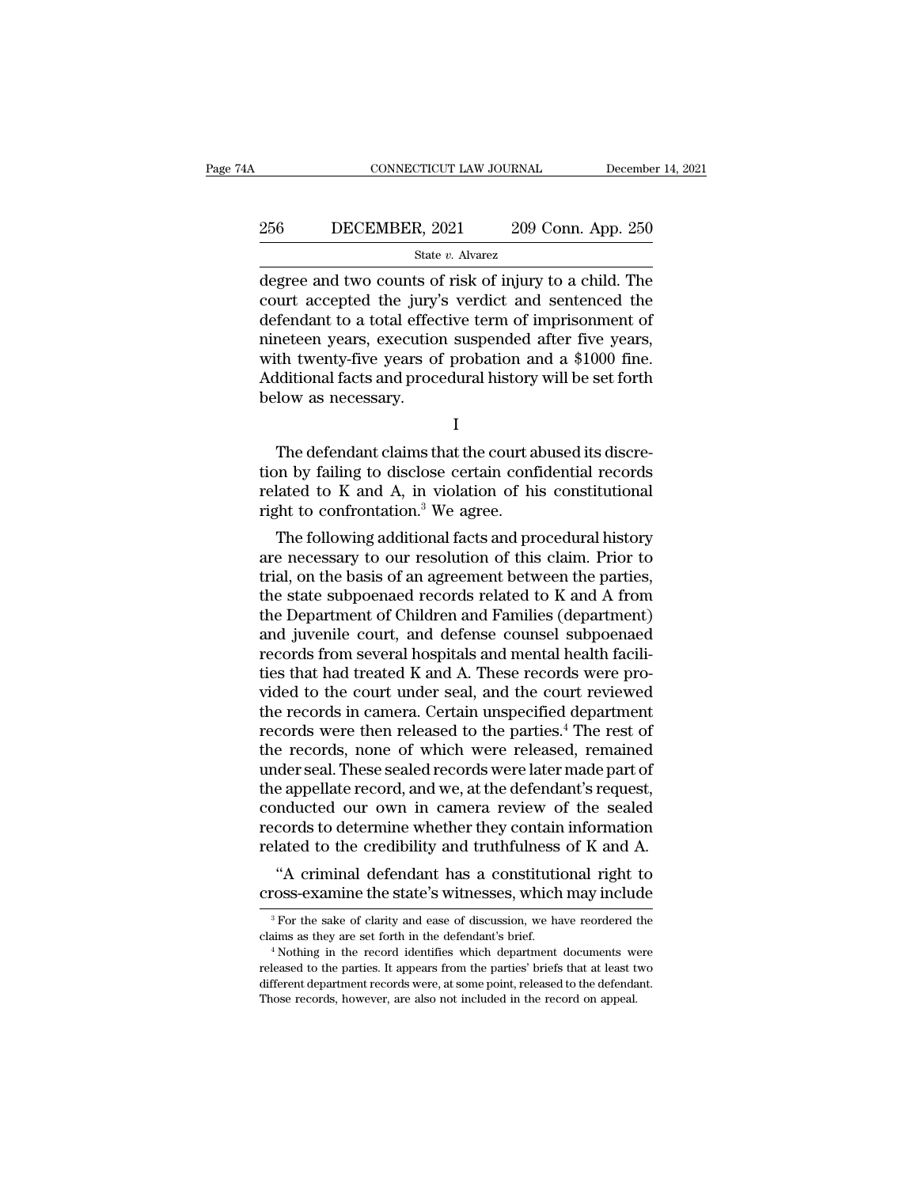# EXECUTE CONNECTICUT LAW JOURNAL December 14, 2021<br>256 DECEMBER, 2021 209 Conn. App. 250<br>31 State v. Alvarez

### State *v.* Alvarez

CONNECTICUT LAW JOURNAL December 14, 2021<br>
266 DECEMBER, 2021 209 Conn. App. 250<br>
31 State v. Alvarez<br>
degree and two counts of risk of injury to a child. The<br>
court accepted the jury's verdict and sentenced the<br>
defendent 256 DECEMBER, 2021 209 Conn. App. 250<br>
<sup>State v. Alvarez</sup><br>
degree and two counts of risk of injury to a child. The<br>
court accepted the jury's verdict and sentenced the<br>
defendant to a total effective term of imprisonment o 256 DECEMBER, 2021 209 Conn. App. 250<br>  $\frac{\text{State } v. \text{ Average}}{\text{degree and two counts of risk of injury to a child. The}$ <br>
court accepted the jury's verdict and sentenced the<br>
defendant to a total effective term of imprisonment of<br>
nineteen years, execution suspended af 256 DECEMBER, 2021 209 Conn. App. 250<br>  $\frac{\text{State } v. \text{ Average}}{\text{degree and two counts of risk of injury to a child. The} \text{court accepted the jury's verdict and sentenced the} \text{defendant to a total effective term of impressionment of, and the time of the year.} \text{a, the time of the year is given by the end of the year.}$ State v. Alvarez<br>
State v. Alvarez<br>
degree and two counts of risk of injury to a child. The<br>
court accepted the jury's verdict and sentenced the<br>
defendant to a total effective term of imprisonment of<br>
nineteen years, exe state  $v$ . Alvarez<br>degree and two counts of risk of injury to a child. The<br>court accepted the jury's verdict and sentenced the<br>defendant to a total effective term of imprisonment of<br>nineteen years, execution suspended aft degree and two counts of<br>court accepted the jury'<br>defendant to a total effec<br>nineteen years, execution<br>with twenty-five years of<br>Additional facts and proce<br>below as necessary. meteen years, execution suspended after five years,<br>th twenty-five years of probation and a \$1000 fine.<br>Iditional facts and procedural history will be set forth<br>low as necessary.<br>I<br>The defendant claims that the court abuse

I and the set of  $\mathbf I$ 

with twenty-five years of probation and a \$1000 fine.<br>
Additional facts and procedural history will be set forth<br>
below as necessary.<br>  $I$ <br>
The defendant claims that the court abused its discretion by failing to disclose Additional facts and procedural history will be set forth<br>below as necessary.<br> $I$ <br>The defendant claims that the court abused its discretion by failing to disclose certain confidential records<br>related to K and A, in violat below as necessary.<br>
I<br>The defendant claims that the court al<br>
tion by failing to disclose certain conf<br>
related to K and A, in violation of hi<br>
right to confrontation.<sup>3</sup> We agree.<br>
The following additional facts and pro I<br>
The defendant claims that the court abused its discre-<br>
in by failing to disclose certain confidential records<br>
lated to K and A, in violation of his constitutional<br>
ght to confrontation.<sup>3</sup> We agree.<br>
The following add The defendant claims that the court abused its discretion by failing to disclose certain confidential records<br>related to K and A, in violation of his constitutional<br>right to confrontation.<sup>3</sup> We agree.<br>The following addit

The defendant claims that the court abused its discretion by failing to disclose certain confidential records<br>related to K and A, in violation of his constitutional<br>right to confrontation.<sup>3</sup> We agree.<br>The following additi tion by laining to disclose certain confidential records<br>related to K and A, in violation of his constitutional<br>right to confrontation.<sup>3</sup> We agree.<br>The following additional facts and procedural history<br>are necessary to ou related to K and A, in Violation of his constitutional<br>right to confrontation.<sup>3</sup> We agree.<br>The following additional facts and procedural history<br>are necessary to our resolution of this claim. Prior to<br>trial, on the basis right to confrontation. We agree.<br>
The following additional facts and procedural history<br>
are necessary to our resolution of this claim. Prior to<br>
trial, on the basis of an agreement between the parties,<br>
the state subpoe The following additional facts and procedural history<br>are necessary to our resolution of this claim. Prior to<br>trial, on the basis of an agreement between the parties,<br>the state subpoenaed records related to K and A from<br>th are necessary to our resolution of this claim. Prior to<br>trial, on the basis of an agreement between the parties,<br>the state subpoenaed records related to K and A from<br>the Department of Children and Families (department)<br>and trial, on the basis of an agreement between the parties,<br>the state subpoenaed records related to K and A from<br>the Department of Children and Families (department)<br>and juvenile court, and defense counsel subpoenaed<br>records the state subpoenaed records related to K and A from<br>the Department of Children and Families (department)<br>and juvenile court, and defense counsel subpoenaed<br>records from several hospitals and mental health facili-<br>ties tha the Department of Children and Families (department)<br>and juvenile court, and defense counsel subpoenaed<br>records from several hospitals and mental health facili-<br>ties that had treated K and A. These records were pro-<br>vided and juvenile court, and defense counsel subpoenaed<br>records from several hospitals and mental health facili-<br>ties that had treated K and A. These records were pro-<br>vided to the court under seal, and the court reviewed<br>the r records from several hospitals and mental health facili-<br>ties that had treated K and A. These records were pro-<br>vided to the court under seal, and the court reviewed<br>the records in camera. Certain unspecified department<br>re ties that had treated K and A. These records were provided to the court under seal, and the court reviewed<br>the records in camera. Certain unspecified department<br>records were then released to the parties.<sup>4</sup> The rest of<br>the vided to the court under seal, and the court reviewed<br>the records in camera. Certain unspecified department<br>records were then released to the parties.<sup>4</sup> The rest of<br>the records, none of which were released, remained<br>unde the records in camera. Certain unspecified department<br>records were then released to the parties.<sup>4</sup> The rest of<br>the records, none of which were released, remained<br>under seal. These sealed records were later made part of<br>th records were then released to the parties.<sup>4</sup> The rest of<br>the records, none of which were released, remained<br>under seal. These sealed records were later made part of<br>the appellate record, and we, at the defendant's request e records, none of which were released, remained<br>
der seal. These sealed records were later made part of<br>
e appellate record, and we, at the defendant's request,<br>
mducted our own in camera review of the sealed<br>
cords to de under seal. I nese sealed records were later made part of<br>the appellate record, and we, at the defendant's request,<br>conducted our own in camera review of the sealed<br>records to determine whether they contain information<br>rel

Expediant of the credibility and truthfulness of K and A.<br>
"A criminal defendant has a constitutional right to<br>
ross-examine the state's witnesses, which may include<br>  $\frac{3}{5}$  For the sake of clarity and ease of discussi

claims as they are set forth in the defendant in the maximum in the state's witnesses, which may include<br> $\frac{1}{10}$  For the sake of clarity and ease of discussion, we have reordered the claims as they are set forth in the released to the parties. It appears from the parties' briefs that at least two different department records were, at some point, released to the defendant. different department records were, at some point, released to the defendant and experience released to the parties. It appears from the parties' brief.<br>The defendant's brief.<br>Thothing in the record identifies which departm <sup>3</sup> For the sake of clarity and ease of discussion, we have reordered telesting as they are set forth in the defendant's brief.<br><sup>4</sup> Nothing in the record identifies which department documents wereleased to the parties. It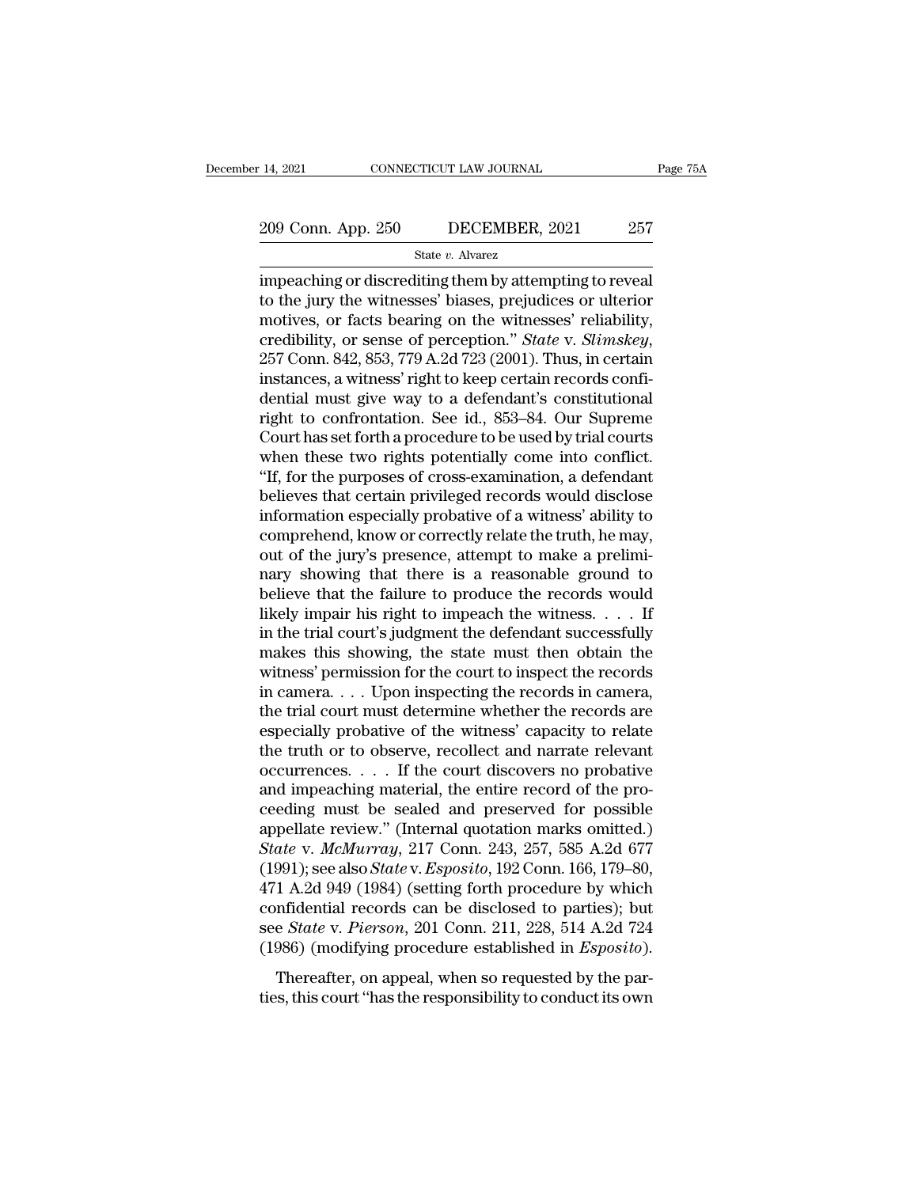# 14, 2021 CONNECTICUT LAW JOURNAL Page 75A<br>209 Conn. App. 250 DECEMBER, 2021 257<br>State v. Alvarez

State *v.* Alvarez

<sup>14, 2021</sup> CONNECTICUT LAW JOURNAL Page 7:<br>  $\frac{209 \text{ Conn. App. 250}}{\text{State } v. \text{ Always}}$  DECEMBER, 2021 257<br>
impeaching or discrediting them by attempting to reveal<br>
to the jury the witnesses' biases, prejudices or ulterior<br>
motives 209 Conn. App. 250 DECEMBER, 2021 257<br>
State v. Alvarez<br>
impeaching or discrediting them by attempting to reveal<br>
to the jury the witnesses' biases, prejudices or ulterior<br>
motives, or facts bearing on the witnesses' relia 209 Conn. App. 250 DECEMBER, 2021 257<br>
State v. Alvarez<br>
impeaching or discrediting them by attempting to reveal<br>
to the jury the witnesses' biases, prejudices or ulterior<br>
motives, or facts bearing on the witnesses' reli 209 Conn. App. 250 DECEMBER, 2021 257<br>
State *v*. Alvarez<br>
impeaching or discrediting them by attempting to reveal<br>
to the jury the witnesses' biases, prejudices or ulterior<br>
motives, or facts bearing on the witnesses' rel state v. Alvarez<br>impeaching or discrediting them by attempting to reveal<br>to the jury the witnesses' biases, prejudices or ulterior<br>motives, or facts bearing on the witnesses' reliability,<br>credibility, or sense of percepti impeaching or discrediting them by attempting to reveal<br>to the jury the witnesses' biases, prejudices or ulterior<br>motives, or facts bearing on the witnesses' reliability,<br>credibility, or sense of perception." *State* v. *S* to the jury the witnesses' biases, prejudices or ulterior<br>motives, or facts bearing on the witnesses' reliability,<br>credibility, or sense of perception." *State v. Slimskey*,<br>257 Conn. 842, 853, 779 A.2d 723 (2001). Thus, i motives, or facts bearing on the witnesses' reliability,<br>credibility, or sense of perception." *State* v. *Slimskey*,<br>257 Conn. 842, 853, 779 A.2d 723 (2001). Thus, in certain<br>instances, a witness' right to keep certain re credibility, or sense of perception." *State* v. *Slimskey*, 257 Conn. 842, 853, 779 A.2d 723 (2001). Thus, in certain instances, a witness' right to keep certain records confidential must give way to a defendant's constit 257 Conn. 842, 853, 779 A.2d 723 (2001). Thus, in certain instances, a witness' right to keep certain records confidential must give way to a defendant's constitutional right to confrontation. See id., 853–84. Our Supreme instances, a witness' right to keep certain records confidential must give way to a defendant's constitutional<br>right to confrontation. See id., 853–84. Our Supreme<br>Court has set forth a procedure to be used by trial courts dential must give way to a defendant's constitutional<br>right to confrontation. See id., 853–84. Our Supreme<br>Court has set forth a procedure to be used by trial courts<br>when these two rights potentially come into conflict.<br>"I right to confrontation. See id., 853–84. Our Supreme<br>Court has set forth a procedure to be used by trial courts<br>when these two rights potentially come into conflict.<br>"If, for the purposes of cross-examination, a defendant<br> Court has set forth a procedure to be used by trial courts<br>when these two rights potentially come into conflict.<br>"If, for the purposes of cross-examination, a defendant<br>believes that certain privileged records would disclo when these two rights potentially come into conflict.<br>"If, for the purposes of cross-examination, a defendant<br>believes that certain privileged records would disclose<br>information especially probative of a witness' ability t "If, for the purposes of cross-examination, a defendant<br>believes that certain privileged records would disclose<br>information especially probative of a witness' ability to<br>comprehend, know or correctly relate the truth, he believes that certain privileged records would disclose<br>information especially probative of a witness' ability to<br>comprehend, know or correctly relate the truth, he may,<br>out of the jury's presence, attempt to make a prelim information especially probative of a witness' ability to<br>comprehend, know or correctly relate the truth, he may,<br>out of the jury's presence, attempt to make a prelimi-<br>nary showing that there is a reasonable ground to<br>bel comprehend, know or correctly relate the truth, he may,<br>out of the jury's presence, attempt to make a prelimi-<br>nary showing that there is a reasonable ground to<br>believe that the failure to produce the records would<br>likely out of the jury's presence, attempt to make a preliminary showing that there is a reasonable ground to believe that the failure to produce the records would likely impair his right to impeach the witness. . . . If in the t nary showing that there is a reasonable ground to<br>believe that the failure to produce the records would<br>likely impair his right to impeach the witness. . . . If<br>in the trial court's judgment the defendant successfully<br>mak believe that the failure to produce the records would<br>likely impair his right to impeach the witness. . . . If<br>in the trial court's judgment the defendant successfully<br>makes this showing, the state must then obtain the<br>wi likely impair his right to impeach the witness.  $\dots$  If<br>in the trial court's judgment the defendant successfully<br>makes this showing, the state must then obtain the<br>witness' permission for the court to inspect the records<br> in the trial court's judgment the defendant successfully<br>makes this showing, the state must then obtain the<br>witness' permission for the court to inspect the records<br>in camera. . . . Upon inspecting the records in camera,<br> makes this showing, the state must then obtain the<br>witness' permission for the court to inspect the records<br>in camera. . . . Upon inspecting the records in camera,<br>the trial court must determine whether the records are<br>es witness' permission for the court to inspect the records<br>in camera.... Upon inspecting the records in camera,<br>the trial court must determine whether the records are<br>especially probative of the witness' capacity to relate<br> in camera.... Upon inspecting the records in camera,<br>the trial court must determine whether the records are<br>especially probative of the witness' capacity to relate<br>the truth or to observe, recollect and narrate relevant<br>o the trial court must determine whether the records are especially probative of the witness' capacity to relate the truth or to observe, recollect and narrate relevant occurrences.  $\dots$  If the court discovers no probative especially probative of the witness' capacity to relate<br>the truth or to observe, recollect and narrate relevant<br>occurrences. . . . If the court discovers no probative<br>and impeaching material, the entire record of the pro-<br> the truth or to observe, recollect and narrate relevant<br>occurrences. . . . If the court discovers no probative<br>and impeaching material, the entire record of the pro-<br>ceeding must be sealed and preserved for possible<br>appell occurrences. . . . . If the court discovers no probative<br>and impeaching material, the entire record of the pro-<br>ceeding must be sealed and preserved for possible<br>appellate review." (Internal quotation marks omitted.)<br> $State$  and impeaching material, the entire record of the proceeding must be sealed and preserved for possible appellate review." (Internal quotation marks omitted.)<br> *State v. McMurray*, 217 Conn. 243, 257, 585 A.2d 677<br>
(1991); ceeding must be sealed and preserved for possible<br>appellate review." (Internal quotation marks omitted.)<br>State v. McMurray, 217 Conn. 243, 257, 585 A.2d 677<br>(1991); see also State v. Esposito, 192 Conn. 166, 179–80,<br>471 A. appellate review." (Internal quotation marks omitted.)<br> *State* v. *McMurray*, 217 Conn. 243, 257, 585 A.2d 677<br>
(1991); see also *State* v. *Esposito*, 192 Conn. 166, 179–80,<br>
471 A.2d 949 (1984) (setting forth procedure 1991); see also *State* v. *Esposito*, 192 Conn. 166, 179–80, 1 A.2d 949 (1984) (setting forth procedure by which infidential records can be disclosed to parties); but e *State* v. *Pierson*, 201 Conn. 211, 228, 514 A.2d 7  $471$  A.2d 949 (1984) (setting forth procedure by which confidential records can be disclosed to parties); but see *State* v. *Pierson*, 201 Conn. 211, 228, 514 A.2d 724 (1986) (modifying procedure established in *Esposit*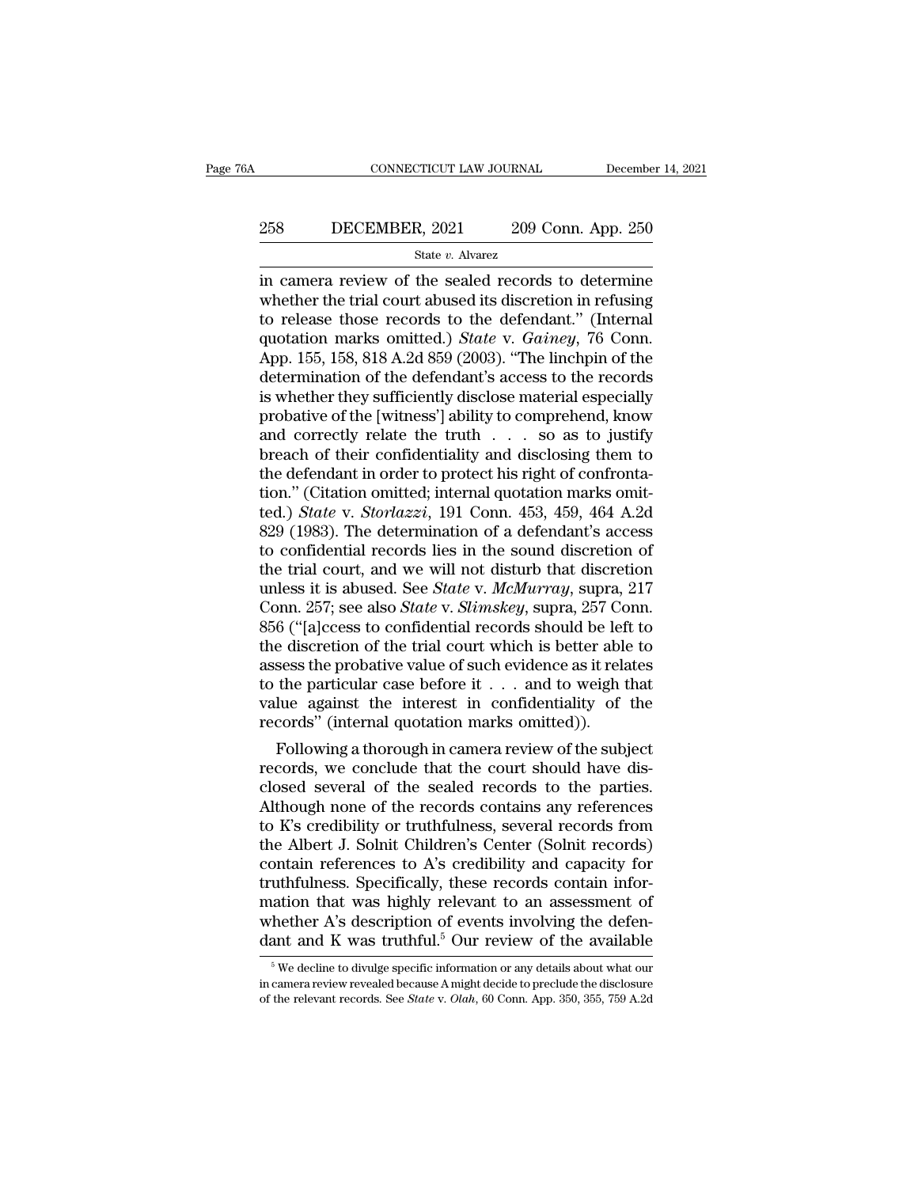# EXECUTE CONNECTICUT LAW JOURNAL December 14, 2021<br>258 DECEMBER, 2021 209 Conn. App. 250<br>31 State v. Alvarez

State *v.* Alvarez

CONNECTICUT LAW JOURNAL December 14, 2021<br>
268 DECEMBER, 2021 209 Conn. App. 250<br>
31 State v. Alvarez<br>
209 Conn. App. 250<br>
209 Conn. App. 250<br>
209 Conn. App. 250<br>
209 Conn. App. 250<br>
2010<br>
2010 State v. Alvarez<br>
2010 The s 258 DECEMBER, 2021 209 Conn. App. 250<br>  $\frac{\text{State } v. \text{ Alvarez}}{209 \text{ Conn. App. 250}}$ <br>
in camera review of the sealed records to determine<br>
whether the trial court abused its discretion in refusing<br>
to release those records to the de 258 DECEMBER, 2021 209 Conn. App. 250<br>  $\frac{\text{State } v. \text{ Average}}{\text{rate } v. \text{ Average}}$ <br>
in camera review of the sealed records to determine<br>
whether the trial court abused its discretion in refusing<br>
to release those records to the defendan DECEMBER, 2021 209 Conn. App. 250<br>
<sup>State v. Alvarez<br>
in camera review of the sealed records to determine<br>
whether the trial court abused its discretion in refusing<br>
to release those records to the defendant." (Internal<br>
q</sup> SECRETATION, 2021 200 001al  $\frac{1}{200}$  200 001al  $\frac{1}{2}$  200 001al  $\frac{1}{2}$  200 001al  $\frac{1}{2}$  200 001al  $\frac{1}{2}$  200 001al  $\frac{1}{2}$  200 001al  $\frac{1}{2}$  200 001al  $\frac{1}{2}$  200 001al  $\frac{1}{2}$  200 001al  $\frac{1}{2}$  2 state v. Alvarez<br>in camera review of the sealed records to determine<br>whether the trial court abused its discretion in refusing<br>to release those records to the defendant." (Internal<br>quotation marks omitted.) *State* v. *Ga* in camera review of the sealed records to determine<br>whether the trial court abused its discretion in refusing<br>to release those records to the defendant." (Internal<br>quotation marks omitted.) *State* v. *Gainey*, 76 Conn.<br>Ap whether the trial court abused its discretion in refusing<br>to release those records to the defendant." (Internal<br>quotation marks omitted.) *State* v. *Gainey*, 76 Conn.<br>App. 155, 158, 818 A.2d 859 (2003). "The linchpin of t to release those records to the defendant." (Internal quotation marks omitted.) *State* v. *Gainey*, 76 Conn.<br>App. 155, 158, 818 A.2d 859 (2003). "The linchpin of the determination of the defendant's access to the records quotation marks omitted.) *State* v. *Gainey*, 76 Conn.<br>App. 155, 158, 818 A.2d 859 (2003). "The linchpin of the<br>determination of the defendant's access to the records<br>is whether they sufficiently disclose material especi App. 155, 158, 818 A.2d 859 (2003). "The linchpin of the determination of the defendant's access to the records<br>is whether they sufficiently disclose material especially<br>probative of the [witness'] ability to comprehend, determination of the defendant's access to the records<br>is whether they sufficiently disclose material especially<br>probative of the [witness'] ability to comprehend, know<br>and correctly relate the truth  $\ldots$  so as to justif is whether they sufficiently disclose material especially<br>probative of the [witness'] ability to comprehend, know<br>and correctly relate the truth . . . . so as to justify<br>breach of their confidentiality and disclosing them probative of the [witness'] ability to comprehend, know<br>and correctly relate the truth . . . so as to justify<br>breach of their confidentiality and disclosing them to<br>the defendant in order to protect his right of confronta and correctly relate the truth . . . so as to justify<br>breach of their confidentiality and disclosing them to<br>the defendant in order to protect his right of confronta-<br>tion." (Citation omitted; internal quotation marks omi breach of their confidentiality and disclosing them to<br>the defendant in order to protect his right of confronta-<br>tion." (Citation omitted; internal quotation marks omit-<br>ted.) *State* v. *Storlazzi*, 191 Conn. 453, 459, 4 the defendant in order to protect his right of confrontation." (Citation omitted; internal quotation marks omitted.) *State* v. *Storlazzi*, 191 Conn. 453, 459, 464 A.2d 829 (1983). The determination of a defendant's acces tion." (Citation omitted; internal quotation marks omit-<br>ted.) *State* v. *Storlazzi*, 191 Conn. 453, 459, 464 A.2d<br>829 (1983). The determination of a defendant's access<br>to confidential records lies in the sound discretion ted.) *State* v. *Storlazzi*, 191 Conn. 453, 459, 464 A.2d<br>829 (1983). The determination of a defendant's access<br>to confidential records lies in the sound discretion of<br>the trial court, and we will not disturb that discret 829 (1983). The determination of a defendant's access<br>to confidential records lies in the sound discretion of<br>the trial court, and we will not disturb that discretion<br>unless it is abused. See *State* v. *McMurray*, supra, to confidential records lies in the sound discretion of<br>the trial court, and we will not disturb that discretion<br>unless it is abused. See *State* v. *McMurray*, supra, 217<br>Conn. 257; see also *State* v. *Slimskey*, supra, the trial court, and we will not disturb that discretion<br>unless it is abused. See *State* v. *McMurray*, supra, 217<br>Conn. 257; see also *State* v. *Slimskey*, supra, 257 Conn.<br>856 ("[a]ccess to confidential records should unless it is abused. See *State* v. *McMurray*, supra, 217<br>Conn. 257; see also *State* v. *Slimskey*, supra, 257 Conn.<br>856 ("[a]ccess to confidential records should be left to<br>the discretion of the trial court which is be Conn. 257; see also *State* v. *Slimskey*, supra, 257 Cc 856 ("[a]ccess to confidential records should be left the discretion of the trial court which is better able assess the probative value of such evidence as it relat  $6$  ("[a]ccess to confidential records should be left to e discretion of the trial court which is better able to sess the probative value of such evidence as it relates the particular case before it  $\dots$  and to weigh that the discretion of the trial court which is better able to<br>assess the probative value of such evidence as it relates<br>to the particular case before it  $\dots$  and to weigh that<br>value against the interest in confidentiality of

assess the probative value of such evidence as it relates<br>to the particular case before it  $\dots$  and to weigh that<br>value against the interest in confidentiality of the<br>records" (internal quotation marks omitted)).<br>Followin to the particular case before it . . . and to weigh that<br>value against the interest in confidentiality of the<br>records" (internal quotation marks omitted)).<br>Following a thorough in camera review of the subject<br>records, we c value against the interest in confidentiality of the<br>records" (internal quotation marks omitted)).<br>Following a thorough in camera review of the subject<br>records, we conclude that the court should have dis-<br>closed several of records" (internal quotation marks omitted)).<br>Following a thorough in camera review of the subject<br>records, we conclude that the court should have dis-<br>closed several of the sealed records to the parties.<br>Although none of Following a thorough in camera review of the subject<br>records, we conclude that the court should have dis-<br>closed several of the sealed records to the parties.<br>Although none of the records contains any references<br>to K's cre records, we conclude that the court should have disclosed several of the sealed records to the parties.<br>Although none of the records contains any references<br>to K's credibility or truthfulness, several records from<br>the Albe closed several of the sealed records to the parties.<br>Although none of the records contains any references<br>to K's credibility or truthfulness, several records from<br>the Albert J. Solnit Children's Center (Solnit records)<br>con Although none of the records contains any references<br>to K's credibility or truthfulness, several records from<br>the Albert J. Solnit Children's Center (Solnit records)<br>contain references to A's credibility and capacity for<br>t to K's credibility or truthfulness, several records from<br>the Albert J. Solnit Children's Center (Solnit records)<br>contain references to A's credibility and capacity for<br>truthfulness. Specifically, these records contain inf uthfulness. Specifically, these records contain infor-<br>ation that was highly relevant to an assessment of<br>hether A's description of events involving the defen-<br>ant and K was truthful.<sup>5</sup> Our review of the available<br><sup>5</sup>We d mation that was highly relevant to an assessment of<br>whether A's description of events involving the defen-<br>dant and K was truthful.<sup>5</sup> Our review of the available<br><sup>5</sup> We decline to divulge specific information or any deta whether A's description of events involving the defendant and K was truthful.<sup>5</sup> Our review of the available <sup>5</sup> We decline to divulge specific information or any details about what our in camera review revealed because A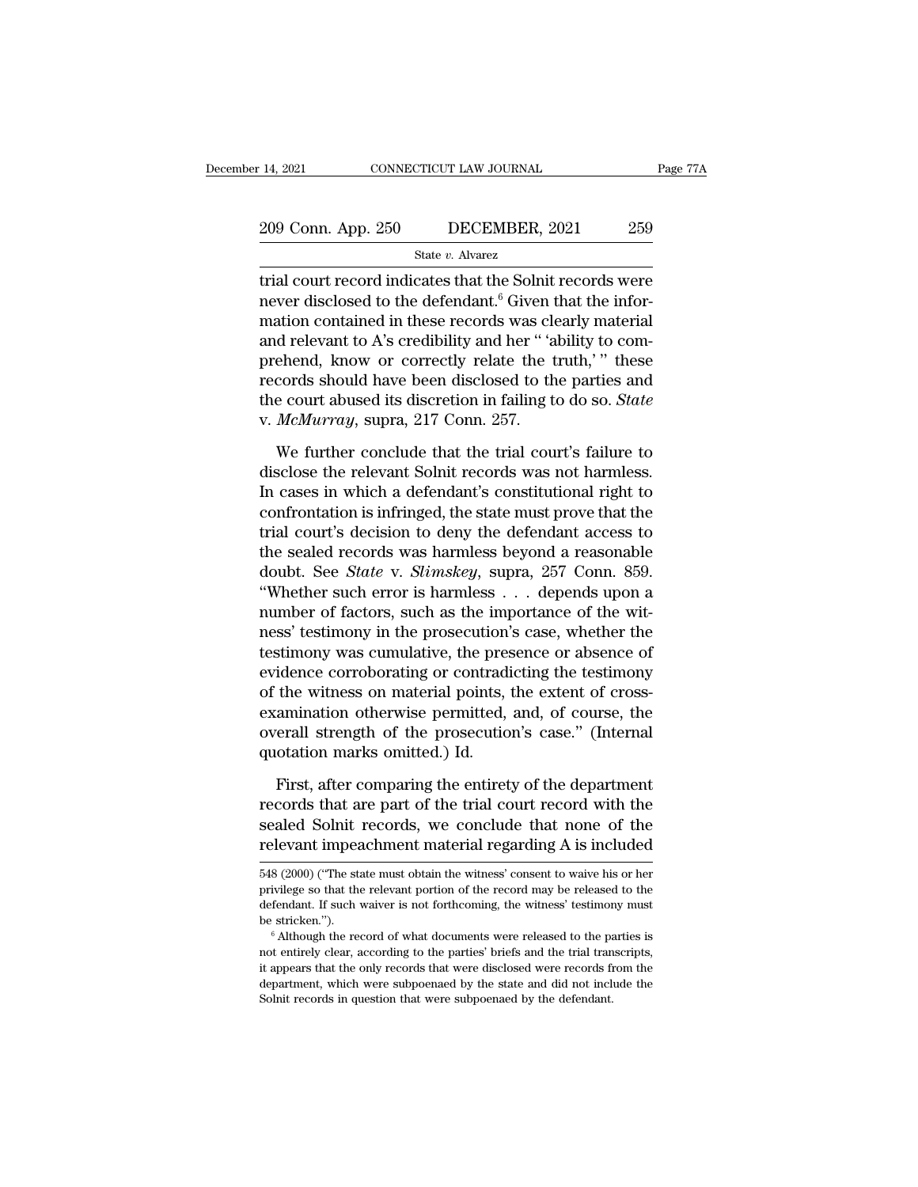# 14, 2021 CONNECTICUT LAW JOURNAL Page 77A<br>209 Conn. App. 250 DECEMBER, 2021 259<br>State v. Alvarez

State *v.* Alvarez

14, 2021 CONNECTICUT LAW JOURNAL Page 77A<br>
209 Conn. App. 250 DECEMBER, 2021 259<br>
State v. Alvarez<br>
Trial court record indicates that the Solnit records were<br>
never disclosed to the defendant.<sup>6</sup> Given that the informatio 209 Conn. App. 250 DECEMBER, 2021 259<br>
State v. Alvarez<br>
trial court record indicates that the Solnit records were<br>
never disclosed to the defendant.<sup>6</sup> Given that the infor-<br>
mation contained in these records was clearly 209 Conn. App. 250 DECEMBER, 2021 259<br>
State v. Alvarez<br>
trial court record indicates that the Solnit records were<br>
never disclosed to the defendant.<sup>6</sup> Given that the infor-<br>
mation contained in these records was clearly 209 Conn. App. 250 DECEMBER, 2021 259<br>  $\frac{\text{State } v. \text{ Average}}{\text{trial} \text{ court record indicates that the Solnit records were}}$ <br>
relation contained to the defendant.<sup>6</sup> Given that the infor-<br>
mation contained in these records was clearly material<br>
and relevant to A's credibi State v. Alvarez<br>
Final court record indicates that the Solnit records were<br>
never disclosed to the defendant.<sup>6</sup> Given that the infor-<br>
mation contained in these records was clearly material<br>
and relevant to A's credibil state *v*. Awatez<br>trial court record indicates that the Solnit records were<br>never disclosed to the defendant.<sup>6</sup> Given that the infor-<br>mation contained in these records was clearly material<br>and relevant to A's credibility trial court record indicates that the Solnit records were<br>never disclosed to the defendant.<sup>6</sup> Given that the infor-<br>mation contained in these records was clearly material<br>and relevant to A's credibility and her "'ability never disclosed to the defendant.<sup>6</sup> Given t<br>mation contained in these records was cland relevant to A's credibility and her " 'a<br>prehend, know or correctly relate the t<br>records should have been disclosed to th<br>the court a d relevant to A's credibility and her " 'ability to com-<br>ehend, know or correctly relate the truth,' " these<br>cords should have been disclosed to the parties and<br>e court abused its discretion in failing to do so. *State*<br> $Mc$ prehend, know or correctly relate the truth,'" these<br>records should have been disclosed to the parties and<br>the court abused its discretion in failing to do so. *State*<br>v. *McMurray*, supra, 217 Conn. 257.<br>We further conclu

records should have been disclosed to the parties and<br>the court abused its discretion in failing to do so. *State*<br>v. *McMurray*, supra, 217 Conn. 257.<br>We further conclude that the trial court's failure to<br>disclose the rel the court abused its discretion in failing to do so. *State* v. *McMurray*, supra, 217 Conn. 257.<br>We further conclude that the trial court's failure to disclose the relevant Solnit records was not harmless.<br>In cases in whi v. *McMurray*, supra, 217 Conn. 257.<br>We further conclude that the trial court's failure to<br>disclose the relevant Solnit records was not harmless.<br>In cases in which a defendant's constitutional right to<br>confrontation is in We further conclude that the trial court's failure to<br>disclose the relevant Solnit records was not harmless.<br>In cases in which a defendant's constitutional right to<br>confrontation is infringed, the state must prove that th We further conclude that the trial court's failure to<br>disclose the relevant Solnit records was not harmless.<br>In cases in which a defendant's constitutional right to<br>confrontation is infringed, the state must prove that the disclose the relevant Solnit records was not harmless.<br>In cases in which a defendant's constitutional right to<br>confrontation is infringed, the state must prove that the<br>trial court's decision to deny the defendant access t In cases in which a defendant's constitutional right to<br>confrontation is infringed, the state must prove that the<br>trial court's decision to deny the defendant access to<br>the sealed records was harmless beyond a reasonable<br> confrontation is infringed, the state must prove that the<br>trial court's decision to deny the defendant access to<br>the sealed records was harmless beyond a reasonable<br>doubt. See *State* v. *Slimskey*, supra, 257 Conn. 859.<br>" trial court's decision to deny the defendant access to<br>the sealed records was harmless beyond a reasonable<br>doubt. See *State* v. *Slimskey*, supra, 257 Conn. 859.<br>"Whether such error is harmless . . . depends upon a<br>number the sealed records was harmless beyond a reasonable<br>doubt. See *State* v. *Slimskey*, supra, 257 Conn. 859.<br>"Whether such error is harmless . . . depends upon a<br>number of factors, such as the importance of the wit-<br>ness' doubt. See *State* v. *Slimskey*, supra, 257 Conn. 859.<br>
"Whether such error is harmless . . . depends upon a<br>
number of factors, such as the importance of the wit-<br>
ness' testimony in the prosecution's case, whether the<br> "Whether such error is harmless  $\ldots$  depends upon a<br>number of factors, such as the importance of the wit-<br>ness' testimony in the prosecution's case, whether the<br>testimony was cumulative, the presence or absence of<br>eviden number of factors, such as the importance of the wit-<br>ness' testimony in the prosecution's case, whether the<br>testimony was cumulative, the presence or absence of<br>evidence corroborating or contradicting the testimony<br>of the ness' testimony in the prosecution<br>testimony was cumulative, the pres<br>evidence corroborating or contradi<br>of the witness on material points,<br>examination otherwise permitted,<br>overall strength of the prosecutio<br>quotation mark idence corroborating or contradicting the testimony<br>the witness on material points, the extent of cross-<br>amination otherwise permitted, and, of course, the<br>erall strength of the prosecution's case." (Internal<br>otation marks of the witness on material points, the extent of cross-<br>examination otherwise permitted, and, of course, the<br>overall strength of the prosecution's case." (Internal<br>quotation marks omitted.) Id.<br>First, after comparing the e

examination otherwise permitted, and, of course, the<br>overall strength of the prosecution's case." (Internal<br>quotation marks omitted.) Id.<br>First, after comparing the entirety of the department<br>records that are part of the t overall strength of the prosecution's case." (Internal<br>quotation marks omitted.) Id.<br>First, after comparing the entirety of the department<br>records that are part of the trial court record with the<br>sealed Solnit records, we First, after comparing the entirety of the department<br>records that are part of the trial court record with the<br>sealed Solnit records, we conclude that none of the<br>relevant impeachment material regarding A is included<br>548 ( records that are part of the trial court record with the<br>sealed Solnit records, we conclude that none of the<br>relevant impeachment material regarding A is included<br>548 (2000) ("The state must obtain the witness' consent to

sealed Solnit records, we conclude that none of the relevant impeachment material regarding A is included 548 (2000) ("The state must obtain the witness' consent to waive his or her privilege so that the relevant portion o relevant impeachment material regarding A is included<br>548 (2000) ("The state must obtain the witness' consent to waive his or her<br>privilege so that the relevant portion of the record may be released to the<br>defendant. If su

<sup>548 (2000) (&</sup>quot;The state must obtain the witness' consent to waive his or her privilege so that the relevant portion of the record may be released to the defendant. If such waiver is not forthcoming, the witness' testimony is a perfect of the secure test in the mass of the record may be released to the defendant. If such waiver is not forthcoming, the witness' testimony must be stricken.").<br>
<sup>6</sup> Although the record of what documents were rel defendant. If such waiver is not forthcoming, the witness' testimony must<br>be stricken.").<br><sup>6</sup> Although the record of what documents were released to the parties is<br>not entirely clear, according to the parties' briefs and t  $\degree$  Although the record of what documents were released to the parties is not entirely clear, according to the parties' briefs and the trial transcripts, it appears that the only records that were disclosed were records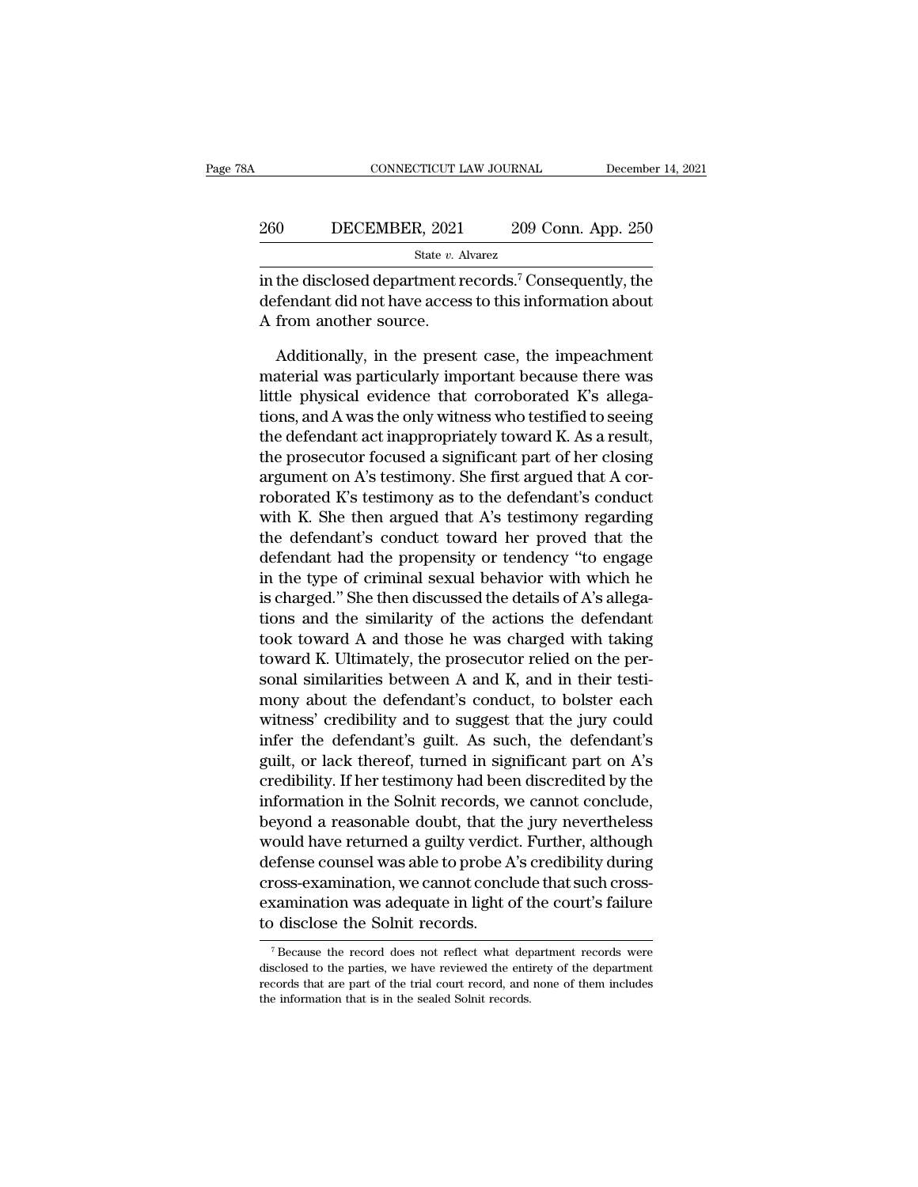| A   | CONNECTICUT LAW JOURNAL |  | December 14, 2021  |  |
|-----|-------------------------|--|--------------------|--|
| 260 | DECEMBER, 2021          |  | 209 Conn. App. 250 |  |
|     | State v. Alvarez        |  |                    |  |

CONNECTICUT LAW JOURNAL December 14, 2021<br>
260 DECEMBER, 2021 209 Conn. App. 250<br>
<sup>31</sup> State v. Alvarez<br>
in the disclosed department records.<sup>7</sup> Consequently, the<br>
defendant did not have access to this information about 260 DECEMBER, 2021 209 Conn. App. 250<br>  $\frac{\text{State } v. \text{ Average}}{\text{State } v. \text{ Average}}$ <br>
in the disclosed department records.<sup>7</sup> Consequently, the<br>
defendant did not have access to this information about<br>
A from another source.  $\begin{array}{c|l} 260 & \text{DECEMBER, 2021} \ \hline \text{state } v. \text{ A} \ \hline \text{in the disclosed department or defendant did not have access.} \ \hline \text{A from another source.} \ \hline \text{Additionally, in the present.} \end{array}$ State v. Alvarez<br>
State v. Alvarez<br>
the disclosed department records.<sup>7</sup> Consequently, the<br>
fendant did not have access to this information about<br>
from another source.<br>
Additionally, in the present case, the impeachment<br>

State v. Alvarez<br>
in the disclosed department records.<sup>7</sup> Consequently, the<br>
defendant did not have access to this information about<br>
A from another source.<br>
Additionally, in the present case, the impeachment<br>
material wa in the disclosed department records.<sup>7</sup> Consequently, the defendant did not have access to this information about A from another source.<br>Additionally, in the present case, the impeachment material was particularly importa defendant did not have access to this information about<br>A from another source.<br>Additionally, in the present case, the impeachment<br>material was particularly important because there was<br>little physical evidence that corrobor A from another source.<br>
Additionally, in the present case, the impeachment<br>
material was particularly important because there was<br>
little physical evidence that corroborated K's allega-<br>
tions, and A was the only witness w Additionally, in the present case, the impeachment<br>material was particularly important because there was<br>little physical evidence that corroborated K's allega-<br>tions, and A was the only witness who testified to seeing<br>the Additionally, in the present case, the impeachment<br>material was particularly important because there was<br>little physical evidence that corroborated K's allega-<br>tions, and A was the only witness who testified to seeing<br>the material was particularly important because there was<br>little physical evidence that corroborated K's allega-<br>tions, and A was the only witness who testified to seeing<br>the defendant act inappropriately toward K. As a result little physical evidence that corroborated K's allegations, and A was the only witness who testified to seeing<br>the defendant act inappropriately toward K. As a result,<br>the prosecutor focused a significant part of her closi tions, and A was the only witness who testified to seeing<br>the defendant act inappropriately toward K. As a result,<br>the prosecutor focused a significant part of her closing<br>argument on A's testimony. She first argued that A the defendant act inappropriately toward K. As a result,<br>the prosecutor focused a significant part of her closing<br>argument on A's testimony. She first argued that A cor-<br>roborated K's testimony as to the defendant's conduc the prosecutor focused a significant part of her closing<br>argument on A's testimony. She first argued that A cor-<br>roborated K's testimony as to the defendant's conduct<br>with K. She then argued that A's testimony regarding<br>th argument on A's testimony. She first argued that A corroborated K's testimony as to the defendant's conduct<br>with K. She then argued that A's testimony regarding<br>the defendant's conduct toward her proved that the<br>defendant roborated K's testimony as to the detendant's conduct<br>with K. She then argued that A's testimony regarding<br>the defendant's conduct toward her proved that the<br>defendant had the propensity or tendency "to engage<br>in the type with K. She then argued that A's testimony regarding<br>the defendant's conduct toward her proved that the<br>defendant had the propensity or tendency "to engage<br>in the type of criminal sexual behavior with which he<br>is charged. the defendant's conduct toward her proved that the<br>defendant had the propensity or tendency "to engage<br>in the type of criminal sexual behavior with which he<br>is charged." She then discussed the details of A's allega-<br>tions detendant had the propensity or tendency "to engage<br>in the type of criminal sexual behavior with which he<br>is charged." She then discussed the details of A's allega-<br>tions and the similarity of the actions the defendant<br>too in the type of criminal sexual behavior with which he<br>is charged." She then discussed the details of A's allega-<br>tions and the similarity of the actions the defendant<br>took toward A and those he was charged with taking<br>towa is charged." She then discussed the details of A's allega-<br>tions and the similarity of the actions the defendant<br>took toward A and those he was charged with taking<br>toward K. Ultimately, the prosecutor relied on the per-<br>so tions and the similarity of the actions the defendant<br>took toward A and those he was charged with taking<br>toward K. Ultimately, the prosecutor relied on the per-<br>sonal similarities between A and K, and in their testi-<br>mony took toward A and those he was charged with taking<br>toward K. Ultimately, the prosecutor relied on the per-<br>sonal similarities between A and K, and in their testi-<br>mony about the defendant's conduct, to bolster each<br>witness toward K. Ultimately, the prosecutor relied on the per-<br>sonal similarities between A and K, and in their testi-<br>mony about the defendant's conduct, to bolster each<br>witness' credibility and to suggest that the jury could<br>in sonal similarities between A and K, and in their testi-<br>mony about the defendant's conduct, to bolster each<br>witness' credibility and to suggest that the jury could<br>infer the defendant's guilt. As such, the defendant's<br>guil mony about the defendant's conduct, to bolster each<br>witness' credibility and to suggest that the jury could<br>infer the defendant's guilt. As such, the defendant's<br>guilt, or lack thereof, turned in significant part on A's<br>cr witness' credibility and to suggest that the jury could<br>infer the defendant's guilt. As such, the defendant's<br>guilt, or lack thereof, turned in significant part on A's<br>credibility. If her testimony had been discredited by mter the detendant's guilt. As such, the detendant's<br>guilt, or lack thereof, turned in significant part on A's<br>credibility. If her testimony had been discredited by the<br>information in the Solnit records, we cannot conclude guilt, or lack thereof, turned in significant part on A's<br>credibility. If her testimony had been discredited by the<br>information in the Solnit records, we cannot conclude,<br>beyond a reasonable doubt, that the jury neverthele examination in the Solnit records, we cannot conclude,<br>theyond a reasonable doubt, that the jury nevertheless<br>would have returned a guilty verdict. Further, although<br>defense counsel was able to probe A's credibility during Information in the Soint records, w<br>beyond a reasonable doubt, that th<br>would have returned a guilty verdic<br>defense counsel was able to probe A<br>cross-examination, we cannot concli<br>examination was adequate in light o<br>to disc defense counsel was able to probe A's credibility during<br>cross-examination, we cannot conclude that such cross-<br>examination was adequate in light of the court's failure<br>to disclose the Solnit records.<br>The records were<br>disc cross-examination, we cannot conclude that such cross-<br>examination was adequate in light of the court's failure<br>to disclose the Solnit records.<br>The parties of the entirety of the department<br>disclosed to the parties, we hav

examination was adequate in light of the court's failure<br>to disclose the Solnit records.<br>The record does not reflect what department records were<br>disclosed to the parties, we have reviewed the entirety of the department<br>re  $\tau$  Because the record does not reflect what department records were disclosed to the parties, we have reviewed the entirety of the department records that are part of the trial court record, and none of them includes th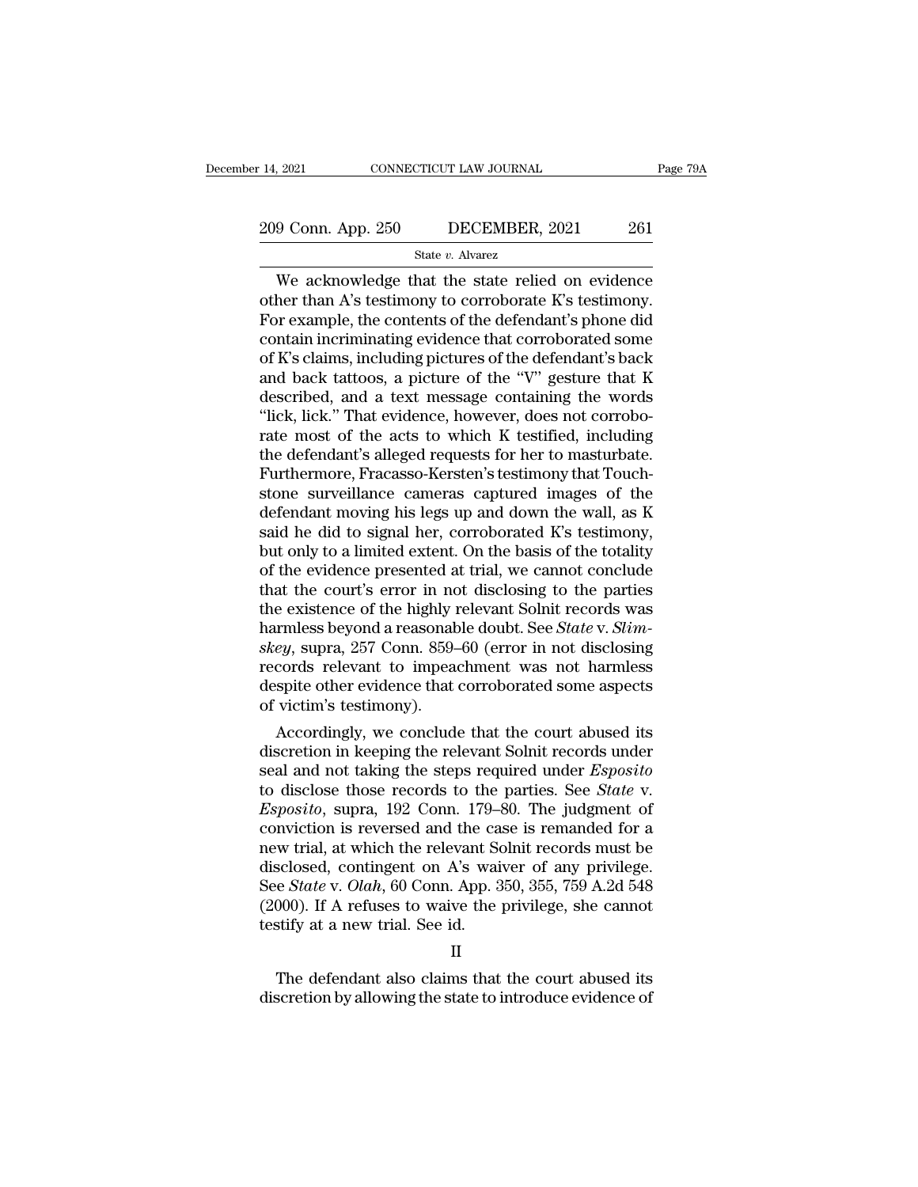# 14, 2021 CONNECTICUT LAW JOURNAL Page 79A<br>209 Conn. App. 250 DECEMBER, 2021 261<br>State v. Alvarez

#### State *v.* Alvarez

9 Conn. App. 250 DECEMBER, 2021 Page 79A<br>
State v. Alvarez<br>
We acknowledge that the state relied on evidence<br>
her than A's testimony to corroborate K's testimony. 209 Conn. App. 250 DECEMBER, 2021 261<br>
State v. Alvarez<br>
We acknowledge that the state relied on evidence<br>
other than A's testimony to corroborate K's testimony.<br>
For example, the contents of the defendant's phone did<br>
co 209 Conn. App. 250 DECEMBER, 2021 261<br>
State v. Alvarez<br>
We acknowledge that the state relied on evidence<br>
other than A's testimony to corroborate K's testimony.<br>
For example, the contents of the defendant's phone did<br>
co 209 Conn. App. 250 DECEMBER, 2021 261<br>
State v. Alvarez<br>
We acknowledge that the state relied on evidence<br>
other than A's testimony to corroborate K's testimony.<br>
For example, the contents of the defendant's phone did<br>
co State v. Alvarez<br>
We acknowledge that the state relied on evidence<br>
other than A's testimony to corroborate K's testimony.<br>
For example, the contents of the defendant's phone did<br>
contain incriminating evidence that corro state v. Alvarez<br>
We acknowledge that the state relied on evidence<br>
other than A's testimony to corroborate K's testimony.<br>
For example, the contents of the defendant's phone did<br>
contain incriminating evidence that corro We acknowledge that the state relied on evidence<br>other than A's testimony to corroborate K's testimony.<br>For example, the contents of the defendant's phone did<br>contain incriminating evidence that corroborated some<br>of K's c other than A's testimony to corroborate K's testimony.<br>For example, the contents of the defendant's phone did<br>contain incriminating evidence that corroborated some<br>of K's claims, including pictures of the defendant's back<br> For example, the contents of the defendant's phone did<br>contain incriminating evidence that corroborated some<br>of K's claims, including pictures of the defendant's back<br>and back tattoos, a picture of the "V" gesture that K<br>d contain incriminating evidence that corroborated some<br>of K's claims, including pictures of the defendant's back<br>and back tattoos, a picture of the "V" gesture that K<br>described, and a text message containing the words<br>"lick of K's claims, including pictures of the defendant's back<br>and back tattoos, a picture of the "V" gesture that K<br>described, and a text message containing the words<br>"lick, lick." That evidence, however, does not corrobo-<br>rat and back tattoos, a picture of the "V" gesture that K<br>described, and a text message containing the words<br>"lick, lick." That evidence, however, does not corrobo-<br>rate most of the acts to which K testified, including<br>the def described, and a text message containing the words<br>"lick, lick." That evidence, however, does not corrobo-<br>rate most of the acts to which K testified, including<br>the defendant's alleged requests for her to masturbate.<br>Furth "lick, lick." That evidence, however, does not corroborate most of the acts to which K testified, including<br>the defendant's alleged requests for her to masturbate.<br>Furthermore, Fracasso-Kersten's testimony that Touch-<br>ston rate most of the acts to which K testified, including<br>the defendant's alleged requests for her to masturbate.<br>Furthermore, Fracasso-Kersten's testimony that Touch-<br>stone surveillance cameras captured images of the<br>defendan the defendant's alleged requests for her to masturbate.<br>Furthermore, Fracasso-Kersten's testimony that Touchstone surveillance cameras captured images of the defendant moving his legs up and down the wall, as K said he did Furthermore, Fracasso-Kersten's testimony that Touchstone surveillance cameras captured images of the defendant moving his legs up and down the wall, as K said he did to signal her, corroborated K's testimony, but only to stone surveillance cameras captured images of the<br>defendant moving his legs up and down the wall, as K<br>said he did to signal her, corroborated K's testimony,<br>but only to a limited extent. On the basis of the totality<br>of t defendant moving his legs up and down the wall, as K<br>said he did to signal her, corroborated K's testimony,<br>but only to a limited extent. On the basis of the totality<br>of the evidence presented at trial, we cannot conclude<br> said he did to signal her, corroborated K's testimony,<br>but only to a limited extent. On the basis of the totality<br>of the evidence presented at trial, we cannot conclude<br>that the court's error in not disclosing to the parti but only to a limited extent. On the basis of the totality<br>of the evidence presented at trial, we cannot conclude<br>that the court's error in not disclosing to the parties<br>the existence of the highly relevant Solnit records of the evidence presented at trial, we cannot conclude<br>that the court's error in not disclosing to the parties<br>the existence of the highly relevant Solnit records was<br>harmless beyond a reasonable doubt. See *State* v. *Sli* that the court's error in not<br>the existence of the highly n<br>harmless beyond a reasonab<br>skey, supra, 257 Conn. 859-<br>records relevant to impead<br>despite other evidence that<br>of victim's testimony).<br>Accordingly, we conclude e existence of the nightly relevant Solnit records was<br>trilless beyond a reasonable doubt. See *State* v. *Slim-*<br>ey, supra, 257 Conn. 859–60 (error in not disclosing<br>cords relevant to impeachment was not harmless<br>spite ot narmiess beyond a reasonable doubt. See *State* v. *Sum-*<br>*skey*, supra, 257 Conn. 859–60 (error in not disclosing<br>records relevant to impeachment was not harmless<br>despite other evidence that corroborated some aspects<br>of v

skey, supra, 257 Conn. 859–60 (error in not disclosing<br>records relevant to impeachment was not harmless<br>despite other evidence that corroborated some aspects<br>of victim's testimony).<br>Accordingly, we conclude that the court records relevant to impeachment was not narmless<br>despite other evidence that corroborated some aspects<br>of victim's testimony).<br>Accordingly, we conclude that the court abused its<br>discretion in keeping the relevant Solnit re despite other evidence that corroborated some aspects<br>of victim's testimony).<br>*Accordingly, we conclude that the court abused its*<br>discretion in keeping the relevant Solnit records under<br>seal and not taking the steps requi or victim's testimony).<br>
Accordingly, we conclude that the court abused its<br>
discretion in keeping the relevant Solnit records under<br>
seal and not taking the steps required under *Esposito*<br>
to disclose those records to t Accordingly, we conclude that the court abused its<br>discretion in keeping the relevant Solnit records under<br>seal and not taking the steps required under *Esposito*<br>to disclose those records to the parties. See *State* v.<br> discretion in keeping the relevant Solnit records under<br>seal and not taking the steps required under *Esposito*<br>to disclose those records to the parties. See *State* v.<br>*Esposito*, supra, 192 Conn. 179–80. The judgment of<br> seal and not taking the steps required under *Esposito*<br>to disclose those records to the parties. See *State* v.<br>*Esposito*, supra, 192 Conn. 179–80. The judgment of<br>conviction is reversed and the case is remanded for a<br>ne to disclose those records to the parties. See *State* v.<br>*Esposito*, supra, 192 Conn. 179–80. The judgment of<br>conviction is reversed and the case is remanded for a<br>new trial, at which the relevant Solnit records must be<br>di Esposito, supra, 192 Conn. 179–3<br>conviction is reversed and the ca<br>new trial, at which the relevant Sc<br>disclosed, contingent on A's wai<br>See *State* v. *Olah*, 60 Conn. App. 3<br>(2000). If A refuses to waive the testify at a sclosed, contingent on A's waiver of any privilege.<br>
e *State* v. *Olah*, 60 Conn. App. 350, 355, 759 A.2d 548<br>
000). If A refuses to waive the privilege, she cannot<br>
stify at a new trial. See id.<br>
II<br>
The defendant also c See *State* v. *Olah*, 60 Conn. App. 350, 355, 759 A.2d 548 (2000). If A refuses to waive the privilege, she cannot testify at a new trial. See id.<br>
II<br>
The defendant also claims that the court abused its discretion by al

#### II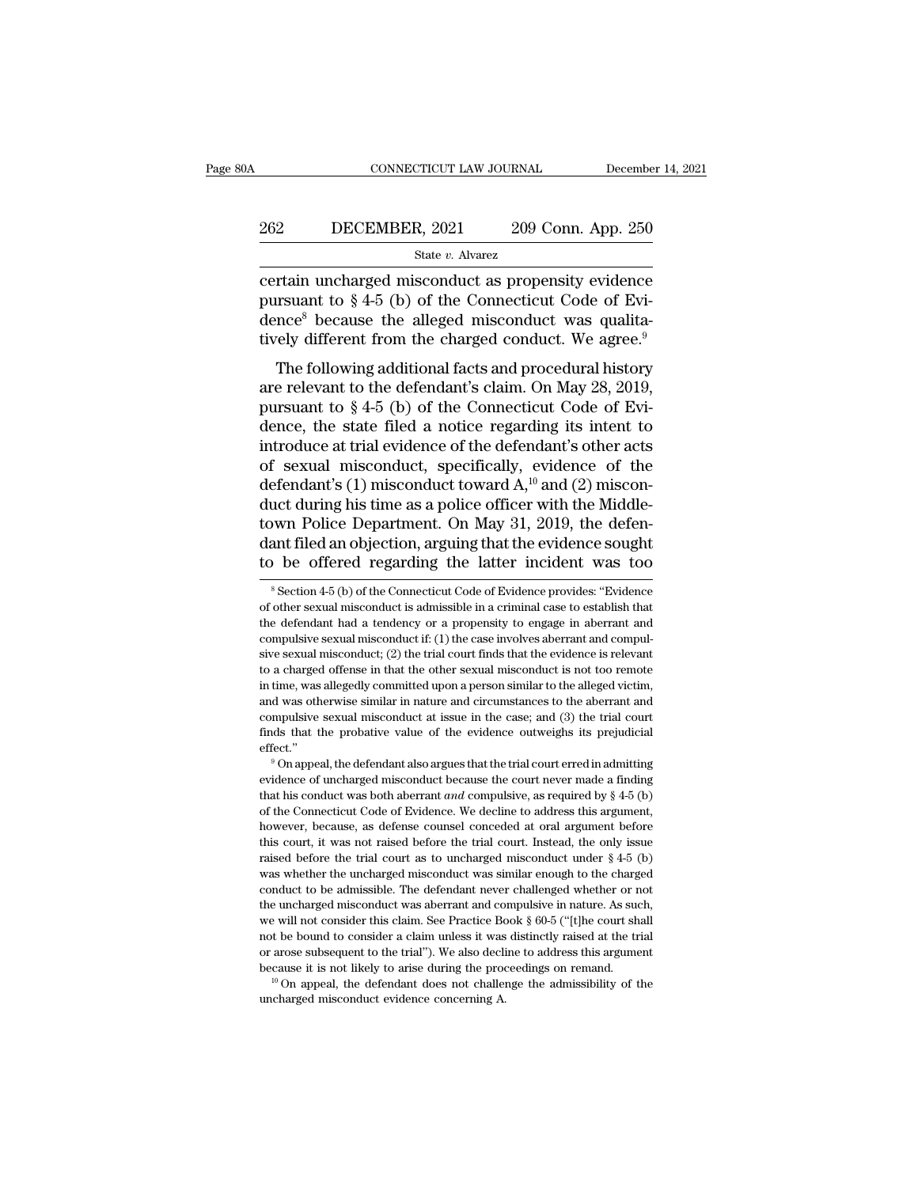# EXECUTE CONNECTICUT LAW JOURNAL December 14, 2021<br>262 DECEMBER, 2021 209 Conn. App. 250<br>31 State v. Alvarez

#### State *v.* Alvarez

CONNECTICUT LAW JOURNAL December 14, 2021<br>
262 DECEMBER, 2021 209 Conn. App. 250<br>
31 State v. Alvarez<br>
209 Conn. App. 250<br>
209 Conn. App. 250<br>
209 Conn. App. 250<br>
209 Conn. App. 250<br>
2010 State v. Alvarez<br>
2010 Connecticut 262 DECEMBER, 2021 209 Conn. App. 250<br>
<sup>State v.</sup> Alvarez<br>
certain uncharged misconduct as propensity evidence<br>
pursuant to § 4-5 (b) of the Connecticut Code of Evi-<br>
dence<sup>8</sup> because the alleged misconduct was qualita-<br>  $\begin{tabular}{ c c c} 262 & DECEMBER, 2021 & 209 Conn. App. 250 \\ \hline & \text{State $v$. Average} \\ \hline \end{tabular}$  certain uncharged misconduct as propensity evidence<br>pursuant to § 4-5 (b) of the Connecticut Code of Evidence<sup>8</sup> because the alleged misconduct was qualitat DECEMBER, 2021 209 Conn. App. 250<br>
State v. Alvarez<br>
certain uncharged misconduct as propensity evidence<br>
pursuant to § 4-5 (b) of the Connecticut Code of Evi-<br>
dence<sup>8</sup> because the alleged misconduct was qualita-<br>
tively State v. Alvarez<br>
The following additional facts are properties and properties of Evi-<br>
The following additional facts and procedural history<br>
The following additional facts and procedural history<br>
Experience are relevant certain uncharged misconduct as propensity evidence<br>pursuant to  $\S 4-5$  (b) of the Connecticut Code of Evidence<sup>8</sup> because the alleged misconduct was qualita-<br>tively different from the charged conduct. We agree.<sup>9</sup><br>The fo

bertain uncharged misconduct as propensity evidence<br>pursuant to § 4-5 (b) of the Connecticut Code of Evi-<br>dence<sup>8</sup> because the alleged misconduct was qualita-<br>tively different from the charged conduct. We agree.<sup>9</sup><br>The fo pursuant to  $\frac{1}{8}$  4-5 (b) of the connecticut code of Evidence<sup>8</sup> because the alleged misconduct was qualitatively different from the charged conduct. We agree.<sup>9</sup><br>The following additional facts and procedural history<br> The following additional facts and procedural history<br>are relevant to the defendant's claim. On May 28, 2019,<br>pursuant to § 4-5 (b) of the Connecticut Code of Evi-<br>dence, the state filed a notice regarding its intent to<br>i The following additional facts and procedural history<br>are relevant to the defendant's claim. On May 28, 2019,<br>pursuant to § 4-5 (b) of the Connecticut Code of Evi-<br>dence, the state filed a notice regarding its intent to<br>i The following additional facts and procedural history<br>are relevant to the defendant's claim. On May 28, 2019,<br>pursuant to § 4-5 (b) of the Connecticut Code of Evi-<br>dence, the state filed a notice regarding its intent to<br>i are relevant to the defendant's claim. On May 28, 2019,<br>pursuant to § 4-5 (b) of the Connecticut Code of Evi-<br>dence, the state filed a notice regarding its intent to<br>introduce at trial evidence of the defendant's other ac pursuant to § 4-5 (b) of the Connecticut Code of Evi-<br>dence, the state filed a notice regarding its intent to<br>introduce at trial evidence of the defendant's other acts<br>of sexual misconduct, specifically, evidence of the<br>d dence, the state filed a notice regarding its intent to introduce at trial evidence of the defendant's other acts of sexual misconduct, specifically, evidence of the defendant's (1) misconduct toward  $A$ ,<sup>10</sup> and (2) misc introduce at trial evidence of the defendant's other acts<br>of sexual misconduct, specifically, evidence of the<br>defendant's (1) misconduct toward  $A$ ,<sup>10</sup> and (2) miscon-<br>duct during his time as a police officer with the Mi uct during his time as a police officer with the Middle-<br>wom Police Department. On May 31, 2019, the defen-<br>ant filed an objection, arguing that the evidence sought<br>be offered regarding the latter incident was too<br><sup>8</sup> Sect town Police Department. On May 31, 2019, the defendant filed an objection, arguing that the evidence sought to be offered regarding the latter incident was too  $s$  section 4-5 (b) of the Connecticut Code of Evidence provi

dant filed an objection, arguing that the evidence sought<br>to be offered regarding the latter incident was too<br><sup>8</sup> Section 4-5 (b) of the Connecticut Code of Evidence provides: "Evidence<br>of other sexual misconduct is admiss to be offered regarding the latter incident was too  $\frac{1}{2}$  section 4-5 (b) of the Connecticut Code of Evidence provides: "Evidence of other sexual misconduct is admissible in a criminal case to establish that the defen sive sexual misconduct; (2) the trial court finds that the evidence of other sexual misconduct is admissible in a criminal case to establish that the defendant had a tendency or a propensity to engage in aberrant and compu  $\degree$  Section 4-5 (b) of the Connecticut Code of Evidence provides: "Evidence of other sexual misconduct is admissible in a criminal case to establish that the defendant had a tendency or a propensity to engage in aberrant of other sexual misconduct is admissible in a criminal case to establish that the defendant had a tendency or a propensity to engage in aberrant and compulsive sexual misconduct if: (1) the case involves aberrant and compu the defendant had a tendency or a propensity to engage in aberrant and compulsive sexual misconduct if: (1) the case involves aberrant and compulsive sexual misconduct; (2) the trial court finds that the evidence is releva compulsive sexual misconduct if: (1) the case involves aberrant and compulsive sexual misconduct; (2) the trial court finds that the evidence is relevant to a charged offense in that the other sexual misconduct is not too five sexual misconduct; (2) the trial court finds that the evidence is relevant to a charged offense in that the other sexual misconduct is not too remote in time, was allegedly committed upon a person similar to the alleg effect.'' it the was allegedly committed upon a person similar to the alleged victim, d was otherwise similar in nature and circumstances to the aberrant and mpulsive sexual misconduct at issue in the case; and (3) the trial court d evidence of uncharged misconduct at issue in the case; and (3) the trial court finds that the probative sexual misconduct at issue in the case; and (3) the trial court finds that the probative value of the evidence outwei

the compulsive sexual misconduct at issue in the case; and (3) the trial court<br>finds that the probative value of the evidence outweighs its prejudicial<br>effect."<br><sup>9</sup> On appeal, the defendant also argues that the trial court finds that the probative value of the evidence outweighs its prejudicial effect."<br>
<sup>9</sup> On appeal, the defendant also argues that the trial court erred in admitting evidence of uncharged misconduct because the court never effect."<br>
<sup>9</sup> On appeal, the defendant also argues that the trial court erred in admitting<br>
evidence of uncharged misconduct because the court never made a finding<br>
that his conduct was both aberrant *and* compulsive, as r <sup>9</sup> On appeal, the defendant also argues that the trial court erred in admitting<br>evidence of uncharged misconduct because the court never made a finding<br>that his conduct was both aberrant *and* compulsive, as required by evidence of uncharged misconduct because the court never made a finding<br>that his conduct was both aberrant *and* compulsive, as required by  $\S 4-5$  (b)<br>of the Connecticut Code of Evidence. We decline to address this argum that his conduct was both aberrant *and* compulsive, as required by  $\S 4-5$  (b) of the Connecticut Code of Evidence. We decline to address this argument, however, because, as defense counsel conceded at oral argument befo of the Connecticut Code of Evidence. We decline to address this argument, however, because, as defense counsel conceded at oral argument before this court, it was not raised before the trial court. Instead, the only issue however, because, as defense counsel conceded at oral argument before this court, it was not raised before the trial court. Instead, the only issue raised before the trial court as to uncharged misconduct under  $§ 4-5$  (b this court, it was not raised before the trial court. Instead, the only issue traised before the trial court as to uncharged misconduct under  $\S 4-5$  (b) was whether the uncharged misconduct was similar enough to the char raised before the trial court as to uncharged misconduct under  $\S 4-5$  (b) was whether the uncharged misconduct was similar enough to the charged conduct to be admissible. The defendant never challenged whether or not the was whether the uncharged misconduct was similar enough to the charged conduct to be admissible. The defendant never challenged whether or not the uncharged misconduct was aberrant and compulsive in nature. As such, we wi conduct to be admissible. The defendant never challenged whether or not the uncharged misconduct was aberrant and compulsive in nature. As such, we will not consider this claim. See Practice Book § 60-5 ("[t]he court shal the uncharged misconduct was aberrant and compulsive in nature. As such, we will not consider this claim. See Practice Book  $\S$  60-5 ("[t]he court shall not be bound to consider a claim unless it was distinctly raised at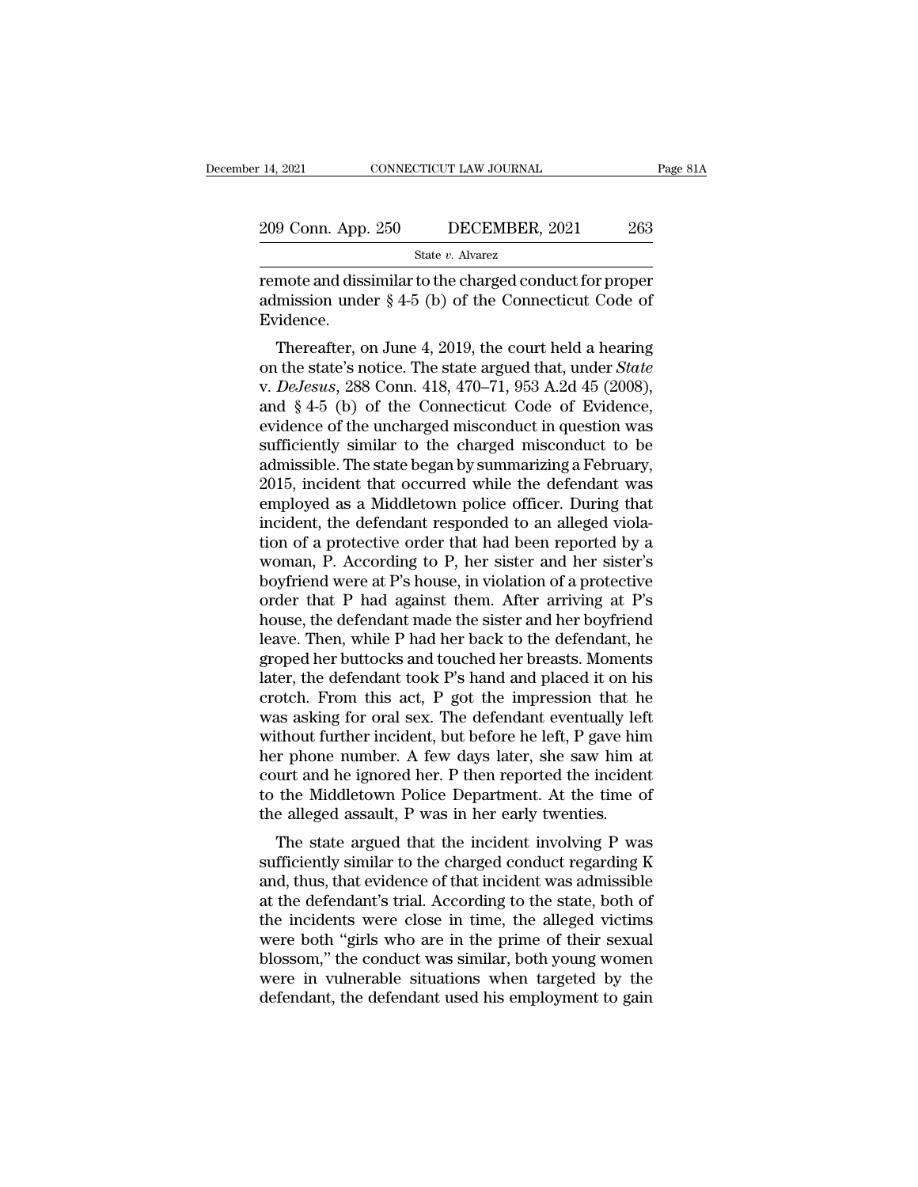| : 14, 2021         | CONNECTICUT LAW JOURNAL | Page 81A |
|--------------------|-------------------------|----------|
| 209 Conn. App. 250 | DECEMBER, 2021          | 263      |
|                    | State v. Alvarez        |          |

remote and dissimilar to the charged conduct for proper<br>admission under § 4-5 (b) of the Connecticut Code of<br>Fuderee 209 Conn. App. 250 DECEMBER, 2021 263<br>
State v. Alvarez<br>
remote and dissimilar to the charged conduct for proper<br>
admission under § 4-5 (b) of the Connecticut Code of<br>
Evidence. Evidence. 9 Conn. App. 250 DECEMBER, 2021 263<br>
State v. Alvarez<br>
mote and dissimilar to the charged conduct for proper<br>
mission under § 4-5 (b) of the Connecticut Code of<br>
ridence.<br>
Thereafter, on June 4, 2019, the court held a hea

State *v*. Alvarez<br>
remote and dissimilar to the charged conduct for proper<br>
admission under § 4-5 (b) of the Connecticut Code of<br>
Evidence.<br>
Thereafter, on June 4, 2019, the court held a hearing<br>
on the state's notice. Th remote and dissimilar to the charged conduct for proper<br>admission under § 4-5 (b) of the Connecticut Code of<br>Evidence.<br>Thereafter, on June 4, 2019, the court held a hearing<br>on the state's notice. The state argued that, und Femote and dissimilar to the charged conduct for proper<br>admission under § 4-5 (b) of the Connecticut Code of<br>Evidence.<br>Thereafter, on June 4, 2019, the court held a hearing<br>on the state's notice. The state argued that, un Evidence.<br>
Evidence.<br>
Thereafter, on June 4, 2019, the court held a hearing<br>
on the state's notice. The state argued that, under *State*<br>
v. *DeJesus*, 288 Conn. 418, 470–71, 953 A.2d 45 (2008),<br>
and § 4-5 (b) of the Conn Evidence.<br>
Thereafter, on June 4, 2019, the court held a hearing<br>
on the state's notice. The state argued that, under *State*<br>
v. *DeJesus*, 288 Conn. 418, 470–71, 953 A.2d 45 (2008),<br>
and § 4-5 (b) of the Connecticut Code Thereafter, on June 4, 2019, the court held a hearing<br>on the state's notice. The state argued that, under *State*<br>v. *DeJesus*, 288 Conn. 418, 470–71, 953 A.2d 45 (2008),<br>and § 4-5 (b) of the Connecticut Code of Evidence,<br> on the state's notice. The state argued that, under *State* v. *DeJesus*, 288 Conn. 418, 470–71, 953 A.2d 45 (2008), and § 4-5 (b) of the Connecticut Code of Evidence, evidence of the uncharged misconduct in question was s v. *DeJesus*, 288 Conn. 418, 470–71, 953 A.2d 45 (2008),<br>and § 4-5 (b) of the Connecticut Code of Evidence,<br>evidence of the uncharged misconduct in question was<br>sufficiently similar to the charged misconduct to be<br>admissi and § 4-5 (b) of the Connecticut Code of Evidence,<br>evidence of the uncharged misconduct in question was<br>sufficiently similar to the charged misconduct to be<br>admissible. The state began by summarizing a February,<br>2015, inc evidence of the uncharged misconduct in question was<br>sufficiently similar to the charged misconduct to be<br>admissible. The state began by summarizing a February,<br>2015, incident that occurred while the defendant was<br>employed sufficiently similar to the charged misconduct to be<br>admissible. The state began by summarizing a February,<br>2015, incident that occurred while the defendant was<br>employed as a Middletown police officer. During that<br>incident admissible. The state began by summarizing a February,<br>2015, incident that occurred while the defendant was<br>employed as a Middletown police officer. During that<br>incident, the defendant responded to an alleged viola-<br>tion o 2015, incident that occurred while the defendant was<br>employed as a Middletown police officer. During that<br>incident, the defendant responded to an alleged viola-<br>tion of a protective order that had been reported by a<br>woman, employed as a Middletown police officer. During that<br>incident, the defendant responded to an alleged viola-<br>tion of a protective order that had been reported by a<br>woman, P. According to P, her sister and her sister's<br>boyfr incident, the defendant responded to an alleged violation of a protective order that had been reported by a woman, P. According to P, her sister and her sister's boyfriend were at P's house, in violation of a protective or tion of a protective order that had been reported by a<br>woman, P. According to P, her sister and her sister's<br>boyfriend were at P's house, in violation of a protective<br>order that P had against them. After arriving at P's<br>ho woman, P. According to P, her sister and her sister's<br>boyfriend were at P's house, in violation of a protective<br>order that P had against them. After arriving at P's<br>house, the defendant made the sister and her boyfriend<br>le boyfriend were at P's house, in violation of a protective<br>order that P had against them. After arriving at P's<br>house, the defendant made the sister and her boyfriend<br>leave. Then, while P had her back to the defendant, he<br>g order that P had against them. After arriving at P's<br>house, the defendant made the sister and her boyfriend<br>leave. Then, while P had her back to the defendant, he<br>groped her buttocks and touched her breasts. Moments<br>later, house, the defendant made the sister and her boyfriend<br>leave. Then, while P had her back to the defendant, he<br>groped her buttocks and touched her breasts. Moments<br>later, the defendant took P's hand and placed it on his<br>cro leave. Then, while P had her back to the defendant, he<br>groped her buttocks and touched her breasts. Moments<br>later, the defendant took P's hand and placed it on his<br>crotch. From this act, P got the impression that he<br>was as groped her buttocks and touched her breasts. Moments<br>later, the defendant took P's hand and placed it on his<br>crotch. From this act, P got the impression that he<br>was asking for oral sex. The defendant eventually left<br>withou later, the defendant took P's hand and placed it on his<br>crotch. From this act, P got the impression that he<br>was asking for oral sex. The defendant eventually left<br>without further incident, but before he left, P gave him<br>he crotch. From this act, P got the impression that he was asking for oral sex. The defendant eventually left without further incident, but before he left, P gave him her phone number. A few days later, she saw him at court a as asking for oral sex. The defendant eventually left<br>thout further incident, but before he left, P gave him<br>r phone number. A few days later, she saw him at<br>urt and he ignored her. P then reported the incident<br>the Middlet whilout further incluent, but before he left, I gave film<br>her phone number. A few days later, she saw him at<br>court and he ignored her. P then reported the incident<br>to the Middletown Police Department. At the time of<br>the al

Fracture 1 minder. A few days fater, she saw find at<br>court and he ignored her. P then reported the incident<br>to the Middletown Police Department. At the time of<br>the alleged assault, P was in her early twenties.<br>The state ar Fourt and he ighored her. I then reported the incluent<br>to the Middletown Police Department. At the time of<br>the alleged assault, P was in her early twenties.<br>The state argued that the incident involving P was<br>sufficiently s to the middletown Folice Department. At the time of<br>the alleged assault, P was in her early twenties.<br>The state argued that the incident involving P was<br>sufficiently similar to the charged conduct regarding K<br>and, thus, th The state argued that the incident involving P was<br>sufficiently similar to the charged conduct regarding K<br>and, thus, that evidence of that incident was admissible<br>at the defendant's trial. According to the state, both of<br> The state argued that the incident involving P was<br>sufficiently similar to the charged conduct regarding K<br>and, thus, that evidence of that incident was admissible<br>at the defendant's trial. According to the state, both of<br> sufficiently similar to the charged conduct regarding K<br>and, thus, that evidence of that incident was admissible<br>at the defendant's trial. According to the state, both of<br>the incidents were close in time, the alleged victi and, thus, that evidence of that incident was admissible<br>at the defendant's trial. According to the state, both of<br>the incidents were close in time, the alleged victims<br>were both "girls who are in the prime of their sexual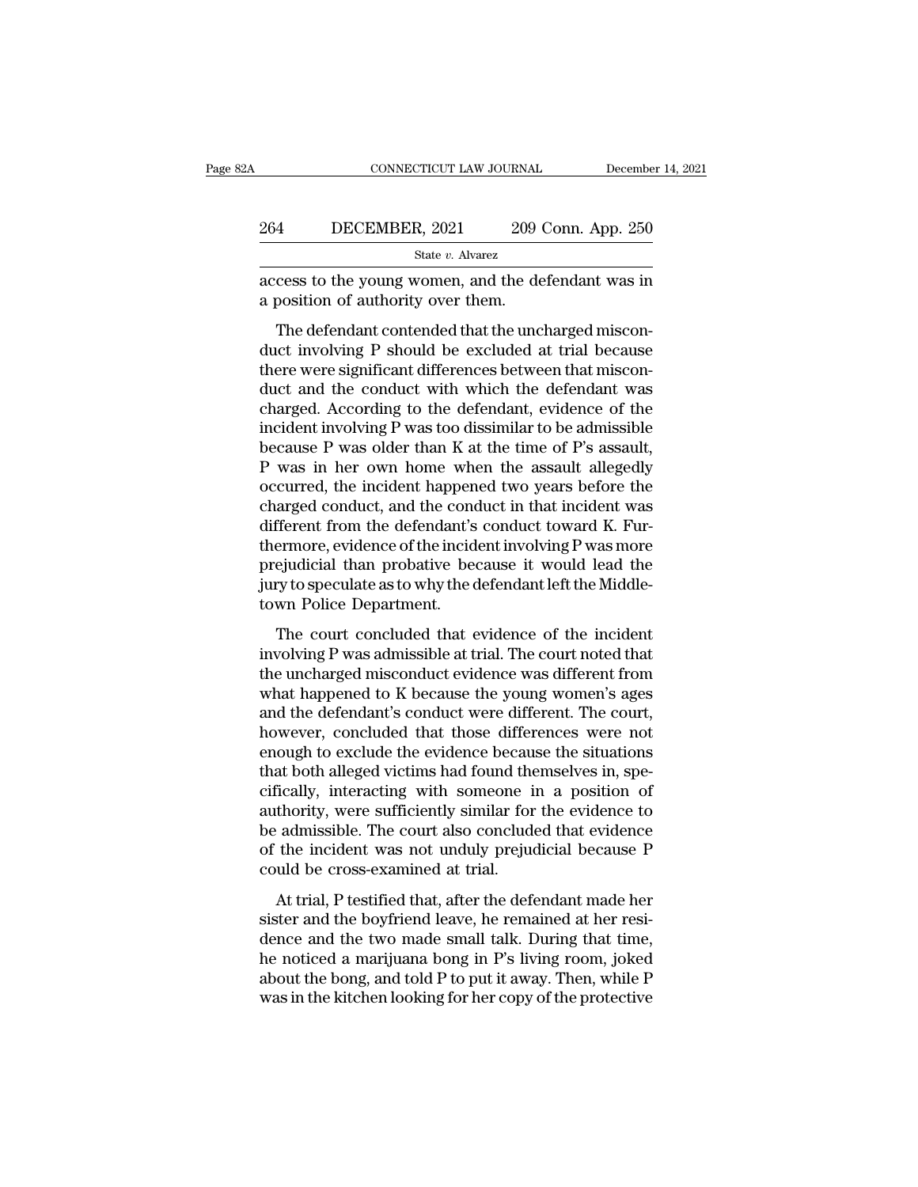|     | CONNECTICUT LAW JOURNAL                                                                   |                    | December 14, 2021 |
|-----|-------------------------------------------------------------------------------------------|--------------------|-------------------|
| 264 | DECEMBER, 2021                                                                            | 209 Conn. App. 250 |                   |
|     | State v. Alvarez                                                                          |                    |                   |
|     | access to the young women, and the defendant was in<br>a position of authority over them. |                    |                   |
|     | The defendant contended that the uncharged miscon-                                        |                    |                   |

The defendant contended that the uncharged miscon-<br>The defendant contended that the uncharged miscon-<br>The defendant contended that the uncharged miscon-<br>Interviewing P should be excluded at trial because<br>ore were signific 264 DECEMBER, 2021 209 Conn. App. 250<br>  $\frac{\text{State } v. \text{ Alvarez}}{209 \text{ Conn. App. 250}}$ <br>
access to the young women, and the defendant was in<br>
a position of authority over them.<br>
The defendant contended that the uncharged miscon-<br>
duct State v. Alvarez<br>access to the young women, and the defendant was in<br>a position of authority over them.<br>The defendant contended that the uncharged miscon-<br>duct involving P should be excluded at trial because<br>there were si access to the young women, and the defendant was in<br>a position of authority over them.<br>The defendant contended that the uncharged miscon-<br>duct involving P should be excluded at trial because<br>there were significant differen a position of authority over them.<br>The defendant contended that the uncharged misconduct involving P should be excluded at trial because<br>there were significant differences between that miscon-<br>duct and the conduct with wh include that the uncharged misconduct involving P should be excluded at trial because<br>there were significant differences between that miscon-<br>duct and the conduct with which the defendant was<br>charged. According to the defe The defendant contended that the uncharged misconduct involving P should be excluded at trial because<br>there were significant differences between that miscon-<br>duct and the conduct with which the defendant was<br>charged. Accor duct involving P should be excluded at trial because<br>there were significant differences between that miscon-<br>duct and the conduct with which the defendant was<br>charged. According to the defendant, evidence of the<br>incident i there were significant differences between that misconduct and the conduct with which the defendant was charged. According to the defendant, evidence of the incident involving P was too dissimilar to be admissible because duct and the conduct with which the defendant was<br>charged. According to the defendant, evidence of the<br>incident involving P was too dissimilar to be admissible<br>because P was older than K at the time of P's assault,<br>P was i charged. According to the defendant, evidence of the<br>incident involving P was too dissimilar to be admissible<br>because P was older than K at the time of P's assault,<br>P was in her own home when the assault allegedly<br>occurred incident involving P was too dissimilar to be admissible<br>because P was older than K at the time of P's assault,<br>P was in her own home when the assault allegedly<br>occurred, the incident happened two years before the<br>charged because P was older than K at the time of P's assault,<br>P was in her own home when the assault allegedly<br>occurred, the incident happened two years before the<br>charged conduct, and the conduct in that incident was<br>different f P was in her own home when the assault allegedly<br>occurred, the incident happened two years before the<br>charged conduct, and the conduct in that incident was<br>different from the defendant's conduct toward K. Fur-<br>thermore, ev occurred, the incident happen<br>charged conduct, and the cond<br>different from the defendant's<br>thermore, evidence of the incid<br>prejudicial than probative bee<br>jury to speculate as to why the c<br>town Police Department.<br>The court maged conduct, and are conduct in that included was<br>fferent from the defendant's conduct toward K. Fur-<br>ermore, evidence of the incident involving P was more<br>ejudicial than probative because it would lead the<br>ry to specula inferent from the detendants conduct toward  $H$ . The thermore, evidence of the incident involving P was more prejudicial than probative because it would lead the jury to speculate as to why the defendant left the Middleto

prejudicial than probative because it would lead the<br>jury to speculate as to why the defendant left the Middle-<br>town Police Department.<br>The court concluded that evidence of the incident<br>involving P was admissible at trial. pregaderal and problem because it would read and<br>jury to speculate as to why the defendant left the Middle-<br>town Police Department.<br>The court concluded that evidence of the incident<br>involving P was admissible at trial. The day to speculate as to  $m$ , are defendant for the incident<br>town Police Department.<br>involving P was admissible at trial. The court noted that<br>the uncharged misconduct evidence was different from<br>what happened to K because t The court concluded that evidence of the incident<br>involving P was admissible at trial. The court noted that<br>the uncharged misconduct evidence was different from<br>what happened to K because the young women's ages<br>and the def The court concluded that evidence of the incident<br>involving P was admissible at trial. The court noted that<br>the uncharged misconduct evidence was different from<br>what happened to K because the young women's ages<br>and the def involving P was admissible at trial. The court noted that<br>the uncharged misconduct evidence was different from<br>what happened to K because the young women's ages<br>and the defendant's conduct were different. The court,<br>howeve the uncharged misconduct evidence was different from<br>what happened to K because the young women's ages<br>and the defendant's conduct were different. The court,<br>however, concluded that those differences were not<br>enough to exc what happened to K because the young women's ages<br>and the defendant's conduct were different. The court,<br>however, concluded that those differences were not<br>enough to exclude the evidence because the situations<br>that both al and the defendant's conduct were different. The court,<br>however, concluded that those differences were not<br>enough to exclude the evidence because the situations<br>that both alleged victims had found themselves in, spe-<br>cifica however, concluded that those differences were not<br>enough to exclude the evidence because the situations<br>that both alleged victims had found themselves in, spe-<br>cifically, interacting with someone in a position of<br>authorit enough to exclude the evidence becau<br>that both alleged victims had found the<br>cifically, interacting with someone i<br>authority, were sufficiently similar for<br>be admissible. The court also conclude<br>of the incident was not und Trially, interacting with someone in a position of<br>thority, were sufficiently similar for the evidence to<br>admissible. The court also concluded that evidence<br>the incident was not unduly prejudicial because P<br>uld be cross-ex since and the boyfriend leave, he remained at her resi-<br>dauthority, were sufficiently similar for the evidence to<br>be admissible. The court also concluded that evidence<br>of the incident was not unduly prejudicial because P<br>

denotity, were sumercity similar for the evidence to<br>be admissible. The court also concluded that evidence<br>of the incident was not unduly prejudicial because P<br>could be cross-examined at trial.<br>At trial, P testified that, be damission. The court also concreated and evidence<br>of the incident was not unduly prejudicial because P<br>could be cross-examined at trial.<br>At trial, P testified that, after the defendant made her<br>sister and the boyfriend about the actual was not and the bong, prejudical sections of could be cross-examined at trial.<br>At trial, P testified that, after the defendant made her sister and the boyfriend leave, he remained at her residence and the At trial, P testified that, after the defendant made her sister and the boyfriend leave, he remained at her residence and the two made small talk. During that time, he noticed a marijuana bong in P's living room, joked abo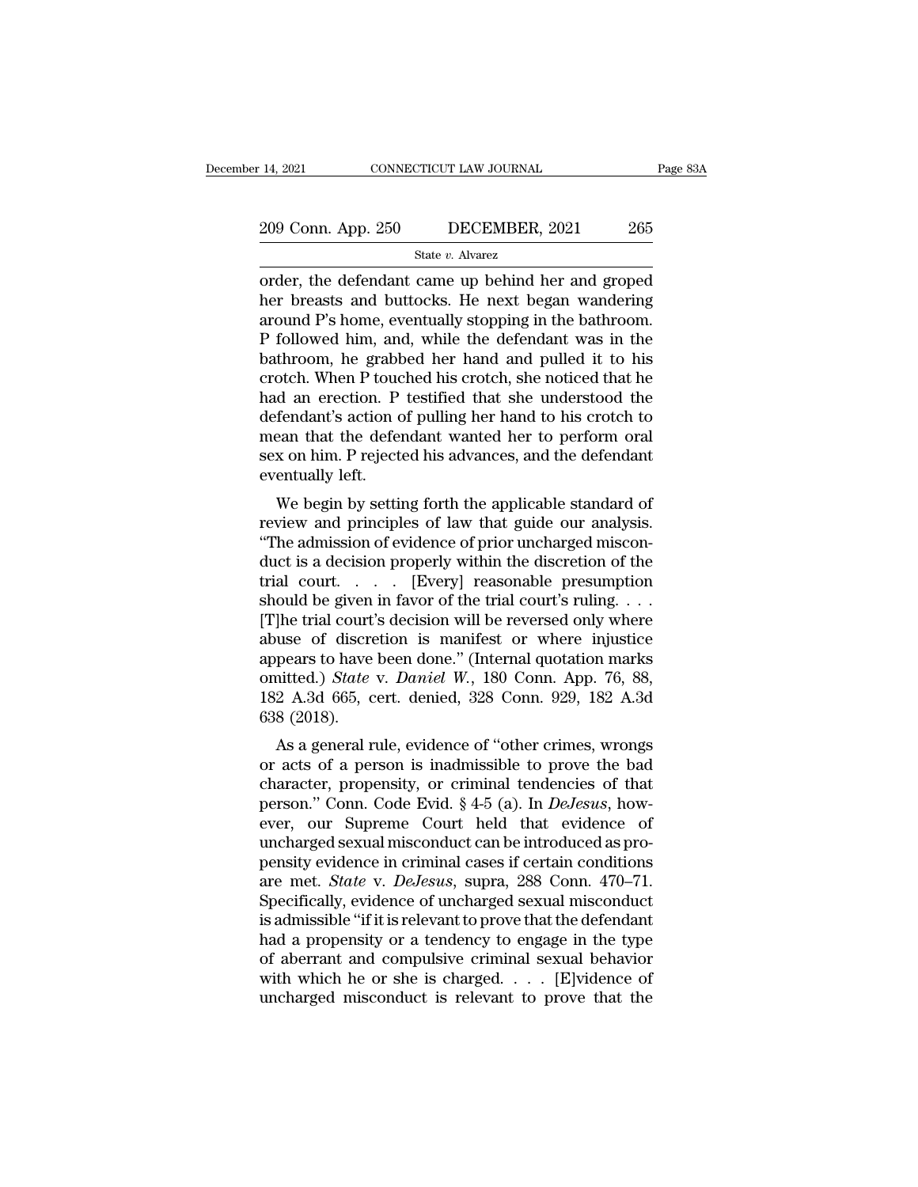# 14, 2021 CONNECTICUT LAW JOURNAL Page 83A<br>
209 Conn. App. 250 DECEMBER, 2021 265<br>
State v. Alvarez

State *v.* Alvarez

14, 2021 CONNECTICUT LAW JOURNAL Page 83A<br>
209 Conn. App. 250 DECEMBER, 2021 265<br>
State v. Alvarez<br>
order, the defendant came up behind her and groped<br>
her breasts and buttocks. He next began wandering<br>
around P's home ev 209 Conn. App. 250 DECEMBER, 2021 265<br>
State v. Alvarez<br>
order, the defendant came up behind her and groped<br>
her breasts and buttocks. He next began wandering<br>
around P's home, eventually stopping in the bathroom.<br>
P follo 209 Conn. App. 250 DECEMBER, 2021 265<br>
State v. Alvarez<br>
order, the defendant came up behind her and groped<br>
her breasts and buttocks. He next began wandering<br>
around P's home, eventually stopping in the bathroom.<br>
P foll 209 Conn. App. 250 DECEMBER, 2021 265<br>
State v. Alvarez<br>
order, the defendant came up behind her and groped<br>
her breasts and buttocks. He next began wandering<br>
around P's home, eventually stopping in the bathroom.<br>
P foll State v. Alvarez<br>
order, the defendant came up behind her and groped<br>
her breasts and buttocks. He next began wandering<br>
around P's home, eventually stopping in the bathroom.<br>
P followed him, and, while the defendant was state v. Alvarez<br>
order, the defendant came up behind her and groped<br>
her breasts and buttocks. He next began wandering<br>
around P's home, eventually stopping in the bathroom.<br>
P followed him, and, while the defendant was i order, the defendant came up behind her and groped<br>her breasts and buttocks. He next began wandering<br>around P's home, eventually stopping in the bathroom.<br>P followed him, and, while the defendant was in the<br>bathroom, he gr her breasts and buttocks. He next began wandering<br>around P's home, eventually stopping in the bathroom.<br>P followed him, and, while the defendant was in the<br>bathroom, he grabbed her hand and pulled it to his<br>crotch. When P around P's home, eventually stopping in the bathroom.<br>P followed him, and, while the defendant was in the bathroom, he grabbed her hand and pulled it to his crotch. When P touched his crotch, she noticed that he had an ere P followed him, and, while the defendant was in the bathroom, he grabbed her hand and pulled it to his crotch. When P touched his crotch, she noticed that he had an erection. P testified that she understood the defendant's bathroom, he grabt<br>crotch. When P touc<br>had an erection. P<br>defendant's action c<br>mean that the defer<br>sex on him. P reject<br>eventually left.<br>We begin by settin Such. When I touched instructly, she holded that he<br>d an erection. P testified that she understood the<br>fendant's action of pulling her hand to his crotch to<br>ean that the defendant wanted her to perform oral<br>x on him. P rej review and effered in the distribution of pulling her hand to his crotch to<br>mean that the defendant wanted her to perform oral<br>sex on him. P rejected his advances, and the defendant<br>eventually left.<br>We begin by setting for

defendant's action of pulling her hand to his crotch to<br>mean that the defendant wanted her to perform oral<br>sex on him. P rejected his advances, and the defendant<br>eventually left.<br>We begin by setting forth the applicable st ducture in the defendant wanted her to perform of the sex on him. P rejected his advances, and the defendant<br>eventually left.<br>We begin by setting forth the applicable standard of<br>review and principles of law that guide our sex of full. Prejected its advances, and the defendant<br>eventually left.<br>We begin by setting forth the applicable standard of<br>review and principles of law that guide our analysis.<br>"The admission of evidence of prior uncharg We begin by setting forth the applicable standard of<br>review and principles of law that guide our analysis.<br>"The admission of evidence of prior uncharged miscon-<br>duct is a decision properly within the discretion of the<br>tria We begin by setting forth the applicable standard of<br>review and principles of law that guide our analysis.<br>"The admission of evidence of prior uncharged miscon-<br>duct is a decision properly within the discretion of the<br>tri review and principles of law that guide our analysis.<br>
"The admission of evidence of prior uncharged misconduct is a decision properly within the discretion of the<br>
trial court.... [Every] reasonable presumption<br>
should b "The admission of evidence of prior uncharged misconduct is a decision properly within the discretion of the trial court.... [Every] reasonable presumption should be given in favor of the trial court's ruling.... [T]he tr duct is a decision properly within the discretion of the<br>trial court. . . . . [Every] reasonable presumption<br>should be given in favor of the trial court's ruling. . . .<br>[T]he trial court's decision will be reversed only wh trial court. . . . [Every] reasonable presumption<br>should be given in favor of the trial court's ruling. . . .<br>[T]he trial court's decision will be reversed only where<br>abuse of discretion is manifest or where injustice<br>app % should be given<br>[T]he trial court<br>abuse of discre<br>appears to have<br>omitted.) State<br>182 A.3d 665, c<br>638 (2018).<br>As a general r The that court's decision will be reversed only where<br>use of discretion is manifest or where injustice<br>pears to have been done." (Internal quotation marks<br>aitted.) *State* v. *Daniel W.*, 180 Conn. App. 76, 88,<br>2 A.3d 665, abuse of unscretion is maillest of where injustice<br>appears to have been done." (Internal quotation marks<br>omitted.) *State* v. *Daniel W.*, 180 Conn. App. 76, 88,<br>182 A.3d 665, cert. denied, 328 Conn. 929, 182 A.3d<br>638 (20

appears to have been done. (Internal quotation marks<br>omitted.) *State v. Daniel W.*, 180 Conn. App. 76, 88,<br>182 A.3d 665, cert. denied, 328 Conn. 929, 182 A.3d<br>638 (2018).<br>As a general rule, evidence of "other crimes, wro person. 82 A.3d 665, cert. denied, 328 Conn. 929, 182 A.3d 638 (2018).<br>
As a general rule, evidence of "other crimes, wrongs<br>
or acts of a person is inadmissible to prove the bad<br>
character, propensity, or criminal tendenc foz A.5d 605, Cert. defined, 526 Coffit. 525, 162 A.5d 638 (2018).<br>
As a general rule, evidence of "other crimes, wrongs<br>
or acts of a person is inadmissible to prove the bad<br>
character, propensity, or criminal tendencies Using the sexual misconductor of "other crimes, wrongs<br>or acts of a person is inadmissible to prove the bad<br>character, propensity, or criminal tendencies of that<br>person." Conn. Code Evid. § 4-5 (a). In *DeJesus*, how-<br>eve As a general rule, evidence of "other crimes, wrongs<br>or acts of a person is inadmissible to prove the bad<br>character, propensity, or criminal tendencies of that<br>person." Conn. Code Evid. § 4-5 (a). In *DeJesus*, how-<br>ever, or acts of a person is inadmissible to prove the bad<br>character, propensity, or criminal tendencies of that<br>person." Conn. Code Evid. § 4-5 (a). In *DeJesus*, how-<br>ever, our Supreme Court held that evidence of<br>uncharged sex character, propensity, or criminal tendencies of that<br>person." Conn. Code Evid. § 4-5 (a). In *DeJesus*, how-<br>ever, our Supreme Court held that evidence of<br>uncharged sexual misconduct can be introduced as pro-<br>pensity evid person." Conn. Code Evid. § 4-5 (a). In *DeJesus*, how-<br>ever, our Supreme Court held that evidence of<br>uncharged sexual misconduct can be introduced as pro-<br>pensity evidence in criminal cases if certain conditions<br>are met. ever, our Supreme Court held that evidence of<br>uncharged sexual misconduct can be introduced as pro-<br>pensity evidence in criminal cases if certain conditions<br>are met. *State* v. *DeJesus*, supra, 288 Conn. 470–71.<br>Specifica uncharged sexual misconduct can be introduced as propensity evidence in criminal cases if certain conditions<br>are met. *State* v. *DeJesus*, supra, 288 Conn. 470–71.<br>Specifically, evidence of uncharged sexual misconduct<br>is pensity evidence in criminal cases if certain conditions<br>are met. *State* v. *DeJesus*, supra, 288 Conn. 470–71.<br>Specifically, evidence of uncharged sexual misconduct<br>is admissible "if it is relevant to prove that the defe are met. *State* v. *DeJesus*, supra, 288 Conn. 470–71.<br>Specifically, evidence of uncharged sexual misconduct<br>is admissible "if it is relevant to prove that the defendant<br>had a propensity or a tendency to engage in the ty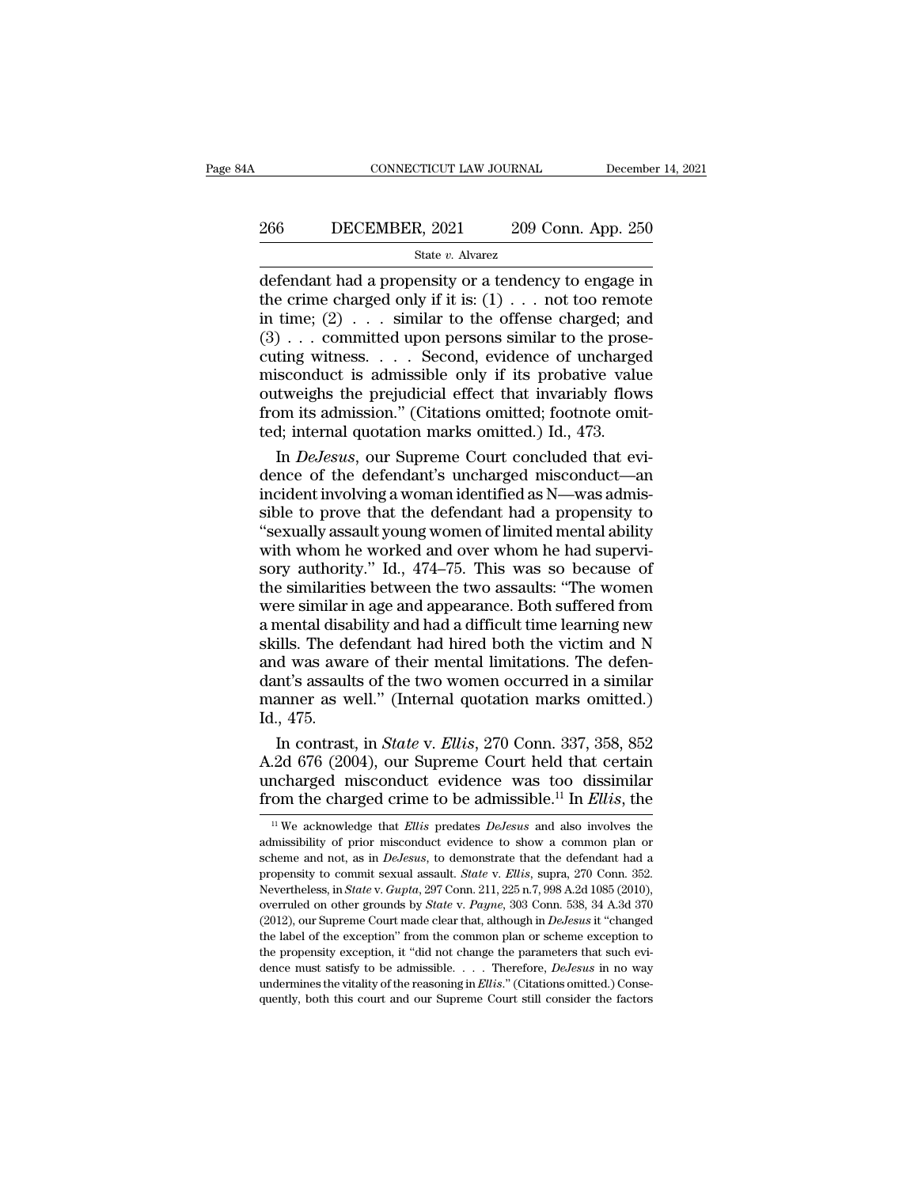# EXECUTE CONNECTICUT LAW JOURNAL December 14, 2021<br>266 DECEMBER, 2021 209 Conn. App. 250<br>31 State v. Alvarez

#### State *v.* Alvarez

 $\begin{tabular}{ll} \multicolumn{1}{l}{{\bf CONPECTICUT LAW JOURNAL}} & December 14, 2021 \end{tabular}$   $\begin{tabular}{ll} \multicolumn{1}{l}{{\bf 209 Conn. App. 250}}\\ \multicolumn{1}{l}{\bf 209 Conn. App. 250} \end{tabular} \end{tabular} \begin{tabular}{ll} \multicolumn{1}{l}{\bf 209 Conn. App. 250} \end{tabular} \end{tabular} \begin{tabular}{ll} \multicolumn{1}{l}{\bf 209 Conn. App. 250} \end{tabular} \end{tabular} \begin{tabular}{ll} \multicolumn$ 266 DECEMBER, 2021 209 Conn. App. 250<br>
State v. Alvarez<br>
defendant had a propensity or a tendency to engage in<br>
the crime charged only if it is:  $(1) \ldots$  not too remote<br>
in time;  $(2) \ldots$  similar to the offense charged; a 266 DECEMBER, 2021 209 Conn. App. 250<br>  $\frac{\text{State } v. \text{ Average}}{\text{defendant had a propensity or a tendency to engage in}}$ the crime charged only if it is: (1) . . . not too remote<br>
in time; (2) . . . similar to the offense charged; and<br>
(3) . . . committed upon persons si 266 DECEMBER, 2021 209 Conn. App. 250<br>
State v. Alvarez<br>
defendant had a propensity or a tendency to engage in<br>
the crime charged only if it is:  $(1) \ldots$  not too remote<br>
in time;  $(2) \ldots$  similar to the offense charged; a State v. Alvarez<br>
defendant had a propensity or a tendency to engage in<br>
the crime charged only if it is: (1) . . . not too remote<br>
in time; (2) . . . similar to the offense charged; and<br>
(3) . . . committed upon persons State *v*. Alvarez<br>
defendant had a propensity or a tendency to engage in<br>
the crime charged only if it is:  $(1) \ldots$  not too remote<br>
in time;  $(2) \ldots$  similar to the offense charged; and<br>  $(3) \ldots$  committed upon persons s defendant had a propensity or a tendency to engage in<br>the crime charged only if it is:  $(1) \ldots$  not too remote<br>in time;  $(2) \ldots$  similar to the offense charged; and<br> $(3) \ldots$  committed upon persons similar to the prose-<br>cu the crime charged only if it is:  $(1) \ldots$  not too remote<br>in time;  $(2) \ldots$  similar to the offense charged; and<br> $(3) \ldots$  committed upon persons similar to the prose-<br>cuting witness. . . . Second, evidence of uncharged<br>misc in time; (2)  $\ldots$  similar to the offense charged; an (3)  $\ldots$  committed upon persons similar to the prosecuting witness.  $\ldots$  Second, evidence of uncharge misconduct is admissible only if its probative value outweighs  $\mu$ , ... committed upon persons similar to the proseting witness.... Second, evidence of uncharged is<br>conduct is admissible only if its probative value tweighs the prejudicial effect that invariably flows<br>om its admissio cuting witness. . . . Second, evidence of uncharged<br>misconduct is admissible only if its probative value<br>outweighs the prejudicial effect that invariably flows<br>from its admission." (Citations omitted; footnote omit-<br>ted;

misconduct is admissible only if its probative value<br>outweighs the prejudicial effect that invariably flows<br>from its admission." (Citations omitted; footnote omit-<br>ted; internal quotation marks omitted.) Id., 473.<br>In *DeJ* outweighs the prejudicial effect that invariably flows<br>from its admission." (Citations omitted; footnote omit-<br>ted; internal quotation marks omitted.) Id., 473.<br>In *DeJesus*, our Supreme Court concluded that evi-<br>dence of from its admission." (Citations omitted; footnote omit-<br>ted; internal quotation marks omitted.) Id., 473.<br>In *DeJesus*, our Supreme Court concluded that evi-<br>dence of the defendant's uncharged misconduct—an<br>incident invol ted; internal quotation marks omitted.) Id., 473.<br>In *DeJesus*, our Supreme Court concluded that evi-<br>dence of the defendant's uncharged misconduct—an<br>incident involving a woman identified as N—was admis-<br>sible to prove th In *DeJesus*, our Supreme Court concluded that evi-<br>dence of the defendant's uncharged misconduct—an<br>incident involving a woman identified as N—was admis-<br>sible to prove that the defendant had a propensity to<br>"sexually ass dence of the defendant's uncharged misconduct—an<br>incident involving a woman identified as N—was admis-<br>sible to prove that the defendant had a propensity to<br>"sexually assault young women of limited mental ability<br>with whom incident involving a woman identified as N—was admissible to prove that the defendant had a propensity to "sexually assault young women of limited mental ability with whom he worked and over whom he had supervisory authori sible to prove that the defendant had a propensity to "sexually assault young women of limited mental ability with whom he worked and over whom he had supervisory authority." Id., 474–75. This was so because of the similar "sexually assault young women of limited mental ability<br>with whom he worked and over whom he had supervi-<br>sory authority." Id., 474–75. This was so because of<br>the similarities between the two assaults: "The women<br>were simi with whom he worked and over whom he had supervisory authority." Id., 474–75. This was so because of the similarities between the two assaults: "The women were similar in age and appearance. Both suffered from a mental dis sory authority." Id., 474–75. This was so because of<br>the similarities between the two assaults: "The women<br>were similar in age and appearance. Both suffered from<br>a mental disability and had a difficult time learning new<br>sk the similarities between the two assaults: "The women<br>were similar in age and appearance. Both suffered from<br>a mental disability and had a difficult time learning new<br>skills. The defendant had hired both the victim and N<br>a were similar i<br>a mental disa<br>skills. The de<br>and was awa<br>dant's assault<br>manner as w<br>Id., 475.<br>In contrast nental disability and had a difficult time learning new<br>ills. The defendant had hired both the victim and N<br>d was aware of their mental limitations. The defen-<br>nt's assaults of the two women occurred in a similar<br>anner as skills. The defendant had hired both the victim and N<br>and was aware of their mental limitations. The defen-<br>dant's assaults of the two women occurred in a similar<br>manner as well." (Internal quotation marks omitted.)<br>Id.,

and was aware of their mental limitations. The defendant's assaults of the two women occurred in a similar manner as well." (Internal quotation marks omitted.)<br>Id., 475.<br>In contrast, in *State* v. *Ellis*, 270 Conn. 337, dant's assaults of the two women occurred in a similar<br>manner as well." (Internal quotation marks omitted.)<br>Id., 475.<br>In contrast, in *State* v. *Ellis*, 270 Conn. 337, 358, 852<br>A.2d 676 (2004), our Supreme Court held that In contrast, in *State* v. *Ellis*, 270 Conn. 337, 358, 852<br>
2d 676 (2004), our Supreme Court held that certain<br>
ncharged misconduct evidence was too dissimilar<br>
om the charged crime to be admissible.<sup>11</sup> In *Ellis*, the<br> A.2d 676 (2004), our Supreme Court held that certain<br>uncharged misconduct evidence was too dissimilar<br>from the charged crime to be admissible.<sup>11</sup> In *Ellis*, the<br> $\frac{11}{11}$  We acknowledge that *Ellis* predates *DeJesus* 

uncharged misconduct evidence was too dissimilar<br>from the charged crime to be admissible.<sup>11</sup> In *Ellis*, the<br> $\frac{11}{10}$  We acknowledge that *Ellis* predates *DeJesus* and also involves the<br>admissibility of prior miscond from the charged crime to be admissible.<sup>11</sup> In *Ellis*, the  $\frac{11}{11}$  We acknowledge that *Ellis* predates *DeJesus* and also involves the admissibility of prior misconduct evidence to show a common plan or scheme and <sup>11</sup> We acknowledge that *Ellis* predates *DeJesus* and also involves the admissibility of prior misconduct evidence to show a common plan or scheme and not, as in *DeJesus*, to demonstrate that the defendant had a propen <sup>11</sup> We acknowledge that *Ellis* predates *DeJesus* and also involves the admissibility of prior misconduct evidence to show a common plan or scheme and not, as in *DeJesus*, to demonstrate that the defendant had a propen admissibility of prior misconduct evidence to show a common plan or scheme and not, as in *DeJesus*, to demonstrate that the defendant had a propensity to commit sexual assault. *State v. Ellis*, supra, 270 Conn. 352. Neve scheme and not, as in *DeJesus*, to demonstrate that the defendant had a propensity to commit sexual assault. *State v. Ellis*, supra, 270 Conn. 352. Nevertheless, in *State v. Gupta*, 297 Conn. 211, 225 n.7, 998 A.2d 1085 propensity to commit sexual assault. *State* v. *Ellis*, supra, 270 Conn. 352. Nevertheless, in *State* v. *Gupta*, 297 Conn. 211, 225 n.7, 998 A.2d 1085 (2010), overruled on other grounds by *State* v. *Payne*, 303 Conn. properting iss, in *State v. Gupta*, 297 Conn. 211, 225 n.7, 998 A.2d 1085 (2010), overruled on other grounds by *State v. Payne*, 303 Conn. 538, 34 A.3d 370 (2012), our Supreme Court made clear that, although in *DeJesus* overruled on other grounds by *State* v. *Payne*, 303 Conn. 538, 34 A.3d 370 (2012), our Supreme Court made clear that, although in *DeJesus* it "changed the label of the exception" from the common plan or scheme exception  $(2012)$ , our Supreme Court made clear that, although in *DeJesus* it "changed"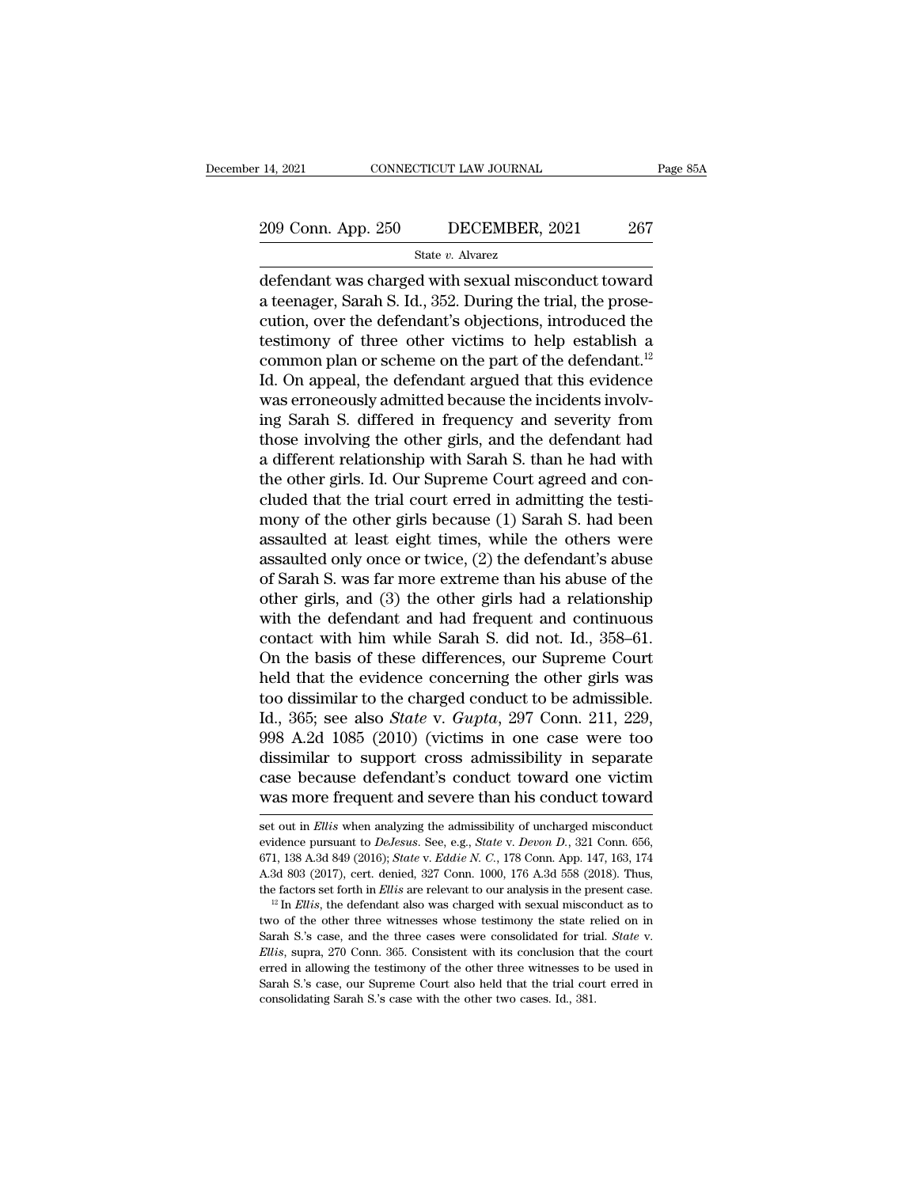# 14, 2021 CONNECTICUT LAW JOURNAL Page 85A<br>
209 Conn. App. 250 DECEMBER, 2021 267<br>
State v. Alvarez

State *v.* Alvarez

14, 2021 CONNECTICUT LAW JOURNAL Page 85A<br>
209 Conn. App. 250 DECEMBER, 2021 267<br>
State v. Alvarez<br>
defendant was charged with sexual misconduct toward<br>
a teenager, Sarah S. Id., 352. During the trial, the prose-<br>
aution 209 Conn. App. 250 DECEMBER, 2021 267<br>
State v. Alvarez<br>
defendant was charged with sexual misconduct toward<br>
a teenager, Sarah S. Id., 352. During the trial, the prose-<br>
cution, over the defendant's objections, introduce 209 Conn. App. 250 DECEMBER, 2021 267<br>
State v. Alvarez<br>
defendant was charged with sexual misconduct toward<br>
a teenager, Sarah S. Id., 352. During the trial, the prose-<br>
cution, over the defendant's objections, introduce 209 Conn. App. 250 DECEMBER, 2021 267<br>
State v. Alvarez<br>
defendant was charged with sexual misconduct toward<br>
a teenager, Sarah S. Id., 352. During the trial, the prose-<br>
cution, over the defendant's objections, introduce State v. Alvarez<br>defendant was charged with sexual misconduct toward<br>a teenager, Sarah S. Id., 352. During the trial, the prose-<br>cution, over the defendant's objections, introduced the<br>testimony of three other victims to State *b*. Awarez<br>
defendant was charged with sexual misconduct toward<br>
a teenager, Sarah S. Id., 352. During the trial, the prose-<br>
cution, over the defendant's objections, introduced the<br>
testimony of three other victim defendant was charged with sexual misconduct toward<br>a teenager, Sarah S. Id., 352. During the trial, the prose-<br>cution, over the defendant's objections, introduced the<br>testimony of three other victims to help establish a<br>c a teenager, Sarah S. Id., 352. During the trial, the prose-<br>cution, over the defendant's objections, introduced the<br>testimony of three other victims to help establish a<br>common plan or scheme on the part of the defendant.<sup>1</sup> cution, over the defendant's objections, introduced the<br>testimony of three other victims to help establish a<br>common plan or scheme on the part of the defendant.<sup>12</sup><br>Id. On appeal, the defendant argued that this evidence<br>wa testimony of three other victims to help establish a<br>common plan or scheme on the part of the defendant.<sup>12</sup><br>Id. On appeal, the defendant argued that this evidence<br>was erroneously admitted because the incidents involv-<br>ing common plan or scheme on the part of the defendant.<sup>12</sup><br>Id. On appeal, the defendant argued that this evidence<br>was erroneously admitted because the incidents involv-<br>ing Sarah S. differed in frequency and severity from<br>th Id. On appeal, the defendant argued that this evidence<br>was erroneously admitted because the incidents involv-<br>ing Sarah S. differed in frequency and severity from<br>those involving the other girls, and the defendant had<br>a di was erroneously admitted because the incidents involving Sarah S. differed in frequency and severity from those involving the other girls, and the defendant had a different relationship with Sarah S. than he had with the o ing Sarah S. differed in frequency and severity from<br>those involving the other girls, and the defendant had<br>a different relationship with Sarah S. than he had with<br>the other girls. Id. Our Supreme Court agreed and con-<br>clu those involving the other girls, and the defendant had<br>a different relationship with Sarah S. than he had with<br>the other girls. Id. Our Supreme Court agreed and con-<br>cluded that the trial court erred in admitting the test a different relationship with Sarah S. than he had with<br>the other girls. Id. Our Supreme Court agreed and con-<br>cluded that the trial court erred in admitting the testi-<br>mony of the other girls because (1) Sarah S. had been the other girls. Id. Our Supreme Court agreed and concluded that the trial court erred in admitting the testi-<br>mony of the other girls because (1) Sarah S. had been<br>assaulted at least eight times, while the others were<br>as cluded that the trial court erred in admitting the testi-<br>mony of the other girls because (1) Sarah S. had been<br>assaulted at least eight times, while the others were<br>assaulted only once or twice, (2) the defendant's abuse<br> mony of the other girls because (1) Sarah S. had been<br>assaulted at least eight times, while the others were<br>assaulted only once or twice, (2) the defendant's abuse<br>of Sarah S. was far more extreme than his abuse of the<br>oth assaulted at least eight times, while the others were<br>assaulted only once or twice, (2) the defendant's abuse<br>of Sarah S. was far more extreme than his abuse of the<br>other girls, and (3) the other girls had a relationship<br>w assaulted only once or twice, (2) the defendant's abuse<br>of Sarah S. was far more extreme than his abuse of the<br>other girls, and (3) the other girls had a relationship<br>with the defendant and had frequent and continuous<br>con of Sarah S. was far more extreme than his abuse of the<br>other girls, and (3) the other girls had a relationship<br>with the defendant and had frequent and continuous<br>contact with him while Sarah S. did not. Id., 358–61.<br>On th other girls, and (3) the other girls had a relationship<br>with the defendant and had frequent and continuous<br>contact with him while Sarah S. did not. Id., 358–61.<br>On the basis of these differences, our Supreme Court<br>held tha with the defendant and had frequent and continuous<br>contact with him while Sarah S. did not. Id., 358–61.<br>On the basis of these differences, our Supreme Court<br>held that the evidence concerning the other girls was<br>too dissim contact with him while Sarah S. did not. Id., 358–61.<br>On the basis of these differences, our Supreme Court<br>held that the evidence concerning the other girls was<br>too dissimilar to the charged conduct to be admissible.<br>Id., On the basis of these differences, our Supreme Court<br>held that the evidence concerning the other girls was<br>too dissimilar to the charged conduct to be admissible.<br>Id., 365; see also *State* v. *Gupta*, 297 Conn. 211, 229,<br> held that the evidence concerning the other girls was<br>too dissimilar to the charged conduct to be admissible.<br>Id., 365; see also *State* v. *Gupta*, 297 Conn. 211, 229,<br>998 A.2d 1085 (2010) (victims in one case were too<br>di 998 A.2d 1085 (2010) (Victims in one case were too dissimilar to support cross admissibility in separate case because defendant's conduct toward one victim was more frequent and severe than his conduct toward set out in *E* dissimilar to support cross admissibility in separate case because defendant's conduct toward one victim was more frequent and severe than his conduct toward set out in *Ellis* when analyzing the admissibility of uncharged

case because defendant's conduct toward one victim<br>was more frequent and severe than his conduct toward<br>set out in *Ellis* when analyzing the admissibility of uncharged misconduct<br>evidence pursuant to *DeJesus*. See, e.g., case because defendant's conduct toward one victim<br>was more frequent and severe than his conduct toward<br>set out in *Ellis* when analyzing the admissibility of uncharged misconduct<br>evidence pursuant to *DeJesus*. See, e.g. the factors set forth in *Ellis* are relevant to *DeJesus.* See, e.g., *State v. Devon D.*, 321 Conn. 656, 671, 138 A.3d 849 (2016); *State v. Eddie N. C.*, 178 Conn. App. 147, 163, 174 A.3d 803 (2017), cert. denied, 327 C evidence pursuant to *DeJesus.* See, e.g., *State v. Devon D.*, 321 Conn. 656, 671, 138 A.3d 849 (2016); *State v. Eddie N. C.*, 178 Conn. App. 147, 163, 174 A.3d 803 (2017), cert. denied, 327 Conn. 1000, 176 A.3d 558 (20

<sup>671, 138</sup> A.3d 849 (2016); *State* v. *Eddie N. C.*, 178 Conn. App. 147, 163, 174 A.3d 803 (2017), cert. denied, 327 Conn. 1000, 176 A.3d 558 (2018). Thus, the factors set forth in *Ellis* are relevant to our analysis in t The factors set forth in *Ellis* are relevant to our analysis in the present case.<br><sup>12</sup> In *Ellis*, the defendant also was charged with sexual misconduct as to two of the other three witnesses whose testimony the state re <sup>12</sup> In *Ellis*, the defendant also was charged with sexual misconduct as to two of the other three witnesses whose testimony the state relied on in Sarah S.'s case, and the three cases were consolidated for trial. *State* two of the other three witnesses whose testimony the state relied on in Sarah S.'s case, and the three cases were consolidated for trial. *State* v. *Ellis*, supra, 270 Conn. 365. Consistent with its conclusion that the co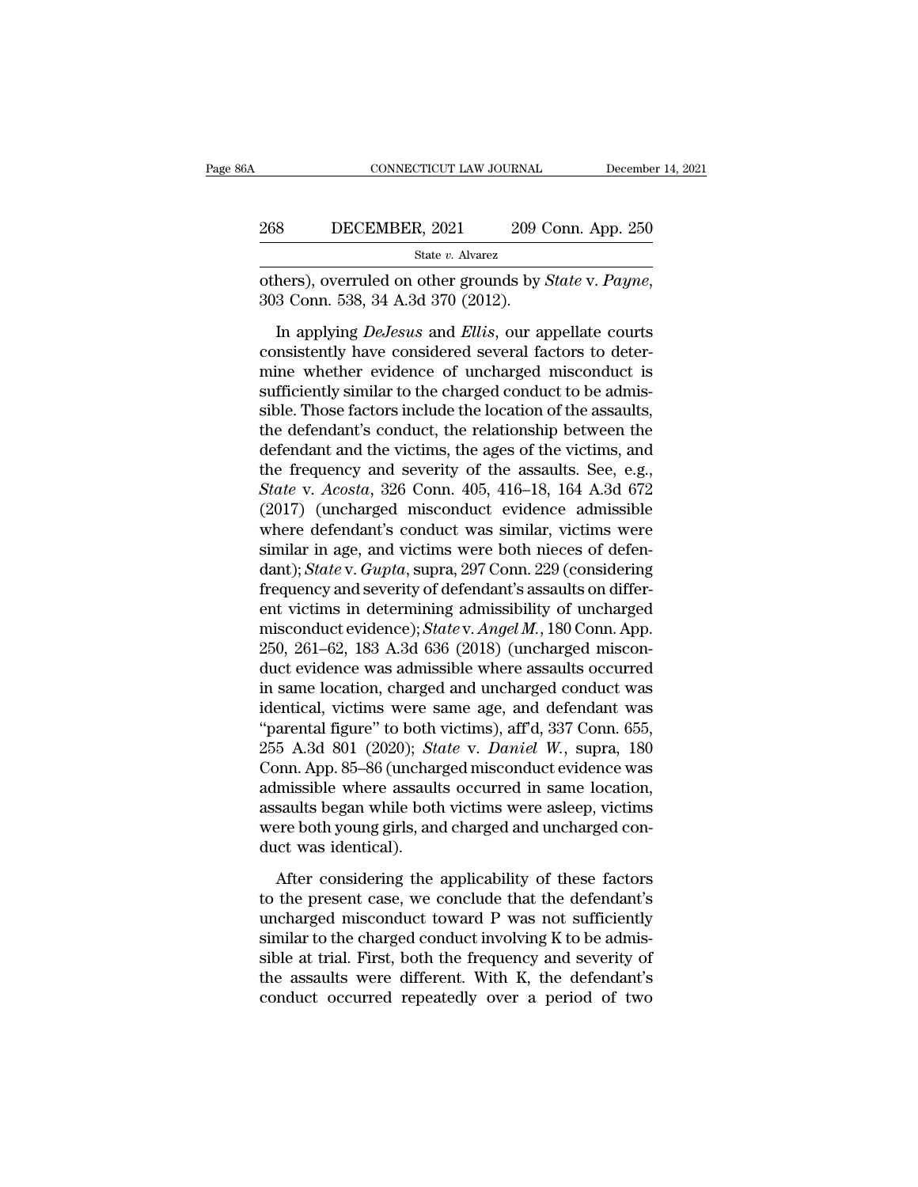| A   | CONNECTICUT LAW JOURNAL                                                                              | December 14, 2021  |
|-----|------------------------------------------------------------------------------------------------------|--------------------|
| 268 | DECEMBER, 2021                                                                                       | 209 Conn. App. 250 |
|     | State $v$ . Alvarez                                                                                  |                    |
|     | others), overruled on other grounds by <i>State v. Payne</i> ,<br>303 Conn. 538, 34 A.3d 370 (2012). |                    |

Subsember, 2021 209 Conn. App. 250<br>
State *v.* Alvarez<br>
hers), overruled on other grounds by *State v. Payne*,<br>
3 Conn. 538, 34 A.3d 370 (2012).<br>
In applying *DeJesus* and *Ellis*, our appellate courts<br>
misistently have co 208 DECEMBER, 2021 209 Conn. App. 250<br>
State v. Alvarez<br>
others), overruled on other grounds by *State* v. *Payne*,<br>
303 Conn. 538, 34 A.3d 370 (2012).<br>
In applying *DeJesus* and *Ellis*, our appellate courts<br>
consistentl State v. Alvarez<br>
others), overruled on other grounds by *State* v. Payne,<br>
303 Conn. 538, 34 A.3d 370 (2012).<br>
In applying *DeJesus* and *Ellis*, our appellate courts<br>
consistently have considered several factors to dete others), overruled on other grounds by *State* v. *Payne*, 303 Conn. 538, 34 A.3d 370 (2012).<br>In applying *DeJesus* and *Ellis*, our appellate courts consistently have considered several factors to determine whether eviden sible. Those factors include the base of the visites,<br>303 Conn. 538, 34 A.3d 370 (2012).<br>In applying *DeJesus* and *Ellis*, our appellate courts<br>consistently have considered several factors to deter-<br>mine whether evidence In applying *DeJesus* and *Ellis*, our appellate courts<br>consistently have considered several factors to deter-<br>mine whether evidence of uncharged misconduct is<br>sufficiently similar to the charged conduct to be admis-<br>sibl In applying *DeJesus* and *Ellis*, our appellate courts<br>consistently have considered several factors to deter-<br>mine whether evidence of uncharged misconduct is<br>sufficiently similar to the charged conduct to be admis-<br>sibl consistently have considered several factors to deter-<br>mine whether evidence of uncharged misconduct is<br>sufficiently similar to the charged conduct to be admis-<br>sible. Those factors include the location of the assaults,<br>t mine whether evidence of uncharged misconduct is<br>sufficiently similar to the charged conduct to be admis-<br>sible. Those factors include the location of the assaults,<br>the defendant and the victims, the ages of the victims, a sufficiently similar to the charged conduct to be admis-<br>sible. Those factors include the location of the assaults,<br>the defendant's conduct, the relationship between the<br>defendant and the victims, the ages of the victims, sible. Those factors include the location of the assaults,<br>the defendant's conduct, the relationship between the<br>defendant and the victims, the ages of the victims, and<br>the frequency and severity of the assaults. See, e.g the defendant's conduct, the relationship between the<br>defendant and the victims, the ages of the victims, and<br>the frequency and severity of the assaults. See, e.g.,<br>State v. Acosta, 326 Conn. 405, 416–18, 164 A.3d 672<br>(201 defendant and the victims, the ages of the victims, and<br>the frequency and severity of the assaults. See, e.g.,<br>*State* v. *Acosta*, 326 Conn. 405, 416–18, 164 A.3d 672<br>(2017) (uncharged misconduct evidence admissible<br>where the frequency and severity of the assaults. See, e.g.,<br> *State* v. *Acosta*, 326 Conn. 405, 416–18, 164 A.3d 672<br>
(2017) (uncharged misconduct evidence admissible<br>
where defendant's conduct was similar, victims were<br>
simi State v. Acosta, 326 Conn. 405, 416–18, 164 A.3d 672<br>(2017) (uncharged misconduct evidence admissible<br>where defendant's conduct was similar, victims were<br>similar in age, and victims were both nieces of defen-<br>dant); State (2017) (uncharged misconduct evidence admissible<br>where defendant's conduct was similar, victims were<br>similar in age, and victims were both nieces of defen-<br>dant); *State* v. *Gupta*, supra, 297 Conn. 229 (considering<br>frequ where defendant's conduct was similar, victims were<br>similar in age, and victims were both nieces of defen-<br>dant); *State* v. *Gupta*, supra, 297 Conn. 229 (considering<br>frequency and severity of defendant's assaults on dif similar in age, and victims were both nieces of defen-<br>dant); *State* v. *Gupta*, supra, 297 Conn. 229 (considering<br>frequency and severity of defendant's assaults on differ-<br>ent victims in determining admissibility of unch dant); *State* v. *Gupta*, supra, 297 Conn. 229 (considering<br>frequency and severity of defendant's assaults on differ-<br>ent victims in determining admissibility of uncharged<br>misconduct evidence); *State* v. *Angel M*., 180 frequency and severity of defendant's assaults on different victims in determining admissibility of uncharged<br>misconduct evidence); *State* v. *Angel M*., 180 Conn. App.<br>250, 261–62, 183 A.3d 636 (2018) (uncharged misconent victims in determining admissibility of uncharged<br>
misconduct evidence); *State* v. *Angel M.*, 180 Conn. App.<br>
250, 261–62, 183 A.3d 636 (2018) (uncharged miscon-<br>
duct evidence was admissible where assaults occurred<br> misconduct evidence); *State* v. *Angel M.*, 180 Conn. App.<br>250, 261–62, 183 A.3d 636 (2018) (uncharged misconduct evidence was admissible where assaults occurred<br>in same location, charged and uncharged conduct was<br>identic 250, 261–62, 183 A.3d 636 (2018) (uncharged misconduct evidence was admissible where assaults occurred<br>in same location, charged and uncharged conduct was<br>identical, victims were same age, and defendant was<br>"parental figur duct evidence was admissible where assaults occurred<br>in same location, charged and uncharged conduct was<br>identical, victims were same age, and defendant was<br>"parental figure" to both victims), aff'd, 337 Conn. 655,<br>255 A.3 in same location, charged and uncharged conduct was<br>identical, victims were same age, and defendant was<br>"parental figure" to both victims), aff'd, 337 Conn. 655,<br>255 A.3d 801 (2020); *State* v. *Daniel W.*, supra, 180<br>Conn identical, victims were same age, and defendant was<br>"parental figure" to both victims), aff'd, 337 Conn. 655,<br>255 A.3d 801 (2020); *State* v. *Daniel W.*, supra, 180<br>Conn. App. 85–86 (uncharged misconduct evidence was<br>admi "parental figure" to both<br>255 A.3d 801 (2020); *Sto*<br>Conn. App. 85–86 (unchar<br>admissible where assault<br>assaults began while both<br>were both young girls, and<br>duct was identical).<br>After considering the bondom. App. 85–86 (uncharged misconduct evidence was<br>missible where assaults occurred in same location,<br>saults began while both victims were asleep, victims<br>ere both young girls, and charged and uncharged con-<br>considering admissible where assaults occurred in same location,<br>assaults began while both victims were asleep, victims<br>were both young girls, and charged and uncharged con-<br>duct was identical).<br>After considering the applicability of

assaults began while both victims were asleep, victims<br>were both young girls, and charged and uncharged con-<br>duct was identical).<br>After considering the applicability of these factors<br>to the present case, we conclude that were both young girls, and charged and uncharged conduct was identical).<br>
After considering the applicability of these factors<br>
to the present case, we conclude that the defendant's<br>
uncharged misconduct toward P was not duct was identical).<br>After considering the applicability of these factors<br>to the present case, we conclude that the defendant's<br>uncharged misconduct toward P was not sufficiently<br>similar to the charged conduct involving K After considering the applicability of these factors<br>to the present case, we conclude that the defendant's<br>uncharged misconduct toward P was not sufficiently<br>similar to the charged conduct involving K to be admis-<br>sible at After considering the applicability of these factors<br>to the present case, we conclude that the defendant's<br>uncharged misconduct toward P was not sufficiently<br>similar to the charged conduct involving K to be admis-<br>sible at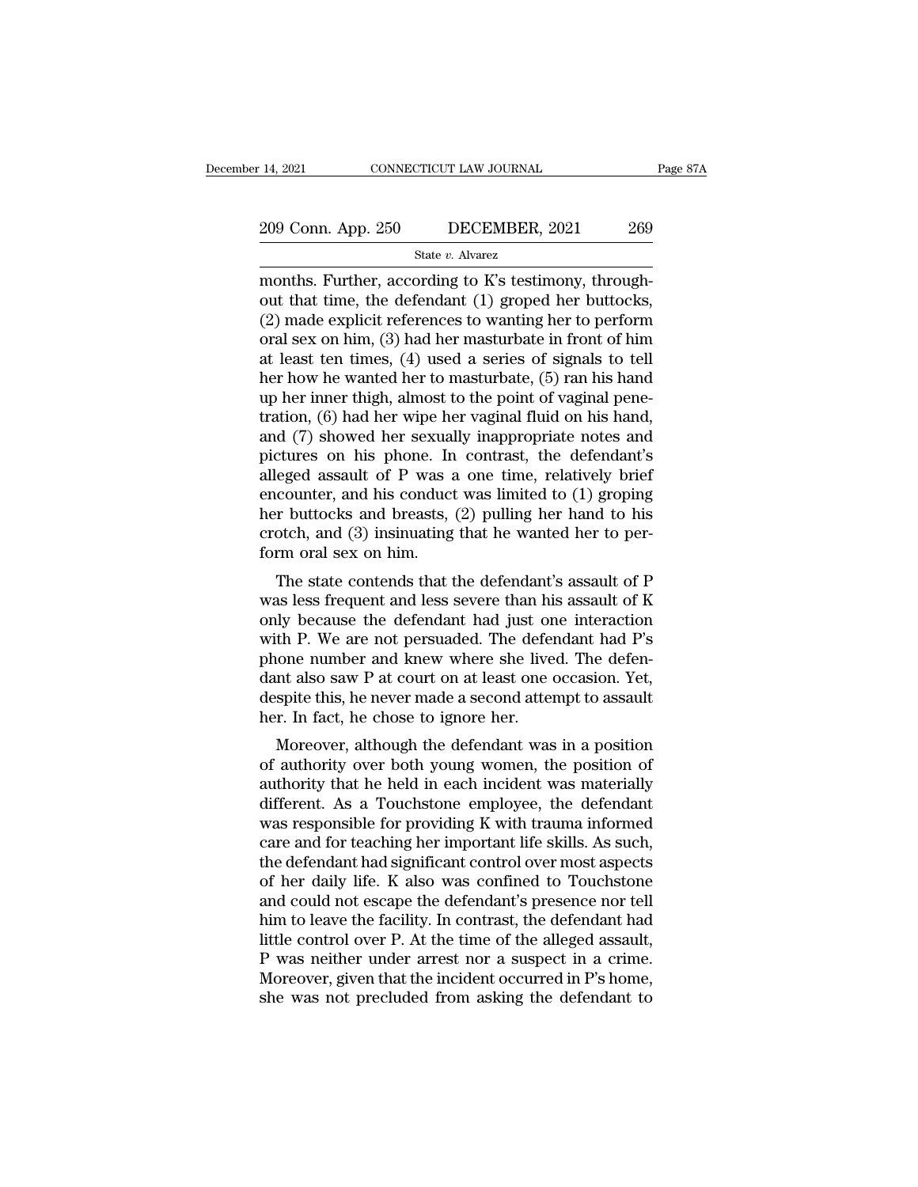State *v.* Alvarez

14, 2021 CONNECTICUT LAW JOURNAL<br>
209 Conn. App. 250 DECEMBER, 2021 269<br>
State v. Alvarez<br>
months. Further, according to K's testimony, through-<br>
out that time, the defendant (1) groped her buttocks,<br>
(2) made evolviet re 209 Conn. App. 250 DECEMBER, 2021 269<br>
State v. Alvarez<br>
months. Further, according to K's testimony, through-<br>
out that time, the defendant (1) groped her buttocks,<br>
(2) made explicit references to wanting her to perform 209 Conn. App. 250 DECEMBER, 2021 269<br>
State v. Alvarez<br>
months. Further, according to K's testimony, through-<br>
out that time, the defendant (1) groped her buttocks,<br>
(2) made explicit references to wanting her to perform 209 Conn. App. 250 DECEMBER, 2021 269<br>
State v. Alvarez<br>
months. Further, according to K's testimony, through-<br>
out that time, the defendant (1) groped her buttocks,<br>
(2) made explicit references to wanting her to perform State v. Alvarez<br>
and State v. Alvarez<br>
months. Further, according to K's testimony, through-<br>
out that time, the defendant (1) groped her buttocks,<br>
(2) made explicit references to wanting her to perform<br>
oral sex on him state v. Alvarez<br>
months. Further, according to K's testimony, through-<br>
out that time, the defendant (1) groped her buttocks,<br>
(2) made explicit references to wanting her to perform<br>
oral sex on him, (3) had her masturba months. Further, according to K's testimony, through-<br>out that time, the defendant (1) groped her buttocks,<br>(2) made explicit references to wanting her to perform<br>oral sex on him, (3) had her masturbate in front of him<br>at out that time, the defendant (1) groped her buttocks,<br>(2) made explicit references to wanting her to perform<br>oral sex on him, (3) had her masturbate in front of him<br>at least ten times, (4) used a series of signals to tell<br> (2) made explicit references to wanting her to perform<br>oral sex on him, (3) had her masturbate in front of him<br>at least ten times, (4) used a series of signals to tell<br>her how he wanted her to masturbate, (5) ran his hand oral sex on him, (3) had her masturbate in front of him<br>at least ten times, (4) used a series of signals to tell<br>her how he wanted her to masturbate, (5) ran his hand<br>up her inner thigh, almost to the point of vaginal pene at least ten times, (4) used a series of signals to tell<br>her how he wanted her to masturbate, (5) ran his hand<br>up her inner thigh, almost to the point of vaginal pene-<br>tration, (6) had her wipe her vaginal fluid on his ha her how he wanted her to masturbate,  $(5)$  ran his hand<br>up her inner thigh, almost to the point of vaginal pene-<br>tration,  $(6)$  had her wipe her vaginal fluid on his hand,<br>and  $(7)$  showed her sexually inappropriate notes up her inner thigh, almost to the point of vaginal pene-<br>tration, (6) had her wipe her vaginal fluid on his hand,<br>and (7) showed her sexually inappropriate notes and<br>pictures on his phone. In contrast, the defendant's<br>alle tration,  $(6)$  had her wipe her vaginal fluid on his hand, and  $(7)$  showed her sexually inappropriate notes and pictures on his phone. In contrast, the defendant's alleged assault of P was a one time, relatively brief en and (7) showed her sexual<br>pictures on his phone. In<br>alleged assault of P was a<br>encounter, and his conduct<br>her buttocks and breasts,<br>crotch, and (3) insinuating<br>form oral sex on him.<br>The state contends that t extractures on his phone. In contrast, the defendant's<br>eged assault of P was a one time, relatively brief<br>counter, and his conduct was limited to (1) groping<br>r buttocks and breasts, (2) pulling her hand to his<br>otch, and (3 aneged assault of T was a one time, relatively brief<br>encounter, and his conduct was limited to (1) groping<br>her buttocks and breasts, (2) pulling her hand to his<br>crotch, and (3) insinuating that he wanted her to per-<br>form

encounter, and its conduct was initied to  $(1)$  groping<br>her buttocks and breasts,  $(2)$  pulling her hand to his<br>crotch, and  $(3)$  insinuating that he wanted her to per-<br>form oral sex on him.<br>The state contends that the de Form oral sex on him.<br>
The state contends that he wanted her to per-<br>
form oral sex on him.<br>
The state contends that the defendant's assault of P<br>
was less frequent and less severe than his assault of K<br>
only because the phone number and knew where she lived. The state contends that the defendant's assault of P was less frequent and less severe than his assault of K only because the defendant had just one interaction with P. We are not per The state contends that the defendant's assault of P<br>was less frequent and less severe than his assault of K<br>only because the defendant had just one interaction<br>with P. We are not persuaded. The defendant had P's<br>phone num The state contends that the defendant's assault of P was less frequent and less severe than his assault of K only because the defendant had just one interaction with P. We are not persuaded. The defendant had P's phone num was less frequent and less severe than hi<br>only because the defendant had just on<br>with P. We are not persuaded. The defen<br>phone number and knew where she live<br>dant also saw P at court on at least one of<br>despite this, he nev In P. We are not persuaded. The defendant had P's<br>one number and knew where she lived. The defen-<br>nt also saw P at court on at least one occasion. Yet,<br>spite this, he never made a second attempt to assault<br>r. In fact, he c with 1. we are not persuaded. The defendant had 1 s<br>phone number and knew where she lived. The defen-<br>dant also saw P at court on at least one occasion. Yet,<br>despite this, he never made a second attempt to assault<br>her. In

phone number and knew where she lived. The defendant also saw P at court on at least one occasion. Yet, despite this, he never made a second attempt to assault her. In fact, he chose to ignore her.<br>Moreover, although the dant also saw 1 at court on at least one occasion. Tet,<br>despite this, he never made a second attempt to assault<br>her. In fact, he chose to ignore her.<br>Moreover, although the defendant was in a position<br>of authority over bot despite this, he hever hiade a second attempt to assault<br>her. In fact, he chose to ignore her.<br>Moreover, although the defendant was in a position<br>of authority over both young women, the position of<br>authority that he held i mer. In fact, he chose to ignore her.<br>
Moreover, although the defendant was in a position<br>
of authority over both young women, the position of<br>
authority that he held in each incident was materially<br>
different. As a Touchs Moreover, although the defendant was in a position<br>of authority over both young women, the position of<br>authority that he held in each incident was materially<br>different. As a Touchstone employee, the defendant<br>was responsib of authority over both young women, the position of<br>authority that he held in each incident was materially<br>different. As a Touchstone employee, the defendant<br>was responsible for providing K with trauma informed<br>care and fo authority that he held in each incident was materially<br>different. As a Touchstone employee, the defendant<br>was responsible for providing K with trauma informed<br>care and for teaching her important life skills. As such,<br>the d different. As a Touchstone employee, the defendant<br>was responsible for providing K with trauma informed<br>care and for teaching her important life skills. As such,<br>the defendant had significant control over most aspects<br>of h was responsible for providing K with trauma informed<br>care and for teaching her important life skills. As such,<br>the defendant had significant control over most aspects<br>of her daily life. K also was confined to Touchstone<br>an care and for teaching her important life skills. As such,<br>the defendant had significant control over most aspects<br>of her daily life. K also was confined to Touchstone<br>and could not escape the defendant's presence nor tell<br> the defendant had significant control over most aspects<br>of her daily life. K also was confined to Touchstone<br>and could not escape the defendant's presence nor tell<br>him to leave the facility. In contrast, the defendant had<br> of her daily life. K also was confined to Touchstone<br>and could not escape the defendant's presence nor tell<br>him to leave the facility. In contrast, the defendant had<br>little control over P. At the time of the alleged assaul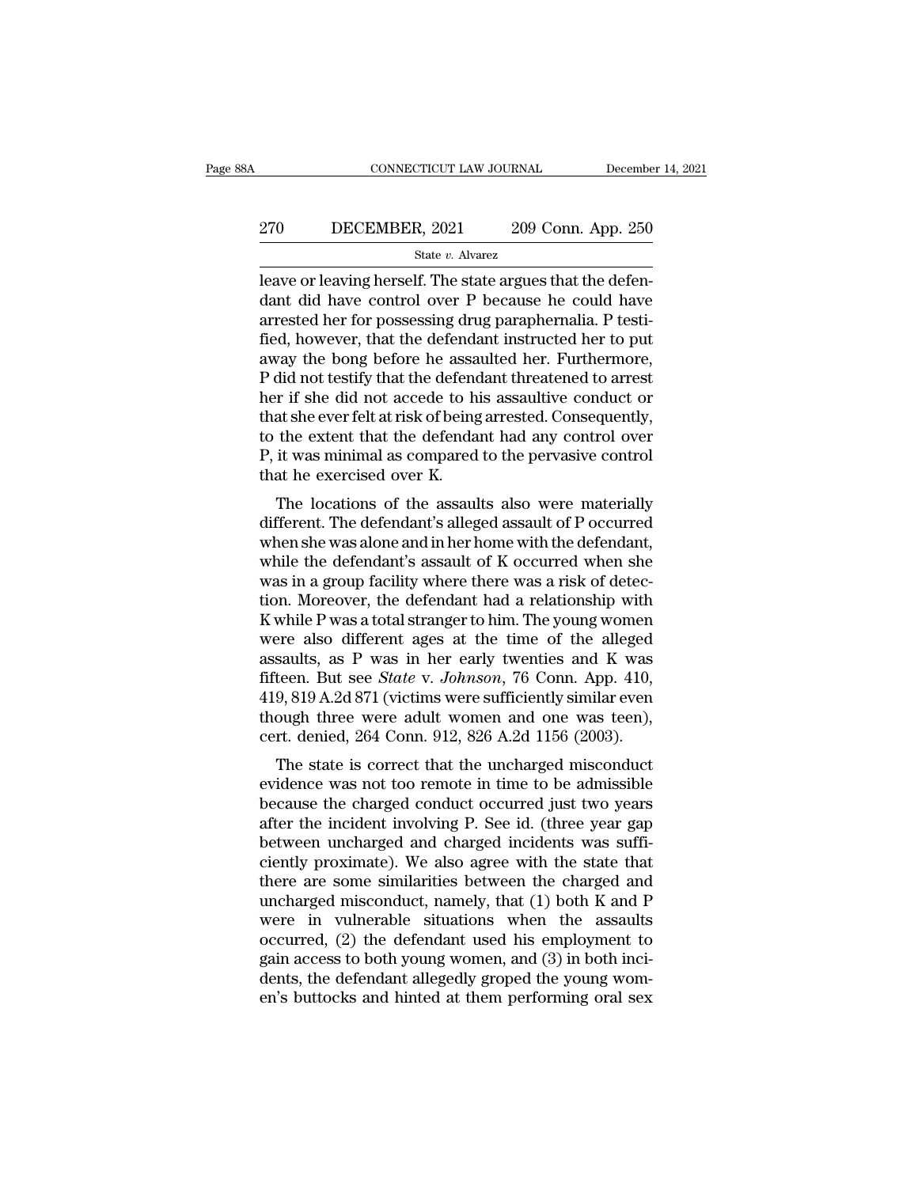# EXECUTE CONNECTICUT LAW JOURNAL December 14, 2021<br>270 DECEMBER, 2021 209 Conn. App. 250<br>3tate v. Alvarez

State *v.* Alvarez

 $\begin{array}{lll}\n & \text{COMNETICUT LAW JOURNAL} & \text{December} \cr \hline\n 270 & \text{DECEMBER, } 2021 & 209 \text{ Conn. App. } 250 \\
 \hline\n & \text{State } v. \text{ Average} \cr \text{leave or leaving herself.} \cr \text{The state argues that the defendant did have control over P because he could have a parabornalis. B testi\n\end{array}$ DECEMBER, 2021 209 Conn. App. 250<br>
state v. Alvarez<br>
leave or leaving herself. The state argues that the defendant<br>
did have control over P because he could have<br>
arrested her for possessing drug paraphernalia. P testi-<br>
f 270 DECEMBER, 2021 209 Conn. App. 250<br>  $\frac{\text{State } v. \text{ Average}}{\text{leave or leaving herself}}$ . The state argues that the defendant did have control over P because he could have arrested her for possessing drug paraphernalia. P testi-<br>fied, however, th Fig. 270 DECEMBER, 2021 209 Conn. App. 250<br>  $\frac{\text{State } v. \text{ Average}}{\text{leave or leaving herself}}$ . The state argues that the defendant did have control over P because he could have arrested her for possessing drug paraphernalia. P testified, however, State v. Alvarez<br>
Reave or leaving herself. The state argues that the defendant did have control over P because he could have<br>
arrested her for possessing drug paraphernalia. P testi-<br>
fied, however, that the defendant in State v. Alvarez<br>
leave or leaving herself. The state argues that the defen-<br>
dant did have control over P because he could have<br>
arrested her for possessing drug paraphernalia. P testi-<br>
fied, however, that the defendant leave or leaving herself. The state argues that the defendant did have control over P because he could have arrested her for possessing drug paraphernalia. P testified, however, that the defendant instructed her to put awa dant did have control over P because he could have<br>arrested her for possessing drug paraphernalia. P testi-<br>fied, however, that the defendant instructed her to put<br>away the bong before he assaulted her. Furthermore,<br>P did arrested her for possessing drug paraphernalia. P testi-<br>fied, however, that the defendant instructed her to put<br>away the bong before he assaulted her. Furthermore,<br>P did not testify that the defendant threatened to arres fied, however, that the defendant instructed her to put<br>away the bong before he assaulted her. Furthermore,<br>P did not testify that the defendant threatened to arrest<br>her if she did not accede to his assaultive conduct or<br>t away the bong before he assa<br>P did not testify that the defend<br>her if she did not accede to hi<br>that she ever felt at risk of being<br>to the extent that the defenda<br>P, it was minimal as compared<br>that he exercised over K.<br>The In the distribution of the defendant difference to arrest<br>
r if she did not accede to his assaultive conduct or<br>
at she ever felt at risk of being arrested. Consequently,<br>
the extent that the defendant had any control over that she ever felt at risk of being arrested. Consequently,<br>to the extent that the defendant had any control over<br>P, it was minimal as compared to the pervasive control<br>that he exercised over K.<br>The locations of the assaul

that she ever felt at fisk of being arrested. Consequently,<br>to the extent that the defendant had any control over<br>P, it was minimal as compared to the pervasive control<br>that he exercised over K.<br>The locations of the assaul While the defendant and any control over<br>P, it was minimal as compared to the pervasive control<br>that he exercised over K.<br>The locations of the assaults also were materially<br>different. The defendant's alleged assault of P o F, it was infinitial as compared to the pervasive control<br>that he exercised over K.<br>The locations of the assaults also were materially<br>different. The defendant's alleged assault of P occurred<br>when she was alone and in her The locations of the assaults also were materially<br>different. The defendant's alleged assault of P occurred<br>when she was alone and in her home with the defendant,<br>while the defendant's assault of K occurred when she<br>was in The locations of the assaults also were materially<br>different. The defendant's alleged assault of P occurred<br>when she was alone and in her home with the defendant,<br>while the defendant's assault of K occurred when she<br>was i different. The defendant's alleged assault of P occurred<br>when she was alone and in her home with the defendant,<br>while the defendant's assault of K occurred when she<br>was in a group facility where there was a risk of detec-<br> when she was alone and in her home with the defendant,<br>while the defendant's assault of K occurred when she<br>was in a group facility where there was a risk of detec-<br>tion. Moreover, the defendant had a relationship with<br>K while the defendant's assault of K occurred when she<br>was in a group facility where there was a risk of detec-<br>tion. Moreover, the defendant had a relationship with<br>K while P was a total stranger to him. The young women<br>wer was in a group facility where there was a risk of detection. Moreover, the defendant had a relationship with  $K$  while  $P$  was a total stranger to him. The young women were also different ages at the time of the alleged a tion. Moreover, the defendant had a relationship with K while P was a total stranger to him. The young women<br>were also different ages at the time of the alleged<br>assaults, as P was in her early twenties and K was<br>fifteen. K while P was a total stranger to him. The young women<br>were also different ages at the time of the alleged<br>assaults, as P was in her early twenties and K was<br>fifteen. But see *State* v. *Johnson*, 76 Conn. App. 410,<br>419, Ere also unferent ages at the time of the aneged<br>saults, as P was in her early twenties and K was<br>teen. But see *State* v. *Johnson*, 76 Conn. App. 410,<br>9, 819 A.2d 871 (victims were sufficiently similar even<br>ough three we assaults, as 1 was in her early twenties and K was<br>fifteen. But see *State v. Johnson*, 76 Conn. App. 410,<br>419, 819 A.2d 871 (victims were sufficiently similar even<br>though three were adult women and one was teen),<br>cert. d

meen. But see *Batte v. Johnson*, 70 Colul. App. 410,<br>419, 819 A.2d 871 (victims were sufficiently similar even<br>though three were adult women and one was teen),<br>cert. denied, 264 Conn. 912, 826 A.2d 1156 (2003).<br>The state  $419, 619$  A.2d  $611$  (victins were sumclently similar even<br>though three were adult women and one was teen),<br>cert. denied, 264 Conn. 912, 826 A.2d 1156 (2003).<br>The state is correct that the uncharged misconduct<br>evidence w mough three were adult wollent and one was teen),<br>cert. denied, 264 Conn. 912, 826 A.2d 1156 (2003).<br>The state is correct that the uncharged misconduct<br>evidence was not too remote in time to be admissible<br>because the charg The state is correct that the uncharged misconduct<br>evidence was not too remote in time to be admissible<br>because the charged conduct occurred just two years<br>after the incident involving P. See id. (three year gap<br>between u The state is correct that the uncharged misconduct<br>evidence was not too remote in time to be admissible<br>because the charged conduct occurred just two years<br>after the incident involving P. See id. (three year gap<br>between un evidence was not too remote in time to be admissible<br>because the charged conduct occurred just two years<br>after the incident involving P. See id. (three year gap<br>between uncharged and charged incidents was suffi-<br>ciently pr because the charged conduct occurred just two years<br>after the incident involving P. See id. (three year gap<br>between uncharged and charged incidents was suffi-<br>ciently proximate). We also agree with the state that<br>there ar after the incident involving P. See id. (three year gap<br>between uncharged and charged incidents was suffi-<br>ciently proximate). We also agree with the state that<br>there are some similarities between the charged and<br>uncharged between uncharged and charged incidents was sufficiently proximate). We also agree with the state that<br>there are some similarities between the charged and<br>uncharged misconduct, namely, that (1) both K and P<br>were in vulnera ciently proximate). We also agree with the state that<br>there are some similarities between the charged and<br>uncharged misconduct, namely, that (1) both K and P<br>were in vulnerable situations when the assaults<br>occurred, (2) th there are some similarities between the charged and<br>uncharged misconduct, namely, that (1) both K and P<br>were in vulnerable situations when the assaults<br>occurred, (2) the defendant used his employment to<br>gain access to both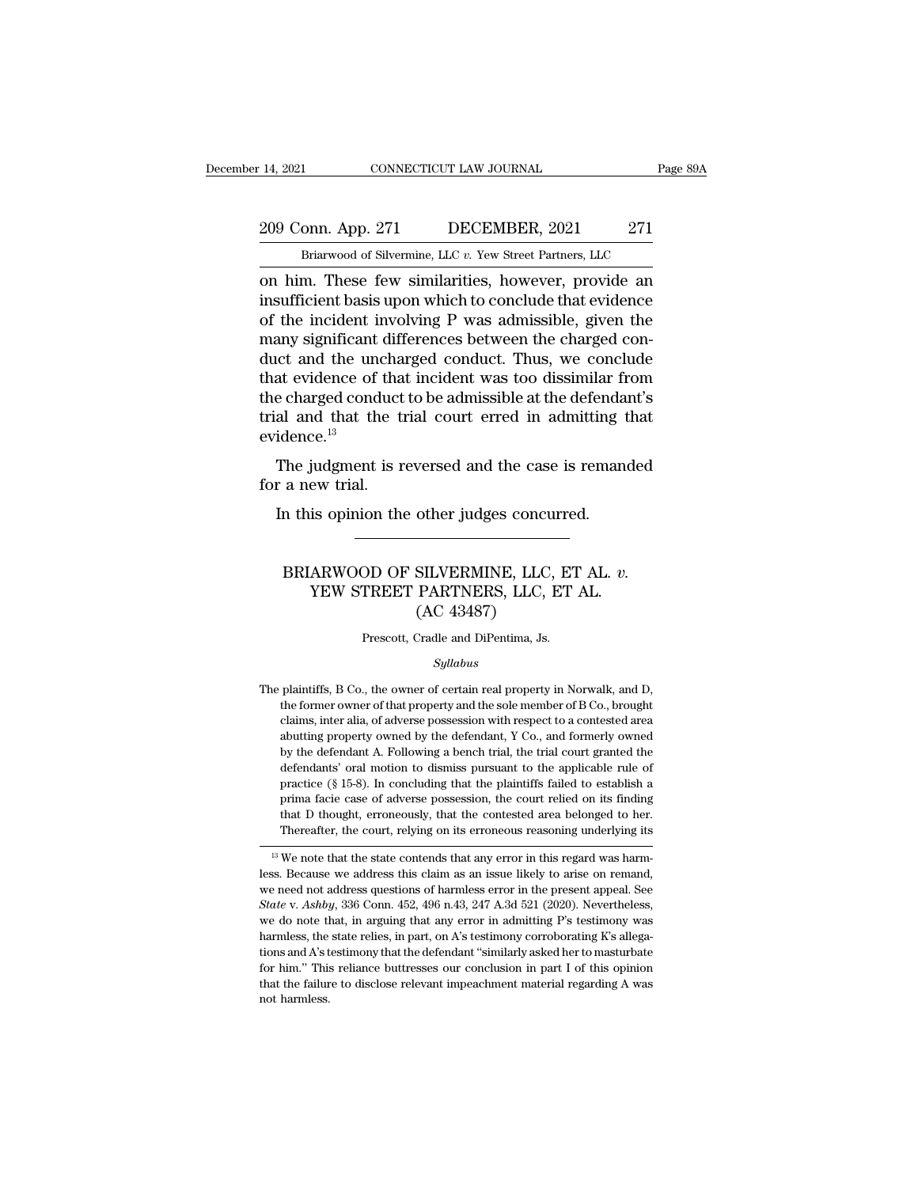### 209 Conn. App. 271 DECEMBER, 2021 271 DECEMBER, 2021 271 DECEMBER, 2021 271 The CONNECTICUT LAW JOURNAL Page<br>
DRIGHT DECEMBER, 2021 271<br>
Briarwood of Silvermine, LLC *v.* Yew Street Partners, LLC<br>
These few similarities however provide an

14, 2021 CONNECTICUT LAW JOURNAL Page 89A<br>
209 Conn. App. 271 DECEMBER, 2021 271<br>
Briarwood of Silvermine, LLC v. Yew Street Partners, LLC<br>
on him. These few similarities, however, provide an<br>
insufficient basis upon which 209 Conn. App. 271 DECEMBER, 2021 271<br>
Briarwood of Silvermine, LLC v. Yew Street Partners, LLC<br>
on him. These few similarities, however, provide an<br>
insufficient basis upon which to conclude that evidence<br>
of the incident 209 Conn. App. 271 DECEMBER, 2021 271<br>
Briarwood of Silvermine, LLC v. Yew Street Partners, LLC<br>
on him. These few similarities, however, provide an<br>
insufficient basis upon which to conclude that evidence<br>
of the inciden 209 Conn. App. 271 DECEMBER, 2021 271<br>
Briarwood of Silvermine, LLC  $v$ . Yew Street Partners, LLC<br>
on him. These few similarities, however, provide an<br>
insufficient basis upon which to conclude that evidence<br>
of the incid Briarwood of Silvermine, LLC v. Yew Street Partners, LLC<br>
on him. These few similarities, however, provide an<br>
insufficient basis upon which to conclude that evidence<br>
of the incident involving P was admissible, given the Brarwood of Silvermine, LLC  $v$ . Yew Street Partners, LLC<br>
on him. These few similarities, however, provide an<br>
insufficient basis upon which to conclude that evidence<br>
of the incident involving P was admissible, given th on him. These few similarities, however, provide an insufficient basis upon which to conclude that evidence of the incident involving P was admissible, given the many significant differences between the charged conduct and insufficient basis upon which to conclude that evidence<br>of the incident involving P was admissible, given the<br>many significant differences between the charged con-<br>duct and the uncharged conduct. Thus, we conclude<br>that ev evidence.<sup>13</sup> any signmeant directences between the enlarged con-<br>tet and the uncharged conduct. Thus, we conclude<br>at evidence of that incident was too dissimilar from<br>e charged conduct to be admissible at the defendant's<br>al and that th Find that evidence of that<br>that evidence of that<br>trial and that the trial.<br>widence.<sup>13</sup><br>The judgment is r<br>for a new trial.<br>In this opinion the e charged conduct to be admissible at the defenda<br>al and that the trial court erred in admitting t<br>idence.<sup>13</sup><br>The judgment is reversed and the case is reman<br>r a new trial.<br>In this opinion the other judges concurred.

#### The judgment is reversed and the case is remanded<br>
a new trial.<br>
In this opinion the other judges concurred.<br>
BRIARWOOD OF SILVERMINE, LLC, ET AL. *v.*<br>
YEW STREET PARTNERS, LLC, ET AL.<br>
(AC 43487) EVERE CONDUCTER STEAMART AND THE USE IS TENDED<br>IS OPINION the other judges concurred.<br>ARWOOD OF SILVERMINE, LLC, ET AL. v.<br>YEW STREET PARTNERS, LLC, ET AL. (AC 43487) other judges concu<br>
SILVERMINE, LLC,<br>
PARTNERS, LLC, l<br>
(AC 43487)<br>
Cradle and DiPentima, Js. BRIARWOOD OF SILVERMINE, LLC, ET AL. *v*.<br>YEW STREET PARTNERS, LLC, ET AL.<br>(AC 43487)<br>Prescott, Cradle and DiPentima, Js.

#### *Syllabus*

 $\left( \text{AC } 43487 \right)$ <br>Prescott, Cradle and DiPentima, Js.<br> $Syllabus$ <br>The plaintiffs, B Co., the owner of certain real property in Norwalk, and D,<br>the former owner of that property and the sole member of B Co., brought The former of that property and the sole member of B Co., brought plaintiffs, B Co., the owner of certain real property in Norwalk, and D, the former owner of that property and the sole member of B Co., brought claims, int Prescott, Cradle and DiPentima, Js.<br>
Syllabus<br>
plaintiffs, B Co., the owner of certain real property in Norwalk, and D,<br>
the former owner of that property and the sole member of B Co., brought<br>
claims, inter alia, of adver *Syllabus*<br>
plaintiffs, B Co., the owner of certain real property in Norwalk, and D,<br>
the former owner of that property and the sole member of B Co., brought<br>
claims, inter alia, of adverse possession with respect to a con *Syllabus*<br>plaintiffs, B Co., the owner of certain real property in Norwalk, and D,<br>the former owner of that property and the sole member of B Co., brought<br>claims, inter alia, of adverse possession with respect to a contes plaintiffs, B Co., the owner of certain real property in Norwalk, and D, the former owner of that property and the sole member of B Co., brought claims, inter alia, of adverse possession with respect to a contested area ab practice form owner of that property and the sole member of B Co., brought claims, inter alia, of adverse possession with respect to a contested area abutting property owned by the defendant, Y Co., and formerly owned by t claims, inter alia, of adverse possession with respect to a contested area abutting property owned by the defendant, Y Co., and formerly owned by the defendant A. Following a bench trial, the trial court granted the defend abutting property owned by the defendant, Y Co., and formerly owned<br>by the defendant A. Following a bench trial, the trial court granted the<br>defendants' oral motion to dismiss pursuant to the applicable rule of<br>practice (§ by the defendant A. Following a bench trial, the trial court granted the defendants' oral motion to dismiss pursuant to the applicable rule of practice (§ 15-8). In concluding that the plaintiffs failed to establish a prim detendants or an induon to distinuis pursuant to the applicable rule of practice (§ 15-8). In concluding that the plaintiffs failed to establish a prima facie case of adverse possession, the court relied on its finding th practice (g 13-6). In concluding that the plantities rated to establish a<br>prima facie case of adverse possession, the court relied on its finding<br>that D thought, erroneously, that the contested area belonged to her.<br>Therea

Final active case of adverse possession, the court rened off its infiding<br>that D thought, erroneously, that the contested area belonged to her.<br>Thereafter, the court, relying on its erroneous reasoning underlying its<br><sup>13</sup> *State* v. *Ashby*, 336 Conn. 452, 496 n.43, 247 A.3d 521 (2020). Nevertheless, we do note that in arguing that any error in this regard was harmless. Because we address this claim as an issue likely to arise on remand, we Thereatter, the court, retying on its errorieous reasoning underlying its<br>
<sup>13</sup> We note that the state contends that any error in this regard was harm-<br>
less. Because we address this claim as an issue likely to arise on r <sup>13</sup> We note that the state contends that any error in this regard was harmeless. Because we address this claim as an issue likely to arise on remand, we need not address questions of harmless error in the present appeal. less. Because we address this claim as an issue likely to arise on remand, we need not address questions of harmless error in the present appeal. See *State v. Ashby*, 336 Conn. 452, 496 n.43, 247 A.3d 521 (2020). Neverthe we need not address questions of harmless error in the present appeal. See *State* v. *Ashby*, 336 Conn. 452, 496 n.43, 247 A.3d 521 (2020). Nevertheless, we do note that, in arguing that any error in admitting P's testim we need not address questions of harmless error in the present appeal. See State v. Ashby, 336 Conn. 452, 496 n.43, 247 A.3d 521 (2020). Nevertheless, we do note that, in arguing that any error in admitting P's testimony we do note that, in arguing that any error in admitting P's testimony was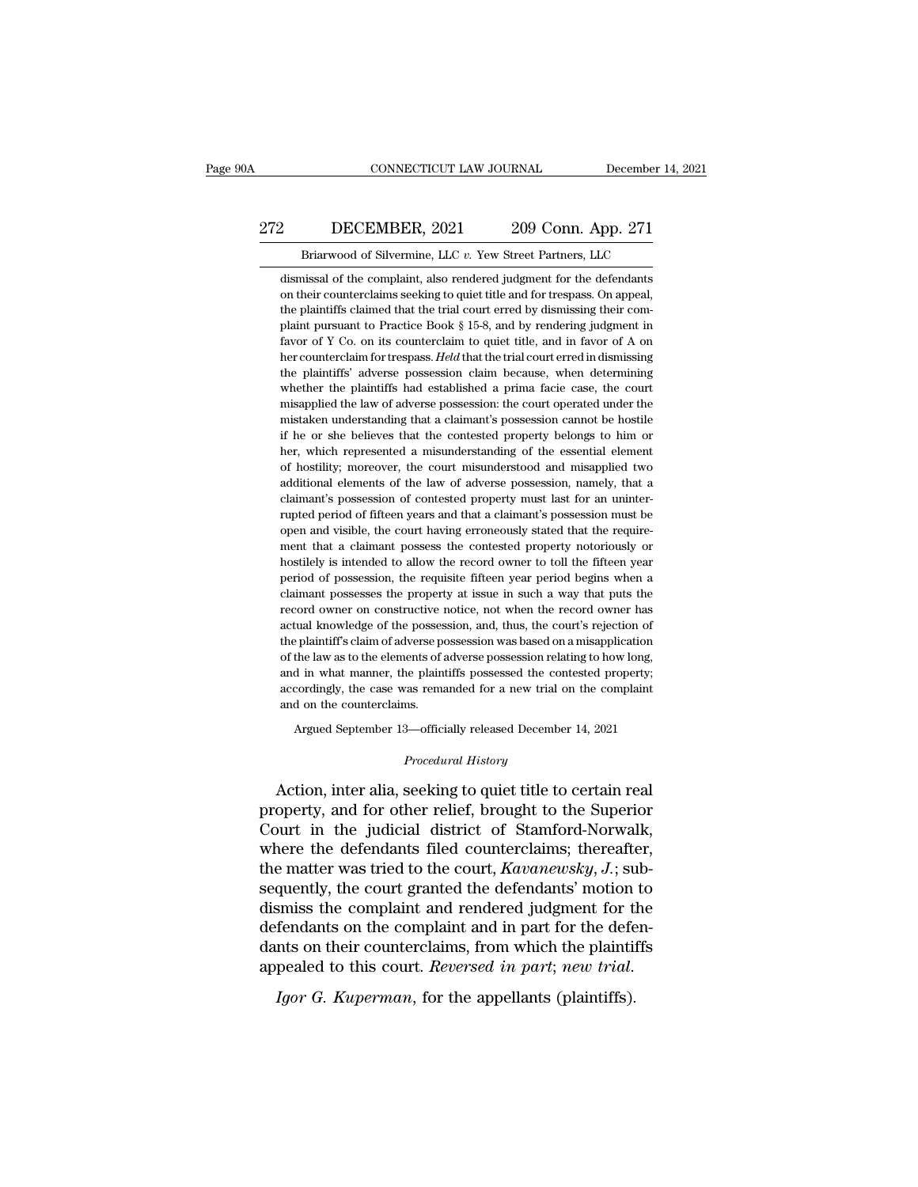### EXECUTE CONNECTICUT LAW JOURNAL December 14, 2021<br>272 DECEMBER, 2021 209 Conn. App. 271<br>Briarwood of Silvermine, LLC v. Yew Street Partners, LLC CONNECTICUT LAW JOURNAL December 14,<br>DECEMBER, 2021 209 Conn. App. 271<br>Briarwood of Silvermine, LLC *v*. Yew Street Partners, LLC<br>nissal of the complaint, also rendered judgment for the defendants

2 DECEMBER, 2021 209 Conn. App. 271<br>Briarwood of Silvermine, LLC v. Yew Street Partners, LLC<br>dismissal of the complaint, also rendered judgment for the defendants<br>on their counterclaims seeking to quiet title and for tresp on their counterclaims seeking to quiet title and for trespass. On appeal, 272 DECEMBER, 2021 209 Conn. App. 271<br>
Briarwood of Silvermine, LLC v. Yew Street Partners, LLC<br>
dismissal of the complaint, also rendered judgment for the defendants<br>
on their counterclaims seeking to quiet title and for Briarwood of Silvermine, LLC  $v$ . Yew Street Partners, LLC<br>dismissal of the complaint, also rendered judgment for the defendants<br>on their counterclaims seeking to quiet title and for trespass. On appeal,<br>the plaintiffs cl Briarwood of Silvermine, LLC v. Yew Street Partners, LLC<br>dismissal of the complaint, also rendered judgment for the defendants<br>on their counterclaims seeking to quiet title and for trespass. On appeal,<br>the plaintiffs claim dismissal of the complaint, also rendered judgment for the defendants<br>on their counterclaims seeking to quiet title and for trespass. On appeal,<br>the plaintiffs claimed that the trial court erred by dismissing their com-<br>pl on their counterclaims seeking to quiet title and for trespass. On appeal, the plaintiffs claimed that the trial court erred by dismissing their complaint pursuant to Practice Book § 15-8, and by rendering judgment in favo the plaintiffs claimed that the trial court erred by dismissing their com-<br>plaint pursuant to Practice Book § 15-8, and by rendering judgment in<br>favor of Y Co. on its counterclaim to quiet title, and in favor of A on<br>her plaint pursuant to Practice Book § 15-8, and by rendering judgment in favor of Y Co. on its counterclaim to quiet title, and in favor of A on her counterclaim for trespass. *Held* that the trial court erred in dismissing t Favor of Y Co. on its counterclaim to quiet title, and in favor of A on<br>her counterclaim for trespass. Held that the trial court erred in dismissing<br>the plaintiffs' adverse possession claim because, when determining<br>whethe her counterclaim for trespass. Held that the trial court erred in dismissing<br>the plaintiffs' adverse possession claim because, when determining<br>whether the plaintiffs had established a prima facie case, the court<br>misapplie the plaintiffs' adverse possession claim because, when determining whether the plaintiffs had established a prima facie case, the court misapplied the law of adverse possession: the court operated under the mistaken unders whether the plaintiffs had established a prima facie case, the court<br>misapplied the law of adverse possession: the court operated under the<br>mistaken understanding that a claimant's possession cannot be hostile<br>if he or she misapplied the law of adverse possession: the court operated under the mistaken understanding that a claimant's possession cannot be hostile if he or she believes that the contested property belongs to him or her, which re mistaken understanding that a claimant's possession cannot be hostile<br>if he or she believes that the contested property belongs to him or<br>her, which represented a misunderstanding of the essential element<br>of hostility; mor if he or she believes that the contested property belongs to him or<br>her, which represented a misunderstanding of the essential element<br>of hostility; moreover, the court misunderstood and misapplied two<br>additional elements her, which represented a misunderstanding of the essential element of hostility; moreover, the court misunderstood and misapplied two additional elements of the law of adverse possession, namely, that a claimant's possessi of hostility; moreover, the court misunderstood and misapplied two additional elements of the law of adverse possession, namely, that a claimant's possession of contested property must last for an uninter-<br>rupted period of additional elements of the law of adverse possession, namely, that a claimant's possession of contested property must last for an uninter-<br>rupted period of fifteen years and that a claimant's possession must be<br>open and vi claimant's possession of contested property must last for an uninter-<br>rupted period of fifteen years and that a claimant's possession must be<br>open and visible, the court having erroneously stated that the require-<br>ment tha rupted period of fifteen years and that a claimant's possession must be open and visible, the court having erroneously stated that the requirement that a claimant possess the contested property notoriously or hostilely is open and visible, the court having erroneously stated that the requirement that a claimant possess the contested property notoriously or hostilely is intended to allow the record owner to toll the fifteen year period of po ment that a claimant possess the contested property notoriously or hostilely is intended to allow the record owner to toll the fifteen year period of possession, the requisite fifteen year period begins when a claimant pos hostilely is intended to allow the record owner to toll the fifteen year<br>period of possession, the requisite fifteen year period begins when a<br>claimant possesses the property at issue in such a way that puts the<br>record own period of possession, the requisite fifteen year period begins when a claimant possesses the property at issue in such a way that puts the record owner on constructive notice, not when the record owner has actual knowledge claimant possesses the property at issue in such a way that puts the record owner on constructive notice, not when the record owner has actual knowledge of the possession, and, thus, the court's rejection of the plaintiff' record owner on constructive notice, not when the record owner has actual knowledge of the possession, and, thus, the court's rejection of the plaintiff's claim of adverse possession was based on a misapplication of the la record owner on constructive notice, not when the record owner has<br>actual knowledge of the possession, and, thus, the court's rejection of<br>the plaintiff's claim of adverse possession was based on a misapplication<br>of the l Palaintiff's claim of adverse possession was based on a misapplication<br>the law as to the elements of adverse possession relating to how long,<br>d in what manner, the plaintiffs possessed the contested property;<br>cordingly, th accordingly, the case was remanded for a new trial on the complaint<br>and on the counterclaims.<br>Argued September 13—officially released December 14, 2021<br>*Procedural History*<br>Action, inter alia, seeking to quiet title to cer

and in what manner, the plaintiffs possessed the contested property;<br>accordingly, the case was remanded for a new trial on the complaint<br>and on the counterclaims.<br>Argued September 13—officially released December 14, 2021<br> accordingly, the case was remanded for a new trial on the complaint<br>and on the counterclaims.<br>Argued September 13—officially released December 14, 2021<br>*Procedural History*<br>Action, inter alia, seeking to quiet title to cer Argued September 13—officially released December 14, 2021<br> *Procedural History*<br>
Action, inter alia, seeking to quiet title to certain real<br>
property, and for other relief, brought to the Superior<br>
Court in the judicial di Argued September 13—officially released December 14, 2021<br>
Procedural History<br>
Action, inter alia, seeking to quiet title to certain real<br>
property, and for other relief, brought to the Superior<br>
Court in the judicial dist *Procedural History*<br>Action, inter alia, seeking to quiet title to certain real<br>property, and for other relief, brought to the Superior<br>Court in the judicial district of Stamford-Norwalk,<br>where the defendants filed counter seeking to quiet title to certain real<br>property, and for other relief, brought to the Superior<br>Court in the judicial district of Stamford-Norwalk,<br>where the defendants filed counterclaims; thereafter,<br>the matter was tried Action, inter alia, seeking to quiet title to certain real<br>property, and for other relief, brought to the Superior<br>Court in the judicial district of Stamford-Norwalk,<br>where the defendants filed counterclaims; thereafter,<br> property, and for other relief, brought to the Superior<br>Court in the judicial district of Stamford-Norwalk,<br>where the defendants filed counterclaims; thereafter,<br>the matter was tried to the court,  $Kavanewsky, J.; sub-$ <br>sequently, Court in the judicial district of Stamford-Norwalk,<br>where the defendants filed counterclaims; thereafter,<br>the matter was tried to the court,  $Kavanewsky$ ,  $J$ .; sub-<br>sequently, the court granted the defendants' motion to<br>dismi where the defendants filed counterclaims; thereafter, the matter was tried to the court, *Kavanewsky*, *J*.; subsequently, the court granted the defendants' motion to dismiss the complaint and rendered judgment for the def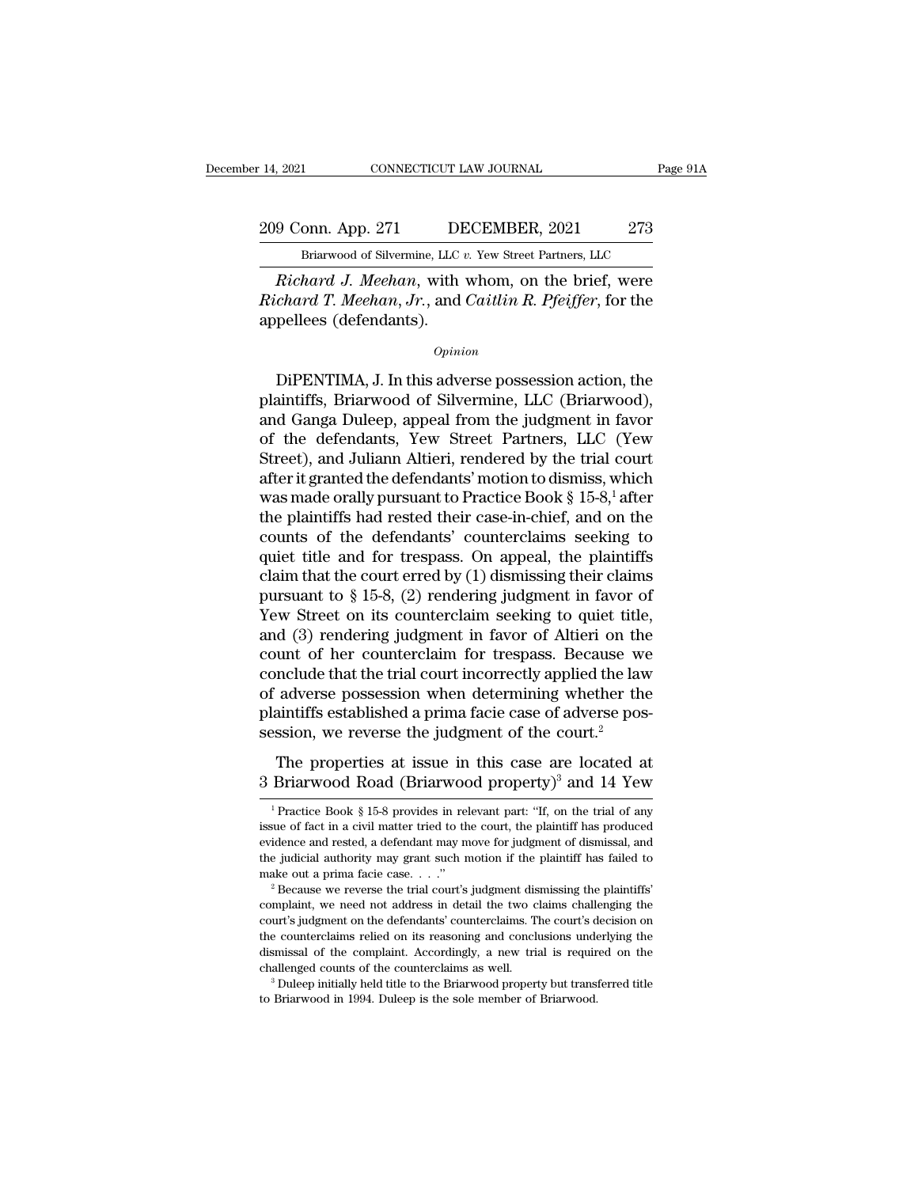### 209 Conn. App. 271 DECEMBER, 2021 273<br>Briarwood of Silvermine, LLC v. Yew Street Partners, LLC EXECTIVE TRANSFORMAL Page<br>
Side on App. 271 DECEMBER, 2021 273<br>
Briarwood of Silvermine, LLC *v.* Yew Street Partners, LLC<br> *hard J. Meehan*, with whom, on the brief were

<sup>2021</sup> CONNECTICUT LAW JOURNAL Page 91A<br>
<sup>9</sup> Conn. App. 271 DECEMBER, 2021 273<br>
<sup>Briarwood of Silvermine, LLC v. Yew Street Partners, LLC<br> *Richard J. Meehan*, with whom, on the brief, were<br> *chard T. Meehan, Jr.*, and *Ca</sup> Richard J. Meehan, with whom, on the brief, were Richard J. Meehan, with whom, on the brief, were Richard T. Meehan, Jr., and Caitlin R. Pfeiffer, for the appellees (defendants).* 209 Conn. App. 271 DH<br>
Briarwood of Silvermine, LLC<br>
Richard J. Meehan, with<br>
Richard T. Meehan, Jr., and<br>
appellees (defendants).<br>
<sub>Opini</sub> Brawood of shventure, ELC v. Tew street Partners, ELC<br>
Richard J. Meehan, Jr., and Caitlin R. Pfeiffer, for the<br>
pellees (defendants).<br>  $\frac{opinion}{D}$ <br>
DiPENTIMA, J. In this adverse possession action, the<br>
aintiffs, Briarwood

#### *Opinion*

Richard J. Meehan, with whom, on the brief, were<br>Richard T. Meehan, Jr., and Caitlin R. Pfeiffer, for the<br>appellees (defendants).<br>Opinion<br>DiPENTIMA, J. In this adverse possession action, the<br>plaintiffs, Briarwood of Silver Richard T. Meehan, Jr., and Caitlin R. Pfeiffer, for the<br>appellees (defendants).<br> $o$ <sub>pinion</sub><br>DiPENTIMA, J. In this adverse possession action, the<br>plaintiffs, Briarwood of Silvermine, LLC (Briarwood),<br>and Ganga Duleep, appe opinion<br>
opinion<br>
Opinion<br>
DiPENTIMA, J. In this adverse possession action, the<br>
plaintiffs, Briarwood of Silvermine, LLC (Briarwood),<br>
and Ganga Duleep, appeal from the judgment in favor<br>
of the defendants, Yew Street Par *Opinion*<br>DiPENTIMA, J. In this adverse possession action, the<br>plaintiffs, Briarwood of Silvermine, LLC (Briarwood),<br>and Ganga Duleep, appeal from the judgment in favor<br>of the defendants, Yew Street Partners, LLC (Yew<br>Str DiPENTIMA, J. In this adverse possession action, the plaintiffs, Briarwood of Silvermine, LLC (Briarwood), and Ganga Duleep, appeal from the judgment in favor of the defendants, Yew Street Partners, LLC (Yew Street), and DiPENTIMA, J. In this adverse possession action, the plaintiffs, Briarwood of Silvermine, LLC (Briarwood), and Ganga Duleep, appeal from the judgment in favor of the defendants, Yew Street Partners, LLC (Yew Street), and J plaintiffs, Briarwood of Silvermine, LLC (Briarwood),<br>and Ganga Duleep, appeal from the judgment in favor<br>of the defendants, Yew Street Partners, LLC (Yew<br>Street), and Juliann Altieri, rendered by the trial court<br>after it and Ganga Duleep, appeal from the judgment in favor<br>of the defendants, Yew Street Partners, LLC (Yew<br>Street), and Juliann Altieri, rendered by the trial court<br>after it granted the defendants' motion to dismiss, which<br>was m of the defendants, Yew Street Partners, LLC (Yew<br>Street), and Juliann Altieri, rendered by the trial court<br>after it granted the defendants' motion to dismiss, which<br>was made orally pursuant to Practice Book § 15-8,<sup>1</sup> aft Street), and Juliann Altieri, rendered by the trial court<br>after it granted the defendants' motion to dismiss, which<br>was made orally pursuant to Practice Book § 15-8,<sup>1</sup> after<br>the plaintiffs had rested their case-in-chief, after it granted the defendants' motion to dismiss, which<br>was made orally pursuant to Practice Book § 15-8,<sup>1</sup> after<br>the plaintiffs had rested their case-in-chief, and on the<br>counts of the defendants' counterclaims seekin was made orally pursuant to Practice Book § 15-8,<sup>1</sup> after<br>the plaintiffs had rested their case-in-chief, and on the<br>counts of the defendants' counterclaims seeking to<br>quiet title and for trespass. On appeal, the plaintif the plaintiffs had rested their case-in-chief, and on the<br>counts of the defendants' counterclaims seeking to<br>quiet title and for trespass. On appeal, the plaintiffs<br>claim that the court erred by (1) dismissing their claims counts of the defendants' counterclaims seeking to<br>quiet title and for trespass. On appeal, the plaintiffs<br>claim that the court erred by (1) dismissing their claims<br>pursuant to § 15-8, (2) rendering judgment in favor of<br>Ye quiet title and for trespass. On appeal, the plaintiffs<br>claim that the court erred by (1) dismissing their claims<br>pursuant to § 15-8, (2) rendering judgment in favor of<br>Yew Street on its counterclaim seeking to quiet title claim that the court erred by (1) dismissing their claims<br>pursuant to § 15-8, (2) rendering judgment in favor of<br>Yew Street on its counterclaim seeking to quiet title,<br>and (3) rendering judgment in favor of Altieri on the pursuant to § 15-8, (2) rendering judgment in favor of Yew Street on its counterclaim seeking to quiet title, and (3) rendering judgment in favor of Altieri on the count of her counterclaim for trespass. Because we conclu Yew Street on its counterclaim seeking to quiet title<br>and (3) rendering judgment in favor of Altieri on the<br>count of her counterclaim for trespass. Because we<br>conclude that the trial court incorrectly applied the law<br>of a at (b) rendering Jadgment in favor of finiteff off the<br>unt of her counterclaim for trespass. Because we<br>nelude that the trial court incorrectly applied the law<br>adverse possession when determining whether the<br>aintiffs esta count of the connected and for the exploses. Because we<br>conclude that the trial court incorrectly applied the law<br>of adverse possession when determining whether the<br>plaintiffs established a prima facie case of adverse pos

1 Practice Book § 15-8 provides in relevant part: "If, on the trial of any  $\frac{1}{2}$  Practice Book § 15-8 provides in relevant part: "If, on the trial of any we of fact in a civil matter tried to the court, the plaintiff

The properties at issue in this case are located at 3 Briarwood Road (Briarwood property)<sup>3</sup> and 14 Yew  $\frac{1}{1}$  Practice Book § 15-8 provides in relevant part: "If, on the trial of any issue of fact in a civil matter tr The properties at issue in this case are located at 3 Briarwood Road (Briarwood property)<sup>3</sup> and 14 Yew  $\frac{1}{1}$ Practice Book § 15-8 provides in relevant part: "If, on the trial of any issue of fact in a civil matter tri 3 Briarwood Road (Briarwood property)<sup>3</sup> and 14 Yew<br>
<sup>1</sup> Practice Book § 15-8 provides in relevant part: "If, on the trial of any<br>
issue of fact in a civil matter tried to the court, the plaintiff has produced<br>
evidence a The primal wood Koad (Diral wood property) and 14 Tew<br>
<sup>1</sup> Practice Book § 15-8 provides in relevant part: "If, on the trial of any<br>
issue of fact in a civil matter tried to the court, the plaintiff has produced<br>
evidence issue of fact in a civil matter tried to the court, the plaintiff has produced evidence and rested, a defendant may move for judgment of dismissal, and the judicial authority may grant such motion if the plaintiff has fai

evidence and rested, a defendant may move for judgment of dismissal, and<br>the judicial authority may grant such motion if the plaintiff has failed to<br>make out a prima facie case. . . ."<br> $2^{\circ}$  Because we reverse the trial the judicial authority may grant such motion if the plaintiff has failed to make out a prima facie case.  $\ldots$  "<br><sup>2</sup> Because we reverse the trial court's judgment dismissing the plaintiffs"<br>complaint, we need not address make out a prima facie case.  $\ldots$ "<br>
<sup>2</sup> Because we reverse the trial court's judgment dismissing the plaintiffs'<br>
complaint, we need not address in detail the two claims challenging the<br>
court's judgment on the defendant <sup>2</sup> Because we reverse the trial court's judgment dismissing the plaintiffs'<br>
complaint, we need not address in detail the two claims challenging the<br>
court's judgment on the defendants' counterclaims. The court's decision complaint, we need not address in detail the two claims challenging the court's judgment on the defendants' counterclaims. The court's decision on the counterclaims relied on its reasoning and conclusions underlying the di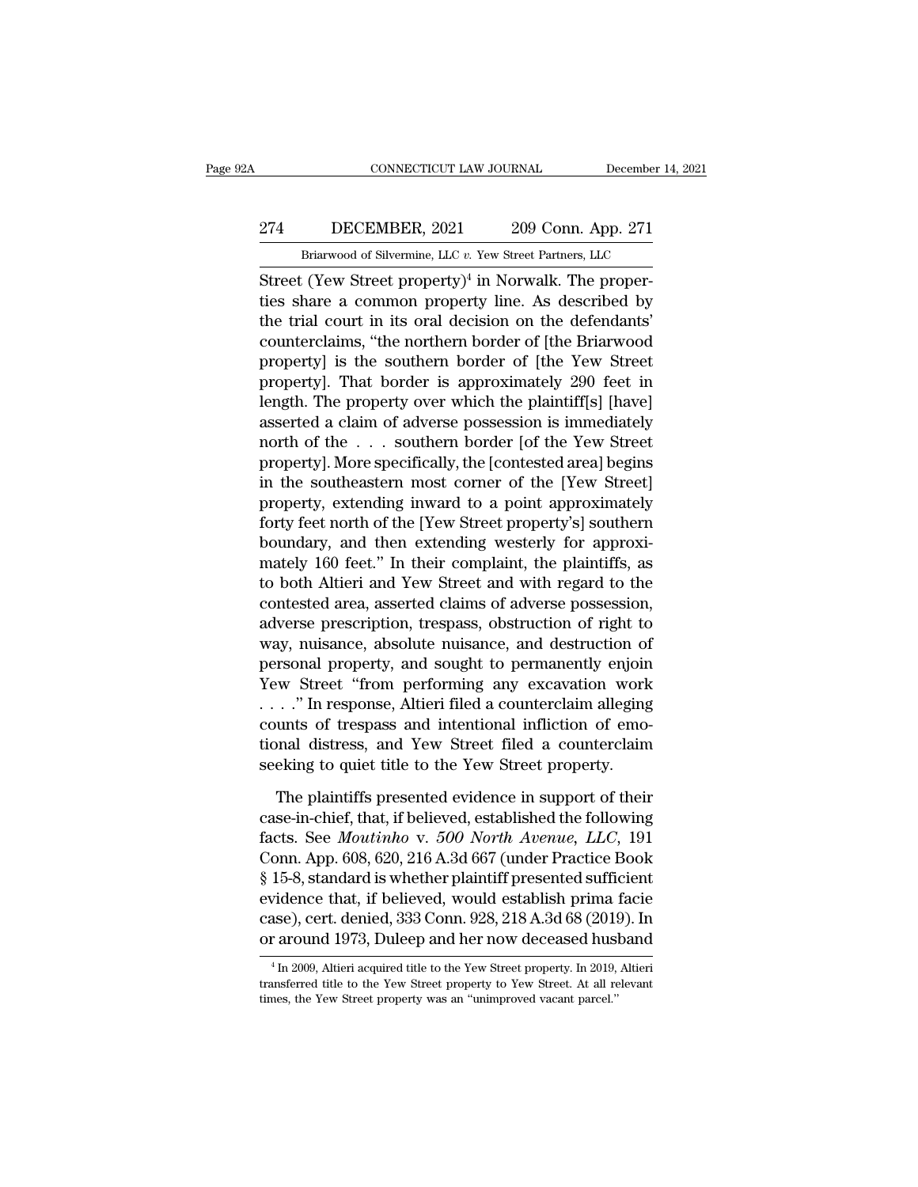### CONNECTICUT LAW JOURNAL December 14, 2021<br>274 DECEMBER, 2021 209 Conn. App. 271<br>Briarwood of Silvermine, LLC v. Yew Street Partners, LLC CONNECTICUT LAW JOURNAL December 14,<br>DECEMBER, 2021 209 Conn. App. 271<br>Briarwood of Silvermine, LLC *v.* Yew Street Partners, LLC<br>C (Yew Street property)<sup>4</sup> in Norwalk. The proper-

CONNECTICUT LAW JOURNAL December<br>
274 DECEMBER, 2021 209 Conn. App. 271<br>
Briarwood of Silvermine, LLC v. Yew Street Partners, LLC<br>
Street (Yew Street property)<sup>4</sup> in Norwalk. The proper-<br>
ties share a common property line. 274 DECEMBER, 2021 209 Conn. App. 271<br>Briarwood of Silvermine, LLC v. Yew Street Partners, LLC<br>Street (Yew Street property)<sup>4</sup> in Norwalk. The proper-<br>ties share a common property line. As described by<br>the trial court in 274 DECEMBER, 2021 209 Conn. App. 271<br>
Briarwood of Silvermine, LLC v. Yew Street Partners, LLC<br>
Street (Yew Street property)<sup>4</sup> in Norwalk. The proper-<br>
ties share a common property line. As described by<br>
the trial court 274 DECEMBER, 2021 209 Conn. App. 271<br>
Briarwood of Silvermine, LLC v. Yew Street Partners, LLC<br>
Street (Yew Street property)<sup>4</sup> in Norwalk. The proper-<br>
ties share a common property line. As described by<br>
the trial court Briarwood of Silvermine, LLC v. Yew Street Partners, LLC<br>Street (Yew Street property)<sup>4</sup> in Norwalk. The proper-<br>ties share a common property line. As described by<br>the trial court in its oral decision on the defendants'<br>c Street (Yew Street property)<sup>4</sup> in Norwalk. The properties share a common property line. As described by the trial court in its oral decision on the defendants' counterclaims, "the northern border of [the Briarwood proper Street (Yew Street property)<sup>4</sup> in Norwalk. The properties share a common property line. As described by the trial court in its oral decision on the defendants' counterclaims, "the northern border of [the Briarwood propert ties share a common property line. As described by<br>the trial court in its oral decision on the defendants'<br>counterclaims, "the northern border of [the Briarwood<br>property] is the southern border of [the Yew Street<br>property] the trial court in its oral decision on the defendants'<br>counterclaims, "the northern border of [the Briarwood<br>property] is the southern border of [the Yew Street<br>property]. That border is approximately 290 feet in<br>length. counterclaims, "the northern border of [the Briarwood<br>property] is the southern border of [the Yew Street<br>property]. That border is approximately 290 feet in<br>length. The property over which the plaintiff[s] [have]<br>asserted property] is the southern border of [the Yew Street<br>property]. That border is approximately 290 feet in<br>length. The property over which the plaintiff[s] [have]<br>asserted a claim of adverse possession is immediately<br>north of property]. That border is approximately 290 feet in<br>length. The property over which the plaintiff[s] [have]<br>asserted a claim of adverse possession is immediately<br>north of the . . . southern border [of the Yew Street<br>proper length. The property over which the plaintiff[s] [have]<br>asserted a claim of adverse possession is immediately<br>north of the . . . southern border [of the Yew Street<br>property]. More specifically, the [contested area] begins<br> asserted a claim of adverse possession is immediately<br>north of the  $\ldots$  southern border [of the Yew Street<br>property]. More specifically, the [contested area] begins<br>in the southeastern most corner of the [Yew Street]<br>pro north of the . . . southern border [of the Yew Street<br>property]. More specifically, the [contested area] begins<br>in the southeastern most corner of the [Yew Street]<br>property, extending inward to a point approximately<br>forty property]. More specifically, the [contested area] begins<br>in the southeastern most corner of the [Yew Street]<br>property, extending inward to a point approximately<br>forty feet north of the [Yew Street property's] southern<br>bou in the southeastern most corner of the [Yew Street]<br>property, extending inward to a point approximately<br>forty feet north of the [Yew Street property's] southern<br>boundary, and then extending westerly for approxi-<br>mately 160 property, extending inward to a point approximately<br>forty feet north of the [Yew Street property's] southern<br>boundary, and then extending westerly for approxi-<br>mately 160 feet." In their complaint, the plaintiffs, as<br>to bo forty feet north of the [Yew Street property's] southern<br>boundary, and then extending westerly for approxi-<br>mately 160 feet." In their complaint, the plaintiffs, as<br>to both Altieri and Yew Street and with regard to the<br>con boundary, and then extending westerly for approximately 160 feet." In their complaint, the plaintiffs, as<br>to both Altieri and Yew Street and with regard to the<br>contested area, asserted claims of adverse possession,<br>adverse mately 160 feet." In their complaint, the plaintiffs, as<br>to both Altieri and Yew Street and with regard to the<br>contested area, asserted claims of adverse possession,<br>adverse prescription, trespass, obstruction of right to<br> to both Altieri and Yew Street and with regard to the<br>contested area, asserted claims of adverse possession,<br>adverse prescription, trespass, obstruction of right to<br>way, nuisance, absolute nuisance, and destruction of<br>pers contested area, asserted claims of adverse possession,<br>adverse prescription, trespass, obstruction of right to<br>way, nuisance, absolute nuisance, and destruction of<br>personal property, and sought to permanently enjoin<br>Yew St adverse prescription, trespass, obstruction of right to<br>way, nuisance, absolute nuisance, and destruction of<br>personal property, and sought to permanently enjoin<br>Yew Street "from performing any excavation work<br>..." In respo way, nuisance, absolute nuisance, and destruction of<br>personal property, and sought to permanently enjoin<br>Yew Street "from performing any excavation work<br>..." In response, Altieri filed a counterclaim alleging<br>counts of tre EVALUATE: "It is supported the performing any excavation work<br>  $\therefore$ " In response, Altieri filed a counterclaim alleging<br>
unts of trespass and intentional infliction of emo-<br>
onal distress, and Yew Street filed a counterc ...." In response, Altieri filed a counterclaim alleging<br>counts of trespass and intentional infliction of emo-<br>tional distress, and Yew Street filed a counterclaim<br>seeking to quiet title to the Yew Street property.<br>The pl

Factor Counts of trespass and intentional infliction of emotional distress, and Yew Street filed a counterclaim<br>seeking to quiet title to the Yew Street property.<br>The plaintiffs presented evidence in support of their<br>casetional distress, and Yew Street filed a counterclaim<br>seeking to quiet title to the Yew Street property.<br>The plaintiffs presented evidence in support of their<br>case-in-chief, that, if believed, established the following<br>fact seeking to quiet title to the Yew Street property.<br>
The plaintiffs presented evidence in support of their<br>
case-in-chief, that, if believed, established the following<br>
facts. See *Moutinho* v. 500 *North Avenue*, *LLC*, 19 The plaintiffs presented evidence in support of their<br>case-in-chief, that, if believed, established the following<br>facts. See *Moutinho* v. 500 *North Avenue*, *LLC*, 191<br>Conn. App. 608, 620, 216 A.3d 667 (under Practice Bo The plaintiffs presented evidence in support of their<br>case-in-chief, that, if believed, established the following<br>facts. See *Moutinho* v. 500 *North Avenue*, *LLC*, 191<br>Conn. App. 608, 620, 216 A.3d 667 (under Practice Bo case-in-chief, that, if believed, established the following<br>facts. See *Moutinho* v. 500 *North Avenue*, *LLC*, 191<br>Conn. App. 608, 620, 216 A.3d 667 (under Practice Book<br>§ 15-8, standard is whether plaintiff presented su § 15-8, standard is whether plaintiff presented sufficient evidence that, if believed, would establish prima facie case), cert. denied, 333 Conn. 928, 218 A.3d 68 (2019). In or around 1973, Duleep and her now deceased hus evidence that, if believed, would establish prima facie case), cert. denied, 333 Conn. 928, 218 A.3d 68 (2019). In or around 1973, Duleep and her now deceased husband  $\frac{4 \text{ In } 2009, \text{ Altieri acquired title to the Yew Street property. In } 2019, \text{ Altieri transferred title to the Yew Street property to Yew Street$ 

case), cert. denied, 333 Conn. 928, 218 A.3d 68 (2019)<br>or around 1973, Duleep and her now deceased hus<br><sup>4</sup> In 2009, Altieri acquired title to the Yew Street property. In 2019,<br>transferred title to the Yew Street property t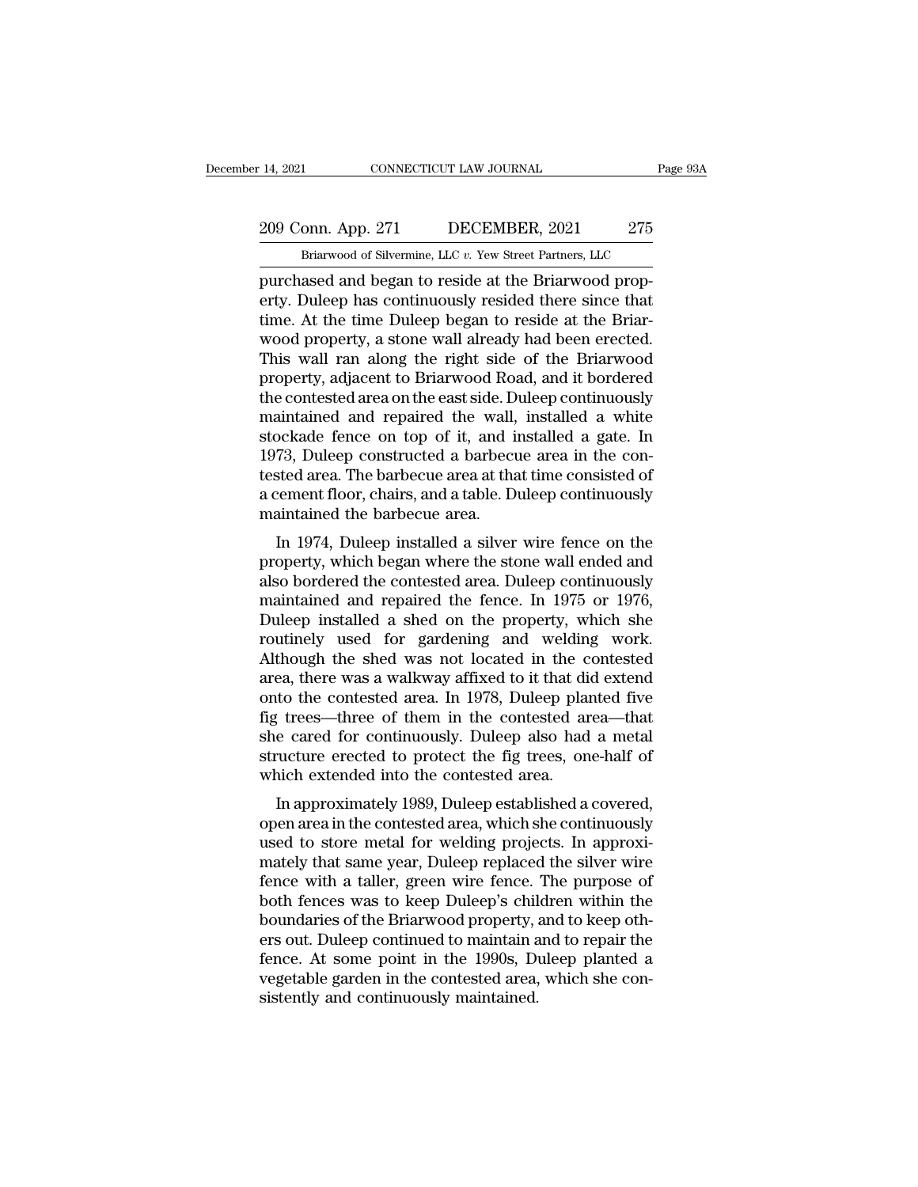### 209 Conn. App. 271 DECEMBER, 2021 275<br>Briarwood of Silvermine, LLC v. Yew Street Partners, LLC CONNECTICUT LAW JOURNAL Page<br>
onn. App. 271 DECEMBER, 2021 275<br>
Briarwood of Silvermine, LLC *v.* Yew Street Partners, LLC<br>
ased and began to reside at the Briarwood prop-

14, 2021 CONNECTICUT LAW JOURNAL<br>
209 Conn. App. 271 DECEMBER, 2021 275<br>
Briarwood of Silvermine, LLC v. Yew Street Partners, LLC<br>
purchased and began to reside at the Briarwood prop-<br>
erty. Duleep has continuously resided 209 Conn. App. 271 DECEMBER, 2021 275<br>Briarwood of Silvermine, LLC v. Yew Street Partners, LLC<br>purchased and began to reside at the Briarwood prop-<br>erty. Duleep has continuously resided there since that<br>time. At the time D 209 Conn. App. 271 DECEMBER, 2021 275<br>
Briarwood of Silvermine, LLC v. Yew Street Partners, LLC<br>
purchased and began to reside at the Briarwood property. Duleep has continuously resided there since that<br>
time. At the time 209 Conn. App. 271 DECEMBER, 2021 275<br>
Briarwood of Silvermine, LLC v. Yew Street Partners, LLC<br>
purchased and began to reside at the Briarwood prop-<br>
erty. Duleep has continuously resided there since that<br>
time. At the ti Briarwood of Silvermine, LLC v. Yew Street Partners, LLC<br>purchased and began to reside at the Briarwood prop-<br>erty. Duleep has continuously resided there since that<br>time. At the time Duleep began to reside at the Briar-<br>wo Brarwood of silvermine, LLC  $v$ . Yew street Partners, LLC<br>purchased and began to reside at the Briarwood prop-<br>erty. Duleep has continuously resided there since that<br>time. At the time Duleep began to reside at the Briar-<br> purchased and began to reside at the Briarwood property. Duleep has continuously resided there since that<br>time. At the time Duleep began to reside at the Briar-<br>wood property, a stone wall already had been erected.<br>This wa erty. Duleep has continuously resided there since that<br>time. At the time Duleep began to reside at the Briar-<br>wood property, a stone wall already had been erected.<br>This wall ran along the right side of the Briarwood<br>proper time. At the time Duleep began to reside at the Briar-<br>wood property, a stone wall already had been erected.<br>This wall ran along the right side of the Briarwood<br>property, adjacent to Briarwood Road, and it bordered<br>the con wood property, a stone wall already had been erected.<br>This wall ran along the right side of the Briarwood<br>property, adjacent to Briarwood Road, and it bordered<br>the contested area on the east side. Duleep continuously<br>maint This wall ran along the right side of the Briarwood<br>property, adjacent to Briarwood Road, and it bordered<br>the contested area on the east side. Duleep continuously<br>maintained and repaired the wall, installed a white<br>stockad property, adjacent to Briarwood Road, and it bordered<br>the contested area on the east side. Duleep continuously<br>maintained and repaired the wall, installed a white<br>stockade fence on top of it, and installed a gate. In<br>1973, the contested area on the east side. D<br>maintained and repaired the wall,<br>stockade fence on top of it, and i<br>1973, Duleep constructed a barbecu<br>tested area. The barbecue area at tha<br>a cement floor, chairs, and a table. D<br>ma in 1974, Duleep installed a silver wire fence on the constructed a barbecue area in the consted area. The barbecue area at that time consisted of tement floor, chairs, and a table. Duleep continuously aintained the barbecu stockade fence of top of it, and instance a gate. In<br>1973, Duleep constructed a barbecue area in the con-<br>tested area. The barbecue area at that time consisted of<br>a cement floor, chairs, and a table. Duleep continuously<br>ma

1973, Duleep constructed a barbecue area in the con-<br>tested area. The barbecue area at that time consisted of<br>a cement floor, chairs, and a table. Duleep continuously<br>maintained the barbecue area.<br>In 1974, Duleep installed rested area. The barbecue area at that the consisted of<br>a cement floor, chairs, and a table. Duleep continuously<br>maintained the barbecue area.<br>In 1974, Duleep installed a silver wire fence on the<br>property, which began wher a centent noor, crians, and a table. Duleep continuously<br>maintained the barbecue area.<br>In 1974, Duleep installed a silver wire fence on the<br>property, which began where the stone wall ended and<br>also bordered the contested a In 1974, Duleep installed a silver wire fence on the<br>property, which began where the stone wall ended and<br>also bordered the contested area. Duleep continuously<br>maintained and repaired the fence. In 1975 or 1976,<br>Duleep ins In 1974, Duleep installed a silver wire fence on the<br>property, which began where the stone wall ended and<br>also bordered the contested area. Duleep continuously<br>maintained and repaired the fence. In 1975 or 1976,<br>Duleep ins property, which began where the stone wall ended and<br>also bordered the contested area. Duleep continuously<br>maintained and repaired the fence. In 1975 or 1976,<br>Duleep installed a shed on the property, which she<br>routinely us also bordered the contested area. Duleep continuously<br>maintained and repaired the fence. In 1975 or 1976,<br>Duleep installed a shed on the property, which she<br>routinely used for gardening and welding work.<br>Although the shed maintained and repaired the fence. In 1975 or 1976,<br>Duleep installed a shed on the property, which she<br>routinely used for gardening and welding work.<br>Although the shed was not located in the contested<br>area, there was a wal Duleep installed a shed on the property, which she<br>routinely used for gardening and welding work.<br>Although the shed was not located in the contested<br>area, there was a walkway affixed to it that did extend<br>onto the conteste routinely used for gardening and welding work.<br>Although the shed was not located in the contested<br>area, there was a walkway affixed to it that did extend<br>onto the contested area. In 1978, Duleep planted five<br>fig trees—thre Although the shed was not located in the c<br>area, there was a walkway affixed to it that di<br>onto the contested area. In 1978, Duleep plan<br>fig trees—three of them in the contested ar<br>she cared for continuously. Duleep also h Ea, there was a warkway arrixed to it that did extend<br>to the contested area. In 1978, Duleep planted five<br>is trees—three of them in the contested area—that<br>e cared for continuously. Duleep also had a metal<br>ucture erected t onto the contested area. In 1976, Dueep planted five<br>fig trees—three of them in the contested area—that<br>she cared for continuously. Duleep also had a metal<br>structure erected to protect the fig trees, one-half of<br>which exte

ing trees—three of them in the contested area—that<br>she cared for continuously. Duleep also had a metal<br>structure erected to protect the fig trees, one-half of<br>which extended into the contested area.<br>In approximately 1989, she cared for continuously. Duffely also had a filetal<br>structure erected to protect the fig trees, one-half of<br>which extended into the contested area.<br>In approximately 1989, Duleep established a covered,<br>open area in the c structure erected to protect the hydrees, one-han of<br>which extended into the contested area.<br>In approximately 1989, Duleep established a covered,<br>open area in the contested area, which she continuously<br>used to store metal matrix and the contested area.<br>
In approximately 1989, Duleep established a covered,<br>
open area in the contested area, which she continuously<br>
used to store metal for welding projects. In approxi-<br>
mately that same year, D In approximately 1989, Duleep established a covered,<br>open area in the contested area, which she continuously<br>used to store metal for welding projects. In approxi-<br>mately that same year, Duleep replaced the silver wire<br>fenc open area in the contested area, which she continuously<br>used to store metal for welding projects. In approxi-<br>mately that same year, Duleep replaced the silver wire<br>fence with a taller, green wire fence. The purpose of<br>bot used to store metal for welding projects. In approximately that same year, Duleep replaced the silver wire fence with a taller, green wire fence. The purpose of both fences was to keep Duleep's children within the boundari mately that same year, Duleep replaced the silver wire<br>fence with a taller, green wire fence. The purpose of<br>both fences was to keep Duleep's children within the<br>boundaries of the Briarwood property, and to keep oth-<br>ers o fence with a taller, green wire fence.<br>both fences was to keep Duleep's chil<br>boundaries of the Briarwood property,<br>ers out. Duleep continued to maintain a<br>fence. At some point in the 1990s, Di<br>vegetable garden in the conte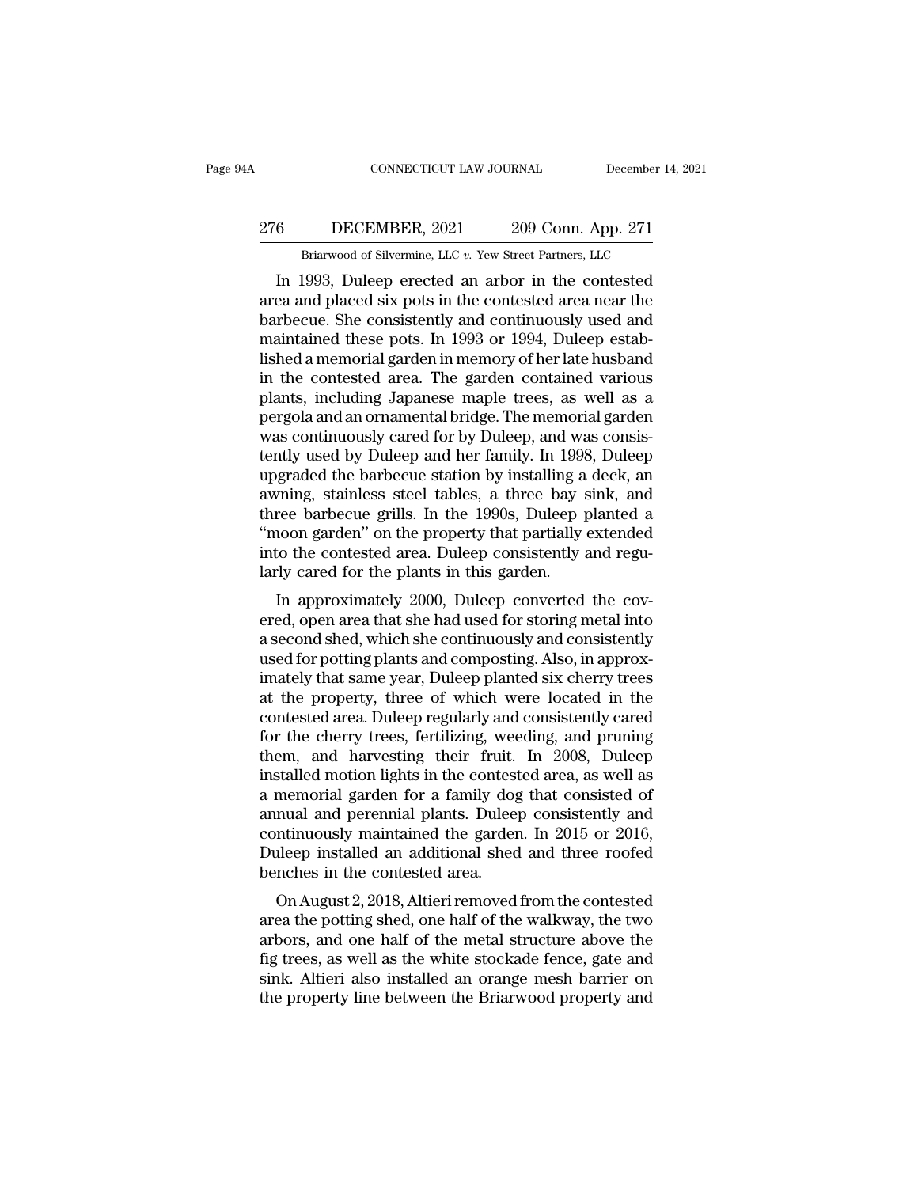### CONNECTICUT LAW JOURNAL December 14, 2021<br>276 DECEMBER, 2021 209 Conn. App. 271<br>Briarwood of Silvermine, LLC v. Yew Street Partners, LLC CONNECTICUT LAW JOURNAL December 14,<br>DECEMBER, 2021 209 Conn. App. 271<br>Briarwood of Silvermine, LLC *v.* Yew Street Partners, LLC<br>1993 Duleen erected an arbor in the contested

CONNECTICUT LAW JOURNAL December 14, 2021<br>
6 DECEMBER, 2021 209 Conn. App. 271<br>
Briarwood of Silvermine, LLC v. Yew Street Partners, LLC<br>
In 1993, Duleep erected an arbor in the contested<br>
ea and placed six pots in the con 276 DECEMBER, 2021 209 Conn. App. 271<br>Briarwood of Silvermine, LLC v. Yew Street Partners, LLC<br>In 1993, Duleep erected an arbor in the contested<br>area and placed six pots in the contested area near the<br>barbecue. She consis  $\frac{276}{\text{Briarwood of Silvermine, LLC }v. \text{ Yew Street Partners, LLC}}$ <br>
In 1993, Duleep erected an arbor in the contested<br>
area and placed six pots in the contested area near the<br>
barbecue. She consistently and continuously used and<br>
maintained these pot 276 DECEMBER, 2021 209 Conn. App. 271<br>
Briarwood of Silvermine, LLC  $v$ . Yew Street Partners, LLC<br>
In 1993, Duleep erected an arbor in the contested<br>
area and placed six pots in the contested area near the<br>
barbecue. She Briarwood of Silvermine, LLC v. Yew Street Partners, LLC<br>
In 1993, Duleep erected an arbor in the contested<br>
area and placed six pots in the contested area near the<br>
barbecue. She consistently and continuously used and<br>
m Brarwood of silvermine, LLC  $v$ . Yew Street Partners, LLC<br>In 1993, Duleep erected an arbor in the contested<br>area and placed six pots in the contested area near the<br>barbecue. She consistently and continuously used and<br>main In 1993, Duleep erected an arbor in the contested<br>area and placed six pots in the contested area near the<br>barbecue. She consistently and continuously used and<br>maintained these pots. In 1993 or 1994, Duleep estab-<br>lished a area and placed six pots in the contested area near the<br>barbecue. She consistently and continuously used and<br>maintained these pots. In 1993 or 1994, Duleep estab-<br>lished a memorial garden in memory of her late husband<br>in t barbecue. She consistently and continuously used and<br>maintained these pots. In 1993 or 1994, Duleep estab-<br>lished a memorial garden in memory of her late husband<br>in the contested area. The garden contained various<br>plants, maintained these pots. In 1993 or 1994, Duleep established a memorial garden in memory of her late husband<br>in the contested area. The garden contained various<br>plants, including Japanese maple trees, as well as a<br>pergola an lished a memorial garden in memory of her late husband<br>in the contested area. The garden contained various<br>plants, including Japanese maple trees, as well as a<br>pergola and an ornamental bridge. The memorial garden<br>was cont in the contested area. The garden contained various<br>plants, including Japanese maple trees, as well as a<br>pergola and an ornamental bridge. The memorial garden<br>was continuously cared for by Duleep, and was consis-<br>tently us plants, including Japanese maple trees, as well as a<br>pergola and an ornamental bridge. The memorial garden<br>was continuously cared for by Duleep, and was consis-<br>tently used by Duleep and her family. In 1998, Duleep<br>upgrade pergola and an ornamental bridge. The memorial garden<br>
was continuously cared for by Duleep, and was consistently used by Duleep and her family. In 1998, Duleep<br>
upgraded the barbecue station by installing a deck, an<br>
awni was continuously cared for by Duleep, and was consistently used by Duleep and her family. In 1998, Duleep upgraded the barbecue station by installing a deck, an awning, stainless steel tables, a three bay sink, and three b tently used by Duleep and her family. In 1998<br>upgraded the barbecue station by installing a<br>awning, stainless steel tables, a three bay s<br>three barbecue grills. In the 1990s, Duleep p<br>"moon garden" on the property that par provided the barbectle station by installing a tieck, and<br>the barbectle station by installing a tieck, and<br>ree barbectle grills. In the 1990s, Duleep planted a<br>noon garden" on the property that partially extended<br>to the co awhing, stanless steer tables, a three bay slik, and<br>three barbecue grills. In the 1990s, Duleep planted a<br>"moon garden" on the property that partially extended<br>into the contested area. Duleep consistently and regu-<br>larly

Fine barbetue grins. In the 1990s, Dufeep planted a<br>"moon garden" on the property that partially extended<br>into the contested area. Duleep consistently and regu-<br>larly cared for the plants in this garden.<br>In approximately 2 moon garden on the property that partially extended<br>into the contested area. Duleep consistently and regu-<br>larly cared for the plants in this garden.<br>In approximately 2000, Duleep converted the cov-<br>ered, open area that sh Iarly cared for the plants in this garden.<br>
In approximately 2000, Duleep converted the cov-<br>
ered, open area that she had used for storing metal into<br>
a second shed, which she continuously and consistently<br>
used for potti atify cared for the plants in this garden.<br>In approximately 2000, Duleep converted the covered, open area that she had used for storing metal into<br>a second shed, which she continuously and consistently<br>used for potting pla In approximately 2000, Duleep converted the cov-<br>ered, open area that she had used for storing metal into<br>a second shed, which she continuously and consistently<br>used for potting plants and composting. Also, in approx-<br>imat ered, open area that she had used for storing metal into<br>a second shed, which she continuously and consistently<br>used for potting plants and composting. Also, in approx-<br>imately that same year, Duleep planted six cherry tre a second shed, which she continuously and consistently<br>used for potting plants and composting. Also, in approx-<br>imately that same year, Duleep planted six cherry trees<br>at the property, three of which were located in the<br>co used for potting plants and composting. Also, in approx-<br>imately that same year, Duleep planted six cherry trees<br>at the property, three of which were located in the<br>contested area. Duleep regularly and consistently cared<br>f imately that same year, Duleep planted six cherry trees<br>at the property, three of which were located in the<br>contested area. Duleep regularly and consistently cared<br>for the cherry trees, fertilizing, weeding, and pruning<br>th at the property, three of which were located in the contested area. Duleep regularly and consistently cared for the cherry trees, fertilizing, weeding, and pruning them, and harvesting their fruit. In 2008, Duleep installe contested area. Duleep regularly and consistently cared<br>for the cherry trees, fertilizing, weeding, and pruning<br>them, and harvesting their fruit. In 2008, Duleep<br>installed motion lights in the contested area, as well as<br>a for the cherry trees, fertilizing, weeding, and pruning<br>them, and harvesting their fruit. In 2008, Duleep<br>installed motion lights in the contested area, as well as<br>a memorial garden for a family dog that consisted of<br>annua them, and harvesting their fruit.<br>installed motion lights in the contest<br>a memorial garden for a family dog<br>annual and perennial plants. Dulee<br>continuously maintained the garder<br>Duleep installed an additional shed<br>benches staned motion rights in the contested area, as wen as<br>memorial garden for a family dog that consisted of<br>nual and perennial plants. Duleep consistently and<br>ntinuously maintained the garden. In 2015 or 2016,<br>lleep installed a memorial garden for a raminy dog that consisted or<br>annual and perennial plants. Duleep consistently and<br>continuously maintained the garden. In 2015 or 2016,<br>Duleep installed an additional shed and three roofed<br>benches in

annuar and perentiar plants. Dueep consistently and<br>continuously maintained the garden. In 2015 or 2016,<br>Duleep installed an additional shed and three roofed<br>benches in the contested area.<br>On August 2, 2018, Altieri remove Foller installed an additional shed and three roofed<br>benches in the contested area.<br>On August 2, 2018, Altieri removed from the contested<br>area the potting shed, one half of the walkway, the two<br>arbors, and one half of the benches in the contested area.<br>
On August 2, 2018, Altieri removed from the contested<br>
area the potting shed, one half of the walkway, the two<br>
arbors, and one half of the metal structure above the<br>
fig trees, as well as t benches in the contested area.<br>
On August 2, 2018, Altieri removed from the contested<br>
area the potting shed, one half of the walkway, the two<br>
arbors, and one half of the metal structure above the<br>
fig trees, as well as t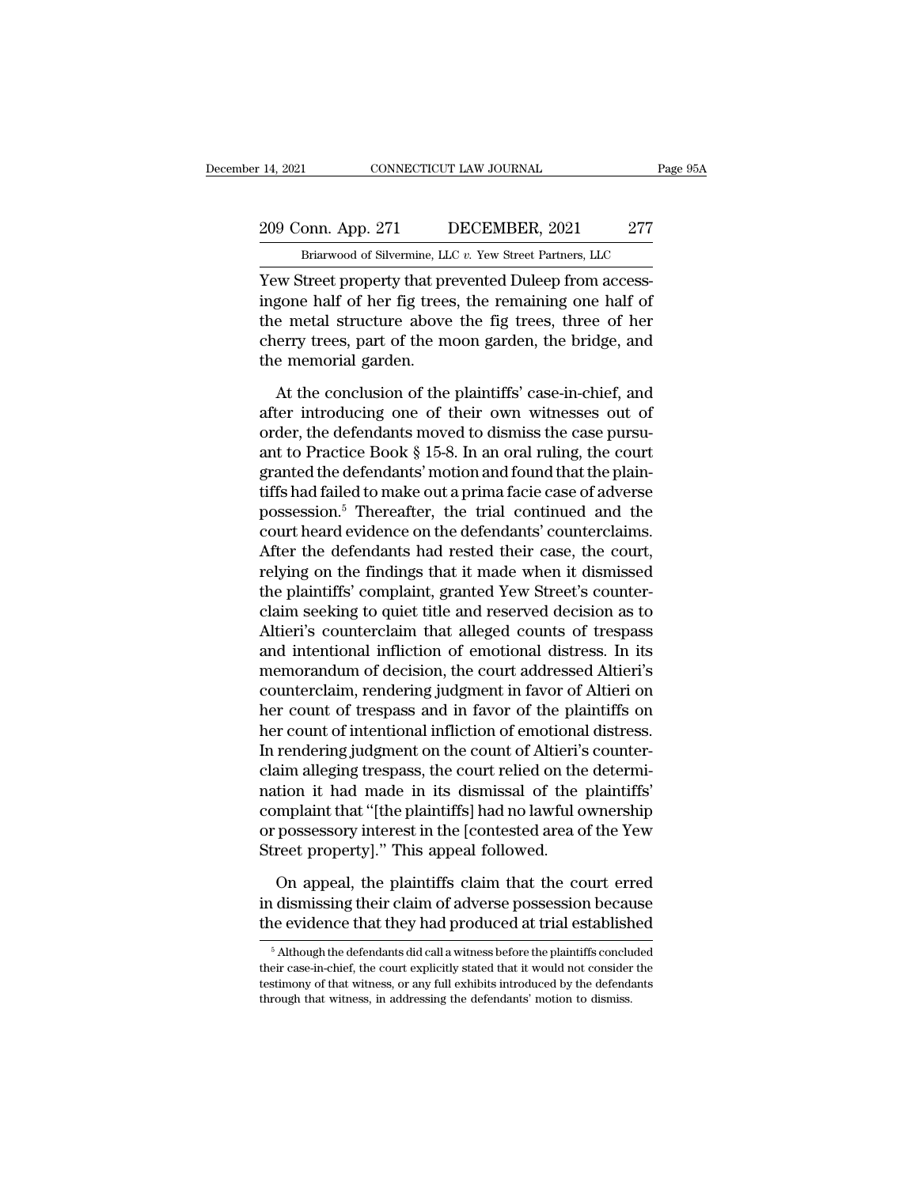### 209 Conn. App. 271 DECEMBER, 2021 277 Briarwood of Silvermine, LLC v. Yew Street Partners, LLC The CONNECTICUT LAW JOURNAL Page<br>
DRIGHT DECEMBER, 2021 277<br>
Briarwood of Silvermine, LLC *v.* Yew Street Partners, LLC<br>
Street Property that prevented Duleen from access-

THE 14, 2021<br>
209 Conn. App. 271 DECEMBER, 2021 277<br>
Briarwood of Silvermine, LLC v. Yew Street Partners, LLC<br>
Yew Street property that prevented Duleep from access-<br>
ingone half of her fig trees, the remaining one half of 209 Conn. App. 271 DECEMBER, 2021 277<br>Briarwood of Silvermine, LLC  $v$ . Yew Street Partners, LLC<br>Yew Street property that prevented Duleep from access-<br>ingone half of her fig trees, the remaining one half of<br>the metal str 209 Conn. App. 271 DECEMBER, 2021 277<br>
Briarwood of Silvermine, LLC  $v$ . Yew Street Partners, LLC<br>
Yew Street property that prevented Duleep from access-<br>
ingone half of her fig trees, the remaining one half of<br>
the metal 209 Conn. App. 271 DECEMBER, 2021 277<br>
Briarwood of Silvermine, LLC  $v$ . Yew Street Partners, LLC<br>
Yew Street property that prevented Duleep from access-<br>
ingone half of her fig trees, the remaining one half of<br>
the metal Briarwood of Silvermine, LL<br>
Yew Street property that pr<br>
ingone half of her fig trees<br>
the metal structure above<br>
cherry trees, part of the m<br>
the memorial garden.<br>
At the conclusion of the At the conclusion of the plaintiffs' case.<br>The conclusion of the planning of the planning one half of the metal structure above the fig trees, three of her<br>erry trees, part of the moon garden, the bridge, and<br>e memorial ga ingone half of her fig trees, the remaining one half of<br>the metal structure above the fig trees, three of her<br>cherry trees, part of the moon garden, the bridge, and<br>the memorial garden.<br>At the conclusion of the plaintiffs

the metal structure above the fig trees, three of her cherry trees, part of the moon garden, the bridge, and the memorial garden.<br>At the conclusion of the plaintiffs' case-in-chief, and after introducing one of their own w cherry trees, part of the moon garden, the bridge, and<br>the memorial garden.<br>At the conclusion of the plaintiffs' case-in-chief, and<br>after introducing one of their own witnesses out of<br>order, the defendants moved to dismiss the memorial garden.<br>
At the conclusion of the plaintiffs' case-in-chief, and<br>
after introducing one of their own witnesses out of<br>
order, the defendants moved to dismiss the case pursu-<br>
ant to Practice Book § 15-8. In a At the conclusion of the plaintiffs' case-in-chief, and<br>after introducing one of their own witnesses out of<br>order, the defendants moved to dismiss the case pursu-<br>ant to Practice Book  $\S$  15-8. In an oral ruling, the cour At the conclusion of the plaintiffs' case-in-chief, and<br>after introducing one of their own witnesses out of<br>order, the defendants moved to dismiss the case pursu-<br>ant to Practice Book § 15-8. In an oral ruling, the court<br>g after introducing one of their own witnesses out of<br>order, the defendants moved to dismiss the case pursu-<br>ant to Practice Book § 15-8. In an oral ruling, the court<br>granted the defendants' motion and found that the plain-<br> order, the defendants moved to dismiss the case pursu-<br>ant to Practice Book § 15-8. In an oral ruling, the court<br>granted the defendants' motion and found that the plain-<br>tiffs had failed to make out a prima facie case of a ant to Practice Book § 15-8. In an oral ruling, the court<br>granted the defendants' motion and found that the plain-<br>tiffs had failed to make out a prima facie case of adverse<br>possession.<sup>5</sup> Thereafter, the trial continued a granted the defendants' motion and found that the plain-<br>tiffs had failed to make out a prima facie case of adverse<br>possession.<sup>5</sup> Thereafter, the trial continued and the<br>court heard evidence on the defendants' counterclai tiffs had failed to make out a prima facie case of adverse<br>possession.<sup>5</sup> Thereafter, the trial continued and the<br>court heard evidence on the defendants' counterclaims.<br>After the defendants had rested their case, the court possession.<sup>5</sup> Thereafter, the trial continued and the<br>court heard evidence on the defendants' counterclaims.<br>After the defendants had rested their case, the court,<br>relying on the findings that it made when it dismissed<br>th court heard evidence on the defendants' counterclaims.<br>After the defendants had rested their case, the court,<br>relying on the findings that it made when it dismissed<br>the plaintiffs' complaint, granted Yew Street's counter-<br> After the defendants had rested their case, the court,<br>relying on the findings that it made when it dismissed<br>the plaintiffs' complaint, granted Yew Street's counter-<br>claim seeking to quiet title and reserved decision as t relying on the findings that it made when it dismissed<br>the plaintiffs' complaint, granted Yew Street's counter-<br>claim seeking to quiet title and reserved decision as to<br>Altieri's counterclaim that alleged counts of trespas the plaintiffs' complaint, granted Yew Street's counter-<br>claim seeking to quiet title and reserved decision as to<br>Altieri's counterclaim that alleged counts of trespass<br>and intentional infliction of emotional distress. In claim seeking to quiet title and reserved decision as to<br>Altieri's counterclaim that alleged counts of trespass<br>and intentional infliction of emotional distress. In its<br>memorandum of decision, the court addressed Altieri's Altieri's counterclaim that alleged counts of trespass<br>and intentional infliction of emotional distress. In its<br>memorandum of decision, the court addressed Altieri's<br>counterclaim, rendering judgment in favor of Altieri's<br>o and intentional infliction of emotional distress. In its<br>memorandum of decision, the court addressed Altieri's<br>counterclaim, rendering judgment in favor of Altieri on<br>her count of trespass and in favor of the plaintiffs on memorandum of decision, the court addressed Altieri's<br>counterclaim, rendering judgment in favor of Altieri on<br>her count of trespass and in favor of the plaintiffs on<br>her count of intentional infliction of emotional distres counterclaim, rendering judgment in favor of Altieri on<br>her count of trespass and in favor of the plaintiffs on<br>her count of intentional infliction of emotional distress.<br>In rendering judgment on the count of Altieri's cou her count of trespass and in favor of the plaintiffs on<br>her count of intentional infliction of emotional distress.<br>In rendering judgment on the count of Altieri's counter-<br>claim alleging trespass, the court relied on the d her count of intentional infliction of emotiona<br>In rendering judgment on the count of Altieri's<br>claim alleging trespass, the court relied on the<br>nation it had made in its dismissal of the<br>complaint that "[the plaintiffs] h im alleging trespass, the court relied on the determition it had made in its dismissal of the plaintiffs'<br>mplaint that "[the plaintiffs] had no lawful ownership<br>possessory interest in the [contested area of the Yew<br>reet pr nation it had made in its dismissal of the plaintiffs'<br>complaint that "[the plaintiffs] had no lawful ownership<br>or possessory interest in the [contested area of the Yew<br>Street property]." This appeal followed.<br>On appeal, t complaint that "[the plaintiffs] had no lawful ownership<br>or possessory interest in the [contested area of the Yew<br>Street property]." This appeal followed.<br>On appeal, the plaintiffs claim that the court erred<br>in dismissing

On appeal, the plaintiffs claim that the court erred dismissing their claim of adverse possession because<br>le evidence that they had produced at trial established<br><sup>5</sup> Although the defendants did call a witness before the p On appeal, the plaintiffs claim that the court erred<br>in dismissing their claim of adverse possession because<br>the evidence that they had produced at trial established<br> $\frac{1}{100}$ <br>their case-in-chief, the court explicitly s

in dismissing their claim of adverse possession because<br>the evidence that they had produced at trial established<br><sup>5</sup> Although the defendants did call a witness before the plaintiffs concluded<br>their case-in-chief, the court The evidence that they had produced at trial establish<br>
<sup>5</sup> Although the defendants did call a witness before the plaintiffs conclute<br>
their case-in-chief, the court explicitly stated that it would not consider<br>
testimony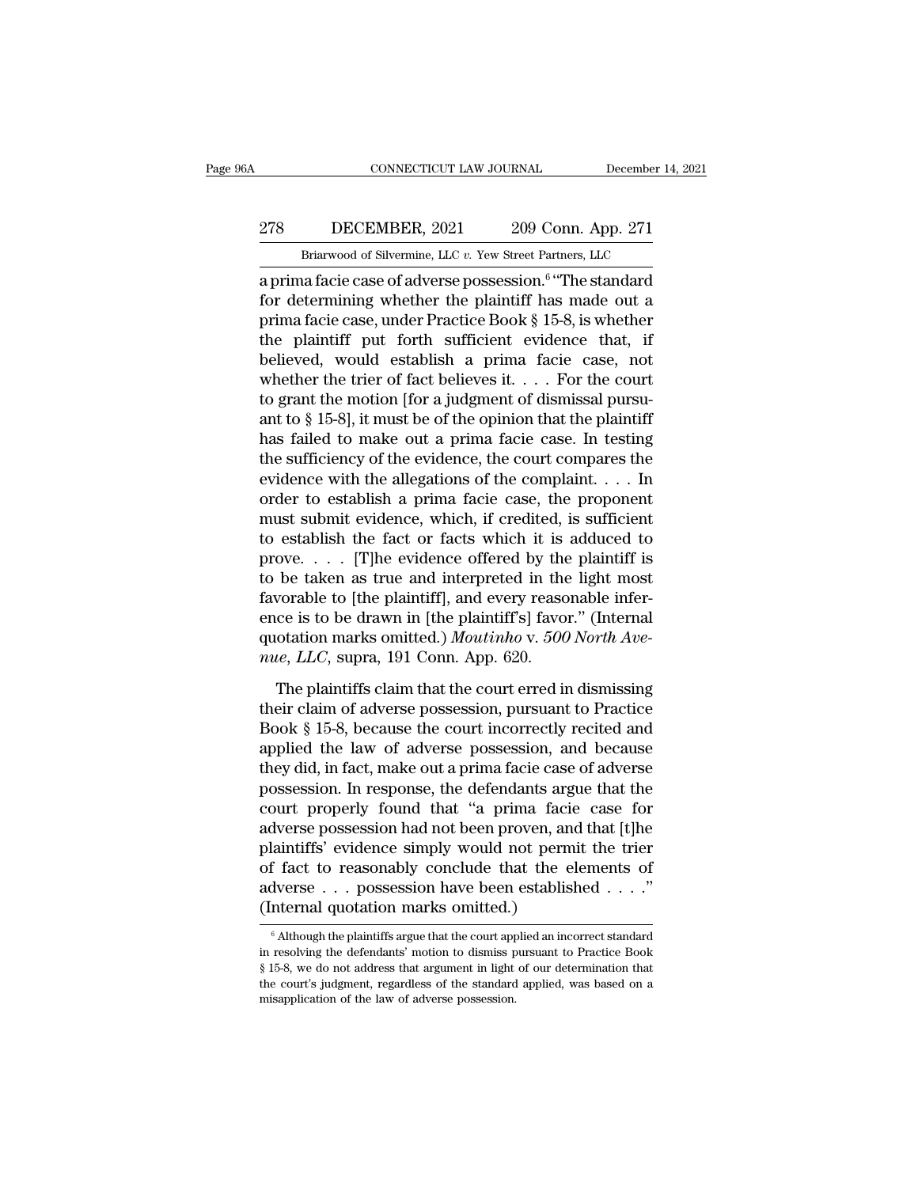### CONNECTICUT LAW JOURNAL December 14, 2021<br>278 DECEMBER, 2021 209 Conn. App. 271<br>Briarwood of Silvermine, LLC v. Yew Street Partners, LLC CONNECTICUT LAW JOURNAL December 14, 2021<br>278 DECEMBER, 2021 209 Conn. App. 271<br>Briarwood of Silvermine, LLC *v.* Yew Street Partners, LLC<br>a prima facie case of adverse possession.<sup>6</sup> "The standard

CONNECTICUT LAW JOURNAL<br>
278 DECEMBER, 2021 209 Conn. A<br>
Briarwood of Silvermine, LLC v. Yew Street Partners, L<br>
a prima facie case of adverse possession.<sup>6</sup> "The s<br>
for determining whether the plaintiff has made processio December 14, 2021<br>
onn. App. 271<br>
The standard<br>
"The standard<br>
Is made out a For determining whether the plaintiff and spin and the plaintiff and plaintiff and plaintiff and plaintiff  $\frac{1}{100}$  and  $\frac{1}{100}$  and  $\frac{1}{100}$  and  $\frac{1}{100}$  and  $\frac{1}{100}$  and  $\frac{1}{100}$  and  $\frac{1}{100}$  and  $\$ 278 DECEMBER, 2021 209 Conn. App. 271<br>
Briarwood of Silvermine, LLC v. Yew Street Partners, LLC<br>
a prima facie case of adverse possession.<sup>6</sup> "The standard<br>
for determining whether the plaintiff has made out a<br>
prima faci 278 DECEMBER, 2021 209 Conn. App. 271<br>
Briarwood of Silvermine, LLC v. Yew Street Partners, LLC<br>
a prima facie case of adverse possession.<sup>6</sup> "The standard<br>
for determining whether the plaintiff has made out a<br>
prima faci Briarwood of Silvermine, LLC v. Yew Street Partners, LLC<br>
a prima facie case of adverse possession.<sup>6</sup> "The standard<br>
for determining whether the plaintiff has made out a<br>
prima facie case, under Practice Book § 15-8, is Brarwood of silvernine, LLC v. Tew street Partners, LLC<br>a prima facie case of adverse possession.<sup>6</sup> "The standard<br>for determining whether the plaintiff has made out a<br>prima facie case, under Practice Book § 15-8, is whet a prima facie case of adverse possession.<sup>6</sup> "The standard<br>for determining whether the plaintiff has made out a<br>prima facie case, under Practice Book § 15-8, is whether<br>the plaintiff put forth sufficient evidence that, if for determining whether the plaintiff has made out a<br>prima facie case, under Practice Book § 15-8, is whether<br>the plaintiff put forth sufficient evidence that, if<br>believed, would establish a prima facie case, not<br>whether prima facie case, under Practice Book § 15-8, is whether<br>the plaintiff put forth sufficient evidence that, if<br>believed, would establish a prima facie case, not<br>whether the trier of fact believes it. . . . For the court<br>to the plaintiff put forth sufficient evidence that, if<br>believed, would establish a prima facie case, not<br>whether the trier of fact believes it. . . . For the court<br>to grant the motion [for a judgment of dismissal pursu-<br>ant believed, would establish a prima facie case, not<br>whether the trier of fact believes it. . . . For the court<br>to grant the motion [for a judgment of dismissal pursu-<br>ant to § 15-8], it must be of the opinion that the plain whether the trier of fact believes it. . . . For the court<br>to grant the motion [for a judgment of dismissal pursu-<br>ant to § 15-8], it must be of the opinion that the plaintiff<br>has failed to make out a prima facie case. In to grant the motion [for a judgment of dismissal pursu-<br>ant to § 15-8], it must be of the opinion that the plaintiff<br>has failed to make out a prima facie case. In testing<br>the sufficiency of the evidence, the court compare ant to § 15-8], it must be of the opinion that the plaintiff<br>has failed to make out a prima facie case. In testing<br>the sufficiency of the evidence, the court compares the<br>evidence with the allegations of the complaint. . has failed to make out a prima facie case. In testing<br>the sufficiency of the evidence, the court compares the<br>evidence with the allegations of the complaint. . . . In<br>order to establish a prima facie case, the proponent<br>m the sufficiency of the evidence, the court compares the<br>evidence with the allegations of the complaint. . . . In<br>order to establish a prima facie case, the proponent<br>must submit evidence, which, if credited, is sufficient evidence with the allegations of the complaint. . . . In<br>order to establish a prima facie case, the proponent<br>must submit evidence, which, if credited, is sufficient<br>to establish the fact or facts which it is adduced to<br>p order to establish a prima facie case, the proponent<br>must submit evidence, which, if credited, is sufficient<br>to establish the fact or facts which it is adduced to<br>prove.... [T]he evidence offered by the plaintiff is<br>to be must submit evidence, which, if credited, is sufficient<br>to establish the fact or facts which it is adduced to<br>prove. . . . [T]he evidence offered by the plaintiff is<br>to be taken as true and interpreted in the light most<br>fa to establish the fact or facts which it is<br>prove. . . . [T]he evidence offered by the<br>to be taken as true and interpreted in the<br>favorable to [the plaintiff], and every reaso<br>ence is to be drawn in [the plaintiff's] favor<br> be taken as true and interpreted in the light most<br>vorable to [the plaintiff], and every reasonable infer-<br>ce is to be drawn in [the plaintiff's] favor." (Internal<br>otation marks omitted.) *Moutinho* v. 500 *North Ave-*<br>*u* favorable to [the plaintiff], and every reasonable infer-<br>ence is to be drawn in [the plaintiff's] favor." (Internal<br>quotation marks omitted.) *Moutinho* v. 500 North Ave-<br>*nue, LLC*, supra, 191 Conn. App. 620.<br>The plainti

ence is to be drawn in [the plaintiff's] favor." (Internal<br>quotation marks omitted.) *Moutinho* v. 500 North Ave-<br>*nue*, LLC, supra, 191 Conn. App. 620.<br>The plaintiffs claim that the court erred in dismissing<br>their claim o quotation marks omitted.) Moutinho v. 500 North Ave-<br>nue, LLC, supra, 191 Conn. App. 620.<br>The plaintiffs claim that the court erred in dismissing<br>their claim of adverse possession, pursuant to Practice<br>Book § 15-8, because *nue, LLC*, supra, 191 Conn. App. 620.<br>The plaintiffs claim that the court erred in dismissing<br>their claim of adverse possession, pursuant to Practice<br>Book § 15-8, because the court incorrectly recited and<br>applied the law The plaintiffs claim that the court erred in dismissing<br>their claim of adverse possession, pursuant to Practice<br>Book § 15-8, because the court incorrectly recited and<br>applied the law of adverse possession, and because<br>the The plaintiffs claim that the court erred in dismissing<br>their claim of adverse possession, pursuant to Practice<br>Book § 15-8, because the court incorrectly recited and<br>applied the law of adverse possession, and because<br>they their claim of adverse possession, pursuant to Practice<br>Book § 15-8, because the court incorrectly recited and<br>applied the law of adverse possession, and because<br>they did, in fact, make out a prima facie case of adverse<br>po Book § 15-8, because the court incorrectly recited and<br>applied the law of adverse possession, and because<br>they did, in fact, make out a prima facie case of adverse<br>possession. In response, the defendants argue that the<br>cou applied the law of adverse possession, and because<br>they did, in fact, make out a prima facie case of adverse<br>possession. In response, the defendants argue that the<br>court properly found that "a prima facie case for<br>adverse they did, in fact, make out a prima facie case of adverse<br>possession. In response, the defendants argue that the<br>court properly found that "a prima facie case for<br>adverse possession had not been proven, and that [t]he<br>plai possession. In response, the defendants argue that the court properly found that "a prima facie case for adverse possession had not been proven, and that [t]he plaintiffs' evidence simply would not permit the trier of fac % of fact to reasonably conclude that the elements of adverse . . . possession have been established . . . ."<br>(Internal quotation marks omitted.)<br> $\overline{\text{[Although the plaintexts]} }$  in resolving the defendants' motion to dismiss pursuant to of fact to reasonably conclude that the elements of adverse . . . possession have been established . . . ."<br>(Internal quotation marks omitted.)<br> $\frac{1}{100}$  and internal quotation marks omitted.)<br> $\frac{1}{100}$  and  $\frac{1}{100}$ 

adverse . . . possession have been established . . . ."<br>(Internal quotation marks omitted.)<br> $\sqrt{\frac{1}{n}}$  Although the plaintiffs argue that the court applied an incorrect standard<br>in resolving the defendants' motion to dis (Internal quotation marks omitted.)<br>
<sup>6</sup> Although the plaintiffs argue that the court applied an incorrect standard<br>
in resolving the defendants' motion to dismiss pursuant to Practice Book<br>
§ 15-8, we do not address that <sup>6</sup> Although the plaintiffs argue that the court app<br>in resolving the defendants' motion to dismiss p<br>\$ 15-8, we do not address that argument in light<br>the court's judgment, regardless of the standard<br>misapplication of the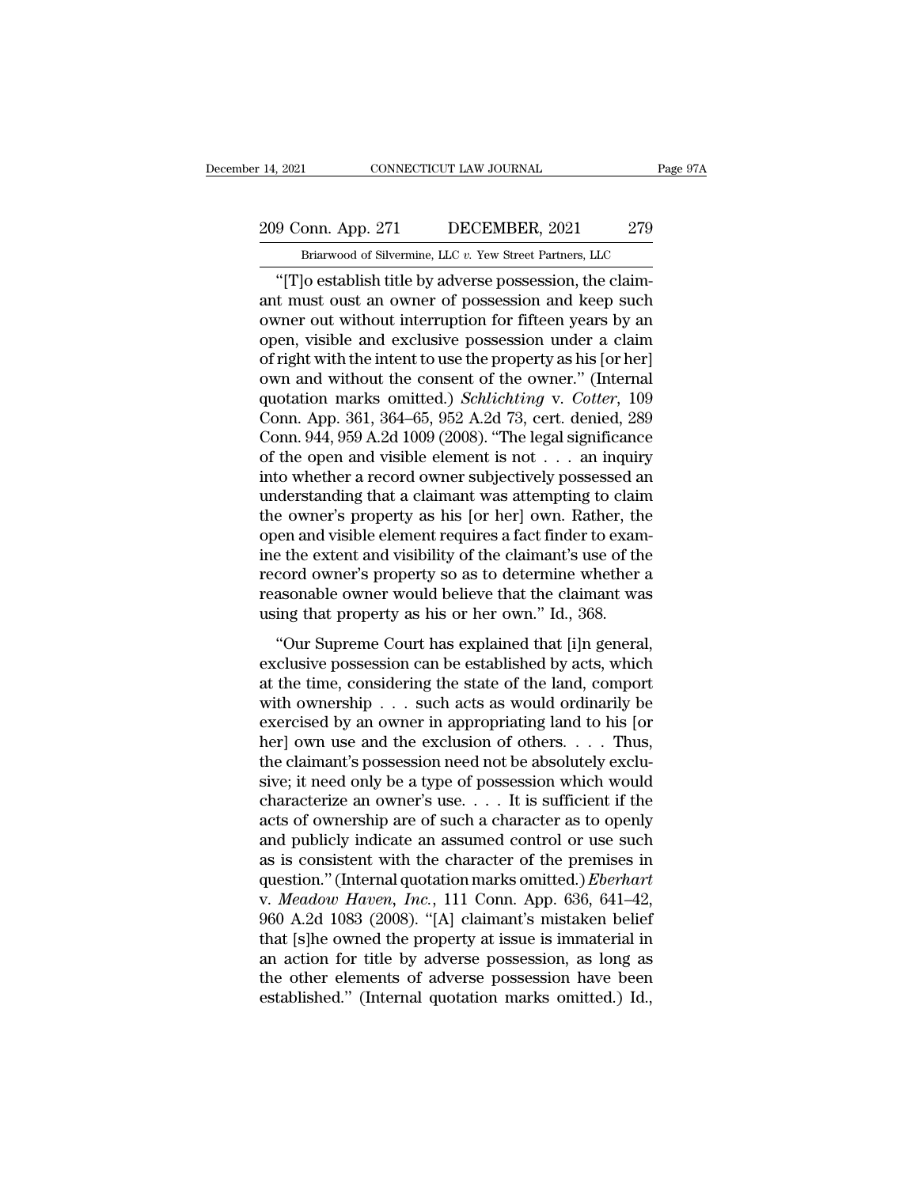### 209 Conn. App. 271 DECEMBER, 2021 279<br>Briarwood of Silvermine, LLC v. Yew Street Partners, LLC The CONNECTICUT LAW JOURNAL Page<br>
onn. App. 271 DECEMBER, 2021 279<br>
Briarwood of Silvermine, LLC *v.* Yew Street Partners, LLC<br>
lo establish title by adverse possession, the claim-

9 Conn. App. 271 DECEMBER, 2021 279<br>
"Briarwood of Silvermine, LLC v. Yew Street Partners, LLC<br>
"[T]o establish title by adverse possession, the claim-<br>
t must oust an owner of possession and keep such<br>
were out without in 209 Conn. App. 271 DECEMBER, 2021 279<br>Briarwood of Silvermine, LLC v. Yew Street Partners, LLC<br>"[T]o establish title by adverse possession, the claim-<br>ant must oust an owner of possession and keep such<br>owner out without in 209 Conn. App. 271 DECEMBER, 2021 279<br>
Briarwood of Silvermine, LLC v. Yew Street Partners, LLC<br>
"[T]o establish title by adverse possession, the claim-<br>
ant must oust an owner of possession and keep such<br>
owner out witho 209 Conn. App. 271 DECEMBER, 2021 279<br>
Briarwood of Silvermine, LLC  $v$ . Yew Street Partners, LLC<br>
"[T]o establish title by adverse possession, the claim-<br>
ant must oust an owner of possession and keep such<br>
owner out wit Briarwood of Silvermine, LLC v. Yew Street Partners, LLC<br>
"[T]o establish title by adverse possession, the claim-<br>
ant must oust an owner of possession and keep such<br>
owner out without interruption for fifteen years by an Brarwood of silvernine, LLC v. Yew street Partners, LLC<br>
"[T]o establish title by adverse possession, the claim-<br>
ant must oust an owner of possession and keep such<br>
owner out without interruption for fifteen years by an<br> "[T]o establish title by adverse possession, the claim-<br>ant must oust an owner of possession and keep such<br>owner out without interruption for fifteen years by an<br>open, visible and exclusive possession under a claim<br>of righ ant must oust an owner of possession and keep such<br>owner out without interruption for fifteen years by an<br>open, visible and exclusive possession under a claim<br>of right with the intent to use the property as his [or her]<br>ow owner out without interruption for fifteen years by an open, visible and exclusive possession under a claim of right with the intent to use the property as his [or her] own and without the consent of the owner." (Internal open, visible and exclusive possession under a claim<br>of right with the intent to use the property as his [or her]<br>own and without the consent of the owner." (Internal<br>quotation marks omitted.) *Schlichting* v. *Cotter*, 10 of right with the intent to use the property as his [or her]<br>own and without the consent of the owner." (Internal<br>quotation marks omitted.) *Schlichting* v. *Cotter*, 109<br>Conn. App. 361, 364–65, 952 A.2d 73, cert. denied, own and without the consent of the owner." (Internal<br>quotation marks omitted.) *Schlichting* v. *Cotter*, 109<br>Conn. App. 361, 364–65, 952 A.2d 73, cert. denied, 289<br>Conn. 944, 959 A.2d 1009 (2008). "The legal significance quotation marks omitted.) *Schlichting* v. *Cotter*, 109<br>Conn. App. 361, 364–65, 952 A.2d 73, cert. denied, 289<br>Conn. 944, 959 A.2d 1009 (2008). "The legal significance<br>of the open and visible element is not . . . an inqu Conn. App. 361, 364–65, 952 A.2d 73, cert. denied, 289<br>Conn. 944, 959 A.2d 1009 (2008). "The legal significance<br>of the open and visible element is not  $\ldots$  an inquiry<br>into whether a record owner subjectively possessed an Conn. 944, 959 A.2d 1009 (2008). "The legal significance<br>of the open and visible element is not  $\dots$  an inquiry<br>into whether a record owner subjectively possessed an<br>understanding that a claimant was attempting to claim<br>t of the open and visible element is not  $\ldots$  an inquiry<br>into whether a record owner subjectively possessed an<br>understanding that a claimant was attempting to claim<br>the owner's property as his [or her] own. Rather, the<br>ope into whether a record owner subjectively possessed an understanding that a claimant was attempting to claim<br>the owner's property as his [or her] own. Rather, the<br>open and visible element requires a fact finder to exam-<br>ine understanding that a claimant was attempting to claim<br>the owner's property as his [or her] own. Rather, th<br>open and visible element requires a fact finder to exam<br>ine the extent and visibility of the claimant's use of th<br>r of the property as his [of her] own: radiner, the<br>
en and visible element requires a fact finder to exam-<br>
e the extent and visibility of the claimant's use of the<br>
cord owner's property so as to determine whether a<br>
asona by or that visible element requires a naternate to enant<br>ine the extent and visibility of the claimant's use of the<br>record owner's property so as to determine whether a<br>reasonable owner would believe that the claimant was<br>

ate caten and visionly of the claimants also of the<br>record owner's property so as to determine whether a<br>reasonable owner would believe that the claimant was<br>using that property as his or her own." Id., 368.<br>"Our Supreme C record owner's property so as to determine whether a<br>reasonable owner would believe that the claimant was<br>using that property as his or her own." Id., 368.<br>"Our Supreme Court has explained that [i]n general,<br>exclusive poss Exercised by an owner weak server and according was<br>
"Our Supreme Court has explained that [i]n general,<br>
exclusive possession can be established by acts, which<br>
at the time, considering the state of the land, comport<br>
wi "Our Supreme Court has explained that [i]n general,<br>exclusive possession can be established by acts, which<br>at the time, considering the state of the land, comport<br>with ownership . . . such acts as would ordinarily be<br>exer "Our Supreme Court has explained that [i]n general, exclusive possession can be established by acts, which at the time, considering the state of the land, comport with ownership  $\dots$  such acts as would ordinarily be exerc exclusive possession can be established by acts, which<br>at the time, considering the state of the land, comport<br>with ownership  $\ldots$  such acts as would ordinarily be<br>exercised by an owner in appropriating land to his [or<br>h at the time, considering the state of the land, comport<br>with ownership  $\ldots$  such acts as would ordinarily be<br>exercised by an owner in appropriating land to his [or<br>her] own use and the exclusion of others.  $\ldots$  Thus,<br>th with ownership  $\dots$  such acts as would ordinarily be<br>exercised by an owner in appropriating land to his [or<br>her] own use and the exclusion of others.  $\dots$  Thus,<br>the claimant's possession need not be absolutely exclu-<br>sive exercised by an owner in appropriating land to his [or<br>her] own use and the exclusion of others. . . . Thus,<br>the claimant's possession need not be absolutely exclu-<br>sive; it need only be a type of possession which would<br>c her] own use and the exclusion of others. . . . Thus,<br>the claimant's possession need not be absolutely exclu-<br>sive; it need only be a type of possession which would<br>characterize an owner's use. . . . It is sufficient if t the claimant's possession need not be absolutely exclusive; it need only be a type of possession which would characterize an owner's use. . . . It is sufficient if the acts of ownership are of such a character as to openl sive; it need only be a type of possession which would<br>characterize an owner's use. . . . It is sufficient if the<br>acts of ownership are of such a character as to openly<br>and publicly indicate an assumed control or use such<br> characterize an owner's use. . . . It is sufficient if the<br>acts of ownership are of such a character as to openly<br>and publicly indicate an assumed control or use such<br>as is consistent with the character of the premises in acts of ownership are of such a character as to openly<br>and publicly indicate an assumed control or use such<br>as is consistent with the character of the premises in<br>question." (Internal quotation marks omitted.) *Eberhart*<br>v and publicly indicate an assumed control or use such<br>as is consistent with the character of the premises in<br>question." (Internal quotation marks omitted.) *Eberhart*<br>v. Meadow Haven, Inc., 111 Conn. App. 636, 641–42,<br>960 A as is consistent with the character of the premises in<br>question." (Internal quotation marks omitted.) *Eberhart*<br>v. Meadow Haven, Inc., 111 Conn. App. 636, 641–42,<br>960 A.2d 1083 (2008). "[A] claimant's mistaken belief<br>that question." (Internal quotation marks omitted.) *Eberhart* v. *Meadow Haven, Inc.*, 111 Conn. App. 636, 641–42, 960 A.2d 1083 (2008). "[A] claimant's mistaken belief that [s]he owned the property at issue is immaterial in a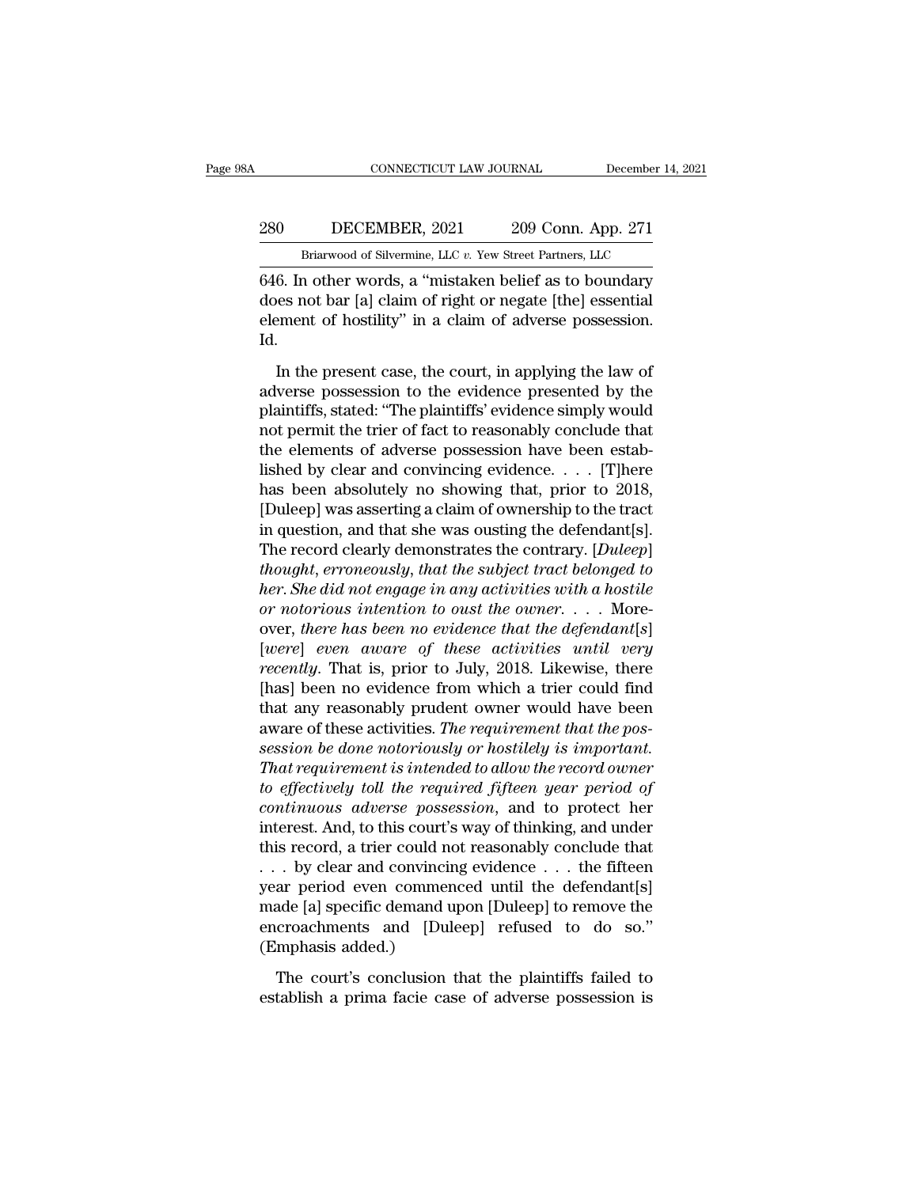### EXECUTE CONNECTICUT LAW JOURNAL December 14, 2021<br>280 DECEMBER, 2021 209 Conn. App. 271<br>Briarwood of Silvermine, LLC v. Yew Street Partners, LLC CONNECTICUT LAW JOURNAL December 14,<br>DECEMBER, 2021 209 Conn. App. 271<br>Briarwood of Silvermine, LLC *v.* Yew Street Partners, LLC<br>n other words a "mistaken belief as to boundary

666. CONNECTICUT LAW JOURNAL December 14, 2021<br>
260 DECEMBER, 2021 209 Conn. App. 271<br>
Briarwood of Silvermine, LLC v. Yew Street Partners, LLC<br>
646. In other words, a "mistaken belief as to boundary<br>
does not bar [a] clai 280 DECEMBER, 2021 209 Conn. App. 271<br>Briarwood of Silvermine, LLC v. Yew Street Partners, LLC<br>646. In other words, a "mistaken belief as to boundary<br>does not bar [a] claim of right or negate [the] essential<br>element of hos element of hostility'' in a claim of adverse possession.<br>
1999 Conn. App. 271<br>
1999 Conn. App. 271<br>
1999 Conn. App. 271<br>
1999 Conn. App. 271<br>
1999 Conn. App. 271<br>
1999 Conn. App. 271<br>
1999 Gonn. App. 271<br>
1999 Gonn. App. 2 Id. Briarwood of Silvermine, LLC  $v$ . Yew Street Partners, LLC<br>
6. In other words, a "mistaken belief as to boundary<br>
less not bar [a] claim of right or negate [the] essential<br>
ement of hostility" in a claim of adverse posses  $\frac{1}{646}$ . In other words, a "mistaken belief as to boundary<br>does not bar [a] claim of right or negate [the] essential<br>element of hostility" in a claim of adverse possession.<br>Id.<br>In the present case, the court, in apply

plantiffs, stated: "The plaintiffs' evidence possession.<br>
Id.<br>
In the present case, the court, in applying the law of<br>
adverse possession to the evidence presented by the<br>
plaintiffs, stated: "The plaintiffs' evidence simp notes not satisfy cannot right of higher progress possession.<br>Id.<br>In the present case, the court, in applying the law of<br>adverse possession to the evidence presented by the<br>plaintiffs, stated: "The plaintiffs' evidence sim element of hostility" in a claim of adverse possession.<br>Id.<br>In the present case, the court, in applying the law of<br>adverse possession to the evidence presented by the<br>plaintiffs, stated: "The plaintiffs' evidence simply w In the present case, the court, in applying the law of<br>adverse possession to the evidence presented by the<br>plaintiffs, stated: "The plaintiffs' evidence simply would<br>not permit the trier of fact to reasonably conclude tha In the present case, the court, in applying the law of<br>adverse possession to the evidence presented by the<br>plaintiffs, stated: "The plaintiffs' evidence simply would<br>not permit the trier of fact to reasonably conclude tha adverse possession to the evidence presented by the<br>plaintiffs, stated: "The plaintiffs' evidence simply would<br>not permit the trier of fact to reasonably conclude that<br>the elements of adverse possession have been estab-<br>li plaintiffs, stated: "The plaintiffs' evidence simply would<br>not permit the trier of fact to reasonably conclude that<br>the elements of adverse possession have been estab-<br>lished by clear and convincing evidence. . . . . [T]he not permit the trier of fact to reasonably conclude that<br>the elements of adverse possession have been estab-<br>lished by clear and convincing evidence. . . . . [T]here<br>has been absolutely no showing that, prior to 2018,<br>[Dul the elements of adverse possession have been established by clear and convincing evidence. . . . [T]here<br>has been absolutely no showing that, prior to 2018,<br>[Duleep] was asserting a claim of ownership to the tract<br>in ques lished by clear and convincing evidence. . . . . [T]here<br>has been absolutely no showing that, prior to 2018,<br>[Duleep] was asserting a claim of ownership to the tract<br>in question, and that she was ousting the defendant[s].<br> has been absolutely no showing that, prior to 2018,<br>
[Duleep] was asserting a claim of ownership to the tract<br>
in question, and that she was ousting the defendant[s].<br>
The record clearly demonstrates the contrary. [*Duleep* [Duleep] was asserting a claim of ownership to the tract<br>in question, and that she was ousting the defendant[s].<br>The record clearly demonstrates the contrary. [*Duleep*]<br>*thought, erroneously, that the subject tract belong* in question, and that she was ousting the defendant[s].<br>The record clearly demonstrates the contrary. [*Duleep*]<br>*thought, erroneously, that the subject tract belonged to*<br>*her. She did not engage in any activities with a* The record clearly demonstrates the contrary. [*Duleep*]<br> *thought, erroneously, that the subject tract belonged to*<br> *her. She did not engage in any activities with a hostile*<br> *or notorious intention to oust the owner.* thought, erroneously, that the subject tract belonged to<br>her. She did not engage in any activities with a hostile<br>or notorious intention to oust the owner.... More-<br>over, there has been no evidence that the defendant[s]<br>[ her. She did not engage in any activities with a hostile<br>or notorious intention to oust the owner.... More-<br>over, there has been no evidence that the defendant[s]<br>[were] even aware of these activities until very<br>recently. or notorious intention to oust the owner. . . . More-<br>over, there has been no evidence that the defendant[s]<br>[were] even aware of these activities until very<br>recently. That is, prior to July, 2018. Likewise, there<br>[has] be *sexet over, there has been no evidence that the defendant*[*s*] *[were] even aware of these activities until very recently. That is, prior to July, 2018. Likewise, there [has] been no evidence from which a trier could f* [were] even aware of these activities until very<br>recently. That is, prior to July, 2018. Likewise, there<br>[has] been no evidence from which a trier could find<br>that any reasonably prudent owner would have been<br>aware of these *recently.* That is, prior to July, 2018. Likewise, there<br>[has] been no evidence from which a trier could find<br>that any reasonably prudent owner would have been<br>aware of these activities. *The requirement that the pos-*<br>s [has] been no evidence from which a trier could find<br>that any reasonably prudent owner would have been<br>aware of these activities. *The requirement that the pos-*<br>session be done notoriously or hostilely is important.<br>That that any reasonably prudent owner would have been<br>aware of these activities. The requirement that the pos-<br>session be done notoriously or hostilely is important.<br>That requirement is intended to allow the record owner<br>to ef aware of these activities. The requirement that the possession be done notoriously or hostilely is important.<br>That requirement is intended to allow the record ouner<br>to effectively toll the required fifteen year period of<br> session be done notoriously or hostilely is important.<br>That requirement is intended to allow the record owner<br>to effectively toll the required fifteen year period of<br>continuous adverse possession, and to protect her<br>inter That requirement is intended to allow the record owner<br>to effectively toll the required fifteen year period of<br>continuous adverse possession, and to protect her<br>interest. And, to this court's way of thinking, and under<br>th to effectively toll the required fifteen year period of<br>continuous adverse possession, and to protect her<br>interest. And, to this court's way of thinking, and under<br>this record, a trier could not reasonably conclude that<br>continuous adverse possession, and to protect her interest. And, to this court's way of thinking, and under this record, a trier could not reasonably conclude that  $\ldots$  by clear and convincing evidence  $\ldots$  the fifteen interest. And, to this court's<br>this record, a trier could no<br>. . . by clear and convincin<br>year period even commer<br>made [a] specific demand u<br>encroachments and [Dul<br>(Emphasis added.)<br>The court's conclusion by clear and convincing evidence  $\ldots$  the fifteen<br>ar period even commenced until the defendant[s]<br>ade [a] specific demand upon [Duleep] to remove the<br>croachments and [Duleep] refused to do so."<br>mphasis added.)<br>The court' extinguion of the defendant period even commenced until the defendant [s] made [a] specific demand upon [Duleep] to remove the encroachments and [Duleep] refused to do so." (Emphasis added.)<br>The court's conclusion that the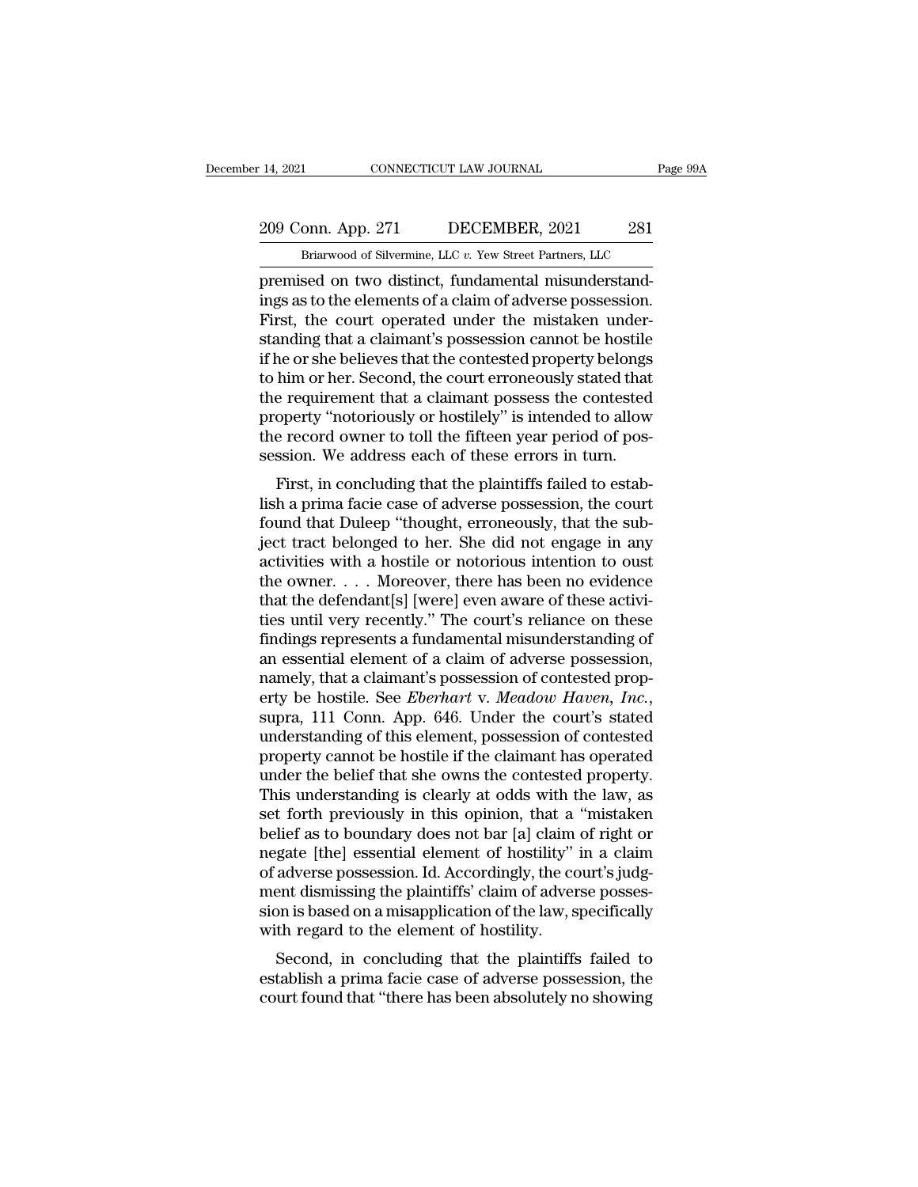### 209 Conn. App. 271 DECEMBER, 2021 281<br>Briarwood of Silvermine, LLC v. Yew Street Partners, LLC EXECTIVE LAW JOURNAL Page<br>
DRIGHT DECEMBER, 2021 281<br>
Briarwood of Silvermine, LLC *v.* Yew Street Partners, LLC<br>
Sed on two distinct fundamental misunderstand-

14, 2021 CONNECTICUT LAW JOURNAL<br>
209 Conn. App. 271 DECEMBER, 2021 281<br>
Briarwood of Silvermine, LLC v. Yew Street Partners, LLC<br>
premised on two distinct, fundamental misunderstand-<br>
ings as to the elements of a claim of 209 Conn. App. 271 DECEMBER, 2021 281<br>Briarwood of Silvermine, LLC v. Yew Street Partners, LLC<br>premised on two distinct, fundamental misunderstand-<br>ings as to the elements of a claim of adverse possession.<br>First, the court 209 Conn. App. 271 DECEMBER, 2021 281<br>
Briarwood of Silvermine, LLC v. Yew Street Partners, LLC<br>
premised on two distinct, fundamental misunderstand-<br>
ings as to the elements of a claim of adverse possession.<br>
First, the 209 Conn. App. 271 DECEMBER, 2021 281<br>
Briarwood of Silvermine, LLC  $v$ . Yew Street Partners, LLC<br>
premised on two distinct, fundamental misunderstand-<br>
ings as to the elements of a claim of adverse possession.<br>
First, th Briarwood of Silvermine, LLC v. Yew Street Partners, LLC<br>premised on two distinct, fundamental misunderstand-<br>ings as to the elements of a claim of adverse possession.<br>First, the court operated under the mistaken under-<br>st Brarwood of silvermine, LLC  $v$ . Yew street Partners, LLC<br>premised on two distinct, fundamental misunderstand-<br>ings as to the elements of a claim of adverse possession.<br>First, the court operated under the mistaken under-<br> premised on two distinct, fundamental misunderstandings as to the elements of a claim of adverse possession.<br>First, the court operated under the mistaken understanding that a claimant's possession cannot be hostile<br>if he o ings as to the elements of a claim of adverse possession.<br>First, the court operated under the mistaken under-<br>standing that a claimant's possession cannot be hostile<br>if he or she believes that the contested property belong First, the court operated under the mistaken under-<br>standing that a claimant's possession cannot be hostile<br>if he or she believes that the contested property belongs<br>to him or her. Second, the court erroneously stated that standing that a claimant's possession cannot be hostile<br>if he or she believes that the contested property belongs<br>to him or her. Second, the court erroneously stated that<br>the requirement that a claimant possess the contest First, in concluding that the plaintiffs failed to estab-<br>him or her. Second, the court erroneously stated that<br>e requirement that a claimant possess the contested<br>operty "notoriously or hostilely" is intended to allow<br>e r lish a prima facie case of adverse possession, the court ended to allow<br>the requirement that a claimant possess the contested<br>property "notoriously or hostilely" is intended to allow<br>the record owner to toll the fifteen ye

for equivenent that a claimant possess the contested<br>property "notoriously or hostilely" is intended to allow<br>the record owner to toll the fifteen year period of pos-<br>session. We address each of these errors in turn.<br>First property incorrously of nosthery is intended to anow<br>the record owner to toll the fifteen year period of pos-<br>session. We address each of these errors in turn.<br>First, in concluding that the plaintiffs failed to estab-<br>lish the record owner to ton the inteent year period or possession. We address each of these errors in turn.<br>First, in concluding that the plaintiffs failed to establish a prima facie case of adverse possession, the court<br>found session. We address each of these errors in turn.<br>First, in concluding that the plaintiffs failed to estab-<br>lish a prima facie case of adverse possession, the court<br>found that Duleep "thought, erroneously, that the sub-<br>je First, in concluding that the plaintiffs failed to establish a prima facie case of adverse possession, the court<br>found that Duleep "thought, erroneously, that the sub-<br>ject tract belonged to her. She did not engage in any lish a prima facie case of adverse possession, the court<br>found that Duleep "thought, erroneously, that the sub-<br>ject tract belonged to her. She did not engage in any<br>activities with a hostile or notorious intention to oust found that Duleep "thought, erroneously, that the sub-<br>ject tract belonged to her. She did not engage in any<br>activities with a hostile or notorious intention to oust<br>the owner. . . . Moreover, there has been no evidence<br>th ject tract belonged to her. She did not engage in any<br>activities with a hostile or notorious intention to oust<br>the owner.... Moreover, there has been no evidence<br>that the defendant[s] [were] even aware of these activi-<br>tie activities with a hostile or notorious intention to oust<br>the owner. . . . Moreover, there has been no evidence<br>that the defendant[s] [were] even aware of these activi-<br>ties until very recently." The court's reliance on th the owner. . . . Moreover, there has been no evidence<br>that the defendant[s] [were] even aware of these activi-<br>ties until very recently." The court's reliance on these<br>findings represents a fundamental misunderstanding of<br> ties until very recently." The court's reliance on these<br>findings represents a fundamental misunderstanding of<br>an essential element of a claim of adverse possession,<br>namely, that a claimant's possession of contested prop-<br> findings represents a fundamental misunderstanding of<br>an essential element of a claim of adverse possession,<br>namely, that a claimant's possession of contested prop-<br>erty be hostile. See *Eberhart* v. Meadow Haven, Inc.,<br>su an essential element of a claim of adverse possession,<br>namely, that a claimant's possession of contested prop-<br>erty be hostile. See *Eberhart* v. Meadow Haven, Inc.,<br>supra, 111 Conn. App. 646. Under the court's stated<br>unde namely, that a claimant's possession of contested property be hostile. See *Eberhart* v. *Meadow Haven*, *Inc.*, supra, 111 Conn. App. 646. Under the court's stated understanding of this element, possession of contested pr erty be hostile. See *Eberhart* v. Meadow Haven, Inc.,<br>supra, 111 Conn. App. 646. Under the court's stated<br>understanding of this element, possession of contested<br>property cannot be hostile if the claimant has operated<br>unde supra, 111 Conn. App. 646. Under the court's stated<br>understanding of this element, possession of contested<br>property cannot be hostile if the claimant has operated<br>under the belief that she owns the contested property.<br>This understanding of this element, possession of contested<br>property cannot be hostile if the claimant has operated<br>under the belief that she owns the contested property.<br>This understanding is clearly at odds with the law, as<br>s property cannot be hostile if the claimant has operated<br>under the belief that she owns the contested property.<br>This understanding is clearly at odds with the law, as<br>set forth previously in this opinion, that a "mistaken<br>b under the belief that she owns the contested property.<br>This understanding is clearly at odds with the law, as<br>set forth previously in this opinion, that a "mistaken<br>belief as to boundary does not bar [a] claim of right or<br> This understanding is clearly at odds with the law, as<br>set forth previously in this opinion, that a "mistaken<br>belief as to boundary does not bar [a] claim of right or<br>negate [the] essential element of hostility" in a claim set forth previously in this opinion, that a<br>belief as to boundary does not bar [a] claim<br>negate [the] essential element of hostility"<br>of adverse possession. Id. Accordingly, the co<br>ment dismissing the plaintiffs' claim of The as to boundary does not bar [a] claim of right of<br>gate [the] essential element of hostility" in a claim<br>adverse possession. Id. Accordingly, the court's judg-<br>ent dismissing the plaintiffs' claim of adverse posses-<br>on regate [the] essential element of nostinty and a claim<br>of adverse possession. Id. Accordingly, the court's judg-<br>ment dismissing the plaintiffs' claim of adverse posses-<br>sion is based on a misapplication of the law, specif or adverse possession. Id. Accordingly, the court s judgment dismissing the plaintiffs' claim of adverse possession is based on a misapplication of the law, specifically with regard to the element of hostility.<br>Second, in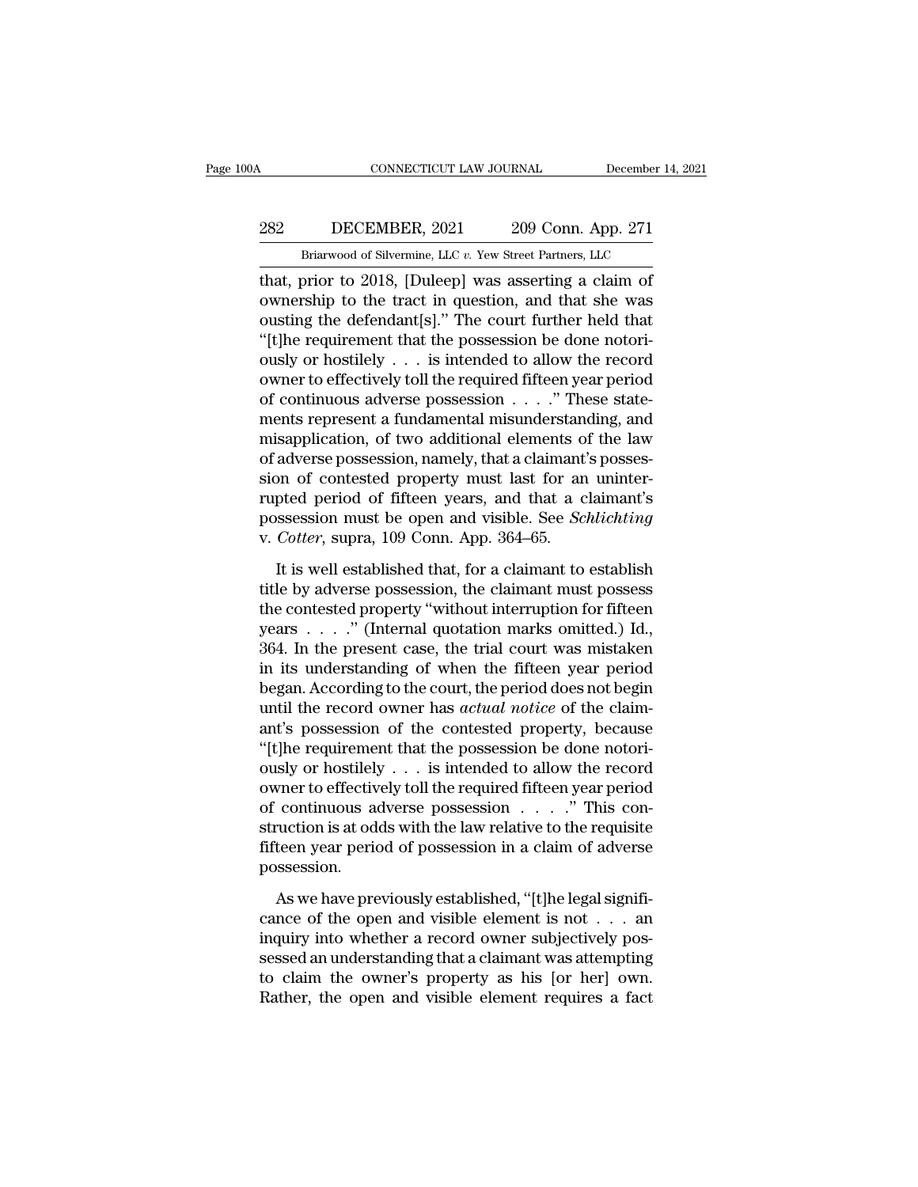### CONNECTICUT LAW JOURNAL December 14, 2021<br>282 DECEMBER, 2021 209 Conn. App. 271<br>Briarwood of Silvermine, LLC v. Yew Street Partners, LLC CONNECTICUT LAW JOURNAL December 14,<br>DECEMBER, 2021 209 Conn. App. 271<br>Briarwood of Silvermine, LLC *v.* Yew Street Partners, LLC<br>prior to 2018. [Duleen] was asserting a claim of

CONNECTICUT LAW JOURNAL December 14, 202<br>
282 DECEMBER, 2021 209 Conn. App. 271<br>
Briarwood of Silvermine, LLC v. Yew Street Partners, LLC<br>
that, prior to 2018, [Duleep] was asserting a claim of<br>
ownership to the tract in q DECEMBER, 2021 209 Conn. App. 271<br>
Briarwood of Silvermine, LLC v. Yew Street Partners, LLC<br>
that, prior to 2018, [Duleep] was asserting a claim of<br>
ownership to the tract in question, and that she was<br>
ousting the defenda 282 DECEMBER, 2021 209 Conn. App. 271<br>
Briarwood of Silvermine, LLC v. Yew Street Partners, LLC<br>
that, prior to 2018, [Duleep] was asserting a claim of<br>
ownership to the tract in question, and that she was<br>
ousting the de  $\frac{282}{\text{Briarwood of Silvermine, LLC }v. \text{ Yew Street Partners, LLC}}$ <br>
Heriarwood of Silvermine, LLC  $v. \text{ Yew Street Partners, LLC}}$ <br>
that, prior to 2018, [Duleep] was asserting a claim of<br>
ownership to the tract in question, and that she was<br>
ousting the defendant[s] Briarwood of Silvermine, LLC v. Yew Street Partners, LLC<br>that, prior to 2018, [Duleep] was asserting a claim of<br>ownership to the tract in question, and that she was<br>ousting the defendant[s]." The court further held that<br>" black of a silver<br>that, prior to 2018, [Duleep] was asserting a claim of<br>ownership to the tract in question, and that she was<br>ousting the defendant[s]." The court further held that<br>"[t]he requirement that the possession b that, prior to 2018, [Duleep] was asserting a claim of ownership to the tract in question, and that she was ousting the defendant[s]." The court further held that "[t]he requirement that the possession be done notoriously ownership to the tract in question, and that she was<br>ousting the defendant[s]." The court further held that<br>"[t]he requirement that the possession be done notori-<br>ously or hostilely  $\dots$  is intended to allow the record<br>ow ousting the defendant[s]." The court further held that<br>"[t]he requirement that the possession be done notori-<br>ously or hostilely . . . is intended to allow the record<br>owner to effectively toll the required fifteen year per "[t]he requirement that the possession be done notoriously or hostilely  $\ldots$  is intended to allow the record owner to effectively toll the required fifteen year period of continuous adverse possession  $\ldots$ ." These state ously or hostilely  $\dots$  is intended to allow the record owner to effectively toll the required fifteen year period of continuous adverse possession  $\dots$ ." These statements represent a fundamental misunderstanding, and mis owner to effectively toll the required fifteen year period<br>of continuous adverse possession  $\ldots$ ." These state-<br>ments represent a fundamental misunderstanding, and<br>misapplication, of two additional elements of the law<br>of of continuous adverse possession . . . ." These statements represent a fundamental misunderstanding, and misapplication, of two additional elements of the law of adverse possession, namely, that a claimant's possession of ments represent a fundamental misunderstan<br>misapplication, of two additional elements of<br>adverse possession, namely, that a claimant<br>sion of contested property must last for an<br>rupted period of fifteen years, and that a c<br> adverse possession, namely, that a claimant's posses-<br>on of contested property must last for an uninter-<br>pted period of fifteen years, and that a claimant's<br>ssession must be open and visible. See *Schlichting*<br>*Cotter*, su sion of contested property must last for an uninter-<br>rupted period of fifteen years, and that a claimant's<br>possession must be open and visible. See *Schlichting*<br>v. *Cotter*, supra, 109 Conn. App. 364–65.<br>It is well estab

rupted period of fifteen years, and that a claimant's<br>possession must be open and visible. See *Schlichting*<br>v. *Cotter*, supra, 109 Conn. App. 364–65.<br>It is well established that, for a claimant to establish<br>title by adv possession must be open and visible. See *Schlichting*<br>v. *Cotter*, supra, 109 Conn. App. 364–65.<br>It is well established that, for a claimant to establish<br>title by adverse possession, the claimant must possess<br>the contest v. Cotter, supra, 109 Conn. App. 364–65.<br>
It is well established that, for a claimant to establish<br>
title by adverse possession, the claimant must possess<br>
the contested property "without interruption for fifteen<br>
years It is well established that, for a claimant to establish<br>title by adverse possession, the claimant must possess<br>the contested property "without interruption for fifteen<br>years  $\dots$ ." (Internal quotation marks omitted.) Id. It is well established that, for a claimant to establish<br>title by adverse possession, the claimant must possess<br>the contested property "without interruption for fifteen<br>years  $\dots$ ." (Internal quotation marks omitted.) Id. title by adverse possession, the claimant must possess<br>the contested property "without interruption for fifteen<br>years . . . . ." (Internal quotation marks omitted.) Id.,<br>364. In the present case, the trial court was mistak the contested property "without interruption for fifteen<br>years  $\dots$ ." (Internal quotation marks omitted.) Id.,<br>364. In the present case, the trial court was mistaken<br>in its understanding of when the fifteen year period<br>be years  $\ldots$  ." (Internal quotation marks omitted.) Id., 364. In the present case, the trial court was mistaken<br>in its understanding of when the fifteen year period<br>began. According to the court, the period does not begin<br> 364. In the present case, the trial court was mistaken<br>in its understanding of when the fifteen year period<br>began. According to the court, the period does not begin<br>until the record owner has *actual notice* of the claimin its understanding of when the fifteen year period<br>began. According to the court, the period does not begin<br>until the record owner has *actual notice* of the claim-<br>ant's possession of the contested property, because<br>"[ began. According to the court, the period does not begin<br>until the record owner has *actual notice* of the claim-<br>ant's possession of the contested property, because<br>"[t]he requirement that the possession be done notori-<br>o until the record owner has *actual notice* of the claim-<br>ant's possession of the contested property, because<br>"[t]he requirement that the possession be done notori-<br>ously or hostilely . . . is intended to allow the record<br> ant's possession of the contested property, because<br>"[t]he requirement that the possession be done notori-<br>ously or hostilely  $\dots$  is intended to allow the record<br>owner to effectively toll the required fifteen year period possession. Fractively toll the required fifteen year period<br>continuous adverse possession  $\ldots$ ." This con-<br>vection is at odds with the law relative to the requisite<br>teen year period of possession in a claim of adverse<br>ssession.<br>As cance of the open and visible element is not . . . an

struction is at odds with the law relative to the requisite<br>fifteen year period of possession in a claim of adverse<br>possession.<br>As we have previously established, "[t]he legal signifi-<br>cance of the open and visible elemen fifteen year period of possession in a claim of adverse<br>possession.<br>As we have previously established, "[t]he legal signifi-<br>cance of the open and visible element is not  $\dots$  an<br>inquiry into whether a record owner subject possession.<br>
As we have previously established, "[t]he legal significance of the open and visible element is not  $\dots$  an inquiry into whether a record owner subjectively possessed an understanding that a claimant was atte As we have previously established, "[t]he legal significance of the open and visible element is not  $\ldots$  and inquiry into whether a record owner subjectively possessed an understanding that a claimant was attempting to c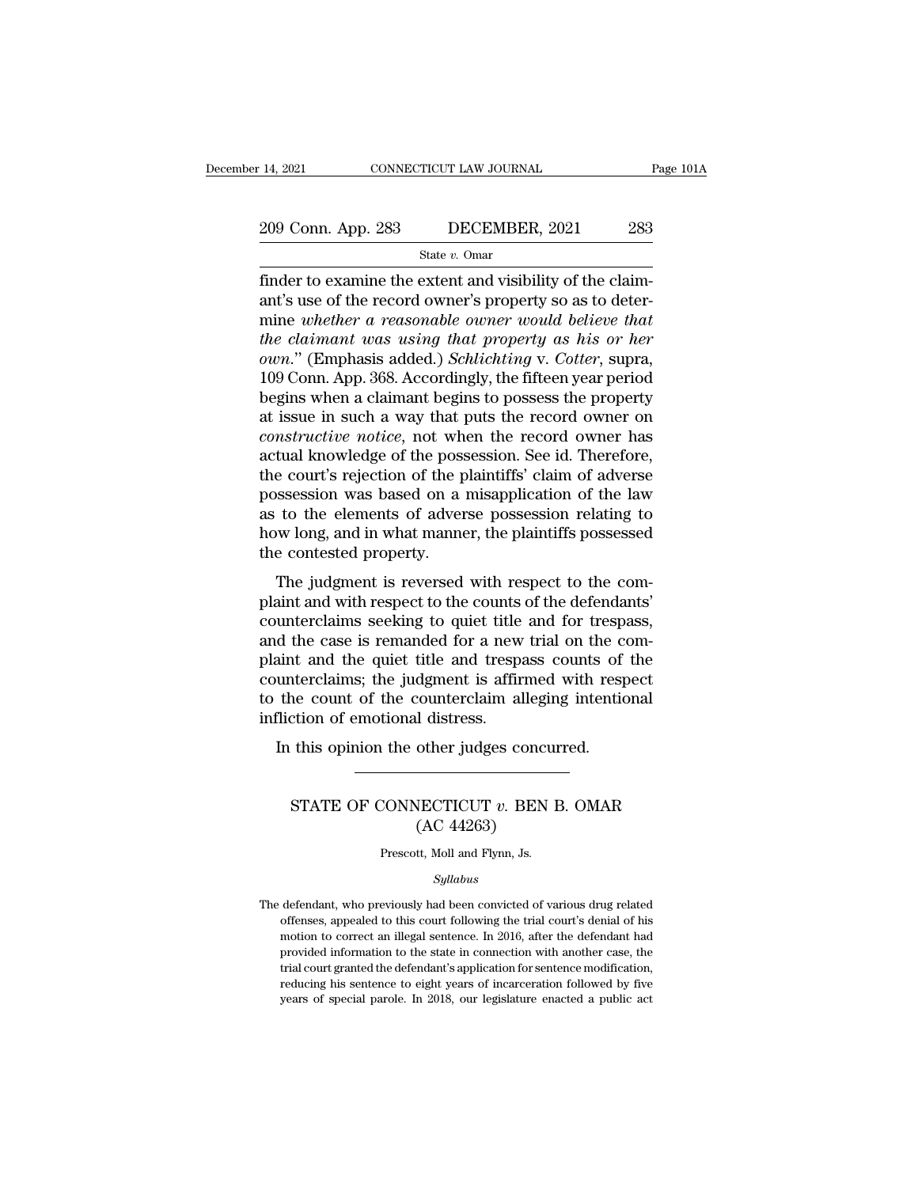# 14, 2021 CONNECTICUT LAW JOURNAL Page 101A<br>209 Conn. App. 283 DECEMBER, 2021 283<br>State v. Omar

State *v.* Omar

Finder to examine the extent and visibility of the claim-<br>
finder to examine the extent and visibility of the claim-<br>
finder to examine the extent and visibility of the claim-<br>
ant's use of the record owner's property so 209 Conn. App. 283 DECEMBER, 2021 283<br>
State v. Omar<br>
finder to examine the extent and visibility of the claim-<br>
ant's use of the record owner's property so as to deter-<br>
mine whether a reasonable owner would believe that 209 Conn. App. 283 DECEMBER, 2021 283<br>  $\frac{\text{State } v.\text{ Omar}}{\text{finder to examine the extent and visibility of the claim-}}$ <br>
ant's use of the record owner's property so as to determine *whether a reasonable owner would believe that*<br>
the claimant was using that property as h *the claimant's use of the record owner's property so as to determine whether a reasonable owner's property so as to determine whether a reasonable owner would believe that the claimant was using that property as his or he State v. Omar*<br> *State v. Omar*<br> **ondarism: on contains** in the extent and visibility of the claim-<br>
ant's use of the record owner's property so as to deter-<br>
mine *whether a reasonable owner would believe that*<br> *the* State v. Omar<br>
finder to examine the extent and visibility of the claim-<br>
ant's use of the record owner's property so as to deter-<br>
mine whether a reasonable owner would believe that<br>
the claimant was using that property finder to examine the extent and visibility of the claim-<br>ant's use of the record owner's property so as to deter-<br>mine *whether a reasonable owner would believe that*<br>the claimant was using that property as his or her<br>own ant's use of the record owner's property so as to deter-<br>mine *whether a reasonable owner would believe that*<br>the claimant was using that property as his or her<br>own." (Emphasis added.) *Schlichting* v. Cotter, supra,<br>109 C mine *whether a reasonable owner would believe that*<br>*the claimant was using that property as his or her*<br>*own.*" (Emphasis added.) *Schlichting* v. *Cotter*, supra,<br>109 Conn. App. 368. Accordingly, the fifteen year period the claimant was using that property as his or her<br>own." (Emphasis added.) Schlichting v. Cotter, supra,<br>109 Conn. App. 368. Accordingly, the fifteen year period<br>begins when a claimant begins to possess the property<br>at iss own." (Emphasis added.) *Schlichting* v. *Cotter*, supra, 109 Conn. App. 368. Accordingly, the fifteen year period begins when a claimant begins to possess the property at issue in such a way that puts the record owner on 109 Conn. App. 368. Accordingly, the fifteen year period<br>begins when a claimant begins to possess the property<br>at issue in such a way that puts the record owner on<br>*constructive notice*, not when the record owner has<br>actua begins when a claimant begins to possess the property<br>at issue in such a way that puts the record owner on<br>constructive notice, not when the record owner has<br>actual knowledge of the possession. See id. Therefore,<br>the court at issue in such a way that puts the record owner on<br>constructive notice, not when the record owner has<br>actual knowledge of the possession. See id. Therefore,<br>the court's rejection of the plaintiffs' claim of adverse<br>posse constructive notice, not wh<br>actual knowledge of the poss<br>the court's rejection of the p<br>possession was based on a<br>as to the elements of adver<br>how long, and in what manne<br>the contested property.<br>The judgment is reversed Fractural Kilowieuge of the possession. See id. Therefore,<br>
e court's rejection of the plaintiffs' claim of adverse<br>
ssession was based on a misapplication of the law<br>
to the elements of adverse possession relating to<br>
w l possession was based on a misapplication of the law<br>as to the elements of adverse possession relating to<br>how long, and in what manner, the plaintiffs possessed<br>the contested property.<br>The judgment is reversed with respect

possession was based on a misappincation of the law<br>as to the elements of adverse possession relating to<br>how long, and in what manner, the plaintiffs possessed<br>the contested property.<br>The judgment is reversed with respect as to the clements of adverse possession relating to<br>how long, and in what manner, the plaintiffs possessed<br>the contested property.<br>The judgment is reversed with respect to the com-<br>plaint and with respect to the counts of plant and the video property.<br>
The judgment is reversed with respect to the com-<br>
plaint and with respect to the counts of the defendants'<br>
counterclaims seeking to quiet title and for trespass,<br>
and the case is remanded f The judgment is reversed with respect to the com-<br>plaint and with respect to the counts of the defendants'<br>counterclaims seeking to quiet title and for trespass,<br>and the case is remanded for a new trial on the com-<br>plaint The judgment is reversed with respect to the complaint and with respect to the counts of the defendants' counterclaims seeking to quiet title and for trespass, and the case is remanded for a new trial on the complaint and plaint and with respect to the counts<br>counterclaims seeking to quiet title<br>and the case is remanded for a new<br>plaint and the quiet title and tresp:<br>counterclaims; the judgment is affir<br>to the count of the counterclaim al<br>i In this opinion the other judges concurred.<br>In this opinion the other judgment is affirmed with respected in the count of the counterclaim alleging intention<br>fliction of emotional distress.<br>In this opinion the other judges Exercisantly, the Jacquette is antified what respect<br>ne count of the counterclaim alleging intentional<br>ction of emotional distress.<br>this opinion the other judges concurred.<br>STATE OF CONNECTICUT *v*. BEN B. OMAR<br>(AC 44263)

#### I distress.<br>
other judges concu<br>
WECTICUT v. BEN<br>
(AC 44263)<br>
tt, Moll and Flynn, Js. STATE OF CONNECTICUT  $v$ . BEN B. OMAR<br>(AC 44263)<br>Prescott, Moll and Flynn, Js.

#### *Syllabus*

 $(AC 44263)$ <br>Prescott, Moll and Flynn, Js.<br> $Syllabus$ <br>The defendant, who previously had been convicted of various drug related<br>offenses, appealed to this court following the trial court's denial of his offenses, appealed to this court following the trial court's defendant, who previously had been convicted of various drug related offenses, appealed to this court following the trial court's denial of his motion to correct Prescott, Moll and Flynn, Js.<br>
Syllabus<br>
defendant, who previously had been convicted of various drug related<br>
offenses, appealed to this court following the trial court's denial of his<br>
motion to correct an illegal senten *Syllabus*<br>defendant, who previously had been convicted of various drug related<br>offenses, appealed to this court following the trial court's denial of his<br>motion to correct an illegal sentence. In 2016, after the defendant The defendant, who previously had been convicted of various drug related offenses, appealed to this court following the trial court's denial of his motion to correct an illegal sentence. In 2016, after the defendant had pr defendant, who previously had been convicted of various drug related offenses, appealed to this court following the trial court's denial of his motion to correct an illegal sentence. In 2016, after the defendant had provid offenses, appealed to this court following the trial court's denial of his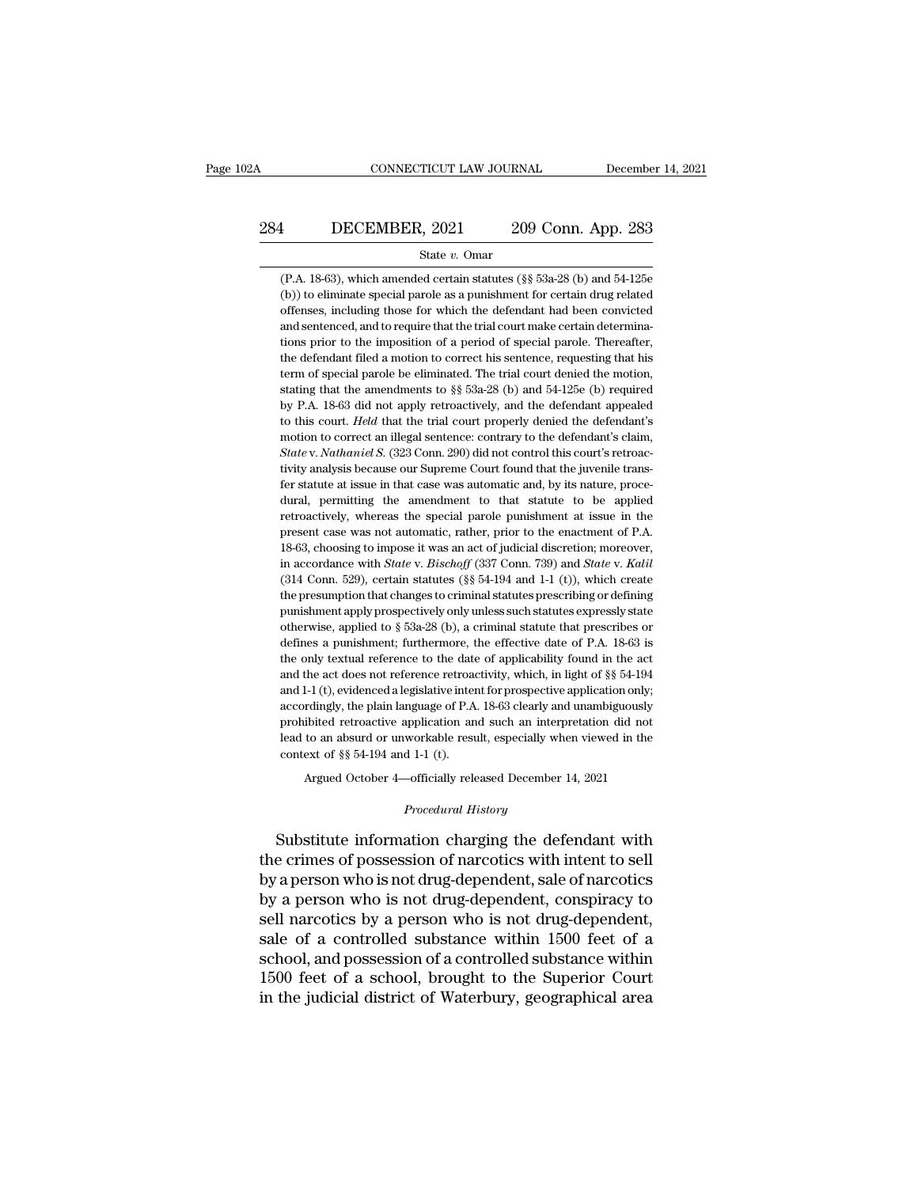# CONNECTICUT LAW JOURNAL December 14, 2021<br>284 DECEMBER, 2021 209 Conn. App. 283<br>284 State v. Omar

#### State *v.* Omar

1 DECEMBER, 2021 209 Conn. App. 283<br>
State v. Omar<br>
(P.A. 18-63), which amended certain statutes (§§ 53a-28 (b) and 54-125e<br>
(b)) to eliminate special parole as a punishment for certain drug related (b)) to eliminate special parole as a punishment for certain drug related offenses, including those for which the defendant had been convicted offenses, including those for which the defendant had been convicted **1** DECEMBER, 2021 209 Conn. App. 283<br>
State v. Omar<br>
(P.A. 18-63), which amended certain statutes (§§ 53a-28 (b) and 54-125e<br>
(b)) to eliminate special parole as a punishment for certain drug related<br>
offenses, including (P.A. 18-63), which amended certain statutes ( $\S$ § 53a-28 (b) and 54-125e (b)) to eliminate special parole as a punishment for certain drug related offenses, including those for which the defendant had been convicted and State  $v$ . Omar<br>
(P.A. 18-63), which amended certain statutes (§§ 53a-28 (b) and 54-125e<br>
(b)) to eliminate special parole as a punishment for certain drug related<br>
offenses, including those for which the defendant had be (P.A. 18-63), which amended certain statutes ( $\S$ § 53a-28 (b) and 54-125e (b)) to eliminate special parole as a punishment for certain drug related offenses, including those for which the defendant had been convicted and (b)) to eliminate special parole as a punishment for certain drug related offenses, including those for which the defendant had been convicted and sentenced, and to require that the trial court make certain determinations offenses, including those for which the defendant had been convicted and sentenced, and to require that the trial court make certain determinations prior to the imposition of a period of special parole. Thereafter, the de and sentenced, and to require that the trial court make certain determina-<br>tions prior to the imposition of a period of special parole. Thereafter,<br>the defendant filed a motion to correct his sentence, requesting that his tions prior to the imposition of a period of special parole. Thereafter,<br>the defendant filed a motion to correct his sentence, requesting that his<br>term of special parole be eliminated. The trial court denied the motion,<br>st the defendant filed a motion to correct his sentence, requesting that his term of special parole be eliminated. The trial court denied the motion, stating that the amendments to  $\S$  53a-28 (b) and 54-125e (b) required by *Stater were term of special parole be eliminated. The trial court denied the motion, stating that the amendments to*  $\S$  $\S$  $\S$  $\S$  $3a-28$  *(b) and*  $54-125e$  *(b) required by P.A. 18-63 did not apply retroactively, and the* stating that the amendments to  $\S$  53a-28 (b) and 54-125e (b) required<br>by P.A. 18-63 did not apply retroactively, and the defendant appealed<br>to this court. *Held* that the trial court properly denied the defendant's<br>motio by P.A. 18-63 did not apply retroactively, and the defendant appealed<br>to this court. *Held* that the trial court properly denied the defendant's<br>motion to correct an illegal sentence: contrary to the defendant's claim,<br>*S* to this court. Held that the trial court properly denied the defendant's motion to correct an illegal sentence: contrary to the defendant's claim, *State v. Nathaniel S.* (323 Conn. 290) did not control this court's retroa motion to correct an illegal sentence: contrary to the defendant's claim,<br>State v. Nathaniel S. (323 Conn. 290) did not control this court's retroac-<br>tivity analysis because our Supreme Court found that the juvenile trans-State v. Nathaniel S. (323 Conn. 290) did not control this court's retroactivity analysis because our Supreme Court found that the juvenile transfer statute at issue in that case was automatic and, by its nature, procedura tivity analysis because our Supreme Court found that the juvenile transfer statute at issue in that case was automatic and, by its nature, procedural, permitting the amendment to that statute to be applied retroactively, w fer statute at issue in that case was automatic and, by its nature, proce-<br>dural, permitting the amendment to that statute to be applied<br>retroactively, whereas the special parole punishment at issue in the<br>present case was dural, permitting the amendment to that statute to be applied<br>retroactively, whereas the special parole punishment at issue in the<br>present case was not automatic, rather, prior to the enactment of P.A.<br>18-63, choosing to i retroactively, whereas the special parole punishment at issue in the present case was not automatic, rather, prior to the enactment of P.A. 18-63, choosing to impose it was an act of judicial discretion; moreover, in accor present case was not automatic, rather, prior to the enactment of P.A. 18-63, choosing to impose it was an act of judicial discretion; moreover, in accordance with *State* v. *Bischoff* (337 Conn. 739) and *State* v. *Kal* 18-63, choosing to impose it was an act of judicial discretion; moreover, in accordance with *State* v. *Bischoff* (337 Conn. 739) and *State* v. *Kalil* (314 Conn. 529), certain statutes (§§ 54-194 and 1-1 (t)), which cr in accordance with *State* v. *Bischoff* (337 Conn. 739) and *State* v. *Kalil* (314 Conn. 529), certain statutes (§§ 54-194 and 1-1 (t)), which create the presumption that changes to criminal statutes prescribing or defi (314 Conn. 529), certain statutes (§§ 54-194 and 1-1 (t)), which create the presumption that changes to criminal statutes prescribing or defining punishment apply prospectively only unless such statutes expressly state ot the presumption that changes to criminal statutes prescribing or defining punishment apply prospectively only unless such statutes expressly state otherwise, applied to  $\S$  53a-28 (b), a criminal statute that prescribes o punishment apply prospectively only unless such statutes expressly state otherwise, applied to § 53a-28 (b), a criminal statute that prescribes or defines a punishment; furthermore, the effective date of P.A. 18-63 is the otherwise, applied to § 53a-28 (b), a criminal statute that prescribes or defines a punishment; furthermore, the effective date of P.A. 18-63 is the only textual reference to the date of applicability found in the act and defines a punishment; furthermore, the effective date of P.A. 18-63 is<br>the only textual reference to the date of applicability found in the act<br>and the act does not reference retroactivity, which, in light of §§ 54-194<br>and the only textual reference to the date of applicability found in the act and the act does not reference retroactivity, which, in light of  $\S$  54-194 and 1-1 (t), evidenced a legislative intent for prospective application the only textual reference to the date of applicability found in the act<br>and the act does not reference retroactivity, which, in light of  $\S$  54-194<br>and 1-1 (t), evidenced a legislative intent for prospective application accordingly, the plain language of P.A. 18-63 clearly and unambiguously prohibited retroactive application and such an interpretation did not lead to an absurd or unworkable result, especially when viewed in the context o lead to an absurd or unworkable result, especially when viewed in the context of §§ 54-194 and 1-1 (t).<br> *Procedural History*<br> *Procedural History*<br> **Procedural History**<br> **Procedural History** 

prohibited retroactive application and such an interpretation did not<br>lead to an absurd or unworkable result, especially when viewed in the<br>context of §§ 54-194 and 1-1 (t).<br>Argued October 4—officially released December 14 lead to an absurd or unworkable result, especially when viewed in the<br>context of §§ 54-194 and 1-1 (t).<br>Argued October 4—officially released December 14, 2021<br>*Procedural History*<br>Substitute information charging the defend by a person who is not drug-dependent, conspiracy to<br>all person who is not drug-dependent, sale of narcotics<br>by a person who is not drug-dependent, sale of narcotics<br>by a person who is not drug-dependent, conspiracy to<br>sel Argued October 4—officially released December 14, 2021<br> *Procedural History*<br>
Substitute information charging the defendant with<br>
the crimes of possession of narcotics with intent to sell<br>
by a person who is not drug-depen *Procedural History*<br>
Substitute information charging the defendant with<br>
the crimes of possession of narcotics with intent to sell<br>
by a person who is not drug-dependent, sale of narcotics<br>
by a person who is not drug-dep Substitute information charging the defendant with<br>the crimes of possession of narcotics with intent to sell<br>by a person who is not drug-dependent, sale of narcotics<br>by a person who is not drug-dependent, conspiracy to<br>sel Substitute information charging the defendant with<br>the crimes of possession of narcotics with intent to sell<br>by a person who is not drug-dependent, sale of narcotics<br>by a person who is not drug-dependent, conspiracy to<br>sel the crimes of possession of narcotics with intent to sell<br>by a person who is not drug-dependent, sale of narcotics<br>by a person who is not drug-dependent, conspiracy to<br>sell narcotics by a person who is not drug-dependent,<br> by a person who is not drug-dependent, sale of narcotics<br>by a person who is not drug-dependent, conspiracy to<br>sell narcotics by a person who is not drug-dependent,<br>sale of a controlled substance within 1500 feet of a<br>schoo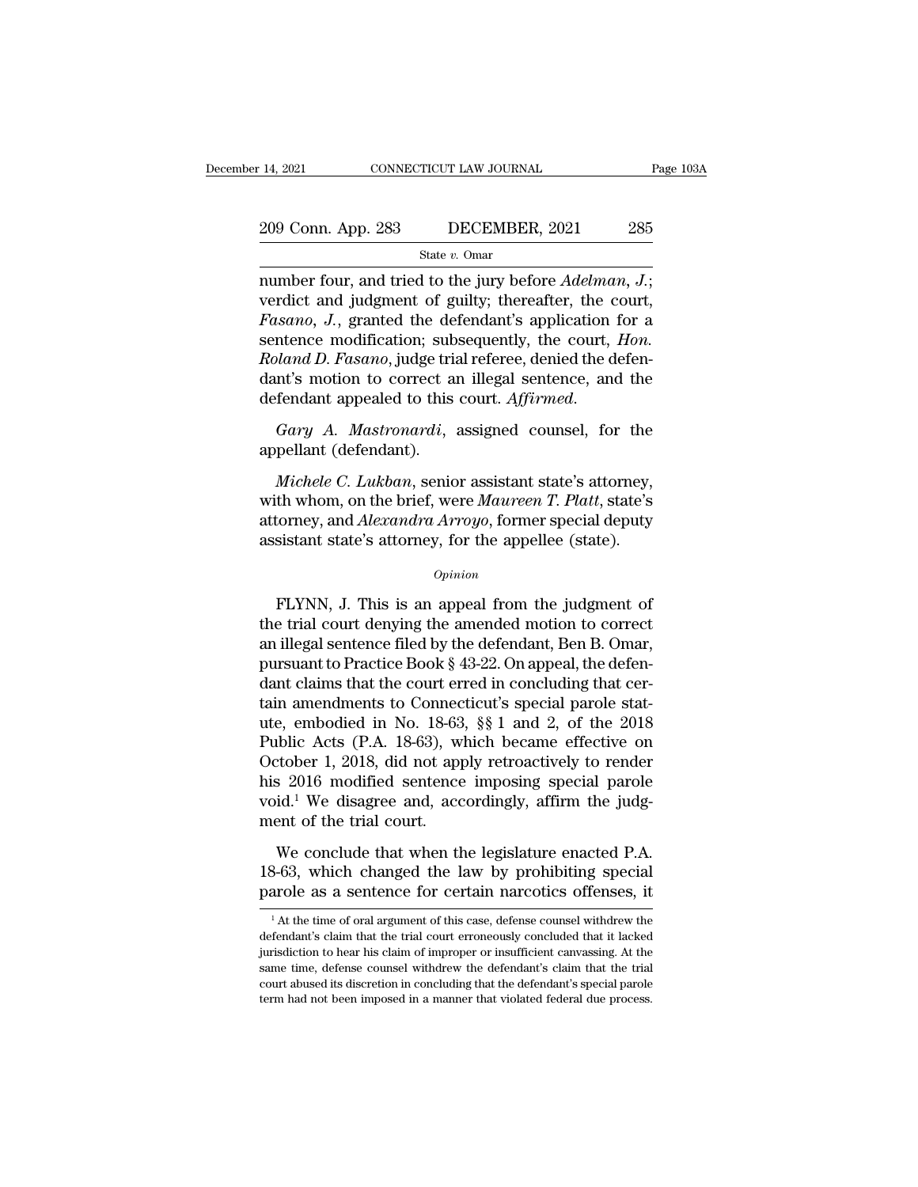# 14, 2021 CONNECTICUT LAW JOURNAL Page 103A<br>209 Conn. App. 283 DECEMBER, 2021 285<br>State v. Omar

State *v.* Omar

14, 2021 CONNECTICUT LAW JOURNAL Page 10<br>
209 Conn. App. 283 DECEMBER, 2021 285<br>
<sup>State v. Omar</sup><br>
number four, and tried to the jury before *Adelman, J.*;<br>
verdict and judgment of guilty; thereafter, the court, 209 Conn. App. 283 DECEMBER, 2021 285<br>
State v. Omar<br>
number four, and tried to the jury before *Adelman*, *J*.;<br>
verdict and judgment of guilty; thereafter, the court,<br> *Fasano*, *J*., granted the defendant's application 209 Conn. App. 283 DECEMBER, 2021 285<br> **Fasta** v. Omar<br> **Fastal** Thumber four, and tried to the jury before *Adelman*, *J*.;<br>
verdict and judgment of guilty; thereafter, the court,<br> *Fasano*, *J.*, granted the defendant's 209 Conn. App. 283 DECEMBER, 2021 285<br>
State v. Omar<br>
number four, and tried to the jury before *Adelman*, *J*.;<br>
verdict and judgment of guilty; thereafter, the court,<br> *Fasano*, *J.*, granted the defendant's application *Roland D. Fasano*, *Roland D. Fasano*, *J.*; *Roland D. Fasano*, *J.*; *Roland D. Fasano*, *J.*; *Roland D. Fasano*, *J.*, *Roland D. Fasano*, *J.*, *Roland D. Fasano*, *J.*, *Roland D. Fasano*, *J.*, *Roland D. Fasano*, state v. Omar<br>
number four, and tried to the jury before *Adelman*, *J*.;<br>
verdict and judgment of guilty; thereafter, the court,<br> *Fasano*, *J.*, granted the defendant's application for a<br>
sentence modification; subseque number four, and tried to the jury before *Adelman*, *J*.;<br>verdict and judgment of guilty; thereafter, the court,<br>*Fasano*, *J.*, granted the defendant's application for a<br>sentence modification; subsequently, the court, *H* Framer, 19, grammation; sub<br>sentence modification; sub<br>*Roland D. Fasano*, judge triand<br>defendant appealed to this<br>*Gary A. Mastronardi*,<br>appellant (defendant).<br>*Michele C. Lukban*, senic *Mand D. Fasano*, judge trial referee, denied the defen-<br>*Michant appealed to this court. Affirmed.*<br>*Gary A. Mastronardi*, assigned counsel, for the<br>*pellant (defendant).*<br>*Michele C. Lukban*, senior assistant state's att

dant's motion to correct an illegal sentence, and the<br>defendant appealed to this court. Affirmed.<br>Gary A. Mastronardi, assigned counsel, for the<br>appellant (defendant).<br>Michele C. Lukban, senior assistant state's attorney,<br> defendant appealed to this court. Affirmed.<br> *Gary A. Mastronardi*, assigned counsel, for the<br>
appellant (defendant).<br> *Michele C. Lukban*, senior assistant state's attorney,<br>
with whom, on the brief, were *Maureen T. Plat* Gary A. Mastronardi, assigned counsel, for the appellant (defendant).<br>
Michele C. Lukban, senior assistant state's attorney, with whom, on the brief, were Maureen T. Platt, state's attorney, and Alexandra Arroyo, former sp *Michele C. Lukban*, senior assistant state's attorney,<br>th whom, on the brief, were *Maureen T. Platt*, state's<br>torney, and *Alexandra Arroyo*, former special deputy<br>sistant state's attorney, for the appellee (state).<br> $opinion$ 

#### *Opinion*

with whom, on the brief, were *Maureen 1. Platt*, state s<br>attorney, and *Alexandra Arroyo*, former special deputy<br>assistant state's attorney, for the appellee (state).<br> $o_{pinion}$ <br>FLYNN, J. This is an appeal from the judgment and *Alexandra Arroyo*, former special deputy<br>assistant state's attorney, for the appellee (state).<br>*Opinion*<br>FLYNN, J. This is an appeal from the judgment of<br>the trial court denying the amended motion to correct<br>an illega  $opinion$ <br>  $Opinion$ <br>  $FlYNN, J. This is an appeal from the judgment of the trial court denying the amended motion to correct an illegal sentence filed by the defendant, Ben B. Omar, pursuit to Practice Book §  $43-22$ . On appeal, the defendant claims that the court erred in concluding that certain amandments to Connecticut's special parole state.$ *Opinion*<br>
FLYNN, J. This is an appeal from the judgment of<br>
the trial court denying the amended motion to correct<br>
an illegal sentence filed by the defendant, Ben B. Omar,<br>
pursuant to Practice Book § 43-22. On appeal, t FLYNN, J. This is an appeal from the judgment of<br>the trial court denying the amended motion to correct<br>an illegal sentence filed by the defendant, Ben B. Omar,<br>pursuant to Practice Book § 43-22. On appeal, the defen-<br>dant FLYNN, J. This is an appeal from the judgment of<br>the trial court denying the amended motion to correct<br>an illegal sentence filed by the defendant, Ben B. Omar,<br>pursuant to Practice Book § 43-22. On appeal, the defen-<br>dant the trial court denying the amended motion to correct<br>an illegal sentence filed by the defendant, Ben B. Omar,<br>pursuant to Practice Book § 43-22. On appeal, the defen-<br>dant claims that the court erred in concluding that ce an illegal sentence filed by the defendant, Ben B. Omar,<br>pursuant to Practice Book § 43-22. On appeal, the defen-<br>dant claims that the court erred in concluding that cer-<br>tain amendments to Connecticut's special parole st pursuant to Practice Book § 43-22. On appeal, the defen-<br>dant claims that the court erred in concluding that cer-<br>tain amendments to Connecticut's special parole stat-<br>ute, embodied in No. 18-63, §§ 1 and 2, of the 2018<br>Pu dant claims that the court erred in concluding that certain amendments to Connecticut's special parole stattute, embodied in No. 18-63, §§ 1 and 2, of the 2018 Public Acts (P.A. 18-63), which became effective on October 1 tain amendments to Connec<br>ute, embodied in No. 18-63<br>Public Acts (P.A. 18-63), w<br>October 1, 2018, did not app<br>his 2016 modified sentence<br>void.<sup>1</sup> We disagree and, acc<br>ment of the trial court.<br>We conclude that when the blic Acts (P.A. 18-63), which became effective on<br>tober 1, 2018, did not apply retroactively to render<br>s 2016 modified sentence imposing special parole<br>id.<sup>1</sup> We disagree and, accordingly, affirm the judg-<br>ent of the tria 2016 and the law by retroactively to render<br>his 2016 modified sentence imposing special parole<br>void.<sup>1</sup> We disagree and, accordingly, affirm the judg-<br>ment of the trial court.<br>We conclude that when the legislature enacted barology 1, 2016, and not apply reduced errors of this 2016 modified sentence imposing special parole void.<sup>1</sup> We disagree and, accordingly, affirm the judgment of the trial court.<br>We conclude that when the legislature en

We conclude that when the legislature enacted P.A.<br>3-63, which changed the law by prohibiting special<br>arole as a sentence for certain narcotics offenses, it<br> $\frac{1}{1}$ At the time of oral argument of this case, defense coun We conclude that when the legislature enacted P.A. 18-63, which changed the law by prohibiting special parole as a sentence for certain narcotics offenses, it  $\frac{1}{4}$  At the time of oral argument of this case, defense c

<sup>18-63,</sup> which changed the law by prohibiting special parole as a sentence for certain narcotics offenses, it  $^{-1}$ At the time of oral argument of this case, defense counsel withdrew the defendant's claim that the trial cou parole as a sentence for certain narcotics offenses, it  $\frac{1}{1}$  At the time of oral argument of this case, defense counsel withdrew the defendant's claim that the trial court erroneously concluded that it lacked jurisdi parole as a sentence for certain narcotics offenses, it  $^{-1}$  At the time of oral argument of this case, defense counsel withdrew the defendant's claim that the trial court erroneously concluded that it lacked jurisdictio  $^{-1}$  At the time of oral argument of this case, defense counsel with<br>drew the defendant's claim that the trial court erroneously concluded that it lacked<br>jurisdiction to hear his claim of improper or insufficient can<br>vas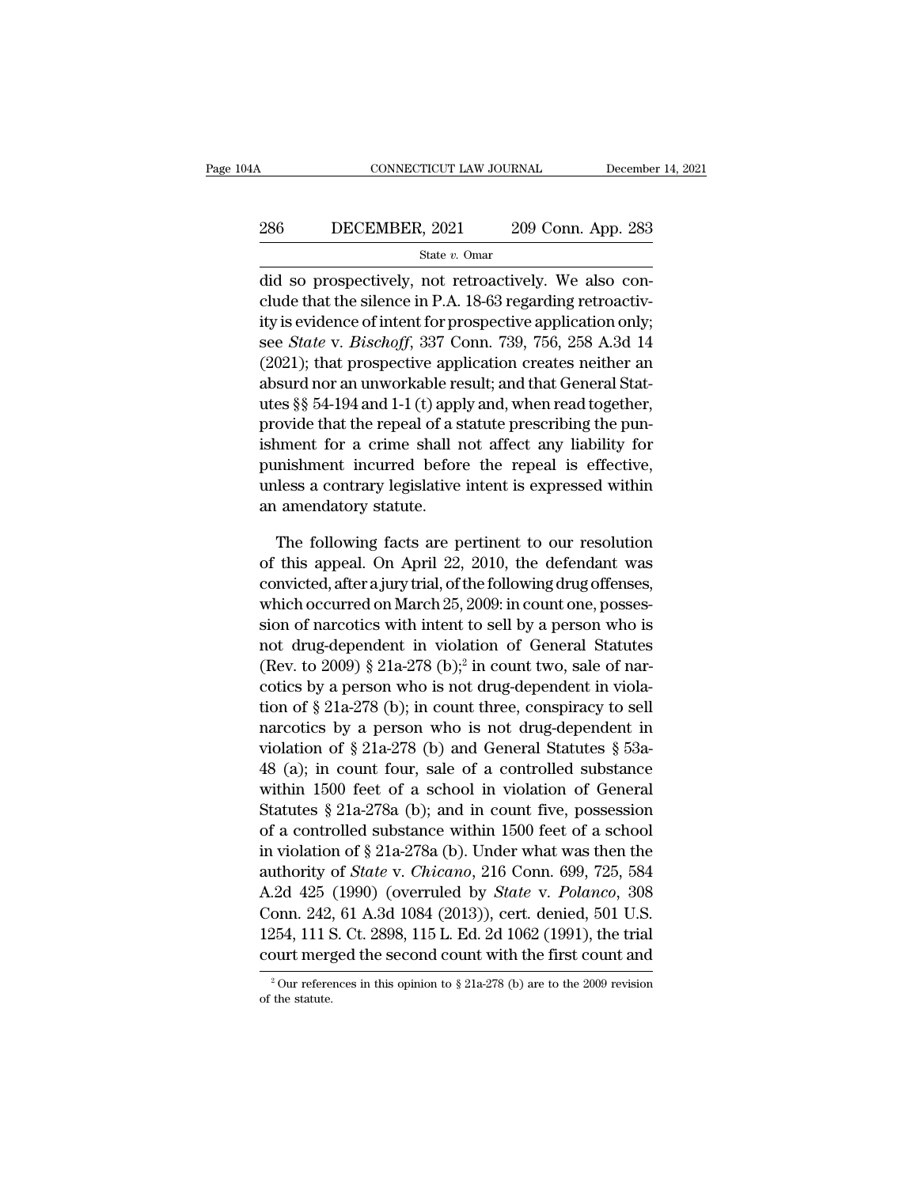#### CONNECTICUT LAW JOURNAL December 14, 2021<br>286 DECEMBER, 2021 209 Conn. App. 283<br>286 State v. Omar State *v.* Omar

CONNECTICUT LAW JOURNAL December<br>
286 DECEMBER, 2021 209 Conn. App. 283<br>
3tate v. Omar<br>
3tate v. Omar<br>
209 Conn. App. 283<br>
3tate v. Omar<br>
209 Conn. App. 283<br>
3tate v. Omar<br>
209 Conn. App. 283<br>
3tate v. Omar<br>
209 Conn. App. 286 DECEMBER, 2021 209 Conn. App. 283<br>
State v. Omar<br>
did so prospectively, not retroactively. We also conclude that the silence in P.A. 18-63 regarding retroactiv-<br>
ity is evidence of intent for prospective application o 286 DECEMBER, 2021 209 Conn. App. 283<br>  $\frac{\text{State } v. \text{ Omar}}{\text{did so prospectively, not retroactively. We also conclude that the silence in P.A. 18-63 regarding retroactivity is evidence of intent for prospective application only; see *State v. Bischoff*, 337 Conn. 739, 756, 258 A.3d 14 (2021), that we can estimate an vibration.$ **EXEMBER, 2021** 209 Conn. App. 283<br>
State *v*. Omar<br>
did so prospectively, not retroactively. We also conclude that the silence in P.A. 18-63 regarding retroactivity is evidence of intent for prospective application only;<br> State v. Omar<br>
(did so prospectively, not retroactively. We also conclude that the silence in P.A. 18-63 regarding retroactiv-<br>
ity is evidence of intent for prospective application only;<br>
see *State* v. *Bischoff*, 337 C ally so also conclude that the silence in P.A. 18-63 regarding retroactivity is evidence of intent for prospective application only;<br>see *State* v. *Bischoff*, 337 Conn. 739, 756, 258 A.3d 14<br>(2021); that prospective appli and so prospectively, not retroactively. We also conclude that the silence in P.A. 18-63 regarding retroactivity is evidence of intent for prospective application only; see *State* v. *Bischoff*, 337 Conn. 739, 756, 258 A clude that the slience in P.A. 18-63 regarding retroactiv-<br>ity is evidence of intent for prospective application only;<br>see *State* v. *Bischoff*, 337 Conn. 739, 756, 258 A.3d 14<br>(2021); that prospective application create ity is evidence of intent for prospective application only;<br>see *State* v. *Bischoff*, 337 Conn. 739, 756, 258 A.3d 14<br>(2021); that prospective application creates neither an<br>absurd nor an unworkable result; and that Gene see *State v. Bischoff*,  $337$  Conn.  $739$ ,  $756$ ,  $258$  A. $3d$  14 (2021); that prospective application creates neither an absurd nor an unworkable result; and that General Statutes §§ 54-194 and 1-1 (t) apply and, when r (2021); that prospective application creates neither an absurd nor an unworkable result; and that General Statutes  $\S$  54-194 and 1-1 (t) apply and, when read together, provide that the repeal of a statute prescribing the absurd nor an unworkable re<br>utes §§ 54-194 and 1-1 (t) appl<br>provide that the repeal of a s<br>ishment for a crime shall r<br>punishment incurred befor<br>unless a contrary legislative<br>an amendatory statute.<br>The following facts are ovide that the repeal of a statute prescribing the pun-<br>ment for a crime shall not affect any liability for<br>mishment incurred before the repeal is effective,<br>less a contrary legislative intent is expressed within<br>amendator ishment for a crime shall not affect any liability for<br>punishment incurred before the repeal is effective,<br>unless a contrary legislative intent is expressed within<br>an amendatory statute.<br>The following facts are pertinent t

punishment incurred before the repeal is effective,<br>unless a contrary legislative intent is expressed within<br>an amendatory statute.<br>The following facts are pertinent to our resolution<br>of this appeal. On April 22, 2010, the unless a contrary legislative intent is expressed within<br>an amendatory statute.<br>The following facts are pertinent to our resolution<br>of this appeal. On April 22, 2010, the defendant was<br>convicted, after a jury trial, of the an amendatory statute.<br>
The following facts are pertinent to our resolution<br>
of this appeal. On April 22, 2010, the defendant was<br>
convicted, after a jury trial, of the following drug offenses,<br>
which occurred on March 25 The following facts are pertinent to our resolution<br>of this appeal. On April 22, 2010, the defendant was<br>convicted, after a jury trial, of the following drug offenses,<br>which occurred on March 25, 2009: in count one, posse The following facts are pertiner<br>of this appeal. On April 22, 2010,<br>convicted, after a jury trial, of the followhich occurred on March 25, 2009: it<br>sion of narcotics with intent to sell<br>not drug-dependent in violation of<br> runent to our resolution<br>2010, the defendant was<br>he following drug offenses,<br>2009: in count one, posses-<br>to sell by a person who is<br>tion of General Statutes<br>in count two, sale of nar-<br>drug-dependent in violaor this appear. On April 22, 2010, the detendant was<br>convicted, after a jury trial, of the following drug offenses,<br>which occurred on March 25, 2009: in count one, posses-<br>sion of narcotics with intent to sell by a person convicted, attera jury trial, of the following drug offenses,<br>which occurred on March 25, 2009: in count one, posses-<br>sion of narcotics with intent to sell by a person who is<br>not drug-dependent in violation of General Sta which occurred on March 25, 2009: in count one, possession of narcotics with intent to sell by a person who is<br>not drug-dependent in violation of General Statutes<br>(Rev. to 2009) § 21a-278 (b);<sup>2</sup> in count two, sale of nar sion of narcoucs with mient to sen by a person who is<br>not drug-dependent in violation of General Statutes<br>(Rev. to 2009) § 21a-278 (b);<sup>2</sup> in count two, sale of nar-<br>cotics by a person who is not drug-dependent in viola-<br> fluid and the state of a controlled substance<br>
(Rev. to 2009) § 21a-278 (b);<sup>2</sup> in count two, sale of nar-<br>
cotics by a person who is not drug-dependent in viola-<br>
tion of § 21a-278 (b); in count three, conspiracy to sell (Rev. to 2009) § 21a-278 (b); In count two, sale of narcotics by a person who is not drug-dependent in violation of § 21a-278 (b); in count three, conspiracy to sell narcotics by a person who is not drug-dependent in viol coucs by a person who is not drug-dependent in violation of § 21a-278 (b); in count three, conspiracy to sell narcotics by a person who is not drug-dependent in violation of § 21a-278 (b) and General Statutes § 53a-48 (a) tion of § 21a-278 (b); in count three, conspiracy to sen<br>narcotics by a person who is not drug-dependent in<br>violation of § 21a-278 (b) and General Statutes § 53a-<br>48 (a); in count four, sale of a controlled substance<br>with marcoucs by a person who is not drug-dependent in<br>violation of § 21a-278 (b) and General Statutes § 53a-<br>48 (a); in count four, sale of a controlled substance<br>within 1500 feet of a school in violation of General<br>Statutes violation of § 21a-278 (b) and General Statutes § 35a-48 (a); in count four, sale of a controlled substance within 1500 feet of a school in violation of General Statutes § 21a-278a (b); and in count five, possession of a c 48 (a); in count four, safe of a controlled substance<br>within 1500 feet of a school in violation of General<br>Statutes § 21a-278a (b); and in count five, possession<br>of a controlled substance within 1500 feet of a school<br>in vi Within 1500 reet of a school in violation of General<br>Statutes § 21a-278a (b); and in count five, possession<br>of a controlled substance within 1500 feet of a school<br>in violation of § 21a-278a (b). Under what was then the<br>au Statutes  $\S 21a-278a$  (b); and in count live, possession<br>of a controlled substance within 1500 feet of a school<br>in violation of  $\S 21a-278a$  (b). Under what was then the<br>authority of *State v. Chicano*, 216 Conn. 699, 725 or a controned substance within 1500 reet or a school<br>in violation of § 21a-278a (b). Under what was then the<br>authority of *State* v. *Chicano*, 216 Conn. 699, 725, 584<br>A.2d 425 (1990) (overruled by *State* v. *Polanco*, A.2d 425 (1990) (overruled by *State v. Polanco*, 308 Conn. 242, 61 A.3d 1084 (2013)), cert. denied, 501 U.S. 1254, 111 S. Ct. 2898, 115 L. Ed. 2d 1062 (1991), the trial court merged the second count with the first count court merged the second count with the first count and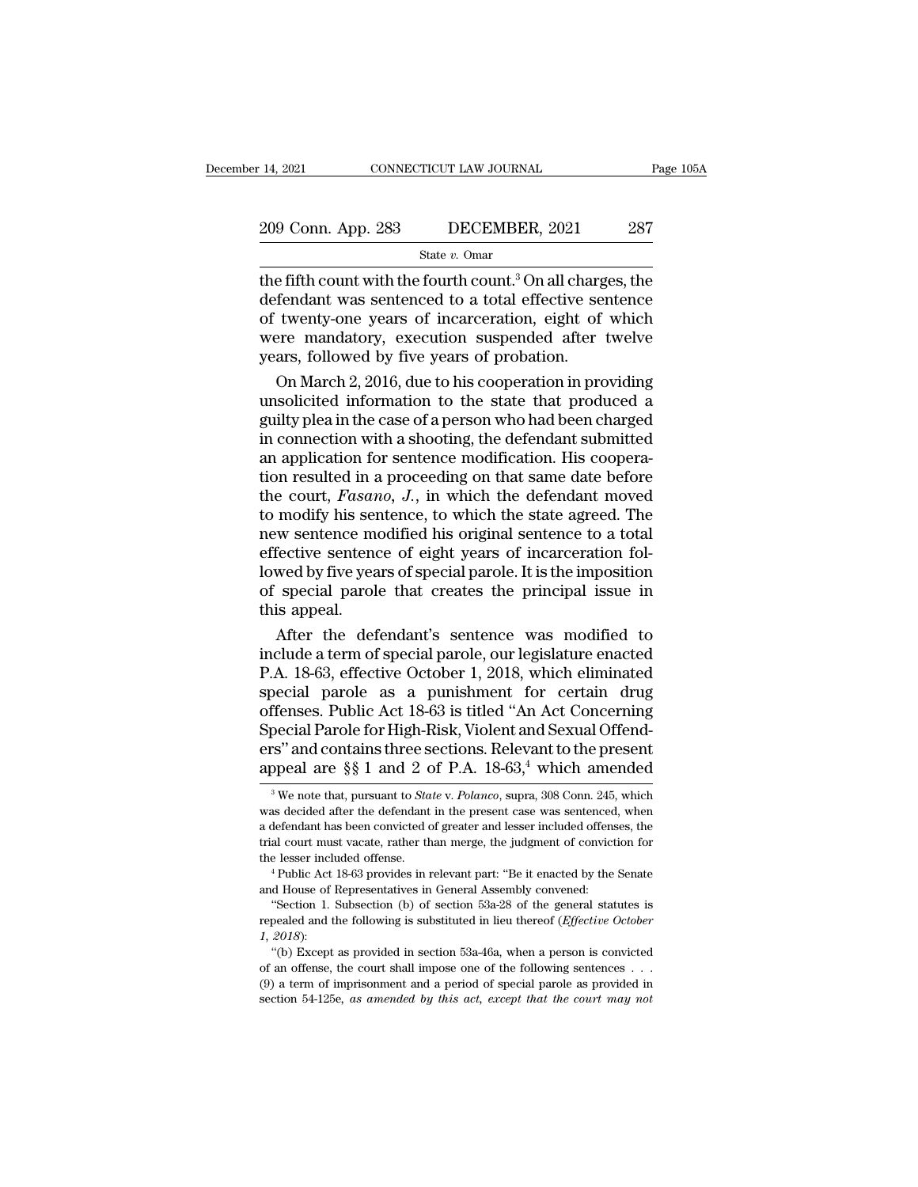# 14, 2021 CONNECTICUT LAW JOURNAL Page 105A<br>209 Conn. App. 283 DECEMBER, 2021 287<br>State v. Omar

State *v.* Omar

14, 2021 CONNECTICUT LAW JOURNAL Page 105A<br>
209 Conn. App. 283 DECEMBER, 2021 287<br>
State v. Omar<br>
the fifth count with the fourth count.<sup>3</sup> On all charges, the<br>
defendant was sentenced to a total effective sentence<br>
of tw  $\frac{209 \text{ Conn. App. 283}}{\text{State } v. \text{ Omar}}$ <br>
the fifth count with the fourth count.<sup>3</sup> On all charges, the defendant was sentenced to a total effective sentence of twenty-one years of incarceration, eight of which were mandatory exe 209 Conn. App. 283 DECEMBER, 2021 287<br>
State v. Omar<br>
the fifth count with the fourth count.<sup>3</sup> On all charges, the<br>
defendant was sentenced to a total effective sentence<br>
of twenty-one years of incarceration, eight of wh 209 Conn. App. 283 DECEMBER, 2021 287<br>
State v. Omar<br>
the fifth count with the fourth count.<sup>3</sup> On all charges, the<br>
defendant was sentenced to a total effective sentence<br>
of twenty-one years of incarceration, eight of wh State v. Omar<br>
State v. Omar<br>
the fifth count with the fourth count.<sup>3</sup> On all charged<br>
defendant was sentenced to a total effective se<br>
of twenty-one years of incarceration, eight of<br>
were mandatory, execution suspended  $\frac{1}{2}$  e fifth count with the fourth count.<sup>3</sup> On all charges, the fendant was sentenced to a total effective sentence twenty-one years of incarceration, eight of which ere mandatory, execution suspended after twelve a the fifth count with the fourth count.<sup>3</sup> On all charges, the<br>defendant was sentenced to a total effective sentence<br>of twenty-one years of incarceration, eight of which<br>were mandatory, execution suspended after twelve<br>year

defendant was sentenced to a total effective sentence<br>of twenty-one years of incarceration, eight of which<br>were mandatory, execution suspended after twelve<br>years, followed by five years of probation.<br>On March 2, 2016, due of twenty-one years of incarceration, eight of which<br>were mandatory, execution suspended after twelve<br>years, followed by five years of probation.<br>On March 2, 2016, due to his cooperation in providing<br>unsolicited informatio were mandatory, execution suspended after twelve<br>years, followed by five years of probation.<br>On March 2, 2016, due to his cooperation in providing<br>unsolicited information to the state that produced a<br>guilty plea in the ca years, followed by five years of probation.<br>
On March 2, 2016, due to his cooperation in providing<br>
unsolicited information to the state that produced a<br>
guilty plea in the case of a person who had been charged<br>
in connect On March 2, 2016, due to his cooperation in providing<br>unsolicited information to the state that produced a<br>guilty plea in the case of a person who had been charged<br>in connection with a shooting, the defendant submitted<br>an unsolicited information to the state that produced a<br>guilty plea in the case of a person who had been charged<br>in connection with a shooting, the defendant submitted<br>an application for sentence modification. His coopera-<br>ti guilty plea in the case of a person who had been charged<br>in connection with a shooting, the defendant submitted<br>an application for sentence modification. His coopera-<br>tion resulted in a proceeding on that same date before<br> in connection with a shooting, the defendant submitted<br>an application for sentence modification. His coopera-<br>tion resulted in a proceeding on that same date before<br>the court, *Fasano*, *J*., in which the defendant moved<br>t an application for sentence modification. His cooperation resulted in a proceeding on that same date before<br>the court, *Fasano*, *J*., in which the defendant moved<br>to modify his sentence, to which the state agreed. The<br>new tion resulted in a proceeding on that same date before<br>the court, *Fasano*, *J*., in which the defendant moved<br>to modify his sentence, to which the state agreed. The<br>new sentence modified his original sentence to a total<br>e the court, *Fasan*<br>to modify his ser<br>new sentence me<br>effective sentence<br>lowed by five yea<br>of special parole<br>this appeal.<br>After the def modify his sentence, to which the state agreed. The<br>w sentence modified his original sentence to a total<br>fective sentence of eight years of incarceration fol-<br>wed by five years of special parole. It is the imposition<br>speci new sentence modified his original sentence to a total<br>effective sentence of eight years of incarceration fol-<br>lowed by five years of special parole. It is the imposition<br>of special parole that creates the principal issue

effective sentence of eight years of incarceration fol-<br>lowed by five years of special parole. It is the imposition<br>of special parole that creates the principal issue in<br>this appeal.<br>After the defendant's sentence was modi lowed by five years of special parole. It is the imposition<br>of special parole that creates the principal issue in<br>this appeal.<br>After the defendant's sentence was modified to<br>include a term of special parole, our legislatur of special parole that creates the principal issue in<br>this appeal.<br>After the defendant's sentence was modified to<br>include a term of special parole, our legislature enacted<br>P.A. 18-63, effective October 1, 2018, which elimi this appeal.<br>
After the defendant's sentence was modified to<br>
include a term of special parole, our legislature enacted<br>
P.A. 18-63, effective October 1, 2018, which eliminated<br>
special parole as a punishment for certain d After the defendant's sentence was modified to<br>
include a term of special parole, our legislature enacted<br>
P.A. 18-63, effective October 1, 2018, which eliminated<br>
special parole as a punishment for certain drug<br>
offenses include a term of special parole, our legislature enacted<br>P.A. 18-63, effective October 1, 2018, which eliminated<br>special parole as a punishment for certain drug<br>offenses. Public Act 18-63 is titled "An Act Concerning<br>Spec ffenses. Public Act 18-63 is titled "An Act Concerning<br>pecial Parole for High-Risk, Violent and Sexual Offend-<br>s" and contains three sections. Relevant to the present<br>ppeal are §§ 1 and 2 of P.A. 18-63,<sup>4</sup> which amended<br><sup>3</sup> Special Parole for High-Risk, Violent and Sexual Offenders" and contains three sections. Relevant to the present appeal are  $\S$  1 and 2 of P.A. 18-63,<sup>4</sup> which amended<br><sup>3</sup>We note that, pursuant to *State v. Polanco*, supr

ers" and contains three sections. Relevant to the present appeal are  $\S$  1 and 2 of P.A. 18-63,<sup>4</sup> which amended  $\frac{3}{8}$  We note that, pursuant to *State v. Polanco*, supra, 308 Conn. 245, which was decided after the de appeal are §§ 1 and 2 of P.A.  $18{\text -}63,4$  which amended<br><sup>3</sup>We note that, pursuant to *State* v. *Polanco*, supra, 308 Conn. 245, which<br>was decided after the defendant in the present case was sentenced, when<br>a defendant h appear are  $\S$ s 1 and 2 or F.A. 18-03,<sup>2</sup> which antended  $\overline{\phantom{a}}$  we note that, pursuant to *State* v. *Polanco*, supra, 308 Conn. 245, which was decided after the defendant in the present case was sentenced, when a de was decided after the defendant in the present case was sentenced<br>a defendant has been convicted of greater and lesser included offens<br>trial court must vacate, rather than merge, the judgment of convict<br>the lesser included defendant has been convicted of greater and lesser included offenses, the al court must vacate, rather than merge, the judgment of conviction for e lesser included offense.<br>
<sup>4</sup> Public Act 18-63 provides in relevant part:

repealed and the following is substituted in lieu the following in the following the lesser included offense.<br>
<sup>4</sup> Public Act 18-63 provides in relevant part: "Be it enacted by the Senate and House of Representatives in Ge and House of Representatives in General Assembly convened:<br>
"Section 1. Subsection (b) of section 53a-28 of the general statutes is<br>
repealed and the following is substituted in lieu thereof (*Effective October*<br>
1, 2018): <sup>4</sup> Public Act 18-63 provides in relevant part: "Be it enacted by the Senate d House of Representatives in General Assembly convened: "Section 1. Subsection (b) of section 53a-28 of the general statutes is pealed and the

and House of Representatives in General Assembly convened:<br>
"Section 1. Subsection (b) of section 53a-28 of the general statutes is<br>
repealed and the following is substituted in lieu thereof (*Effective October*<br>
1, 2018) (9) Section 1. Subsection (b) of section 53a-28 of the general statutes is repealed and the following is substituted in lieu thereof (*Effective October 1, 2018*):<br>
"(b) Except as provided in section 53a-46a, when a perso repealed and the following is substituted in lieu thereof (*Effective October 1, 2018*):<br>
"(b) Except as provided in section 53a-46a, when a person is convicted<br>
of an offense, the court shall impose one of the following s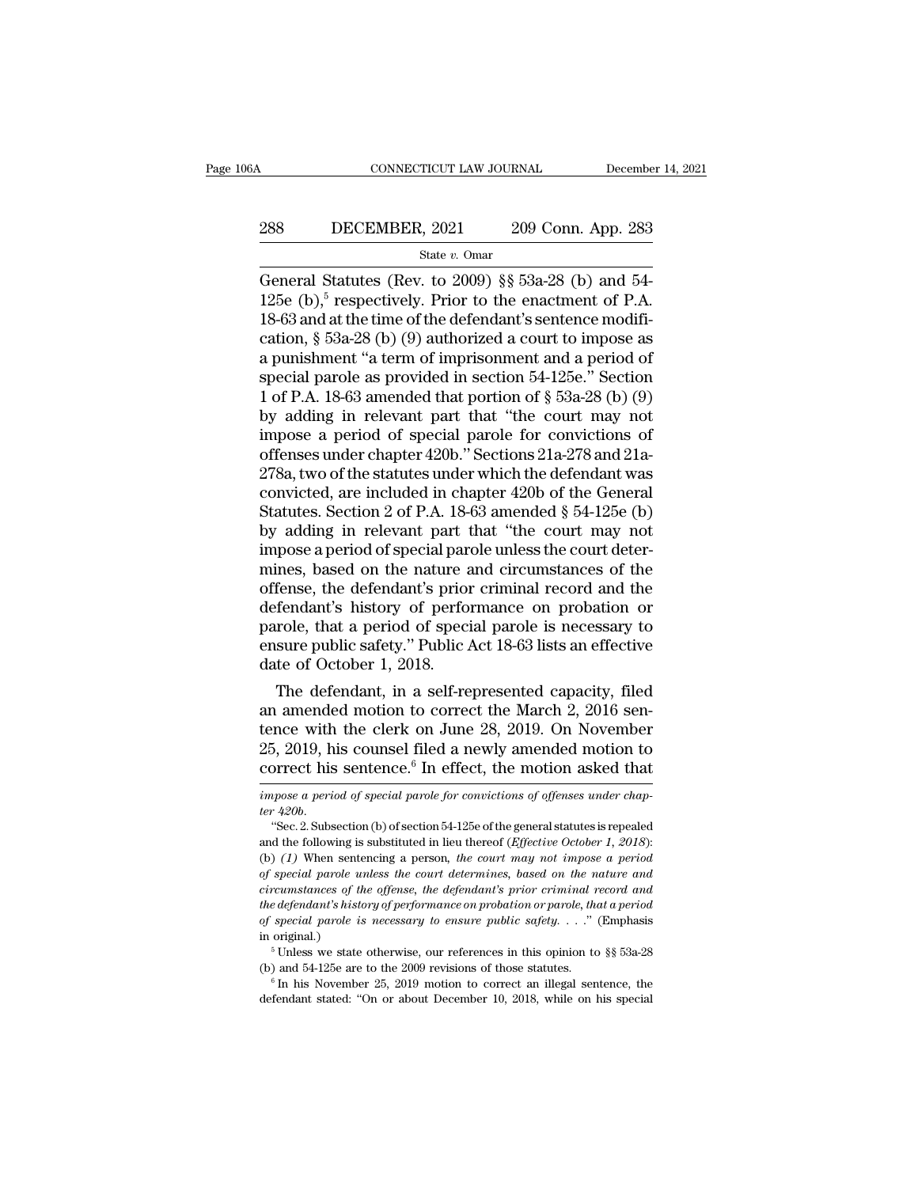# CONNECTICUT LAW JOURNAL December 14, 2021<br>288 DECEMBER, 2021 209 Conn. App. 283<br>284 State v. Omar

State *v.* Omar

CONNECTICUT LAW JOURNAL December 14, 20<br>
288 DECEMBER, 2021 209 Conn. App. 283<br>  $\frac{\text{State } v. \text{ Omar}}{\text{General Statistics (Rev. to 2009) § § 53a-28 (b) and 54-125e (b),}^5 \text{ respectively. Prior to the enactment of P.A.}$ 288 DECEMBER, 2021 209 Conn. App. 283<br>
State v. Omar<br>
General Statutes (Rev. to 2009) §§ 53a-28 (b) and 54-<br>
125e (b),<sup>5</sup> respectively. Prior to the enactment of P.A.<br>
18-63 and at the time of the defendant's sentence mod 288 DECEMBER, 2021 209 Conn. App. 283<br>
State v. Omar<br>
General Statutes (Rev. to 2009) §§ 53a-28 (b) and 54-<br>
125e (b),<sup>5</sup> respectively. Prior to the enactment of P.A.<br>
18-63 and at the time of the defendant's sentence mod 288 DECEMBER, 2021 209 Conn. App. 283<br>
State v. Omar<br>
General Statutes (Rev. to 2009) § 53a-28 (b) and 54-<br>
125e (b),<sup>5</sup> respectively. Prior to the enactment of P.A.<br>
18-63 and at the time of the defendant's sentence modi State v. Omar<br>
State v. Omar<br>
General Statutes (Rev. to 2009) §§ 53a-28 (b) and 54-<br>
125e (b),<sup>5</sup> respectively. Prior to the enactment of P.A.<br>
18-63 and at the time of the defendant's sentence modifi-<br>
cation, § 53a-28 ( State v. Omar<br>
General Statutes (Rev. to 2009) §§ 53a-28 (b) and 54-<br>
125e (b),<sup>5</sup> respectively. Prior to the enactment of P.A.<br>
18-63 and at the time of the defendant's sentence modifi-<br>
cation, § 53a-28 (b) (9) authoriz General Statutes (Rev. to 2009) §§ 53a-28 (b) and 54-<br>125e (b),<sup>5</sup> respectively. Prior to the enactment of P.A.<br>18-63 and at the time of the defendant's sentence modifi-<br>cation, § 53a-28 (b) (9) authorized a court to impo 125e (b),<sup>5</sup> respectively. Prior to the enactment of P.A.<br>18-63 and at the time of the defendant's sentence modification, § 53a-28 (b) (9) authorized a court to impose as<br>a punishment "a term of imprisonment and a period 18-63 and at the time of the defendant's sentence modification,  $\S$  53a-28 (b) (9) authorized a court to impose as<br>a punishment "a term of imprisonment and a period of<br>special parole as provided in section 54-125e." Secti cation, § 53a-28 (b) (9) authorized a court to impose as<br>a punishment "a term of imprisonment and a period of<br>special parole as provided in section 54-125e." Section<br>1 of P.A. 18-63 amended that portion of § 53a-28 (b) (9 a punishment "a term of imprisonment and a period of<br>special parole as provided in section 54-125e." Section<br>1 of P.A. 18-63 amended that portion of § 53a-28 (b) (9)<br>by adding in relevant part that "the court may not<br>impo special parole as provided in section 54-125e." Section<br>1 of P.A. 18-63 amended that portion of  $\S$  53a-28 (b) (9)<br>by adding in relevant part that "the court may not<br>impose a period of special parole for convictions of<br>of 1 of P.A. 18-63 amended that portion of  $\S$  53a-28 (b) (9)<br>by adding in relevant part that "the court may not<br>impose a period of special parole for convictions of<br>offenses under chapter 420b." Sections 21a-278 and 21a-<br>27 by adding in relevant part that "the court may not<br>impose a period of special parole for convictions of<br>offenses under chapter 420b." Sections 21a-278 and 21a-<br>278a, two of the statutes under which the defendant was<br>convic impose a period of special parole for convictions of<br>offenses under chapter 420b." Sections 21a-278 and 21a-<br>278a, two of the statutes under which the defendant was<br>convicted, are included in chapter 420b of the General<br>St offenses under chapter 420b." Sections 21a-278 and 21a-278a, two of the statutes under which the defendant was<br>convicted, are included in chapter 420b of the General<br>Statutes. Section 2 of P.A. 18-63 amended § 54-125e (b)<br> 278a, two of the statutes under which the defendant was<br>convicted, are included in chapter 420b of the General<br>Statutes. Section 2 of P.A. 18-63 amended  $\S 54-125e$  (b)<br>by adding in relevant part that "the court may not<br>i convicted, are included in chapter 420b of the General<br>Statutes. Section 2 of P.A. 18-63 amended § 54-125e (b)<br>by adding in relevant part that "the court may not<br>impose a period of special parole unless the court deter-<br>mi Statutes. Section 2 of P.A. 18-63 amended  $\S$  54-125e (b)<br>by adding in relevant part that "the court may not<br>impose a period of special parole unless the court deter-<br>mines, based on the nature and circumstances of the<br>of by adding in relevant part that "the court may not<br>impose a period of special parole unless the court deter-<br>mines, based on the nature and circumstances of the<br>offense, the defendant's prior criminal record and the<br>defend impose a period of special parent<br>mines, based on the nature a<br>offense, the defendant's prior<br>defendant's history of perfor<br>parole, that a period of speci<br>ensure public safety.'' Public  $A$ <br>date of October 1, 2018.<br>The de mes, based on the nature and circumstances of the<br>fense, the defendant's prior criminal record and the<br>fendant's history of performance on probation or<br>role, that a period of special parole is necessary to<br>sure public safe offendant's history of performance on probation or<br>defendant's history of performance on probation or<br>parole, that a period of special parole is necessary to<br>ensure public safety." Public Act 18-63 lists an effective<br>date

defendant's history of performance on probation or<br>parole, that a period of special parole is necessary to<br>ensure public safety." Public Act 18-63 lists an effective<br>date of October 1, 2018.<br>The defendant, in a self-repres parole, that a period of special parole is necessary to<br>ensure public safety." Public Act 18-63 lists an effective<br>date of October 1, 2018.<br>The defendant, in a self-represented capacity, filed<br>an amended motion to correct ensure public safety." Public Act 18-63 lists an effective<br>date of October 1, 2018.<br>The defendant, in a self-represented capacity, filed<br>an amended motion to correct the March 2, 2016 sen-<br>tence with the clerk on June 28, an amended motion to correct the March 2, 2016 sentence with the clerk on June 28, 2019. On November 25, 2019, his counsel filed a newly amended motion to correct his sentence.<sup>6</sup> In effect, the motion asked that *impose a tence with*<br>25, 2019, h<br>*correct his*<br>*impose a peri*<br>*ter 420b*.<br>"Sec.2. Subs 5, 2019, his counsel filed a newly amended motion to<br>prrect his sentence.<sup>6</sup> In effect, the motion asked that<br>*apose a period of special parole for convictions of offenses under chap-*<br> $420b$ .<br>"Sec. 2. Subsection (b) of s

correct his sentence.<sup>6</sup> In effect, the motion asked that  $\frac{1}{\text{impose }a\text{ period of special }p \text{ a role for convictions of of }f\text{ e}$  and  $\text{impose }a\text{ period.}}$ <br>"Sec. 2. Subsection (b) of section 54-125e of the general statutes is repealed and the following is sub (b) *(1)* When sentence, and effect, the motion asked that impose a period of special parole for convictions of offenses under chapter 420b.<br>
"Sec. 2. Subsection (b) of section 54-125e of the general statutes is repealed<br> *of special parole for convictions of offenses under chap-*<br>ter 420b.<br>
"Sec. 2. Subsection (b) of section 54-125e of the general statutes is repealed<br>
and the following is substituted in lieu thereof (*Effective October 1, cher 420b.*<br> *circumstances of the offense, the general statutes is repealed*<br> *circumstances of the offense, the court may not impose a period*<br> *cf pecial parole unless the court determines, based on the nature and*<br> <sup>the</sup>  $\alpha$ . 2. Subsection (b) of section 54-125e of the general statutes is repealed and the following is substituted in lieu thereof (*Effective October 1, 2018*): (b) (1) When sentencing a person, *the court may not imp circumstances of the offense, the defendant's prior criminal record and the defendant's history of performance on probation or parole, that a period of special parole is necessary to ensure public safety.* . . ." (Emphasi (b) (1) When sentencing a person, the court may not impose a period of special parole unless the court determines, based on the nature and circumstances of the offense, the defendant's prior criminal record and the defend 5 The contract we state otherwise, the court determines, based on the nature and special parole unless the court determines, based on the nature and edefendant's history of performance on probation or parole, that a perio circumstances of the offense, the defendant's prior criminal record and<br>the defendant's history of performance on probation or parole, that a period<br>of special parole is necessary to ensure public safety. . . ." (Emphasis % of special parole is necessary to ensure public safety. . . ." (Emphasis in original.)<br>
<sup>5</sup> Unless we state otherwise, our references in this opinion to §§ 53a-28<br>
(b) and 54-125e are to the 2009 revisions of those stat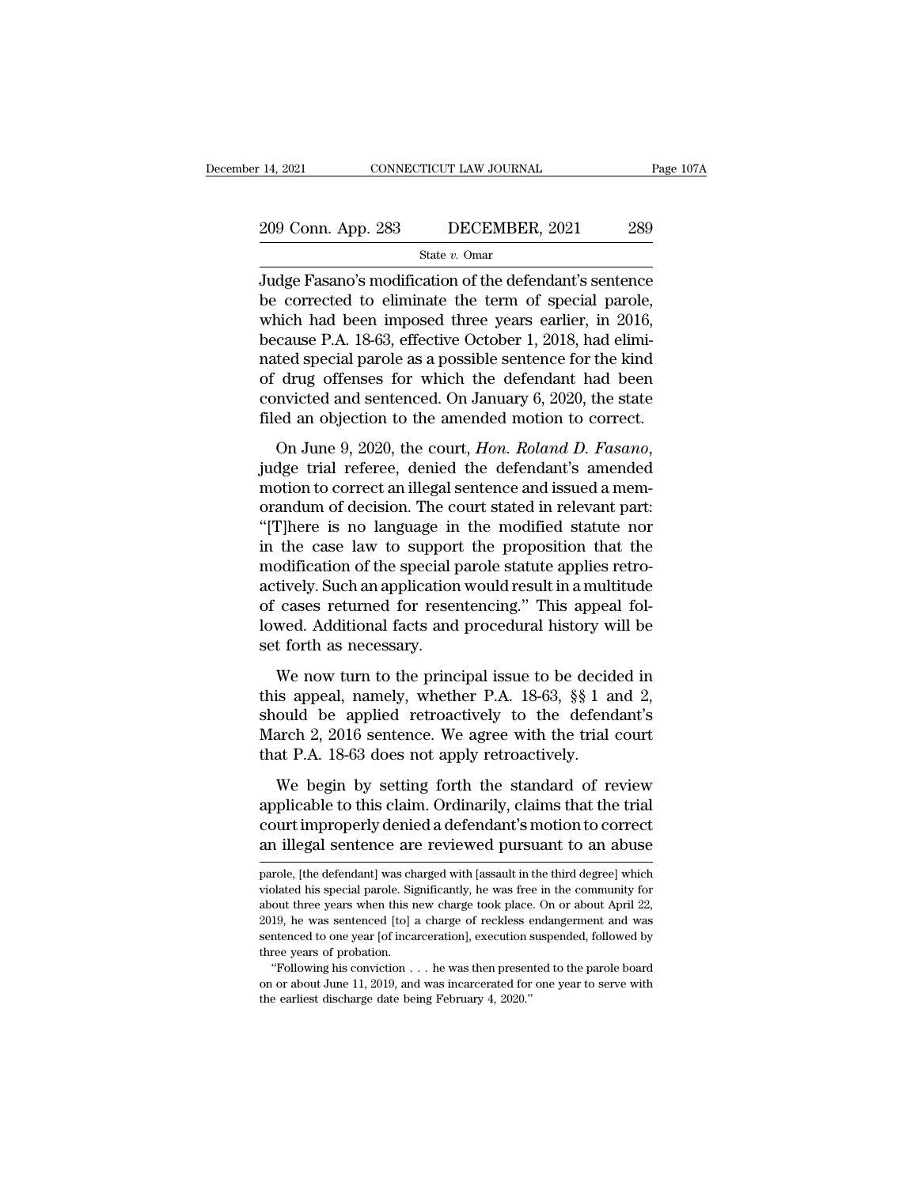# 14, 2021 CONNECTICUT LAW JOURNAL Page 107A<br>209 Conn. App. 283 DECEMBER, 2021 289<br>State v. Omar

State *v.* Omar

14, 2021 CONNECTICUT LAW JOURNAL Page 107A<br>
209 Conn. App. 283 DECEMBER, 2021 289<br>
State v. Omar<br>
Judge Fasano's modification of the defendant's sentence<br>
be corrected to eliminate the term of special parole,<br>
which had b 209 Conn. App. 283 DECEMBER, 2021 289<br>
State v. Omar<br>
Judge Fasano's modification of the defendant's sentence<br>
be corrected to eliminate the term of special parole,<br>
which had been imposed three years earlier, in 2016,<br>
b 209 Conn. App. 283 DECEMBER, 2021 289<br>
State v. Omar<br>
Judge Fasano's modification of the defendant's sentence<br>
be corrected to eliminate the term of special parole,<br>
which had been imposed three years earlier, in 2016,<br>
b 209 Conn. App. 283 DECEMBER, 2021 289<br>
State v. Omar<br>
Judge Fasano's modification of the defendant's sentence<br>
be corrected to eliminate the term of special parole,<br>
which had been imposed three years earlier, in 2016,<br>
b State v. Omar<br>
Judge Fasano's modification of the defendant's sentence<br>
be corrected to eliminate the term of special parole,<br>
which had been imposed three years earlier, in 2016,<br>
because P.A. 18-63, effective October 1, state v. Omar<br>Judge Fasano's modification of the defendant's sentence<br>be corrected to eliminate the term of special parole,<br>which had been imposed three years earlier, in 2016,<br>because P.A. 18-63, effective October 1, 201 Judge Fasano's modification of the defendant's sentence<br>be corrected to eliminate the term of special parole,<br>which had been imposed three years earlier, in 2016,<br>because P.A. 18-63, effective October 1, 2018, had elimi-<br>n be corrected to eliminate the term of special parole,<br>which had been imposed three years earlier, in 2016,<br>because P.A. 18-63, effective October 1, 2018, had elimi-<br>nated special parole as a possible sentence for the kind<br> which had been imposed drive years earner, in 2010,<br>because P.A. 18-63, effective October 1, 2018, had elimi-<br>nated special parole as a possible sentence for the kind<br>of drug offenses for which the defendant had been<br>convi

mated special parole as a possible sentence for all and<br>of drug offenses for which the defendant had been<br>convicted and sentenced. On January 6, 2020, the state<br>filed an objection to the amended motion to correct.<br>On June or and sentenced. On January 6, 2020, the state<br>filed an objection to the amended motion to correct.<br>On June 9, 2020, the court, *Hon. Roland D. Fasano*,<br>judge trial referee, denied the defendant's amended<br>motion to corre filed an objection to the amended motion to correct.<br>
On June 9, 2020, the court, *Hon. Roland D. Fasano*,<br>
judge trial referee, denied the defendant's amended<br>
motion to correct an illegal sentence and issued a memorandu Include the case is the court, *Hon. Roland D. Fasano*,<br>judge trial referee, denied the defendant's amended<br>motion to correct an illegal sentence and issued a mem-<br>orandum of decision. The court stated in relevant part:<br>"[ On June 9, 2020, the court, *Hon. Roland D. Fasano*, judge trial referee, denied the defendant's amended motion to correct an illegal sentence and issued a memorandum of decision. The court stated in relevant part: "[T]her judge trial referee, denied the defendant's amended<br>motion to correct an illegal sentence and issued a mem-<br>orandum of decision. The court stated in relevant part:<br>"[T]here is no language in the modified statute nor<br>in the motion to correct an illegal sentence and issued a memorandum of decision. The court stated in relevant part:<br>"[T]here is no language in the modified statute nor<br>in the case law to support the proposition that the<br>modifica orandum of decision. The court stated in relevant part:<br>"[T]here is no language in the modified statute nor<br>in the case law to support the proposition that the<br>modification of the special parole statute applies retro-<br>acti "[T]here is no language in<br>in the case law to suppor<br>modification of the special p<br>actively. Such an application<br>of cases returned for reser<br>lowed. Additional facts and<br>set forth as necessary.<br>We now turn to the princ odification of the special parole statute applies retro-<br>tively. Such an application would result in a multitude<br>cases returned for resentencing." This appeal fol-<br>wed. Additional facts and procedural history will be<br>t for actively. Such an application would result in a multitude<br>of cases returned for resentencing." This appeal fol-<br>lowed. Additional facts and procedural history will be<br>set forth as necessary.<br>We now turn to the principal is

should be applied retroactively retroactively<br>showed. Additional facts and procedural history will be<br>set forth as necessary.<br>We now turn to the principal issue to be decided in<br>this appeal, namely, whether P.A. 18-63, §§ or cases retained tor resembending. This appear for<br>lowed. Additional facts and procedural history will be<br>set forth as necessary.<br>We now turn to the principal issue to be decided in<br>this appeal, namely, whether P.A. 18-63 that P.A. 18-63 does not apply retroactively.<br>We now turn to the principal issue to be decide this appeal, namely, whether P.A. 18-63, §§ 1 as should be applied retroactively to the defend March 2, 2016 sentence. We agree We now turn to the principal issue to be decided in<br>is appeal, namely, whether P.A. 18-63, §§ 1 and 2,<br>ould be applied retroactively to the defendant's<br>arch 2, 2016 sentence. We agree with the trial court<br>at P.A. 18-63 doe appeal, namely, whether P.A. 18-63, §§ 1 and 2, should be applied retroactively to the defendant's March 2, 2016 sentence. We agree with the trial court that P.A. 18-63 does not apply retroactively.<br>We begin by setting for

chas tappear, namely, mistated 1 in 1 to co, 3,3 I and 2,<br>should be applied retroactively to the defendant's<br>March 2, 2016 sentence. We agree with the trial court<br>that P.A. 18-63 does not apply retroactively.<br>We begin by s March 2, 2016 sentence. We agree with the trial court<br>that P.A. 18-63 does not apply retroactively.<br>We begin by setting forth the standard of review<br>applicable to this claim. Ordinarily, claims that the trial<br>court improp We begin by setting forth the standard of review<br>applicable to this claim. Ordinarily, claims that the trial<br>court improperly denied a defendant's motion to correct<br>an illegal sentence are reviewed pursuant to an abuse<br>par applicable to this claim. Ordinarily, claims that the trial<br>court improperly denied a defendant's motion to correct<br>an illegal sentence are reviewed pursuant to an abuse<br>parole, [the defendant] was charged with [assault in

court improperly denied a defendant's motion to correct<br>an illegal sentence are reviewed pursuant to an abuse<br>parole, [the defendant] was charged with [assault in the third degree] which<br>violated his special parole. Signif an illegal sentence are reviewed pursuant to an abuse<br>parole, [the defendant] was charged with [assault in the third degree] which<br>violated his special parole. Significantly, he was free in the community for<br>about three ye Figure 1.1 Integar sentence are reviewed pursuant to an abuse<br>parole, [the defendant] was charged with [assault in the third degree] which<br>violated his special parole. Significantly, he was free in the community for<br>about parole, [the defendant] was charged with [assault in the third degree] which violated his special parole. Significantly, he was free in the community for about three years when this new charge took place. On or about Apri blated his special parole. Significantly, he was free in the community for out three years when this new charge took place. On or about April 22, 19, he was sentenced [to] a charge of reckless endangerment and was intence From the pears when this new charge took place. On or about April 22, 2019, he was sentenced [to] a charge of reckless endangerment and was sentenced to one year [of incarceration], execution suspended, followed by three 2019, he was sentenced [to] a charge of reckless endangerment and was sentenced to one year [of incarceration], execution suspended, followed by three years of probation.<br>
"Following his conviction  $\dots$  he was then presen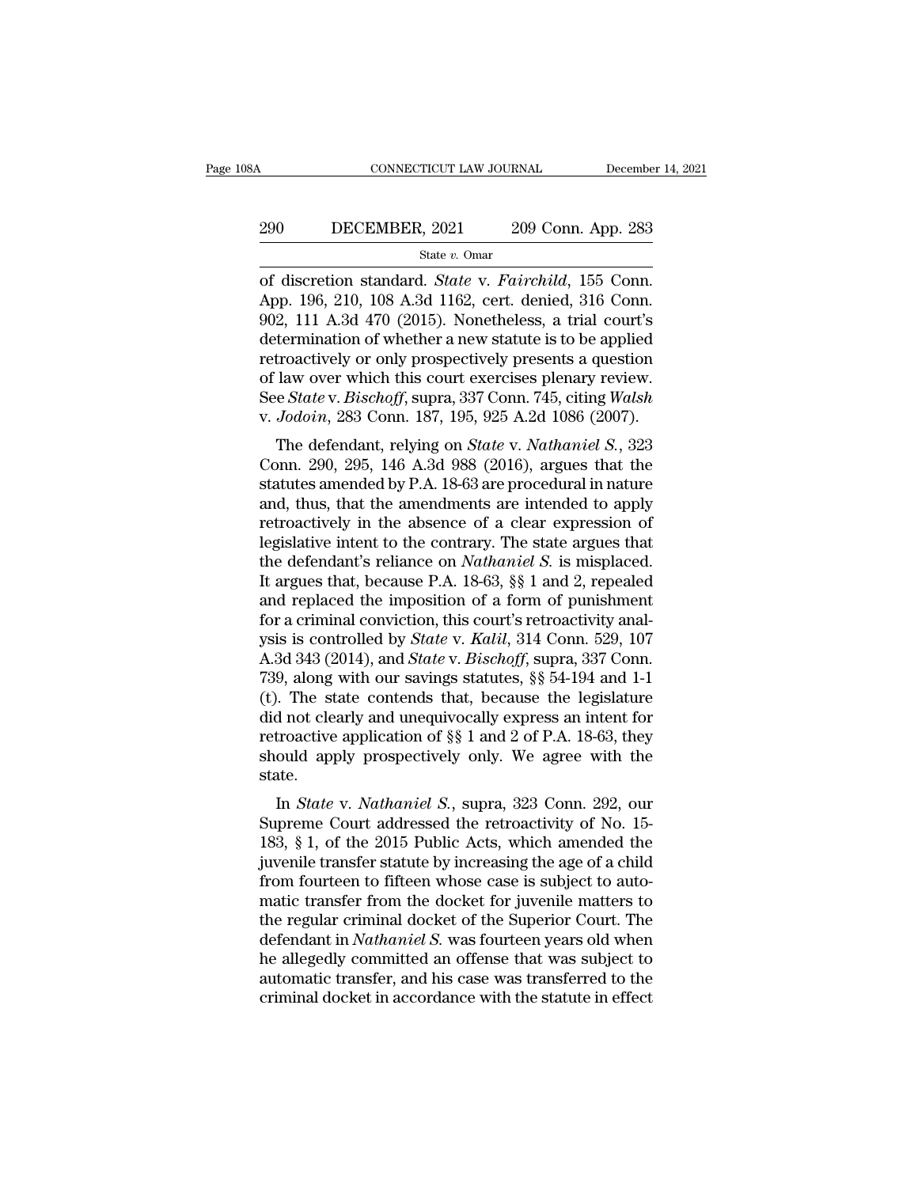# CONNECTICUT LAW JOURNAL December 14, 2021<br>290 DECEMBER, 2021 209 Conn. App. 283<br>31 State v. Omar

State *v.* Omar

CONNECTICUT LAW JOURNAL December 14, 2<br>
290 DECEMBER, 2021 209 Conn. App. 283<br>
<sup>State v. Omar</sup><br>
of discretion standard. *State* v. *Fairchild*, 155 Conn.<br>
App. 196, 210, 108 A.3d 1162, cert. denied, 316 Conn.<br>
002 111 A 3d 290 DECEMBER, 2021 209 Conn. App. 283<br>
State v. Omar<br>
of discretion standard. *State* v. *Fairchild*, 155 Conn.<br>
App. 196, 210, 108 A.3d 1162, cert. denied, 316 Conn.<br>
902, 111 A.3d 470 (2015). Nonetheless, a trial court' 290 DECEMBER, 2021 209 Conn. App. 283<br>
State v. Omar<br>
of discretion standard. *State* v. *Fairchild*, 155 Conn.<br>
App. 196, 210, 108 A.3d 1162, cert. denied, 316 Conn.<br>
902, 111 A.3d 470 (2015). Nonetheless, a trial court' 290 DECEMBER, 2021 209 Conn. App. 283<br>  $\frac{\text{State } v. \text{ Omar}}{\text{of}}$ <br>
of discretion standard. *State* v. *Fairchild*, 155 Conn.<br>
App. 196, 210, 108 A.3d 1162, cert. denied, 316 Conn.<br>
902, 111 A.3d 470 (2015). Nonetheless, a tria State v. Omar<br>
State v. Omar<br>
State v. Pairchild, 155 Conn.<br>
App. 196, 210, 108 A.3d 1162, cert. denied, 316 Conn.<br>
902, 111 A.3d 470 (2015). Nonetheless, a trial court's<br>
determination of whether a new statute is to be a state v. Omar<br>
of discretion standard. *State* v. *Fairchild*, 155 Conn.<br>
App. 196, 210, 108 A.3d 1162, cert. denied, 316 Conn.<br>
902, 111 A.3d 470 (2015). Nonetheless, a trial court's<br>
determination of whether a new statu of discretion standard. *State* v. *Fairchild*, 155 Conn.<br>App. 196, 210, 108 A.3d 1162, cert. denied, 316 Conn.<br>902, 111 A.3d 470 (2015). Nonetheless, a trial court's<br>determination of whether a new statute is to be applied App. 196, 210, 108 A.3d 1162, cert. denied, 316 Conn.<br>902, 111 A.3d 470 (2015). Nonetheless, a trial court's<br>determination of whether a new statute is to be applied<br>retroactively or only prospectively presents a question<br>o 2, 111 A.5d 470 (2015). Nonetheless, a trial court s<br>termination of whether a new statute is to be applied<br>troactively or only prospectively presents a question<br>law over which this court exercises plenary review.<br>e *State* determination of whether a new statute is to be applied<br>retroactively or only prospectively presents a question<br>of law over which this court exercises plenary review.<br>See *State* v. *Bischoff*, supra, 337 Conn. 745, citing

retroactively of only prospectively presents a question<br>of law over which this court exercises plenary review.<br>See *State* v. *Bischoff*, supra, 337 Conn. 745, citing *Walsh*<br>v. *Jodoin*, 283 Conn. 187, 195, 925 A.2d 1086 of law over which this court exercises pienary review.<br>See *State* v. *Bischoff*, supra, 337 Conn. 745, citing *Walsh*<br>v. *Jodoin*, 283 Conn. 187, 195, 925 A.2d 1086 (2007).<br>The defendant, relying on *State* v. *Nathaniel* bee *state v. Bisthoff*, supra, 357 Colut. 745, Ching *wash*<br>v. *Jodoin*, 283 Conn. 187, 195, 925 A.2d 1086 (2007).<br>The defendant, relying on *State v. Nathaniel S.*, 323<br>Conn. 290, 295, 146 A.3d 988 (2016), argues that t The defendant, relying on *State v. Nathaniel S.*, 323<br>Conn. 290, 295, 146 A.3d 988 (2016), argues that the<br>statutes amended by P.A. 18-63 are procedural in nature<br>and, thus, that the amendments are intended to apply<br>retr The defendant, relying on *State v. Nathaniel S.*, 323<br>Conn. 290, 295, 146 A.3d 988 (2016), argues that the<br>statutes amended by P.A. 18-63 are procedural in nature<br>and, thus, that the amendments are intended to apply<br>retro Conn. 290, 295, 146 A.3d 988 (2016), argues that the<br>statutes amended by P.A. 18-63 are procedural in nature<br>and, thus, that the amendments are intended to apply<br>retroactively in the absence of a clear expression of<br>legisl statutes amended by P.A. 18-63 are procedural in nature<br>and, thus, that the amendments are intended to apply<br>retroactively in the absence of a clear expression of<br>legislative intent to the contrary. The state argues that<br> and, thus, that the amendments are intended to apply<br>retroactively in the absence of a clear expression of<br>legislative intent to the contrary. The state argues that<br>the defendant's reliance on *Nathaniel S*. is misplaced. retroactively in the absence of a clear expression of<br>legislative intent to the contrary. The state argues that<br>the defendant's reliance on *Nathaniel S*. is misplaced.<br>It argues that, because P.A. 18-63, §§ 1 and 2, repea legislative intent to the contrary. The state argues that<br>the defendant's reliance on *Nathaniel S*. is misplaced.<br>It argues that, because P.A. 18-63, §§ 1 and 2, repealed<br>and replaced the imposition of a form of punishmen the defendant's reliance on *Nathaniel S*. is misplaced.<br>It argues that, because P.A. 18-63, §§ 1 and 2, repealed<br>and replaced the imposition of a form of punishment<br>for a criminal conviction, this court's retroactivity an It argues that, because P.A. 18-63, §§ 1 and 2, repealed<br>and replaced the imposition of a form of punishment<br>for a criminal conviction, this court's retroactivity anal-<br>ysis is controlled by *State* v. *Kalil*, 314 Conn. and replaced the imposition of a form of punishment<br>for a criminal conviction, this court's retroactivity anal-<br>ysis is controlled by *State* v. *Kalil*, 314 Conn. 529, 107<br>A.3d 343 (2014), and *State* v. *Bischoff*, supr for a criminal conviction, this court's retroactivity analysis is controlled by *State* v. *Kalil*, 314 Conn. 529, 107<br>A.3d 343 (2014), and *State* v. *Bischoff*, supra, 337 Conn.<br>739, along with our savings statutes, §§ ysis is controlled by *State* v. *Kalil*, 314 Conn. 529, 107<br>A.3d 343 (2014), and *State* v. *Bischoff*, supra, 337 Conn.<br>739, along with our savings statutes, §§ 54-194 and 1-1<br>(t). The state contends that, because the le state. *B*, along with our savings statutes, *ss* 54-154 and 1-1<br>
1. The state contends that, because the legislature<br>
d not clearly and unequivocally express an intent for<br>
troactive application of *§§* 1 and 2 of P.A. 18-63, th (*v*). The state contends that, because the registature<br>did not clearly and unequivocally express an intent for<br>retroactive application of  $\S$  1 and 2 of P.A. 18-63, they<br>should apply prospectively only. We agree with the

and not clearly and diequivocally express an intent for<br>retroactive application of  $\S$   $\S$  1 and 2 of P.A. 18-63, they<br>should apply prospectively only. We agree with the<br>state.<br>In *State* v. *Nathaniel S.*, supra, 323 Con Ferrolative application of sy T and 2 of T.A. 15-65, they<br>should apply prospectively only. We agree with the<br>state.<br>In *State* v. *Nathaniel S.*, supra, 323 Conn. 292, our<br>Supreme Court addressed the retroactivity of No. should apply prospectively only. we agree with the<br>state.<br>In *State* v. *Nathaniel S.*, supra, 323 Conn. 292, our<br>Supreme Court addressed the retroactivity of No. 15-<br>183, § 1, of the 2015 Public Acts, which amended the<br>ju In *State* v. *Nathaniel S.*, supra, 323 Conn. 292, our<br>Supreme Court addressed the retroactivity of No. 15-<br>183, § 1, of the 2015 Public Acts, which amended the<br>juvenile transfer statute by increasing the age of a child<br> In *State* v. *Nathaniel S.*, supra, 323 Conn. 292, our<br>Supreme Court addressed the retroactivity of No. 15-<br>183, § 1, of the 2015 Public Acts, which amended the<br>juvenile transfer statute by increasing the age of a child<br>f Supreme Court addressed the retroactivity of No. 15-<br>183, § 1, of the 2015 Public Acts, which amended the<br>juvenile transfer statute by increasing the age of a child<br>from fourteen to fifteen whose case is subject to auto-<br>m 183, § 1, of the 2015 Public Acts, which amended the<br>juvenile transfer statute by increasing the age of a child<br>from fourteen to fifteen whose case is subject to auto-<br>matic transfer from the docket for juvenile matters t juvenile transfer statute by increasing the age of a child<br>from fourteen to fifteen whose case is subject to auto-<br>matic transfer from the docket for juvenile matters to<br>the regular criminal docket of the Superior Court. T from fourteen to fifteen whose case is subject to automatic transfer from the docket for juvenile matters to the regular criminal docket of the Superior Court. The defendant in *Nathaniel S*. was fourteen years old when he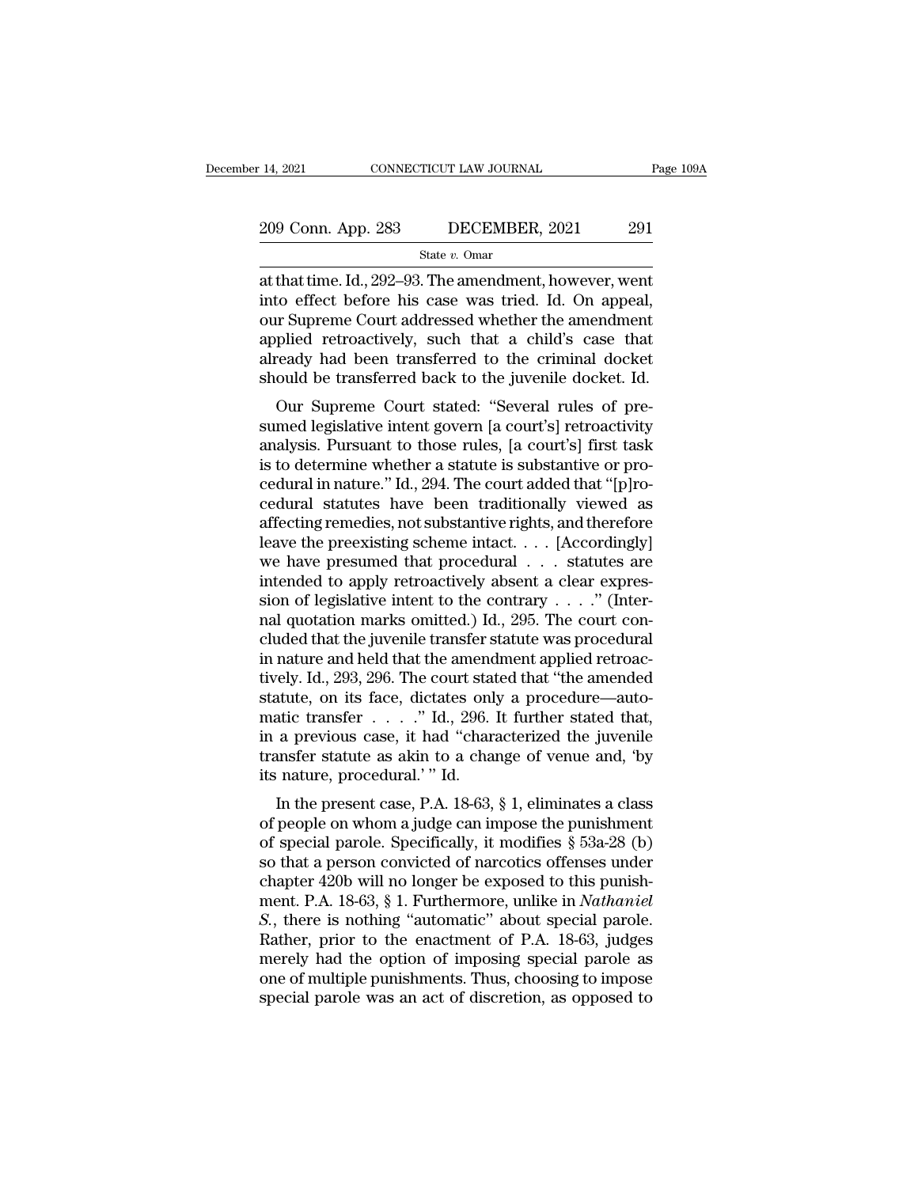# 14, 2021 CONNECTICUT LAW JOURNAL Page 109A<br>209 Conn. App. 283 DECEMBER, 2021 291<br>State v. Omar

State *v.* Omar

14, 2021 CONNECTICUT LAW JOURNAL Page 109/<br>
209 Conn. App. 283 DECEMBER, 2021 291<br>
State v. Omar<br>
at that time. Id., 292–93. The amendment, however, went<br>
into effect before his case was tried. Id. On appeal,<br>
our Suppone 209 Conn. App. 283 DECEMBER, 2021 291<br>
State v. Omar<br>
at that time. Id., 292–93. The amendment, however, went<br>
into effect before his case was tried. Id. On appeal,<br>
our Supreme Court addressed whether the amendment<br>
appl 209 Conn. App. 283 DECEMBER, 2021 291<br>
State v. Omar<br>
at that time. Id., 292–93. The amendment, however, went<br>
into effect before his case was tried. Id. On appeal,<br>
our Supreme Court addressed whether the amendment<br>
appl 209 Conn. App. 283 DECEMBER, 2021 291<br>
State v. Omar<br>
at that time. Id., 292–93. The amendment, however, went<br>
into effect before his case was tried. Id. On appeal,<br>
our Supreme Court addressed whether the amendment<br>
appl State v. Omar<br>at that time. Id., 292–93. The amendment, however, went<br>into effect before his case was tried. Id. On appeal,<br>our Supreme Court addressed whether the amendment<br>applied retroactively, such that a child's case state v. Omar<br>at that time. Id., 292–93. The amendment, however, went<br>into effect before his case was tried. Id. On appeal,<br>our Supreme Court addressed whether the amendment<br>applied retroactively, such that a child's case Inat time. Id., 292–95. The amendment, however, went<br>to effect before his case was tried. Id. On appeal,<br>ir Supreme Court addressed whether the amendment<br>plied retroactively, such that a child's case that<br>ready had been tr nto effect before its case was tried. Id. Of appear,<br>our Supreme Court addressed whether the amendment<br>applied retroactively, such that a child's case that<br>already had been transferred to the criminal docket<br>should be tran

our supreme Court addressed whether the antendment<br>applied retroactively, such that a child's case that<br>already had been transferred to the criminal docket<br>should be transferred back to the juvenile docket. Id.<br>Our Supreme applied retroactively, such that a child's case that<br>already had been transferred to the criminal docket<br>should be transferred back to the juvenile docket. Id.<br>Our Supreme Court stated: "Several rules of pre-<br>sumed legisla all each pair and been transferred to the criminal docket<br>should be transferred back to the juvenile docket. Id.<br>Our Supreme Court stated: "Several rules of pre-<br>sumed legislative intent govern [a court's] retroactivity<br>an should be transferred back to the juvenile docket. Id.<br>
Our Supreme Court stated: "Several rules of pre-<br>
sumed legislative intent govern [a court's] retroactivity<br>
analysis. Pursuant to those rules, [a court's] first task Our Supreme Court stated: "Several rules of pre-<br>sumed legislative intent govern [a court's] retroactivity<br>analysis. Pursuant to those rules, [a court's] first task<br>is to determine whether a statute is substantive or prosumed legislative intent govern [a court's] retroactivity<br>analysis. Pursuant to those rules, [a court's] first task<br>is to determine whether a statute is substantive or pro-<br>cedural in nature." Id., 294. The court added tha analysis. Pursuant to those rules, [a court's] first task<br>is to determine whether a statute is substantive or pro-<br>cedural in nature." Id., 294. The court added that "[p]ro-<br>cedural statutes have been traditionally viewed is to determine whether a statute is substantive or pro-<br>cedural in nature." Id., 294. The court added that "[p]ro-<br>cedural statutes have been traditionally viewed as<br>affecting remedies, not substantive rights, and theref cedural in nature." Id., 294. The court added that "[p]ro-<br>cedural statutes have been traditionally viewed as<br>affecting remedies, not substantive rights, and therefore<br>leave the preexisting scheme intact. . . . [Accordingl cedural statutes have been traditionally viewed as<br>affecting remedies, not substantive rights, and therefore<br>leave the preexisting scheme intact. . . . [Accordingly]<br>we have presumed that procedural . . . statutes are<br>int affecting remedies, not substantive rights, and therefore<br>leave the preexisting scheme intact. . . . [Accordingly]<br>we have presumed that procedural . . . statutes are<br>intended to apply retroactively absent a clear expresleave the preexisting scheme intact. . . . [Accordingly]<br>we have presumed that procedural . . . statutes are<br>intended to apply retroactively absent a clear expres-<br>sion of legislative intent to the contrary . . . . . " (I we have presumed that procedural  $\ldots$  statutes are<br>intended to apply retroactively absent a clear expres-<br>sion of legislative intent to the contrary  $\ldots$ ." (Inter-<br>nal quotation marks omitted.) Id., 295. The court con-<br> intended to apply retroactively absent a clear expression of legislative intent to the contrary . . . ." (Internal quotation marks omitted.) Id., 295. The court concluded that the juvenile transfer statute was procedural sion of legislative intent to the contrary . . . ." (Inter-<br>nal quotation marks omitted.) Id., 295. The court con-<br>cluded that the juvenile transfer statute was procedural<br>in nature and held that the amendment applied ret nal quotation marks omitted.) Id., 295. The court concluded that the juvenile transfer statute was procedural<br>in nature and held that the amendment applied retroac-<br>tively. Id., 293, 296. The court stated that "the amended cluded that the juvenile transfer statute was procedural<br>in nature and held that the amendment applied retroac-<br>tively. Id., 293, 296. The court stated that "the amended<br>statute, on its face, dictates only a procedure—auto transfer statute as akin to a change of venue and, 'by its nature, procedural.' " Id.<br>In the present case, P.A. 18-63, § 1, eliminates a class of people on whom a judge can impose the punishment Ery. 1d., 253, 250. The court stated that the antended<br>attute, on its face, dictates only a procedure—auto-<br>attic transfer . . . . ." Id., 296. It further stated that,<br>a previous case, it had "characterized the juvenile<br>u statute, on its race, ulctates only a procedure—auto-<br>matic transfer . . . . ." Id., 296. It further stated that,<br>in a previous case, it had "characterized the juvenile<br>transfer statute as akin to a change of venue and, '

matic transfer  $\ldots$  and, 250. It further stated that,<br>in a previous case, it had "characterized the juvenile<br>transfer statute as akin to a change of venue and, 'by<br>its nature, procedural.' "Id.<br>In the present case, P.A. In a previous case, it had characterized the juvenine<br>transfer statute as akin to a change of venue and, 'by<br>its nature, procedural.' " Id.<br>In the present case, P.A. 18-63, § 1, eliminates a class<br>of people on whom a judg Transfer statute as a<br>kin to a change of ventue and, by<br>its nature, procedural.'" Id.<br>In the present case, P.A. 18-63, § 1, eliminates a class<br>of people on whom a judge can impose the punishment<br>of special parole. Specifi ment. Procedural. The two statute, procedural. The two states of people on whom a judge can impose the punishment<br>of special parole. Specifically, it modifies § 53a-28 (b)<br>so that a person convicted of narcotics offenses u In the present case, P.A. 18-63, § 1, eliminates a class<br>of people on whom a judge can impose the punishment<br>of special parole. Specifically, it modifies § 53a-28 (b)<br>so that a person convicted of narcotics offenses under<br> of people on whom a judge can impose the punishment<br>of special parole. Specifically, it modifies § 53a-28 (b)<br>so that a person convicted of narcotics offenses under<br>chapter 420b will no longer be exposed to this punish-<br>me of special parole. Specifically, it modifies  $\S$  53a-28 (b)<br>so that a person convicted of narcotics offenses under<br>chapter 420b will no longer be exposed to this punish-<br>ment. P.A. 18-63,  $\S$  1. Furthermore, unlike in *Na* so that a person convicted of narcotics offenses under<br>chapter 420b will no longer be exposed to this punish-<br>ment. P.A. 18-63, § 1. Furthermore, unlike in *Nathaniel*<br>S., there is nothing "automatic" about special parole. chapter 420b will no longer be exposed to this punishment. P.A. 18-63, § 1. Furthermore, unlike in *Nathaniel S.*, there is nothing "automatic" about special parole. Rather, prior to the enactment of P.A. 18-63, judges m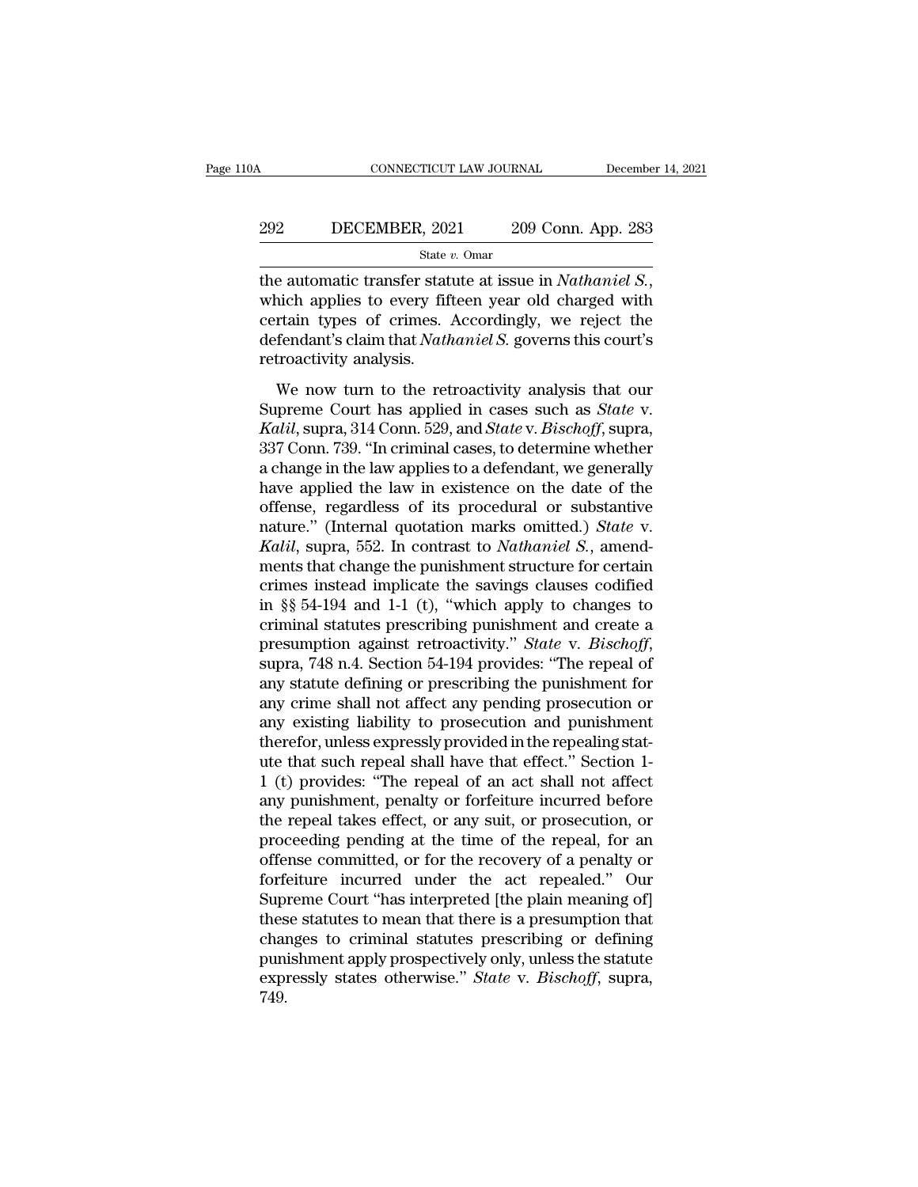#### CONNECTICUT LAW JOURNAL December 14, 2021<br>292 DECEMBER, 2021 209 Conn. App. 283<br>31 State v. Omar State *v.* Omar

the automatic transfer statute at issue in *Nathaniel S.*,<br>
the automatic transfer statute at issue in *Nathaniel S.*,<br>
which applies to every fifteen year old charged with<br>
certain types of crimes. Accordingly, we reject 292 DECEMBER, 2021 209 Conn. App. 283<br>
State v. Omar<br>
the automatic transfer statute at issue in *Nathaniel S.*,<br>
which applies to every fifteen year old charged with<br>
certain types of crimes. Accordingly, we reject the<br> DECEMBER, 2021 209 Conn. App. 283<br>
<sup>State v. Omar</sup><br>
the automatic transfer statute at issue in *Nathaniel S.*,<br>
which applies to every fifteen year old charged with<br>
certain types of crimes. Accordingly, we reject the<br>
def State is a contract of the automatic transfer state<br>which applies to every fif<br>certain types of crimes.<br>defendant's claim that *Nath*<br>retroactivity analysis.<br>We now turn to the ret Equivalently and the retroactivity analysis to the retroactivity analysis.<br>
We now turn to the retroactivity analysis that our strength and retroactivity analysis.<br>
We now turn to the retroactivity analysis that our sprem Free distribution applies to every fifteen year old charged with<br>certain types of crimes. Accordingly, we reject the<br>defendant's claim that *Nathaniel S*. governs this court's<br>retroactivity analysis.<br>We now turn to the ret

*Kalil*, suppress to every meet, year ond enlarged what certain types of crimes. Accordingly, we reject the defendant's claim that *Nathaniel S*. governs this court's retroactivity analysis.<br>We now turn to the retroactivit defendant's claim that *Nathaniel S.* governs this court's<br>retroactivity analysis.<br>We now turn to the retroactivity analysis that our<br>Supreme Court has applied in cases such as *State* v.<br>*Kalil*, supra, 314 Conn. 529, and retroactivity analysis.<br>
We now turn to the retroactivity analysis that our<br>
Supreme Court has applied in cases such as *State v*.<br> *Kalil*, supra, 314 Conn. 529, and *State v. Bischoff*, supra,<br>
337 Conn. 739. "In crimina We now turn to the retroactivity analysis that our<br>Supreme Court has applied in cases such as *State* v.<br>*Kalil*, supra, 314 Conn. 529, and *State* v. *Bischoff*, supra,<br>337 Conn. 739. "In criminal cases, to determine whe We now turn to the retroactivity analysis that our<br>Supreme Court has applied in cases such as *State* v.<br>*Kalil*, supra, 314 Conn. 529, and *State* v. *Bischoff*, supra,<br>337 Conn. 739. "In criminal cases, to determine whe Supreme Court has applied in cases such as *State* v.<br> *Kalil*, supra, 314 Conn. 529, and *State* v. *Bischoff*, supra,<br>
337 Conn. 739. "In criminal cases, to determine whether<br>
a change in the law applies to a defendant, *Kalil*, supra, 314 Conn. 529, and *State* v. *Bischoff*, supra, 337 Conn. 739. "In criminal cases, to determine whether a change in the law applies to a defendant, we generally have applied the law in existence on the dat 337 Conn. 739. "In criminal cases, to determine whether<br>a change in the law applies to a defendant, we generally<br>have applied the law in existence on the date of the<br>offense, regardless of its procedural or substantive<br>na a change in the law applies to a defendant, we generally<br>have applied the law in existence on the date of the<br>offense, regardless of its procedural or substantive<br>nature." (Internal quotation marks omitted.) *State* v.<br>*Ka* have applied the law in existence on the date of the<br>offense, regardless of its procedural or substantive<br>nature." (Internal quotation marks omitted.) *State* v.<br>*Kalil*, supra, 552. In contrast to *Nathaniel S.*, amend-<br>m offense, regardless of its procedural or substantive<br>nature." (Internal quotation marks omitted.) *State* v.<br>*Kalil*, supra, 552. In contrast to *Nathaniel S.*, amend-<br>ments that change the punishment structure for certai nature." (Internal quotation marks omitted.) *State* v.<br> *Kalil*, supra, 552. In contrast to *Nathaniel S.*, amend-<br>
ments that change the punishment structure for certain<br>
crimes instead implicate the savings clauses codi ments that change the punishment structure for certain<br>crimes instead implicate the savings clauses codified<br>in §§ 54-194 and 1-1 (t), "which apply to changes to<br>criminal statutes prescribing punishment and create a<br>presum crimes instead implicate the savings clauses codified<br>in §§ 54-194 and 1-1 (t), "which apply to changes to<br>criminal statutes prescribing punishment and create a<br>presumption against retroactivity." *State* v. *Bischoff*,<br>su in §§ 54-194 and 1-1 (t), "which apply to changes to<br>criminal statutes prescribing punishment and create a<br>presumption against retroactivity." *State* v. *Bischoff*,<br>supra, 748 n.4. Section 54-194 provides: "The repeal of criminal statutes prescribing punishment and create a<br>presumption against retroactivity." *State* v. *Bischoff*,<br>supra, 748 n.4. Section 54-194 provides: "The repeal of<br>any statute defining or prescribing the punishment fo presumption against retroactivity." *State* v. *Bischoff*, supra, 748 n.4. Section 54-194 provides: "The repeal of any statute defining or prescribing the punishment for any crime shall not affect any pending prosecution o supra, 748 n.4. Section 54-194 provides: "The repeal of<br>any statute defining or prescribing the punishment for<br>any crime shall not affect any pending prosecution or<br>any existing liability to prosecution and punishment<br>ther any statute defining or prescribing the punishment for<br>any crime shall not affect any pending prosecution or<br>any existing liability to prosecution and punishment<br>therefor, unless expressly provided in the repealing stat-<br>u any crime shall not affect any pending prosecution or<br>any existing liability to prosecution and punishment<br>therefor, unless expressly provided in the repealing stat-<br>ute that such repeal shall have that effect." Section 1any existing liability to prosecution and punishment<br>therefor, unless expressly provided in the repealing stat-<br>ute that such repeal shall have that effect." Section 1-<br>1 (t) provides: "The repeal of an act shall not affec therefor, unless expressly provided in the repealing stat-<br>ute that such repeal shall have that effect." Section 1-<br>1 (t) provides: "The repeal of an act shall not affect<br>any punishment, penalty or forfeiture incurred befo ute that such repeal shall have that effect." Section 1-<br>1 (t) provides: "The repeal of an act shall not affect<br>any punishment, penalty or forfeiture incurred before<br>the repeal takes effect, or any suit, or prosecution, or 1 (t) provides: "The repeal of an act shall not affect<br>any punishment, penalty or forfeiture incurred before<br>the repeal takes effect, or any suit, or prosecution, or<br>proceeding pending at the time of the repeal, for an<br>off any punishment, penalty or forfeiture incurred before<br>the repeal takes effect, or any suit, or prosecution, or<br>proceeding pending at the time of the repeal, for an<br>offense committed, or for the recovery of a penalty or<br>for the repeal takes effect, or any suit, or prosecution, or<br>proceeding pending at the time of the repeal, for an<br>offense committed, or for the recovery of a penalty or<br>forfeiture incurred under the act repealed." Our<br>Supreme proceeding pending at the time of the repeal, for an<br>offense committed, or for the recovery of a penalty or<br>forfeiture incurred under the act repealed." Our<br>Supreme Court "has interpreted [the plain meaning of]<br>these statu offense committed, or for the recovery of a penalty or forfeiture incurred under the act repealed." Our Supreme Court "has interpreted [the plain meaning of] these statutes to mean that there is a presumption that changes 749.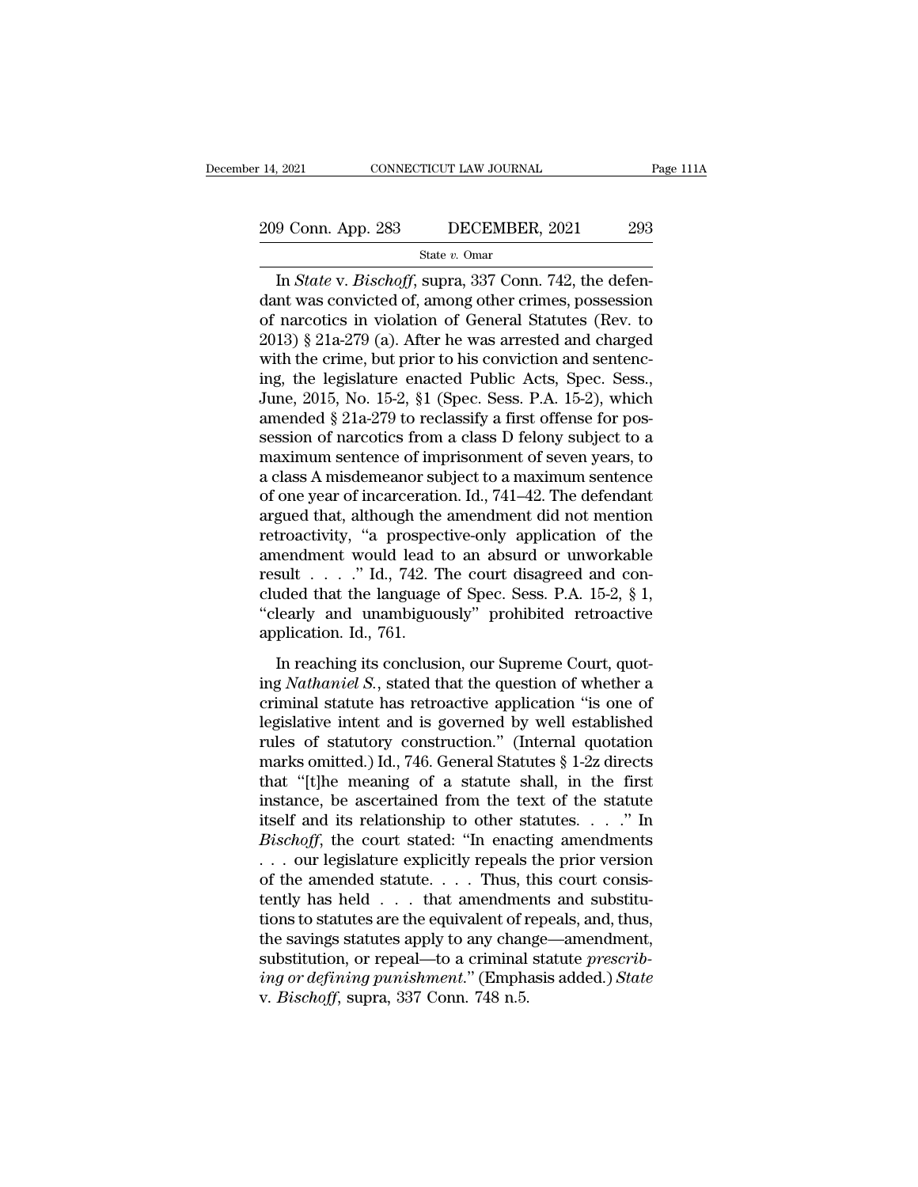State *v.* Omar

In 1982<br>
In *State v. Bischoff*, supra, 337 Conn. 742, the defen-<br>
In *State v. Bischoff*, supra, 337 Conn. 742, the defen-<br>
In *State v. Bischoff*, supra, 337 Conn. 742, the defen-<br>
In was convicted of, among other crimes 209 Conn. App. 283 DECEMBER, 2021 293<br>
State v. Omar<br>
In *State* v. *Bischoff*, supra, 337 Conn. 742, the defendant was convicted of, among other crimes, possession<br>
of narcotics in violation of General Statutes (Rev. to<br> 209 Conn. App. 283 DECEMBER, 2021 293<br>
State v. Omar<br>
In *State* v. *Bischoff*, supra, 337 Conn. 742, the defendant was convicted of, among other crimes, possession<br>
of narcotics in violation of General Statutes (Rev. to<br> 209 Conn. App. 283 DECEMBER, 2021 293<br>
State v. Omar<br>
In *State* v. *Bischoff*, supra, 337 Conn. 742, the defendant was convicted of, among other crimes, possession<br>
of narcotics in violation of General Statutes (Rev. to<br> State v. Omar<br>
In *State v. Bischoff*, supra, 337 Conn. 742, the defendant was convicted of, among other crimes, possession<br>
of narcotics in violation of General Statutes (Rev. to<br>
2013) § 21a-279 (a). After he was arrest state v. Omar<br>
In *State* v. *Bischoff*, supra, 337 Conn. 742, the defen-<br>
dant was convicted of, among other crimes, possession<br>
of narcotics in violation of General Statutes (Rev. to<br>
2013) § 21a-279 (a). After he was a In *State* v. *Bischoff*, supra, 337 Conn. 742, the defendant was convicted of, among other crimes, possession of narcotics in violation of General Statutes (Rev. to 2013) § 21a-279 (a). After he was arrested and charged w dant was convicted of, among other crimes, possession<br>of narcotics in violation of General Statutes (Rev. to<br>2013) § 21a-279 (a). After he was arrested and charged<br>with the crime, but prior to his conviction and sentenc-<br> of narcotics in violation of General Statutes (Rev. to 2013) § 21a-279 (a). After he was arrested and charged with the crime, but prior to his conviction and sentencing, the legislature enacted Public Acts, Spec. Sess., Ju 2013) § 21a-279 (a). After he was arrested and charged<br>with the crime, but prior to his conviction and sentenc-<br>ing, the legislature enacted Public Acts, Spec. Sess.,<br>June, 2015, No. 15-2, §1 (Spec. Sess. P.A. 15-2), whic with the crime, but prior to his conviction and sentenc-<br>ing, the legislature enacted Public Acts, Spec. Sess.,<br>June, 2015, No. 15-2, §1 (Spec. Sess. P.A. 15-2), which<br>amended § 21a-279 to reclassify a first offense for po ing, the legislature enacted Public Acts, Spec. Sess.,<br>June, 2015, No. 15-2, §1 (Spec. Sess. P.A. 15-2), which<br>amended § 21a-279 to reclassify a first offense for pos-<br>session of narcotics from a class D felony subject to June, 2015, No. 15-2, §1 (Spec. Sess. P.A. 15-2), which<br>amended § 21a-279 to reclassify a first offense for pos-<br>session of narcotics from a class D felony subject to a<br>maximum sentence of imprisonment of seven years, to<br>a amended  $\S 21a-279$  to reclassify a first offense for possession of narcotics from a class D felony subject to a<br>maximum sentence of imprisonment of seven years, to<br>a class A misdemeanor subject to a maximum sentence<br>of o session of narcotics from a class D felony subject to a<br>maximum sentence of imprisonment of seven years, to<br>a class A misdemeanor subject to a maximum sentence<br>of one year of incarceration. Id., 741–42. The defendant<br>argu maximum sentence of imprisonment of seven years, to<br>a class A misdemeanor subject to a maximum sentence<br>of one year of incarceration. Id., 741–42. The defendant<br>argued that, although the amendment did not mention<br>retroact a class A misdemeanor subject to a maximum sentence<br>of one year of incarceration. Id., 741–42. The defendant<br>argued that, although the amendment did not mention<br>retroactivity, "a prospective-only application of the<br>amendm of one year of incarceration. Id., 741–42. The defendant<br>argued that, although the amendment did not mention<br>retroactivity, "a prospective-only application of the<br>amendment would lead to an absurd or unworkable<br>result . . argued that, although the<br>retroactivity, "a prospec<br>amendment would lead<br>result . . . . ." Id., 742. T<br>cluded that the language<br>"clearly and unambiguo<br>application. Id., 761.<br>In reaching its conclusi In reaching its conclusion, our Supreme Court, quoted that the language of Spec. Sess. P.A. 15-2,  $\S$  1, learly and unambiguously" prohibited retroactive plication. Id., 761.<br>In reaching its conclusion, our Supreme Court, result . . . ." Id., 742. The court disagreed and con-<br>cluded that the language of Spec. Sess. P.A. 15-2, § 1,<br>"clearly and unambiguously" prohibited retroactive<br>application. Id., 761.<br>In reaching its conclusion, our Supre

criminal statute has retroactive application. Id., 761.<br>
In reaching its conclusion, our Supreme Court, quoting *Nathaniel S.*, stated that the question of whether a criminal statute has retroactive application "is one of Clearly and unambiguously" prohibited retroactive<br>
application. Id., 761.<br>
In reaching its conclusion, our Supreme Court, quot-<br>
ing *Nathaniel S*., stated that the question of whether a<br>
criminal statute has retroactive application. Id., 761.<br>
In reaching its conclusion, our Supreme Court, quot-<br>
ing *Nathaniel S.*, stated that the question of whether a<br>
criminal statute has retroactive application "is one of<br>
legislative intent and is g In reaching its conclusion, our Supreme Court, quoting *Nathaniel S.*, stated that the question of whether a criminal statute has retroactive application "is one of legislative intent and is governed by well established r In reaching its conclusion, our Supreme Court, quoting *Nathaniel S*., stated that the question of whether a criminal statute has retroactive application "is one of legislative intent and is governed by well established r ing *Nathaniel S.*, stated that the question of whether a<br>criminal statute has retroactive application "is one of<br>legislative intent and is governed by well established<br>rules of statutory construction." (Internal quotatio criminal statute has retroactive application "is one of<br>legislative intent and is governed by well established<br>rules of statutory construction." (Internal quotation<br>marks omitted.) Id., 746. General Statutes § 1-2z directs *Begislative intent and is governed by well established*<br>
rules of statutory construction." (Internal quotation<br>
marks omitted.) Id., 746. General Statutes § 1-2z directs<br>
that "[t]he meaning of a statute shall, in the fir rules of statutory construction." (Internal quotation<br>marks omitted.) Id., 746. General Statutes § 1-2z directs<br>that "[t]he meaning of a statute shall, in the first<br>instance, be ascertained from the text of the statute<br>its marks omitted.) Id., 746. General Statutes § 1-2z directs<br>that "[t]he meaning of a statute shall, in the first<br>instance, be ascertained from the text of the statute<br>itself and its relationship to other statutes. . . . " I that "[t]he meaning of a statute shall, in the first<br>instance, be ascertained from the text of the statute<br>itself and its relationship to other statutes. . . ." In<br>*Bischoff*, the court stated: "In enacting amendments<br> $\ld$ instance, be ascertained from the text of the statute<br>itself and its relationship to other statutes. . . ." In<br> $Bischoff$ , the court stated: "In enacting amendments<br>. . . our legislature explicitly repeals the prior version<br>of itself and its relationship to other statutes.  $\ldots$  " In<br>Bischoff, the court stated: "In enacting amendments<br> $\ldots$  our legislature explicitly repeals the prior version<br>of the amended statute.  $\ldots$  Thus, this court consi Bischoff, the court stated: "In enacting amendments<br>  $\ldots$  our legislature explicitly repeals the prior version<br>
of the amended statute.  $\ldots$  Thus, this court consis-<br>
tently has held  $\ldots$  that amendments and substitu-<br> *i* . . . our legislature explicitly repeals the prior version of the amended statute. . . . Thus, this court consistently has held . . . that amendments and substitutions to statutes are the equivalent of repeals, and, th of the amended statute. . . . Thus, then the same of the savings statutes are the equivalent of r the savings statutes apply to any chan substitution, or repeal—to a criminal *ing or defining punishment.*" (Emphay. *Bischo*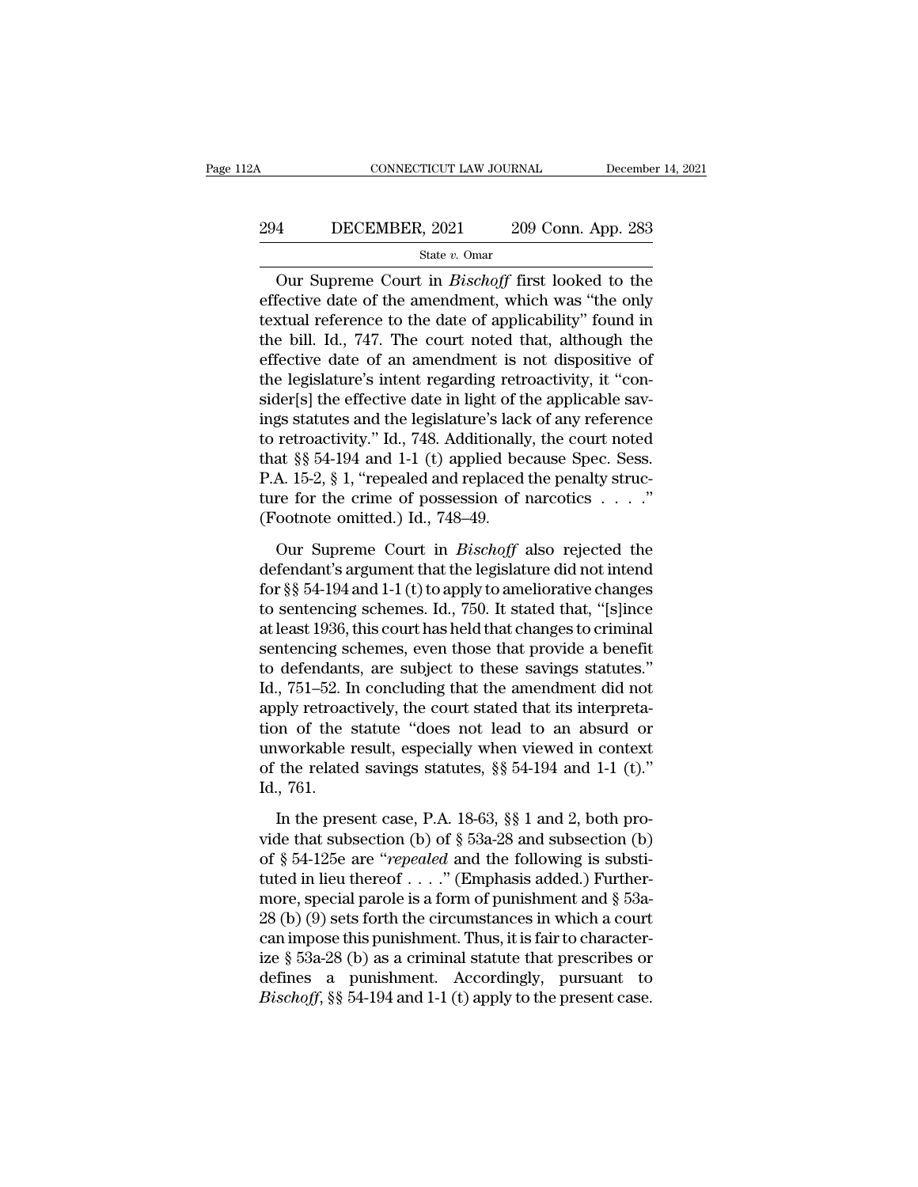# CONNECTICUT LAW JOURNAL December 14, 2021<br>294 DECEMBER, 2021 209 Conn. App. 283<br>31 State v. Omar

### State *v.* Omar

CONNECTICUT LAW JOURNAL December 14, 2021<br> **EXECUTE ALCOND ACTES**<br>
State v. Omar<br>
Our Supreme Court in *Bischoff* first looked to the<br>
fective date of the amendment, which was "the only<br>
stual reference to the date of empl EFREE 2021 209 Conn. App. 283<br>
State v. Omar<br>
Our Supreme Court in *Bischoff* first looked to the<br>
effective date of the amendment, which was "the only<br>
textual reference to the date of applicability" found in<br>
the bill, 294 DECEMBER, 2021 209 Conn. App. 283<br>  $\frac{\text{State } v. \text{ Omar}}{\text{Our Supreme Court in } Bischoff \text{ first looked to the}$ <br>
effective date of the amendment, which was "the only<br>
textual reference to the date of applicability" found in<br>
the bill. Id., 747. The court not 294 DECEMBER, 2021 209 Conn. App. 283<br>
State v. Omar<br>
Our Supreme Court in *Bischoff* first looked to the<br>
effective date of the amendment, which was "the only<br>
textual reference to the date of applicability" found in<br>
th State v. Omar<br>
State v. Omar<br>
Our Supreme Court in *Bischoff* first looked to the<br>
effective date of the amendment, which was "the only<br>
textual reference to the date of applicability" found in<br>
the bill. Id., 747. The co State v. Omar<br>
Our Supreme Court in *Bischoff* first looked to the<br>
effective date of the amendment, which was "the only<br>
textual reference to the date of applicability" found in<br>
the bill. Id., 747. The court noted that, Our Supreme Court in *Bischoff* first looked to the effective date of the amendment, which was "the only textual reference to the date of applicability" found in the bill. Id., 747. The court noted that, although the effe effective date of the amendment, which was "the only<br>textual reference to the date of applicability" found in<br>the bill. Id., 747. The court noted that, although the<br>effective date of an amendment is not dispositive of<br>the textual reference to the date of applicability" found in<br>the bill. Id., 747. The court noted that, although the<br>effective date of an amendment is not dispositive of<br>the legislature's intent regarding retroactivity, it "con the bill. Id., 747. The court noted that, although the effective date of an amendment is not dispositive of the legislature's intent regarding retroactivity, it "consider[s] the effective date in light of the applicable sa effective date of an amendment is not dispositive of<br>the legislature's intent regarding retroactivity, it "con-<br>sider[s] the effective date in light of the applicable sav-<br>ings statutes and the legislature's lack of any r the legislature's intent regarding retroactivity, it "consider[s] the effective date in light of the applicable savings statutes and the legislature's lack of any reference to retroactivity." Id., 748. Additionally, the c sider[s] the effective date in light of tl<br>ings statutes and the legislature's lack<br>to retroactivity." Id., 748. Additionally<br>that §§ 54-194 and 1-1 (t) applied be<br>P.A. 15-2, § 1, "repealed and replaced<br>ture for the crime retroactivity." Id., 748. Additionally, the court noted<br>at §§ 54-194 and 1-1 (t) applied because Spec. Sess.<br>A. 15-2, § 1, "repealed and replaced the penalty struc-<br>re for the crime of possession of narcotics . . . ."<br>ootn that §§ 54-194 and 1-1 (t) applied because Spec. Sess.<br>P.A. 15-2, § 1, "repealed and replaced the penalty structure for the crime of possession of narcotics  $\ldots$ ."<br>(Footnote omitted.) Id., 748–49.<br>Our Supreme Court in *B* 

P.A. 15-2, § 1, "repealed and replaced the penalty structure for the crime of possession of narcotics  $\ldots$ ."<br>(Footnote omitted.) Id., 748–49.<br>Our Supreme Court in *Bischoff* also rejected the<br>defendant's argument that th ture for the crime of possession of narcotics  $\dots$ ."<br>
(Footnote omitted.) Id., 748–49.<br>
Our Supreme Court in *Bischoff* also rejected the<br>
defendant's argument that the legislature did not intend<br>
for §§ 54-194 and 1-1 (t (Footnote omitted.) Id., 748–49.<br>
Our Supreme Court in *Bischoff* also rejected the<br>
defendant's argument that the legislature did not intend<br>
for  $\S$  54-194 and 1-1 (t) to apply to ameliorative changes<br>
to sentencing sch Our Supreme Court in *Bischoff* also rejected the<br>defendant's argument that the legislature did not intend<br>for  $\S$  54-194 and 1-1 (t) to apply to ameliorative changes<br>to sentencing schemes. Id., 750. It stated that, "[s]i Our Supreme Court in *Bischoff* also rejected the<br>defendant's argument that the legislature did not intend<br>for  $\S$  54-194 and 1-1 (t) to apply to ameliorative changes<br>to sentencing schemes. Id., 750. It stated that, "[s]i defendant's argument that the legislature did not intend<br>for §§ 54-194 and 1-1 (t) to apply to ameliorative changes<br>to sentencing schemes. Id., 750. It stated that, "[s]ince<br>at least 1936, this court has held that changes for  $\S$  54-194 and 1-1 (t) to apply to ameliorative changes<br>to sentencing schemes. Id., 750. It stated that, "[s]ince<br>at least 1936, this court has held that changes to criminal<br>sentencing schemes, even those that provide to sentencing schemes. Id., 750. It stated that, "[s]ince<br>at least 1936, this court has held that changes to criminal<br>sentencing schemes, even those that provide a benefit<br>to defendants, are subject to these savings statu at least 1936, this court has held that changes to criminal<br>sentencing schemes, even those that provide a benefit<br>to defendants, are subject to these savings statutes."<br>Id., 751–52. In concluding that the amendment did not sentencing schemes, even those that provide a benefit<br>to defendants, are subject to these savings statutes."<br>Id., 751–52. In concluding that the amendment did not<br>apply retroactively, the court stated that its interpreta-<br> to defendant<br>Id., 751–52. In<br>apply retroac<br>tion of the sunworkable 1<br>of the related<br>Id., 761.<br>In the pres ply retroactively, the court stated that its interpreta-<br>on of the statute "does not lead to an absurd or<br>workable result, especially when viewed in context<br>the related savings statutes, §§ 54-194 and 1-1 (t)."<br>., 761.<br>In video that subsection (b) of § 53a-28 and subsection (b) of § 54-125e are "repeated and the following is substituted in lion theorem.<br>The subsection (b) of § 53a-28 and subsection (b) of § 54-125e are "repeated and the fo

unworkable result, especially when viewed in context<br>of the related savings statutes, §§ 54-194 and 1-1 (t)."<br>Id., 761.<br>In the present case, P.A. 18-63, §§ 1 and 2, both pro-<br>vide that subsection (b) of § 53a-28 and subse of the related savings statutes, §§ 54-194 and 1-1 (t)."<br>Id., 761.<br>In the present case, P.A. 18-63, §§ 1 and 2, both pro-<br>vide that subsection (b) of § 53a-28 and subsection (b)<br>of § 54-125e are "*repealed* and the follow Id., 761.<br>In the present case, P.A. 18-63, §§ 1 and 2, both pro-<br>vide that subsection (b) of § 53a-28 and subsection (b)<br>of § 54-125e are "*repealed* and the following is substi-<br>tuted in lieu thereof . . . ." (Emphasis a In the present case, P.A. 18-63, §§ 1 and 2, both pro-<br>vide that subsection (b) of § 53a-28 and subsection (b)<br>of § 54-125e are "*repealed* and the following is substi-<br>tuted in lieu thereof . . . ." (Emphasis added.) Fur In the present case, P.A. 18-63, §§ 1 and 2, both provide that subsection (b) of § 53a-28 and subsection (b) of § 54-125e are "*repealed* and the following is substituted in lieu thereof . . . ." (Emphasis added.) Further vide that subsection (b) of § 53a-28 and subsection (b)<br>of § 54-125e are "*repealed* and the following is substi-<br>tuted in lieu thereof . . . ." (Emphasis added.) Further-<br>more, special parole is a form of punishment and of § 54-125e are "*repealed* and the following is substituted in lieu thereof . . . ." (Emphasis added.) Furthermore, special parole is a form of punishment and § 53a-28 (b) (9) sets forth the circumstances in which a cou tuted in lieu thereof  $\ldots$ ." (Emphasis added.) Furthermore, special parole is a form of punishment and § 53a-28 (b) (9) sets forth the circumstances in which a court can impose this punishment. Thus, it is fair to charac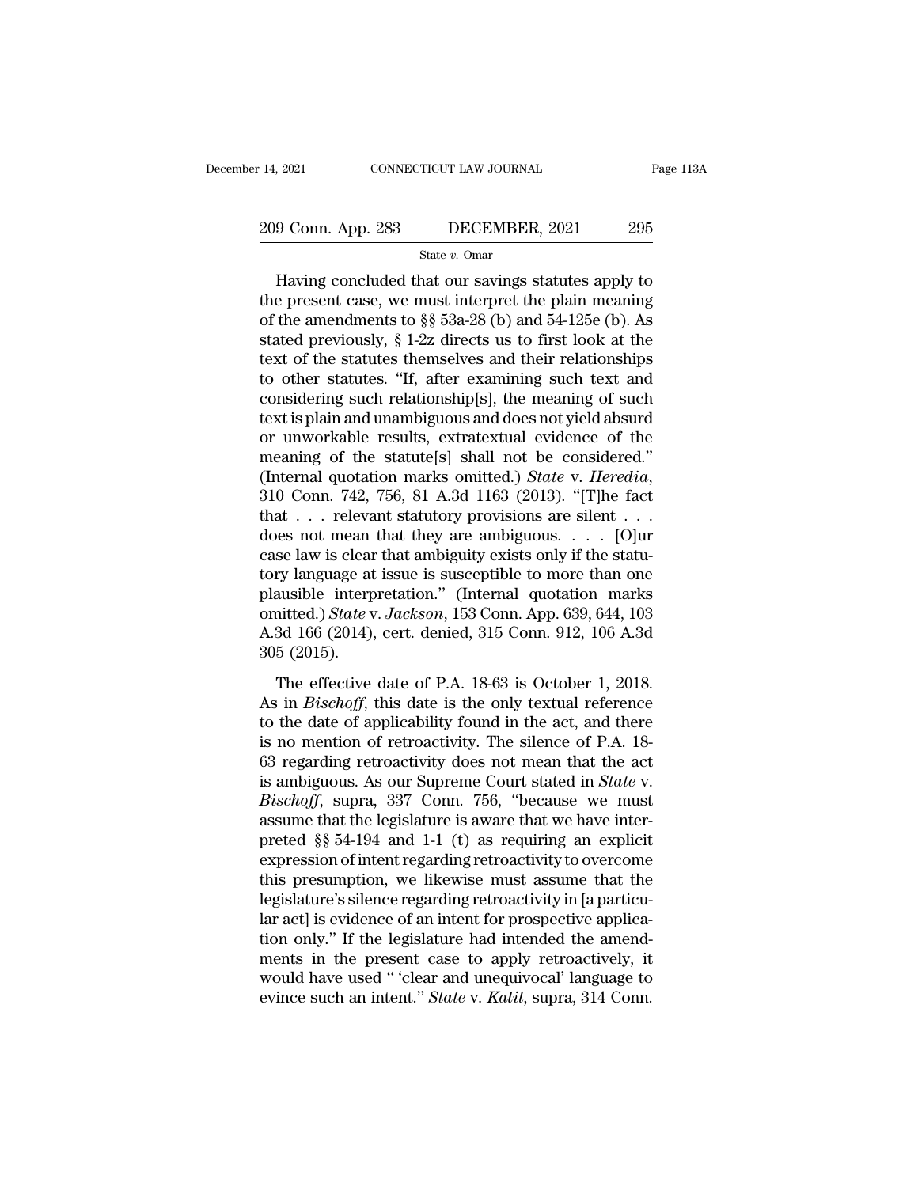### State *v.* Omar

9 Conn. App. 283 DECEMBER, 2021 295<br>
State v. Omar<br>
Having concluded that our savings statutes apply to<br>
e present case, we must interpret the plain meaning<br>
the amondments to  $88.532.28$  (b) and  $54.1256$  (b) As 209 Conn. App. 283 DECEMBER, 2021 295<br>
State v. Omar<br>
Having concluded that our savings statutes apply to<br>
the present case, we must interpret the plain meaning<br>
of the amendments to §§ 53a-28 (b) and 54-125e (b). As<br>
sta 209 Conn. App. 283 DECEMBER, 2021 295<br>
State v. Omar<br>
Having concluded that our savings statutes apply to<br>
the present case, we must interpret the plain meaning<br>
of the amendments to §§ 53a-28 (b) and 54-125e (b). As<br>
sta 209 Conn. App. 283 DECEMBER, 2021 295<br>
State v. Omar<br>
Having concluded that our savings statutes apply to<br>
the present case, we must interpret the plain meaning<br>
of the amendments to §§ 53a-28 (b) and 54-125e (b). As<br>
sta State v. Omar<br>
Having concluded that our savings statutes apply to<br>
the present case, we must interpret the plain meaning<br>
of the amendments to §§ 53a-28 (b) and 54-125e (b). As<br>
stated previously, § 1-2z directs us to fi State v. Omar<br>
Having concluded that our savings statutes apply to<br>
the present case, we must interpret the plain meaning<br>
of the amendments to §§ 53a-28 (b) and 54-125e (b). As<br>
stated previously, § 1-2z directs us to fi Having concluded that our savings statutes apply to<br>the present case, we must interpret the plain meaning<br>of the amendments to §§ 53a-28 (b) and 54-125e (b). As<br>stated previously, § 1-2z directs us to first look at the<br>te the present case, we must interpret the plain meaning<br>of the amendments to §§ 53a-28 (b) and 54-125e (b). As<br>stated previously, § 1-2z directs us to first look at the<br>text of the statutes themselves and their relationship of the amendments to §§ 53a-28 (b) and 54-125e (b). As<br>stated previously, § 1-2z directs us to first look at the<br>text of the statutes themselves and their relationships<br>to other statutes. "If, after examining such text an stated previously, § 1-2z directs us to first look at the<br>text of the statutes themselves and their relationships<br>to other statutes. "If, after examining such text and<br>considering such relationship[s], the meaning of such text of the statutes themselves and their relationships<br>to other statutes. "If, after examining such text and<br>considering such relationship[s], the meaning of such<br>text is plain and unambiguous and does not yield absurd<br>or considering such relationship[s], the meaning of such text is plain and unambiguous and does not yield absurd<br>or unworkable results, extratextual evidence of the<br>meaning of the statute[s] shall not be considered."<br>(Intern text is plain and unambiguous and does not yield absurd<br>or unworkable results, extratextual evidence of the<br>meaning of the statute[s] shall not be considered."<br>(Internal quotation marks omitted.) *State* v. *Heredia*,<br>310 or unworkable results, extratextual evidence of the<br>meaning of the statute[s] shall not be considered."<br>(Internal quotation marks omitted.) *State v. Heredia*,<br>310 Conn. 742, 756, 81 A.3d 1163 (2013). "[T]he fact<br>that . . meaning of the statute[s] shall not be considered."<br>(Internal quotation marks omitted.) *State* v. *Heredia*,<br>310 Conn. 742, 756, 81 A.3d 1163 (2013). "[T]he fact<br>that . . . relevant statutory provisions are silent . . .<br> (Internal quotation marks omitted.) *State v. Heredia*, 310 Conn. 742, 756, 81 A.3d 1163 (2013). "[T]he fact that . . . relevant statutory provisions are silent . . . does not mean that they are ambiguous. . . . [O]ur cas 310 Conn. 742, 756, 81 A.3d 1163 (2013). "[T]he fact<br>that . . . relevant statutory provisions are silent . . .<br>does not mean that they are ambiguous. . . . [O]ur<br>case law is clear that ambiguity exists only if the statu-<br>t that . . . relevant statutory provisions are silent . . .<br>does not mean that they are ambiguous. . . . [O]ur<br>case law is clear that ambiguity exists only if the statu-<br>tory language at issue is susceptible to more than on does not mean<br>case law is clear<br>tory language at<br>plausible interp<br>omitted.) State v<br>A.3d 166 (2014),<br>305 (2015).<br>The effective The effective date of P.A. 18-63 is October 1, 2018.<br>
For effective date of P.A. 18-63 is October 1, 2018.<br>
The effective date of P.A. 18-63 is October 1, 2018.<br>
For effective date of P.A. 18-63 is October 1, 2018.<br>
For e plausible interpretation." (Internal quotation marks<br>plausible interpretation." (Internal quotation marks<br>omitted.) *State* v. *Jackson*, 153 Conn. App. 639, 644, 103<br>A.3d 166 (2014), cert. denied, 315 Conn. 912, 106 A.3d

platistic Interpretation. (Internal quotation marks)<br>omitted.) State v. Jackson, 153 Conn. App. 639, 644, 103<br>A.3d 166 (2014), cert. denied, 315 Conn. 912, 106 A.3d<br>305 (2015).<br>The effective date of P.A. 18-63 is October A.3d 166 (2014), cert. denied, 315 Conn. 912, 106 A.3d<br>305 (2015).<br>The effective date of P.A. 18-63 is October 1, 2018.<br>As in *Bischoff*, this date is the only textual reference<br>to the date of applicability found in the a 1.63 166 (2011), eet. denied, 919 comt. 912, 166 1.54<br>305 (2015).<br>The effective date of P.A. 18-63 is October 1, 2018.<br>As in *Bischoff*, this date is the only textual reference<br>to the date of applicability found in the ac The effective date of P.A. 18-63 is October 1, 2018.<br>As in *Bischoff*, this date is the only textual reference<br>to the date of applicability found in the act, and there<br>is no mention of retroactivity. The silence of P.A. 18 The effective date of P.A. 18-63 is October 1, 2018.<br>As in *Bischoff*, this date is the only textual reference<br>to the date of applicability found in the act, and there<br>is no mention of retroactivity. The silence of P.A. 18 As in *Bischoff*, this date is the only textual reference<br>to the date of applicability found in the act, and there<br>is no mention of retroactivity. The silence of P.A. 18-<br>63 regarding retroactivity does not mean that the to the date of applicability found in the act, and there<br>is no mention of retroactivity. The silence of P.A. 18-<br>63 regarding retroactivity does not mean that the act<br>is ambiguous. As our Supreme Court stated in *State* v is no mention of retroactivity. The silence of P.A. 18-63 regarding retroactivity does not mean that the act<br>is ambiguous. As our Supreme Court stated in *State* v.<br>*Bischoff*, supra, 337 Conn. 756, "because we must<br>assum 63 regarding retroactivity does not mean that the act<br>is ambiguous. As our Supreme Court stated in *State* v.<br>*Bischoff*, supra, 337 Conn. 756, "because we must<br>assume that the legislature is aware that we have inter-<br>pre is ambiguous. As our Supreme Court stated in *State* v.<br>*Bischoff*, supra, 337 Conn. 756, "because we must<br>assume that the legislature is aware that we have inter-<br>preted §§ 54-194 and 1-1 (t) as requiring an explicit<br>exp *Bischoff*, supra, 337 Conn. 756, "because we must<br>assume that the legislature is aware that we have inter-<br>preted §§ 54-194 and 1-1 (t) as requiring an explicit<br>expression of intent regarding retroactivity to overcome<br>thi assume that the legislature is aware that we have interpreted §§ 54-194 and 1-1 (t) as requiring an explicit expression of intent regarding retroactivity to overcome this presumption, we likewise must assume that the legis preted §§ 54-194 and 1-1 (t) as requiring an explicit<br>expression of intent regarding retroactivity to overcome<br>this presumption, we likewise must assume that the<br>legislature's silence regarding retroactivity in [a particu expression of intent regarding retroactivity to overcome<br>this presumption, we likewise must assume that the<br>legislature's silence regarding retroactivity in [a particu-<br>lar act] is evidence of an intent for prospective app this presumption, we likewise must assume that the legislature's silence regarding retroactivity in [a particular act] is evidence of an intent for prospective application only." If the legislature had intended the amendme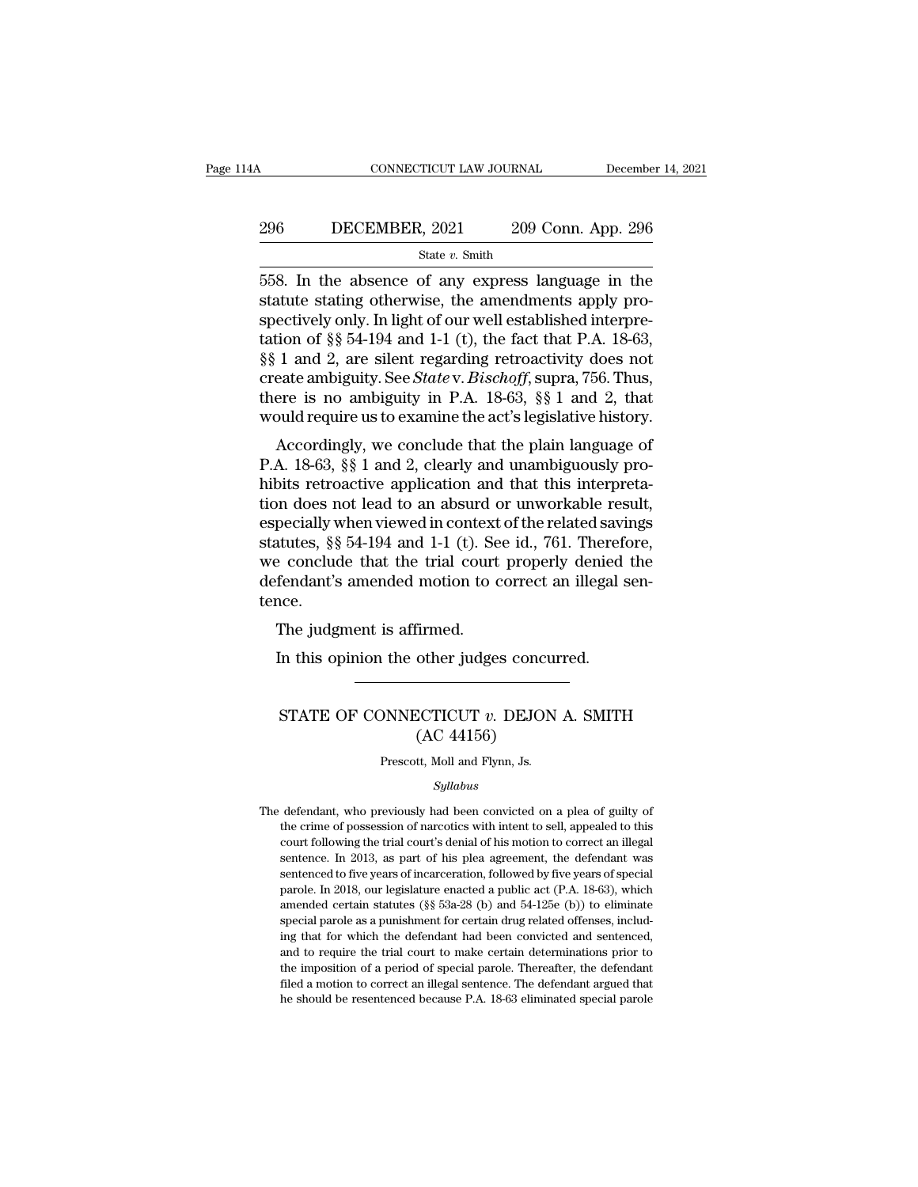# CONNECTICUT LAW JOURNAL December 14, 2021<br>296 DECEMBER, 2021 209 Conn. App. 296<br>State v. Smith

### State *v.* Smith

558. In the absence of any express language in the connectively only by philostophysics of any express language in the statute stating otherwise, the amendments apply pro-**SET ASSET SET ASSET SET ASSET SET ASSET ASSET ASSET ASSET ASSET AND SET ALSO SET ALSO SET Also SET Also SET Also SET Also SET ALSO SET ALSO SET ALSO SET ALSO SET ALSO SET ALSO SET ALSO APPLY PROPERENT APPLY PROPERENT APP Spectively only. In light of our well established interpretation of**  $\S$  $\S$  **1 and 2 are signing properties and**  $\S$  **and**  $\S$  **1 and**  $\S$  **2 are signing properties and**  $\S$  **54-194 and 1-1 (t), the fact that P.A. 18-63,**  $\S$  **8.1** 296 DECEMBER, 2021 209 Conn. App. 296<br>
State v. Smith<br>
558. In the absence of any express language in the<br>
statute stating otherwise, the amendments apply pro-<br>
spectively only. In light of our well established interpre-<br> State v. Smith<br>
State v. Smith<br>
558. In the absence of any express language in the<br>
statute stating otherwise, the amendments apply pro-<br>
spectively only. In light of our well established interpre-<br>
tation of §§ 54-194 an State v. Smith<br>558. In the absence of any express language in the<br>statute stating otherwise, the amendments apply pro-<br>spectively only. In light of our well established interpre-<br>tation of §§ 54-194 and 1-1 (t), the fact 558. In the absence of any express language in the statute stating otherwise, the amendments apply prospectively only. In light of our well established interpretation of §§ 54-194 and 1-1 (t), the fact that P.A. 18-63, §§ statute stating otherwise, the amendments apply pro-<br>spectively only. In light of our well established interpre-<br>tation of §§ 54-194 and 1-1 (t), the fact that P.A. 18-63,<br>§§ 1 and 2, are silent regarding retroactivity doe Ectively only. In fight of our wen established interpre-<br>tion of §§ 54-194 and 1-1 (t), the fact that P.A. 18-63,<br>1 and 2, are silent regarding retroactivity does not<br>eate ambiguity. See *State* v. *Bischoff*, supra, 756. Early 1 and 2, are silent regarding retroactivity does not create ambiguity. See *Statev. Bischoff*, supra, 756. Thus, there is no ambiguity in P.A. 18-63,  $\S$  1 and 2, that would require us to examine the act's legislati

 $\frac{1}{88}$  T and 2, are shent regarding retroactivity does not<br>create ambiguity. See *Statev. Bischoff*, supra, 756. Thus,<br>there is no ambiguity in P.A. 18-63,  $\S$  1 and 2, that<br>would require us to examine the act's legis there is no ambiguity in P.A. 18-63, §§ 1 and 2, that<br>would require us to examine the act's legislative history.<br>Accordingly, we conclude that the plain language of<br>P.A. 18-63, §§ 1 and 2, clearly and unambiguously pro-<br>h Fig. 2. The context of the related saving<br>would require us to examine the act's legislative history.<br>Accordingly, we conclude that the plain language of<br>P.A. 18-63, §§ 1 and 2, clearly and unambiguously pro-<br>hibits retroa statute as to examine the act s registative instory.<br>Accordingly, we conclude that the plain language of<br>P.A. 18-63, §§ 1 and 2, clearly and unambiguously pro-<br>hibits retroactive application and that this interpreta-<br>tion Accordingly, we conclude that the plain language of<br>P.A. 18-63, §§ 1 and 2, clearly and unambiguously pro-<br>hibits retroactive application and that this interpreta-<br>tion does not lead to an absurd or unworkable result,<br>esp P.A. 18-63, §§ 1 and 2, clearly and unambiguously prohibits retroactive application and that this interpretation does not lead to an absurd or unworkable result, especially when viewed in context of the related savings sta tence. In does not lead to an absurd context<br>pecially when viewed in context<br>atutes, §§ 54-194 and 1-1 (t). Se<br>e conclude that the trial court<br>fendant's amended motion to c<br>nce.<br>The judgment is affirmed.<br>In this opinion the other In this set in 1-1 (t). See id., 761. Therefore conclude that the trial court properly denied fendant's amended motion to correct an illegal sequence.<br>The judgment is affirmed.<br>In this opinion the other judges concurred.

### ne judgment is affirmed.<br>In this opinion the other judges concurred.<br>STATE OF CONNECTICUT *v*. DEJON A. SMITH (AC 44156) firmed.<br>
other judges concu<br>
CCTICUT v. DEJON<br>
(AC 44156)<br>
tt, Moll and Flynn, Js. STATE OF CONNECTICUT  $v$ . DEJON A. SMITH<br>(AC 44156)<br>Prescott, Moll and Flynn, Js.

### *Syllabus*

 $(AC 44156)$ <br>Prescott, Moll and Flynn, Js.<br>*Syllabus*<br>The defendant, who previously had been convicted on a plea of guilty of<br>the crime of possession of narcotics with intent to sell, appealed to this (AC 441500)<br>
Prescott, Moll and Flynn, Js.<br> *Syllabus*<br>
defendant, who previously had been convicted on a plea of guilty of<br>
the crime of possession of narcotics with intent to sell, appealed to this<br>
court following the t Prescott, Moll and Flynn, Js.<br>
Syllabus<br>
defendant, who previously had been convicted on a plea of guilty of<br>
the crime of possession of narcotics with intent to sell, appealed to this<br>
court following the trial court's de Syllabus<br>defendant, who previously had been convicted on a plea of guilty of<br>the crime of possession of narcotics with intent to sell, appealed to this<br>court following the trial court's denial of his motion to correct an i *Syllabus*<br>defendant, who previously had been convicted on a plea of guilty of<br>the crime of possession of narcotics with intent to sell, appealed to this<br>court following the trial court's denial of his motion to correct an defendant, who previously had been convicted on a plea of guilty of<br>the crime of possession of narcotics with intent to sell, appealed to this<br>court following the trial court's denial of his motion to correct an illegal<br>se the crime of possession of narcotics with intent to sell, appealed to this court following the trial court's denial of his motion to correct an illegal sentence. In 2013, as part of his plea agreement, the defendant was se special parole as a punishment for certain drug related offenses, included parole and the defendant was sentence. In 2013, as part of his plea agreement, the defendant was sentenced to five years of incarceration, followed sentence. In 2013, as part of his plea agreement, the defendant was sentenced to five years of incarceration, followed by five years of special parole. In 2018, our legislature enacted a public act (P.A. 18-63), which ame sentenced to five years of incarceration, followed by five years of special parole. In 2018, our legislature enacted a public act (P.A. 18-63), which amended certain statutes ( $\$ § 53a-28 (b) and 54-125e (b)) to eliminate parole. In 2018, our legislature enacted a public act (P.A. 18-63), which amended certain statutes ( $\S$ § 53a-28 (b) and 54-125e (b)) to eliminate special parole as a punishment for certain drug related offenses, including amended certain statutes ( $\S$ § 53a-28 (b) and 54-125e (b)) to eliminate special parole as a punishment for certain drug related offenses, includ-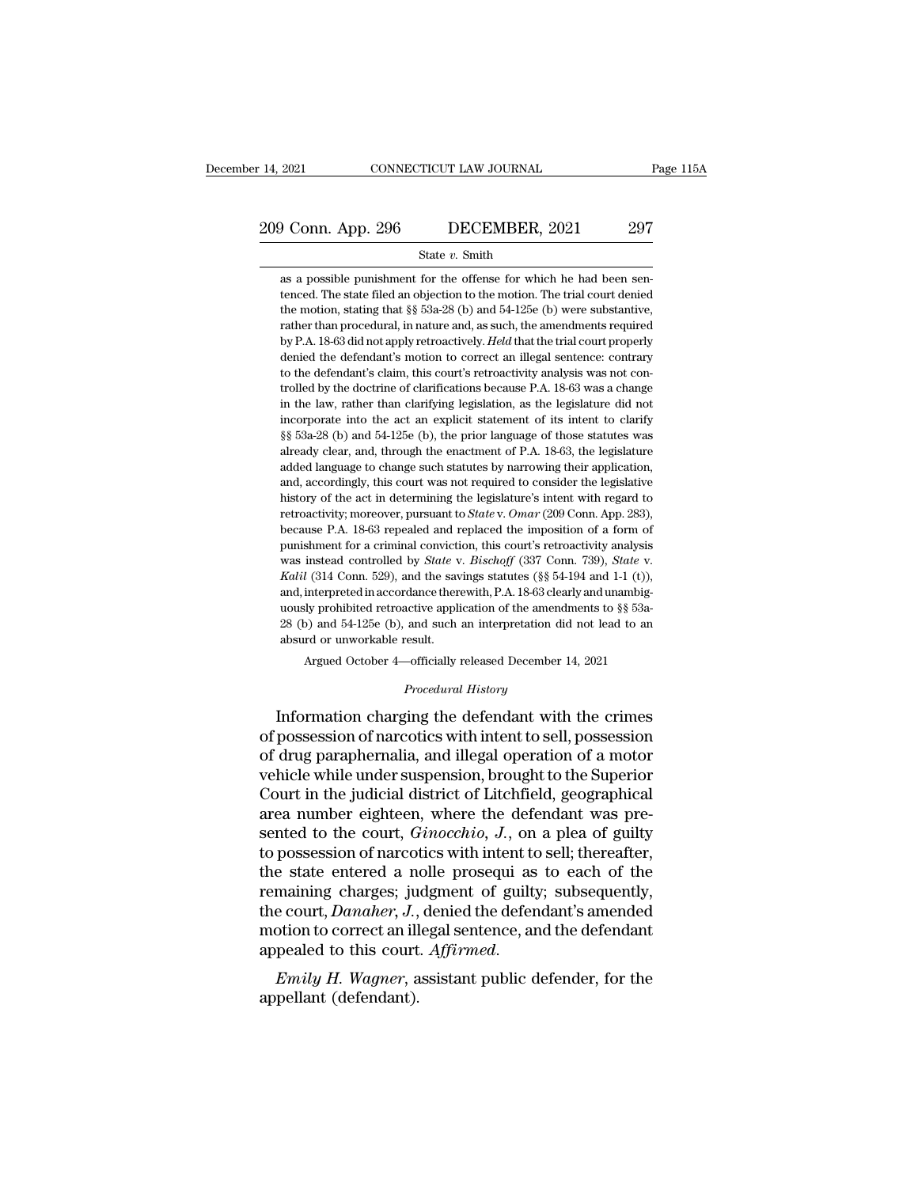# 209 Conn. App. 296 DECEMBER, 2021 297<br>
209 Conn. App. 296 DECEMBER, 2021 297

### State *v.* Smith

209 Conn. App. 296 DECEMBER, 2021 297<br>
State v. Smith<br>
as a possible punishment for the offense for which he had been sen-<br>
tenced. The state filed an objection to the motion. The trial court denied<br>
the motion, stating t **the state filed an objection of the motion.** The state *v*. Smith<br>as a possible punishment for the offense for which he had been sentenced. The state filed an objection to the motion. The trial court denied<br>the motion, s the motion, stating motion, stating that §§ 53a-28 (b) and 54-125e (b) were substantive, where the motion, stating that §§ 53a-28 (b) and 54-125e (b) were substantive, rather than procedural, in nature and, as such, the am State v. Smith<br>as a possible punishment for the offense for which he had been sen-<br>tenced. The state filed an objection to the motion. The trial court denied<br>the motion, stating that §§ 53a-28 (b) and 54-125e (b) were subs State v. Smith<br>as a possible punishment for the offense for which he had been sen-<br>tenced. The state filed an objection to the motion. The trial court denied<br>the motion, stating that §§ 53a-28 (b) and 54-125e (b) were subs as a possible punishment for the offense for which he had been sentenced. The state filed an objection to the motion. The trial court denied the motion, stating that  $\S$  53a-28 (b) and 54-125e (b) were substantive, rather to the defendant's differential out of the motion. The trial court denied<br>the motion, stating that  $\S$  53a-28 (b) and 54-125e (b) were substantive,<br>rather than procedural, in nature and, as such, the amendments required<br>b the motion, stating that §§ 53a-28 (b) and 54-125e (b) were substantive, rather than procedural, in nature and, as such, the amendments required by P.A. 18-63 did not apply retroactively. *Held* that the trial court prope rather than procedural, in nature and, as such, the amendments required<br>by P.A. 18-63 did not apply retroactively. *Held* that the trial court properly<br>denied the defendant's motion to correct an illegal sentence: contrary by P.A. 18-63 did not apply retroactively. Held that the trial court properly denied the defendant's motion to correct an illegal sentence: contrary to the defendant's claim, this court's retroactivity analysis was not con by and the defendant's motion to correct an illegal sentence: contrary<br>to the defendant's claim, this court's retroactivity analysis was not con-<br>trolled by the doctrine of clarifications because P.A. 18-63 was a change<br>in to the defendant's claim, this court's retroactivity analysis was not controlled by the doctrine of clarifications because P.A. 18-63 was a change in the law, rather than clarifying legislation, as the legislature did not trolled by the doctrine of clarifications because P.A. 18-63 was a change in the law, rather than clarifying legislation, as the legislature did not incorporate into the act an explicit statement of its intent to clarify in the law, rather than clarifying legislation, as the legislature did not incorporate into the act an explicit statement of its intent to clarify  $\S$   $\S$   $\S$   $\S$   $\S$  $3a-28$  (b) and  $54-125e$  (b), the prior language of th in corporate into the act an explicit statement of its intent to clarify  $\S$ § 53a-28 (b) and 54-125e (b), the prior language of those statutes was already clear, and, through the enactment of P.A. 18-63, the legislature a <sup>8</sup> s 53a-28 (b) and 54-125e (b), the prior language of those statutes was already clear, and, through the enactment of P.A. 18-63, the legislature added language to change such statutes by narrowing their application, and already clear, and, through the enactment of P.A. 18-63, the legislature added language to change such statutes by narrowing their application, and, accordingly, this court was not required to consider the legislative his anded language to change such statutes by narrowing their application, and, accordingly, this court was not required to consider the legislative history of the act in determining the legislature's intent with regard to ret and, accordingly, this court was not required to consider the legislative history of the act in determining the legislature's intent with regard to retroactivity; moreover, pursuant to *State* v. *Omar* (209 Conn. App. 283 retroactivity; moreover, pursuant to *State* v. *Omar* (209 Conn. App. 283), because P.A. 18-63 repealed and replaced the imposition of a form of punishment for a criminal conviction, this court's retroactivity analysis w because P.A. 18-63 repealed and replaced the imposition of a form of punishment for a criminal conviction, this court's retroactivity analysis was instead controlled by *State* v. *Bischoff* (337 Conn. 739), *State* v. *K* punishment for a criminal conviction, this court's retroactivity analysis<br>was instead controlled by *State* v. *Bischoff* (337 Conn. 739), *State* v.<br>*Kalil* (314 Conn. 529), and the savings statutes (§§ 54-194 and 1-1 (t) was instead controlled by *State* v<br>was instead controlled by *State* v<br>*Kalil* (314 Conn. 529), and the save and, interpreted in accordance there<br>uously prohibited retroactive appli<br>28 (b) and 54-125e (b), and such absurd *Kalil* (314 Conn. 529), and the savings statutes (§§ 54-194 and 1-1 (t)), and, interpreted in accordance therewith, P.A. 18-63 clearly and unambiguously prohibited retroactive application of the amendments to §§ 53a-28 ( % uously prohibited retroactive application of the amendments to % 53a-<br>
<sup>28</sup> (b) and 54-125e (b), and such an interpretation did not lead to an absurd or unworkable result.<br>
Argued October 4—officially released December 1 and, interpreted in accordance therewith, r.A. 18-05 clearly and unambiguously prohibited retroactive application of the amendments to §§ 53a-<br>28 (b) and 54-125e (b), and such an interpretation did not lead to an<br>absurd or

of possession of arcotics with intent to sell, possession<br>of drug possession of an interpretation did not lead to an<br>absurd or unworkable result.<br>Argued October 4—officially released December 14, 2021<br>*Procedural History*<br> absurd or unworkable result.<br>
Argued October 4—officially released December 14, 2021<br>
Procedural History<br>
Information charging the defendant with the crimes<br>
of possession of narcotics with intent to sell, possession<br>
of d Argued October 4—officially released December 14, 2021<br> *Procedural History*<br>
Information charging the defendant with the crimes<br>
of possession of narcotics with intent to sell, possession<br>
of drug paraphernalia, and illeg *Procedural History*<br>Information charging the defendant with the crimes<br>of possession of narcotics with intent to sell, possession<br>of drug paraphernalia, and illegal operation of a motor<br>vehicle while under suspension, bro Froceaural History<br>area number of possession of narcotics with intent to sell, possession<br>of drug paraphernalia, and illegal operation of a motor<br>vehicle while under suspension, brought to the Superior<br>Court in the judicia Information charging the defendant with the crimes<br>of possession of narcotics with intent to sell, possession<br>of drug paraphernalia, and illegal operation of a motor<br>vehicle while under suspension, brought to the Superior<br> of possession of narcotics with intent to sell, possession<br>of drug paraphernalia, and illegal operation of a motor<br>vehicle while under suspension, brought to the Superior<br>Court in the judicial district of Litchfield, geogr of drug paraphernalia, and illegal operation of a motor<br>vehicle while under suspension, brought to the Superior<br>Court in the judicial district of Litchfield, geographical<br>area number eighteen, where the defendant was pre-<br> vehicle while under suspension, brought to the Superior<br>Court in the judicial district of Litchfield, geographical<br>area number eighteen, where the defendant was pre-<br>sented to the court, *Ginocchio*, *J*., on a plea of gui Court in the judicial district of Litchfield, geographical<br>area number eighteen, where the defendant was pre-<br>sented to the court, *Ginocchio*, *J*., on a plea of guilty<br>to possession of narcotics with intent to sell; ther area number eighteen, where the defendant was pre-<br>sented to the court, *Ginocchio*, *J*., on a plea of guilty<br>to possession of narcotics with intent to sell; thereafter,<br>the state entered a nolle prosequi as to each of th sented to the court, *Ginocchio*, *J*., on a plea of guilty<br>to possession of narcotics with intent to sell; thereafter,<br>the state entered a nolle prosequi as to each of the<br>remaining charges; judgment of guilty; subsequent the state entered a net<br>remaining charges; ju<br>the court, *Danaher*, *J.*,<br>motion to correct an ill<br>appealed to this court<br>*Emily H. Wagner*, a<br>appellant (defendant).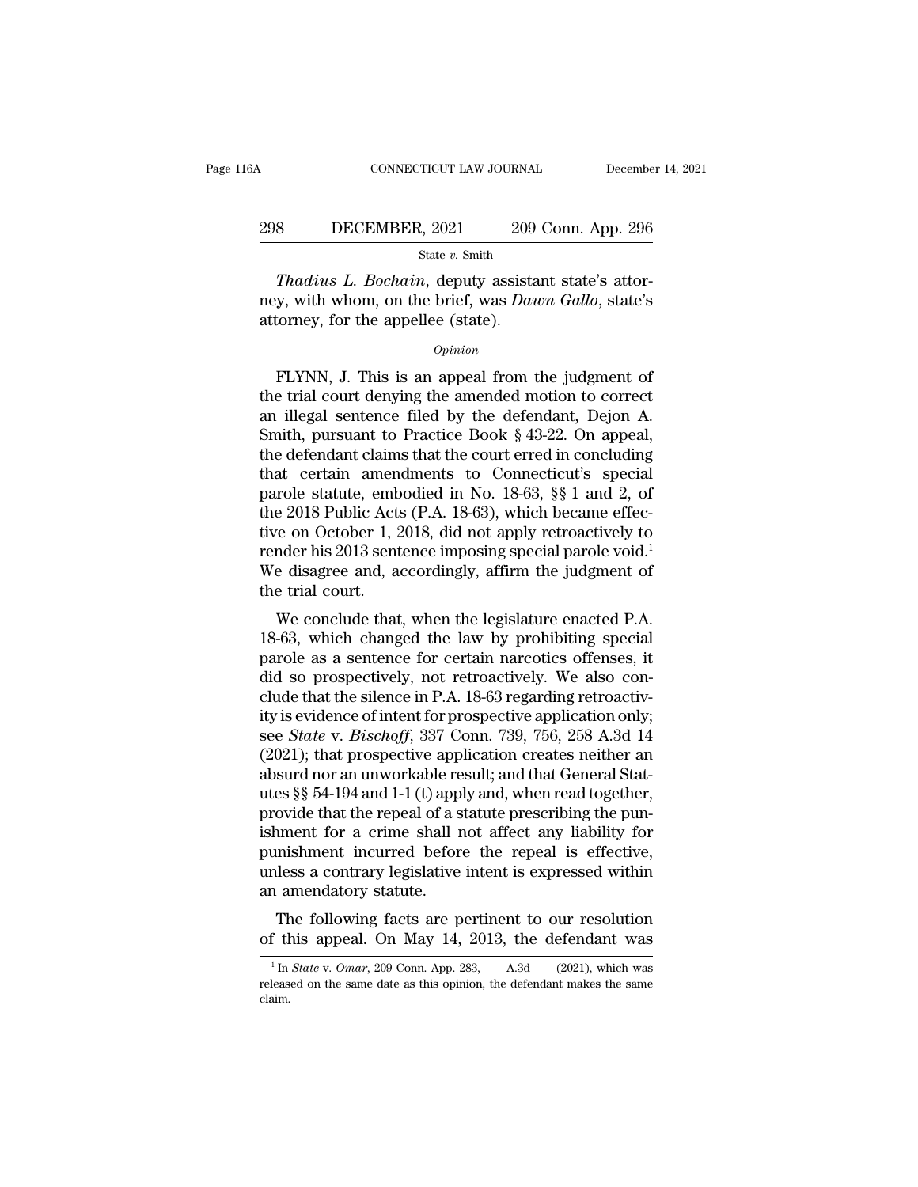### CONNECTICUT LAW JOURNAL December 14, 2021<br>298 DECEMBER, 2021 209 Conn. App. 296<br>31 State v. Smith State *v.* Smith

**THADIST CONNECTICUT LAW JOURNAL** December<br> **Thadius L. Bochain**, deputy assistant state's attor-<br> **Thadius L. Bochain**, deputy assistant state's attor-<br> **Thadius L. Bochain**, deputy assistant state's attor-<br> **Thadius L. B** ney, Witchess, 2021 209 Conn. App. 296<br>
State v. Smith<br>
Thadius L. Bochain, deputy assistant state's attor-<br>
mey, with whom, on the brief, was *Dawn Gallo*, state's<br>
attorney, for the appellee (state). 298 DECEMBER, 2021 209<br>
State v. Smith<br>
Thadius L. Bochain, deputy assists<br>
mey, with whom, on the brief, was Dau<br>
attorney, for the appellee (state).<br>  $o_{pinion}$ State v. Smith<br>
Thadius L. Bochain, deputy assistant state's attor-<br>
y, with whom, on the brief, was Dawn Gallo, state's<br>
torney, for the appellee (state).<br>  $\frac{Opinion}{PLYNN}$ , J. This is an appeal from the judgment of<br>
e tria

### *Opinion*

Thadius L. Bochain, deputy assistant state's attor-<br>ney, with whom, on the brief, was Dawn Gallo, state's<br>attorney, for the appellee (state).<br> $\frac{opinion}{opinion}$ <br>FLYNN, J. This is an appeal from the judgment of<br>the trial court de mey, with whom, on the brief, was *Dawn Gallo*, state's<br>attorney, for the appellee (state).<br> $opinion$ <br>FLYNN, J. This is an appeal from the judgment of<br>the trial court denying the amended motion to correct<br>an illegal sentence fi opinion<br>
state and the appellee (state).<br>
FLYNN, J. This is an appeal from the judgment of<br>
the trial court denying the amended motion to correct<br>
an illegal sentence filed by the defendant, Dejon A.<br>
Smith, pursuant to Pr **EXAMPLE CONTEX CONTROVER CONTROLLED THE CONTROVIDED SURFERING SURFERING SURFERING SURFERING SURFERING SURFERING SURFERING SURFERING SURFERING SURFERING CONCLUDING that certain amendments to Connecticut's special parchel** FLYNN, J. This is an appeal from the judgment of<br>the trial court denying the amended motion to correct<br>an illegal sentence filed by the defendant, Dejon A.<br>Smith, pursuant to Practice Book § 43-22. On appeal,<br>the defendan FLYNN, J. This is an appeal from the judgment of<br>the trial court denying the amended motion to correct<br>an illegal sentence filed by the defendant, Dejon A.<br>Smith, pursuant to Practice Book § 43-22. On appeal,<br>the defendant the trial court denying the amended motion to correct<br>an illegal sentence filed by the defendant, Dejon A.<br>Smith, pursuant to Practice Book § 43-22. On appeal,<br>the defendant claims that the court erred in concluding<br>that an illegal sentence filed by the defendant, Dejon A.<br>Smith, pursuant to Practice Book § 43-22. On appeal,<br>the defendant claims that the court erred in concluding<br>that certain amendments to Connecticut's special<br>parole sta Smith, pursuant to Practice Book § 43-22. On appeal,<br>the defendant claims that the court erred in concluding<br>that certain amendments to Connecticut's special<br>parole statute, embodied in No. 18-63, §§ 1 and 2, of<br>the 2018 the defendant claims that the court erred in concluding<br>that certain amendments to Connecticut's special<br>parole statute, embodied in No. 18-63, §§ 1 and 2, of<br>the 2018 Public Acts (P.A. 18-63), which became effec-<br>tive on that certain amen<br>parole statute, emb<br>the 2018 Public Acts<br>tive on October 1, 2<br>render his 2013 sent<br>We disagree and, as<br>the trial court.<br>We conclude that Fole statute, embodied in No. 15-05,  $\frac{1}{88}$  T and 2, 01<br>e 2018 Public Acts (P.A. 18-63), which became effec-<br>re on October 1, 2018, did not apply retroactively to<br>nder his 2013 sentence imposing special parole void.<sup>1</sup> the 2018 I donc Acts (1.A. 18-63), which became enective on October 1, 2018, did not apply retroactively to render his 2013 sentence imposing special parole void.<sup>1</sup><br>We disagree and, accordingly, affirm the judgment of th

the off October 1, 2018, that five apply retroactively to<br>render his 2013 sentence imposing special parole void.<sup>1</sup><br>We disagree and, accordingly, affirm the judgment of<br>the trial court.<br>We conclude that, when the legislat Fender his 2015 sentence imposing special parole vold.<br>We disagree and, accordingly, affirm the judgment of<br>the trial court.<br>We conclude that, when the legislature enacted P.A.<br>18-63, which changed the law by prohibiting s we usagree and, accordingly, affilm the judgment of<br>the trial court.<br>We conclude that, when the legislature enacted P.A.<br>18-63, which changed the law by prohibiting special<br>parole as a sentence for certain narcotics offens We conclude that, when the legislature enacted P.A.<br>18-63, which changed the law by prohibiting special<br>parole as a sentence for certain narcotics offenses, it<br>did so prospectively, not retroactively. We also con-<br>clude th We conclude that, when the legislature enacted P.A.<br>18-63, which changed the law by prohibiting special<br>parole as a sentence for certain narcotics offenses, it<br>did so prospectively, not retroactively. We also con-<br>clude th 18-63, which changed the law by prohibiting special<br>parole as a sentence for certain narcotics offenses, it<br>did so prospectively, not retroactively. We also con-<br>clude that the silence in P.A. 18-63 regarding retroactiv-<br> parole as a sentence for certain narcotics offenses, it<br>did so prospectively, not retroactively. We also con-<br>clude that the silence in P.A. 18-63 regarding retroactiv-<br>ity is evidence of intent for prospective application did so prospectively, not retroactively. We also conclude that the silence in P.A. 18-63 regarding retroactivity is evidence of intent for prospective application only; see *State* v. *Bischoff*, 337 Conn. 739, 756, 258 A. clude that the silence in P.A. 18-63 regarding retroactivity is evidence of intent for prospective application only;<br>see *State* v. *Bischoff*, 337 Conn. 739, 756, 258 A.3d 14<br>(2021); that prospective application creates n ity is evidence of intent for prospective application only;<br>see *State* v. *Bischoff*, 337 Conn. 739, 756, 258 A.3d 14<br>(2021); that prospective application creates neither an<br>absurd nor an unworkable result; and that Gene see *State* v. *Bischoff*, 337 Conn. 739, 756, 258 A.3d 14 (2021); that prospective application creates neither an absurd nor an unworkable result; and that General Statutes §§ 54-194 and 1-1 (t) apply and, when read toget (2021); that prospective application creates neither an absurd nor an unworkable result; and that General Statutes  $\S$ § 54-194 and 1-1 (t) apply and, when read together, provide that the repeal of a statute prescribing th absurd nor an unworkable re<br>utes §§ 54-194 and 1-1 (t) app<br>provide that the repeal of a s<br>ishment for a crime shall r<br>punishment incurred befor<br>unless a contrary legislative<br>an amendatory statute.<br>The following facts are p Example is the following facts are pertinent to our resolution<br>this appear of a statute prescribing the pun-<br>ment for a crime shall not affect any liability for<br>mishment incurred before the repeal is effective,<br>less a con provide that the repeat of a statute prescribing the punishment for a crime shall not affect any liability for<br>punishment incurred before the repeal is effective,<br>unless a contrary legislative intent is expressed within<br>a

1 amendatory statute.<br>
The following facts are pertinent to our resolution<br>
<sup>1</sup> In *State* v. *Omar*, 209 Conn. App. 283, A.3d (2021), which was<br>
leased on the same date as this opinion, the defendant makes the same

The following facts are pertinent to our resolution<br>of this appeal. On May 14, 2013, the defendant was<br> $\frac{1}{10}$  In *State v. Omar*, 209 Conn. App. 283, A.3d (2021), which was<br>released on the same date as this opinion, t claim.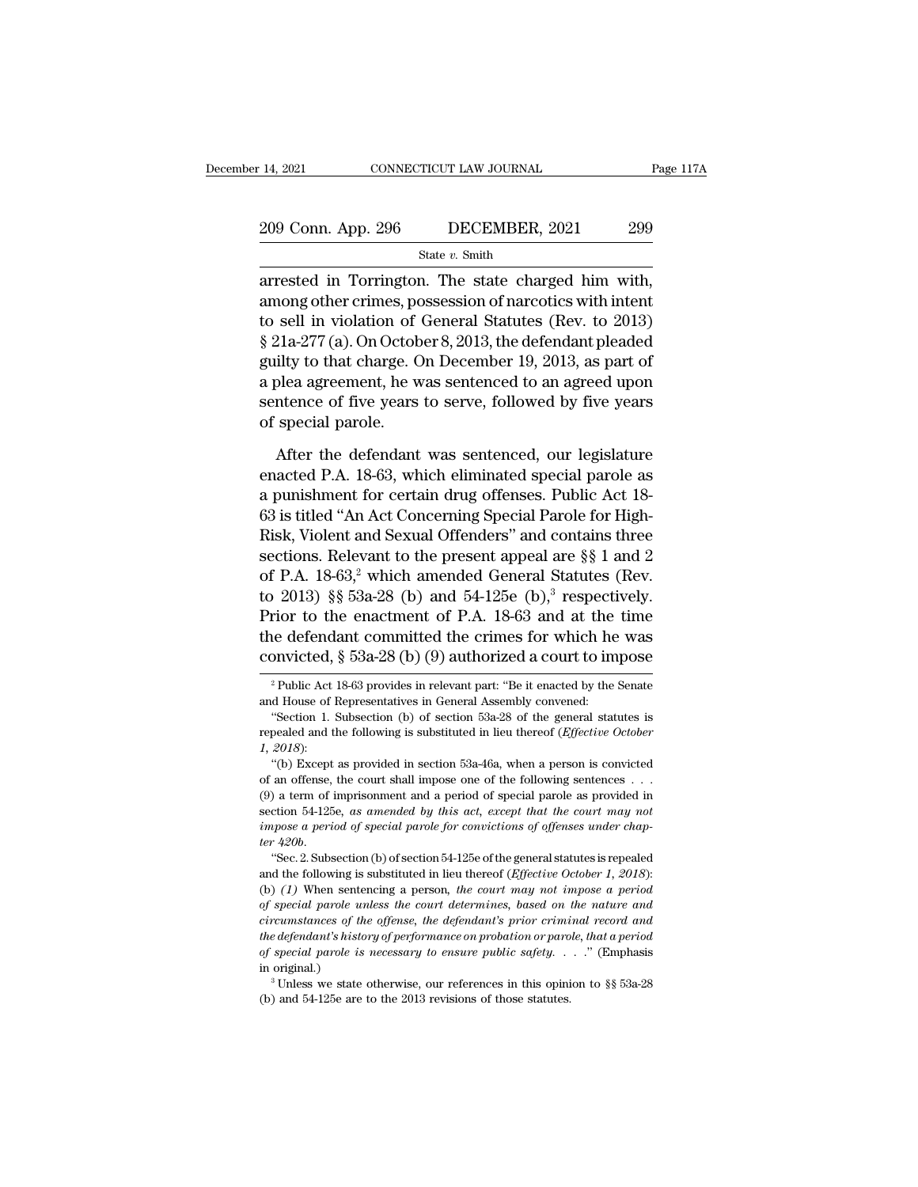| r 14, 2021         | CONNECTICUT LAW JOURNAL | Page 117A |
|--------------------|-------------------------|-----------|
| 209 Conn. App. 296 | DECEMBER, 2021          | 299       |
|                    | State $v$ . Smith       |           |

2021 CONNECTICUT LAW JOURNAL Page 11<br>
209 Conn. App. 296 DECEMBER, 2021 299<br>  $\frac{\text{State } v. \text{ Smith}}{\text{arrested in Torrington. The state charged him with,}}$ <br>
among other crimes, possession of narcotics with intent 209 Conn. App. 296 DECEMBER, 2021 299<br>
State v. Smith<br>
arrested in Torrington. The state charged him with,<br>
among other crimes, possession of narcotics with intent<br>
to sell in violation of General Statutes (Rev. to 2013)<br> 209 Conn. App. 296 DECEMBER, 2021 299<br>
State v. Smith<br>
arrested in Torrington. The state charged him with,<br>
among other crimes, possession of narcotics with intent<br>
to sell in violation of General Statutes (Rev. to 2013)<br> 209 Conn. App. 296 DECEMBER, 2021 299<br>
State v. Smith<br>
arrested in Torrington. The state charged him with,<br>
among other crimes, possession of narcotics with intent<br>
to sell in violation of General Statutes (Rev. to 2013)<br> State v. Smith<br>
arrested in Torrington. The state charged him with,<br>
among other crimes, possession of narcotics with intent<br>
to sell in violation of General Statutes (Rev. to 2013)<br>
§ 21a-277 (a). On October 8, 2013, the arrested in Torrington. The state charged him with,<br>among other crimes, possession of narcotics with intent<br>to sell in violation of General Statutes (Rev. to 2013)<br> $§ 21a-277$  (a). On October 8, 2013, the defendant pleade arrested in Torrington. The state charged him with,<br>among other crimes, possession of narcotics with intent<br>to sell in violation of General Statutes (Rev. to 2013)<br>§ 21a-277 (a). On October 8, 2013, the defendant pleaded<br>g among other crimes, po<br>to sell in violation of<br>§ 21a-277 (a). On Octob<br>guilty to that charge. C<br>a plea agreement, he w<br>sentence of five years<br>of special parole.<br>After the defendant 21a-277 (a). On October 8, 2013, the defendant pleaded<br>ilty to that charge. On December 19, 2013, as part of<br>plea agreement, he was sentenced to an agreed upon<br>intence of five years to serve, followed by five years<br>specia guilty to that charge. On December 19, 2013, as part of<br>a plea agreement, he was sentenced to an agreed upon<br>sentence of five years to serve, followed by five years<br>of special parole.<br>After the defendant was sentenced, our

a plea agreement, he was sentenced to an agreed upon<br>sentence of five years to serve, followed by five years<br>of special parole.<br>After the defendant was sentenced, our legislature<br>enacted P.A. 18-63, which eliminated specia sentence of five years to serve, followed by five years<br>of special parole.<br>After the defendant was sentenced, our legislature<br>enacted P.A. 18-63, which eliminated special parole as<br>a punishment for certain drug offenses. P of special parole.<br>
After the defendant was sentenced, our legislature<br>
enacted P.A. 18-63, which eliminated special parole as<br>
a punishment for certain drug offenses. Public Act 18-<br>
63 is titled "An Act Concerning Specia After the defendant was sentenced, our legislature<br>enacted P.A. 18-63, which eliminated special parole as<br>a punishment for certain drug offenses. Public Act 18-<br>63 is titled "An Act Concerning Special Parole for High-<br>Ris After the defendant was sentenced, our legislature<br>enacted P.A. 18-63, which eliminated special parole as<br>a punishment for certain drug offenses. Public Act 18-<br>63 is titled "An Act Concerning Special Parole for High-<br>Ris enacted P.A. 18-63, which eliminated special parole as<br>a punishment for certain drug offenses. Public Act 18-<br>63 is titled "An Act Concerning Special Parole for High-<br>Risk, Violent and Sexual Offenders" and contains three a punishment for certain drug offenses. Public Act 18-63 is titled "An Act Concerning Special Parole for High-<br>Risk, Violent and Sexual Offenders" and contains three<br>sections. Relevant to the present appeal are §§ 1 and 2 63 is titled "An Act Concerning Special Parole for High-<br>Risk, Violent and Sexual Offenders" and contains three<br>sections. Relevant to the present appeal are §§ 1 and 2<br>of P.A. 18-63,<sup>2</sup> which amended General Statutes (Rev Risk, Violent and Sexual Offenders" and contains three<br>sections. Relevant to the present appeal are §§ 1 and 2<br>of P.A. 18-63,<sup>2</sup> which amended General Statutes (Rev.<br>to 2013) §§ 53a-28 (b) and 54-125e (b),<sup>3</sup> respectively to 2013) §§ 53a-28 (b) and 54-125e (b),<sup>3</sup> respectively.<br>Prior to the enactment of P.A. 18-63 and at the time<br>the defendant committed the crimes for which he was<br>convicted, § 53a-28 (b) (9) authorized a court to impose<br> $\$ Prior to the enactment of P.A. 18-63 and at the<br>the defendant committed the crimes for which he<br>convicted, § 53a-28 (b) (9) authorized a court to in<br> $\frac{1}{2}$ Public Act 18-63 provides in relevant part: "Be it enacted by t the defendant committed the crimes for which he was ponvicted,  $\S$  53a-28 (b) (9) authorized a court to impose  $\frac{1}{2}$ Public Act 18-63 provides in relevant part: "Be it enacted by the Senate d House of Representatives i

(b) a term of the court may not impose a period of special parole by this act, except that the court may not impose a period of special parole for convictions of offenses under chapter 420b.<br>
"Sec. 2. Subsection (b) of se *of special parole for convictions of offenses under chap-<br>ter 420b.*<br>
"Sec. 2. Subsection (b) of section 54-125e of the general statutes is repealed<br>
and the following is substituted in lieu thereof (*Effective October 1, cher 420b.*<br> *circumstances of the offense, the general statutes is repealed*<br> *circumstances is substituted in lieu thereof (Effective October 1, 2018):*<br>
(b) (1) When sentencing a person, *the court may not impose a per* <sup>the</sup>  $\alpha$ . 2. Subsection (b) of section 54-125e of the general statutes is repealed and the following is substituted in lieu thereof (*Effective October 1, 2018*): (b) (1) When sentencing a person, *the court may not imp of* special particular is substituted in lieu thereof (*Effective October 1, 2018*):<br>
(b) (1) When sentencing a person, the court may not impose a period<br>
of special parole unless the court determines, based on the nature (b) (1) When sentencing a person, the court may not impose a period of special parole unless the court determines, based on the nature and circumstances of the offense, the defendant's prior criminal record and the defend 3 Special parole unless the court determines, based on the nature and special parole unless the court determines, based on the nature and celefendant's history of performance on probation or parole, that a period special circumstances of the offense, the defendant's prior criminal record and

repealed and the following is substituted in lieu thereof (*Effective October* 1, 2018):<br>
<sup>2</sup> Public Act 18-63 provides in relevant part: "Be it enacted by the Senate and House of Representatives in General Assembly conven Public Act<br>
<sup>2</sup> Public Act<br>
and House of<br>
"Section 1.<br>
repealed and t<br>
1, 2018):<br>
"(b) Except <sup>2</sup> Public Act 18-63 provides in relevant part: "Be it enacted by the Senate d House of Representatives in General Assembly convened: "Section 1. Subsection (b) of section 53a-28 of the general statutes is pealed and the

and House of Representatives in General Assembly convened:<br>
"Section 1. Subsection (b) of section 53a-28 of the general statutes is<br>
repealed and the following is substituted in lieu thereof (*Effective October*<br>
1, 2018) (9) Section 1. Subsection (b) of section 53a-28 of the general statutes is<br>repealed and the following is substituted in lieu thereof (*Effective October*<br>1, 2018):<br>(b) Except as provided in section 53a-46a, when a person section 1. Subsection (b) or section solated by the general state<br>trepealed and the following is substituted in lieu thereof (*Effective October*<br>1, 2018):<br>"(b) Except as provided in section 53a-46a, when a person is convi *i*, 2018):<br> *iimpose a period of special parole for convicted*<br> *iii)* **Except as provided in section 53a-46a, when a person is convicted<br>
<b>of an offense**, the court shall impose one of the following sentences . . .<br>
( <sup>t</sup>(b) Except.<br>
(b) Except<br>
(d) a term of<br>
section 54-125<br> *timpose a peri*<br> *ter 420b*.<br>
"Sec. 2. Subs (c) increases the court shall impose one of the following sentences ...<br>
an offense, the court shall impose one of the following sentences ...<br>
a term of imprisonment and a period of special parole as provided in<br>
tion 54 (9) a term of imprisonment and a period of special parole as provided in section 54-125e, as amended by this act, except that the court may not impose a period of special parole for convictions of offenses under chapter 4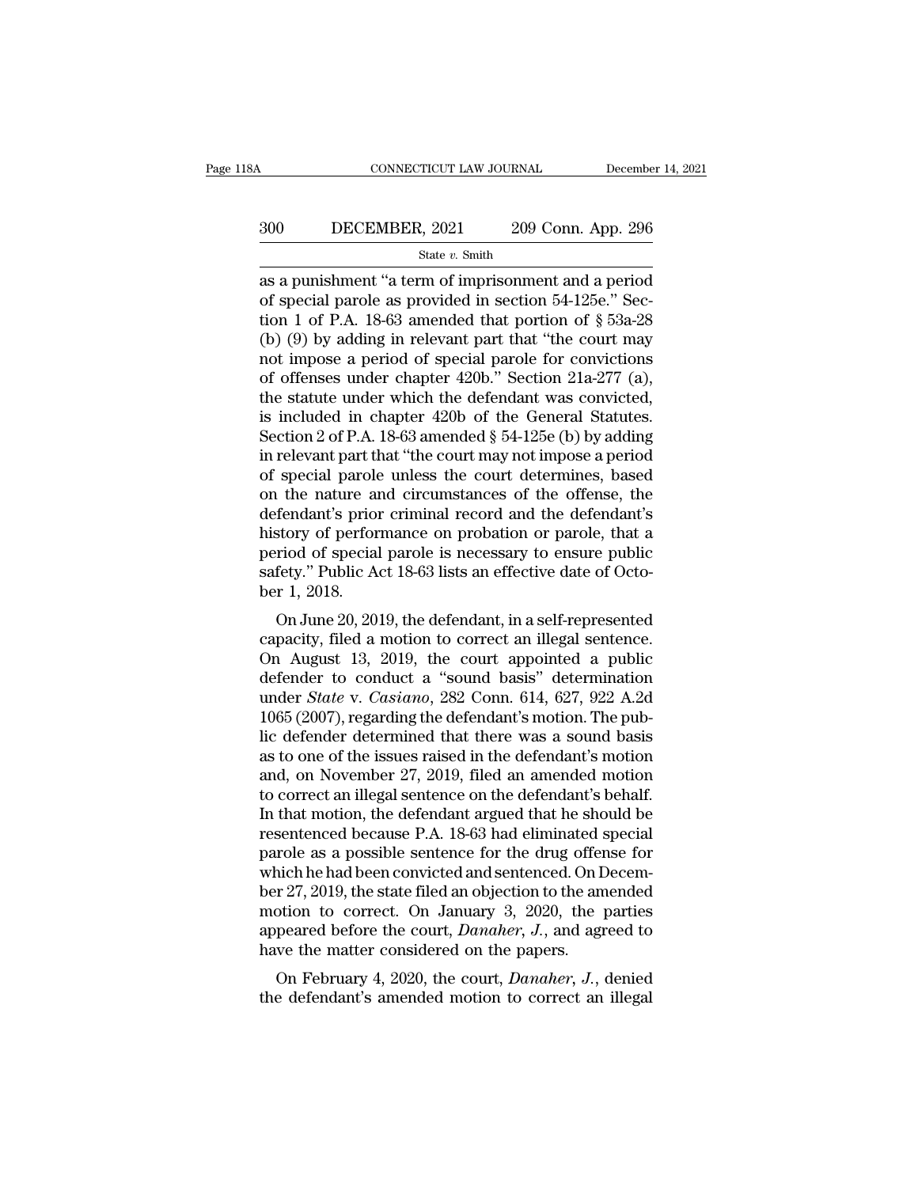# CONNECTICUT LAW JOURNAL December 14, 2021<br>300 DECEMBER, 2021 209 Conn. App. 296<br>300 State v. Smith

State *v.* Smith

CONNECTICUT LAW JOURNAL December 14, 2021<br>  $209$  Conn. App. 296<br>  $\frac{\text{State } v. \text{ Smith}}{\text{as a punishment "a term of improvement and a period}}$ <br>
of special parole as provided in section 54-125e." Section 1 of P  $\Lambda$ , 18.63 amonded that pertian of  $8.539.28$ 300 DECEMBER, 2021 209 Conn. App. 296<br>
State v. Smith<br>
as a punishment "a term of imprisonment and a period<br>
of special parole as provided in section 54-125e." Sec-<br>
tion 1 of P.A. 18-63 amended that portion of  $\S$  53a-28 300 DECEMBER, 2021 209 Conn. App. 296<br>
State v. Smith<br>
as a punishment "a term of imprisonment and a period<br>
of special parole as provided in section 54-125e." Sec-<br>
tion 1 of P.A. 18-63 amended that portion of § 53a-28<br> (b) (b) (b) by adding in relevant particle in Social particle in section 34-125e.<br>
(b) (9) by adding in relevant part that "the court may not impose a period of special paralel that portion of  $\S$  53a-28 (b) (9) by adding State v. Smith<br>
State v. Smith<br>
as a punishment "a term of imprisonment and a period<br>
of special parole as provided in section 54-125e." Sec-<br>
tion 1 of P.A. 18-63 amended that portion of § 53a-28<br>
(b) (9) by adding in re state v. Smith<br>as a punishment "a term of imprisonment and a period<br>of special parole as provided in section 54-125e." Sec-<br>tion 1 of P.A. 18-63 amended that portion of § 53a-28<br>(b) (9) by adding in relevant part that "th as a punishment "a term of imprisonment and a period<br>of special parole as provided in section 54-125e." Sec-<br>tion 1 of P.A. 18-63 amended that portion of § 53a-28<br>(b) (9) by adding in relevant part that "the court may<br>not of special parole as provided in section 54-125e." Section 1 of P.A. 18-63 amended that portion of  $\S$  53a-28<br>(b) (9) by adding in relevant part that "the court may<br>not impose a period of special parole for convictions<br>of tion 1 of P.A. 18-63 amended that portion of  $\S$  53a-28<br>(b) (9) by adding in relevant part that "the court may<br>not impose a period of special parole for convictions<br>of offenses under chapter 420b." Section 21a-277 (a),<br>th (b) (9) by adding in relevant part that "the court may<br>not impose a period of special parole for convictions<br>of offenses under chapter 420b." Section 21a-277 (a),<br>the statute under which the defendant was convicted,<br>is in not impose a period of special parole for convictions<br>of offenses under chapter 420b." Section 21a-277 (a),<br>the statute under which the defendant was convicted,<br>is included in chapter 420b of the General Statutes.<br>Section of offenses under chapter 420b." Section 21a-277 (a),<br>the statute under which the defendant was convicted,<br>is included in chapter 420b of the General Statutes.<br>Section 2 of P.A. 18-63 amended § 54-125e (b) by adding<br>in re the statute under which the defendant was convicted,<br>is included in chapter 420b of the General Statutes.<br>Section 2 of P.A. 18-63 amended § 54-125e (b) by adding<br>in relevant part that "the court may not impose a period<br>of is included in chapter 420b of the General Statutes.<br>Section 2 of P.A. 18-63 amended § 54-125e (b) by adding<br>in relevant part that "the court may not impose a period<br>of special parole unless the court determines, based<br>on Section 2 of P.A. 18-63 amended § 54-125e (b) by adding<br>in relevant part that "the court may not impose a period<br>of special parole unless the court determines, based<br>on the nature and circumstances of the offense, the<br>def in relevant part that "the court may not impose a period of special parole unless the court determines, based on the nature and circumstances of the offense, the defendant's prior criminal record and the defendant's histor of special parole<br>on the nature an<br>defendant's prior<br>history of perfor<br>period of special<br>safety.'' Public A<br>ber 1, 2018.<br>On June 20, 20 The finder and circumstances of the offendant's<br>fendant's prior criminal record and the defendant's<br>story of performance on probation or parole, that a<br>riod of special parole is necessary to ensure public<br>fety." Public Act defendant s prior criminal record and the defendant s<br>history of performance on probation or parole, that a<br>period of special parole is necessary to ensure public<br>safety." Public Act 18-63 lists an effective date of Octo-<br>

mstory of performance on probation of parole, that a<br>period of special parole is necessary to ensure public<br>safety." Public Act 18-63 lists an effective date of Octo-<br>ber 1, 2018.<br>On June 20, 2019, the defendant, in a sel period of special parole is necessary to ensure public<br>safety." Public Act 18-63 lists an effective date of Octo-<br>ber 1, 2018.<br>On June 20, 2019, the defendant, in a self-represented<br>capacity, filed a motion to correct an salety. **The Act 16-05 lists an enective date of October 1, 2018.**<br>
On June 20, 2019, the defendant, in a self-represented<br>
capacity, filed a motion to correct an illegal sentence.<br>
On August 13, 2019, the court appointed 1, 2016.<br>
On June 20, 2019, the defendant, in a self-represented<br>
capacity, filed a motion to correct an illegal sentence.<br>
On August 13, 2019, the court appointed a public<br>
defender to conduct a "sound basis" determinatio On June 20, 2019, the defendant, in a self-represented<br>capacity, filed a motion to correct an illegal sentence.<br>On August 13, 2019, the court appointed a public<br>defender to conduct a "sound basis" determination<br>under *Sta* capacity, filed a motion to correct an illegal sentence.<br>On August 13, 2019, the court appointed a public<br>defender to conduct a "sound basis" determination<br>under *State* v. *Casiano*, 282 Conn. 614, 627, 922 A.2d<br>1065 (200 On August 13, 2019, the court appointed a public<br>defender to conduct a "sound basis" determination<br>under *State* v. *Casiano*, 282 Conn. 614, 627, 922 A.2d<br>1065 (2007), regarding the defendant's motion. The pub-<br>lic defen defender to conduct a "sound basis" determination<br>under *State* v. *Casiano*, 282 Conn. 614, 627, 922 A.2d<br>1065 (2007), regarding the defendant's motion. The pub-<br>lic defender determined that there was a sound basis<br>as to under *State* v. *Casiano*, 282 Conn. 614, 627, 922 A.2d<br>1065 (2007), regarding the defendant's motion. The pub-<br>lic defender determined that there was a sound basis<br>as to one of the issues raised in the defendant's motio 1065 (2007), regarding the defendant's motion. The pub-<br>lic defender determined that there was a sound basis<br>as to one of the issues raised in the defendant's motion<br>and, on November 27, 2019, filed an amended motion<br>to co lic defender determined that there was a sound basis<br>as to one of the issues raised in the defendant's motion<br>and, on November 27, 2019, filed an amended motion<br>to correct an illegal sentence on the defendant's behalf.<br>In as to one of the issues raised in the defendant's motion<br>and, on November 27, 2019, filed an amended motion<br>to correct an illegal sentence on the defendant's behalf.<br>In that motion, the defendant argued that he should be<br>r and, on November 27, 2019, filed an amended motion<br>to correct an illegal sentence on the defendant's behalf.<br>In that motion, the defendant argued that he should be<br>resentenced because P.A. 18-63 had eliminated special<br>par to correct an illegal sentence on the defendant's behalf.<br>In that motion, the defendant argued that he should be<br>resentenced because P.A. 18-63 had eliminated special<br>parole as a possible sentence for the drug offense for<br> In that motion, the defendant argued that he should be<br>resentenced because P.A. 18-63 had eliminated special<br>parole as a possible sentence for the drug offense for<br>which he had been convicted and sentenced. On Decem-<br>ber 2 resentenced because P.A. 18-63 had eliminated sparole as a possible sentence for the drug offer which he had been convicted and sentenced. On I ber 27, 2019, the state filed an objection to the am motion to correct. On Ja role as a possible sentence for the drug offense for<br>nich he had been convicted and sentenced. On Decem-<br>r 27, 2019, the state filed an objection to the amended<br>obtion to correct. On January 3, 2020, the parties<br>peared bef which he had been convicted and sentenced. On December 27, 2019, the state filed an objection to the amended motion to correct. On January 3, 2020, the parties appeared before the court, *Danaher*, *J*., and agreed to have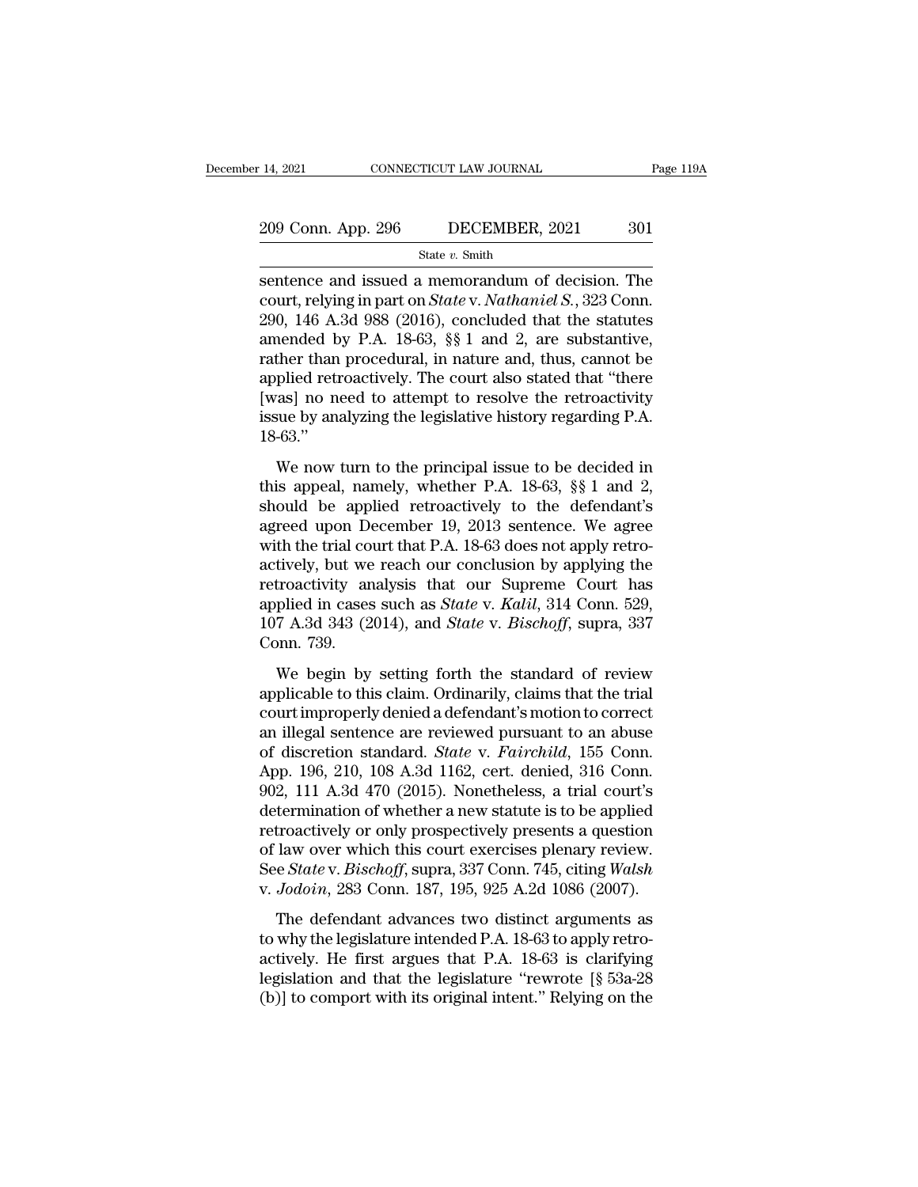# 14, 2021 CONNECTICUT LAW JOURNAL Page 119A<br>209 Conn. App. 296 DECEMBER, 2021 301<br>State v. Smith

State *v.* Smith

14, 2021 CONNECTICUT LAW JOURNAL Page 119A<br>
209 Conn. App. 296 DECEMBER, 2021 301<br>
State v. Smith<br>
Sentence and issued a memorandum of decision. The<br>
court, relying in part on *State* v. *Nathaniel S.*, 323 Conn.<br>
200, 146 209 Conn. App. 296 DECEMBER, 2021 301<br>
State v. Smith<br>
Sentence and issued a memorandum of decision. The<br>
court, relying in part on *State* v. *Nathaniel S.*, 323 Conn.<br>
290, 146 A.3d 988 (2016), concluded that the statute 209 Conn. App. 296 DECEMBER, 2021 301<br>
State v. Smith<br>
Sentence and issued a memorandum of decision. The<br>
court, relying in part on *State* v. *Nathaniel S.*, 323 Conn.<br>
290, 146 A.3d 988 (2016), concluded that the statut 209 Conn. App. 296 DECEMBER, 2021 301<br>
State v. Smith<br>
Sentence and issued a memorandum of decision. The<br>
court, relying in part on *State* v. *Nathaniel S.*, 323 Conn.<br>
290, 146 A.3d 988 (2016), concluded that the statut State v. Smith<br>
Sentence and issued a memorandum of decision. The<br>
court, relying in part on *State* v. *Nathaniel S.*, 323 Conn.<br>
290, 146 A.3d 988 (2016), concluded that the statutes<br>
amended by P.A. 18-63, §§ 1 and 2, state *v*. Smith<br>sentence and issued a memorandum of decision. The<br>court, relying in part on *State* v. *Nathaniel S.*, 323 Conn.<br>290, 146 A.3d 988 (2016), concluded that the statutes<br>amended by P.A. 18-63, §§ 1 and 2, ar sentence and issued a memorandum of decision. The<br>court, relying in part on *State* v. *Nathaniel S.*, 323 Conn.<br>290, 146 A.3d 988 (2016), concluded that the statutes<br>amended by P.A. 18-63, §§ 1 and 2, are substantive,<br>rat court, relying in part on *State* v. *Nathaniel S.*, 323 Conn.<br>290, 146 A.3d 988 (2016), concluded that the statutes<br>amended by P.A. 18-63, §§1 and 2, are substantive,<br>rather than procedural, in nature and, thus, cannot be 18-63.'' then than procedural, in nature and, thus, cannot be plied retroactively. The court also stated that "there as] no need to attempt to resolve the retroactivity sue by analyzing the legislative history regarding P.A.  $-63$ rainer than procedural, in nature and, ands, cannot be<br>applied retroactively. The court also stated that "there<br>[was] no need to attempt to resolve the retroactivity<br>issue by analyzing the legislative history regarding P.

Experience retroactively. The court also stated that there<br>[was] no need to attempt to resolve the retroactivity<br>issue by analyzing the legislative history regarding P.A.<br>18-63."<br>We now turn to the principal issue to be d From I and the eigenstative history regarding P.A.<br>18-63."<br>We now turn to the principal issue to be decided in<br>this appeal, namely, whether P.A. 18-63,  $\S$  1 and 2,<br>should be applied retroactively to the defendant's<br>agree We now turn to the principal issue to be decided in<br>this appeal, namely, whether P.A. 18-63, §§ 1 and 2,<br>should be applied retroactively to the defendant's<br>agreed upon December 19, 2013 sentence. We agree<br>with the trial c We now turn to the principal issue to be decided in<br>this appeal, namely, whether P.A. 18-63, §§ 1 and 2,<br>should be applied retroactively to the defendant's<br>agreed upon December 19, 2013 sentence. We agree<br>with the trial c We now turn to the principal issue to be decided in<br>this appeal, namely, whether P.A. 18-63, §§ 1 and 2,<br>should be applied retroactively to the defendant's<br>agreed upon December 19, 2013 sentence. We agree<br>with the trial c this appeal, namely, whether P.A. 18-63, §§ 1 and 2, should be applied retroactively to the defendant's agreed upon December 19, 2013 sentence. We agree with the trial court that P.A. 18-63 does not apply retroactively, bu should be applied retroactively to the defendant's<br>agreed upon December 19, 2013 sentence. We agree<br>with the trial court that P.A. 18-63 does not apply retro-<br>actively, but we reach our conclusion by applying the<br>retroacti agreed upon Do<br>with the trial co<br>actively, but we<br>retroactivity ar<br>applied in cases<br>107 A.3d 343 (2<br>Conn. 739.<br>We begin by dively, but we reach our conclusion by applying the<br>troactivity analysis that our Supreme Court has<br>plied in cases such as *State* v. *Kalil*, 314 Conn. 529,<br>7 A.3d 343 (2014), and *State* v. *Bischoff*, supra, 337<br>pnn. 73 actively, but we reach our conclusion by applying are<br>retroactivity analysis that our Supreme Court has<br>applied in cases such as *State* v. *Kalil*, 314 Conn. 529,<br>107 A.3d 343 (2014), and *State* v. *Bischoff*, supra, 337

colocating dialysis and our expreme court has<br>applied in cases such as *State v. Kalil*, 314 Conn. 529,<br>107 A.3d 343 (2014), and *State v. Bischoff*, supra, 337<br>Conn. 739.<br>We begin by setting forth the standard of review<br>a applica in clases sach as state v. Hatter, 9.1 com. 526, 107 A.3d 343 (2014), and *State* v. *Bischoff*, supra, 337 Conn. 739.<br>We begin by setting forth the standard of review applicable to this claim. Ordinarily, claims For Tisa 919 (2011), and Batte v. *Biscrey,* expert, 39.<br>Conn. 739.<br>We begin by setting forth the standard of review<br>applicable to this claim. Ordinarily, claims that the trial<br>court improperly denied a defendant's motion We begin by setting forth the standard of review<br>applicable to this claim. Ordinarily, claims that the trial<br>court improperly denied a defendant's motion to correct<br>an illegal sentence are reviewed pursuant to an abuse<br>of We begin by setting forth the standard of review<br>applicable to this claim. Ordinarily, claims that the trial<br>court improperly denied a defendant's motion to correct<br>an illegal sentence are reviewed pursuant to an abuse<br>of applicable to this claim. Ordinarily, claims that the trial<br>court improperly denied a defendant's motion to correct<br>an illegal sentence are reviewed pursuant to an abuse<br>of discretion standard. *State* v. *Fairchild*, 155 court improperly denied a defendant's motion to correct<br>an illegal sentence are reviewed pursuant to an abuse<br>of discretion standard. *State* v. *Fairchild*, 155 Conn.<br>App. 196, 210, 108 A.3d 1162, cert. denied, 316 Conn.<br> an illegal sentence are reviewed pursuant to an abuse<br>of discretion standard. *State* v. *Fairchild*, 155 Conn.<br>App. 196, 210, 108 A.3d 1162, cert. denied, 316 Conn.<br>902, 111 A.3d 470 (2015). Nonetheless, a trial court's<br>d of discretion standard. *State* v. *Fairchild*, 155 Conn.<br>App. 196, 210, 108 A.3d 1162, cert. denied, 316 Conn.<br>902, 111 A.3d 470 (2015). Nonetheless, a trial court's<br>determination of whether a new statute is to be applied App. 196, 210, 108 A.3d 1162, cert. denied, 316 Conn.<br>902, 111 A.3d 470 (2015). Nonetheless, a trial court's<br>determination of whether a new statute is to be applied<br>retroactively or only prospectively presents a question<br>o  $\pm$ , 111 1.13a 1.19 (2015). Noncarcless, a and courts<br>termination of whether a new statute is to be applied<br>troactively or only prospectively presents a question<br>law over which this court exercises plenary review.<br> $\epsilon$  retroactively or only prospectively presents a question<br>of law over which this court exercises plenary review.<br>See *State* v. *Bischoff*, supra, 337 Conn. 745, citing *Walsh*<br>v. *Jodoin*, 283 Conn. 187, 195, 925 A.2d 1086

France are which this court exercises plenary review.<br>See *State* v. *Bischoff*, supra, 337 Conn. 745, citing *Walsh* v. *Jodoin*, 283 Conn. 187, 195, 925 A.2d 1086 (2007).<br>The defendant advances two distinct arguments as See *State v. Bischoff*, supra, 337 Conn. 745, citing *Walsh* v. *Jodoin*, 283 Conn. 187, 195, 925 A.2d 1086 (2007).<br>The defendant advances two distinct arguments as to why the legislature intended P.A. 18-63 to apply ret v. *Jodoin*, 283 Conn. 187, 195, 925 A.2d 1086 (2007).<br>The defendant advances two distinct arguments as<br>to why the legislature intended P.A. 18-63 to apply retro-<br>actively. He first argues that P.A. 18-63 is clarifying<br>leg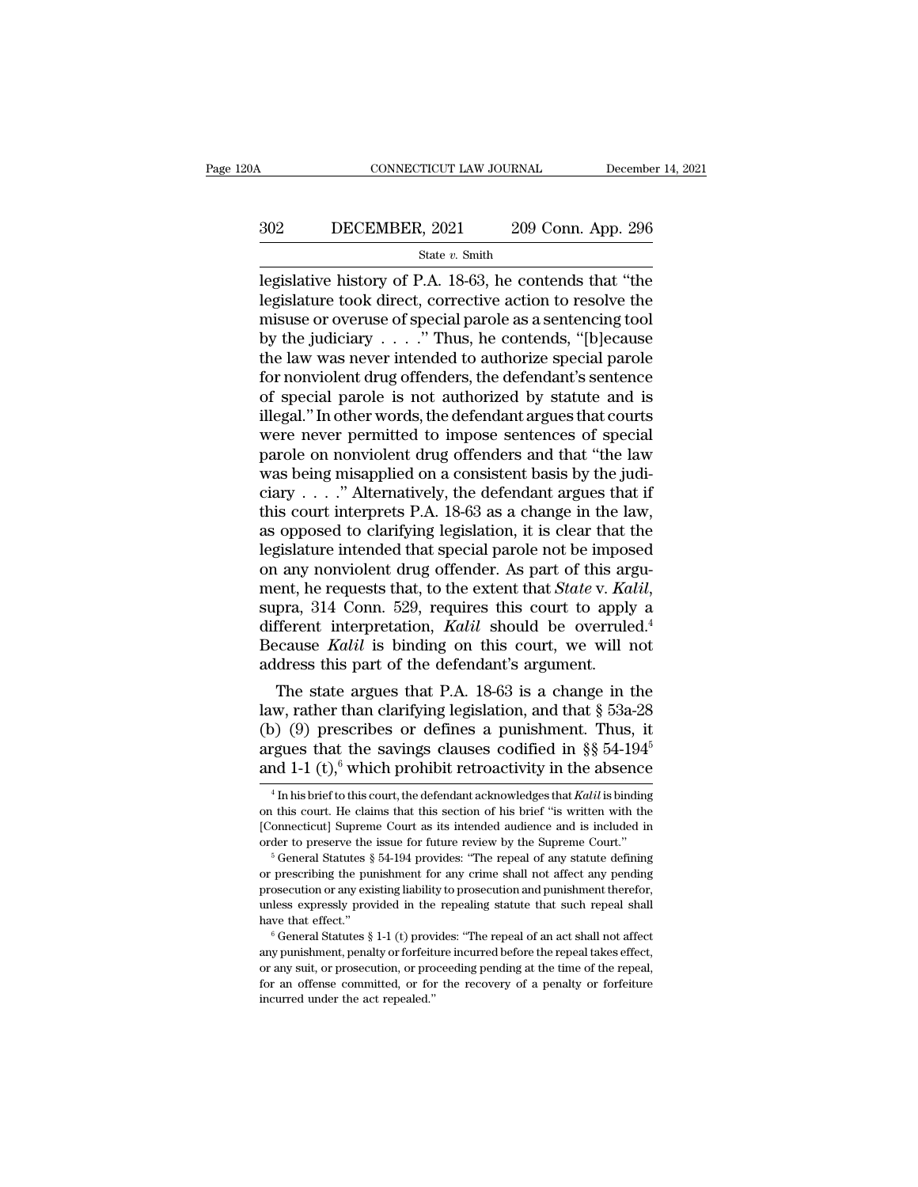# CONNECTICUT LAW JOURNAL December 14, 2021<br>302 DECEMBER, 2021 209 Conn. App. 296<br>5tate v. Smith

State *v.* Smith

CONNECTICUT LAW JOURNAL December 14, 2021<br>  $\begin{array}{r}\n 302 \quad \text{DECEMBER, 2021} \quad 209 \text{ Conn. App. 296} \\
 \hline\n \text{State } v. \text{ Smith} \\
 \text{legislative history of P.A. 18-63, he contents that "the} \\
 \text{legislature took direct, corrective action to resolve the} \\
 \text{mixture of special parole as a containing tool}\n \end{array}$ 302 DECEMBER, 2021 209 Conn. App. 296<br>  $\frac{\text{State } v. \text{ Smith}}{\text{legislative history of P.A. 18-63, he contents that "the}\n\text{legislature took direct, corrective action to resolve the}\nmisses or overuse of special parole as a sentence in the\n "Thus he controls "thlecause"$ 302 DECEMBER, 2021 209 Conn. App. 296<br>
State v. Smith<br>
legislative history of P.A. 18-63, he contends that "the<br>
legislature took direct, corrective action to resolve the<br>
misuse or overuse of special parole as a sentenci BECEMBER, 2021 209 Conn. App. 296<br>
State v. Smith<br>
legislative history of P.A. 18-63, he contends that "the<br>
legislature took direct, corrective action to resolve the<br>
misuse or overuse of special parole as a sentencing t State v. Smith<br>
State v. Smith<br>
legislative history of P.A. 18-63, he contends that "the<br>
legislature took direct, corrective action to resolve the<br>
misuse or overuse of special parole as a sentencing tool<br>
by the judicia state v. Smith<br>legislative history of P.A. 18-63, he contends that "the<br>legislature took direct, corrective action to resolve the<br>misuse or overuse of special parole as a sentencing tool<br>by the judiciary . . . . " Thus, h legislative history of P.A. 18-63, he contends that "the legislature took direct, corrective action to resolve the misuse or overuse of special parole as a sentencing tool by the judiciary  $\ldots$  ." Thus, he contends, "[b] legislature took direct, corrective action to resolve the<br>misuse or overuse of special parole as a sentencing tool<br>by the judiciary . . . . " Thus, he contends, "[b]ecause<br>the law was never intended to authorize special pa misuse or overuse of special parole as a sentencing tool<br>by the judiciary  $\ldots$ ." Thus, he contends, "[b]ecause<br>the law was never intended to authorize special parole<br>for nonviolent drug offenders, the defendant's sentenc by the judiciary . . . . ." Thus, he contends, "[b]ecause<br>the law was never intended to authorize special parole<br>for nonviolent drug offenders, the defendant's sentence<br>of special parole is not authorized by statute and is the law was never intended to authorize special parole<br>for nonviolent drug offenders, the defendant's sentence<br>of special parole is not authorized by statute and is<br>illegal." In other words, the defendant argues that cour for nonviolent drug offenders, the defendant's sentence<br>of special parole is not authorized by statute and is<br>illegal." In other words, the defendant argues that courts<br>were never permitted to impose sentences of special<br> of special parole is not authorized by statute and is<br>illegal." In other words, the defendant argues that courts<br>were never permitted to impose sentences of special<br>parole on nonviolent drug offenders and that "the law<br>wa illegal." In other words, the defendant argues that courts<br>were never permitted to impose sentences of special<br>parole on nonviolent drug offenders and that "the law<br>was being misapplied on a consistent basis by the judi-<br>c were never permitted to impose sentences of special<br>parole on nonviolent drug offenders and that "the law<br>was being misapplied on a consistent basis by the judi-<br>ciary . . . . " Alternatively, the defendant argues that if parole on nonviolent drug offenders and that "the law<br>was being misapplied on a consistent basis by the judi-<br>ciary . . . . " Alternatively, the defendant argues that if<br>this court interprets P.A. 18-63 as a change in the was being misapplied on a consistent basis by the judi-<br>ciary . . . . " Alternatively, the defendant argues that if<br>this court interprets P.A. 18-63 as a change in the law,<br>as opposed to clarifying legislation, it is clea this court interprets P.A. 18-63 as a change in the law,<br>as opposed to clarifying legislation, it is clear that the<br>legislature intended that special parole not be imposed<br>on any nonviolent drug offender. As part of this a as opposed to clarifying legislation, it is clear that the legislature intended that special parole not be imposed on any nonviolent drug offender. As part of this argument, he requests that, to the extent that *State* v. legislature intended that special parole not be impos<br>on any nonviolent drug offender. As part of this arg<br>ment, he requests that, to the extent that *State* v. Ka<br>supra, 314 Conn. 529, requires this court to apply<br>differe Figure are all that State v. Kalil,<br>pra, 314 Conn. 529, requires this court to apply a<br>fferent interpretation, *Kalil* should be overruled.<sup>4</sup><br>ccause *Kalil* is binding on this court, we will not<br>dress this part of the de ment, he requests that, to the extent that *State* v. *Katu*,<br>supra, 314 Conn. 529, requires this court to apply a<br>different interpretation, *Katil* should be overruled.<sup>4</sup><br>Because *Katil* is binding on this court, we wil

supra, 314 Conn. 529, requires this court to apply a<br>different interpretation, *Kalil* should be overruled.<sup>4</sup><br>Because *Kalil* is binding on this court, we will not<br>address this part of the defendant's argument.<br>The state different interpretation, Kalil should be overruled.<sup>4</sup><br>Because Kalil is binding on this court, we will not<br>address this part of the defendant's argument.<br>The state argues that P.A. 18-63 is a change in the<br>law, rather th Because *Katul* is binding on this court, we will not<br>address this part of the defendant's argument.<br>The state argues that P.A. 18-63 is a change in the<br>law, rather than clarifying legislation, and that § 53a-28<br>(b) (9) p (9) prescribes or defines a punishment. Thus, it guess that the savings clauses codified in §§ 54-194<sup>5</sup><br>and 1-1 (t),<sup>6</sup> which prohibit retroactivity in the absence  $\frac{4 \text{ In his brief to this court, the defendant acknowledges that *Kalil* is binding to this court. He claims that this section of his brief "is written with the$ (b) (9) prescribes or defines a punishment. Thus, it argues that the savings clauses codified in  $\S$  54-194<sup>5</sup> and 1-1 (t),<sup>6</sup> which prohibit retroactivity in the absence  $\frac{4}{\ln \text{his brief to this court, the defendant acknowledges that *Kalili* is binding on this court. He claims that this section of his brief "is written with the [Connect$ 

argues that the savings clauses codified in §§ 54-194<sup>5</sup> and 1-1 (t),<sup>6</sup> which prohibit retroactivity in the absence  $\frac{4 \text{ In his brief to this court, the defendant acknowledges that *Kalil* is binding on this court. He claims that this section of his brief "is written with the [Connecticut] Supreme Court as its intended audience and is included in order to preserve the issue for future review by the Supreme Court."$ angues that the savings entases counted in  $\frac{1}{3}$  or 10  $\frac{1}{4}$  and 1-1 (t),<sup>6</sup> which prohibit retroactivity in the absence  $\frac{1}{4}$  In his brief to this court, the defendant acknowledges that *Kalil* is binding on <sup>4</sup> In his brief to this court, the defendant acknowledges that *Kalil* is binding on this court. He claims that this section of his brief "is written with the [Connecticut] Supreme Court as its intended audience and is i

or a bis court. He claims that this section of his brief "is written with the [Connecticut] Supreme Court as its intended audience and is included in order to preserve the issue for future review by the Supreme Court."<br>
<sup>5</sup> [Connecticut] Supreme Court as its intended audience and is included in order to preserve the issue for future review by the Supreme Court."<br>
<sup>5</sup> General Statutes § 54-194 provides: "The repeal of any statute defining or order to preserve the issue for future review by the Supreme Court."<br>
<sup>5</sup> General Statutes § 54-194 provides: "The repeal of any statute defining<br>
or prescribing the punishment for any crime shall not affect any pending<br> or prescribing the punishment for any crime shall not affect any pending<br>prosecution or any existing liability to prosecution and punishment therefor,<br>unless expressly provided in the repealing statue that such repeal shal

prosecution or any existing liability to prosecution and punishment therefor, unless expressly provided in the repealing statute that such repeal shall have that effect."<br>  $\degree$  General Statutes § 1-1 (t) provides: "The re For an offense committed, or for the repeation and pulled that such repeal shall have that effect."<br>  $\degree$  General Statutes  $\S 1-1$  (t) provides: "The repeal of an act shall not affect any punishment, penalty or forfeiture  $6$  General Statutes  $§$  1-1 (t) provides: "The repeal of an act shall not affect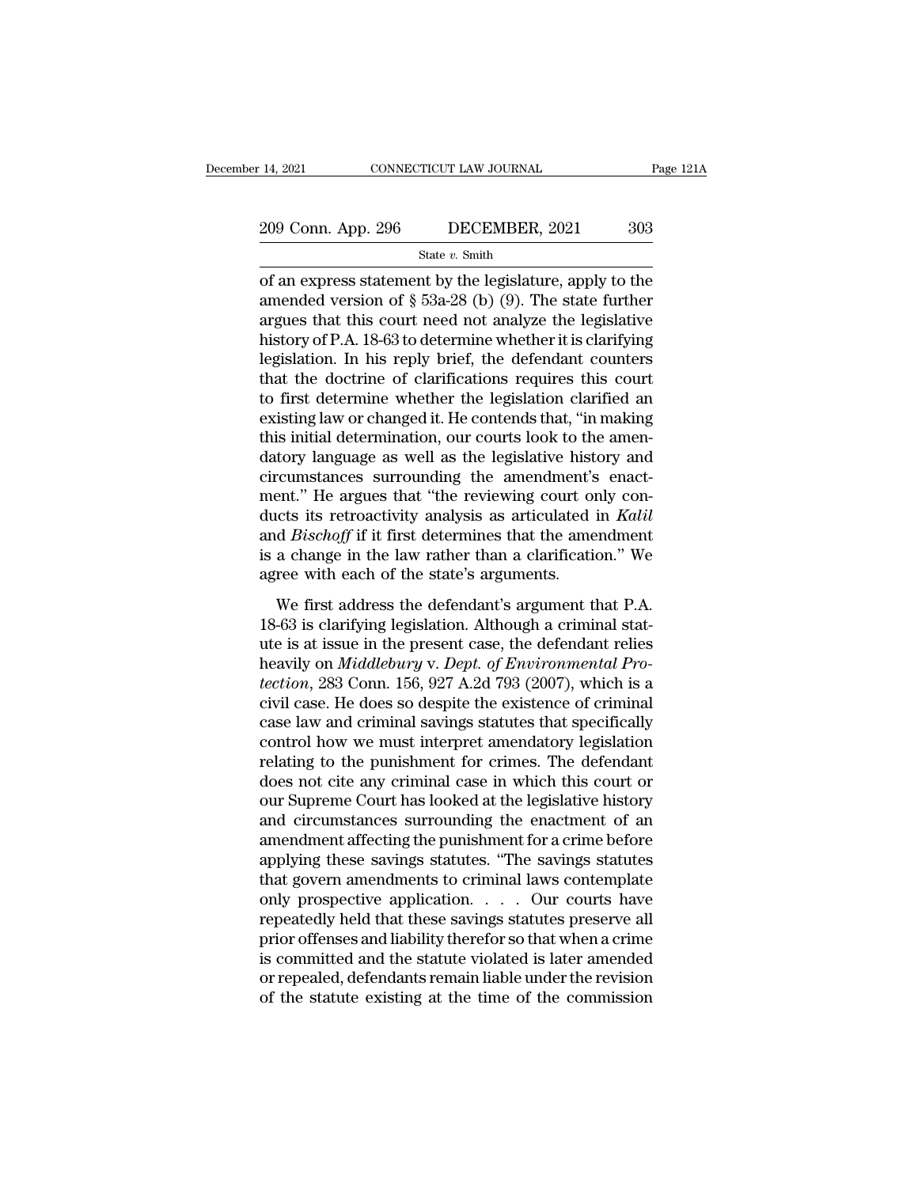State *v.* Smith

14, 2021 CONNECTICUT LAW JOURNAL Page 121A<br>
209 Conn. App. 296 DECEMBER, 2021 303<br>
State v. Smith<br>
of an express statement by the legislature, apply to the<br>
amended version of  $\S$  53a-28 (b) (9). The state further 209 Conn. App. 296 DECEMBER, 2021 303<br>
State v. Smith<br>
of an express statement by the legislature, apply to the<br>
amended version of § 53a-28 (b) (9). The state further<br>
argues that this court need not analyze the legislat 209 Conn. App. 296 DECEMBER, 2021 303<br>
State v. Smith<br>
of an express statement by the legislature, apply to the<br>
amended version of  $\S$  53a-28 (b) (9). The state further<br>
argues that this court need not analyze the legisl 209 Conn. App. 296 DECEMBER, 2021 303<br>
State v. Smith<br>
of an express statement by the legislature, apply to the<br>
amended version of  $\S$  53a-28 (b) (9). The state further<br>
argues that this court need not analyze the legisl State v. Smith<br>
of an express statement by the legislature, apply to the<br>
amended version of § 53a-28 (b) (9). The state further<br>
argues that this court need not analyze the legislative<br>
history of P.A. 18-63 to determine state v. smith<br>
of an express statement by the legislature, apply to the<br>
amended version of § 53a-28 (b) (9). The state further<br>
argues that this court need not analyze the legislative<br>
history of P.A. 18-63 to determine of an express statement by the legislature, apply to the<br>amended version of  $\S$  53a-28 (b) (9). The state further<br>argues that this court need not analyze the legislative<br>history of P.A. 18-63 to determine whether it is cl amended version of § 53a-28 (b) (9). The state further<br>argues that this court need not analyze the legislative<br>history of P.A. 18-63 to determine whether it is clarifying<br>legislation. In his reply brief, the defendant coun argues that this court need not analyze the legislative<br>history of P.A. 18-63 to determine whether it is clarifying<br>legislation. In his reply brief, the defendant counters<br>that the doctrine of clarifications requires this history of P.A. 18-63 to determine whether it is clarifying<br>legislation. In his reply brief, the defendant counters<br>that the doctrine of clarifications requires this court<br>to first determine whether the legislation clarifi legislation. In his reply brief, the defendant counters<br>that the doctrine of clarifications requires this court<br>to first determine whether the legislation clarified an<br>existing law or changed it. He contends that, "in mak that the doctrine of clarifications requires this court<br>to first determine whether the legislation clarified an<br>existing law or changed it. He contends that, "in making<br>this initial determination, our courts look to the am to first determine whether the legislation clarified an existing law or changed it. He contends that, "in making this initial determination, our courts look to the amendatory language as well as the legislative history and existing law or changed it. He contends that, "in making<br>this initial determination, our courts look to the amen-<br>datory language as well as the legislative history and<br>circumstances surrounding the amendment's enact-<br>ment this initial determination, our courts look to the amendatory language as well as the legislative history and circumstances surrounding the amendment's enactment." He argues that "the reviewing court only conducts its retr datory language as well as the legislative hist<br>circumstances surrounding the amendment's<br>ment." He argues that "the reviewing court or<br>ducts its retroactivity analysis as articulated<br>and *Bischoff* if it first determines edifferent." He argues that "the reviewing court only con-<br>ects its retroactivity analysis as articulated in *Kalil*<br>d *Bischoff* if it first determines that the amendment<br>a change in the law rather than a clarification." then: The argues and the Fevering coal only contained ducks its retroactivity analysis as articulated in Kalil and Bischoff if it first determines that the amendment is a change in the law rather than a clarification." We

and *Bischoff* if it first determines that the amendment<br>is a change in the law rather than a clarification." We<br>agree with each of the state's arguments.<br>We first address the defendant's argument that P.A.<br>18-63 is clari is a change in the law rather than a clarification." We<br>agree with each of the state's arguments.<br>We first address the defendant's argument that P.A.<br>18-63 is clarifying legislation. Although a criminal stat-<br>ute is at iss *the defendant a chanceloon.* We agree with each of the state's arguments.<br>
We first address the defendant's argument that P.A.<br>
18-63 is clarifying legislation. Although a criminal stat-<br>
ute is at issue in the present ca We first address the defendant's argument that P.A.<br>18-63 is clarifying legislation. Although a criminal stat-<br>ute is at issue in the present case, the defendant relies<br>heavily on *Middlebury* v. *Dept. of Environmental Pr* We first address the defendant's argument that P.A.<br>18-63 is clarifying legislation. Although a criminal stat-<br>ute is at issue in the present case, the defendant relies<br>heavily on *Middlebury* v. *Dept. of Environmental Pr* 18-63 is clarifying legislation. Although a criminal stat-<br>ute is at issue in the present case, the defendant relies<br>heavily on  $Middebury$  v. Dept. of Environmental Pro-<br>tection, 283 Conn. 156, 927 A.2d 793 (2007), which is a<br> ute is at issue in the present case, the defendant relies<br>heavily on *Middlebury* v. *Dept. of Environmental Pro-*<br>*tection*, 283 Conn. 156, 927 A.2d 793 (2007), which is a<br>civil case. He does so despite the existence of c heavily on *Middlebury* v. *Dept. of Environmental Protection*, 283 Conn. 156, 927 A.2d 793 (2007), which is a civil case. He does so despite the existence of criminal case law and criminal savings statutes that specifical tection, 283 Conn. 156, 927 A.2d 793 (2007), which is a<br>civil case. He does so despite the existence of criminal<br>case law and criminal savings statutes that specifically<br>control how we must interpret amendatory legislation civil case. He does so despite the existence of criminal<br>case law and criminal savings statutes that specifically<br>control how we must interpret amendatory legislation<br>relating to the punishment for crimes. The defendant<br>do case law and criminal savings statutes that specifically<br>control how we must interpret amendatory legislation<br>relating to the punishment for crimes. The defendant<br>does not cite any criminal case in which this court or<br>our control how we must interpret amendatory legislation<br>relating to the punishment for crimes. The defendant<br>does not cite any criminal case in which this court or<br>our Supreme Court has looked at the legislative history<br>and c relating to the punishment for crimes. The defendant<br>does not cite any criminal case in which this court or<br>our Supreme Court has looked at the legislative history<br>and circumstances surrounding the enactment of an<br>amendmen does not cite any criminal case in which this court or<br>our Supreme Court has looked at the legislative history<br>and circumstances surrounding the enactment of an<br>amendment affecting the punishment for a crime before<br>applyin our Supreme Court has looked at the legislative history<br>and circumstances surrounding the enactment of an<br>amendment affecting the punishment for a crime before<br>applying these savings statutes. "The savings statutes<br>that go and circumstances surrounding the enactment of an<br>amendment affecting the punishment for a crime before<br>applying these savings statutes. "The savings statutes<br>that govern amendments to criminal laws contemplate<br>only prospe amendment affecting the punishment for a crime before<br>applying these savings statutes. "The savings statutes<br>that govern amendments to criminal laws contemplate<br>only prospective application. . . . . Our courts have<br>repeate applying these savings statutes. "The savings statutes<br>that govern amendments to criminal laws contemplate<br>only prospective application.  $\ldots$  Our courts have<br>repeatedly held that these savings statutes preserve all<br>prior that govern amendments to criminal laws contemplate<br>only prospective application.  $\ldots$  Our courts have<br>repeatedly held that these savings statutes preserve all<br>prior offenses and liability therefor so that when a crime<br>i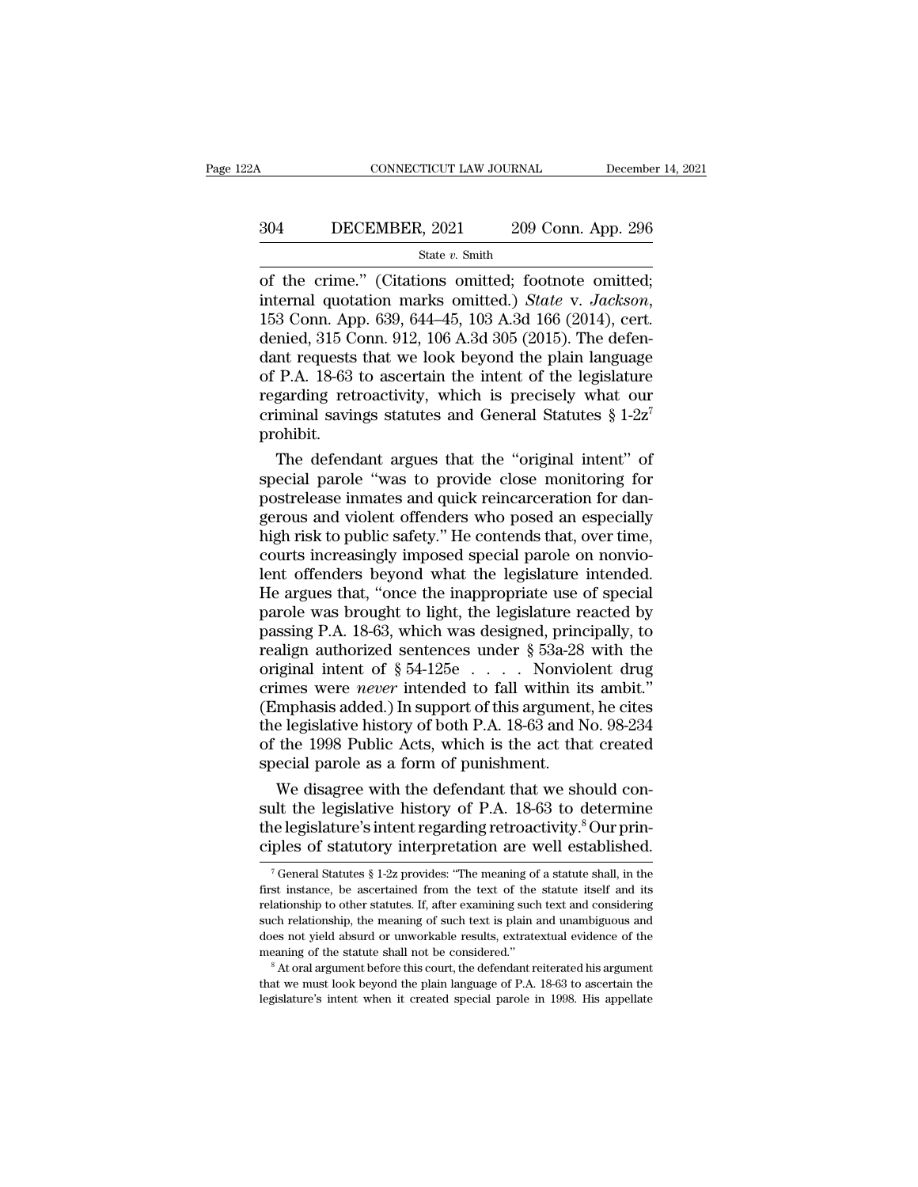# CONNECTICUT LAW JOURNAL December 14, 2021<br>304 DECEMBER, 2021 209 Conn. App. 296<br>5tate v. Smith

### State *v.* Smith

CONNECTICUT LAW JOURNAL December 14, 2<br>
304 DECEMBER, 2021 209 Conn. App. 296<br>
<sup>State v. Smith</sup><br>
of the crime.'' (Citations omitted; footnote omitted;<br>
internal quotation marks omitted.) *State v. Jackson*,<br>
153 Conn. App. **internal quotation marks omitted.**<br> **State** v. *Smith*<br> **of the crime.**" (Citations omitted; footnote omitted; internal quotation marks omitted.) *State* v. *Jackson*, 153 Conn. App. 639, 644–45, 103 A.3d 166 (2014), cer 304 DECEMBER, 2021 209 Conn. App. 296<br>  $\frac{\text{State } v. \text{ Smith}}{\text{of the crime." (Citations omitted; footnote omitted;} \text{internal quotation marks omitted.) State v. Jackson, 153 Conn. App. 639, 644–45, 103 A.3d 166 (2014), cert. \text{denied, } 315 Conn. 912, 106 A.3d 305 (2015). The defendant requests that we look beyond the plain language \text{of P A. 18.63 to ascertain the intent of the legislative$ Solution 2002 Column repp. 200<br>
State v. Smith<br>
of the crime." (Citations omitted; footnote omitted;<br>
internal quotation marks omitted.) State v. Jackson,<br>
153 Conn. App. 639, 644–45, 103 A.3d 166 (2014), cert.<br>
denied, 3 State v. Smith<br>
of the crime." (Citations omitted; footnote omitted;<br>
internal quotation marks omitted.) *State v. Jackson*,<br>
153 Conn. App. 639, 644–45, 103 A.3d 166 (2014), cert.<br>
denied, 315 Conn. 912, 106 A.3d 305 (20 of the crime." (Citations omitted; footnote omitted;<br>internal quotation marks omitted.) *State* v. *Jackson*,<br>153 Conn. App. 639, 644–45, 103 A.3d 166 (2014), cert.<br>denied, 315 Conn. 912, 106 A.3d 305 (2015). The defen-<br>d internal quotation marks omitted.) *State v. Jackson*,<br>153 Conn. App. 639, 644–45, 103 A.3d 166 (2014), cert.<br>denied, 315 Conn. 912, 106 A.3d 305 (2015). The defen-<br>dant requests that we look beyond the plain language<br>of prohibit. mied, 315 Conn. 912, 106 A.3d 305 (2015). The defen-<br>nt requests that we look beyond the plain language<br>P.A. 18-63 to ascertain the intent of the legislature<br>garding retroactivity, which is precisely what our<br>iminal savin dant requests that we look beyond the plain language<br>of P.A. 18-63 to ascertain the intent of the legislature<br>regarding retroactivity, which is precisely what our<br>criminal savings statutes and General Statutes  $\S 1-2z^7$ <br>

of P.A. 18-63 to ascertain the intent of the legislature<br>regarding retroactivity, which is precisely what our<br>criminal savings statutes and General Statutes  $\S 1{\text -}2{\text -}2^7$ <br>prohibit.<br>The defendant argues that the "origi regarding retroactivity, which is precisely what our<br>criminal savings statutes and General Statutes  $\S 1-2z^7$ <br>prohibit.<br>The defendant argues that the "original intent" of<br>special parole "was to provide close monitoring f criminal savings statutes and General Statutes § 1-2z<br>prohibit.<br>The defendant argues that the "original intent" of<br>special parole "was to provide close monitoring for<br>postrelease inmates and quick reincarceration for dan-<br> The defendant argues that the "original intent" of special parole "was to provide close monitoring for postrelease inmates and quick reincarceration for dangerous and violent offenders who posed an especially high risk to The defendant argues that the "original intent" of<br>special parole "was to provide close monitoring for<br>postrelease inmates and quick reincarceration for dan-<br>gerous and violent offenders who posed an especially<br>high risk t special parole "was to provide close monitoring for<br>postrelease inmates and quick reincarceration for dan-<br>gerous and violent offenders who posed an especially<br>high risk to public safety." He contends that, over time,<br>cour postrelease inmates and quick reincarceration for dangerous and violent offenders who posed an especially<br>high risk to public safety." He contends that, over time,<br>courts increasingly imposed special parole on nonvio-<br>lent gerous and violent offenders who posed an especially<br>high risk to public safety." He contends that, over time,<br>courts increasingly imposed special parole on nonvio-<br>lent offenders beyond what the legislature intended.<br>He high risk to public safety." He contends that, over time,<br>courts increasingly imposed special parole on nonvio-<br>lent offenders beyond what the legislature intended.<br>He argues that, "once the inappropriate use of special<br>p courts increasingly imposed special parole on nonvio-<br>lent offenders beyond what the legislature intended.<br>He argues that, "once the inappropriate use of special<br>parole was brought to light, the legislature reacted by<br>pas lent offenders beyond what the legislature intended.<br>He argues that, "once the inappropriate use of special<br>parole was brought to light, the legislature reacted by<br>passing P.A. 18-63, which was designed, principally, to<br>re He argues that, "once the inappropriate use of special<br>parole was brought to light, the legislature reacted by<br>passing P.A. 18-63, which was designed, principally, to<br>realign authorized sentences under  $\S$  53a-28 with the parole was brought to light, the legislature reacted by<br>passing P.A. 18-63, which was designed, principally, to<br>realign authorized sentences under  $\S$  53a-28 with the<br>original intent of  $\S$  54-125e . . . . Nonviolent drug passing P.A. 18-63, which was designed, principally, to<br>realign authorized sentences under  $\S$  53a-28 with the<br>original intent of  $\S$  54-125e . . . . Nonviolent drug<br>crimes were *never* intended to fall within its ambit." realign authorized sentences under  $\S$  53a-28<br>original intent of  $\S$  54-125e . . . . Nonviol<br>crimes were *never* intended to fall within it<br>(Emphasis added.) In support of this argumen<br>the legislative history of both P.A. iginal intent of  $\S$  54-125e . . . . . Nonviolent drug<br>imes were *never* intended to fall within its ambit."<br>mphasis added.) In support of this argument, he cites<br>e legislative history of both P.A. 18-63 and No. 98-234<br>th crimes were *never* intended to fall within its ambit."<br>(Emphasis added.) In support of this argument, he cites<br>the legislative history of both P.A. 18-63 and No. 98-234<br>of the 1998 Public Acts, which is the act that creat

(Emphasis added.) In support of this argument, he cites<br>the legislative history of both P.A. 18-63 and No. 98-234<br>of the 1998 Public Acts, which is the act that created<br>special parole as a form of punishment.<br>We disagree w the legislative history of both P.A. 18-63 and No. 98-234<br>of the 1998 Public Acts, which is the act that created<br>special parole as a form of punishment.<br>We disagree with the defendant that we should con-<br>sult the legislat We disagree with the defendant that we should con-<br>alt the legislative history of P.A. 18-63 to determine<br>elegislature's intent regarding retroactivity.<sup>8</sup> Our prin-<br>ples of statutory interpretation are well established.<br> sult the legislative history of P.A. 18-63 to determine<br>the legislature's intent regarding retroactivity.<sup>8</sup> Our prin-<br>ciples of statutory interpretation are well established.<br><sup>7</sup> General Statutes § 1-2z provides: "The me

the legislature's intent regarding retroactivity.<sup>8</sup> Our principles of statutory interpretation are well established.<br>
<sup>7</sup> General Statutes § 1-2z provides: "The meaning of a statute shall, in the first instance, be ascer ciples of statutory interpretation are well established.<br>
<sup>7</sup> General Statutes § 1-2z provides: "The meaning of a statute shall, in the first instance, be ascertained from the text of the statute itself and its relationsh The document of the statutory interpretation are well established.<br>
The meaning of a statute shall, in the first instance, be ascertained from the text of the statute itself and its<br>
relationship to other statutes. If, af <sup>7</sup> General Statutes § 1-2z provides: "The meaning of a statute shall, in the first instance, be ascertained from the text of the statute itself and its relationship to other statutes. If, after examining such text and co relationship to other statutes. If, after examining such text and considering<br>such relationship, the meaning of such text is plain and unambiguous and<br>does not yield absurd or unworkable results, extratextual evidence of t such relationship, the meaning of such text is plain and unambiguous and<br>does not yield absurd or unworkable results, extratextual evidence of the<br>meaning of the statute shall not be considered."<br><sup>8</sup> At oral argument befor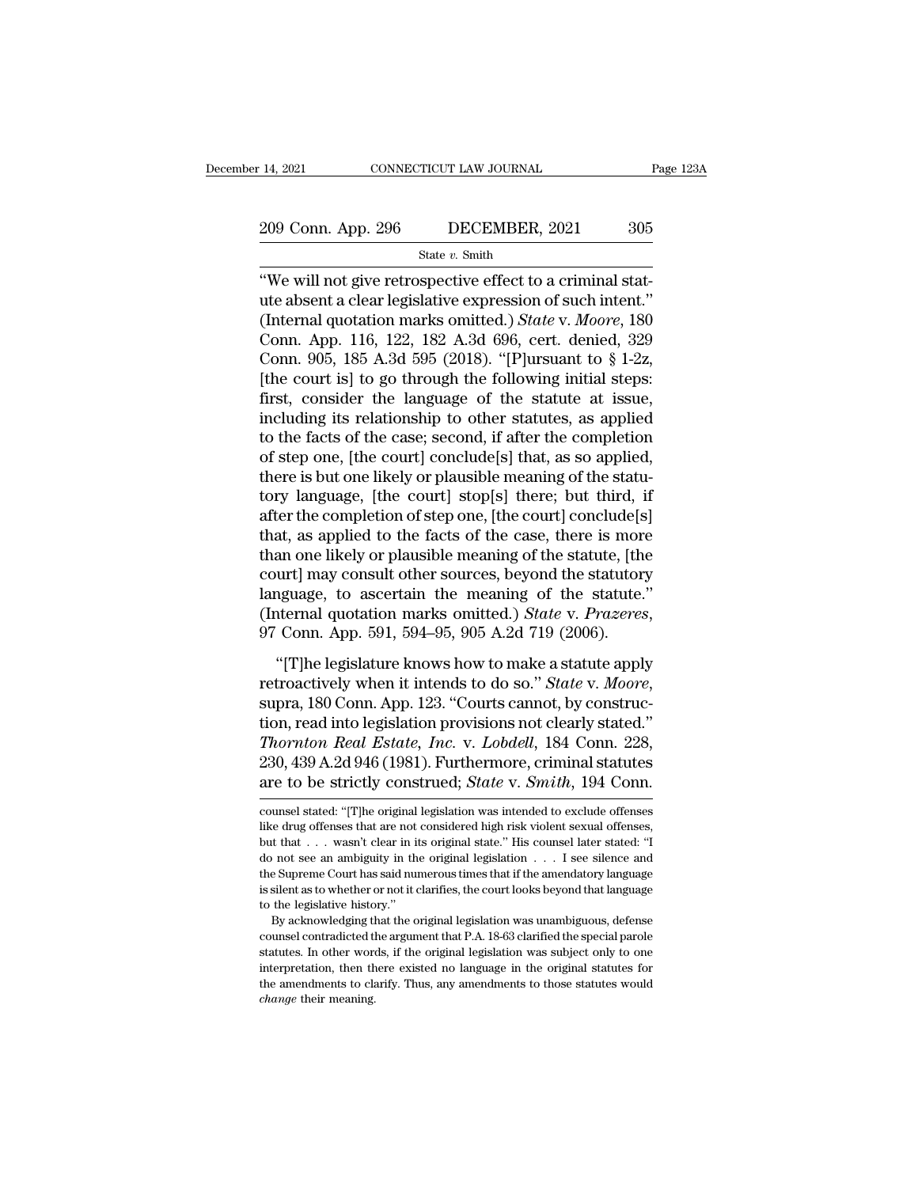# 14, 2021 CONNECTICUT LAW JOURNAL Page 123A<br>209 Conn. App. 296 DECEMBER, 2021 305<br>State v. Smith

State *v.* Smith

<sup>14, 2021</sup> CONNECTICUT LAW JOURNAL<br>  $\frac{209 \text{ Conn. App. 296}}{\text{State } v. \text{ Smith}}$ <br>
"We will not give retrospective effect to a criminal stat-<br>
ute absent a clear legislative expression of such intent."<br>
(Internal quotation marks emitt 209 Conn. App. 296 DECEMBER, 2021 305<br>
State v. Smith<br>
"We will not give retrospective effect to a criminal stat-<br>
ute absent a clear legislative expression of such intent."<br>
(Internal quotation marks omitted.) *State v.* (209 Conn. App. 296 DECEMBER, 2021 305<br>
State v. Smith<br>
"We will not give retrospective effect to a criminal stat-<br>
ute absent a clear legislative expression of such intent."<br>
(Internal quotation marks omitted.) *State* v. 209 Conn. App. 296 DECEMBER, 2021 305<br>
State v. Smith<br>
"We will not give retrospective effect to a criminal stat-<br>
ute absent a clear legislative expression of such intent."<br>
(Internal quotation marks omitted.) *State v.* State v. Smith<br>
"We will not give retrospective effect to a criminal stat-<br>
ute absent a clear legislative expression of such intent."<br>
(Internal quotation marks omitted.) *State v. Moore*, 180<br>
Conn. App. 116, 122, 182 A State v. Smith<br>
"We will not give retrospective effect to a criminal stat-<br>
ute absent a clear legislative expression of such intent."<br>
(Internal quotation marks omitted.) *State v. Moore*, 180<br>
Conn. App. 116, 122, 182 A "We will not give retrospective effect to a criminal statute absent a clear legislative expression of such intent."<br>(Internal quotation marks omitted.) *State v. Moore*, 180<br>Conn. App. 116, 122, 182 A.3d 696, cert. denied ute absent a clear legislative expression of such intent."<br>(Internal quotation marks omitted.) *State* v. *Moore*, 180<br>Conn. App. 116, 122, 182 A.3d 696, cert. denied, 329<br>Conn. 905, 185 A.3d 595 (2018). "[P]ursuant to § 1 (Internal quotation marks omitted.) *State* v. *Moore*, 180<br>Conn. App. 116, 122, 182 A.3d 696, cert. denied, 329<br>Conn. 905, 185 A.3d 595 (2018). "[P]ursuant to § 1-2z,<br>[the court is] to go through the following initial st Conn. App. 116, 122, 182 A.3d 696, cert. denied, 329<br>Conn. 905, 185 A.3d 595 (2018). "[P]ursuant to § 1-2z,<br>[the court is] to go through the following initial steps:<br>first, consider the language of the statute at issue,<br>i Conn. 905, 185 A.3d 595 (2018). "[P]ursuant to § 1-2z,<br>[the court is] to go through the following initial steps:<br>first, consider the language of the statute at issue,<br>including its relationship to other statutes, as appli [the court is] to go through the following initial steps:<br>first, consider the language of the statute at issue,<br>including its relationship to other statutes, as applied<br>to the facts of the case; second, if after the comple first, consider the language of the statute at issue,<br>including its relationship to other statutes, as applied<br>to the facts of the case; second, if after the completion<br>of step one, [the court] conclude[s] that, as so appl including its relationship to other statutes, as applied<br>to the facts of the case; second, if after the completion<br>of step one, [the court] conclude[s] that, as so applied,<br>there is but one likely or plausible meaning of t to the facts of the case; second, if after the completion<br>of step one, [the court] conclude[s] that, as so applied,<br>there is but one likely or plausible meaning of the statu-<br>tory language, [the court] stop[s] there; but t of step one, [the court] conclude[s] that, as so applied,<br>there is but one likely or plausible meaning of the statu-<br>tory language, [the court] stop[s] there; but third, if<br>after the completion of step one, [the court] con there is but one likely or plausible meaning of the statu-<br>tory language, [the court] stop[s] there; but third, if<br>after the completion of step one, [the court] conclude[s]<br>that, as applied to the facts of the case, there tory language, [the court] stop[s] there; but third, if after the completion of step one, [the court] conclude[s] that, as applied to the facts of the case, there is more than one likely or plausible meaning of the statute an one likely or plausible meaning of the statute, [the urt] may consult other sources, beyond the statute, [the urt] may consult other sources, beyond the statute is a stature. The meaning of the statute."<br>
iternal quota

retractively of platsists including of the statute, platsists court] may consult other sources, beyond the statute."<br>(Internal quotation marks omitted.) *State* v. *Prazeres*, 97 Conn. App. 591, 594–95, 905 A.2d 719 (2006) (Internal quotation marks omitted.) *State v. Prazeres*,<br>97 Conn. App. 591, 594–95, 905 A.2d 719 (2006).<br>"[T]he legislature knows how to make a statute apply<br>retroactively when it intends to do so." *State v. Moore*,<br>supr *The legislature knows how to make a statute apply*<br> *The legislature knows how to make a statute apply*<br> *The legislature knows how to make a statute apply*<br> *The legislature knows how to make a statute apply*<br> *Thornton* "[T]he legislature knows how to make a statute apply<br>retroactively when it intends to do so." *State v. Moore*,<br>supra, 180 Conn. App. 123. "Courts cannot, by construc-<br>tion, read into legislation provisions not clearly st "[T]he legislature knows how to make a statute apply<br>retroactively when it intends to do so." *State* v. *Moore*,<br>supra, 180 Conn. App. 123. "Courts cannot, by construc-<br>tion, read into legislation provisions not clearly s tion, read into legislation provisions not clearly stated."<br>Thornton Real Estate, Inc. v. Lobdell, 184 Conn. 228,<br>230, 439 A.2d 946 (1981). Furthermore, criminal statutes<br>are to be strictly construed; *State v. Smith*, 194 Thornton Real Estate, Inc. v. Lobdell, 184 Conn. 228, 230, 439 A.2d 946 (1981). Furthermore, criminal statutes are to be strictly construed; *State* v. *Smith*, 194 Conn. counsel stated: "[T]he original legislation was int

<sup>230, 439</sup> A.2d 946 (1981). Furthermore, criminal statutes<br>are to be strictly construed; *State* v. *Smith*, 194 Conn.<br>counsel stated: "[T]he original legislation was intended to exclude offenses<br>like drug offenses that are are to be strictly construed; *State* v. *Smith*, 194 Conn.<br>counsel stated: "[T]he original legislation was intended to exclude offenses<br>like drug offenses that are not considered high risk violent sexual offenses,<br>but tha The Supreme Court has said numerous times that if the amendator exclude offenses<br>ike drug offenses that are not considered high risk violent sexual offenses,<br>but that . . . wasn't clear in its original state." His counsel counsel stated: "[T]he original legislation was intended to exclude offenses<br>like drug offenses that are not considered high risk violent sexual offenses,<br>but that . . . wasn't clear in its original state." His counsel la counsel stated: "[T]<br>he original legislation was intended to exclude offenses like drug offenses that are not considered high risk violent sexual offenses, but that  $\ldots$  wasn't clear in its original state." His counsel l By acknowledging that the original state." His counsel later stated: "I<br>not see an ambiguity in the original legislation  $\ldots$  I see silence and<br>e Supreme Court has said numerous times that if the amendatory language<br>sile counsel counsel are an ambiguity in the original legislation  $\ldots$  I see silence and the Supreme Court has said numerous times that if the amendatory language is silent as to whether or not it clarifies, the court looks b

statutes. In other words, if the original legislation was unambiguous, defense the Supreme Court has said numerous times that if the amendatory language to the legislative history."<br>By acknowledging that the original legis is silent as to whether or not it clarifies, the court looks beyond that language<br>to the legislative history."<br>By acknowledging that the original legislation was unambiguous, defense<br>counsel contradicted the argument that to the legislative history."<br>By acknowledging that the original legislation was unambiguous, defense<br>counsel contradicted the argument that P.A. 18-63 clarified the special parole<br>statutes. In other words, if the original By acknowledging that the original legislation was unambiguous, defense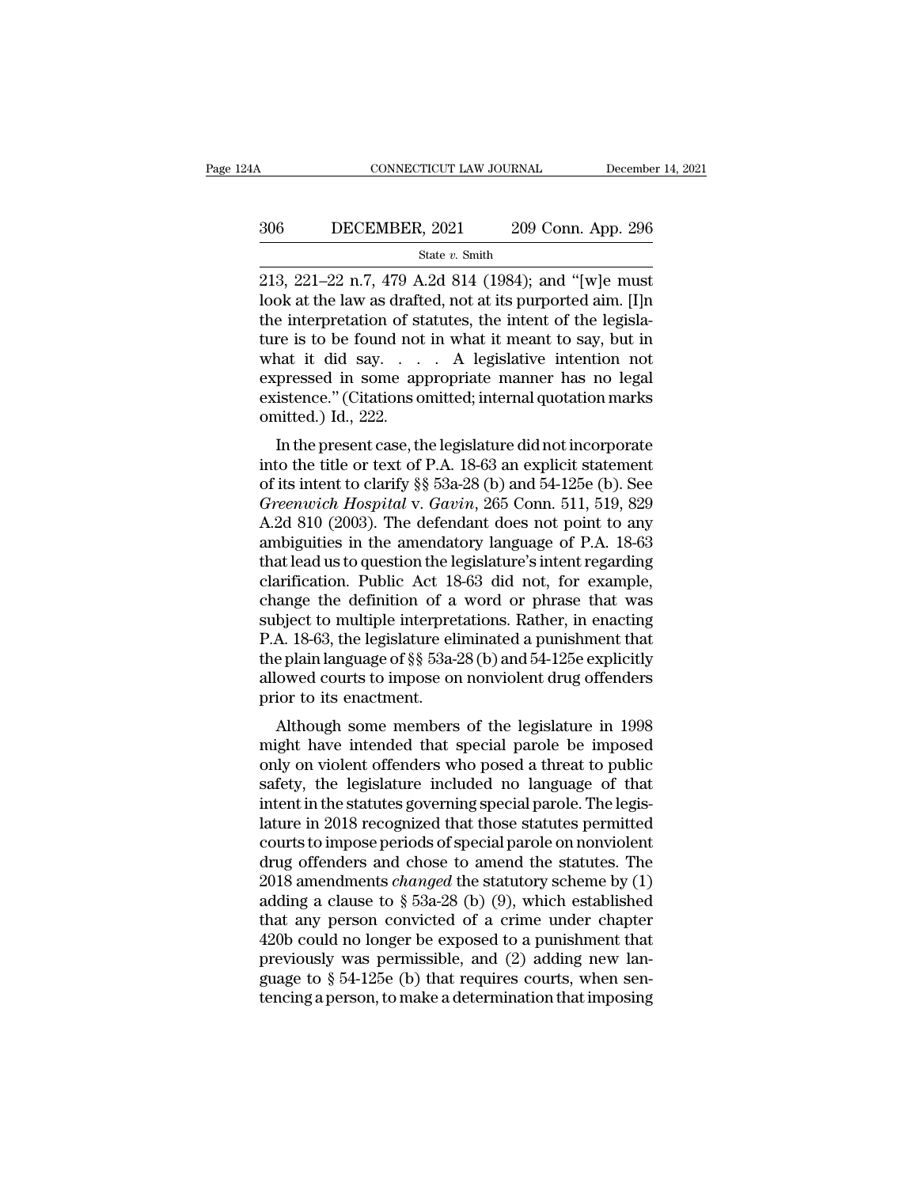# CONNECTICUT LAW JOURNAL December 14, 2021<br>306 DECEMBER, 2021 209 Conn. App. 296<br>5tate v. Smith

State *v.* Smith

CONNECTICUT LAW JOURNAL December 14, 202<br>
209 Conn. App. 296<br>
213, 221–22 n.7, 479 A.2d 814 (1984); and "[w]e must<br>
look at the law as drafted, not at its purported aim. [I]n<br>
the interpretation of statutes, the intent of 1006 DECEMBER, 2021 209 Conn. App. 296<br>
State v. Smith<br>
213, 221–22 n.7, 479 A.2d 814 (1984); and "[w]e must<br>
look at the law as drafted, not at its purported aim. [I]n<br>
the interpretation of statutes, the intent of the l 306 DECEMBER, 2021 209 Conn. App. 296<br>
State v. Smith<br>
213, 221–22 n.7, 479 A.2d 814 (1984); and "[w]e must<br>
look at the law as drafted, not at its purported aim. [I]n<br>
the interpretation of statutes, the intent of the le 306 DECEMBER, 2021 209 Conn. App. 296<br>
<sup>State v. Smith</sup><br>
213, 221–22 n.7, 479 A.2d 814 (1984); and "[w]e must<br>
look at the law as drafted, not at its purported aim. [I]n<br>
the interpretation of statutes, the intent of the State v. Smith<br>
State v. Smith<br>
213, 221–22 n.7, 479 A.2d 814 (1984); and "[w]e must<br>
look at the law as drafted, not at its purported aim. [I]n<br>
the interpretation of statutes, the intent of the legisla-<br>
ture is to be f state v. Smith<br>
213, 221–22 n.7, 479 A.2d 814 (1984); and "[w]e must<br>
look at the law as drafted, not at its purported aim. [I]n<br>
the interpretation of statutes, the intent of the legisla-<br>
ture is to be found not in what 213, 221–22 n.7, 479 A.2d 814 (1984); and "[w]e must<br>look at the law as drafted, not at its purported aim. [I]n<br>the interpretation of statutes, the intent of the legisla-<br>ture is to be found not in what it meant to say, b look at the law as draft<br>the interpretation of st<br>ture is to be found not<br>what it did say....<br>expressed in some ap<br>existence." (Citations o<br>omitted.) Id., 222.<br>In the present case, th Interpretation of statutes, the linent of the regista-<br>
re is to be found not in what it meant to say, but in<br>
and it did say.... A legislative intention not<br>
pressed in some appropriate manner has no legal<br>
istence." (Ci what it did say.... A legislative intention not<br>expressed in some appropriate manner has no legal<br>existence." (Citations omitted; internal quotation marks<br>omitted.) Id., 222.<br>In the present case, the legislature did not i

what it did say.  $\ldots$  A regislative intention not<br>expressed in some appropriate manner has no legal<br>existence." (Citations omitted; internal quotation marks<br>omitted.) Id., 222.<br>In the present case, the legislature did no expressed in some appropriate manner has no legal<br>existence." (Citations omitted; internal quotation marks<br>omitted.) Id., 222.<br>In the present case, the legislature did not incorporate<br>into the title or text of P.A. 18-63 a existence. (Chations omitted, internal quotation marks<br>omitted.) Id., 222.<br>In the present case, the legislature did not incorporate<br>into the title or text of P.A. 18-63 an explicit statement<br>of its intent to clarify §§ 53a In the present case, the legislature did not incorporate<br>into the title or text of P.A. 18-63 an explicit statement<br>of its intent to clarify §§ 53a-28 (b) and 54-125e (b). See<br>*Greenwich Hospital* v. *Gavin*, 265 Conn. 51 In the present case, the legislature did not incorporate<br>into the title or text of P.A. 18-63 an explicit statement<br>of its intent to clarify §§ 53a-28 (b) and 54-125e (b). See<br>*Greenwich Hospital* v. *Gavin*, 265 Conn. 51 into the title or text of P.A. 18-63 an explicit statement<br>of its intent to clarify  $\S$  53a-28 (b) and 54-125e (b). See<br>*Greenwich Hospital* v. *Gavin*, 265 Conn. 511, 519, 829<br>A.2d 810 (2003). The defendant does not poin of its intent to clarify  $\S$ § 53a-28 (b) and 54-125e (b). See<br>Greenwich Hospital v. Gavin, 265 Conn. 511, 519, 829<br>A.2d 810 (2003). The defendant does not point to any<br>ambiguities in the amendatory language of P.A. 18-63<br> Greenwich Hospital v. Gavin, 265 Conn. 511, 519, 829<br>A.2d 810 (2003). The defendant does not point to any<br>ambiguities in the amendatory language of P.A. 18-63<br>that lead us to question the legislature's intent regarding<br>cl A.2d 810 (2003). The defendant does not point to any<br>ambiguities in the amendatory language of P.A. 18-63<br>that lead us to question the legislature's intent regarding<br>clarification. Public Act 18-63 did not, for example,<br>ch ambiguities in the amendatory language of P.A. 18-63<br>that lead us to question the legislature's intent regarding<br>clarification. Public Act 18-63 did not, for example,<br>change the definition of a word or phrase that was<br>subj that lead us to question the legislature's intent regarding<br>clarification. Public Act 18-63 did not, for example,<br>change the definition of a word or phrase that was<br>subject to multiple interpretations. Rather, in enacting<br> clarification. Public Act 18<br>change the definition of a<br>subject to multiple interpret<br>P.A. 18-63, the legislature eli<br>the plain language of §§ 53a-2<br>allowed courts to impose or<br>prior to its enactment.<br>Although some members ange the definition of a word of phrase that was<br>bject to multiple interpretations. Rather, in enacting<br>A. 18-63, the legislature eliminated a punishment that<br>e plain language of §§ 53a-28 (b) and 54-125e explicitly<br>owed c subject to multiple interpretations. Kather, in enacting<br>P.A. 18-63, the legislature eliminated a punishment that<br>the plain language of §§ 53a-28 (b) and 54-125e explicitly<br>allowed courts to impose on nonviolent drug offen

F.A. 18-05, the legislature emimated a pumsimient that<br>the plain language of §§ 53a-28 (b) and 54-125e explicitly<br>allowed courts to impose on nonviolent drug offenders<br>prior to its enactment.<br>Although some members of the allowed courts to impose on nonviolent drug offenders<br>prior to its enactment.<br>Although some members of the legislature in 1998<br>might have intended that special parole be imposed<br>only on violent offenders who posed a threa anowed courts to impose on nonviolent untg orienters<br>prior to its enactment.<br>Although some members of the legislature in 1998<br>might have intended that special parole be imposed<br>only on violent offenders who posed a threat prior to its enactment.<br>
Although some members of the legislature in 1998<br>
might have intended that special parole be imposed<br>
only on violent offenders who posed a threat to public<br>
safety, the legislature included no lan Although some members of the legislature in 1998<br>might have intended that special parole be imposed<br>only on violent offenders who posed a threat to public<br>safety, the legislature included no language of that<br>intent in the might have intended that special parole be imposed<br>only on violent offenders who posed a threat to public<br>safety, the legislature included no language of that<br>intent in the statutes governing special parole. The legis-<br>la only on violent offenders who posed a threat to public<br>safety, the legislature included no language of that<br>intent in the statutes governing special parole. The legis-<br>lature in 2018 recognized that those statutes permitte safety, the legislature included no language of that<br>intent in the statutes governing special parole. The legis-<br>lature in 2018 recognized that those statutes permitted<br>courts to impose periods of special parole on nonvio intent in the statutes governing special parole. The legis-<br>lature in 2018 recognized that those statutes permitted<br>courts to impose periods of special parole on nonviolent<br>drug offenders and chose to amend the statutes. lature in 2018 recognized that those statutes permitted<br>courts to impose periods of special parole on nonviolent<br>drug offenders and chose to amend the statutes. The<br>2018 amendments *changed* the statutory scheme by (1)<br>ad courts to impose periods of special parole on nonviolent<br>drug offenders and chose to amend the statutes. The<br>2018 amendments *changed* the statutory scheme by (1)<br>adding a clause to  $\S$  53a-28 (b) (9), which established<br>t drug offenders and chose to amend the statutes. The 2018 amendments *changed* the statutory scheme by (1) adding a clause to  $\S$  53a-28 (b) (9), which established that any person convicted of a crime under chapter 420b co 2018 amendments *changed* the statutory scheme by (1) adding a clause to  $\S$  53a-28 (b) (9), which established that any person convicted of a crime under chapter 420b could no longer be exposed to a punishment that previo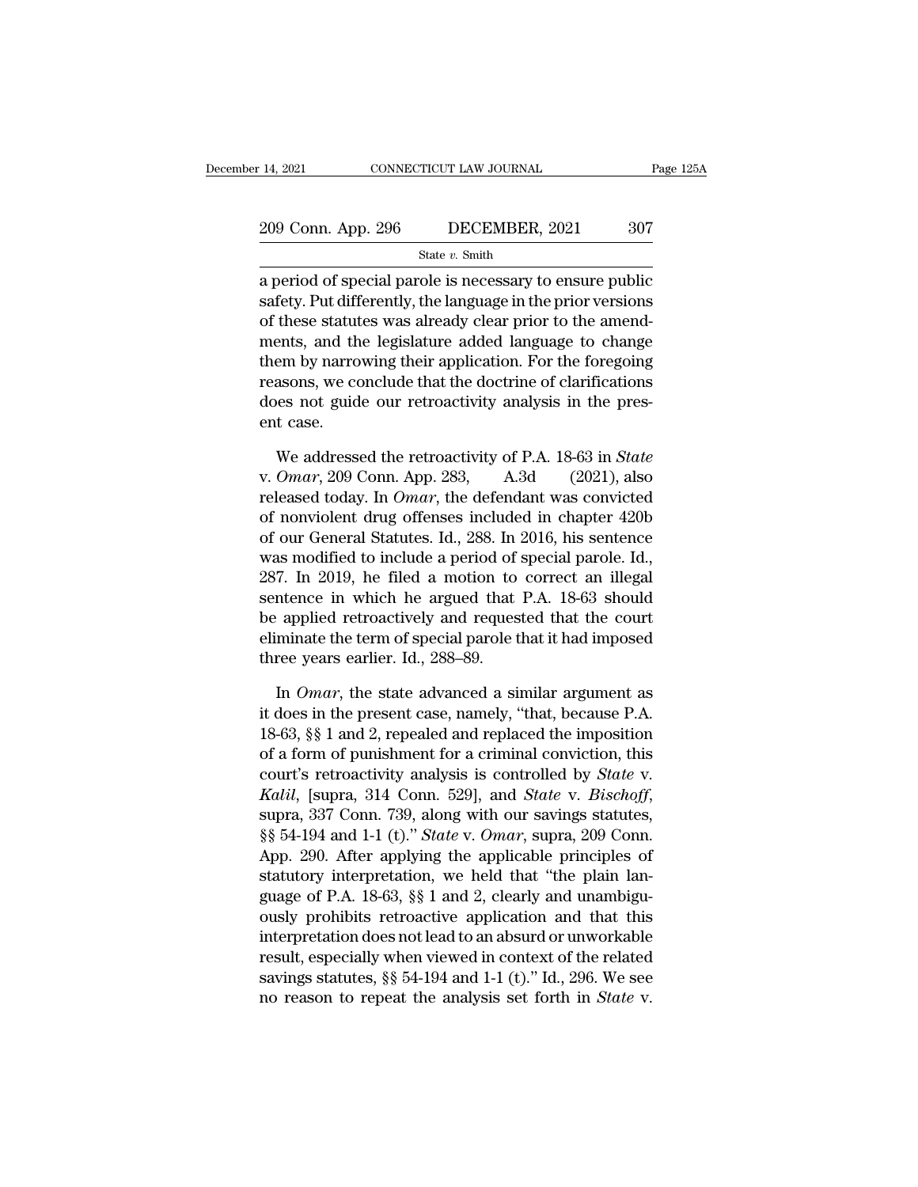| : 14, 2021         | CONNECTICUT LAW JOURNAL | Page 125A |
|--------------------|-------------------------|-----------|
| 209 Conn. App. 296 | DECEMBER, 2021          | 307       |
|                    | State $v$ . Smith       |           |

209 Conn. App. 296 DECEMBER, 2021 Page 125A<br>
209 Conn. App. 296 DECEMBER, 2021 307<br>
State v. Smith<br>
a period of special parole is necessary to ensure public<br>
safety. Put differently, the language in the prior versions<br>
of 209 Conn. App. 296 DECEMBER, 2021 307<br>
State v. Smith<br>
a period of special parole is necessary to ensure public<br>
safety. Put differently, the language in the prior versions<br>
of these statutes was already clear prior to th 209 Conn. App. 296 DECEMBER, 2021 307<br>
State v. Smith<br>
a period of special parole is necessary to ensure public<br>
safety. Put differently, the language in the prior versions<br>
of these statutes was already clear prior to th 209 Conn. App. 296 DECEMBER, 2021 307<br>
State v. Smith<br>
a period of special parole is necessary to ensure public<br>
safety. Put differently, the language in the prior versions<br>
of these statutes was already clear prior to th State  $v$ . Smith<br>
a period of special parole is necessary to ensure public<br>
safety. Put differently, the language in the prior versions<br>
of these statutes was already clear prior to the amend-<br>
ments, and the legislature reasons, and the doctrine of special parole is necessary to ensure public safety. Put differently, the language in the prior versions of these statutes was already clear prior to the amendments, and the legislature added l a period of special parole is necessary to ensure public<br>safety. Put differently, the language in the prior versions<br>of these statutes was already clear prior to the amend-<br>ments, and the legislature added language to chan safety. Put diff<br>of these statut<br>ments, and th<br>them by narro<br>reasons, we co<br>does not guid<br>ent case.<br>We address em by narrowing their application. For the foregoing<br>em by narrowing their application. For the foregoing<br>asons, we conclude that the doctrine of clarifications<br>es not guide our retroactivity analysis in the pres-<br>t case.<br> them by narrowing their application. For the foregoing<br>reasons, we conclude that the doctrine of clarifications<br>does not guide our retroactivity analysis in the pres-<br>ent case.<br>We addressed the retroactivity of P.A. 18-63

reasons, we conclude that the doctrine of clarifications<br>does not guide our retroactivity analysis in the pres-<br>ent case.<br>We addressed the retroactivity of P.A. 18-63 in *State*<br>v. *Omar*, 209 Conn. App. 283, A.3d (2021), does not guide our retroactivity analysis in the present case.<br>
We addressed the retroactivity of P.A. 18-63 in *State*<br>
v. *Omar*, 209 Conn. App. 283, A.3d (2021), also<br>
released today. In *Omar*, the defendant was convi ent case.<br>
We addressed the retroactivity of P.A. 18-63 in *State*<br>
v. *Omar*, 209 Conn. App. 283, A.3d (2021), also<br>
released today. In *Omar*, the defendant was convicted<br>
of nonviolent drug offenses included in chapter We addressed the retroactivity of P.A. 18-63 in *State*<br>v. *Omar*, 209 Conn. App. 283, A.3d (2021), also<br>released today. In *Omar*, the defendant was convicted<br>of nonviolent drug offenses included in chapter 420b<br>of our G We addressed the retroactivity of P.A. 18-63 in *State*<br>v. *Omar*, 209 Conn. App. 283, A.3d (2021), also<br>released today. In *Omar*, the defendant was convicted<br>of nonviolent drug offenses included in chapter 420b<br>of our G v. Omar, 209 Conn. App. 283, A.3d (2021), also<br>released today. In Omar, the defendant was convicted<br>of nonviolent drug offenses included in chapter 420b<br>of our General Statutes. Id., 288. In 2016, his sentence<br>was modifie released today. In *Omar*, the defendant was convicted<br>of nonviolent drug offenses included in chapter 420b<br>of our General Statutes. Id., 288. In 2016, his sentence<br>was modified to include a period of special parole. Id., of nonviolent drug offenses included in chapter 420b<br>of our General Statutes. Id., 288. In 2016, his sentence<br>was modified to include a period of special parole. Id.,<br>287. In 2019, he filed a motion to correct an illegal<br>s of our General Statutes. Id., 288. In<br>was modified to include a period of<br>287. In 2019, he filed a motion to<br>sentence in which he argued that<br>be applied retroactively and reques<br>eliminate the term of special parole t<br>three 7. In 2019, he filed a motion to correct an illegal<br>ntence in which he argued that P.A. 18-63 should<br>applied retroactively and requested that the court<br>minate the term of special parole that it had imposed<br>ree years earli sentence in which he argued that P.A. 18-63 should<br>be applied retroactively and requested that the court<br>eliminate the term of special parole that it had imposed<br>three years earlier. Id., 288–89.<br>In *Omar*, the state adva

be applied retroactively and requested that the court<br>eliminate the term of special parole that it had imposed<br>three years earlier. Id., 288–89.<br>In *Omar*, the state advanced a similar argument as<br>it does in the present c eliminate the term of special parole that it had imposed<br>three years earlier. Id., 288–89.<br>In *Omar*, the state advanced a similar argument as<br>it does in the present case, namely, "that, because P.A.<br>18-63, §§ 1 and 2, re three years earlier. Id., 288–89.<br>
In *Omar*, the state advanced a similar argument as<br>
it does in the present case, namely, "that, because P.A.<br>
18-63, §§ 1 and 2, repealed and replaced the imposition<br>
of a form of punish In *Omar*, the state advanced a similar argument as<br>it does in the present case, namely, "that, because P.A.<br>18-63, §§ 1 and 2, repealed and replaced the imposition<br>of a form of punishment for a criminal conviction, this<br>c It does in the present case, namely, "that, because P.A.<br>18-63, §§ 1 and 2, repealed and replaced the imposition<br>of a form of punishment for a criminal conviction, this<br>court's retroactivity analysis is controlled by *Stat* 18-63, §§ 1 and 2, repealed and replaced the imposition<br>of a form of punishment for a criminal conviction, this<br>court's retroactivity analysis is controlled by *State* v.<br>*Kalil*, [supra, 314 Conn. 529], and *State* v. *B* of a form of punishment for a criminal conviction, this<br>court's retroactivity analysis is controlled by *State v.*<br>Kalil, [supra, 314 Conn. 529], and *State v. Bischoff*,<br>supra, 337 Conn. 739, along with our savings statut court's retroactivity analysis is controlled by *State v.*<br> *Kalil*, [supra, 314 Conn. 529], and *State v. Bischoff*,<br>
supra, 337 Conn. 739, along with our savings statutes,<br>
§§ 54-194 and 1-1 (t)." *State v. Omar*, supra Katil, [supra, 314 Conn. 529], and *State v. Bischoff*,<br>supra, 337 Conn. 739, along with our savings statutes,<br>§§ 54-194 and 1-1 (t)." *State v. Omar*, supra, 209 Conn.<br>App. 290. After applying the applicable principles o supra, 337 Conn. 739, along with our savings statutes,<br>§§ 54-194 and 1-1 (t)." *State* v. *Omar*, supra, 209 Conn.<br>App. 290. After applying the applicable principles of<br>statutory interpretation, we held that "the plain la ss 54-194 and 1-1 (t)." *State v. Omar*, supra, 209 Conn.<br>App. 290. After applying the applicable principles of<br>statutory interpretation, we held that "the plain lan-<br>guage of P.A. 18-63, §§ 1 and 2, clearly and unambigu-App. 290. After applying the applicable principles of statutory interpretation, we held that "the plain language of P.A. 18-63, §§ 1 and 2, clearly and unambiguously prohibits retroactive application and that this interpr statutory interpretation, we neid that "the plain language of P.A. 18-63, §§ 1 and 2, clearly and unambiguously prohibits retroactive application and that this interpretation does not lead to an absurd or unworkable result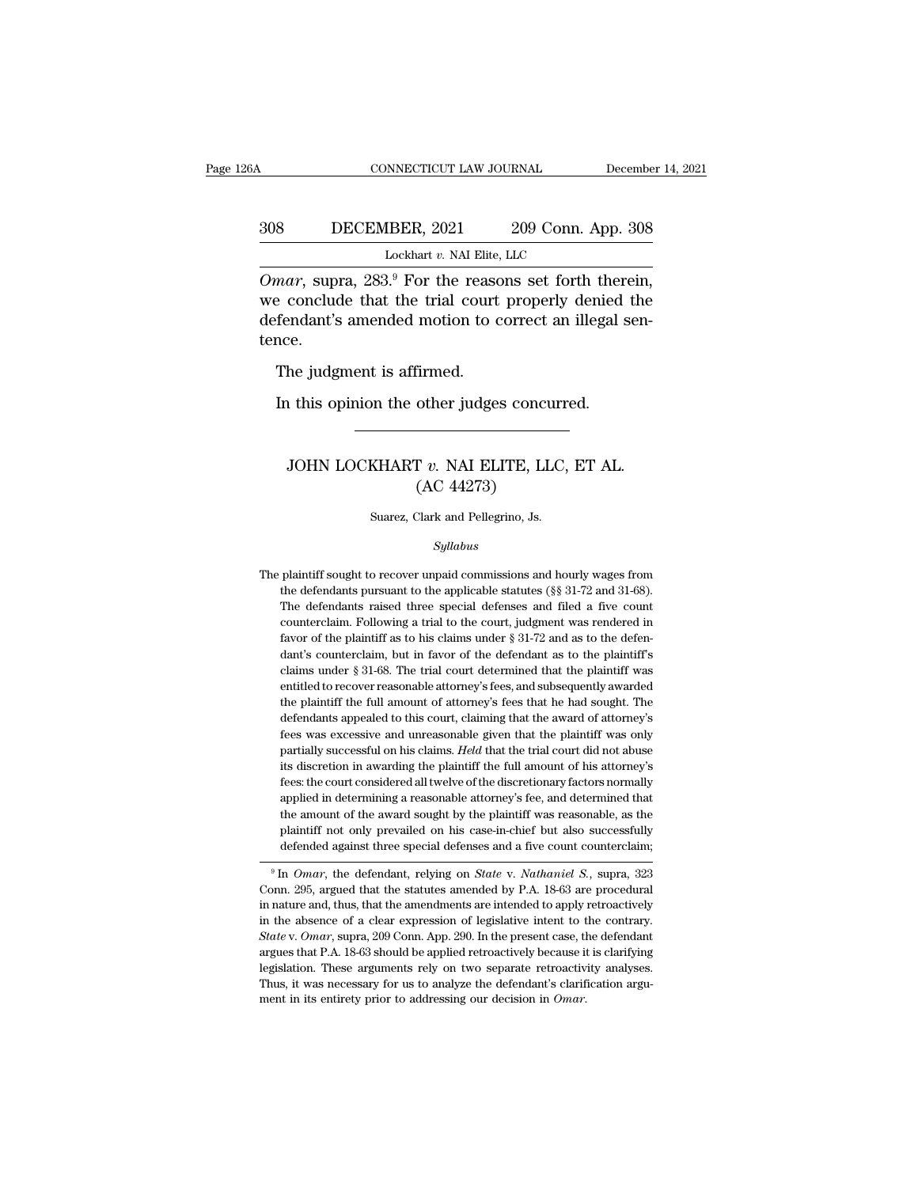### CONNECTICUT LAW JOURNAL December 14, 2021<br>308 DECEMBER, 2021 209 Conn. App. 308<br>Lockhart v. NAI Elite, LLC INNECTICUT LAW JOURNAL<br>IBER, 2021 209 Conn. A<br>Lockhart *v.* NAI Elite, LLC<br><sup>29</sup> For the reasons set forth

CONNECTICUT LAW JOURNAL December 14, 2<br> **OMART DECEMBER, 2021** 209 Conn. App. 308<br>
Lockhart v. NAI Elite, LLC<br> *Omar*, supra, 283.<sup>9</sup> For the reasons set forth therein,<br>
we conclude that the trial court properly denied the  $\frac{308}{\text{DECEMBER}, 2021}$   $\frac{209}{\text{Conn. App. 308}}$ <br>
Lockhart v. NAI Elite, LLC<br>  $\overline{Omar}$ , supra,  $283.9$  For the reasons set forth therein,<br>
we conclude that the trial court properly denied the<br>
defendant's amended motion to  $\begin{array}{lll}\n & \text{DECEMBER, 2021} & \text{209 Conn. App. 308} \\
 \hline\n & \text{Lockhart } v. \text{ NA Elite, LLC} \\
 \hline\n \text{Omar, supra, 283.}^9 \text{ For the reasons set forth therein,} \\
 \text{we conclude that the trial court properly denied the defendant's amended motion to correct an illegal sentence.} \n\end{array}$ tence. Lockhart v. NAI Elite,<br>  $nar$ , supra,  $283.9$  For the rease<br>
e conclude that the trial court<br>
fendant's amended motion to c<br>
nce.<br>
The judgment is affirmed.<br>
In this opinion the other judge: mar, supra, 283.<sup>9</sup> For the reasons set forth there conclude that the trial court properly denied fendant's amended motion to correct an illegal s<br>nce.<br>The judgment is affirmed.<br>In this opinion the other judges concurred.

### Let this opinion the other judges concurred.<br>
1 this opinion the other judges concurred.<br>
JOHN LOCKHART *v*. NAI ELITE, LLC, ET AL.<br>
(AC 44273) firmed.<br>
other judges concu<br>
T v. NAI ELITE, LL<br>
(AC 44273)<br>
Clark and Pellegrino, Js. JOHN LOCKHART  $v$ . NAI ELITE, LLC, ET AL.<br>(AC 44273)<br>Suarez, Clark and Pellegrino, Js.

### *Syllabus*

(AC 44273)<br>
Suarez, Clark and Pellegrino, Js.<br>
Syllabus<br>
The plaintiff sought to recover unpaid commissions and hourly wages from<br>
the defendants pursuant to the applicable statutes (§§ 31-72 and 31-68). Suarez, Clark and Pellegrino, Js.<br>  $Syllabus$ <br>
plaintiff sought to recover unpaid commissions and hourly wages from<br>
the defendants pursuant to the applicable statutes (§§ 31-72 and 31-68).<br>
The defendants raised three special Suarez, Clark and Pellegrino, Js.<br>Syllabus<br>plaintiff sought to recover unpaid commissions and hourly wages from<br>the defendants pursuant to the applicable statutes (§§ 31-72 and 31-68).<br>The defendants raised three special d *Syllabus*<br>plaintiff sought to recover unpaid commissions and hourly wages from<br>the defendants pursuant to the applicable statutes ( $\S$  $\S$  $31$ -72 and  $31$ -6 $\S$ ).<br>The defendants raised three special defenses and filed a fi The plaintiff sought to recover unpaid commissions and hourly wages from<br>the defendants pursuant to the applicable statutes ( $\S$ § 31-72 and 31-68).<br>The defendants raised three special defenses and filed a five count<br>count plaintiff sought to recover unpaid commissions and hourly wages from<br>the defendants pursuant to the applicable statutes ( $\S$ § 31-72 and 31-68).<br>The defendants raised three special defenses and filed a five count<br>countercl the defendants pursuant to the applicable statutes ( $\S$ § 31-72 and 31-68).<br>The defendants raised three special defenses and filed a five count<br>counterclaim. Following a trial to the court, judgment was rendered in<br>favor o The defendants raised three special defenses and filed a five count counterclaim. Following a trial to the court, judgment was rendered in favor of the plaintiff as to his claims under  $\S 31-72$  and as to the defendant's counterclaim. Following a trial to the court, judgment was rendered in favor of the plaintiff as to his claims under § 31-72 and as to the defendant's counterclaim, but in favor of the defendant as to the plaintiff's claim favor of the plaintiff as to his claims under  $\S$  31-72 and as to the defendant's counterclaim, but in favor of the defendant as to the plaintiff's claims under  $\S$  31-68. The trial court determined that the plaintiff was dant's counterclaim, but in favor of the defendant as to the plaintiff's claims under § 31-68. The trial court determined that the plaintiff was entitled to recover reasonable attorney's fees, and subsequently awarded the claims under § 31-68. The trial court determined that the plaintiff was<br>entitled to recover reasonable attorney's fees, and subsequently awarded<br>the plaintiff the full amount of attorney's fees that he had sought. The<br>defe entitled to recover reasonable attorney's fees, and subsequently awarded<br>the plaintiff the full amount of attorney's fees that he had sought. The<br>defendants appealed to this court, claiming that the award of attorney's<br>fee the plaintiff the full amount of attorney's fees that he had sought. The defendants appealed to this court, claiming that the award of attorney's fees was excessive and unreasonable given that the plaintiff was only partia the plaintiff the full amount of attorney's fees that he had sought. The defendants appealed to this court, claiming that the award of attorney's fees was excessive and unreasonable given that the plaintiff was only parti fees was excessive and unreasonable given that the plaintiff was only partially successful on his claims. *Held* that the trial court did not abuse its discretion in awarding the plaintiff the full amount of his attorney's partially successful on his claims. *Held* that the trial court did not abuse<br>its discretion in awarding the plaintiff the full amount of his attorney's<br>fees: the court considered all twelve of the discretionary factors no its discretion in awarding the plaintiff the full amount of his attorney's fees: the court considered all twelve of the discretionary factors normally applied in determining a reasonable attorney's fee, and determined tha applied in determining a reasonable attorney's see, and determined that<br>the amount of the award sought by the plaintiff was reasonable, as the<br>plaintiff not only prevailed on his case-in-chief but also successfully<br>defende

in a multiple and solution of the award solution of the amendment was reasonable, as the plaintiff not only prevailed on his case-in-chief but also successfully defended against three special defenses and a five count coun plantif not only prevaled on his case-in-chief but also successium<br>defended against three special defenses and a five count counterclaim;<br> ${}^{9}$  In *Omar*, the defendant, relying on *State* v. *Nathaniel S.*, supra, 323<br>Co <sup>9</sup> In *Omar*, the defendant, relying on *State* v. *Nathaniel S.*, supra, 323<br><sup>9</sup> In *Omar*, the defendant, relying on *State* v. *Nathaniel S.*, supra, 323<br>Conn. 295, argued that the statutes amended by P.A. 18-63 are pr <sup>9</sup> In *Omar*, the defendant, relying on *State* v. *Nathaniel S.*, supra, 323 Conn. 295, argued that the statutes amended by P.A. 18-63 are procedural in nature and, thus, that the amendments are intended to apply retroa Conn. 295, argued that the statutes amended by P.A. 18-63 are procedural in nature and, thus, that the amendments are intended to apply retroactively in the absence of a clear expression of legislative intent to the contr in nature and, thus, that the amendments are intended to apply retroactively in the absence of a clear expression of legislative intent to the contrary.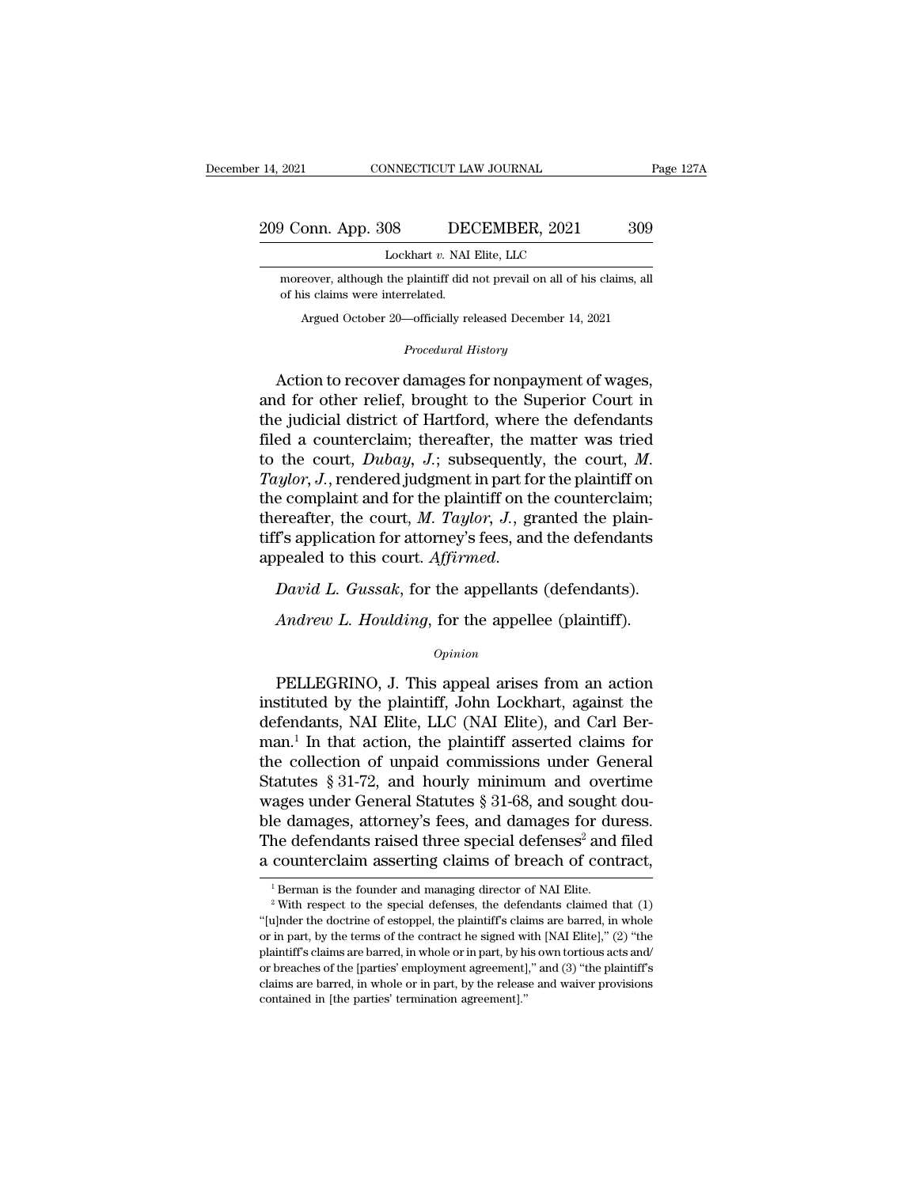### 14, 2021 CONNECTICUT LAW JOURNAL Page 127A<br>209 Conn. App. 308 DECEMBER, 2021 309<br>Lockhart v. NAI Elite, LLC NNECTICUT LAW JOURNAL<br>08 DECEMBER, 2021<br>Lockhart *v*. NAI Elite, LLC<br>the plaintiff did not prevail on all of his

 $\frac{1}{200}$  Conn. App. 308 DECEMBER, 2021 309<br>Lockhart v. NAI Elite, LLC<br>moreover, although the plaintiff did not prevail on all of his claims, all<br>of his claims were interrelated. **OFFREE 1988** EDE<br> **CONFIGURE 1989** Executive NAI moreover, although the plaintiff did of his claims were interrelated.<br>
Argued October 20—officially re SUS DECEMBER, 2021 309<br>
Lockhart v. NAI Elite, LLC<br>
reover, although the plaintiff did not prevail on all of his claims, all<br>
is claims were interrelated.<br>
Argued October 20—officially released December 14, 2021 *Procedural History*<br> *Plaintiff did not prevail on all exercises*<br> *Procedural History*<br> *Procedural History* 

LOCKMAT *U*. NAT EME, LEC<br>
moreover, although the plaintiff did not prevail on all of his claims, all<br>
of his claims were interrelated.<br>
Argued October 20—officially released December 14, 2021<br> *Procedural History*<br>
Action moreover, although the plaintiff did not prevail on all of his claims, all<br>of his claims were interrelated.<br>Argued October 20—officially released December 14, 2021<br>*Procedural History*<br>Action to recover damages for nonpaym Argued October 20—officially released December 14, 2021<br>
Procedural History<br>
Action to recover damages for nonpayment of wages,<br>
and for other relief, brought to the Superior Court in<br>
the judicial district of Hartford, wh Argued October 20—officially released December 14, 2021<br> *Procedural History*<br>
Action to recover damages for nonpayment of wages,<br>
and for other relief, brought to the Superior Court in<br>
the judicial district of Hartford, *Procedural History*<br>Action to recover damages for nonpayment of wages,<br>and for other relief, brought to the Superior Court in<br>the judicial district of Hartford, where the defendants<br>filed a counterclaim; thereafter, the m Action to recover damages for nonpayment of wages,<br>and for other relief, brought to the Superior Court in<br>the judicial district of Hartford, where the defendants<br>filed a counterclaim; thereafter, the matter was tried<br>to t and for other relief, brought to the Superior Court in<br>the judicial district of Hartford, where the defendants<br>filed a counterclaim; thereafter, the matter was tried<br>to the court, *Dubay*, *J*.; subsequently, the court, *M* the judicial district of Hartford, where the defendants<br>filed a counterclaim; thereafter, the matter was tried<br>to the court,  $Dubay$ ,  $J$ .; subsequently, the court,  $M$ .<br> $Taylor$ ,  $J$ , rendered judgment in part for the plaintiff filed a counterclaim; thereafter, the matter was tried<br>to the court, *Dubay*, *J*.; subsequently, the court, *M.*<br>Taylor, *J.*, rendered judgment in part for the plaintiff on<br>the complaint and for the plaintiff on the coun *Andrew L. Houlding, for the appellee (plaintiff)*<br>*Andrew L. Gussak, for the appellents pealed to this court. Affirmed.*<br>*David L. Gussak, for the appellants (defendants).*<br>*Andrew L. Houlding, for the appellee (plaintiff* 

### *Opinion*

David L. Gussak, for the appellants (defendants).<br>
Andrew L. Houlding, for the appellee (plaintiff).<br>  $\frac{opinion}{\text{9}pinion}$ <br>
PELLEGRINO, J. This appeal arises from an action<br>
stituted by the plaintiff, John Lockhart, against t David L. Gussak, for the appellants (defendants).<br>
Andrew L. Houlding, for the appellee (plaintiff).<br>
opinion<br>
PELLEGRINO, J. This appeal arises from an action<br>
instituted by the plaintiff, John Lockhart, against the<br>
defe Andrew L. Houlding, for the appellee (plaintiff).<br>  $\frac{Opinion}{PELLEGRINO}$ , J. This appeal arises from an action<br>
instituted by the plaintiff, John Lockhart, against the<br>
defendants, NAI Elite, LLC (NAI Elite), and Carl Ber-<br>
man Andrew L. Houlding, for the appellee (plaintiff).<br>  $\frac{opinion}{Dpinion}$ <br>
PELLEGRINO, J. This appeal arises from an action<br>
instituted by the plaintiff, John Lockhart, against the<br>
defendants, NAI Elite, LLC (NAI Elite), and Carl Opinion<br>
Opinion<br>
instituted by the plaintiff, John Lockhart, against the<br>
defendants, NAI Elite, LLC (NAI Elite), and Carl Ber-<br>
man.<sup>1</sup> In that action, the plaintiff asserted claims for<br>
the collection of unpaid commissi PELLEGRINO, J. This appeal arises from an action<br>instituted by the plaintiff, John Lockhart, against the<br>defendants, NAI Elite, LLC (NAI Elite), and Carl Ber-<br>man.<sup>1</sup> In that action, the plaintiff asserted claims for<br>the PELLEGRINO, J. This appeal arises from an action<br>instituted by the plaintiff, John Lockhart, against the<br>defendants, NAI Elite, LLC (NAI Elite), and Carl Ber-<br>man.<sup>1</sup> In that action, the plaintiff asserted claims for<br>the instituted by the plaintiff, John Lockhart, against the<br>defendants, NAI Elite, LLC (NAI Elite), and Carl Ber-<br>man.<sup>1</sup> In that action, the plaintiff asserted claims for<br>the collection of unpaid commissions under General<br>Sta defendants, NAI Elite, LLC (NAI Elite), and Carl Berman.<sup>1</sup> In that action, the plaintiff asserted claims for the collection of unpaid commissions under General Statutes § 31-72, and hourly minimum and overtime wages under man.<sup>1</sup> In that action, the plaintiff asserted claims for the collection of unpaid commissions under General Statutes § 31-72, and hourly minimum and overtime wages under General Statutes § 31-68, and sought double damage 1 Berman is the founder and managing director of NAI Elite.<br>
<sup>1</sup> Berman is the founder and managing director of NAI Elite.<br>
<sup>1</sup> Berman is the founder and managing director of NAI Elite.<br>
<sup>2</sup> With respect to the special def

The defendants raised three special defenses<sup>2</sup> and filed<br>a counterclaim asserting claims of breach of contract,<br> $\frac{1}{1}$ Berman is the founder and managing director of NAI Elite.<br><sup>2</sup> With respect to the special defenses, a counterclaim asserting claims of breach of contract,<br>
<sup>1</sup> Berman is the founder and managing director of NAI Elite.<br>
<sup>2</sup> With respect to the special defenses, the defendants claimed that (1)<br>
"[u]nder the doctrine of es a counterciant asserting claims of breach of contract,<br><sup>2</sup> Berman is the founder and managing director of NAI Elite.<br><sup>2</sup> With respect to the special defenses, the defendants claimed that (1)<br><sup>4</sup> [u]nder the doctrine of es <sup>1</sup> Berman is the founder and managing director of NAI Elite.<br><sup>2</sup> With respect to the special defenses, the defendants claimed that (1)<br>"[u]nder the doctrine of estoppel, the plaintiff's claims are barred, in whole<br>or in <sup>2</sup> With respect to the special defenses, the defendants claimed that (1) "[u]nder the doctrine of estoppel, the plaintiff's claims are barred, in whole or in part, by the terms of the contract he signed with [NAI Elite], "(u)nder the doctrine of estoppel, the plaintiff's claim or in part, by the terms of the contract he signed will plaintiff's claims are barred, in whole or in part, by his or breaches of the [parties' employment agreement]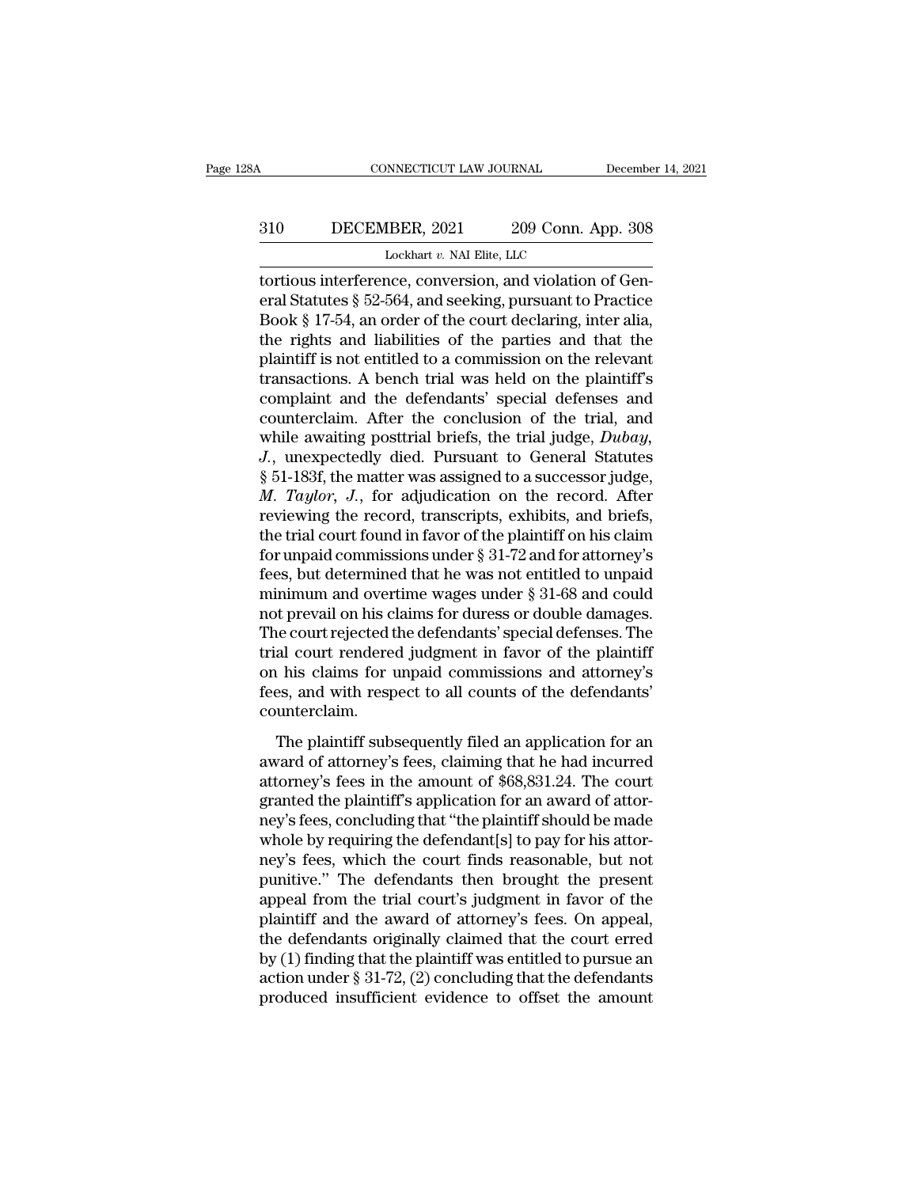### CONNECTICUT LAW JOURNAL December 14, 2021<br>310 DECEMBER, 2021 209 Conn. App. 308<br>Lockhart v. NAI Elite, LLC NNECTICUT LAW JOURNAL<br>IBER, 2021 209 Conn. A<br>Lockhart *v.* NAI Elite, LLC<br>nce conversion and violation

CONNECTICUT LAW JOURNAL December<br>
2010 DECEMBER, 2021 209 Conn. App. 308<br>
Lockhart v. NAI Elite, LLC<br>
Lockhart v. NAI Elite, LLC<br>
Lockhart v. NAI Elite, LLC<br>
Lockhart v. NAI Elite, LLC<br>
Excels interference, conversion, and EDECEMBER, 2021 209 Conn. App. 308<br>
Lockhart v. NAI Elite, LLC<br>
tortious interference, conversion, and violation of General Statutes § 52-564, and seeking, pursuant to Practice<br>
Book § 17-54, an order of the court declarin Bookhart v. NAI Elite, LLC<br>
Lockhart v. NAI Elite, LLC<br>
tortious interference, conversion, and violation of General Statutes § 52-564, and seeking, pursuant to Practice<br>
Book § 17-54, an order of the court declaring, inte 310 DECEMBER, 2021 209 Conn. App. 308<br>
Lockhart v. NAI Elite, LLC<br>
tortious interference, conversion, and violation of General Statutes § 52-564, and seeking, pursuant to Practice<br>
Book § 17-54, an order of the court decl Lockhart v. NAI Elite, LLC<br>
tortious interference, conversion, and violation of General Statutes § 52-564, and seeking, pursuant to Practice<br>
Book § 17-54, an order of the court declaring, inter alia,<br>
the rights and liab Lockhart v. NAI Elite, LLC<br>tortious interference, conversion, and violation of General Statutes § 52-564, and seeking, pursuant to Practice<br>Book § 17-54, an order of the court declaring, inter alia,<br>the rights and liabili tortious interference, conversion, and violation of General Statutes § 52-564, and seeking, pursuant to Practice<br>Book § 17-54, an order of the court declaring, inter alia,<br>the rights and liabilities of the parties and that eral Statutes § 52-564, and seeking, pursuant to Practice<br>Book § 17-54, an order of the court declaring, inter alia,<br>the rights and liabilities of the parties and that the<br>plaintiff is not entitled to a commission on the Book § 17-54, an order of the court declaring, inter alia,<br>the rights and liabilities of the parties and that the<br>plaintiff is not entitled to a commission on the relevant<br>transactions. A bench trial was held on the plaint the rights and liabilities of the parties and that the plaintiff is not entitled to a commission on the relevant transactions. A bench trial was held on the plaintiff's complaint and the defendants' special defenses and co plaintiff is not entitled to a commission on the relevant<br>transactions. A bench trial was held on the plaintiff's<br>complaint and the defendants' special defenses and<br>counterclaim. After the conclusion of the trial, and<br>whil transactions. A bench trial was held on the plaintiff's<br>complaint and the defendants' special defenses and<br>counterclaim. After the conclusion of the trial, and<br>while awaiting posttrial briefs, the trial judge, *Dubay*,<br>*J.* complaint and the defendants' special defenses and<br>counterclaim. After the conclusion of the trial, and<br>while awaiting posttrial briefs, the trial judge,  $Dubay$ ,<br> $J$ ., unexpectedly died. Pursuant to General Statutes<br>§ 51-1 counterclaim. After the conclusion of the trial, and<br>while awaiting posttrial briefs, the trial judge, *Dubay*,<br>*J.*, unexpectedly died. Pursuant to General Statutes<br>§ 51-183f, the matter was assigned to a successor judge while awaiting posttrial briefs, the trial judge, *Dubay*,<br>*J.*, unexpectedly died. Pursuant to General Statutes<br>§ 51-183f, the matter was assigned to a successor judge,<br>*M. Taylor*, *J.*, for adjudication on the record. J., unexpectedly died. Pursuant to General Statutes<br>§ 51-183f, the matter was assigned to a successor judge,<br>*M. Taylor, J.*, for adjudication on the record. After<br>reviewing the record, transcripts, exhibits, and briefs,<br> § 51-183f, the matter was assigned to a successor judge,<br>*M. Taylor*, *J.*, for adjudication on the record. After<br>reviewing the record, transcripts, exhibits, and briefs,<br>the trial court found in favor of the plaintiff on *M. Taylor, J.*, for adjudication on the record. After<br>reviewing the record, transcripts, exhibits, and briefs,<br>the trial court found in favor of the plaintiff on his claim<br>for unpaid commissions under  $\S 31-72$  and for a reviewing the record, transcripts, exhibits, and briefs,<br>the trial court found in favor of the plaintiff on his claim<br>for unpaid commissions under § 31-72 and for attorney's<br>fees, but determined that he was not entitled to the trial court found in favor of the plaintiff on his claim<br>for unpaid commissions under  $\S$  31-72 and for attorney's<br>fees, but determined that he was not entitled to unpaid<br>minimum and overtime wages under  $\S$  31-68 and for unpaid commissions under  $\S$  31-72 and for attorney's<br>fees, but determined that he was not entitled to unpaid<br>minimum and overtime wages under  $\S$  31-68 and could<br>not prevail on his claims for duress or double damages fees, but determined that he was not entitled to unpaid<br>minimum and overtime wages under § 31-68 and could<br>not prevail on his claims for duress or double damages.<br>The court rejected the defendants' special defenses. The<br>tr counterclaim. Event of this claims for dates of double damages.<br>
He court rejected the defendants' special defenses. The<br>
al court rendered judgment in favor of the plaintiff<br>
his claims for unpaid commissions and attorney's<br>
ses, and w The courregence are determined by poema determines. The<br>trial court rendered judgment in favor of the plaintiff<br>on his claims for unpaid commissions and attorney's<br>fees, and with respect to all counts of the defendants'<br>co

attance of Friddered Judgment in favor of the plant.<br>
on his claims for unpaid commissions and attorney's<br>
fees, and with respect to all counts of the defendants'<br>
counterclaim.<br>
The plaintiff subsequently filed an applica grad to the defendants<br>fees, and with respect to all counts of the defendants'<br>counterclaim.<br>The plaintiff subsequently filed an application for an<br>award of attorney's fees, claiming that he had incurred<br>attorney's fees in rece, and what respect to an estimate of the detendants<br>counterclaim.<br>The plaintiff subsequently filed an application for an<br>award of attorney's fees in the amount of \$68,831.24. The court<br>granted the plaintiff's applicati The plaintiff subsequently filed an application for an award of attorney's fees, claiming that he had incurred<br>attorney's fees in the amount of \$68,831.24. The court<br>granted the plaintiff's application for an award of atto The plaintiff subsequently filed an application for an<br>award of attorney's fees, claiming that he had incurred<br>attorney's fees in the amount of \$68,831.24. The court<br>granted the plaintiff's application for an award of atto award of attorney's fees, claiming that he had incurred<br>attorney's fees in the amount of \$68,831.24. The court<br>granted the plaintiff's application for an award of attor-<br>ney's fees, concluding that "the plaintiff should be attorney's fees in the amount of \$68,831.24. The court<br>granted the plaintiff's application for an award of attor-<br>ney's fees, concluding that "the plaintiff should be made<br>whole by requiring the defendant[s] to pay for his granted the plaintiff's application for an award of attor-<br>ney's fees, concluding that "the plaintiff should be made<br>whole by requiring the defendant[s] to pay for his attor-<br>ney's fees, which the court finds reasonable, b ney's fees, concluding that "the plaintiff should be made<br>whole by requiring the defendant[s] to pay for his attor-<br>ney's fees, which the court finds reasonable, but not<br>punitive." The defendants then brought the present<br>a whole by requiring the defendant[s] to pay for his attor-<br>ney's fees, which the court finds reasonable, but not<br>punitive." The defendants then brought the present<br>appeal from the trial court's judgment in favor of the<br>pla ney's fees, which the court finds reasonable, but not<br>punitive." The defendants then brought the present<br>appeal from the trial court's judgment in favor of the<br>plaintiff and the award of attorney's fees. On appeal,<br>the def punitive." The defendants then brought the present<br>appeal from the trial court's judgment in favor of the<br>plaintiff and the award of attorney's fees. On appeal,<br>the defendants originally claimed that the court erred<br>by (1)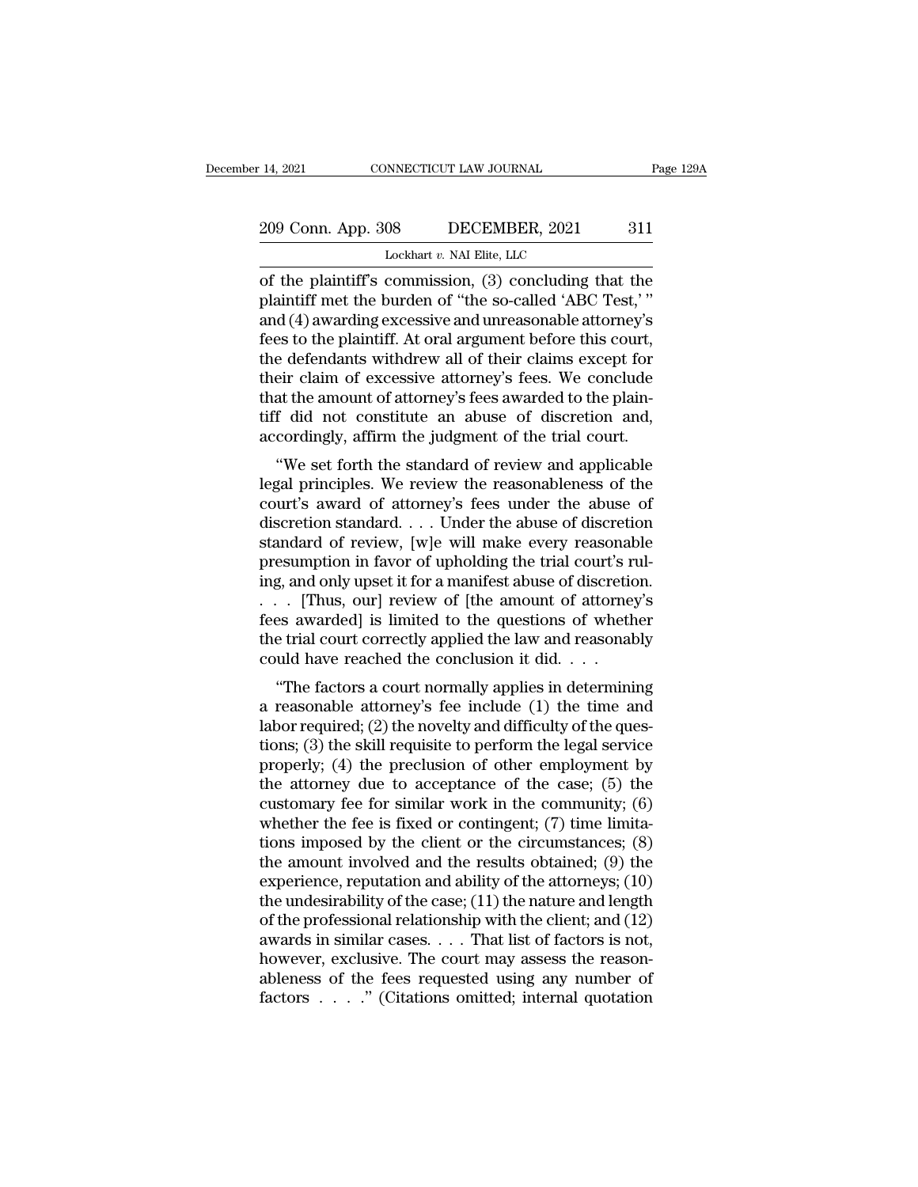### 14, 2021 CONNECTICUT LAW JOURNAL Page 129A<br>209 Conn. App. 308 DECEMBER, 2021 311<br>Lockhart v. NAI Elite, LLC Lockhart *v.* NAI Elite, LLC

14, 2021 CONNECTICUT LAW JOURNAL Page 129A<br>
209 Conn. App. 308 DECEMBER, 2021 311<br>
Lockhart v. NAI Elite, LLC<br>
of the plaintiff's commission, (3) concluding that the<br>
plaintiff met the burden of "the so-called 'ABC Test,' 209 Conn. App. 308 DECEMBER, 2021 311<br>
Lockhart v. NAI Elite, LLC<br>
of the plaintiff's commission, (3) concluding that the<br>
plaintiff met the burden of "the so-called 'ABC Test,'"<br>
and (4) awarding excessive and unreasonab 209 Conn. App. 308 DECEMBER, 2021 311<br>
Lockhart v. NAI Elite, LLC<br>
of the plaintiff's commission, (3) concluding that the<br>
plaintiff met the burden of "the so-called 'ABC Test,"<br>
and (4) awarding excessive and unreasonabl 209 Conn. App. 308 DECEMBER, 2021 311<br>
Lockhart v. NAI Elite, LLC<br>
of the plaintiff's commission, (3) concluding that the<br>
plaintiff met the burden of "the so-called 'ABC Test,'"<br>
and (4) awarding excessive and unreasonab Lockhart v. NAI Elite, LLC<br>
of the plaintiff's commission, (3) concluding that the<br>
plaintiff met the burden of "the so-called 'ABC Test,' "<br>
and (4) awarding excessive and unreasonable attorney's<br>
fees to the plaintiff. Lockhart v. NAI Elite, LLC<br>
of the plaintiff's commission, (3) concluding that the<br>
plaintiff met the burden of "the so-called 'ABC Test,'"<br>
and (4) awarding excessive and unreasonable attorney's<br>
fees to the plaintiff. A of the plaintiff's commission, (3) concluding that the plaintiff met the burden of "the so-called 'ABC Test,'" and (4) awarding excessive and unreasonable attorney's fees to the plaintiff. At oral argument before this cour plaintiff met the burden of "the so-called 'ABC Test,'"<br>and (4) awarding excessive and unreasonable attorney's<br>fees to the plaintiff. At oral argument before this court,<br>the defendants withdrew all of their claims except f and (4) awarding excessive and unreasonable attorney's<br>fees to the plaintiff. At oral argument before this court,<br>the defendants withdrew all of their claims except for<br>their claim of excessive attorney's fees. We conclude es to the plantifit. At oral argument before this court,<br>
e defendants withdrew all of their claims except for<br>
eir claim of excessive attorney's fees. We conclude<br>
at the amount of attorney's fees awarded to the plain-<br>
f their claim of excessive attorney's fees. We conclude<br>that the amount of attorney's fees awarded to the plain-<br>tiff did not constitute an abuse of discretion and,<br>accordingly, affirm the judgment of the trial court.<br>"We se

their claim of excessive attorney's fees. We conclude<br>that the amount of attorney's fees awarded to the plain-<br>tiff did not constitute an abuse of discretion and,<br>accordingly, affirm the judgment of the trial court.<br>"We se diat the amount of attorney's rees awarded to the plant-<br>tiff did not constitute an abuse of discretion and,<br>accordingly, affirm the judgment of the trial court.<br>"We set forth the standard of review and applicable<br>legal pr In the following and abuse of discretion and,<br>accordingly, affirm the judgment of the trial court.<br>"We set forth the standard of review and applicable<br>legal principles. We review the reasonableness of the<br>court's award of we set forth the standard of review and applicable<br>legal principles. We review the reasonableness of the<br>court's award of attorney's fees under the abuse of<br>discretion standard.... Under the abuse of discretion<br>standard of "We set forth the standard of review and applicable<br>legal principles. We review the reasonableness of the<br>court's award of attorney's fees under the abuse of<br>discretion standard  $\ldots$ . Under the abuse of discretion<br>standa legal principles. We review the reasonableness of the<br>court's award of attorney's fees under the abuse of<br>discretion standard . . . . Under the abuse of discretion<br>standard of review, [w]e will make every reasonable<br>presum court's award of attorney's fees under the abuse of discretion standard.... Under the abuse of discretion standard of review, [w]e will make every reasonable presumption in favor of upholding the trial court's ruling, and discretion standard.... Under the abuse of discretion<br>standard of review, [w]e will make every reasonable<br>presumption in favor of upholding the trial court's rul-<br>ing, and only upset it for a manifest abuse of discretion.<br> standard of review, [w]e will make every reasonal<br>presumption in favor of upholding the trial court's r<br>ing, and only upset it for a manifest abuse of discretic<br> $\ldots$  [Thus, our] review of [the amount of attorne:<br>fees awa Esumption in favor of upholding the that court's ful-<br>g, and only upset it for a manifest abuse of discretion.<br>[Thus, our] review of [the amount of attorney's<br>es awarded] is limited to the questions of whether<br>e trial cour a reasonable attorney's fees awarded] is limited to the questions of whether<br>the trial court correctly applied the law and reasonably<br>could have reached the conclusion it did....<br>"The factors a court normally applies in d

 $\alpha$ . Thus, our review of the amount of attorney's<br>fees awarded] is limited to the questions of whether<br>the trial court correctly applied the law and reasonably<br>could have reached the conclusion it did....<br>"The factors a the trial court correctly applied the law and reasonably<br>could have reached the conclusion it did....<br>"The factors a court normally applies in determining<br>a reasonable attorney's fee include (1) the time and<br>labor require properly; (4) the preclusion of the community: (6)<br>automorphic and properly; (4) the factors a court normally applies in determining<br>a reasonable attorney's fee include (1) the time and<br>labor required; (2) the novelty and "The factors a court normally applies in determining<br>a reasonable attorney's fee include (1) the time and<br>labor required; (2) the novelty and difficulty of the ques-<br>tions; (3) the skill requisite to perform the legal ser "The factors a court normally applies in determining<br>a reasonable attorney's fee include (1) the time and<br>labor required; (2) the novelty and difficulty of the ques-<br>tions; (3) the skill requisite to perform the legal ser a reasonable attorney's fee include  $(1)$  the time and<br>labor required;  $(2)$  the novelty and difficulty of the ques-<br>tions;  $(3)$  the skill requisite to perform the legal service<br>properly;  $(4)$  the preclusion of other em labor required; (2) the novelty and difficulty of the questions; (3) the skill requisite to perform the legal service<br>properly; (4) the preclusion of other employment by<br>the attorney due to acceptance of the case; (5) the tions; (3) the skill requisite to perform the legal service<br>properly; (4) the preclusion of other employment by<br>the attorney due to acceptance of the case; (5) the<br>customary fee for similar work in the community; (6)<br>whet properly; (4) the preclusion of other employment by<br>the attorney due to acceptance of the case; (5) the<br>customary fee for similar work in the community; (6)<br>whether the fee is fixed or contingent; (7) time limita-<br>tions i the attorney due to acceptance of the case; (5) the customary fee for similar work in the community; (6) whether the fee is fixed or contingent; (7) time limitations imposed by the client or the circumstances; (8) the amo customary fee for similar work in the community;  $(6)$ <br>whether the fee is fixed or contingent;  $(7)$  time limita-<br>tions imposed by the client or the circumstances;  $(8)$ <br>the amount involved and the results obtained;  $(9)$ whether the fee is fixed or contingent; (7) time limitations imposed by the client or the circumstances; (8) the amount involved and the results obtained; (9) the experience, reputation and ability of the attorneys; (10) tions imposed by the client or the circumstances; (8)<br>the amount involved and the results obtained; (9) the<br>experience, reputation and ability of the attorneys; (10)<br>the undesirability of the case; (11) the nature and len the amount involved and the results obtained; (9) the experience, reputation and ability of the attorneys; (10) the undesirability of the case; (11) the nature and length of the professional relationship with the client; experience, reputation and ability of the attorneys;  $(10)$  the undesirability of the case;  $(11)$  the nature and length of the professional relationship with the client; and  $(12)$  awards in similar cases. . . . That lis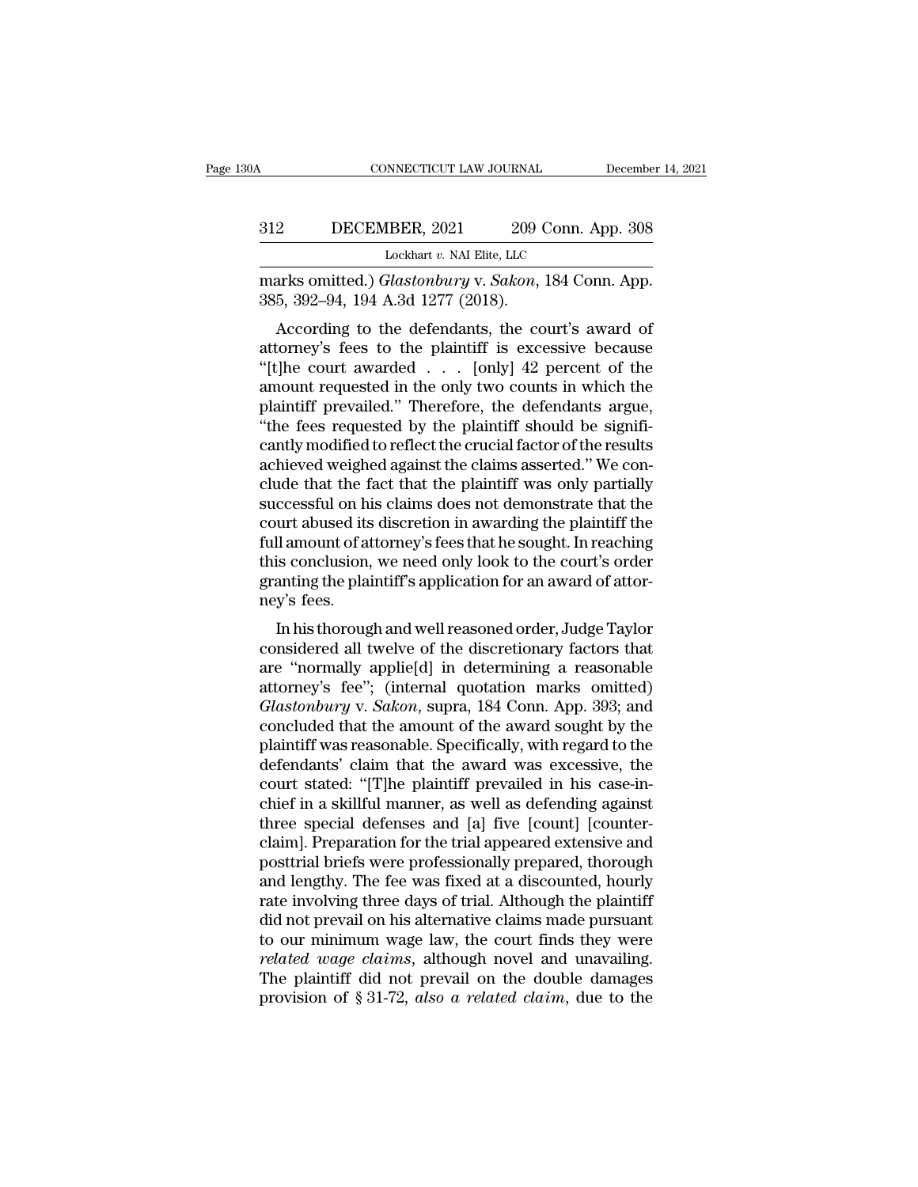### CONNECTICUT LAW JOURNAL December 14, 2021<br>312 DECEMBER, 2021 209 Conn. App. 308<br>Lockhart v. NAI Elite, LLC NNECTICUT LAW JOURNAL<br>IBER, 2021 209 Conn. A<br>Lockhart v. NAI Elite, LLC<br>Fl*astonhuru v. Sakon*. 184 Con MARCHER, 2021 209 Conn. App. 308<br>
<u>Glastonbury v. *Sakon*, 184 Conn. App.</u><br>
385, 392–94, 194 A.3d 1277 (2018). 312 DECEMBER, 2021 209 C<br>
Lockhart v. NAI Elite, LLC<br>
marks omitted.) *Glastonbury* v. *Sakon*,<br>385, 392–94, 194 A.3d 1277 (2018).<br>
According to the defendants, the co

2 DECEMBER, 2021 209 Conn. App. 308<br>
Lockhart v. NAI Elite, LLC<br>
arks omitted.) *Glastonbury* v. *Sakon*, 184 Conn. App.<br>
5, 392–94, 194 A.3d 1277 (2018).<br>
According to the defendants, the court's award of<br>
torney's fees 312 DECEMBER, 2021 209 Conn. App. 308<br>
Lockhart v. NAI Elite, LLC<br>
marks omitted.) *Glastonbury* v. *Sakon*, 184 Conn. App.<br>
385, 392–94, 194 A.3d 1277 (2018).<br>
According to the defendants, the court's award of<br>
attorney' Lockhart v. NAI Elite, LLC<br>
marks omitted.) *Glastonbury* v. *Sakon*, 184 Conn. App.<br>
385, 392–94, 194 A.3d 1277 (2018).<br>
According to the defendants, the court's award of<br>
attorney's fees to the plaintiff is excessive bec marks omitted.) *Glastonbury* v. *Sakon*, 184 Conn. App.<br>385, 392–94, 194 A.3d 1277 (2018).<br>According to the defendants, the court's award of<br>attorney's fees to the plaintiff is excessive because<br>"[t]he court awarded . . . marks onlined.) Grastonoury v. Sakon, 184 Collit. App.<br>
385, 392–94, 194 A.3d 1277 (2018).<br>
According to the defendants, the court's award of<br>
attorney's fees to the plaintiff is excessive because<br>
"[t]he court awarded  $\$  $2555, 352-54, 154$  A.5d  $1217$  (2016).<br>
According to the defendants, the court's award of attorney's fees to the plaintiff is excessive because "[t]he court awarded . . . [only] 42 percent of the amount requested in the According to the defendants, the court's award of<br>attorney's fees to the plaintiff is excessive because<br>"[t]he court awarded  $\ldots$  [only] 42 percent of the<br>amount requested in the only two counts in which the<br>plaintiff pr attorney's fees to the plaintiff is excessive because<br>
"[t]he court awarded . . . [only] 42 percent of the<br>
amount requested in the only two counts in which the<br>
plaintiff prevailed." Therefore, the defendants argue,<br>
"the "[t]he court awarded  $\ldots$  [only] 42 percent of the<br>amount requested in the only two counts in which the<br>plaintiff prevailed." Therefore, the defendants argue,<br>"the fees requested by the plaintiff should be signifi-<br>cantl amount requested in the only two counts in which the plaintiff prevailed." Therefore, the defendants argue, "the fees requested by the plaintiff should be significantly modified to reflect the crucial factor of the results plaintiff prevailed." Therefore, the defendants argue,<br>"the fees requested by the plaintiff should be significantly modified to reflect the crucial factor of the results<br>achieved weighed against the claims asserted." We co "the fees requested by the plaintiff should be significantly modified to reflect the crucial factor of the results achieved weighed against the claims asserted." We conclude that the fact that the plaintiff was only partia cantly modified to reflect the crucial factor of the results<br>achieved weighed against the claims asserted." We con-<br>clude that the fact that the plaintiff was only partially<br>successful on his claims does not demonstrate th achieved weighed against the claims asserted." We conclude that the fact that the plaintiff was only partially successful on his claims does not demonstrate that the court abused its discretion in awarding the plaintiff th clude that the f<br>successful on hi<br>court abused its<br>full amount of at<br>this conclusion,<br>granting the plai<br>ney's fees.<br>In his thoroug ccessium of his claims does not demonstrate that the<br>urt abused its discretion in awarding the plaintiff the<br>Il amount of attorney's fees that he sought. In reaching<br>is conclusion, we need only look to the court's order<br>an court abused its ulscretion in awarding the plaintin the<br>full amount of attorney's fees that he sought. In reaching<br>this conclusion, we need only look to the court's order<br>granting the plaintiff's application for an award

run amount of attorney slees that he sought. In reaching<br>this conclusion, we need only look to the court's order<br>granting the plaintiff's application for an award of attor-<br>ney's fees.<br>In his thorough and well reasoned ord ranting the plaintiff's application for an award of attor-<br>pranting the plaintiff's application for an award of attor-<br>ney's fees.<br>In his thorough and well reasoned order, Judge Taylor<br>considered all twelve of the discreti granting the plaintin's application for an award of attor-<br>
ney's fees.<br>
In his thorough and well reasoned order, Judge Taylor<br>
considered all twelve of the discretionary factors that<br>
are "normally applie[d] in determinin In his thorough and well reasoned order, Judge Taylor<br>considered all twelve of the discretionary factors that<br>are "normally applie[d] in determining a reasonable<br>attorney's fee"; (internal quotation marks omitted)<br>*Glaston* In his thorough and well reasoned order, Judge Taylor<br>considered all twelve of the discretionary factors that<br>are "normally applie[d] in determining a reasonable<br>attorney's fee"; (internal quotation marks omitted)<br>*Glaston* considered all twelve of the discretionary factors that<br>are "normally applie[d] in determining a reasonable<br>attorney's fee"; (internal quotation marks omitted)<br>*Glastonbury* v. *Sakon*, supra, 184 Conn. App. 393; and<br>concl are "normally applie[d] in determining a reasonable<br>attorney's fee"; (internal quotation marks omitted)<br>*Glastonbury* v. *Sakon*, supra, 184 Conn. App. 393; and<br>concluded that the amount of the award sought by the<br>plaintif attorney's fee"; (internal quotation marks omitted)<br>Glastonbury v. Sakon, supra, 184 Conn. App. 393; and<br>concluded that the amount of the award sought by the<br>plaintiff was reasonable. Specifically, with regard to the<br>defen Glastonbury v. Sakon, supra, 184 Conn. App. 393; and<br>concluded that the amount of the award sought by the<br>plaintiff was reasonable. Specifically, with regard to the<br>defendants' claim that the award was excessive, the<br>court concluded that the amount of the award sought by the<br>plaintiff was reasonable. Specifically, with regard to the<br>defendants' claim that the award was excessive, the<br>court stated: "[T]he plaintiff prevailed in his case-in-<br>c plaintiff was reasonable. Specifically, with regard to the<br>defendants' claim that the award was excessive, the<br>court stated: "[T]he plaintiff prevailed in his case-in-<br>chief in a skillful manner, as well as defending again defendants' claim that the award was excessive, the<br>court stated: "[T]he plaintiff prevailed in his case-in-<br>chief in a skillful manner, as well as defending against<br>three special defenses and [a] five [count] [counter-<br>cl court stated: "[T]he plaintiff prevailed in his case-in-<br>chief in a skillful manner, as well as defending against<br>three special defenses and [a] five [count] [counter-<br>claim]. Preparation for the trial appeared extensive a chief in a skillful manner, as well as defending against<br>three special defenses and [a] five [count] [counter-<br>claim]. Preparation for the trial appeared extensive and<br>posttrial briefs were professionally prepared, thoroug three special defenses and [a] five [count] [counter-<br>claim]. Preparation for the trial appeared extensive and<br>posttrial briefs were professionally prepared, thorough<br>and lengthy. The fee was fixed at a discounted, hourly<br> claim]. Preparation for the trial appeared extensive and<br>posttrial briefs were professionally prepared, thorough<br>and lengthy. The fee was fixed at a discounted, hourly<br>rate involving three days of trial. Although the plain posttrial briefs were professionally prepared, thorough<br>and lengthy. The fee was fixed at a discounted, hourly<br>rate involving three days of trial. Although the plaintiff<br>did not prevail on his alternative claims made purs and lengthy. The fee was fixed at a discounted, hourly rate involving three days of trial. Although the plaintiff did not prevail on his alternative claims made pursuant to our minimum wage law, the court finds they were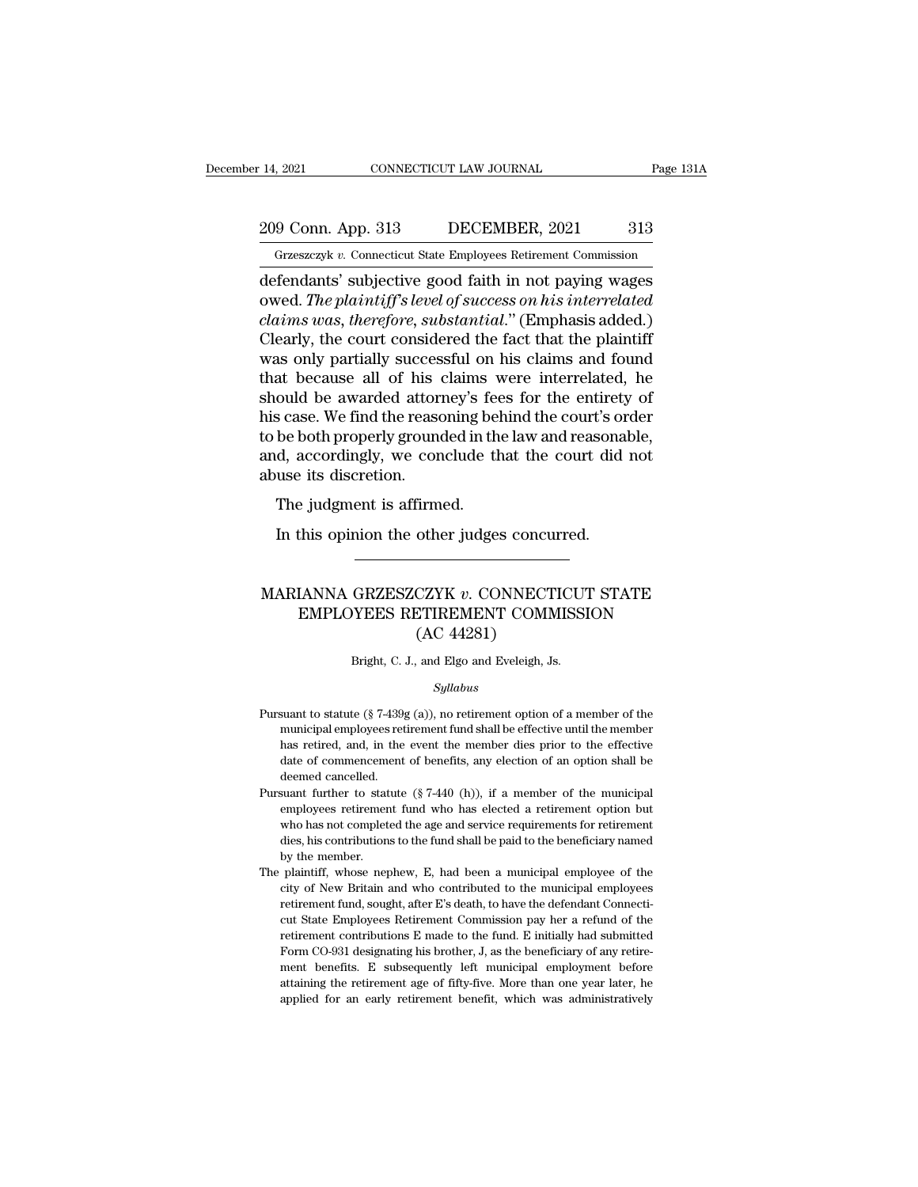# 209 Conn. App. 313 DECEMBER, 2021 313<br>Grzeszczyk v. Connecticut State Employees Retirement Commission

December 14, 2021 CONNECTICUT LAW JOURNAL Page 131A<br>
209 Conn. App. 313 DECEMBER, 2021 313<br>
Grzeszczyk *v.* Connecticut State Employees Retirement Commission<br>
defendants' subjective good faith in not paying wages 14, 2021 CONNECTICUT LAW JOURNAL Page 131A<br>
209 Conn. App. 313 DECEMBER, 2021 313<br>
Grzeszczyk v. Connecticut State Employees Retirement Commission<br>
defendants' subjective good faith in not paying wages<br>
owed. *The plaintif* 209 Conn. App. 313 DECEMBER, 2021 313<br>
Grzeszczyk v. Connecticut State Employees Retirement Commission<br>
defendants' subjective good faith in not paying wages<br>
owed. *The plaintiff's level of success on his interrelated*<br> 209 Conn. App. 313 DECEMBER, 2021 313<br>
<u>Grzeszczyk v. Connecticut State Employees Retirement Commission</u><br>
defendants' subjective good faith in not paying wages<br>
owed. *The plaintiff's level of success on his interrelated*<br> 209 Conn. App. 313 DECEMBER, 2021 313<br>
Grzeszczyk v. Connecticut State Employees Retirement Commission<br>
defendants' subjective good faith in not paying wages<br>
owed. *The plaintiff's level of success on his interrelated*<br> Grzeszczyk v. Connecticut State Employees Retirement Commission<br>defendants' subjective good faith in not paying wages<br>owed. The plaintiff's level of success on his interrelated<br>claims was, therefore, substantial." (Emphasi Grzeszczyk v. Connecticut state Employees Retirement Commission<br>defendants' subjective good faith in not paying wages<br>owed. The plaintiff's level of success on his interrelated<br>claims was, therefore, substantial." (Emphas defendants' subjective good faith in not paying wages<br>owed. *The plaintiff's level of success on his interrelated*<br>*claims was, therefore, substantial.*" (Emphasis added.)<br>Clearly, the court considered the fact that the pl owed. *The plaintiff's level of success on his interrelated*<br>claims was, therefore, substantial." (Emphasis added.)<br>Clearly, the court considered the fact that the plaintiff<br>was only partially successful on his claims and claims was, therefore, substantial." (Emphasis added.)<br>Clearly, the court considered the fact that the plaintiff<br>was only partially successful on his claims and found<br>that because all of his claims were interrelated, he<br>sh Clearly, the court considered the fact that the plaintiff<br>was only partially successful on his claims and found<br>that because all of his claims were interrelated, he<br>should be awarded attorney's fees for the entirety of<br>his was only partially succes<br>that because all of his<br>should be awarded attorn<br>his case. We find the rease<br>to be both properly ground<br>and, accordingly, we con<br>abuse its discretion.<br>The judgment is affirm at because an of his claims<br>ould be awarded attorney's fee<br>s case. We find the reasoning bel<br>be both properly grounded in th<br>d, accordingly, we conclude th<br>use its discretion.<br>The judgment is affirmed.<br>In this opinion the In this opinion the reasoning behind the court's or be both properly grounded in the law and reasona<br>
In accordingly, we conclude that the court did<br>
use its discretion.<br>
The judgment is affirmed.<br>
In this opinion the othe

### abuse its discretion.<br>
The judgment is affirmed.<br>
In this opinion the other judges concurred.<br>
MARIANNA GRZESZCZYK *v*. CONNECTICUT STATE<br>
EMPLOYEES RETIREMENT COMMISSION Explored is affirmed.<br>
This opinion the other judges concurred.<br>
TANNA GRZESZCZYK v. CONNECTICUT STATE<br>
EMPLOYEES RETIREMENT COMMISSION<br>
(AC 44281) other judges concu<br>CZYK v. CONNECT<br>CTIREMENT COMN<br>(AC 44281)<br>and Elgo and Eveleigh, J. MARIANNA GRZESZCZYK  $v$ . CONNECTICUT STATE<br>EMPLOYEES RETIREMENT COMMISSION<br>(AC 44281)<br>Bright, C. J., and Elgo and Eveleigh, Js.

### *Syllabus*

- ( $\rm AC~44281$ )<br>Bright, C. J., and Elgo and Eveleigh, Js.<br> $Syllabus$ <br>Pursuant to statute (§ 7-439g (a)), no retirement option of a member of the<br>municipal employees retirement fund shall be effective until the member Bright, C. J., and Elgo and Eveleigh, Js.<br>Syllabus<br>suant to statute (§ 7-439g (a)), no retirement option of a member of the<br>municipal employees retirement fund shall be effective until the member<br>has retired, and, in the e Bright, C. J., and Elgo and Eveleigh, Js.<br>  $Syllabus$ <br>
suant to statute (§ 7-439g (a)), no retirement option of a member of the<br>
municipal employees retirement fund shall be effective until the member<br>
has retired, and, in the  $Syllabus$ <br>suant to statute (§ 7-439g (a)), no retirement option of a member of the<br>municipal employees retirement fund shall be effective until the member<br>has retired, and, in the event the member dies prior to the effective<br> suant to statute (§ 7-439)<br>municipal employees ret<br>has retired, and, in the<br>date of commencement<br>deemed cancelled.<br>suant further to statute Pursuant to statute (§ 7-439g (a)), no retirement option of a member of the municipal employees retirement fund shall be effective until the member has retired, and, in the event the member dies prior to the effective dat municipal employees retirement fund shall be effective until the member<br>has retired, and, in the event the member dies prior to the effective<br>date of commencement of benefits, any election of an option shall be<br>deemed canc
- has retired, and, in the event the member dies prior to the effective date of commencement of benefits, any election of an option shall be deemed cancelled.<br>Suant further to statute  $(\frac{8}{740}$  (h)), if a member of the mu date of commencement of benefits, any election of an option shall be<br>deemed cancelled.<br>suant further to statute  $(\S 7-440 \text{ (h)})$ , if a member of the municipal<br>employees retirement fund who has elected a retirement option deemed cancelled.<br>suant further to state<br>employees retirement<br>who has not complet<br>dies, his contribution<br>by the member.<br>plaintiff, whose nep Pursuant further to statute  $(\S 7-440 \text{ (h)})$ , if a member of the municipal employees retirement fund who has elected a retirement option but who has not completed the age and service requirements for retirement dies, his employees retirement fund who has elected a retirement option but<br>who has not completed the age and service requirements for retirement<br>dies, his contributions to the fund shall be paid to the beneficiary named<br>by the memb
- who has not completed the age and service requirements for retirement<br>dies, his contributions to the fund shall be paid to the beneficiary named<br>by the member.<br>plaintiff, whose nephew, E, had been a municipal employee of t dies, his contributions to the fund shall be paid to the beneficiary named<br>by the member.<br>plaintiff, whose nephew, E, had been a municipal employee of the<br>city of New Britain and who contributed to the municipal employees<br> by the member.<br>
plaintiff, whose nephew, E, had been a municipal employee of the<br>
city of New Britain and who contributed to the municipal employees<br>
retirement fund, sought, after E's death, to have the defendant Connecti The plaintiff, whose nephew, E, had been a municipal employee of the city of New Britain and who contributed to the municipal employees retirement fund, sought, after E's death, to have the defendant Connecticut State Empl city of New Britain and who contributed to the municipal employees<br>retirement fund, sought, after E's death, to have the defendant Connecti-<br>cut State Employees Retirement Commission pay her a refund of the<br>retirement cont retirement fund, sought, after E's death, to have the defendant Connecticut State Employees Retirement Commission pay her a refund of the retirement contributions E made to the fund. E initially had submitted Form CO-931 d cut State Employees Retirement Commission pay her a refund of the retirement contributions E made to the fund. E initially had submitted Form CO-931 designating his brother, J, as the beneficiary of any retirement benefits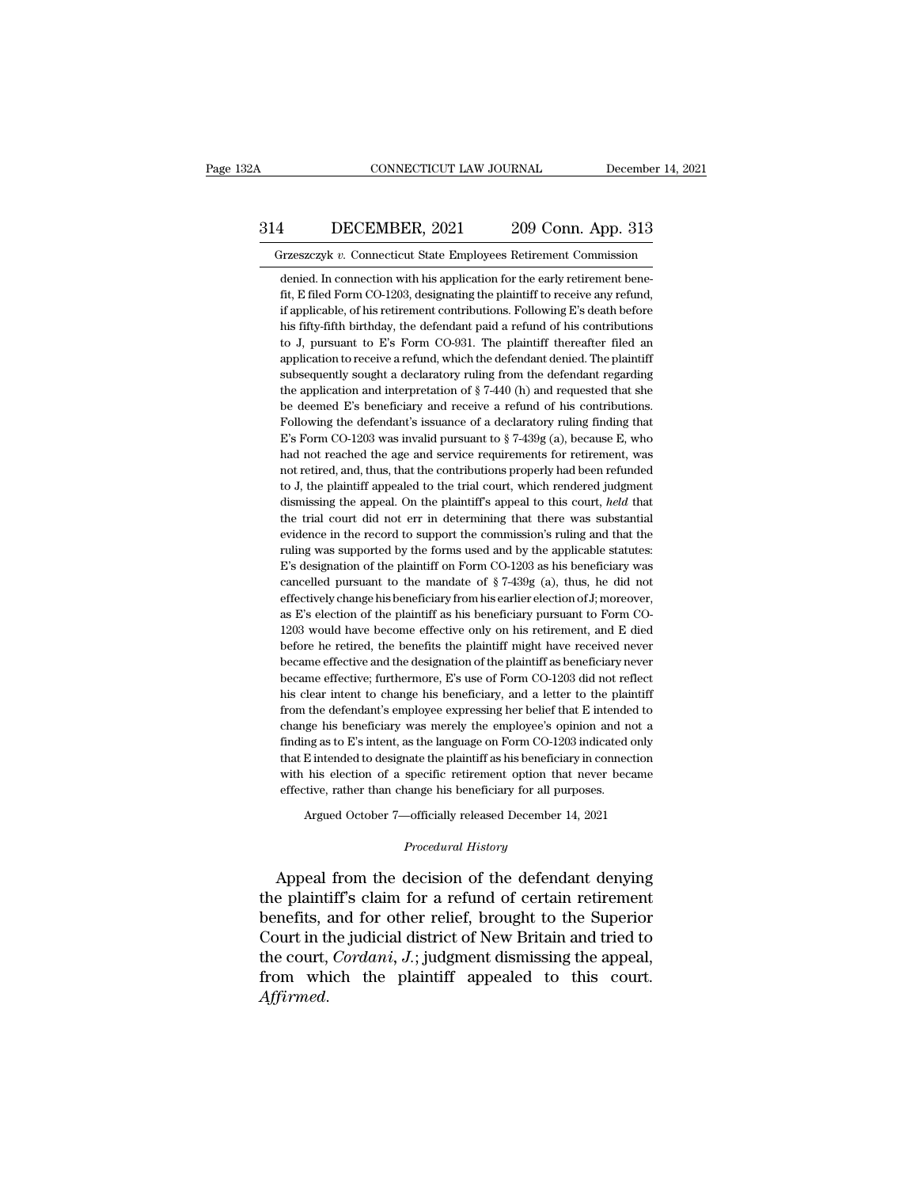### CONNECTICUT LAW JOURNAL December 14, 2021<br>314 DECEMBER, 2021 209 Conn. App. 313<br>Grzeszczyk v. Connecticut State Employees Retirement Commission CONNECTICUT LAW JOURNAL December 14, 202<br>
4 DECEMBER, 2021 209 Conn. App. 313<br>
Grzeszczyk *v*. Connecticut State Employees Retirement Commission<br>
denied. In connection with his application for the early retirement bene-

1 **DECEMBER, 2021** 209 Conn. App. 313<br>
Frzeszczyk v. Connecticut State Employees Retirement Commission<br>
denied. In connection with his application for the early retirement bene-<br>
fit, E filed Form CO-1203, designating the Fitzeszczyk v. Connecticut State Employees Retirement Commission<br>denied. In connection with his application for the early retirement bene-<br>fit, E filed Form CO-1203, designating the plaintiff to receive any refund,<br>if appl 1 DECEMBER, 2021 209 Conn. App. 313<br>
Fizeszczyk v. Connecticut State Employees Retirement Commission<br>
denied. In connection with his application for the early retirement bene-<br>
fit, E filed Form CO-1203, designating the pl Firzeszczyk v. Connecticut State Employees Retirement Commission<br>denied. In connection with his application for the early retirement bene-<br>fit, E filed Form CO-1203, designating the plaintiff to receive any refund,<br>if app Frameword Connecticut State Employees Retirement Commission<br>denied. In connection with his application for the early retirement bene-<br>fit, E filed Form CO-1203, designating the plaintiff to receive any refund,<br>if applicab denied. In connection with his application for the early retirement benefit, E filed Form CO-1203, designating the plaintiff to receive any refund, if applicable, of his retirement contributions. Following E's death before fit, E filed Form CO-1203, designating the plaintiff to receive any refund, if applicable, of his retirement contributions. Following E's death before his fifty-fifth birthday, the defendant paid a refund of his contribut if applicable, of his retirement contributions. Following E's death before his fifty-fifth birthday, the defendant paid a refund of his contributions to J, pursuant to E's Form CO-931. The plaintiff thereafter filed an ap his fifty-fifth birthday, the defendant paid a refund of his contributions<br>to J, pursuant to E's Form CO-931. The plaintiff thereafter filed an<br>application to receive a refund, which the defendant denied. The plaintiff<br>su to J, pursuant to E's Form CO-931. The plaintiff thereafter filed an application to receive a refund, which the defendant denied. The plaintiff subsequently sought a declaratory ruling from the defendant regarding the app application to receive a refund, which the defendant denied. The plaintiff subsequently sought a declaratory ruling from the defendant regarding the application and interpretation of  $\S 7-440$  (h) and requested that she b subsequently sought a declaratory ruling from the defendant regarding<br>the application and interpretation of  $\S$  7-440 (h) and requested that she<br>be deemed E's beneficiary and receive a refund of his contributions.<br>Followi the application and interpretation of  $\S$  7-440 (h) and requested that she<br>be deemed E's beneficiary and receive a refund of his contributions.<br>Following the defendant's issuance of a declaratory ruling finding that<br>E's F be deemed E's beneficiary and receive a refund of his contributions.<br>Following the defendant's issuance of a declaratory ruling finding that<br>E's Form CO-1203 was invalid pursuant to  $\S$  7-439g (a), because E, who<br>had not Following the defendant's issuance of a declaratory ruling finding that E's Form CO-1203 was invalid pursuant to  $\S$  7-439g (a), because E, who had not reached the age and service requirements for retirement, was not reti E's Form CO-1203 was invalid pursuant to  $\S$  7-439g (a), because E, who had not reached the age and service requirements for retirement, was not retired, and, thus, that the contributions properly had been refunded to J, had not reached the age and service requirements for retirement, was not retired, and, thus, that the contributions properly had been refunded to J, the plaintiff appealed to the trial court, which rendered judgment dismi not retired, and, thus, that the contributions properly had been refunded to J, the plaintiff appealed to the trial court, which rendered judgment dismissing the appeal. On the plaintiff's appeal to this court, *held* that to J, the plaintiff appealed to the trial court, which rendered judgment dismissing the appeal. On the plaintiff's appeal to this court, *held* that the trial court did not err in determining that there was substantial ev dismissing the appeal. On the plaintiff's appeal to this court, *held* that<br>the trial court did not err in determining that there was substantial<br>evidence in the record to support the commission's ruling and that the<br>rulin the trial court did not err in determining that there was substantial evidence in the record to support the commission's ruling and that the ruling was supported by the forms used and by the applicable statutes: E's desig the trial court did not err in determining that there was substantial evidence in the record to support the commission's ruling and that the ruling was supported by the forms used and by the applicable statutes: E's desig ruling was supported by the forms used and by the applicable statutes:<br>E's designation of the plaintiff on Form CO-1203 as his beneficiary was<br>cancelled pursuant to the mandate of §7-439g (a), thus, he did not<br>effectively E's designation of the plaintiff on Form CO-1203 as his beneficiary was cancelled pursuant to the mandate of  $\S 7-439g$  (a), thus, he did not effectively change his beneficiary from his earlier election of J; moreover, as cancelled pursuant to the mandate of  $\S 7-439g$  (a), thus, he did not effectively change his beneficiary from his earlier election of J; moreover, as E's election of the plaintiff as his beneficiary pursuant to Form CO-12 effectively change his beneficiary from his earlier election of J; moreover, as E's election of the plaintiff as his beneficiary pursuant to Form CO-1203 would have become effective only on his retirement, and E died befor as E's election of the plaintiff as his beneficiary pursuant to Form CO-<br>1203 would have become effective only on his retirement, and E died<br>before he retired, the benefits the plaintiff might have received never<br>became e 1203 would have become effective only on his retirement, and E died before he retired, the benefits the plaintiff might have received never became effective and the designation of the plaintiff as beneficiary never became before he retired, the benefits the plaintiff might have received never<br>became effective and the designation of the plaintiff as beneficiary never<br>became effective; furthermore, E's use of Form CO-1203 did not reflect<br>his became effective and the designation of the plaintiff as beneficiary never<br>became effective; furthermore, E's use of Form CO-1203 did not reflect<br>his clear intent to change his beneficiary, and a letter to the plaintiff<br>fr became effective; furthermore, E's use of Form CO-1203 did not reflect<br>his clear intent to change his beneficiary, and a letter to the plaintiff<br>from the defendant's employee expressing her belief that E intended to<br>change his clear intent to change his beneficiary, and a letter to the plaintiff from the defendant's employee expressing her belief that E intended to change his beneficiary was merely the employee's opinion and not a finding as from the defendant's employee expressing her belief that E intende<br>change his beneficiary was merely the employee's opinion and n<br>finding as to E's intent, as the language on Form CO-1203 indicated<br>that E intended to desig change his beneficiary was merely the employee's opinion and not a finding as to E's intent, as the language on Form CO-1203 indicated only that E intended to designate the plaintiff as his beneficiary in connection with

effective, rather than change his beneficiary for all purposes.<br> *Procedural History*<br> *Procedural History*<br> *Procedural History*<br> *Procedural History* that E intended to designate the plaintiff as his beneficiary in connection<br>with his election of a specific retirement option that never became<br>effective, rather than change his beneficiary for all purposes.<br>Argued October with his election of a specific retirement option that never became<br>effective, rather than change his beneficiary for all purposes.<br>Argued October 7—officially released December 14, 2021<br>*Procedural History*<br>Appeal from th Argued October 7—officially released December 14, 2021<br>
Procedural History<br>
Appeal from the decision of the defendant denying<br>
the plaintiff's claim for a refund of certain retirement<br>
benefits, and for other relief, broug Argued October 7—officially released December 14, 2021<br>
Procedural History<br>
Appeal from the decision of the defendant denying<br>
the plaintiff's claim for a refund of certain retirement<br>
benefits, and for other relief, broug *Procedural History*<br>
Appeal from the decision of the defendant denying<br>
the plaintiff's claim for a refund of certain retirement<br>
benefits, and for other relief, brought to the Superior<br>
Court in the judicial district of Appeal from the decision of the defendant denying<br>the plaintiff's claim for a refund of certain retirement<br>benefits, and for other relief, brought to the Superior<br>Court in the judicial district of New Britain and tried to<br> *Affirmed*.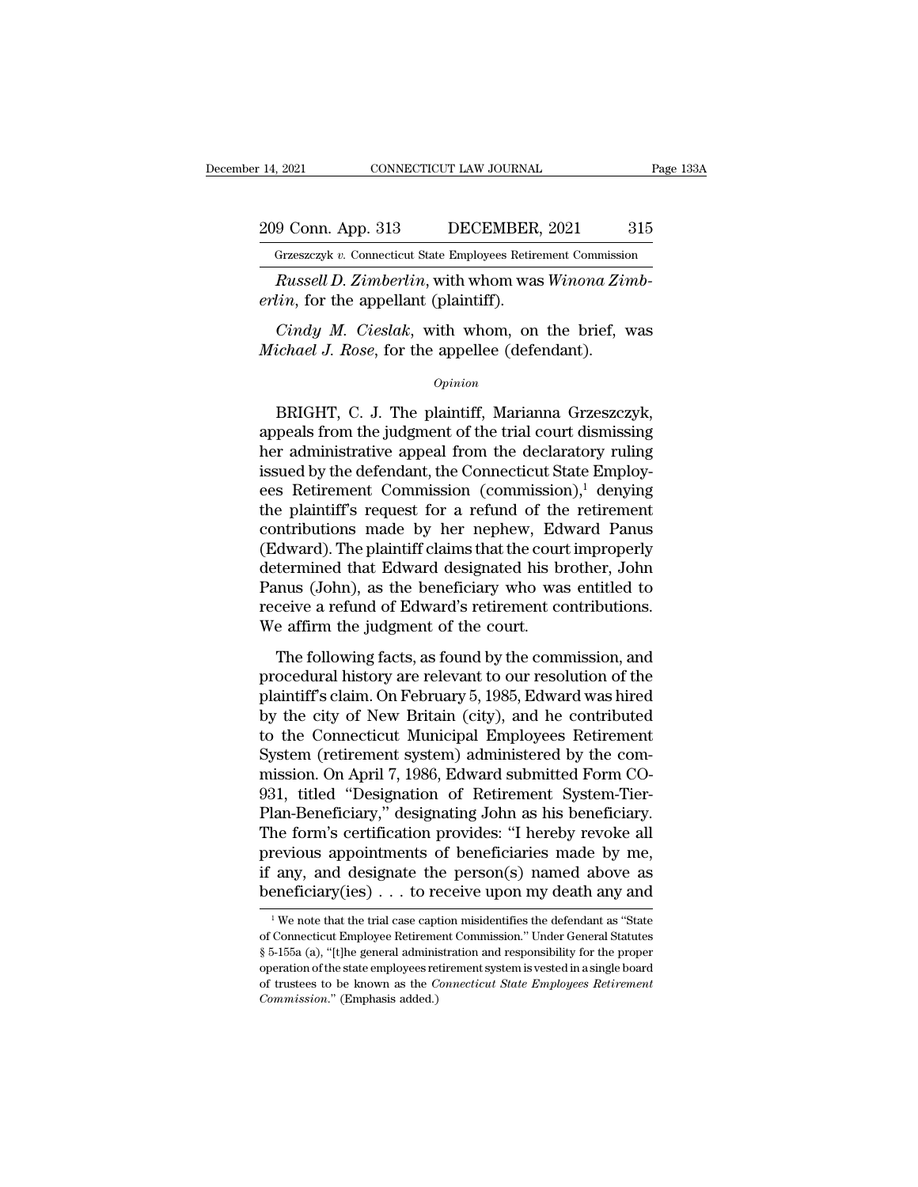## 209 Conn. App. 313 DECEMBER, 2021 315<br>Grzeszczyk v. Connecticut State Employees Retirement Commission December 14, 2021 CONNECTICUT LAW JOURNAL Page 133A<br>
209 Conn. App. 313 DECEMBER, 2021 315<br>
Grzeszczyk v. Connecticut State Employees Retirement Commission<br>
Russell D. Zimberlin, with whom was Winona Zimb-

*Russell D. Zimberlini*, with whom was *Winona Zimbin*, for the appellant (plaintiff).<br> *Russell D. Zimberlin*, with whom was *Winona Zimbin*, for the appellant (plaintiff). *erlinion Lepp.* 313 *becember, erreszczyk v. Connecticut State Employees Retire*<br>*Russell D. Zimberlin*, with whom was *erlin*, for the appellant (plaintiff).<br>*Cindy M. Cieslak*, with whom, on

*Cindy M. Conneticut State Employees Retirement Commission*<br> *Cindy M. Zimberlin*, with whom was *Winona Zimbin,* for the appellant (plaintiff).<br> *Cindy M. Cieslak*, with whom, on the brief, was *ichael J. Rose*, for the a *Michael J. Rose, for the appellant (phinma Zin Michael J. Rose, for the appellant (plaintiff).*<br>*Cindy M. Cieslak*, with whom was *Winona Zin cindy M. Cieslak*, with whom, on the brief, *Nichael J. Rose*, for the appellee

### *Opinion*

*Lin*, for the appellant (plaintiff).<br>  $Cindy$  *M. Cieslak*, with whom, on the brief, was<br>  $\frac{ichael}{J}$ . *Rose*, for the appellee (defendant).<br>  $\frac{Opinion}{D}$ <br>
BRIGHT, C. J. The plaintiff, Marianna Grzeszczyk,<br>
peals from the j Cindy M. Cieslak, with whom, on the brief, was<br>
Michael J. Rose, for the appellee (defendant).<br>
Opinion<br>
BRIGHT, C. J. The plaintiff, Marianna Grzeszczyk,<br>
appeals from the judgment of the trial court dismissing<br>
her admin Cindy M. Cieslak, with whom, on the brief, was<br>
Michael J. Rose, for the appellee (defendant).<br>  $\frac{Opinion}{}$ <br>
BRIGHT, C. J. The plaintiff, Marianna Grzeszczyk,<br>
appeals from the judgment of the trial court dismissing<br>
her a Michael J. Rose, for the appellee (defendant).<br>  $\phi_{pinion}$ <br>
BRIGHT, C. J. The plaintiff, Marianna Grzeszczyk,<br>
appeals from the judgment of the trial court dismissing<br>
her administrative appeal from the declaratory ruling<br> opinion<br>
BRIGHT, C. J. The plaintiff, Marianna Grzeszczyk,<br>
appeals from the judgment of the trial court dismissing<br>
her administrative appeal from the declaratory ruling<br>
issued by the defendant, the Connecticut State Em BRIGHT, C. J. The plaintiff, Marianna Grzeszczyk,<br>appeals from the judgment of the trial court dismissing<br>her administrative appeal from the declaratory ruling<br>issued by the defendant, the Connecticut State Employ-<br>ees Re BRIGHT, C. J. The plaintiff, Marianna Grzeszczyk,<br>appeals from the judgment of the trial court dismissing<br>her administrative appeal from the declaratory ruling<br>issued by the defendant, the Connecticut State Employ-<br>ees Ret appeals from the judgment of the trial court dismissing<br>her administrative appeal from the declaratory ruling<br>issued by the defendant, the Connecticut State Employ-<br>ees Retirement Commission (commission),<sup>1</sup> denying<br>the pl her administrative appeal from the declaratory ruling<br>issued by the defendant, the Connecticut State Employ-<br>ees Retirement Commission (commission),<sup>1</sup> denying<br>the plaintiff's request for a refund of the retirement<br>contrib issued by the defendant, the Connecticut State Employ-<br>ees Retirement Commission (commission),<sup>1</sup> denying<br>the plaintiff's request for a refund of the retirement<br>contributions made by her nephew, Edward Panus<br>(Edward). The ees Retirement Commission (commission),<sup>1</sup> denying<br>the plaintiff's request for a refund of the retirement<br>contributions made by her nephew, Edward Panus<br>(Edward). The plaintiff claims that the court improperly<br>determined the plaintiff's request for a refund of the contributions made by her nephew, Edv<br>(Edward). The plaintiff claims that the cour<br>determined that Edward designated his bi<br>Panus (John), as the beneficiary who was<br>receive a ref Individuals made by The Hephew, Edward Fantas<br>dward). The plaintiff claims that the court improperly<br>termined that Edward designated his brother, John<br>mus (John), as the beneficiary who was entitled to<br>ceive a refund of Ed (Edward). The plaintin claims that the court improperty<br>determined that Edward designated his brother, John<br>Panus (John), as the beneficiary who was entitled to<br>receive a refund of Edward's retirement contributions.<br>We aff

plantified that the beneficiary who was entitled to<br>receive a refund of Edward's retirement contributions.<br>We affirm the judgment of the court.<br>The following facts, as found by the commission, and<br>procedural history are re Franks (solid), as are selected by the was characted to<br>receive a refund of Edward's retirement contributions.<br>We affirm the judgment of the court.<br>The following facts, as found by the commission, and<br>procedural history ar We affirm the judgment of the court.<br>We affirm the judgment of the court.<br>The following facts, as found by the commission, and<br>procedural history are relevant to our resolution of the<br>plaintiff's claim. On February 5, 198 The following facts, as found by the commission, and<br>procedural history are relevant to our resolution of the<br>plaintiff's claim. On February 5, 1985, Edward was hired<br>by the city of New Britain (city), and he contributed<br>t The following facts, as found by the commission, and<br>procedural history are relevant to our resolution of the<br>plaintiff's claim. On February 5, 1985, Edward was hired<br>by the city of New Britain (city), and he contributed<br>t procedural history are relevant to our resolution of the plaintiff's claim. On February 5, 1985, Edward was hired by the city of New Britain (city), and he contributed to the Connecticut Municipal Employees Retirement Syst plaintiff's claim. On February 5, 1985, Edward was hired<br>by the city of New Britain (city), and he contributed<br>to the Connecticut Municipal Employees Retirement<br>System (retirement system) administered by the com-<br>mission. by the city of New Britain (city), and he contributed<br>to the Connecticut Municipal Employees Retirement<br>System (retirement system) administered by the com-<br>mission. On April 7, 1986, Edward submitted Form CO-<br>931, titled " to the Connecticut Municipal Employees Retirement<br>System (retirement system) administered by the com-<br>mission. On April 7, 1986, Edward submitted Form CO-<br>931, titled "Designation of Retirement System-Tier-<br>Plan-Beneficiar System (retirement system) administered by the commission. On April 7, 1986, Edward submitted Form CO-<br>931, titled "Designation of Retirement System-Tier-<br>Plan-Beneficiary," designating John as his beneficiary.<br>The form's mission. On April 7, 1986, Edward submitted Form CO-<br>931, titled "Designation of Retirement System-Tier-<br>Plan-Beneficiary," designating John as his beneficiary.<br>The form's certification provides: "I hereby revoke all<br>previ the form's certification provides: "I hereby revoke all<br>revious appointments of beneficiaries made by me,<br>any, and designate the person(s) named above as<br>eneficiary(ies) . . . to receive upon my death any and<br> $\frac{1}{1}$ We previous appointments of beneficiaries made by me,<br>if any, and designate the person(s) named above as<br>beneficiary(ies) . . . to receive upon my death any and<br> $\frac{1}{1}$  We note that the trial case caption misidentifies the

if any, and designate the person(s) named above as<br>beneficiary(ies) . . . to receive upon my death any and<br> $\frac{1}{\sqrt{2}}$  we note that the trial case caption misidentifies the defendant as "State<br>of Connecticut Employee Ret **Deneficiary (ies)** . . . to receive upon my death any and  $\frac{1}{1}$  we note that the trial case caption misidentifies the defendant as "State of Connecticut Employee Retirement Commission." Under General Statutes § 5-155 **FIGURE 1999 11 THEORY CONDUCTED THE CONDUCTED TRUSTED TO A THEORY OF CONNECTIVE AND THE ART STATE Of Connecticut Employee Retirement Commission.** "Under General Statutes § 5-155a (a), "[t]he general administration and res <sup>1</sup> We note that the trial case cap of Connecticut Employee Retireme § 5-155a (a), "[t]he general adminisoperation of the state employees re of trustees to be known as the *C* Commission." (Emphasis added.)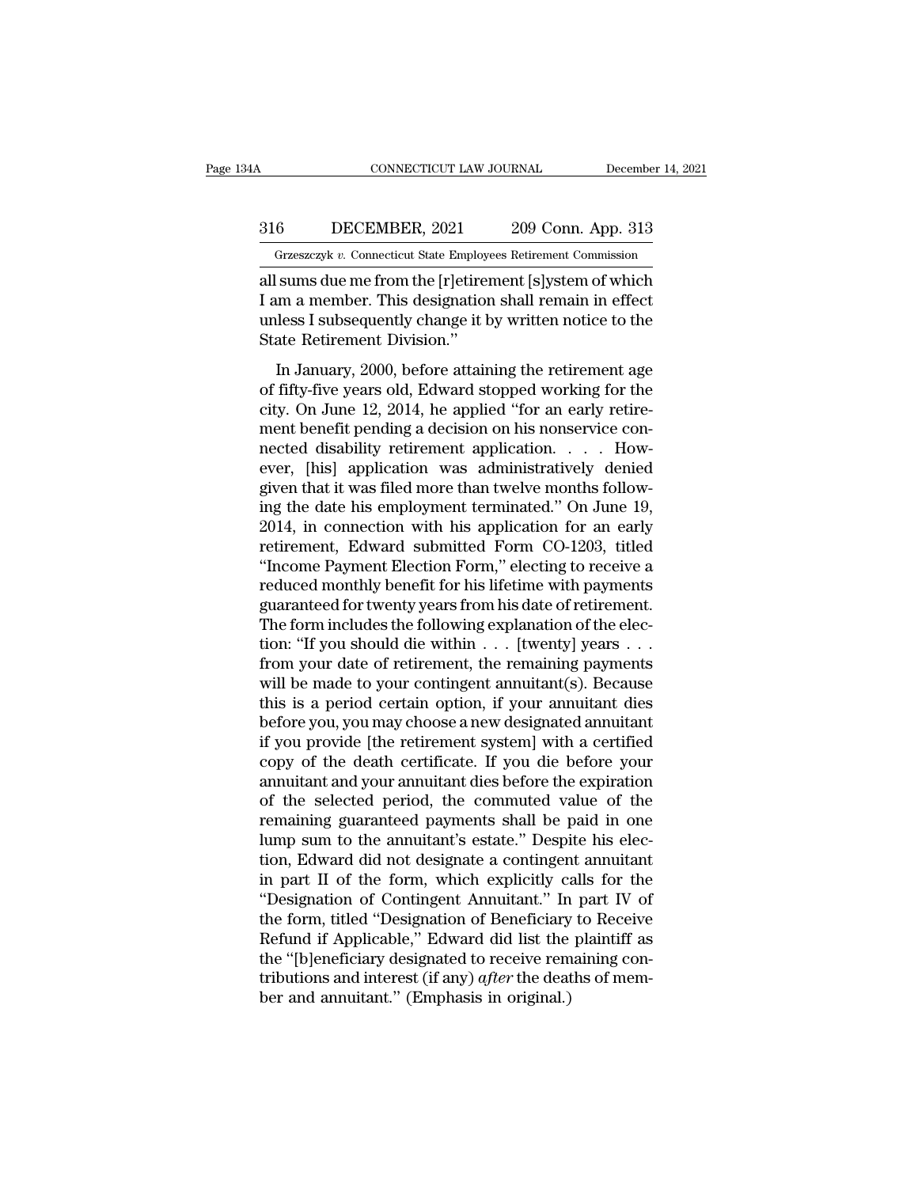### CONNECTICUT LAW JOURNAL December 14, 2021<br>316 DECEMBER, 2021 209 Conn. App. 313<br>Grzeszczyk v. Connecticut State Employees Retirement Commission CONNECTICUT LAW JOURNAL December 14, 2021<br>6 DECEMBER, 2021 209 Conn. App. 313<br>Grzeszczyk v. Connecticut State Employees Retirement Commission<br>5 Sums due me from the [r]etirement [s]ystem of which

CONNECTICUT LAW JOURNAL December 14, 2021<br>
316 DECEMBER, 2021 209 Conn. App. 313<br>
Grzeszczyk v. Connecticut State Employees Retirement Commission<br>
all sums due me from the [r]etirement [s]ystem of which<br>
I am a member. Thi 316 DECEMBER, 2021 209 Conn. App. 313<br>
Grzeszczyk v. Connecticut State Employees Retirement Commission<br>
all sums due me from the [r]etirement [s]ystem of which<br>
I am a member. This designation shall remain in effect<br>
unles 316 DECEMBER, 2021 209 Conn. App. 313<br>
Grzeszczyk v. Connecticut State Employees Retirement Commission<br>
all sums due me from the [r]etirement [s]ystem of which<br>
I am a member. This designation shall remain in effect<br>
unle 316 DECEMBER, 2021 209 Conn. App. 313<br>
Grzeszczyk v. Connecticut State Employees Retirement Commission<br>
all sums due me from the [r]etirement [s]ystem of which<br>
I am a member. This designation shall remain in effect<br>
unle Grzeszczyk v. Connecticut State Employees Retirement Commission<br>
sums due me from the [r]etirement [s]ystem of which<br>
um a member. This designation shall remain in effect<br>
less I subsequently change it by written notice t all sums due me from the [r]etirement [s]ystem of which<br>I am a member. This designation shall remain in effect<br>unless I subsequently change it by written notice to the<br>State Retirement Division."<br>In January, 2000, before a

I am a member. This designation shall remain in effect<br>I am a member. This designation shall remain in effect<br>unless I subsequently change it by written notice to the<br>State Retirement Division."<br>In January, 2000, before at ment a member. This designation shall follow in a decision on the State Retirement Division."<br>In January, 2000, before attaining the retirement age<br>of fifty-five years old, Edward stopped working for the<br>city. On June 12, State Retirement Division."<br>
In January, 2000, before attaining the retirement age<br>
of fifty-five years old, Edward stopped working for the<br>
city. On June 12, 2014, he applied "for an early retire-<br>
ment benefit pending a In January, 2000, before attaining the retirement age<br>of fifty-five years old, Edward stopped working for the<br>city. On June 12, 2014, he applied "for an early retire-<br>ment benefit pending a decision on his nonservice con-In January, 2000, before attaining the retirement age<br>of fifty-five years old, Edward stopped working for the<br>city. On June 12, 2014, he applied "for an early retire-<br>ment benefit pending a decision on his nonservice conof fifty-five years old, Edward stopped working for the<br>city. On June 12, 2014, he applied "for an early retire-<br>ment benefit pending a decision on his nonservice con-<br>nected disability retirement application. . . . How-<br> city. On June 12, 2014, he applied "for an early retirement benefit pending a decision on his nonservice connected disability retirement application. . . . However, [his] application was administratively denied given that ment benefit pending a decision on his nonservice con-<br>nected disability retirement application. . . . How-<br>ever, [his] application was administratively denied<br>given that it was filed more than twelve months follow-<br>ing th nected disability retirement application. . . . How-<br>
ever, [his] application was administratively denied<br>
given that it was filed more than twelve months follow-<br>
ing the date his employment terminated." On June 19,<br>
2014 ever, [his] application was administratively denied<br>given that it was filed more than twelve months follow-<br>ing the date his employment terminated." On June 19,<br>2014, in connection with his application for an early<br>retirem given that it was filed more than twelve months following the date his employment terminated." On June 19, 2014, in connection with his application for an early retirement, Edward submitted Form CO-1203, titled "Income Pay ing the date his employment terminated." On June 19, 2014, in connection with his application for an early retirement, Edward submitted Form CO-1203, titled "Income Payment Election Form," electing to receive a reduced mo 2014, in connection with his application for an early<br>retirement, Edward submitted Form CO-1203, titled<br>"Income Payment Election Form," electing to receive a<br>reduced monthly benefit for his lifetime with payments<br>guarante retirement, Edward submitted Form CO-1203, titled<br>
"Income Payment Election Form," electing to receive a<br>
reduced monthly benefit for his lifetime with payments<br>
guaranteed for twenty years from his date of retirement.<br>
Th "Income Payment Election Form," electing to receive a<br>reduced monthly benefit for his lifetime with payments<br>guaranteed for twenty years from his date of retirement.<br>The form includes the following explanation of the elec reduced monthly benefit for his lifetime with payments<br>guaranteed for twenty years from his date of retirement.<br>The form includes the following explanation of the elec-<br>tion: "If you should die within . . . [twenty] years guaranteed for twenty years from his date of retirement.<br>The form includes the following explanation of the election: "If you should die within . . . [twenty] years . . .<br>from your date of retirement, the remaining payment The form includes the following explanation of the election: "If you should die within  $\ldots$  [twenty] years  $\ldots$ <br>from your date of retirement, the remaining payments<br>will be made to your contingent annuitant(s). Because<br> tion: "If you should die within  $\ldots$  [twenty] years  $\ldots$ <br>from your date of retirement, the remaining payments<br>will be made to your contingent annuitant(s). Because<br>this is a period certain option, if your annuitant dies from your date of retirement, the remaining payments<br>will be made to your contingent annuitant(s). Because<br>this is a period certain option, if your annuitant dies<br>before you, you may choose a new designated annuitant<br>if yo will be made to your contingent annuitant(s). Because<br>this is a period certain option, if your annuitant dies<br>before you, you may choose a new designated annuitant<br>if you provide [the retirement system] with a certified<br>co this is a period certain option, if your annuitant dies<br>before you, you may choose a new designated annuitant<br>if you provide [the retirement system] with a certified<br>copy of the death certificate. If you die before your<br>an before you, you may choose a new designated annuitant<br>if you provide [the retirement system] with a certified<br>copy of the death certificate. If you die before your<br>annuitant and your annuitant dies before the expiration<br>of if you provide [the retirement system] with a certified<br>copy of the death certificate. If you die before your<br>annuitant and your annuitant dies before the expiration<br>of the selected period, the commuted value of the<br>remain copy of the death certificate. If you die before your<br>annuitant and your annuitant dies before the expiration<br>of the selected period, the commuted value of the<br>remaining guaranteed payments shall be paid in one<br>lump sum to annuitant and your annuitant dies before the expiration<br>of the selected period, the commuted value of the<br>remaining guaranteed payments shall be paid in one<br>lump sum to the annuitant's estate.'' Despite his elec-<br>tion, Edw of the selected period, the commuted value of the<br>remaining guaranteed payments shall be paid in one<br>lump sum to the annuitant's estate." Despite his elec-<br>tion, Edward did not designate a contingent annuitant<br>in part II o remaining guaranteed payments shall be paid in one<br>lump sum to the annuitant's estate." Despite his elec-<br>tion, Edward did not designate a contingent annuitant<br>in part II of the form, which explicitly calls for the<br>"Design lump sum to the annuitant's estate." Despite his election, Edward did not designate a contingent annuitant<br>in part II of the form, which explicitly calls for the<br>"Designation of Contingent Annuitant." In part IV of<br>the for tion, Edward did not designate a contingent annuitant<br>in part II of the form, which explicitly calls for the<br>"Designation of Contingent Annuitant." In part IV of<br>the form, titled "Designation of Beneficiary to Receive<br>Refu in part II of the form, which explicitly can<br>"Designation of Contingent Annuitant." In<br>the form, titled "Designation of Beneficiary<br>Refund if Applicable," Edward did list the<br>the "[b]eneficiary designated to receive rem<br>t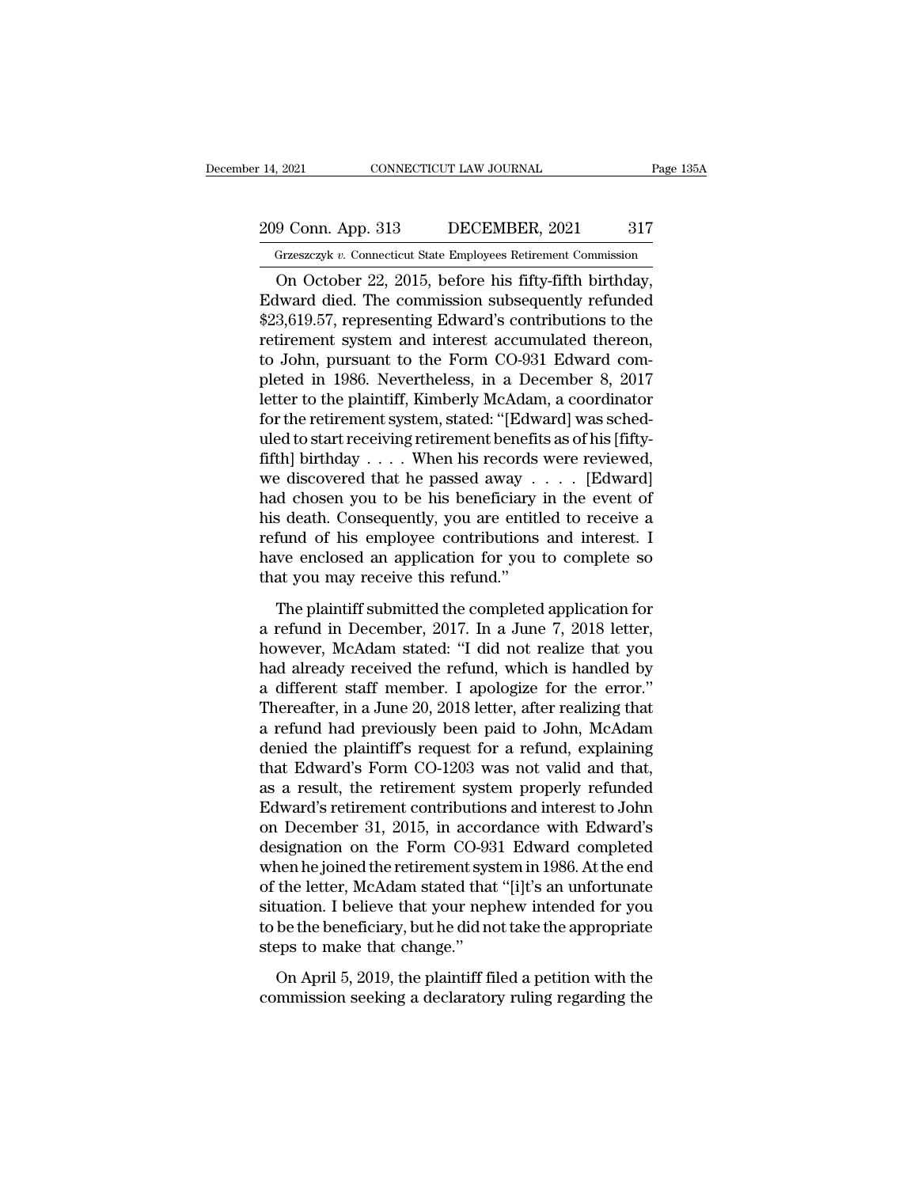## 209 Conn. App. 313 DECEMBER, 2021 317<br>Grzeszczyk v. Connecticut State Employees Retirement Commission December 14, 2021 CONNECTICUT LAW JOURNAL Page 135A<br>
209 Conn. App. 313 DECEMBER, 2021 317<br>
Grzeszczyk v. Connecticut State Employees Retirement Commission<br>
On October 22, 2015, before his fifty-fifth birthday,

9 Conn. App. 313 DECEMBER, 2021 317<br>
Grzeszczyk v. Connecticut State Employees Retirement Commission<br>
On October 22, 2015, before his fifty-fifth birthday,<br>
Juvard died. The commission subsequently refunded<br>
2.610.57 repre 209 Conn. App. 313 DECEMBER, 2021 317<br>
Grzeszczyk v. Connecticut State Employees Retirement Commission<br>
On October 22, 2015, before his fifty-fifth birthday,<br>
Edward died. The commission subsequently refunded<br>
\$23,619.57,  $\frac{209}{20}$  Conn. App. 313 DECEMBER, 2021 317<br>
Grzeszczyk v. Connecticut State Employees Retirement Commission<br>
On October 22, 2015, before his fifty-fifth birthday,<br>
Edward died. The commission subsequently refunded<br>
\$2 209 Conn. App. 313 DECEMBER, 2021 317<br>
Grzeszczyk v. Connecticut State Employees Retirement Commission<br>
On October 22, 2015, before his fifty-fifth birthday,<br>
Edward died. The commission subsequently refunded<br>
\$23,619.57, Grzeszczyk v. Connecticut State Employees Retirement Commission<br>
On October 22, 2015, before his fifty-fifth birthday,<br>
Edward died. The commission subsequently refunded<br>
\$23,619.57, representing Edward's contributions to The United State Employees Retrement Commission<br>
On October 22, 2015, before his fifty-fifth birthday,<br>
Edward died. The commission subsequently refunded<br>
\$23,619.57, representing Edward's contributions to the<br>
retirement On October 22, 2015, before his fifty-fifth birthday,<br>Edward died. The commission subsequently refunded<br>\$23,619.57, representing Edward's contributions to the<br>retirement system and interest accumulated thereon,<br>to John, pu Edward died. The commission subsequently refunded<br>\$23,619.57, representing Edward's contributions to the<br>retirement system and interest accumulated thereon,<br>to John, pursuant to the Form CO-931 Edward com-<br>pleted in 1986. \$23,619.57, representing Edward's contributions to the retirement system and interest accumulated thereon, to John, pursuant to the Form CO-931 Edward completed in 1986. Nevertheless, in a December 8, 2017 letter to the pl retirement system and interest accumulated thereon,<br>to John, pursuant to the Form CO-931 Edward com-<br>pleted in 1986. Nevertheless, in a December 8, 2017<br>letter to the plaintiff, Kimberly McAdam, a coordinator<br>for the retir to John, pursuant to the Form CO-931 Edward completed in 1986. Nevertheless, in a December 8, 2017<br>letter to the plaintiff, Kimberly McAdam, a coordinator<br>for the retirement system, stated: "[Edward] was sched-<br>uled to sta pleted in 1986. Nevertheless, in a December 8, 2017<br>letter to the plaintiff, Kimberly McAdam, a coordinator<br>for the retirement system, stated: "[Edward] was sched-<br>uled to start receiving retirement benefits as of his [fif letter to the plaintiff, Kimberly McAdam, a coordinator<br>for the retirement system, stated: "[Edward] was sched-<br>uled to start receiving retirement benefits as of his [fifty-<br>fifth] birthday . . . . When his records were re for the retirement system, stated: "[Edward] was sched-<br>uled to start receiving retirement benefits as of his [fifty-<br>fifth] birthday . . . . When his records were reviewed,<br>we discovered that he passed away . . . . [Edwa uled to start receiving retirement benefits as of his [fifty-<br>fifth] birthday . . . . When his records were reviewed,<br>we discovered that he passed away . . . . [Edward]<br>had chosen you to be his beneficiary in the event of fifth] birthday . . . . When his records<br>we discovered that he passed away .<br>had chosen you to be his beneficiary<br>his death. Consequently, you are entitl<br>refund of his employee contributions<br>have enclosed an application fo d chosen you to be his beneficiary in the event of<br>s death. Consequently, you are entitled to receive a<br>fund of his employee contributions and interest. I<br>we enclosed an application for you to complete so<br>at you may receiv his death. Consequently, you are entitled to receive a<br>refund of his employee contributions and interest. I<br>have enclosed an application for you to complete so<br>that you may receive this refund."<br>The plaintiff submitted the

refund of his employee contributions and interest. I<br>have enclosed an application for you to complete so<br>that you may receive this refund."<br>The plaintiff submitted the completed application for<br>a refund in December, 2017. have enclosed an application for you to complete so<br>that you may receive this refund."<br>The plaintiff submitted the completed application for<br>a refund in December, 2017. In a June 7, 2018 letter,<br>however, McAdam stated: "I that you may receive this refund."<br>The plaintiff submitted the completed application for<br>a refund in December, 2017. In a June 7, 2018 letter,<br>however, McAdam stated: "I did not realize that you<br>had already received the re The plaintiff submitted the completed application for<br>a refund in December, 2017. In a June 7, 2018 letter,<br>however, McAdam stated: "I did not realize that you<br>had already received the refund, which is handled by<br>a differe The plaintiff submitted the completed application for<br>a refund in December, 2017. In a June 7, 2018 letter,<br>however, McAdam stated: "I did not realize that you<br>had already received the refund, which is handled by<br>a differe a refund in December, 2017. In a June 7, 2018 letter,<br>however, McAdam stated: "I did not realize that you<br>had already received the refund, which is handled by<br>a different staff member. I apologize for the error."<br>Thereafte however, McAdam stated: "I did not realize that you<br>had already received the refund, which is handled by<br>a different staff member. I apologize for the error."<br>Thereafter, in a June 20, 2018 letter, after realizing that<br>a r had already received the refund, which is handled by<br>a different staff member. I apologize for the error."<br>Thereafter, in a June 20, 2018 letter, after realizing that<br>a refund had previously been paid to John, McAdam<br>denie a different staff member. I apologize for the error."<br>Thereafter, in a June 20, 2018 letter, after realizing that<br>a refund had previously been paid to John, McAdam<br>denied the plaintiff's request for a refund, explaining<br>th Thereafter, in a June 20, 2018 letter, after realizing that<br>a refund had previously been paid to John, McAdam<br>denied the plaintiff's request for a refund, explaining<br>that Edward's Form CO-1203 was not valid and that,<br>as a a refund had previously been paid to John, McAdam<br>denied the plaintiff's request for a refund, explaining<br>that Edward's Form CO-1203 was not valid and that,<br>as a result, the retirement system properly refunded<br>Edward's ret denied the plaintiff's request for a refund, explaining<br>that Edward's Form CO-1203 was not valid and that,<br>as a result, the retirement system properly refunded<br>Edward's retirement contributions and interest to John<br>on Dece that Edward's Form CO-1203 was not valid and that,<br>as a result, the retirement system properly refunded<br>Edward's retirement contributions and interest to John<br>on December 31, 2015, in accordance with Edward's<br>designation o as a result, the retirement system properly refunded<br>Edward's retirement contributions and interest to John<br>on December 31, 2015, in accordance with Edward's<br>designation on the Form CO-931 Edward completed<br>when he joined t Edward's retirement contributions and interest to John<br>on December 31, 2015, in accordance with Edward's<br>designation on the Form CO-931 Edward completed<br>when he joined the retirement system in 1986. At the end<br>of the lette on December 31, 2015, in accordesignation on the Form CO-93<br>when he joined the retirement sys<br>of the letter, McAdam stated that<br>situation. I believe that your nep<br>to be the beneficiary, but he did no<br>steps to make that cha nen he joined the retirement system in 1986. At the end<br>the letter, McAdam stated that "[i]t's an unfortunate<br>uation. I believe that your nephew intended for you<br>be the beneficiary, but he did not take the appropriate<br>eps of the letter, McAdam stated that "[i]t's an unfortunate<br>situation. I believe that your nephew intended for you<br>to be the beneficiary, but he did not take the appropriate<br>steps to make that change."<br>On April 5, 2019, the p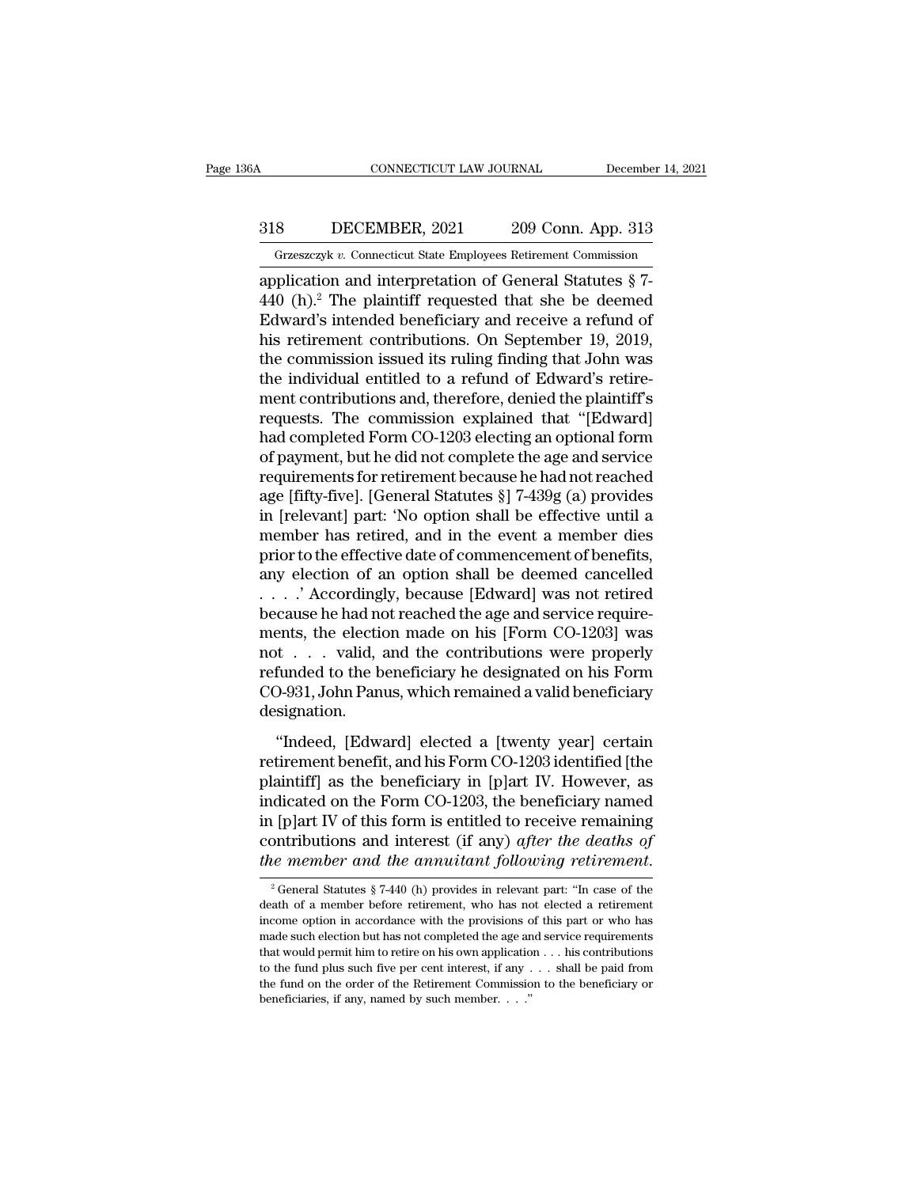## CONNECTICUT LAW JOURNAL December 14, 2021<br>318 DECEMBER, 2021 209 Conn. App. 313<br>Grzeszczyk v. Connecticut State Employees Retirement Commission CONNECTICUT LAW JOURNAL December 14, 2021<br>
318 DECEMBER, 2021 209 Conn. App. 313<br>
Grzeszczyk *v.* Connecticut State Employees Retirement Commission<br>
application and interpretation of General Statutes § 7-

CONNECTICUT LAW JOURNAL December 14, 20<br>
318 DECEMBER, 2021 209 Conn. App. 313<br>
Grzeszczyk v. Connecticut State Employees Retirement Commission<br>
application and interpretation of General Statutes § 7-<br>
440 (h).<sup>2</sup> The plai 318 DECEMBER, 2021 209 Conn. App. 313<br>
Grzeszczyk v. Connecticut State Employees Retirement Commission<br>
application and interpretation of General Statutes  $\S 7$ -<br>
440 (h).<sup>2</sup> The plaintiff requested that she be deemed<br>
Ed EDECEMBER, 2021 209 Conn. App. 313<br>
Grzeszczyk v. Connecticut State Employees Retirement Commission<br>
application and interpretation of General Statutes § 7-<br>
440 (h).<sup>2</sup> The plaintiff requested that she be deemed<br>
Edward' 318 DECEMBER, 2021 209 Conn. App. 313<br>
Grzeszczyk v. Connecticut State Employees Retirement Commission<br>
application and interpretation of General Statutes § 7-<br>
440 (h).<sup>2</sup> The plaintiff requested that she be deemed<br>
Edwa Grzeszczyk v. Connecticut State Employees Retirement Commission<br>application and interpretation of General Statutes  $\S$  7-<br>440 (h).<sup>2</sup> The plaintiff requested that she be deemed<br>Edward's intended beneficiary and receive a Grzeszczyk v. Connecticut state Employees Retirement Commission<br>application and interpretation of General Statutes  $\S 7-440$  (h).<sup>2</sup> The plaintiff requested that she be deemed<br>Edward's intended beneficiary and receive a r application and interpretation of General Statutes § 7-<br>440 (h).<sup>2</sup> The plaintiff requested that she be deemed<br>Edward's intended beneficiary and receive a refund of<br>his retirement contributions. On September 19, 2019,<br>the 440 (h).<sup>2</sup> The plaintiff requested that she be deemed<br>Edward's intended beneficiary and receive a refund of<br>his retirement contributions. On September 19, 2019,<br>the commission issued its ruling finding that John was<br>the i Edward's intended beneficiary and receive a refund of<br>his retirement contributions. On September 19, 2019,<br>the commission issued its ruling finding that John was<br>the individual entitled to a refund of Edward's retire-<br>ment his retirement contributions. On September 19, 2019,<br>the commission issued its ruling finding that John was<br>the individual entitled to a refund of Edward's retire-<br>ment contributions and, therefore, denied the plaintiff's the commission issued its ruling finding that John was<br>the individual entitled to a refund of Edward's retire-<br>ment contributions and, therefore, denied the plaintiff's<br>requests. The commission explained that "[Edward]<br>had the individual entitled to a refund of Edward's retire-<br>ment contributions and, therefore, denied the plaintiff's<br>requests. The commission explained that "[Edward]<br>had completed Form CO-1203 electing an optional form<br>of pa ment contributions and, therefore, denied the plaintiff's<br>requests. The commission explained that "[Edward]<br>had completed Form CO-1203 electing an optional form<br>of payment, but he did not complete the age and service<br>requi requests. The commission explained that "[Edward]<br>had completed Form CO-1203 electing an optional form<br>of payment, but he did not complete the age and service<br>requirements for retirement because he had not reached<br>age [fif had completed Form CO-1203 electing an optional form<br>of payment, but he did not complete the age and service<br>requirements for retirement because he had not reached<br>age [fifty-five]. [General Statutes §] 7-439g (a) provides of payment, but he did not complete the age and service<br>requirements for retirement because he had not reached<br>age [fifty-five]. [General Statutes §] 7-439g (a) provides<br>in [relevant] part: 'No option shall be effective un requirements for retirement because he had not reached<br>age [fifty-five]. [General Statutes §] 7-439g (a) provides<br>in [relevant] part: 'No option shall be effective until a<br>member has retired, and in the event a member dies age [fifty-five]. [General Statutes §] 7-439g (a) provides<br>in [relevant] part: 'No option shall be effective until a<br>member has retired, and in the event a member dies<br>prior to the effective date of commencement of benefi in [relevant] part: 'No option shall be effective until a<br>member has retired, and in the event a member dies<br>prior to the effective date of commencement of benefits,<br>any election of an option shall be deemed cancelled<br> $\ld$ member has retired, and in the event a member dies<br>prior to the effective date of commencement of benefits,<br>any election of an option shall be deemed cancelled<br>. . . . ' Accordingly, because [Edward] was not retired<br>becaus prior to the effective date of commencement of benefits,<br>any election of an option shall be deemed cancelled<br>....' Accordingly, because [Edward] was not retired<br>because he had not reached the age and service require-<br>ments any election of an option shall be deemed cancelled<br>
. . . . ' Accordingly, because [Edward] was not retired<br>
because he had not reached the age and service require-<br>
ments, the election made on his [Form CO-1203] was<br>
not designation. The election made on his [Form CO-1203] was<br>
t . . . . valid, and the contributions were properly<br>
funded to the beneficiary he designated on his Form<br>
D-931, John Panus, which remained a valid beneficiary<br>
signation.<br>
"I retirement beneficiary in Eq. 1 and the contributions were properly<br>refunded to the beneficiary he designated on his Form<br>CO-931, John Panus, which remained a valid beneficiary<br>designation.<br>"Indeed, [Edward] elected a [tw

not in the beneficiary he designated on his Form<br>cO-931, John Panus, which remained a valid beneficiary<br>designation.<br>"Indeed, [Edward] elected a [twenty year] certain<br>retirement benefit, and his Form CO-1203 identified [th collection of the Form Co-1203, the beneficiary<br>co-931, John Panus, which remained a valid beneficiary<br>designation.<br>"Indeed, [Edward] elected a [twenty year] certain<br>retirement benefit, and his Form CO-1203 identified [th designation.<br>
"Indeed, [Edward] elected a [twenty year] certain<br>
retirement benefit, and his Form CO-1203 identified [the<br>
plaintiff] as the beneficiary in [p]art IV. However, as<br>
indicated on the Form CO-1203, the benefic "Indeed, [Edward] elected a [twenty year] certain<br>retirement benefit, and his Form CO-1203 identified [the<br>plaintiff] as the beneficiary in [p]art IV. However, as<br>indicated on the Form CO-1203, the beneficiary named<br>in [p] "Indeed, [Edward] elected a [twenty year] certain<br>retirement benefit, and his Form CO-1203 identified [the<br>plaintiff] as the beneficiary in [p]art IV. However, as<br>indicated on the Form CO-1203, the beneficiary named<br>in [p 2 General Statutes § 7-440 (h) provides in relevant particle and of a member and the annuitant following retirement.<br>
2 General Statutes § 7-440 (h) provides in relevant part: "In case of the action of a member before ret in [p]art IV of this form is entitled to receive remaining<br>contributions and interest (if any) *after the deaths of*<br>*the member and the annuitant following retirement.*<br><sup>2</sup> General Statutes § 7-440 (h) provides in releva

contributions and interest (if any) after the deaths of<br>the member and the annuitant following retirement.<br> $\frac{1}{2}$  General Statutes § 7-440 (h) provides in relevant part: "In case of the<br>death of a member before retirem the member and the annuitant following retirement.<br>
<sup>2</sup> General Statutes § 7-440 (h) provides in relevant part: "In case of the death of a member before retirement, who has not elected a retirement income option in accord <sup>2</sup> General Statutes § 7-440 (h) provides in relevant part: "In case of the death of a member before retirement, who has not elected a retirement income option in accordance with the provisions of this part or who has mad <sup>2</sup> General Statutes § 7-440 (h) provides in relevant part: "In case of the death of a member before retirement, who has not elected a retirement income option in accordance with the provisions of this part or who has mad death of a member before retirement, who has not elected a retirement income option in accordance with the provisions of this part or who has made such election but has not completed the age and service requirements that fraction of the interest of the provisions conducted the age are that would permit him to retire on his own application to the fund plus such five per cent interest, if any . The fund on the order of the Retirement Commis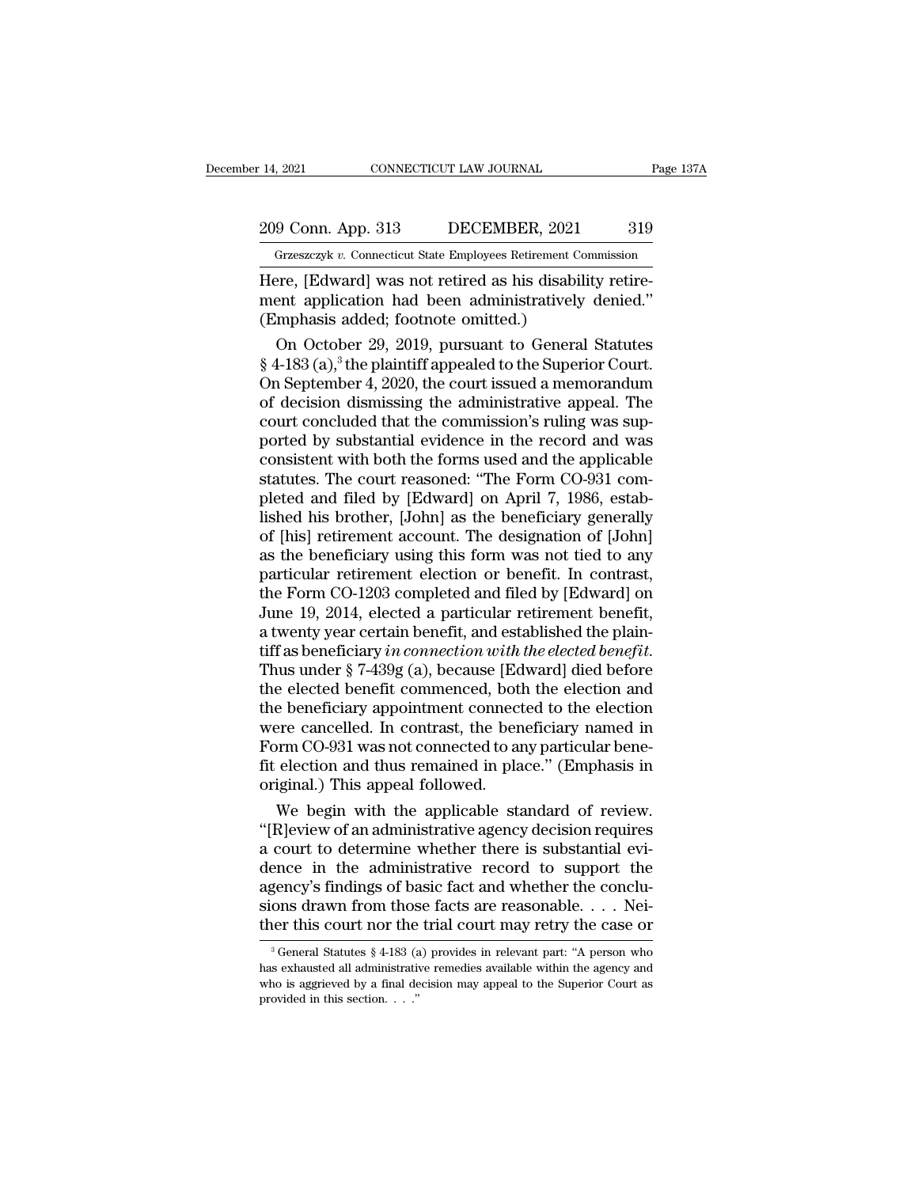## 209 Conn. App. 313 DECEMBER, 2021 319<br>
Grzeszczyk v. Connecticut State Employees Retirement Commission December 14, 2021 CONNECTICUT LAW JOURNAL Page 137A<br>
209 Conn. App. 313 DECEMBER, 2021 319<br>
Grzeszczyk *v.* Connecticut State Employees Retirement Commission<br>
Here, [Edward] was not retired as his disability retire-

14, 2021 CONNECTICUT LAW JOURNAL<br>
209 Conn. App. 313 DECEMBER, 2021 319<br>
Grzeszczyk v. Connecticut State Employees Retirement Commission<br>
Here, [Edward] was not retired as his disability retire-<br>
ment application had been 209 Conn. App. 313 DECEMBER, 2021 319<br>
Grzeszczyk v. Connecticut State Employees Retirement Commission<br>
Here, [Edward] was not retired as his disability retirement application had been administratively denied.''<br>
(Emphasis 209 Conn. App. 313 DECEMBER, 2021<br>
Grzeszczyk v. Connecticut State Employees Retirement Connecticut State Employees Retirement Connection (Emphasis added; footnote omitted.)<br>
(Emphasis added; footnote omitted.)<br>
On Octobe 9 Conn. App. 313 DECEMBER, 2021 319<br>
Grzeszczyk v. Connecticut State Employees Retirement Commission<br>
Pre, [Edward] was not retired as his disability retire-<br>
ent application had been administratively denied."<br>
Mondial St

Grzeszczyk v. Connecticut State Employees Retirement Commission<br>
Here, [Edward] was not retired as his disability retire-<br>
ment application had been administratively denied."<br>
(Emphasis added; footnote omitted.)<br>
On Octob Here, [Edward] was not retired as his disability retirement application had been administratively denied."<br>
(Emphasis added; footnote omitted.)<br>
On October 29, 2019, pursuant to General Statutes<br>
§ 4-183 (a),<sup>3</sup> the plain Here, [Edward] was not retired as his disability retirement application had been administratively denied."<br>
(Emphasis added; footnote omitted.)<br>
On October 29, 2019, pursuant to General Statutes<br>
§ 4-183 (a),<sup>3</sup> the plain ment application had been administratively denied."<br>
(Emphasis added; footnote omitted.)<br>
On October 29, 2019, pursuant to General Statutes<br>
§ 4-183 (a),<sup>3</sup> the plaintiff appealed to the Superior Court.<br>
On September 4, 2 (Emphasis added; footnote omitted.)<br>
On October 29, 2019, pursuant to General Statutes<br>
§ 4-183 (a),<sup>3</sup> the plaintiff appealed to the Superior Court.<br>
On September 4, 2020, the court issued a memorandum<br>
of decision dismi On October 29, 2019, pursuant to General Statutes  $\S$  4-183 (a),<sup>3</sup> the plaintiff appealed to the Superior Court.<br>On September 4, 2020, the court issued a memorandum<br>of decision dismissing the administrative appeal. The<br>c  $\S$  4-183 (a),<sup>3</sup> the plaintiff appealed to the Superior Court.<br>On September 4, 2020, the court issued a memorandum<br>of decision dismissing the administrative appeal. The<br>court concluded that the commission's ruling was su On September 4, 2020, the court issued a memorandum<br>of decision dismissing the administrative appeal. The<br>court concluded that the commission's ruling was sup-<br>ported by substantial evidence in the record and was<br>consisten of decision dismissing the administrative appeal. The<br>court concluded that the commission's ruling was sup-<br>ported by substantial evidence in the record and was<br>consistent with both the forms used and the applicable<br>statut court concluded that the commission's ruling was sup-<br>ported by substantial evidence in the record and was<br>consistent with both the forms used and the applicable<br>statutes. The court reasoned: "The Form CO-931 com-<br>pleted a ported by substantial evidence in the record and was<br>consistent with both the forms used and the applicable<br>statutes. The court reasoned: "The Form CO-931 com-<br>pleted and filed by [Edward] on April 7, 1986, estab-<br>lished h consistent with both the forms used and the applicable<br>statutes. The court reasoned: "The Form CO-931 com-<br>pleted and filed by [Edward] on April 7, 1986, estab-<br>lished his brother, [John] as the beneficiary generally<br>of [h statutes. The court reasoned: "The Form CO-931 completed and filed by [Edward] on April 7, 1986, established his brother, [John] as the beneficiary generally of [his] retirement account. The designation of [John] as the be pleted and filed by [Edward] on April 7, 1986, established his brother, [John] as the beneficiary generally of [his] retirement account. The designation of [John] as the beneficiary using this form was not tied to any part lished his brother, [John] as the beneficiary generally<br>of [his] retirement account. The designation of [John]<br>as the beneficiary using this form was not tied to any<br>particular retirement election or benefit. In contrast, of [his] retirement account. The designation of [John]<br>as the beneficiary using this form was not tied to any<br>particular retirement election or benefit. In contrast,<br>the Form CO-1203 completed and filed by [Edward] on<br>June particular retirement election or benefit. In contrast,<br>the Form CO-1203 completed and filed by [Edward] on<br>June 19, 2014, elected a particular retirement benefit,<br>a twenty year certain benefit, and established the plain-<br> the Form CO-1203 completed and filed by [Edward] on<br>June 19, 2014, elected a particular retirement benefit,<br>a twenty year certain benefit, and established the plain-<br>tiff as beneficiary in connection with the elected benef June 19, 2014, elected a particular retirement benefit,<br>a twenty year certain benefit, and established the plain-<br>tiff as beneficiary in connection with the elected benefit.<br>Thus under § 7-439g (a), because [Edward] died b a twenty year certain benefit, and established the plaintiff as beneficiary in connection with the elected benefit.<br>Thus under § 7-439g (a), because [Edward] died before<br>the elected benefit commenced, both the election and tiff as beneficiary *in connection with the elected benefit*.<br>Thus under § 7-439g (a), because [Edward] died before<br>the elected benefit commenced, both the election and<br>the beneficiary appointment connected to the election Thus under § 7-439g (a), because [Ed<br>the elected benefit commenced, both<br>the beneficiary appointment connect<br>were cancelled. In contrast, the ben<br>Form CO-931 was not connected to an<br>fit election and thus remained in pla<br>or e elected benefit commenced, both the election and<br>e beneficiary appointment connected to the election<br>per cancelled. In contrast, the beneficiary named in<br>prm CO-931 was not connected to any particular bene-<br>election and the beneficiary appointment connected to the election<br>
were cancelled. In contrast, the beneficiary named in<br>
Form CO-931 was not connected to any particular bene-<br>
fit election and thus remained in place." (Emphasis in<br>
o

were cancelled. In contrast, the beneficiary named in<br>Form CO-931 was not connected to any particular bene-<br>fit election and thus remained in place." (Emphasis in<br>original.) This appeal followed.<br>We begin with the applicab Form CO-931 was not connected to any particular bene-<br>fit election and thus remained in place." (Emphasis in<br>original.) This appeal followed.<br>We begin with the applicable standard of review.<br>"[R]eview of an administrative fit election and thus remained in place." (Emphasis in<br>original.) This appeal followed.<br>We begin with the applicable standard of review.<br>"[R]eview of an administrative agency decision requires<br>a court to determine whether original.) This appeal followed.<br>We begin with the applicable standard of review.<br>"[R]eview of an administrative agency decision requires<br>a court to determine whether there is substantial evi-<br>dence in the administrative r We begin with the applicable standard of review.<br>
"[R]eview of an administrative agency decision requires<br>
a court to determine whether there is substantial evi-<br>
dence in the administrative record to support the<br>
agency' ence in the administrative record to support the gency's findings of basic fact and whether the conclu-<br>ons drawn from those facts are reasonable. . . . Nei-<br>ler this court nor the trial court may retry the case or<br> $\frac{3}{$ agency's findings of basic fact and whether the conclusions drawn from those facts are reasonable. . . . Neither this court nor the trial court may retry the case or  $\frac{1}{3}$  General Statutes  $\frac{8}{4}$ -183 (a) provides i

sions drawn from those facts are reasonable. . . . Nei-<br>ther this court nor the trial court may retry the case or<br> $\frac{1}{3}$  General Statutes § 4-183 (a) provides in relevant part: "A person who<br>has exhausted all administr ther this court nor the trial court may retry the case or  $\frac{1}{3}$  General Statutes § 4-183 (a) provides in relevant part: "A person who has exhausted all administrative remedies available within the agency and who is ag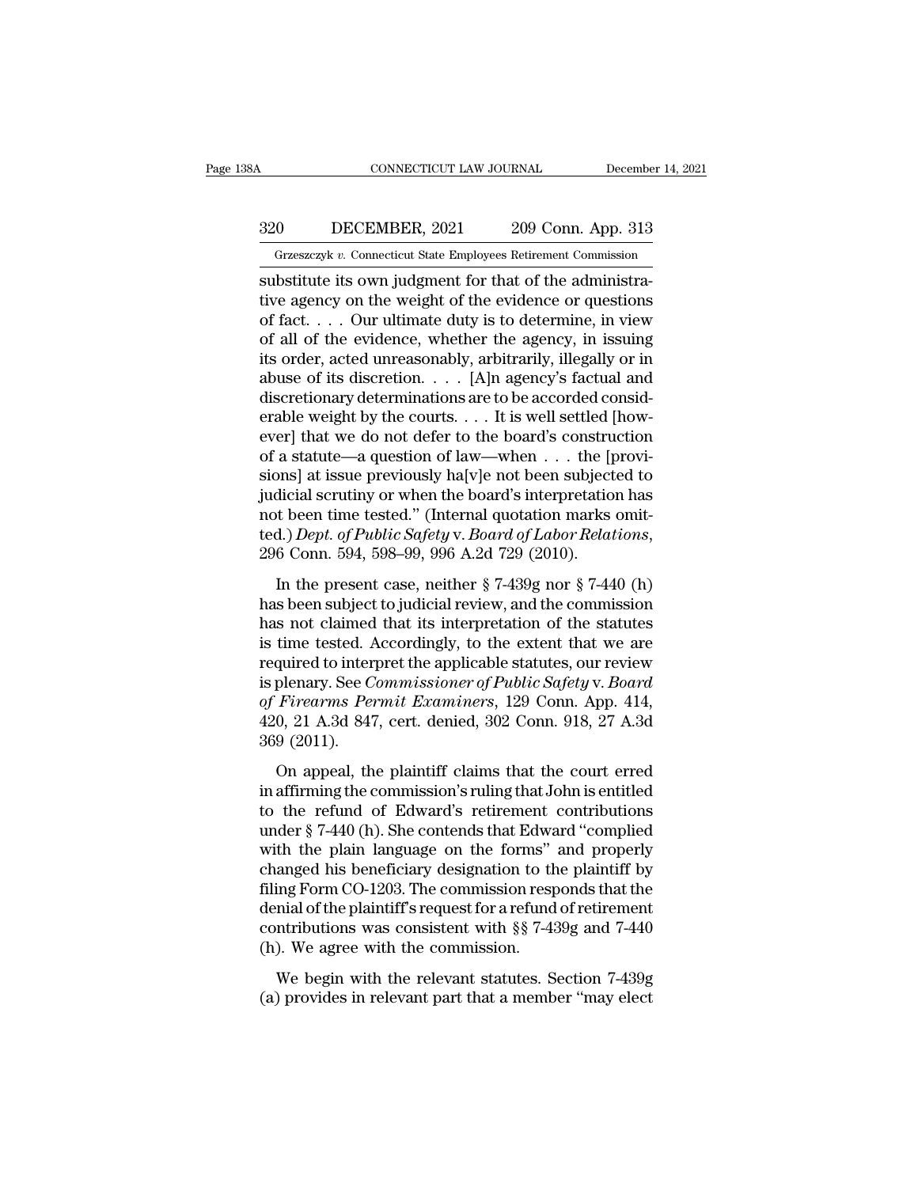### CONNECTICUT LAW JOURNAL December 14, 2021<br>320 DECEMBER, 2021 209 Conn. App. 313<br>Grzeszczyk v. Connecticut State Employees Retirement Commission CONNECTICUT LAW JOURNAL December 14, 202<br>10 DECEMBER, 2021 209 Conn. App. 313<br>Grzeszczyk v. Connecticut State Employees Retirement Commission<br>bstitute its own judgment for that of the administra-

CONNECTICUT LAW JOURNAL December<br>320 DECEMBER, 2021 209 Conn. App. 313<br>Grzeszczyk v. Connecticut State Employees Retirement Commission<br>substitute its own judgment for that of the administra-<br>tive agency on the weight of th  $\begin{array}{ll} \n \text{320} & \text{DECEMBER}, 2021 & \text{209 Conn. App. 313} \\
 \hline \n \text{Grzeszczyk } v. & \text{Connecticut State Employes Retriement Commission} \\
 \text{substitute its own judgment for that of the administrative agency on the weight of the evidence or questions of fact. . . . Our ultimate duty is to determine, in view of all of the evidence whether the agency in issuing.$ 320 DECEMBER, 2021 209 Conn. App. 313<br>
Grzeszczyk v. Connecticut State Employees Retirement Commission<br>
substitute its own judgment for that of the administra-<br>
tive agency on the weight of the evidence or questions<br>
of f 320 DECEMBER, 2021 209 Conn. App. 313<br>
Grzeszczyk v. Connecticut State Employees Retirement Commission<br>
substitute its own judgment for that of the administra-<br>
tive agency on the weight of the evidence or questions<br>
of f Grzeszczyk v. Connecticut State Employees Retirement Commission<br>substitute its own judgment for that of the administra-<br>tive agency on the weight of the evidence or questions<br>of fact.... Our ultimate duty is to determine, Grzeszczyk v. Connecticut State Employees Retirement Commission<br>
substitute its own judgment for that of the administra-<br>
tive agency on the weight of the evidence or questions<br>
of fact.... Our ultimate duty is to determi substitute its own judgment for that of the administrative agency on the weight of the evidence or questions of fact.... Our ultimate duty is to determine, in view of all of the evidence, whether the agency, in issuing it tive agency on the weight of the evidence or questions<br>of fact.... Our ultimate duty is to determine, in view<br>of all of the evidence, whether the agency, in issuing<br>its order, acted unreasonably, arbitrarily, illegally or of fact. . . . Our ultimate duty is to determine, in view<br>of all of the evidence, whether the agency, in issuing<br>its order, acted unreasonably, arbitrarily, illegally or in<br>abuse of its discretion. . . . [A]n agency's fac of all of the evidence, whether the agency, in issuing<br>its order, acted unreasonably, arbitrarily, illegally or in<br>abuse of its discretion. . . . [A]n agency's factual and<br>discretionary determinations are to be accorded c its order, acted unreasonably, arbitrarily, illegally or in<br>abuse of its discretion. . . . [A]n agency's factual and<br>discretionary determinations are to be accorded consid-<br>erable weight by the courts. . . . It is well se abuse of its discretion. . . . [A]n agency's factual and<br>discretionary determinations are to be accorded consid-<br>erable weight by the courts. . . . It is well settled [how-<br>ever] that we do not defer to the board's constr discretionary determinations are to be accorded considerable weight by the courts. . . . It is well settled [how-<br>ever] that we do not defer to the board's construction<br>of a statute—a question of law—when . . . the [provi erable weight by the courts. . . . It is well settled [how-<br>ever] that we do not defer to the board's construction<br>of a statute—a question of law—when . . . the [provi-<br>sions] at issue previously ha[v]e not been subjected In the previously halve a statute of the subjected to<br>
dicial scrutiny or when the board's interpretation has<br>
t been time tested." (Internal quotation marks omit-<br>
d.) Dept. of Public Safety v. Board of Labor Relations,<br> judicial scrutiny or when the board's interpretation has<br>not been time tested." (Internal quotation marks omit-<br>ted.) Dept. of Public Safety v. Board of Labor Relations,<br>296 Conn. 594, 598–99, 996 A.2d 729 (2010).<br>In the

has been time tested." (Internal quotation marks omitted.) Dept. of Public Safety v. Board of Labor Relations, 296 Conn. 594, 598–99, 996 A.2d 729 (2010).<br>In the present case, neither  $\S 7-439g$  nor  $\S 7-440$  (h) has been is the tested. (Internal quotation makes only<br>ted.) Dept. of Public Safety v. Board of Labor Relations,<br>296 Conn. 594, 598–99, 996 A.2d 729 (2010).<br>In the present case, neither § 7-439g nor § 7-440 (h)<br>has been subject to 296 Conn. 594, 598–99, 996 A.2d 729 (2010).<br>
In the present case, neither § 7-439g nor § 7-440 (h)<br>
has been subject to judicial review, and the commission<br>
has not claimed that its interpretation of the statutes<br>
is time In the present case, neither § 7-439g nor § 7-440 (h)<br>has been subject to judicial review, and the commission<br>has not claimed that its interpretation of the statutes<br>is time tested. Accordingly, to the extent that we are<br>r In the present case, neither § 7-439g nor § 7-440 (h)<br>has been subject to judicial review, and the commission<br>has not claimed that its interpretation of the statutes<br>is time tested. Accordingly, to the extent that we are<br>r has been subject to judicial review, and the commission<br>has not claimed that its interpretation of the statutes<br>is time tested. Accordingly, to the extent that we are<br>required to interpret the applicable statutes, our revi has not claimed<br>is time tested. A<br>required to inter<br>is plenary. See C<br>of Firearms Per<br>420, 21 A.3d 847<br>369 (2011).<br>On appeal, th duired to interpret the applicable statutes, our review<br>plenary. See *Commissioner of Public Safety v. Board*<br>*Firearms Permit Examiners*, 129 Conn. App. 414,<br>0, 21 A.3d 847, cert. denied, 302 Conn. 918, 27 A.3d<br>9 (2011).<br> is plenary. See *Commissioner of Public Safety v. Board*<br>of *Firearms Permit Examiners*, 129 Conn. App. 414,<br>420, 21 A.3d 847, cert. denied, 302 Conn. 918, 27 A.3d<br>369 (2011).<br>On appeal, the plaintiff claims that the cour

to prenary. See commissioner by 1 abite Edyory (1. Douration of Firearms Permit Examiners, 129 Conn. App. 414, 420, 21 A.3d 847, cert. denied, 302 Conn. 918, 27 A.3d 369 (2011).<br>On appeal, the plaintiff claims that the co 420, 21 A.3d 847, cert. denied, 302 Conn. 918, 27 A.3d<br>369 (2011).<br>On appeal, the plaintiff claims that the court erred<br>in affirming the commission's ruling that John is entitled<br>to the refund of Edward's retirement contr 2007 11.534 517, ecc. defined, 552 5511. 515, 21 11.54<br>369 (2011).<br>On appeal, the plaintiff claims that the court erred<br>in affirming the commission's ruling that John is entitled<br>to the refund of Edward's retirement contr On appeal, the plaintiff claims that the court erred<br>in affirming the commission's ruling that John is entitled<br>to the refund of Edward's retirement contributions<br>under  $\S 7-440$  (h). She contends that Edward "complied<br>wi On appeal, the plaintiff claims that the court erred<br>in affirming the commission's ruling that John is entitled<br>to the refund of Edward's retirement contributions<br>under  $\S$  7-440 (h). She contends that Edward "complied<br>wi in affirming the commission's ruling that John is entitled<br>to the refund of Edward's retirement contributions<br>under  $\S$  7-440 (h). She contends that Edward "complied<br>with the plain language on the forms" and properly<br>chan to the refund of Edward's retirement contributions<br>under  $\S$  7-440 (h). She contends that Edward "complied<br>with the plain language on the forms" and properly<br>changed his beneficiary designation to the plaintiff by<br>filing under  $\S$  7-440 (h). She contends that Edwa<br>with the plain language on the forms"<br>changed his beneficiary designation to th<br>filing Form CO-1203. The commission resp<br>denial of the plaintiff's request for a refund<br>contribut and property anged his beneficiary designation to the plaintiff by<br>ing Form CO-1203. The commission responds that the<br>mial of the plaintiff's request for a refund of retirement<br>ntributions was consistent with §§ 7-439g an filing Form CO-1203. The commission responds that the denial of the plaintiff's request for a refund of retirement contributions was consistent with  $\S$  7-439g and 7-440 (h). We agree with the commission.<br>We begin with th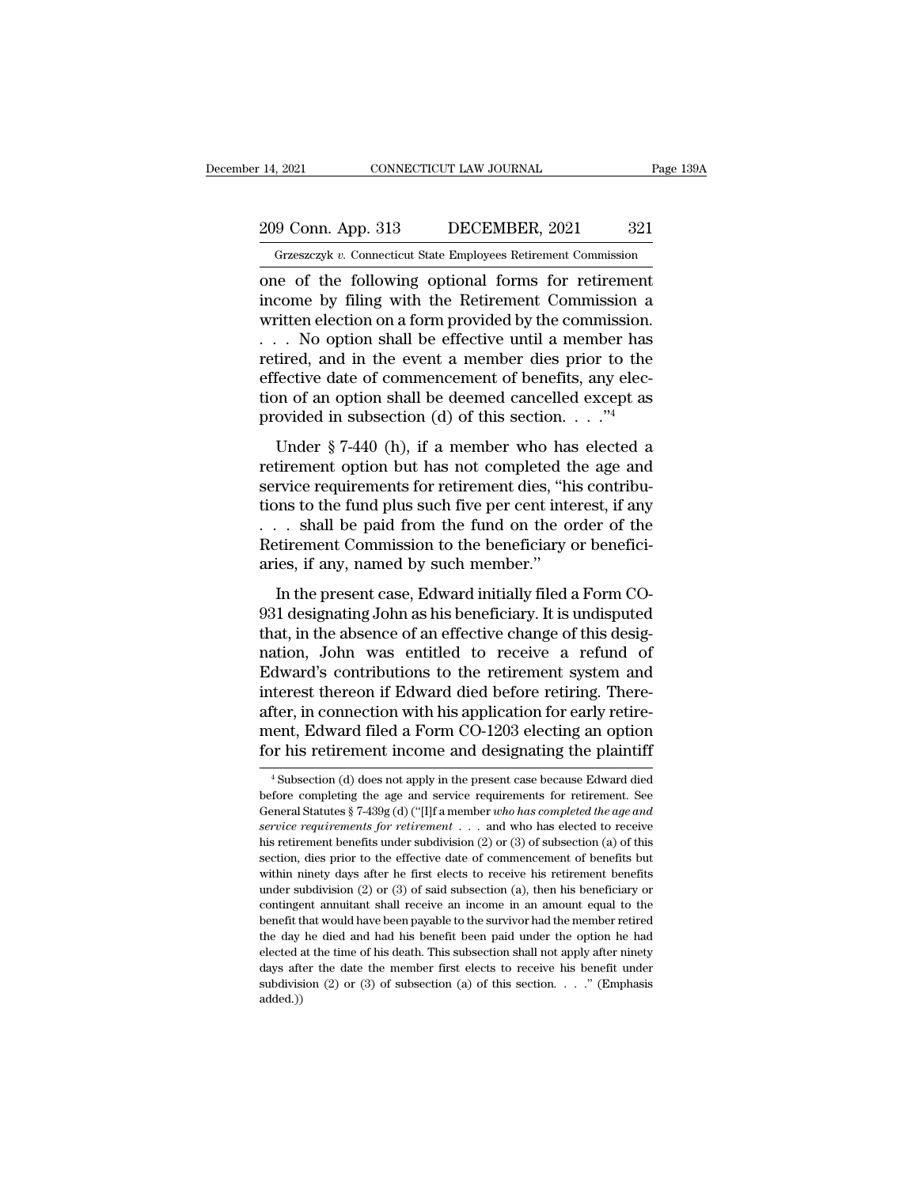### 209 Conn. App. 313 DECEMBER, 2021 321<br>Grzeszczyk v. Connecticut State Employees Retirement Commission December 14, 2021 CONNECTICUT LAW JOURNAL Page 139A<br>209 Conn. App. 313 DECEMBER, 2021 321<br>Grzeszczyk *v.* Connecticut State Employees Retirement Commission

one of the following optional forms for retirement<br>
14, 2021 0321<br>
The Grand Connecticular State Employees Retirement Commission<br>
16 one of the following optional forms for retirement<br>
16 income by filing with the Retireme 209 Conn. App. 313 DECEMBER, 2021 321<br>
Grzeszczyk v. Connecticut State Employees Retirement Commission<br>
one of the following optional forms for retirement<br>
income by filing with the Retirement Commission a<br>
written electio 209 Conn. App. 313 DECEMBER, 2021 321<br>
Grzeszczyk v. Connecticut State Employees Retirement Commission<br>
one of the following optional forms for retirement<br>
income by filing with the Retirement Commission a<br>
written electi 209 Conn. App. 313 DECEMBER, 2021 321<br>
Grzeszczyk v. Connecticut State Employees Retirement Commission<br>
one of the following optional forms for retirement<br>
income by filing with the Retirement Commission a<br>
written electi Grzeszczyk v. Connecticut State Employees Retirement Commission<br>
one of the following optional forms for retirement<br>
income by filing with the Retirement Commission a<br>
written election on a form provided by the commission one of the following optional forms for retirement<br>income by filing with the Retirement Commission a<br>written election on a form provided by the commission.<br> $\ldots$  No option shall be effective until a member has<br>retired, an one of the following optional forms for retirement<br>income by filing with the Retirement Commission a<br>written election on a form provided by the commission.<br> $\dots$  No option shall be effective until a member has<br>retired, and income by filing with the Retirement Commission a<br>written election on a form provided by the commission.<br>... No option shall be effective until a member has<br>retired, and in the event a member dies prior to the<br>effective d No option shall be effective until a member has<br>tired, and in the event a member dies prior to the<br>fective date of commencement of benefits, any elec-<br>no of an option shall be deemed cancelled except as<br>ovided in subsecti retired, and in the event a member disc prior to the effective date of commencement of benefits, any election of an option shall be deemed cancelled except as provided in subsection (d) of this section.  $\dots$ <sup>24</sup><br>Under § 7

service date of commencement of benefits, any election of an option shall be deemed cancelled except as<br>provided in subsection (d) of this section.  $\cdot \cdot \cdot$ <sup>74</sup><br>Under § 7-440 (h), if a member who has elected a<br>retirement tion of an option shall be deemed cancelled except as<br>provided in subsection (d) of this section.  $\ldots$ ."<sup>4</sup><br>Under § 7-440 (h), if a member who has elected a<br>retirement option but has not completed the age and<br>service req provided in subsection (d) of this section. . . ."<sup>4</sup><br>Under § 7-440 (h), if a member who has elected a<br>retirement option but has not completed the age and<br>service requirements for retirement dies, "his contribu-<br>tions to Under § 7-440 (h), if a member who has elected a<br>retirement option but has not completed the age and<br>service requirements for retirement dies, "his contribu-<br>tions to the fund plus such five per cent interest, if any<br> $\dots$ Under § 7-440 (h), if a member who has<br>retirement option but has not completed t<br>service requirements for retirement dies, "hi<br>tions to the fund plus such five per cent inte<br> $\dots$  shall be paid from the fund on the o<br>Retir In the present case, Edward initially filed a Form Co-<br>I designating John as his contribu-<br>In the present Commission to the beneficiary or benefici-<br>ies, if any, named by such member."<br>In the present case, Edward initially betwee requirements for reference these, and contained<br>tions to the fund plus such five per cent interest, if any<br> $\ldots$  shall be paid from the fund on the order of the<br>Retirement Commission to the beneficiary or benefici-

that, in the paid from the fund on the order of the Retirement Commission to the beneficiary or beneficiaries, if any, named by such member."<br>In the present case, Edward initially filed a Form CO-931 designating John as h nation, Salar Be paid from the fund of the order of the<br>Retirement Commission to the beneficiary or beneficiaries, if any, named by such member."<br>In the present case, Edward initially filed a Form CO-<br>931 designating John Exercise Commission to the beneficially of beneficial and<br>aries, if any, named by such member."<br>The reflective change of an effective change of this designation, John was entitled to receive a refund of<br>Edward's contributi in the present case, Edward initially filed a Form CO-<br>931 designating John as his beneficiary. It is undisputed<br>that, in the absence of an effective change of this designation, John was entitled to receive a refund of<br>Edw In the present case, Edward initially filed a Form CO-931 designating John as his beneficiary. It is undisputed that, in the absence of an effective change of this designation, John was entitled to receive a refund of Edwa 931 designating John as his beneficiary. It is undisputed<br>that, in the absence of an effective change of this designation, John was entitled to receive a refund of<br>Edward's contributions to the retirement system and<br>intere that, in the absence of an effective change of this designation, John was entitled to receive a refund of Edward's contributions to the retirement system and interest thereon if Edward died before retiring. Thereafter, in terest thereon if Edward died before retiring. There-<br>fer, in connection with his application for early retire-<br>ent, Edward filed a Form CO-1203 electing an option<br>or his retirement income and designating the plaintiff<br><sup>4</sup> after, in connection with his application for early retirement, Edward filed a Form CO-1203 electing an option<br>for his retirement income and designating the plaintiff<br> $\frac{4 \text{ Subsection (d) does not apply in the present case because Edward died}}{6 \text{ before completing the age and service requirements for retirement. See General Statistics § 7-439g (d) ("$ 

ment, Edward filed a Form CO-1203 electing an option<br>for his retirement income and designating the plaintiff<br><sup>4</sup>Subsection (d) does not apply in the present case because Edward died<br>before completing the age and service re **for his retirement income and designating the plaintiff**<br>
<sup>4</sup> Subsection (d) does not apply in the present case because Edward died<br>
before completing the age and service requirements for retirement. See<br>
General Statutes <sup>4</sup> Subsection (d) does not apply in the present case because Edward died before completing the age and service requirements for retirement. See General Statutes § 7-439g (d) ("[I]f a member *who has completed the age and* <sup>4</sup> Subsection (d) does not apply in the present case because Edward died before completing the age and service requirements for retirement. See General Statutes § 7-439g (d) ("[I]f a member *who has completed the age and* before completing the age and service requirements for retirement. See<br>General Statutes § 7-439g (d) ("[I]f a member who has completed the age and<br>service requirements for retirement . . . and who has elected to receive<br>h General Statutes § 7-439g (d) ("[I]f a member *who has completed the age and service requirements for retirement* . . . and who has elected to receive his retirement benefits under subdivision (2) or (3) of subsection ( service requirements for retirement . . . and who has elected to receive his retirement benefits under subdivision (2) or (3) of subsection (a) of this section, dies prior to the effective date of commencement of benefits benefit that would have been payable to the survivor had the member retired to the section, dies prior to the effective date of commencement of benefits but within ninety days after he first elects to receive his retireme the section, dies prior to the effective date of commencement of benefits but within ninety days after he first elects to receive his retirement benefits under subdivision (2) or (3) of said subsection (a), then his benef elected at the time of his death. This subsection shall not apply after his religion (2) or (3) of said subsection (a), then his beneficiary or contingent annuitant shall receive an income in an amount equal to the benefi under subdivision (2) or (3) of said subsection (a), then his beneficiary or contingent annuitant shall receive an income in an amount equal to the benefit that would have been payable to the survivor had the member retir contingent annuitant shall receive an income in an amount equal to the benefit that would have been payable to the survivor had the member retired the day he died and had his benefit been paid under the option he had elec added.))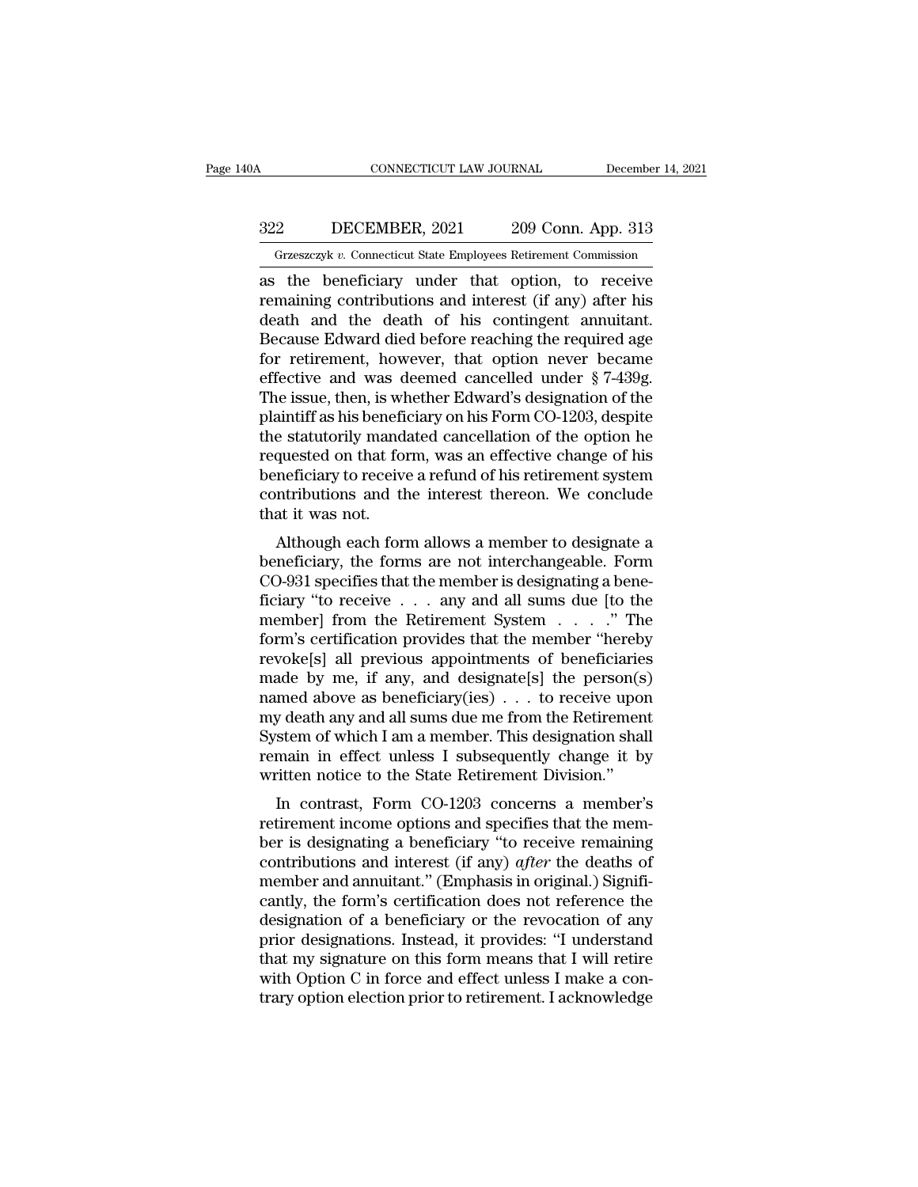### CONNECTICUT LAW JOURNAL December 14, 2021<br>322 DECEMBER, 2021 209 Conn. App. 313<br>Grzeszczyk v. Connecticut State Employees Retirement Commission CONNECTICUT LAW JOURNAL December 14, 202<br>
22 DECEMBER, 2021 209 Conn. App. 313<br>
Grzeszczyk v. Connecticut State Employees Retirement Commission<br>
the beneficiary under that ontion to receive

CONNECTICUT LAW JOURNAL December 14, 2021<br>
2022 DECEMBER, 2021 209 Conn. App. 313<br>
Grzeszczyk v. Connecticut State Employees Retirement Commission<br>
as the beneficiary under that option, to receive<br>
remaining contributions The Samuel Contributions and interest (if any) after his<br>determining contributions and interest (if any) after his<br>death and the death of his contingent annuitant.<br>Because Edward died before reaching the required 360  $\begin{tabular}{ c c c c} \multicolumn{1}{c}{{\textbf{5.7}}}\hline {\textbf{5.7}}\hline {\textbf{5.7}}\hline {\textbf{5.7}}\hline \textbf{6.7}}\hline \textbf{6.7}}\hline \textbf{7.7}}\hline \textbf{8.7}}\hline \textbf{8.7}}\hline \textbf{9.7}}\hline \textbf{13.7}}\hline \textbf{13.7}}\hline \textbf{13.7}}\hline \textbf{14.7}}\hline \textbf{15.7}}\hline \textbf{16.7}}\hline \textbf{17.7}}\hline \textbf{1$ BECEMBER, 2021 209 Conn. App. 313<br>
Grzeszczyk v. Connecticut State Employees Retirement Commission<br>
as the beneficiary under that option, to receive<br>
remaining contributions and interest (if any) after his<br>
death and the Grzeszczyk v. Connecticut State Employees Retirement Commission<br>as the beneficiary under that option, to receive<br>remaining contributions and interest (if any) after his<br>death and the death of his contingent annuitant.<br>Bec Grzeszczyk v. Connecticut State Employees Retirement Commission<br>as the beneficiary under that option, to receive<br>remaining contributions and interest (if any) after his<br>death and the death of his contingent annuitant.<br>Bec as the beneficiary under that option, to receive<br>remaining contributions and interest (if any) after his<br>death and the death of his contingent annuitant.<br>Because Edward died before reaching the required age<br>for retirement, remaining contributions and interest (if any) after his<br>death and the death of his contingent annuitant.<br>Because Edward died before reaching the required age<br>for retirement, however, that option never became<br>effective and death and the death of his contingent annuitant.<br>Because Edward died before reaching the required age<br>for retirement, however, that option never became<br>effective and was deemed cancelled under § 7-439g.<br>The issue, then, is Because Edward died before reaching the required age<br>for retirement, however, that option never became<br>effective and was deemed cancelled under § 7-439g.<br>The issue, then, is whether Edward's designation of the<br>plaintiff as for retirement, however, that option never became<br>effective and was deemed cancelled under  $\S$  7-439g.<br>The issue, then, is whether Edward's designation of the<br>plaintiff as his beneficiary on his Form CO-1203, despite<br>the effective and was deemed cancelled under § 7-439g.<br>The issue, then, is whether Edward's designation of the<br>plaintiff as his beneficiary on his Form CO-1203, despite<br>the statutorily mandated cancellation of the option he<br>re The issue, then, is wh<br>plaintiff as his benefi<br>the statutorily mand<br>requested on that for<br>beneficiary to receive<br>contributions and that it was not.<br>Although each for. antificant as its benefictary of its Form CO-1205, despite<br>e statutorily mandated cancellation of the option he<br>quested on that form, was an effective change of his<br>neficiary to receive a refund of his retirement system<br>nt the statutory manuated cancenation of the option he<br>requested on that form, was an effective change of his<br>beneficiary to receive a refund of his retirement system<br>contributions and the interest thereon. We conclude<br>that i

requested on that form, was an effective change of his<br>beneficiary to receive a refund of his retirement system<br>contributions and the interest thereon. We conclude<br>that it was not.<br>Although each form allows a member to de beneficiary to receive a rerund of its retriement system<br>contributions and the interest thereon. We conclude<br>that it was not.<br>Although each form allows a member to designate a<br>beneficiary, the forms are not interchangeabl contributions and the interest thereon. We concrude<br>that it was not.<br>Although each form allows a member to designate a<br>beneficiary, the forms are not interchangeable. Form<br>CO-931 specifies that the member is designating a Although each form allows a member to designate a<br>beneficiary, the forms are not interchangeable. Form<br>CO-931 specifies that the member is designating a bene-<br>ficiary "to receive . . . any and all sums due [to the<br>member] Although each form allows a member to designate a<br>beneficiary, the forms are not interchangeable. Form<br>CO-931 specifies that the member is designating a bene-<br>ficiary "to receive . . . any and all sums due [to the<br>member] beneficiary, the forms are not interchangeable. Form<br>CO-931 specifies that the member is designating a bene-<br>ficiary "to receive . . . any and all sums due [to the<br>member] from the Retirement System . . . . ." The<br>form's CO-931 specifies that the member is designating a beneficiary "to receive . . . any and all sums due [to the<br>member] from the Retirement System . . . . ." The<br>form's certification provides that the member "hereby<br>revoke[s ficiary "to receive . . . any and all sums due [to the<br>member] from the Retirement System . . . . ." The<br>form's certification provides that the member "hereby<br>revoke[s] all previous appointments of beneficiaries<br>made by m member] from the Retirement System . . . . . " The<br>form's certification provides that the member "hereby<br>revoke[s] all previous appointments of beneficiaries<br>made by me, if any, and designate[s] the person(s)<br>named above a form's certification provides that the member "hereby<br>revoke[s] all previous appointments of beneficiaries<br>made by me, if any, and designate[s] the person(s)<br>named above as beneficiary(ies)  $\dots$  to receive upon<br>my death a revoke[s] all previous appointments of beneficiarie made by me, if any, and designate[s] the person(s named above as beneficiary(ies)  $\ldots$  to receive upon my death any and all sums due me from the Retiremen System of whi ade by file, if any, and designate[s] the person(s)<br>med above as beneficiary(ies) . . . to receive upon<br>y death any and all sums due me from the Retirement<br>stem of which I am a member. This designation shall<br>main in effect rained above as benencially (ies)  $\ldots$  to receive upon<br>my death any and all sums due me from the Retirement<br>System of which I am a member. This designation shall<br>remain in effect unless I subsequently change it by<br>writte

begaan any and an sunts due the front the Rethenent<br>System of which I am a member. This designation shall<br>remain in effect unless I subsequently change it by<br>written notice to the State Retirement Division."<br>In contrast, F system of which I all a hieliber. This designation shall<br>remain in effect unless I subsequently change it by<br>written notice to the State Retirement Division."<br>In contrast, Form CO-1203 concerns a member's<br>retirement income Fernant in effect uness 1 subsequently change it by<br>written notice to the State Retirement Division."<br>In contrast, Form CO-1203 concerns a member's<br>retirement income options and specifies that the mem-<br>ber is designating a In contrast, Form CO-1203 concerns a member's<br>retirement income options and specifies that the mem-<br>ber is designating a beneficiary "to receive remaining<br>contributions and interest (if any) *after* the deaths of<br>member an In contrast, Form CO-1203 concerns a member's<br>retirement income options and specifies that the mem-<br>ber is designating a beneficiary "to receive remaining<br>contributions and interest (if any) *after* the deaths of<br>member a retirement income options and specifies that the member is designating a beneficiary "to receive remaining contributions and interest (if any) *after* the deaths of member and annuitant." (Emphasis in original.) Significan ber is designating a beneficiary "to receive remaining<br>contributions and interest (if any) *after* the deaths of<br>member and annuitant." (Emphasis in original.) Signifi-<br>cantly, the form's certification does not reference t contributions and interest (if any) *after* the deaths of<br>member and annuitant." (Emphasis in original.) Signifi-<br>cantly, the form's certification does not reference the<br>designation of a beneficiary or the revocation of an member and annuitant." (Emphasis in original.) Significantly, the form's certification does not reference the designation of a beneficiary or the revocation of any prior designations. Instead, it provides: "I understand th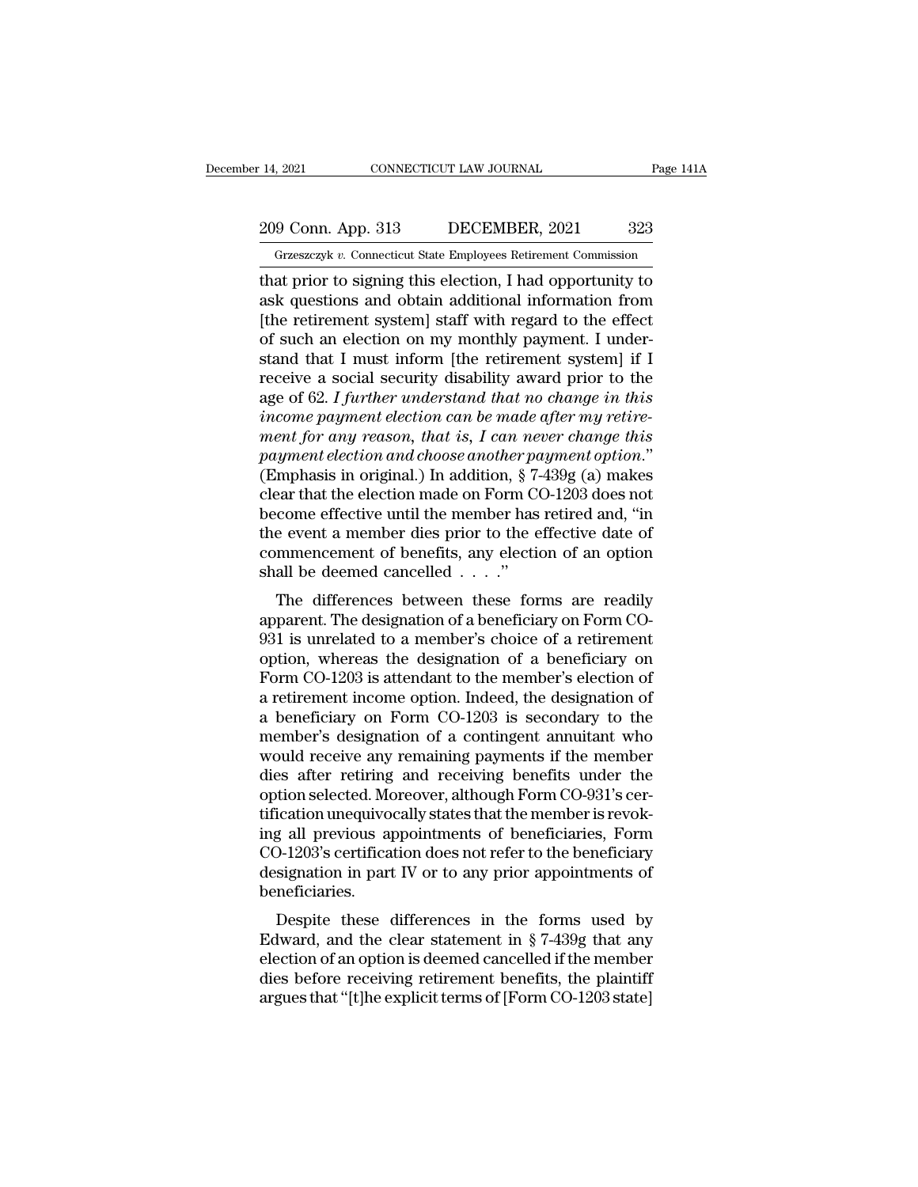# 209 Conn. App. 313 DECEMBER, 2021 323<br>Grzeszczyk v. Connecticut State Employees Retirement Commission

December 14, 2021 CONNECTICUT LAW JOURNAL Page 141A<br>
209 Conn. App. 313 DECEMBER, 2021 323<br>
Grzeszczyk *v*. Connecticut State Employees Retirement Commission<br>
that prior to signing this election, I had opportunity to That prior to signing this election, I had opportunity to<br>
14, 2021 Conn. App. 313 DECEMBER, 2021 323<br>
1672682023 Grzeszczyk v. Connecticut State Employees Retirement Commission<br>
16 that prior to signing this election, I h 209 Conn. App. 313 DECEMBER, 2021 323<br>
Grzeszczyk v. Connecticut State Employees Retirement Commission<br>
that prior to signing this election, I had opportunity to<br>
ask questions and obtain additional information from<br>
[the 209 Conn. App. 313 DECEMBER, 2021 323<br>
Grzeszczyk v. Connecticut State Employees Retirement Commission<br>
that prior to signing this election, I had opportunity to<br>
ask questions and obtain additional information from<br>
[the 209 Conn. App. 313 DECEMBER, 2021 323<br>
Grzeszczyk v. Connecticut State Employees Retirement Commission<br>
that prior to signing this election, I had opportunity to<br>
ask questions and obtain additional information from<br>
[the Grzeszczyk v. Connecticut State Employees Retirement Commission<br>that prior to signing this election, I had opportunity to<br>ask questions and obtain additional information from<br>[the retirement system] staff with regard to t Grzeszczyk v. Connecticut state Employees Retirement Commission<br>that prior to signing this election, I had opportunity to<br>ask questions and obtain additional information from<br>[the retirement system] staff with regard to t that prior to signing this election, I had opportunity to<br>ask questions and obtain additional information from<br>[the retirement system] staff with regard to the effect<br>of such an election on my monthly payment. I under-<br>sta ask questions and obtain additional information from<br>[the retirement system] staff with regard to the effect<br>of such an election on my monthly payment. I under-<br>stand that I must inform [the retirement system] if I<br>receive [the retirement system] staff with regard to the effect<br>of such an election on my monthly payment. I under-<br>stand that I must inform [the retirement system] if I<br>receive a social security disability award prior to the<br>age of such an election on my monthly payment. I understand that I must inform [the retirement system] if I<br>receive a social security disability award prior to the<br>age of 62. I further understand that no change in this<br>income stand that I must inform [the retirement system] if I<br>receive a social security disability award prior to the<br>age of 62. I further understand that no change in this<br>income payment election can be made after my retire-<br>ment receive a social security disability award prior to the<br>age of 62. I further understand that no change in this<br>income payment election can be made after my retire-<br>ment for any reason, that is, I can never change this<br>paym age of 62. I further understand that no change in this<br>income payment election can be made after my retire-<br>ment for any reason, that is, I can never change this<br>payment election and choose another payment option."<br>(Emphas income payment election can be made after my retire-<br>ment for any reason, that is, I can never change this<br>payment election and choose another payment option."<br>(Emphasis in original.) In addition,  $\S$  7-439g (a) makes<br>cle ment for any reason, that is, I can never change this<br>payment election and choose another payment option."<br>(Emphasis in original.) In addition,  $\S 7-439g$  (a) makes<br>clear that the election made on Form CO-1203 does not<br>be payment election and choose another po<br>(Emphasis in original.) In addition,  $\S$  7-<br>clear that the election made on Form CO<br>become effective until the member has<br>the event a member dies prior to the e<br>commencement of benef In primes in original.) In addition,  $\frac{1}{2}$  ( $\frac{1}{2}$  and  $\frac{1}{2}$  and  $\frac{1}{2}$  are exert to the effective until the member has retired and, "in e event a member dies prior to the effective date of mmencement of ben dear that the effective until the member has retired and, "in<br>the event a member dies prior to the effective date of<br>commencement of benefits, any election of an option<br>shall be deemed cancelled . . . ."<br>The differences be

become enective until the member has retired and, in<br>the event a member dies prior to the effective date of<br>commencement of benefits, any election of an option<br>shall be deemed cancelled  $\ldots$ ."<br>The differences between the The event a member dies prior to the enective date of<br>commencement of benefits, any election of an option<br>shall be deemed cancelled  $\ldots$ ."<br>The differences between these forms are readily<br>apparent. The designation of a be Form CO-1203 is attendant to the member's election of an option<br>The differences between these forms are readily<br>apparent. The designation of a beneficiary on Form CO-<br>931 is unrelated to a member's choice of a retirement<br> The differences between these forms are readily<br>apparent. The designation of a beneficiary on Form CO-<br>931 is unrelated to a member's choice of a retirement<br>option, whereas the designation of a beneficiary on<br>Form CO-1203 The differences between these forms are readily<br>apparent. The designation of a beneficiary on Form CO-<br>931 is unrelated to a member's choice of a retirement<br>option, whereas the designation of a beneficiary on<br>Form CO-1203 apparent. The designation of a beneficiary on Form CO-931 is unrelated to a member's choice of a retirement<br>option, whereas the designation of a beneficiary on<br>Form CO-1203 is attendant to the member's election of<br>a retire 931 is unrelated to a member's choice of a retirement<br>option, whereas the designation of a beneficiary on<br>Form CO-1203 is attendant to the member's election of<br>a retirement income option. Indeed, the designation of<br>a bene option, whereas the designation of a beneficiary on<br>Form CO-1203 is attendant to the member's election of<br>a retirement income option. Indeed, the designation of<br>a beneficiary on Form CO-1203 is secondary to the<br>member's de Form CO-1203 is attendant to the member's election of<br>a retirement income option. Indeed, the designation of<br>a beneficiary on Form CO-1203 is secondary to the<br>member's designation of a contingent annuitant who<br>would receiv a retirement income option. Indeed, the designation of<br>a beneficiary on Form CO-1203 is secondary to the<br>member's designation of a contingent annuitant who<br>would receive any remaining payments if the member<br>dies after reti a beneficiary on Form CO-1203 is secondary to the<br>member's designation of a contingent annuitant who<br>would receive any remaining payments if the member<br>dies after retiring and receiving benefits under the<br>option selected. member's designation of a contingent annuitant who<br>would receive any remaining payments if the member<br>dies after retiring and receiving benefits under the<br>option selected. Moreover, although Form CO-931's cer-<br>tification u would receive any remaining payments if the member<br>dies after retiring and receiving benefits under the<br>option selected. Moreover, although Form CO-931's cer-<br>tification unequivocally states that the member is revok-<br>ing a beneficiaries. Moon selected. Moreover, annough Form CO-351 s certication unequivocally states that the member is revok-<br>g all previous appointments of beneficiaries, Form<br>D-1203's certification does not refer to the beneficiary<br>signati Edward in the clear statement in the clear statement in gall previous appointments of beneficiaries, Form CO-1203's certification does not refer to the beneficiary designation in part IV or to any prior appointments of be

rig an previous appointments of beneficiaries, Form<br>CO-1203's certification does not refer to the beneficiary<br>designation in part IV or to any prior appointments of<br>beneficiaries.<br>Despite these differences in the forms us CO-1203 S Certification does not feler to the beneficiary<br>designation in part IV or to any prior appointments of<br>beneficiaries.<br>Despite these differences in the forms used by<br>Edward, and the clear statement in § 7-439g tha designation in part TV of to any prior appointments of<br>beneficiaries.<br>Despite these differences in the forms used by<br>Edward, and the clear statement in § 7-439g that any<br>election of an option is deemed cancelled if the mem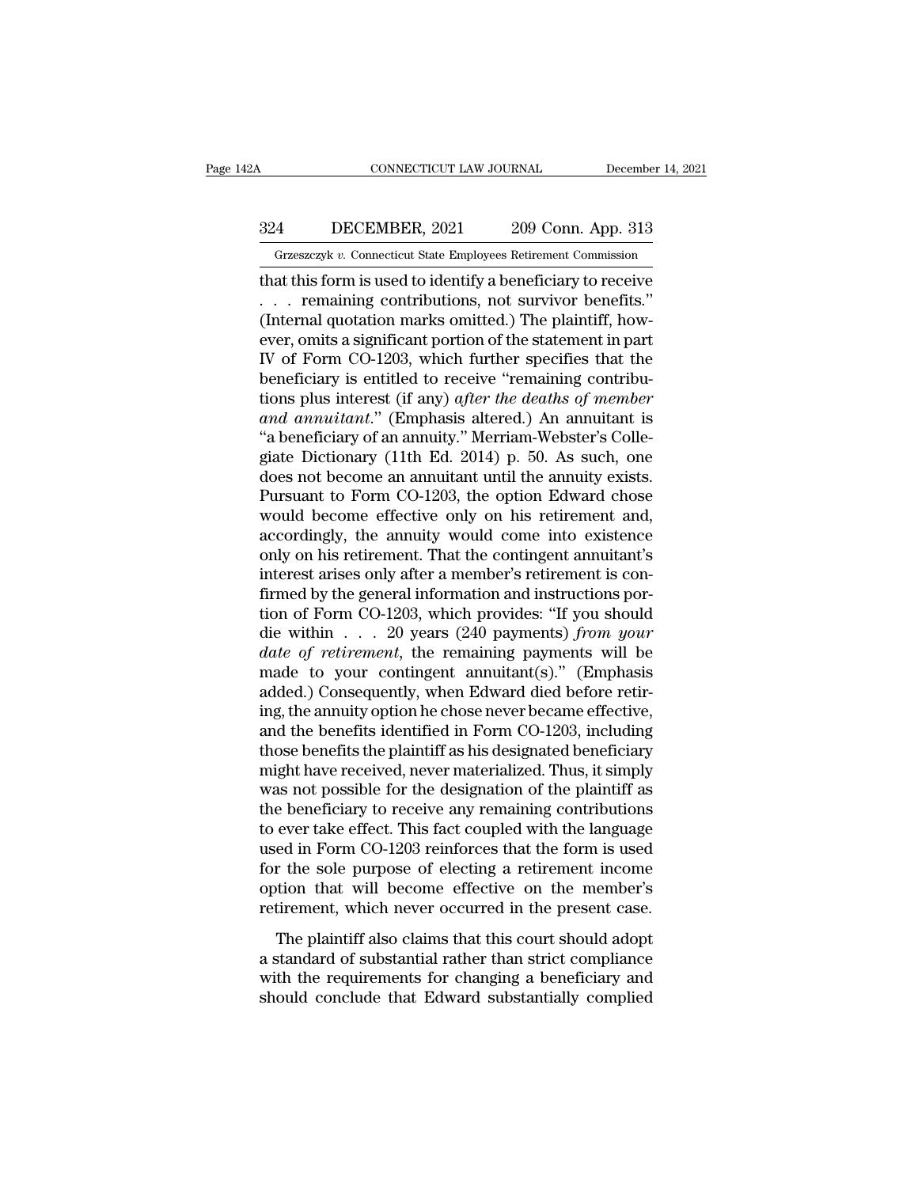### CONNECTICUT LAW JOURNAL December 14, 2021<br>324 DECEMBER, 2021 209 Conn. App. 313<br>Grzeszczyk v. Connecticut State Employees Retirement Commission CONNECTICUT LAW JOURNAL December 14, 2021<br>4 DECEMBER, 2021 209 Conn. App. 313<br>Grzeszczyk v. Connecticut State Employees Retirement Commission<br>at this form is used to identify a beneficiary to receive

CONNECTICUT LAW JOURNAL December 14, 2021<br>
2013<br>
2014 DECEMBER, 2021 209 Conn. App. 313<br>
672eszczyk v. Connecticut State Employees Retirement Commission<br>
10. That this form is used to identify a beneficiary to receive<br>
20. 324 DECEMBER, 2021 209 Conn. App. 313<br>  $\frac{324}{3}$  Grzeszczyk v. Connecticut State Employees Retirement Commission<br>
that this form is used to identify a beneficiary to receive<br>
... remaining contributions, not survivor be 324 DECEMBER, 2021 209 Conn. App. 313<br>
Grzeszczyk v. Connecticut State Employees Retirement Commission<br>
that this form is used to identify a beneficiary to receive<br>
... remaining contributions, not survivor benefits."<br>
(I 324 DECEMBER, 2021 209 Conn. App. 313<br>
Grzeszczyk v. Connecticut State Employees Retirement Commission<br>
that this form is used to identify a beneficiary to receive<br>
... remaining contributions, not survivor benefits."<br>
(I Grzeszczyk v. Connecticut State Employees Retirement Commission<br>
that this form is used to identify a beneficiary to receive<br>  $\ldots$  remaining contributions, not survivor benefits."<br>
(Internal quotation marks omitted.) The Grzeszczyk v. Connecticut state Employees Retirement Commission<br>
that this form is used to identify a beneficiary to receive<br>  $\ldots$  remaining contributions, not survivor benefits."<br>
(Internal quotation marks omitted.) The that this form is used to identify a beneficiary to receive<br>
. . . . remaining contributions, not survivor benefits."<br>
(Internal quotation marks omitted.) The plaintiff, how-<br>
ever, omits a significant portion of the state *a.* . . . remaining contributions, not survivor benefits."<br>
(Internal quotation marks omitted.) The plaintiff, how-<br>
ever, omits a significant portion of the statement in part<br>
IV of Form CO-1203, which further specifies (Internal quotation marks omitted.) The plaintiff, however, omits a significant portion of the statement in part IV of Form CO-1203, which further specifies that the beneficiary is entitled to receive "remaining contribut ever, omits a significant portion of the statement in part<br>IV of Form CO-1203, which further specifies that the<br>beneficiary is entitled to receive "remaining contribu-<br>tions plus interest (if any) *after the deaths of memb* IV of Form CO-1203, which further specifies that the<br>beneficiary is entitled to receive "remaining contribu-<br>tions plus interest (if any) *after the deaths of member*<br>*and annuitant.*" (Emphasis altered.) An annuitant is<br>" beneficiary is entitled to receive "remaining contribu-<br>tions plus interest (if any) *after the deaths of member*<br>and annuitant." (Emphasis altered.) An annuitant is<br>"a beneficiary of an annuity." Merriam-Webster's Colle-<br> tions plus interest (if any) *after the deaths of member*<br>and annuitant." (Emphasis altered.) An annuitant is<br>"a beneficiary of an annuity." Merriam-Webster's Colle-<br>giate Dictionary (11th Ed. 2014) p. 50. As such, one<br>do and annuitant." (Emphasis altered.) An annuitant is<br>"a beneficiary of an annuity." Merriam-Webster's Collegiate Dictionary (11th Ed. 2014) p. 50. As such, one<br>does not become an annuitant until the annuity exists.<br>Pursuant "a beneficiary of an annuity." Merriam-Webster's Collegiate Dictionary (11th Ed. 2014) p. 50. As such, one does not become an annuitant until the annuity exists.<br>Pursuant to Form CO-1203, the option Edward chose would beco giate Dictionary (11th Ed. 2014) p. 50. As such, one<br>does not become an annuitant until the annuity exists.<br>Pursuant to Form CO-1203, the option Edward chose<br>would become effective only on his retirement and,<br>accordingly, does not become an annuitant until the annuity exists.<br>Pursuant to Form CO-1203, the option Edward chose<br>would become effective only on his retirement and,<br>accordingly, the annuity would come into existence<br>only on his ret Pursuant to Form CO-1203, the option Edward chose<br>would become effective only on his retirement and,<br>accordingly, the annuity would come into existence<br>only on his retirement. That the contingent annuitant's<br>interest aris would become effective only on his retirement and,<br>accordingly, the annuity would come into existence<br>only on his retirement. That the contingent annuitant's<br>interest arises only after a member's retirement is con-<br>firmed accordingly, the annuity would come into existence<br>only on his retirement. That the contingent annuitant's<br>interest arises only after a member's retirement is con-<br>firmed by the general information and instructions por-<br>ti only on his retirement. That the contingent annuitant's<br>interest arises only after a member's retirement is con-<br>firmed by the general information and instructions por-<br>tion of Form CO-1203, which provides: "If you should interest arises only after a member's retirement is confirmed by the general information and instructions portion of Form CO-1203, which provides: "If you should die within  $\ldots$  20 years (240 payments) *from your date of* firmed by the general information and instructions portion of Form CO-1203, which provides: "If you should die within  $\ldots$  20 years (240 payments) *from your date of retirement*, the remaining payments will be made to yo tion of Form CO-1203, which provides: "If you should<br>die within  $\ldots$  20 years (240 payments) *from your*<br>date of retirement, the remaining payments will be<br>made to your contingent annuitant(s)." (Emphasis<br>added.) Consequ die within . . . 20 years (240 payments) *from your*<br>date of retirement, the remaining payments will be<br>made to your contingent annuitant(s)." (Emphasis<br>added.) Consequently, when Edward died before retir-<br>ing, the annuity date of retirement, the remaining payments will be<br>made to your contingent annuitant(s)." (Emphasis<br>added.) Consequently, when Edward died before retir-<br>ing, the annuity option he chose never became effective,<br>and the bene made to your contingent annuitant(s)." (Emphasis<br>added.) Consequently, when Edward died before retir-<br>ing, the annuity option he chose never became effective,<br>and the benefits identified in Form CO-1203, including<br>those be added.) Consequently, when Edward died before retiring, the annuity option he chose never became effective,<br>and the benefits identified in Form CO-1203, including<br>those benefits the plaintiff as his designated beneficiary<br> ing, the annuity option he chose never became effective,<br>and the benefits identified in Form CO-1203, including<br>those benefits the plaintiff as his designated beneficiary<br>might have received, never materialized. Thus, it s and the benefits identified in Form CO-1203, including<br>those benefits the plaintiff as his designated beneficiary<br>might have received, never materialized. Thus, it simply<br>was not possible for the designation of the plainti those benefits the plaintiff as his designated beneficiary<br>might have received, never materialized. Thus, it simply<br>was not possible for the designation of the plaintiff as<br>the beneficiary to receive any remaining contribu might have received, never materialized. Thus, it simply<br>was not possible for the designation of the plaintiff as<br>the beneficiary to receive any remaining contributions<br>to ever take effect. This fact coupled with the langu was not possible for the designation of the plaintiff as<br>the beneficiary to receive any remaining contributions<br>to ever take effect. This fact coupled with the language<br>used in Form CO-1203 reinforces that the form is used Exercise of the plantiff also claims that the language<br>of the sole purpose of electing a retirement income<br>or the sole purpose of electing a retirement income<br>this court should adopt<br>interest, which never occurred in the p a start and concept that the diagonal used in Form CO-1203 reinforces that the form is used<br>for the sole purpose of electing a retirement income<br>option that will become effective on the member's<br>retirement, which never occ

where the sole purpose of electing a retirement income option that will become effective on the member's retirement, which never occurred in the present case.<br>The plaintiff also claims that this court should adopt a standa show that will become effective on the member's<br>retirement, which never occurred in the present case.<br>The plaintiff also claims that this court should adopt<br>a standard of substantial rather than strict compliance<br>with the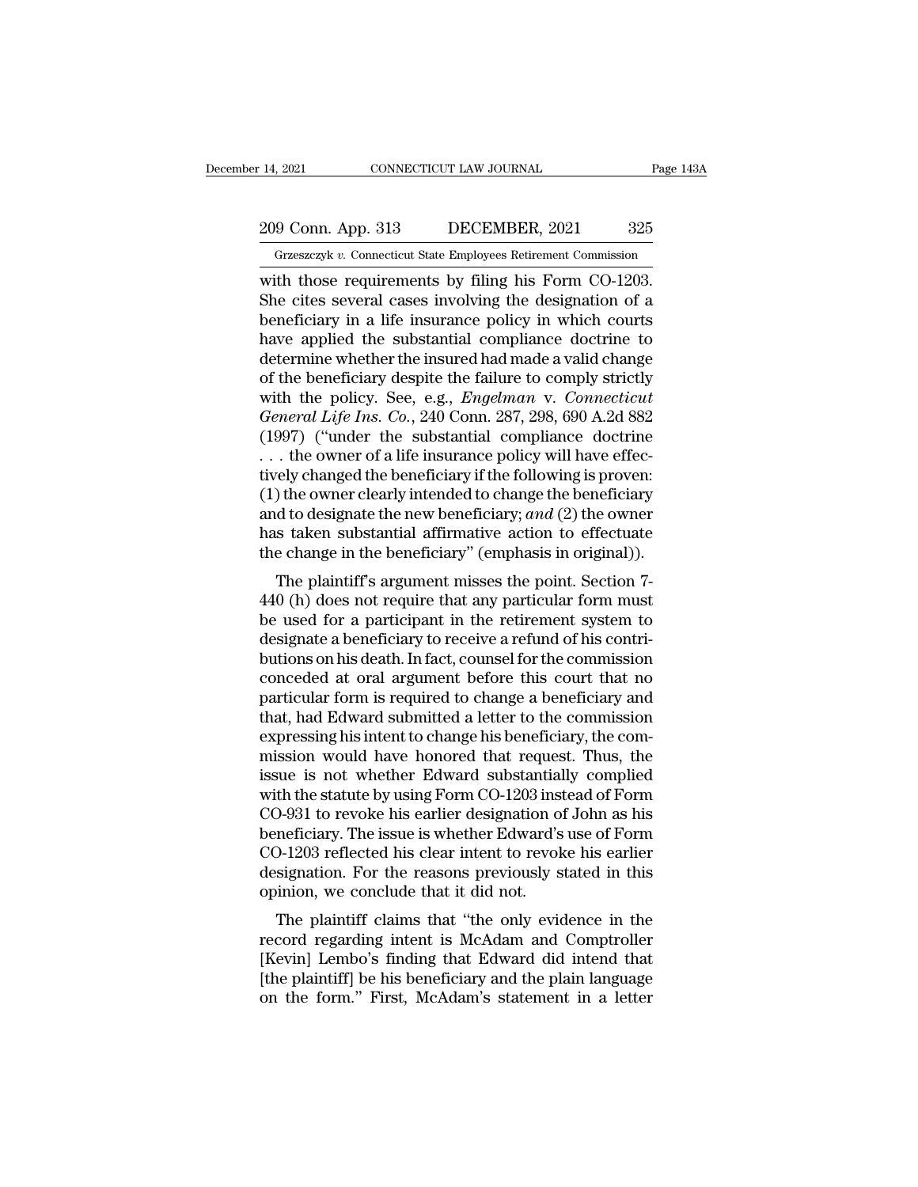# 209 Conn. App. 313 DECEMBER, 2021 325<br>Grzeszczyk v. Connecticut State Employees Retirement Commission

December 14, 2021 CONNECTICUT LAW JOURNAL Page 143A<br>
209 Conn. App. 313 DECEMBER, 2021 325<br>
Grzeszczyk *v.* Connecticut State Employees Retirement Commission<br>
with those requirements by filing his Form CO-1203. The connection of the connection of the series of the connection of the cases in the connection of a connection of the cites several cases involving the designation of a bonoficing in a life incurance policy in which court 209 Conn. App. 313 DECEMBER, 2021 325<br>
Grzeszczyk v. Connecticut State Employees Retirement Commission<br>
with those requirements by filing his Form CO-1203.<br>
She cites several cases involving the designation of a<br>
beneficia 209 Conn. App. 313 DECEMBER, 2021 325<br>
Grzeszczyk v. Connecticut State Employees Retirement Commission<br>
with those requirements by filing his Form CO-1203.<br>
She cites several cases involving the designation of a<br>
benefici 209 Conn. App. 313 DECEMBER, 2021 325<br>
Grzeszczyk v. Connecticut State Employees Retirement Commission<br>
with those requirements by filing his Form CO-1203.<br>
She cites several cases involving the designation of a<br>
benefici Grasszczyk v. Connecticut State Employees Retirement Commission<br>with those requirements by filing his Form CO-1203.<br>She cites several cases involving the designation of a<br>beneficiary in a life insurance policy in which co Grzeszczyk v. Connecticut State Employees Retirement Commission<br>with those requirements by filing his Form CO-1203.<br>She cites several cases involving the designation of a<br>beneficiary in a life insurance policy in which co with those requirements by filing his Form CO-1203.<br>She cites several cases involving the designation of a<br>beneficiary in a life insurance policy in which courts<br>have applied the substantial compliance doctrine to<br>determin She cites several cases involving the designation of a<br>beneficiary in a life insurance policy in which courts<br>have applied the substantial compliance doctrine to<br>determine whether the insured had made a valid change<br>of the beneficiary in a life insurance policy in which courts<br>have applied the substantial compliance doctrine to<br>determine whether the insured had made a valid change<br>of the beneficiary despite the failure to comply strictly<br>wi have applied the substantial compliance doctrine to<br>determine whether the insured had made a valid change<br>of the beneficiary despite the failure to comply strictly<br>with the policy. See, e.g., *Engelman* v. *Connecticut*<br>G determine whether the insured had made a valid change<br>of the beneficiary despite the failure to comply strictly<br>with the policy. See, e.g., *Engelman* v. *Connecticut*<br>General Life Ins. Co., 240 Conn. 287, 298, 690 A.2d 8 of the beneficiary despite the failure to comply strictly<br>with the policy. See, e.g., *Engelman v. Connecticut*<br>*General Life Ins. Co.*, 240 Conn. 287, 298, 690 A.2d 882<br>(1997) ("under the substantial compliance doctrine<br> with the policy. See, e.g., *Engelman* v. *Connecticut*<br>General Life Ins. Co., 240 Conn. 287, 298, 690 A.2d 882<br>(1997) ("under the substantial compliance doctrine<br>... the owner of a life insurance policy will have effec-<br>t General Life Ins. Co., 240 Conn. 287, 298, 690 A.2d 882 (1997) ("under the substantial compliance doctrine ... the owner of a life insurance policy will have effectively changed the beneficiary if the following is proven: (1997) ("under the substantial compliance doctrine ... the owner of a life insurance policy will have effectively changed the beneficiary if the following is proven: (1) the owner clearly intended to change the beneficiar The plaintiff's argument misses the point. Section 7-0 (h) does not require that any particular form must used for a participant in the retirement sum of the point. Section 7-0 (h) does not require that any particular for  $(1)$  the owner clearly interded to change the beneficiary<br>and to designate the new beneficiary; and  $(2)$  the owner<br>has taken substantial affirmative action to effectuate<br>the change in the beneficiary" (emphasis in origi

(1) the owner clearly intended to change the beneficiary<br>and to designate the new beneficiary; and (2) the owner<br>has taken substantial affirmative action to effectuate<br>the change in the beneficiary" (emphasis in original) and to designate the new beneficiary,  $dmd$  ( $2$ ) the owner<br>has taken substantial affirmative action to effectuate<br>the change in the beneficiary" (emphasis in original)).<br>The plaintiff's argument misses the point. Section has taken substantial animative action to enectuate<br>the change in the beneficiary" (emphasis in original)).<br>The plaintiff's argument misses the point. Section 7-<br>440 (h) does not require that any particular form must<br>be us The plaintiff's argument misses the point. Section 7-<br>440 (h) does not require that any particular form must<br>be used for a participant in the retirement system to<br>designate a beneficiary to receive a refund of his contri-<br> The plaintiff's argument misses the point. Section 7-<br>440 (h) does not require that any particular form must<br>be used for a participant in the retirement system to<br>designate a beneficiary to receive a refund of his contri-<br> 440 (h) does not require that any particular form must<br>be used for a participant in the retirement system to<br>designate a beneficiary to receive a refund of his contri-<br>butions on his death. In fact, counsel for the commiss be used for a participant in the retirement system to<br>designate a beneficiary to receive a refund of his contri-<br>butions on his death. In fact, counsel for the commission<br>conceded at oral argument before this court that no designate a beneficiary to receive a refund of his contributions on his death. In fact, counsel for the commission<br>conceded at oral argument before this court that no<br>particular form is required to change a beneficiary and butions on his death. In fact, counsel for the commission<br>conceded at oral argument before this court that no<br>particular form is required to change a beneficiary and<br>that, had Edward submitted a letter to the commission<br>ex conceded at oral argument before this court that no<br>particular form is required to change a beneficiary and<br>that, had Edward submitted a letter to the commission<br>expressing his intent to change his beneficiary, the com-<br>mi particular form is required to change a beneficiary and<br>that, had Edward submitted a letter to the commission<br>expressing his intent to change his beneficiary, the com-<br>mission would have honored that request. Thus, the<br>iss that, had Edward submitted a letter to the commission<br>expressing his intent to change his beneficiary, the com-<br>mission would have honored that request. Thus, the<br>issue is not whether Edward substantially complied<br>with the expressing his intent to change his beneficiary, the commission would have honored that request. Thus, the issue is not whether Edward substantially complied with the statute by using Form CO-1203 instead of Form CO-931 to mission would have honored that request. Thus, the<br>issue is not whether Edward substantially complied<br>with the statute by using Form CO-1203 instead of Form<br>CO-931 to revoke his earlier designation of John as his<br>beneficia issue is not whether Edward substantial<br>with the statute by using Form CO-1203 inst<br>CO-931 to revoke his earlier designation of<br>beneficiary. The issue is whether Edward's<br>CO-1203 reflected his clear intent to revok<br>designa In the statute by using FOIII CO-1205 instead of FOIII<br>D-931 to revoke his earlier designation of John as his<br>meficiary. The issue is whether Edward's use of Form<br>D-1203 reflected his clear intent to revoke his earlier<br>sig CO-351 to revoke his earlier designation of John as his<br>beneficiary. The issue is whether Edward's use of Form<br>CO-1203 reflected his clear intent to revoke his earlier<br>designation. For the reasons previously stated in this

behenciary. The issue is whether Edward's use of Form<br>CO-1203 reflected his clear intent to revoke his earlier<br>designation. For the reasons previously stated in this<br>opinion, we conclude that it did not.<br>The plaintiff clai CO-1203 renected ins clear intent to revoke ins earlier<br>designation. For the reasons previously stated in this<br>opinion, we conclude that it did not.<br>The plaintiff claims that "the only evidence in the<br>record regarding inte designation. For the Feasons previously stated in this<br>opinion, we conclude that it did not.<br>The plaintiff claims that "the only evidence in the<br>record regarding intent is McAdam and Comptroller<br>[Kevin] Lembo's finding tha